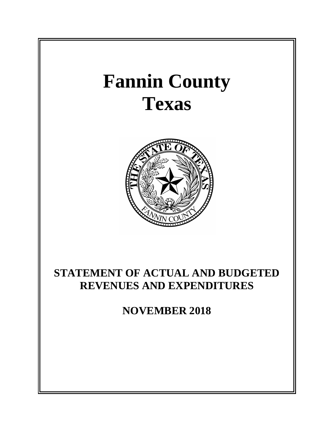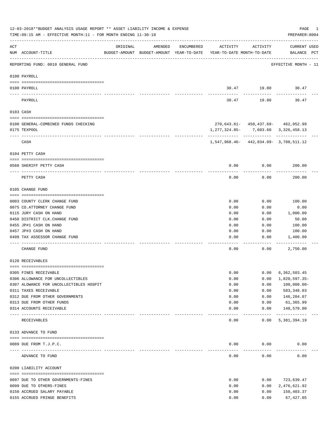|     | 12-03-2018**BUDGET ANALYSIS USAGE REPORT ** ASSET LIABILITY INCOME & EXPENSE<br>TIME: 09:15 AM - EFFECTIVE MONTH: 11 - FOR MONTH ENDING 11-30-18 |                             |         |            |                                                                                 |                                    | PAGE<br>PREPARER: 0004      | 1 |
|-----|--------------------------------------------------------------------------------------------------------------------------------------------------|-----------------------------|---------|------------|---------------------------------------------------------------------------------|------------------------------------|-----------------------------|---|
| ACT | NUM ACCOUNT-TITLE                                                                                                                                | ORIGINAL                    | AMENDED | ENCUMBERED | ACTIVITY<br>BUDGET-AMOUNT BUDGET-AMOUNT YEAR-TO-DATE YEAR-TO-DATE MONTH-TO-DATE | ACTIVITY                           | CURRENT USED<br>BALANCE PCT |   |
|     | REPORTING FUND: 0010 GENERAL FUND                                                                                                                |                             |         |            |                                                                                 |                                    | EFFECTIVE MONTH - 11        |   |
|     | 0100 PAYROLL                                                                                                                                     |                             |         |            |                                                                                 |                                    |                             |   |
|     | 0100 PAYROLL                                                                                                                                     |                             |         |            |                                                                                 |                                    | 30.47 19.80 30.47           |   |
|     | ---- -----<br>PAYROLL                                                                                                                            |                             |         |            | 30.47                                                                           | 19.80                              | 30.47                       |   |
|     | 0103 CASH                                                                                                                                        |                             |         |            |                                                                                 |                                    |                             |   |
|     | 0100 GENERAL-COMBINED FUNDS CHECKING                                                                                                             |                             |         |            |                                                                                 | 270,643.61- 450,437.69- 462,052.99 |                             |   |
|     | 0175 TEXPOOL                                                                                                                                     |                             |         |            | $1, 277, 324.85 - 7, 603.60$ 3, 326, 458.13                                     |                                    |                             |   |
|     | CASH                                                                                                                                             |                             |         |            | 1,547,968.46-442,834.09-3,788,511.12                                            |                                    |                             |   |
|     | 0104 PETTY CASH                                                                                                                                  |                             |         |            |                                                                                 |                                    |                             |   |
|     | 0560 SHERIFF PETTY CASH                                                                                                                          |                             |         |            | 0.00                                                                            | 0.00                               | 200.00                      |   |
|     | PETTY CASH                                                                                                                                       |                             |         |            | 0.00                                                                            | 0.00                               | 200.00                      |   |
|     | 0105 CHANGE FUND                                                                                                                                 |                             |         |            |                                                                                 |                                    |                             |   |
|     | 0003 COUNTY CLERK CHANGE FUND                                                                                                                    |                             |         |            | 0.00                                                                            | 0.00                               | 100.00                      |   |
|     | 0075 CO.ATTORNEY CHANGE FUND                                                                                                                     |                             |         |            | 0.00                                                                            | 0.00                               | 0.00                        |   |
|     | 0115 JURY CASH ON HAND                                                                                                                           |                             |         |            | 0.00                                                                            | 0.00                               | 1,000.00                    |   |
|     | 0450 DISTRICT CLK. CHANGE FUND                                                                                                                   |                             |         |            | 0.00                                                                            | 0.00                               | 50.00                       |   |
|     | 0455 JP#1 CASH ON HAND                                                                                                                           |                             |         |            | 0.00                                                                            | 0.00                               | 100.00                      |   |
|     | 0457 JP#3 CASH ON HAND                                                                                                                           |                             |         |            | 0.00                                                                            | 0.00                               | 100.00                      |   |
|     | 0499 TAX ASSESSOR CHANGE FUND                                                                                                                    |                             |         |            | 0.00                                                                            | 0.00                               | 1,400.00                    |   |
|     | CHANGE FUND                                                                                                                                      |                             |         |            | 0.00                                                                            | 0.00                               | 2,750.00                    |   |
|     | 0120 RECEIVABLES                                                                                                                                 |                             |         |            |                                                                                 |                                    |                             |   |
|     | 0305 FINES RECEIVABLE                                                                                                                            |                             |         |            | 0.00                                                                            | 0.00                               | 6,362,503.45                |   |
|     | 0306 ALLOWANCE FOR UNCOLLECTIBLES                                                                                                                |                             |         |            | 0.00                                                                            | 0.00                               | 1,820,597.35-               |   |
|     | 0307 ALOWANCE FOR UNCOLLECTIBLES HOSPIT                                                                                                          |                             |         |            | 0.00                                                                            | 0.00                               | $100,000.00 -$              |   |
|     | 0311 TAXES RECEIVABLE                                                                                                                            |                             |         |            | 0.00                                                                            | 0.00                               | 583, 348.03                 |   |
|     | 0312 DUE FROM OTHER GOVERNMENTS                                                                                                                  |                             |         |            | 0.00                                                                            | 0.00                               | 146,204.07                  |   |
|     | 0313 DUE FROM OTHER FUNDS                                                                                                                        |                             |         |            | 0.00                                                                            | 0.00                               | 61,365.99                   |   |
|     | 0314 ACCOUNTS RECEIVABLE                                                                                                                         | ------------- ------------- |         |            | 0.00                                                                            | 0.00<br>$- - - - -$                | 148,570.00<br>------------- |   |
|     | RECEIVABLES                                                                                                                                      |                             |         |            | 0.00                                                                            | 0.00                               | 5,381,394.19                |   |
|     | 0133 ADVANCE TO FUND                                                                                                                             |                             |         |            |                                                                                 |                                    |                             |   |
|     |                                                                                                                                                  |                             |         |            |                                                                                 |                                    |                             |   |
|     | 0089 DUE FROM T.J.P.C.<br>---------------------- ------------                                                                                    |                             |         |            | 0.00                                                                            | 0.00                               | 0.00                        |   |
|     | ADVANCE TO FUND                                                                                                                                  |                             |         |            | 0.00                                                                            | 0.00                               | 0.00                        |   |
|     | 0200 LIABILITY ACCOUNT                                                                                                                           |                             |         |            |                                                                                 |                                    |                             |   |
|     | 0097 DUE TO OTHER GOVERNMENTS-FINES                                                                                                              |                             |         |            | 0.00                                                                            | 0.00                               | 723,639.47                  |   |
|     | 0099 DUE TO OTHERS-FINES                                                                                                                         |                             |         |            | 0.00                                                                            | 0.00                               | 2,476,621.92                |   |
|     | 0150 ACCRUED SALARY PAYABLE                                                                                                                      |                             |         |            | 0.00                                                                            | 0.00                               | 150,403.37                  |   |
|     | 0155 ACCRUED FRINGE BENEFITS                                                                                                                     |                             |         |            | 0.00                                                                            | 0.00                               | 67, 427.05                  |   |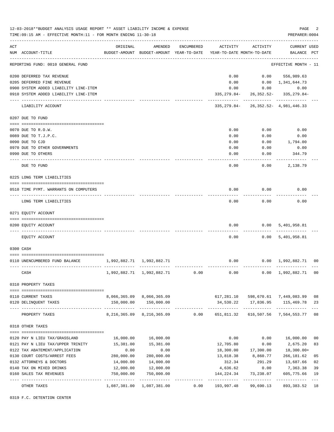|     | 12-03-2018**BUDGET ANALYSIS USAGE REPORT ** ASSET LIABILITY INCOME & EXPENSE<br>TIME: 09:15 AM - EFFECTIVE MONTH: 11 - FOR MONTH ENDING 11-30-18 |                           |                                                                                |            |                        |                   | PAGE<br>PREPARER: 0004                                                            | 2              |
|-----|--------------------------------------------------------------------------------------------------------------------------------------------------|---------------------------|--------------------------------------------------------------------------------|------------|------------------------|-------------------|-----------------------------------------------------------------------------------|----------------|
|     |                                                                                                                                                  |                           |                                                                                |            |                        |                   |                                                                                   |                |
| ACT | NUM ACCOUNT-TITLE                                                                                                                                | ORIGINAL                  | AMENDED<br>BUDGET-AMOUNT BUDGET-AMOUNT YEAR-TO-DATE YEAR-TO-DATE MONTH-TO-DATE | ENCUMBERED | ACTIVITY               | ACTIVITY          | <b>CURRENT USED</b><br>BALANCE PCT                                                |                |
|     | REPORTING FUND: 0010 GENERAL FUND                                                                                                                |                           |                                                                                |            |                        |                   | EFFECTIVE MONTH - 11                                                              |                |
|     | 0200 DEFERRED TAX REVENUE                                                                                                                        |                           |                                                                                |            | 0.00                   |                   | $0.00$ 556,989.63                                                                 |                |
|     | 0205 DEFERRED FINE REVENUE                                                                                                                       |                           |                                                                                |            | 0.00                   |                   | $0.00 \quad 1,341,644.73$                                                         |                |
|     | 0900 SYSTEM ADDED LIABILITY LINE-ITEM                                                                                                            |                           |                                                                                |            |                        | $0.00$ $0.00$     | 0.00                                                                              |                |
|     | 0910 SYSTEM ADDED LIABILITY LINE-ITEM                                                                                                            |                           |                                                                                |            |                        |                   | 335, 279.84 - 26, 352.52 - 335, 279.84 -<br>----------- ------------ ------------ |                |
|     | LIABILITY ACCOUNT                                                                                                                                |                           |                                                                                |            |                        |                   | 335, 279.84 - 26, 352.52 - 4, 981, 446.33                                         |                |
|     | 0207 DUE TO FUND                                                                                                                                 |                           |                                                                                |            |                        |                   |                                                                                   |                |
|     | 0070 DUE TO R.O.W.                                                                                                                               |                           |                                                                                |            | 0.00                   | 0.00              | 0.00                                                                              |                |
|     | 0089 DUE TO T.J.P.C.                                                                                                                             |                           |                                                                                |            | 0.00                   | 0.00              | 0.00                                                                              |                |
|     | 0090 DUE TO CJD                                                                                                                                  |                           |                                                                                |            | 0.00                   | 0.00              | 1,794.00                                                                          |                |
|     | 0970 DUE TO OTHER GOVERNMENTS                                                                                                                    |                           |                                                                                |            | 0.00                   | 0.00              | 0.00                                                                              |                |
|     | 0990 DUE TO OTHERS                                                                                                                               |                           |                                                                                |            | 0.00                   | 0.00              | 344.79                                                                            |                |
|     | DUE TO FUND                                                                                                                                      |                           |                                                                                |            | 0.00                   |                   | 0.00<br>2,138.79                                                                  |                |
|     | 0225 LONG TERM LIABILITIES                                                                                                                       |                           |                                                                                |            |                        |                   |                                                                                   |                |
|     | 0510 TIME PYMT. WARRANTS ON COMPUTERS                                                                                                            |                           |                                                                                |            | 0.00                   | 0.00              | 0.00                                                                              |                |
|     | LONG TERM LIABILITIES                                                                                                                            |                           |                                                                                |            | 0.00                   | 0.00              | 0.00                                                                              |                |
|     | 0271 EQUITY ACCOUNT                                                                                                                              |                           |                                                                                |            |                        |                   |                                                                                   |                |
|     |                                                                                                                                                  |                           |                                                                                |            |                        |                   |                                                                                   |                |
|     | 0200 EQUITY ACCOUNT                                                                                                                              |                           |                                                                                |            | 0.00                   | --------          | 0.00 5,401,958.81                                                                 |                |
|     | EQUITY ACCOUNT                                                                                                                                   |                           |                                                                                |            | 0.00                   |                   | 0.00 5,401,958.81                                                                 |                |
|     | 0300 CASH                                                                                                                                        |                           |                                                                                |            |                        |                   |                                                                                   |                |
|     | 0110 UNENCUMBERED FUND BALANCE                                                                                                                   | 1,992,882.71 1,992,882.71 |                                                                                |            | 0.00                   |                   | $0.00 \quad 1,992,882.71 \quad 00$                                                |                |
|     | CASH                                                                                                                                             |                           | 1,992,882.71 1,992,882.71                                                      | 0.00       | 0.00                   |                   | 0.00 1,992,882.71 00                                                              |                |
|     | 0310 PROPERTY TAXES                                                                                                                              |                           |                                                                                |            |                        |                   |                                                                                   |                |
|     | 0110 CURRENT TAXES                                                                                                                               |                           | 8,066,365.09 8,066,365.09                                                      |            |                        |                   | 617,281.10  598,670.61  7,449,083.99                                              | 08             |
|     | 0120 DELINQUENT TAXES                                                                                                                            |                           | 150,000.00 150,000.00                                                          |            |                        |                   | 34,530.22 17,836.95 115,469.78                                                    | 23             |
|     | PROPERTY TAXES                                                                                                                                   |                           |                                                                                |            |                        |                   |                                                                                   | 08             |
|     | 0318 OTHER TAXES                                                                                                                                 |                           |                                                                                |            |                        |                   |                                                                                   |                |
|     |                                                                                                                                                  |                           |                                                                                |            |                        |                   |                                                                                   |                |
|     | 0120 PAY N LIEU TAX/GRASSLAND                                                                                                                    |                           | 16,000.00   16,000.00                                                          |            | 0.00                   | 0.00              | 16,000.00                                                                         | 0 <sub>0</sub> |
|     | 0121 PAY N LIEU TAX/UPPER TRINITY                                                                                                                | 15,381.00                 | 15,381.00                                                                      |            | 12,705.80              | 0.00              | 2,675.20                                                                          | 83             |
|     | 0122 TAX ABATEMENT/APPLICATION                                                                                                                   | 0.00                      | 0.00                                                                           |            | 18,300.00              | 17,300.00         | 18,300.00+                                                                        |                |
|     | 0130 COURT COSTS/ARREST FEES                                                                                                                     | 280,000.00                | 280,000.00                                                                     |            | 13,818.38              | 8,860.77          | 266,181.62                                                                        | 05             |
|     | 0132 ATTORNEYS & DOCTORS                                                                                                                         | 14,000.00                 | 14,000.00                                                                      |            | 312.34                 | 291.29            | 13,687.66                                                                         | 02             |
|     | 0140 TAX ON MIXED DRINKS<br>0160 SALES TAX REVENUES                                                                                              | 12,000.00<br>750,000.00   | 12,000.00<br>750,000.00                                                        |            | 4,636.62<br>144,224.34 | 0.00<br>73,238.07 | 7,363.38<br>605,775.66                                                            | 39<br>19       |
|     | OTHER TAXES                                                                                                                                      |                           | 1,087,381.00 1,087,381.00                                                      | 0.00       | 193,997.48             | 99,690.13         | 893,383.52                                                                        | $---$<br>18    |
|     |                                                                                                                                                  |                           |                                                                                |            |                        |                   |                                                                                   |                |

0319 F.C. DETENTION CENTER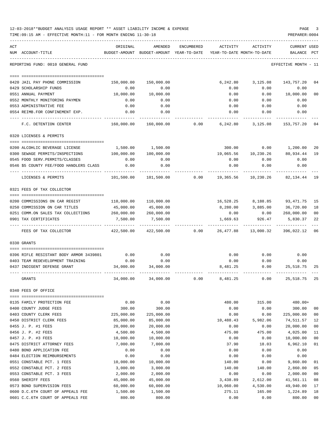|      | 12-03-2018**BUDGET ANALYSIS USAGE REPORT ** ASSET LIABILITY INCOME & EXPENSE<br>TIME: 09:15 AM - EFFECTIVE MONTH: 11 - FOR MONTH ENDING 11-30-18 |                        |                                                                                            |            |                   |                           | PAGE<br>PREPARER: 0004          |          |
|------|--------------------------------------------------------------------------------------------------------------------------------------------------|------------------------|--------------------------------------------------------------------------------------------|------------|-------------------|---------------------------|---------------------------------|----------|
| ACT  | NUM ACCOUNT-TITLE                                                                                                                                | ORIGINAL               | AMENDED<br>BUDGET-AMOUNT BUDGET-AMOUNT YEAR-TO-DATE YEAR-TO-DATE MONTH-TO-DATE BALANCE PCT | ENCUMBERED | ACTIVITY          | ACTIVITY                  | <b>CURRENT USED</b>             |          |
|      | REPORTING FUND: 0010 GENERAL FUND                                                                                                                |                        |                                                                                            |            |                   |                           | EFFECTIVE MONTH - 11            |          |
|      |                                                                                                                                                  |                        |                                                                                            |            |                   |                           |                                 |          |
|      | 0420 JAIL PAY PHONE COMMISSION                                                                                                                   | 150,000.00             | 150,000.00                                                                                 |            |                   | 6,242.80 3,125.08         | 143,757.20                      | 04       |
|      | 0429 SCHOLARSHIP FUNDS                                                                                                                           | 0.00                   | 0.00                                                                                       |            | 0.00              | 0.00                      | 0.00                            |          |
|      | 0551 ANNUAL PAYMENT                                                                                                                              | 10,000.00              | 10,000.00                                                                                  |            | 0.00              |                           | 0.00 10,000.00                  | 00       |
|      | 0552 MONTHLY MONITORING PAYMEN                                                                                                                   | 0.00                   | 0.00                                                                                       |            | 0.00              | 0.00                      | 0.00                            |          |
|      | 0553 ADMINISTRATIVE FEE                                                                                                                          | 0.00                   | 0.00                                                                                       |            | 0.00              | 0.00                      | 0.00                            |          |
|      | 0554 REIMB.FOR CONFINEMENT EXP.<br>--------------------                                                                                          | 0.00                   | 0.00                                                                                       |            | 0.00              | 0.00                      | 0.00                            |          |
|      | F.C. DETENTION CENTER                                                                                                                            |                        | 160,000.00   160,000.00      0.00     6,242.80    3,125.08   153,757.20  04                |            |                   |                           |                                 |          |
|      | 0320 LICENSES & PERMITS                                                                                                                          |                        |                                                                                            |            |                   |                           |                                 |          |
|      | 0200 ALCOHLIC BEVERAGE LICENSE                                                                                                                   |                        | 1,500.00 1,500.00                                                                          |            |                   |                           |                                 | 20       |
|      | 0300 SEWAGE PERMITS/INSPECTIONS                                                                                                                  | 100,000.00             | 100,000.00                                                                                 |            |                   |                           | 19,065.56  10,230.26  80,934.44 | 19       |
|      | 0545 FOOD SERV. PERMITS/CLASSES                                                                                                                  | 0.00                   | 0.00                                                                                       |            | 0.00              | 0.00                      | 0.00                            |          |
|      | 0546 \$5 COUNTY FEE/FOOD HANDLERS CLASS                                                                                                          | 0.00                   | 0.00                                                                                       |            | 0.00              | 0.00                      | 0.00                            |          |
|      | LICENSES & PERMITS                                                                                                                               | 101,500.00             | 101,500.00                                                                                 |            | $0.00$ 19,365.56  |                           | 10,230.26 82,134.44 19          |          |
|      | 0321 FEES OF TAX COLLECTOR                                                                                                                       |                        |                                                                                            |            |                   |                           |                                 |          |
|      | 0200 COMMISSIONS ON CAR REGIST                                                                                                                   |                        | 110,000.00 110,000.00                                                                      |            |                   |                           | 16,528.25 8,188.85 93,471.75 15 |          |
|      | 0250 COMMISSION ON CAR TITLES                                                                                                                    | 45,000.00              | 45,000.00                                                                                  |            |                   |                           | 8,280.00 3,885.00 36,720.00     | 18       |
|      | 0251 COMM.ON SALES TAX COLLECTIONS 260,000.00                                                                                                    |                        | 260,000.00                                                                                 |            |                   | $0.00$ 0.00               | 260,000.00                      | 00       |
|      | 0901 TAX CERTIFICATES                                                                                                                            | 7,500.00               | 7,500.00                                                                                   |            | 1,669.63          | 926.47                    | 5,830.37                        | 22       |
|      | FEES OF TAX COLLECTOR                                                                                                                            |                        | -----------<br>422,500.00 422,500.00 0.00 26,477.88                                        |            | -----------       | ------------<br>13,000.32 | 396,022.12 06                   |          |
|      | 0330 GRANTS                                                                                                                                      |                        |                                                                                            |            |                   |                           |                                 |          |
|      |                                                                                                                                                  |                        |                                                                                            |            |                   |                           |                                 |          |
|      | 0396 RIFLE RESISTANT BODY ARMOR 3439801                                                                                                          | 0.00                   | 0.00                                                                                       |            | 0.00              | 0.00                      | 0.00                            |          |
|      | 0403 TEAM REDEVELOPMENT TRAINING                                                                                                                 | 0.00                   | 0.00                                                                                       |            | 0.00              | 0.00                      | 0.00                            |          |
|      | 0437 INDIGENT DEFENSE GRANT                                                                                                                      | 34,000.00              | 34,000.00                                                                                  |            | 8,481.25          | 0.00                      | 25,518.75                       | 25       |
|      | GRANTS                                                                                                                                           | 34,000.00              | 34,000.00                                                                                  | 0.00       | 8,481.25          | 0.00                      | 25,518.75                       | 25       |
|      | 0340 FEES OF OFFICE                                                                                                                              |                        |                                                                                            |            |                   |                           |                                 |          |
|      | ======================================                                                                                                           |                        |                                                                                            |            |                   |                           |                                 |          |
| 0135 | FAMILY PROTECTION FEE                                                                                                                            | 0.00                   | 0.00                                                                                       |            | 480.00            | 315.00                    | 480.00+                         |          |
|      | 0400 COUNTY JUDGE FEES                                                                                                                           | 300.00                 | 300.00                                                                                     |            | 0.00              | 0.00                      | 300.00                          | 00       |
|      | 0403 COUNTY CLERK FEES<br>0450 DISTRICT CLERK FEES                                                                                               | 225,000.00             | 225,000.00<br>85,000.00                                                                    |            | 0.00<br>10,488.43 | 0.00<br>5,982.06          | 225,000.00                      | 00<br>12 |
|      | 0455 J. P. #1 FEES                                                                                                                               | 85,000.00<br>20,000.00 | 20,000.00                                                                                  |            | 0.00              | 0.00                      | 74,511.57<br>20,000.00          | $00\,$   |
|      | 0456 J. P. #2 FEES                                                                                                                               | 4,500.00               | 4,500.00                                                                                   |            | 475.00            | 475.00                    | 4,025.00                        | 11       |
|      | 0457 J. P. #3 FEES                                                                                                                               | 10,000.00              | 10,000.00                                                                                  |            | 0.00              | 0.00                      | 10,000.00                       | $00\,$   |
|      | 0475 DISTRICT ATTORNEY FEES                                                                                                                      | 7,000.00               | 7,000.00                                                                                   |            | 37.90             | 18.03                     | 6,962.10                        | 01       |
|      | 0480 BOND APPLICATION FEE                                                                                                                        | 0.00                   | 0.00                                                                                       |            | 0.00              | 0.00                      | 0.00                            |          |
|      | 0484 ELECTION REIMBURSEMENTS                                                                                                                     | 0.00                   | 0.00                                                                                       |            | 0.00              | 0.00                      | 0.00                            |          |
|      | 0551 CONSTABLE PCT. 1 FEES                                                                                                                       | 10,000.00              | 10,000.00                                                                                  |            | 140.00            | 0.00                      | 9,860.00                        | 01       |
|      | 0552 CONSTABLE PCT. 2 FEES                                                                                                                       | 3,000.00               | 3,000.00                                                                                   |            | 140.00            | 140.00                    | 2,860.00                        | 05       |
|      | 0553 CONSTABLE PCT. 3 FEES                                                                                                                       | 2,000.00               | 2,000.00                                                                                   |            | 0.00              | 0.00                      | 2,000.00                        | 00       |
|      | 0560 SHERIFF FEES                                                                                                                                | 45,000.00              | 45,000.00                                                                                  |            | 3,438.89          | 2,612.00                  | 41,561.11                       | 08       |
|      | 0573 BOND SUPERVISION FEES                                                                                                                       | 60,000.00              | 60,000.00                                                                                  |            | 10,060.00         | 4,530.00                  | 49,940.00                       | 17       |
|      | 0600 D.C.6TH COURT OF APPEALS FEE                                                                                                                | 1,500.00               | 1,500.00                                                                                   |            | 275.11            | 165.00                    | 1,224.89                        | 18       |
|      | 0601 C.C.6TH COURT OF APPEALS FEE                                                                                                                | 800.00                 | 800.00                                                                                     |            | 0.00              | 0.00                      | 800.00                          | 00       |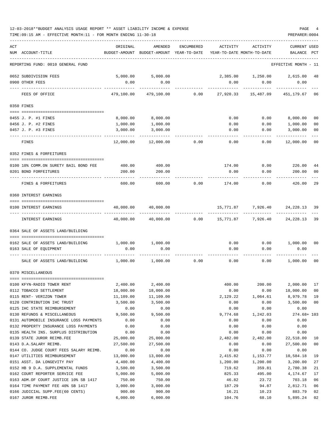| 12-03-2018**BUDGET ANALYSIS USAGE REPORT ** ASSET LIABILITY INCOME & EXPENSE | PAGE           |
|------------------------------------------------------------------------------|----------------|
| TIME:09:15 AM - EFFECTIVE MONTH:11 - FOR MONTH ENDING 11-30-18               | PREPARER: 0004 |

| ACT |                                                             | ORIGINAL              | AMENDED                    | ENCUMBERED | ACTIVITY                   | ACTIVITY             | <b>CURRENT USED</b>   |              |
|-----|-------------------------------------------------------------|-----------------------|----------------------------|------------|----------------------------|----------------------|-----------------------|--------------|
|     | NUM ACCOUNT-TITLE                                           | BUDGET-AMOUNT         | BUDGET-AMOUNT YEAR-TO-DATE |            | YEAR-TO-DATE MONTH-TO-DATE |                      | BALANCE               | $_{\rm PCT}$ |
|     | REPORTING FUND: 0010 GENERAL FUND                           |                       |                            |            |                            |                      | EFFECTIVE MONTH - 11  |              |
|     | 0652 SUBDIVISION FEES                                       | 5,000.00              | 5,000.00                   |            |                            | 2,385.00 1,250.00    | 2,615.00              | 48           |
|     | 0900 OTHER FEES                                             | 0.00                  | 0.00                       |            | 0.00                       | 0.00                 | 0.00                  |              |
|     | FEES OF OFFICE                                              | 479,100.00            | 479,100.00                 | 0.00       | 27,920.33                  | 15,487.09            | 451,179.67            | 06           |
|     | 0350 FINES                                                  |                       |                            |            |                            |                      |                       |              |
|     | 0455 J. P. #1 FINES                                         | 8,000.00              | 8,000.00                   |            | 0.00                       | 0.00                 | 8,000.00              | 00           |
|     | 0456 J. P. #2 FINES                                         | 1,000.00              | 1,000.00                   |            | 0.00                       | 0.00                 | 1,000.00              | 00           |
|     | 0457 J. P. #3 FINES                                         | 3,000.00              | 3,000.00                   |            | 0.00                       | 0.00                 | 3,000.00              | 00           |
|     |                                                             |                       |                            |            |                            |                      |                       |              |
|     | FINES                                                       | 12,000.00             | 12,000.00                  | 0.00       | 0.00                       | 0.00                 | 12,000.00             | 00           |
|     | 0352 FINES & FORFEITURES                                    |                       |                            |            |                            |                      |                       |              |
|     | 0100 10% COMM.ON SURETY BAIL BOND FEE                       | 400.00                | 400.00                     |            | 174.00                     | 0.00                 | 226.00                | 44           |
|     | 0201 BOND FORFEITURES                                       | 200.00                | 200.00                     |            | 0.00                       | 0.00                 | 200.00                | 00           |
|     |                                                             |                       |                            |            |                            |                      |                       |              |
|     | FINES & FORFEITURES                                         | 600.00                | 600.00                     | 0.00       | 174.00                     | 0.00                 | 426.00                | 29           |
|     | 0360 INTEREST EARNINGS                                      |                       |                            |            |                            |                      |                       |              |
|     | 0100 INTEREST EARNINGS                                      | 40,000.00             | 40,000.00                  |            | 15,771.87                  | 7,926.40             | 24, 228. 13 39        |              |
|     | INTEREST EARNINGS                                           | 40,000.00             | 40,000.00                  | 0.00       | 15,771.87                  | 7,926.40             | 24,228.13             | -39          |
|     | 0364 SALE OF ASSETS LAND/BUILDING                           |                       |                            |            |                            |                      |                       |              |
|     | 0162 SALE OF ASSETS LAND/BUILDING                           | 1,000.00              | 1,000.00                   |            | 0.00                       |                      | $0.00$ 1,000.00       | 00           |
|     | 0163 SALE OF EQUIPMENT                                      | 0.00                  | 0.00                       |            | 0.00                       | 0.00                 | 0.00                  |              |
|     | SALE OF ASSETS LAND/BUILDING                                | 1,000.00              | 1,000.00                   | 0.00       | 0.00                       | 0.00                 | 1,000.00              | 00           |
|     | 0370 MISCELLANEOUS                                          |                       |                            |            |                            |                      |                       |              |
|     |                                                             |                       |                            |            |                            |                      |                       |              |
|     | 0100 KFYN-RADIO TOWER RENT<br>0112 TOBACCO SETTLEMENT       | 2,400.00<br>18,000.00 | 2,400.00<br>18,000.00      |            | 400.00<br>0.00             | 200.00<br>0.00       | 2,000.00<br>18,000.00 | 17<br>00     |
|     | 0115 RENT- VERIZON TOWER                                    | 11,109.00             | 11,109.00                  |            | 2,129.22                   | 1,064.61             | 8,979.78              | 19           |
|     | 0120 CONTRIBUTION IHC TRUST                                 | 3,500.00              | 3,500.00                   |            | 0.00                       | 0.00                 | 3,500.00              | 00           |
|     | 0125 IHC STATE REIMBURSEMENT                                | 0.00                  | 0.00                       |            | 0.00                       | 0.00                 | 0.00                  |              |
|     | 0130 REFUNDS & MISCELLANEOUS                                | 9,500.00              | 9,500.00                   |            | 9,774.68                   | 1,242.03             | $274.68 + 103$        |              |
|     | 0131 AUTOMOBILE INSURANCE LOSS PAYMENTS                     | 0.00                  | 0.00                       |            | 0.00                       | 0.00                 | 0.00                  |              |
|     | 0132 PROPERTY INSURANCE LOSS PAYMENTS                       | 0.00                  | 0.00                       |            | 0.00                       | 0.00                 | 0.00                  |              |
|     | 0135 HEALTH INS. SURPLUS DISTRIBUTION                       | 0.00                  | 0.00                       |            | 0.00                       | 0.00                 | 0.00                  |              |
|     | 0139 STATE JUROR REIMB.FEE                                  | 25,000.00             | 25,000.00                  |            | 2,482.00                   | 2,482.00             | 22,518.00             | 10           |
|     | 0143 D.A.SALARY REIMB.                                      | 27,500.00             | 27,500.00                  |            | 0.00                       | 0.00                 | 27,500.00             | 00           |
|     | 0144 CO. JUDGE COURT FEES SALARY REIMB.                     | 0.00                  | 0.00                       |            | 0.00                       | 0.00                 | 0.00                  |              |
|     | 0147 UTILITIES REIMBURSEMENT<br>0151 ASST. DA LONGEVITY PAY | 13,000.00<br>4,400.00 | 13,000.00<br>4,400.00      |            | 2,415.82<br>1,200.00       | 1,153.77<br>1,200.00 | 10,584.18<br>3,200.00 | 19<br>27     |
|     | 0152 HB 9 D.A. SUPPLEMENTAL FUNDS                           | 3,500.00              | 3,500.00                   |            | 719.62                     | 359.81               | 2,780.38              | 21           |
|     | 0162 COURT REPORTER SERVICE FEE                             | 5,000.00              | 5,000.00                   |            | 825.33                     | 495.00               | 4,174.67              | 17           |
|     | 0163 ADM.OF COURT JUSTICE 10% SB 1417                       | 750.00                | 750.00                     |            | 46.82                      | 23.72                | 703.18                | 06           |
|     | 0164 TIME PAYMENT FEE 40% SB 1417                           | 3,000.00              | 3,000.00                   |            | 187.29                     | 94.87                | 2,812.71              | 06           |
|     | 0166 JUDICIAL SUPP.FEE(60 CENTS)                            | 900.00                | 900.00                     |            | 16.21                      | 10.23                | 883.79                | 02           |
|     | 0167 JUROR REIMB.FEE                                        | 6,000.00              | 6,000.00                   |            | 104.76                     | 68.10                | 5,895.24              | 02           |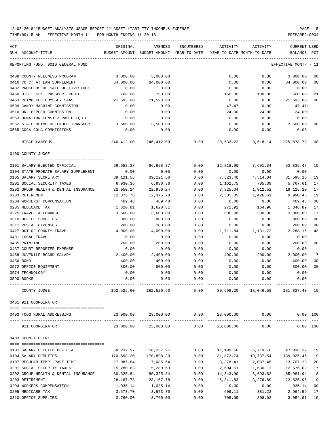| ACT<br>NUM ACCOUNT-TITLE             | ORIGINAL                    | AMENDED<br>BUDGET-AMOUNT BUDGET-AMOUNT YEAR-TO-DATE | ENCUMBERED | ACTIVITY  | ACTIVITY<br>YEAR-TO-DATE MONTH-TO-DATE | CURRENT USED<br>BALANCE | PCT      |
|--------------------------------------|-----------------------------|-----------------------------------------------------|------------|-----------|----------------------------------------|-------------------------|----------|
| REPORTING FUND: 0010 GENERAL FUND    |                             |                                                     |            |           |                                        | EFFECTIVE MONTH - 11    |          |
| 0408 COUNTY WELLNESS PROGRAM         | 3,000.00                    | 3,000.00                                            |            | 0.00      | 0.00                                   | 3,000.00                | 00       |
| 0410 CO CT AT LAW SUPPLEMENT         | 84,000.00                   | 84,000.00                                           |            | 0.00      | 0.00                                   | 84,000.00               | 00       |
| 0432 PROCEEDS OF SALE OF LIVESTOCK   | 0.00                        | 0.00                                                |            | 0.00      | 0.00                                   | 0.00                    |          |
| 0450 DIST. CLK. PASSPORT PHOTO       | 760.00                      | 760.00                                              |            | 160.00    | 100.00                                 | 600.00                  | 21       |
| 0453 REIMB.CEC ODYSSEY SAAS          | 21,593.00                   | 21,593.00                                           |            | 0.00      | 0.00                                   | 21,593.00               | 00       |
| 0509 CANDY MACHINE COMMISSION        | 0.00                        | 0.00                                                |            | 47.47     | 0.00                                   | $47.47+$                |          |
| 0510 DR. PEPPER COMMISSION           | 0.00                        | 0.00                                                |            | 24.00     | 24.00                                  | 24.00+                  |          |
| 0553 DONATION CONST.3 RADIO EQUIP.   | 0.00                        | 0.00                                                |            | 0.00      | 0.00                                   | 0.00                    |          |
| 0562 STATE REIMB.OFFENDER TRANSPORT  | 3,500.00                    | 3,500.00                                            |            | 0.00      | 0.00                                   | 3,500.00                | 00       |
| 0565 COCA-COLA COMMISSIONS           | 0.00                        | 0.00                                                |            | 0.00      | 0.00                                   | 0.00                    |          |
| --- ------------<br>MISCELLANEOUS    | -------------<br>246,412.00 | 246,412.00                                          | 0.00       | 20,533.22 | 8,518.14                               | 225,878.78              | 08       |
| 0400 COUNTY JUDGE                    |                             |                                                     |            |           |                                        |                         |          |
| 0101 SALARY ELECTED OFFICIAL         | 66,658.37                   | 66,658.37                                           | 0.00       |           | 12,818.90 7,691.34                     | 53,839.47 19            |          |
| 0104 STATE PROBATE SALARY SUPPLEMENT | 0.00                        | 0.00                                                | 0.00       | 0.00      | 0.00                                   | 0.00                    |          |
| 0105 SALARY SECRETARY                | 39,121.56                   | 39,121.56                                           | 0.00       | 7,523.40  | 4,514.04                               | 31,598.16               | 19       |
| 0201 SOCIAL SECURITY TAXES           | 6,930.36                    | 6,930.36                                            | 0.00       | 1,162.75  | 705.39                                 | 5,767.61                | 17       |
| 0202 GROUP HEALTH & DENTAL INSURANCE | 22,950.24                   | 22,950.24                                           | 0.00       | 3,825.04  | 1,912.52                               | 19,125.20               | 17       |
| 0203 RETIREMENT                      | 12,375.78                   | 12,375.78                                           | 0.00       | 2,385.35  | 1,426.61                               | 9,990.43                | 19       |
| 0204 WORKERS' COMPENSATION           | 469.48                      | 469.48                                              | 0.00       | 0.00      | 0.00                                   | 469.48                  | 00       |
| 0205 MEDICARE TAX                    | 1,620.81                    | 1,620.81                                            | 0.00       | 271.92    | 164.96                                 | 1,348.89                | 17       |
| 0225 TRAVEL ALLOWANCE                | 3,600.00                    | 3,600.00                                            | 0.00       | 600.00    | 300.00                                 | 3,000.00                | 17       |
| 0310 OFFICE SUPPLIES                 | 800.00                      | 800.00                                              | 0.00       | 0.00      | 0.00                                   | 800.00                  | 00       |
| 0311 POSTAL EXPENSES                 | 200.00                      | 200.00                                              | 0.00       | 0.00      | 0.00                                   | 200.00                  | 00       |
| 0427 OUT OF COUNTY TRAVEL            | 4,000.00                    | 4,000.00                                            | 0.00       | 1,711.84  | 1,131.72                               | 2,288.16                | 43       |
| 0431 LOCAL TRAVEL                    | 0.00                        | 0.00                                                | 0.00       | 0.00      | 0.00                                   | 0.00                    |          |
| 0435 PRINTING                        | 200.00                      | 200.00                                              | 0.00       | 0.00      | 0.00                                   | 200.00                  | 00       |
| 0437 COURT REPORTER EXPENSE          | 0.00                        | 0.00                                                | 0.00       | 0.00      | 0.00                                   | 0.00                    |          |
| 0468 JUVENILE BOARD SALARY           | 2,400.00                    | 2,400.00                                            | 0.00       | 400.00    | 200.00                                 | 2,000.00                | 17       |
| 0480 BOND                            | 400.00                      | 400.00                                              | 0.00       | 0.00      | 0.00                                   | 400.00                  | 00       |
| 0572 OFFICE EQUIPMENT                | 800.00                      | 800.00                                              | 0.00       | 0.00      | 0.00                                   | 800.00                  | 00       |
| 0574 TECHNOLOGY                      | 0.00                        | 0.00                                                | 0.00       | 0.00      | 0.00                                   | 0.00                    |          |
| 0590 BOOKS                           | 0.00                        | 0.00                                                | 0.00       | 0.00      | 0.00                                   | 0.00                    |          |
| COUNTY JUDGE                         | 162,526.60                  | 162,526.60                                          | 0.00       | 30,699.20 | 18,046.58                              | 131,827.40 19           |          |
|                                      |                             |                                                     |            |           |                                        |                         |          |
| 0401 911 COORDINATOR                 |                             |                                                     |            |           |                                        |                         |          |
| 0403 TCOG RURAL ADDRESSING           | 23,000.00                   | 23,000.00                                           |            |           | $0.00$ $23,000.00$ $0.00$              | 0.00 100                |          |
| 911 COORDINATOR                      |                             | 23,000.00 23,000.00                                 |            |           | $0.00$ 23,000.00 0.00                  |                         | 0.00 100 |
| 0403 COUNTY CLERK                    |                             |                                                     |            |           |                                        |                         |          |
|                                      |                             |                                                     |            |           |                                        |                         |          |
| 0101 SALARY ELECTED OFFICIAL         | 58,237.97                   | 58,237.97                                           | 0.00       | 11,199.60 | 6,719.76                               | 47,038.37               | -19      |
| 0104 SALARY DEPUTIES                 | 170,898.20                  | 170,898.20                                          | 0.00       | 31,872.74 | 19,737.54                              | 139,025.46              | 19       |
| 0107 REGULAR-TEMP. PART-TIME         | 17,085.64                   | 17,085.64                                           | 0.00       | 3,378.41  | 2,037.45                               | 13,707.23               | 20       |
| 0201 SOCIAL SECURITY TAXES           | 15,280.63                   | 15,280.63                                           | 0.00       | 2,604.61  | 1,630.12                               | 12,676.02               | 17       |
| 0202 GROUP HEALTH & DENTAL INSURANCE | 80,325.84                   | 80, 325.84                                          | 0.00       | 14,343.90 | 6,693.82                               | 65,981.94               | 18       |
| 0203 RETIREMENT                      | 28,167.78                   | 28, 167. 78                                         | 0.00       | 5,341.83  | 3,276.89                               | 22,825.95               | 19       |
| 0204 WORKERS COMPENSATION            | 1,035.14                    | 1,035.14                                            | 0.00       | 0.00      | 0.00                                   | 1,035.14                | 00       |
| 0205 MEDICARE TAX                    | 3,573.70                    | 3,573.70                                            | 0.00       | 609.11    | 381.23                                 | 2,964.59                | 17       |
| 0310 OFFICE SUPPLIES                 | 3,760.00                    | 3,760.00                                            | 0.00       | 705.09    | 308.02                                 | 3,054.91                | 19       |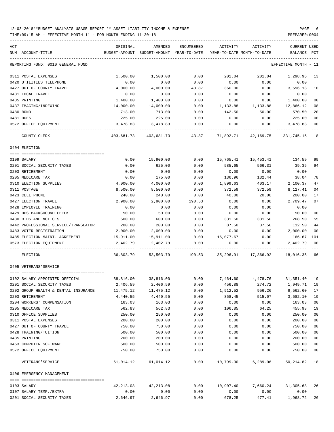| ACT<br>NUM ACCOUNT-TITLE             | ORIGINAL<br>BUDGET-AMOUNT | AMENDED<br>BUDGET-AMOUNT YEAR-TO-DATE | ENCUMBERED | ACTIVITY<br>YEAR-TO-DATE MONTH-TO-DATE                           | ACTIVITY                        | <b>CURRENT USED</b><br>BALANCE | PCT    |
|--------------------------------------|---------------------------|---------------------------------------|------------|------------------------------------------------------------------|---------------------------------|--------------------------------|--------|
|                                      |                           |                                       |            |                                                                  |                                 |                                |        |
| REPORTING FUND: 0010 GENERAL FUND    |                           |                                       |            |                                                                  |                                 | EFFECTIVE MONTH - 11           |        |
| 0311 POSTAL EXPENSES                 | 1,500.00                  | 1,500.00                              | 0.00       | 201.04                                                           | 201.04                          | 1,298.96                       | 13     |
| 0420 UTILITIES TELEPHONE             | 0.00                      | 0.00                                  | 0.00       | 0.00                                                             | 0.00                            | 0.00                           |        |
| 0427 OUT OF COUNTY TRAVEL            | 4,000.00                  | 4,000.00                              | 43.87      | 360.00                                                           | 0.00                            | 3,596.13                       | 10     |
| 0431 LOCAL TRAVEL                    | 0.00                      | 0.00                                  | 0.00       | 0.00                                                             | 0.00                            | 0.00                           |        |
| 0435 PRINTING                        | 1,400.00                  | 1,400.00                              | 0.00       | 0.00                                                             | 0.00                            | 1,400.00                       | 00     |
| 0437 IMAGING/INDEXING                | 14,000.00                 | 14,000.00                             | 0.00       | 1,133.88                                                         | 1,133.88                        | 12,866.12                      | 08     |
| 0480 BOND                            | 713.00                    | 713.00                                | 0.00       | 142.50                                                           | 50.00                           | 570.50                         | 20     |
| 0481 DUES                            | 225.00                    | 225.00                                | 0.00       | 0.00                                                             | 0.00                            | 225.00                         | 00     |
| 0572 OFFICE EQUIPMENT                | 3,478.83                  | 3,478.83                              | 0.00       | 0.00                                                             | 0.00                            | 3,478.83                       | 00     |
| COUNTY CLERK                         |                           |                                       |            | 403,681.73 403,681.73 43.87 71,892.71 42,169.75 331,745.15 18    |                                 |                                |        |
| 0404 ELECTION                        |                           |                                       |            |                                                                  |                                 |                                |        |
| 0109 SALARY                          | 0.00                      | 15,900.00                             | 0.00       |                                                                  |                                 | 134.59                         | 99     |
| 0201 SOCIAL SECURITY TAXES           | 0.00                      | 625.00                                | 0.00       | 585.65                                                           | 566.31                          | 39.35                          | 94     |
| 0203 RETIREMENT                      | 0.00                      | 0.00                                  | 0.00       | 0.00                                                             | 0.00                            | 0.00                           |        |
| 0205 MEDICARE TAX                    | 0.00                      | 175.00                                | 0.00       | 136.96                                                           | 132.44                          | 38.04                          | 78     |
| 0310 ELECTION SUPPLIES               | 4,000.00                  | 4,000.00                              | 0.00       | 1,899.63                                                         | 403.17                          | 2,100.37                       | 47     |
| 0311 POSTAGE                         | 8,500.00                  | 8,500.00                              | 0.00       | 372.59                                                           | 372.59                          | 8,127.41                       | 04     |
| 0423 CELL PHONE                      | 240.00                    | 240.00                                | 0.00       | 40.00                                                            | 20.00                           | 200.00                         | 17     |
| 0427 ELECTION TRAVEL                 | 2,900.00                  | 2,900.00                              | 190.53     | 0.00                                                             | 0.00                            | 2,709.47                       | 07     |
| 0428 EMPLOYEE TRAINING               | 0.00                      | 0.00                                  | 0.00       | 0.00                                                             | 0.00                            | 0.00                           |        |
| 0429 DPS BACKGROUND CHECK            | 50.00                     | 50.00                                 | 0.00       | 0.00                                                             | 0.00                            | 50.00                          | 00     |
| 0430 BIDS AND NOTICES                | 600.00                    | 600.00                                | 0.00       | 331.50                                                           | 331.50                          | 268.50                         | 55     |
| 0442 PROFESSIONAL SERVICE/TRANSLATOR | 200.00                    | 200.00                                | 0.00       | 87.50                                                            | 87.50                           | 112.50                         | 44     |
| 0483 VOTER REGISTRATION              | 2,000.00                  | 2,000.00                              | 0.00       | 0.00                                                             | 0.00                            | 2,000.00                       | 00     |
| 0485 ELECTION MAINT. AGREEMENT       | 15,911.00                 | 15,911.00                             | 0.00       | 16,077.67                                                        | 0.00                            | $166.67 - 101$                 |        |
| 0573 ELECTION EQUIPMENT              | 2,402.79                  | 2,402.79                              | 0.00       | 0.00                                                             | 0.00                            | 2,402.79                       | 00     |
| ELECTION                             | 36,803.79                 |                                       |            | 53,503.79    190.53    35,296.91    17,366.92    18,016.35    66 |                                 |                                |        |
| 0405 VETERANS'SERVICE                |                           |                                       |            |                                                                  |                                 |                                |        |
|                                      |                           |                                       |            |                                                                  |                                 |                                |        |
| 0102 SALARY APPOINTED OFFICIAL       | 38,816.00 38,816.00       |                                       |            | $0.00$ $7,464.60$ $4,478.76$ $31,351.40$ 19                      |                                 |                                |        |
| 0201 SOCIAL SECURITY TAXES           | 2,406.59                  | 2,406.59                              | 0.00       | 456.88                                                           | 274.72                          | 1,949.71                       | 19     |
| 0202 GROUP HEALTH & DENTAL INSURANCE | 11,475.12                 | 11,475.12                             | 0.00       | 1,912.52                                                         | 956.26                          | 9,562.60                       | 17     |
| 0203 RETIREMENT                      | 4,440.55                  | 4,440.55                              | 0.00       | 858.45                                                           | 515.07                          | 3,582.10                       | 19     |
| 0204 WORKERS' COMPENSATION           | 163.03                    | 163.03                                | 0.00       | 0.00                                                             | 0.00                            | 163.03                         | 00     |
| 0205 MEDICARE TAX                    | 562.83                    | 562.83                                | 0.00       | 106.85                                                           | 64.25                           | 455.98                         | 19     |
| 0310 OFFICE SUPPLIES                 | 250.00                    | 250.00                                | 0.00       | 0.00                                                             | 0.00                            | 250.00                         | 00     |
| 0311 POSTAL EXPENSES                 | 200.00                    | 200.00                                | 0.00       | 0.00                                                             | 0.00                            | 200.00                         | 00     |
| 0427 OUT OF COUNTY TRAVEL            | 750.00                    | 750.00                                | 0.00       | 0.00                                                             | 0.00                            | 750.00                         | $00\,$ |
| 0428 TRAINING/TUITION                | 500.00                    | 500.00                                | 0.00       | 0.00                                                             | 0.00                            | 500.00                         | $00\,$ |
| 0435 PRINTING                        | 200.00                    | 200.00                                | 0.00       | 0.00                                                             | 0.00                            | 200.00                         | 00     |
| 0453 COMPUTER SOFTWARE               | 500.00                    | 500.00                                | 0.00       | 0.00                                                             | 0.00                            | 500.00                         | $00\,$ |
| 0572 OFFICE EQUIPMENT                | 750.00                    | 750.00                                | 0.00       | 0.00                                                             | 0.00                            | 750.00                         | 00     |
| VETERANS ' SERVICE                   | 61,014.12                 |                                       |            | 61,014.12   0.00   10,799.30   6,289.06   50,214.82   18         |                                 |                                |        |
| 0406 EMERGENCY MANAGEMENT            |                           |                                       |            |                                                                  |                                 |                                |        |
| 0103 SALARY                          | 42,213.08                 | 42,213.08                             | 0.00       |                                                                  | 10,907.40 7,660.24 31,305.68 26 |                                |        |
| 0107 SALARY TEMP./EXTRA              | 0.00                      | 0.00                                  | 0.00       | 0.00                                                             | 0.00                            | 0.00                           |        |
| 0201 SOCIAL SECURITY TAXES           | 2,646.97                  | 2,646.97                              | 0.00       | 678.25                                                           | 477.41                          | 1,968.72                       | 26     |
|                                      |                           |                                       |            |                                                                  |                                 |                                |        |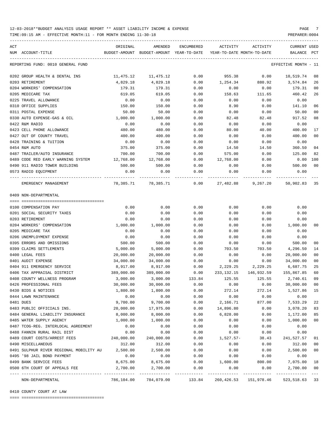TIME:09:15 AM - EFFECTIVE MONTH:11 - FOR MONTH ENDING 11-30-18 PREPARER:0004

| ACT                                              | ORIGINAL      | AMENDED                    | ENCUMBERED           | ACTIVITY    | ACTIVITY                   | <b>CURRENT USED</b>  |         |
|--------------------------------------------------|---------------|----------------------------|----------------------|-------------|----------------------------|----------------------|---------|
| NUM ACCOUNT-TITLE                                | BUDGET-AMOUNT | BUDGET-AMOUNT YEAR-TO-DATE |                      |             | YEAR-TO-DATE MONTH-TO-DATE | BALANCE              | PCT     |
| REPORTING FUND: 0010 GENERAL FUND                |               |                            |                      |             |                            | EFFECTIVE MONTH - 11 |         |
| 0202 GROUP HEALTH & DENTAL INS                   | 11,475.12     | 11,475.12                  | 0.00                 | 955.38      | 0.00                       | 10,519.74            | 08      |
| 0203 RETIREMENT                                  | 4,829.18      | 4,829.18                   | 0.00                 | 1,254.34    | 880.92                     | 3,574.84             | 26      |
| 0204 WORKERS' COMPENSATION                       | 179.31        | 179.31                     | 0.00                 | 0.00        | 0.00                       | 179.31               | 00      |
| 0205 MEDICARE TAX                                | 619.05        | 619.05                     | 0.00                 | 158.63      | 111.65                     | 460.42               | 26      |
| 0225 TRAVEL ALLOWANCE                            | 0.00          | 0.00                       | 0.00                 | 0.00        | 0.00                       | 0.00                 |         |
| 0310 OFFICE SUPPLIES                             | 150.00        | 150.00                     | 0.00                 | 8.90        | 0.00                       | 141.10               | 06      |
| 0311 POSTAL EXPENSE                              | 50.00         | 50.00                      | 0.00                 | 0.00        | 0.00                       | 50.00                | 00      |
| 0330 AUTO EXPENSE-GAS & OIL                      | 1,000.00      | 1,000.00                   | 0.00                 | 82.48       | 82.48                      | 917.52               | 08      |
| 0422 R&M RADIO                                   | 0.00          | 0.00                       | 0.00                 | 0.00        | 0.00                       | 0.00                 |         |
| 0423 CELL PHONE ALLOWANCE                        | 480.00        | 480.00                     | 0.00                 | 80.00       | 40.00                      | 400.00               | 17      |
| 0427 OUT OF COUNTY TRAVEL                        | 400.00        | 400.00                     | 0.00                 | 0.00        | 0.00                       | 400.00               | 00      |
| 0428 TRAINING & TUITION                          | 0.00          | 0.00                       | 0.00                 | 0.00        | 0.00                       | 0.00                 |         |
| 0454 R&M AUTO                                    | 375.00        | 375.00                     | 0.00                 | 14.50       | 14.50                      | 360.50               | 04      |
| 0487 TRAILER/AUTO INSURANCE                      | 700.00        | 700.00                     | 0.00                 | 575.00      | 0.00                       | 125.00               | 82      |
| 0489 CODE RED EARLY WARNING SYSTEM               | 12,768.00     | 12,768.00                  | 0.00                 | 12,768.00   | 0.00                       | 0.00                 | 100     |
| 0490 911 RADIO TOWER BUILDING                    | 500.00        | 500.00                     | 0.00                 | 0.00        | 0.00                       | 500.00               | 00      |
| 0573 RADIO EQUIPMENT                             | 0.00          | 0.00                       | 0.00                 | 0.00        | 0.00                       | 0.00                 |         |
| EMERGENCY MANAGEMENT                             | 78,385.71     | 78,385.71                  | ------------<br>0.00 | 27,482.88   | 9,267.20                   | 50,902.83 35         |         |
| 0409 NON-DEPARTMENTAL                            |               |                            |                      |             |                            |                      |         |
|                                                  |               |                            |                      |             |                            |                      |         |
| 0100 COMPENSATION PAY                            | 0.00          | 0.00                       | 0.00                 | 0.00        | 0.00                       | 0.00                 |         |
| 0201 SOCIAL SECURITY TAXES                       | 0.00          | 0.00                       | 0.00                 | 0.00        | 0.00                       | 0.00                 |         |
| 0203 RETIREMENT                                  | 0.00          | 0.00                       | 0.00                 | 0.00        | 0.00                       | 0.00                 |         |
| 0204 WORKERS' COMPENSATION                       | 1,000.00      | 1,000.00                   | 0.00                 | 0.00        | 0.00                       | 1,000.00             | 00      |
| 0205 MEDICARE TAX                                | 0.00          | 0.00                       | 0.00                 | 0.00        | 0.00                       | 0.00                 |         |
| 0206 UNEMPLOYMENT EXPENSE                        | 0.00          | 0.00                       | 0.00                 | 0.00        | 0.00                       | 0.00                 |         |
| 0395 ERRORS AND OMISSIONS                        | 500.00        | 500.00                     | 0.00                 | 0.00        | 0.00                       | 500.00               | 00      |
| 0399 CLAIMS SETTLEMENTS                          | 5,000.00      | 5,000.00                   | 0.00                 | 703.50      | 703.50                     | 4,296.50             | 14      |
| 0400 LEGAL FEES                                  | 20,000.00     | 20,000.00                  | 0.00                 | 0.00        | 0.00                       | 20,000.00            | 00      |
| 0401 AUDIT EXPENSE                               | 34,000.00     | 34,000.00                  | 0.00                 | 0.00        | 0.00                       | 34,000.00            | 00      |
| 0404 911 EMERGENCY SERVICE                       | 8,917.00      | 8,917.00                   | 0.00                 | 2,229.25    | 2,229.25                   | 6,687.75             | 25      |
| 0406 TAX APPRAISAL DISTRICT                      | 389,000.00    | 389,000.00                 | 0.00                 | 233,132.15  | 146,932.59                 | 155,867.85           | 60      |
| 0408 COUNTY WELLNESS PROGRAM                     | 3,000.00      | 3,000.00                   | 133.84               | 125.55      | 125.55                     | 2,740.61             | 09      |
| 0426 PROFESSIONAL FEES                           | 30,000.00     | 30,000.00                  | 0.00                 | 0.00        | 0.00                       | 30,000.00            | 00      |
| 0430 BIDS & NOTICES                              | 1,800.00      | 1,800.00                   | 0.00                 | 272.14      | 272.14                     | 1,527.86             | 15      |
| 0444 LAWN MAINTENANCE                            | 0.00          | 0.00                       | 0.00                 | 0.00        | 0.00                       | 0.00                 |         |
| 0481 DUES                                        | 9,700.00      | 9,700.00                   | 0.00                 | 2,166.71    | 877.00                     | 7,533.29             | 22      |
| 0483 PUBLIC OFFICIALS INS.                       | 20,000.00     | 17,975.00                  | 0.00                 | 14,896.80   | 0.00                       | 3,078.20             | 83      |
| 0484 GENERAL LIABILITY INSURANCE                 | 8,000.00      | 8,000.00                   | 0.00                 | 6,828.00    | 0.00                       | 1,172.00             | 85      |
| 0485 WATER SUPPLY AGENCY                         | 1,000.00      | 1,000.00                   | 0.00                 | 0.00        | 0.00                       | 1,000.00             | 00      |
| 0487 TCOG-REG. INTERLOCAL AGREEMENT              | 0.00          | 0.00                       | 0.00                 | 0.00        | 0.00                       | 0.00                 |         |
| 0488 FANNIN RURAL RAIL DIST                      | 0.00          | 0.00                       | 0.00                 | 0.00        | 0.00                       | 0.00                 |         |
| 0489 COURT COSTS/ARREST FEES                     | 240,000.00    | 240,000.00                 | 0.00                 | $1,527.57-$ | 38.43                      | 241,527.57           | 01      |
| 0490 MISCELLANEOUS                               | 312.00        | 312.00                     | 0.00                 | 0.00        | 0.00                       | 312.00               | 00      |
| 0491 SULPHUR RIVER REGIONAL MOBILITY AU 2,500.00 |               | 2,500.00                   | 0.00                 | 0.00        | 0.00                       | 2,500.00             | $00\,$  |
| 0495 '98 JAIL BOND PAYMENT                       | 0.00          | 0.00                       | 0.00                 | 0.00        | 0.00                       | 0.00                 |         |
| 0499 BANK SERVICE FEES                           | 8,675.00      | 8,675.00                   | 0.00                 | 1,600.00    | 800.00                     | 7,075.00             | 18      |
| 0500 6TH COURT OF APPEALS FEE                    | 2,700.00      | 2,700.00                   | 0.00                 | 0.00        | 0.00                       | 2,700.00             | 00      |
| NON-DEPARTMENTAL                                 |               | 786,104.00 784,079.00      | 133.84               |             | 260, 426.53 151, 978.46    | 523, 518.63 33       | $- - -$ |

-----------------------------------------------------------------------------------------------------------------------------------

0410 COUNTY COURT AT LAW

==== ===================================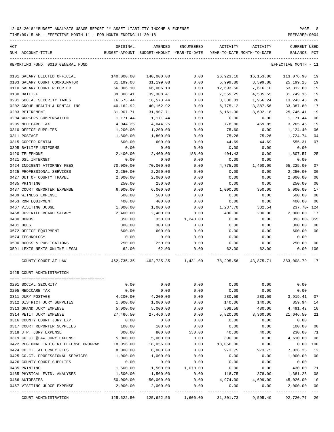TIME:09:15 AM - EFFECTIVE MONTH:11 - FOR MONTH ENDING 11-30-18 PREPARER:0004

| ACT | NUM ACCOUNT-TITLE                      | ORIGINAL   | AMENDED<br>BUDGET-AMOUNT BUDGET-AMOUNT YEAR-TO-DATE YEAR-TO-DATE MONTH-TO-DATE | ENCUMBERED | ACTIVITY  | ACTIVITY  | CURRENT USED<br>BALANCE | PCT            |
|-----|----------------------------------------|------------|--------------------------------------------------------------------------------|------------|-----------|-----------|-------------------------|----------------|
|     | REPORTING FUND: 0010 GENERAL FUND      |            |                                                                                |            |           |           | EFFECTIVE MONTH - 11    |                |
|     | 0101 SALARY ELECTED OFFICIAL           | 140,000.00 | 140,000.00                                                                     | 0.00       | 26,923.10 | 16,153.86 | 113,076.90              | 19             |
|     | 0103 SALARY COURT COORDINATOR          | 31,199.08  | 31,199.08                                                                      | 0.00       | 5,999.80  | 3,599.88  | 25,199.28               | 19             |
|     | 0110 SALARY COURT REPORTER             | 66,006.10  | 66,006.10                                                                      | 0.00       | 12,693.50 | 7,616.10  | 53,312.60               | 19             |
|     | 0130 BAILIFF                           | 39,308.41  | 39,308.41                                                                      | 0.00       | 7,559.25  | 4,535.55  | 31,749.16               | 19             |
|     | 0201 SOCIAL SECURITY TAXES             | 16,573.44  | 16,573.44                                                                      | 0.00       | 3,330.01  | 1,966.24  | 13,243.43               | 20             |
|     | 0202 GROUP HEALTH & DENTAL INS         | 40,162.92  | 40,162.92                                                                      | 0.00       | 6,775.12  | 3,387.56  | 33,387.80               | 17             |
|     | 0203 RETIREMENT                        | 31,907.71  | 31,907.71                                                                      | 0.00       | 6,161.30  | 3,692.18  | 25,746.41               | 19             |
|     | 0204 WORKERS COMPENSATION              | 1,171.44   | 1,171.44                                                                       | 0.00       | 0.00      | 0.00      | 1,171.44                | 0 <sub>0</sub> |
|     | 0205 MEDICARE TAX                      | 4,044.25   | 4,044.25                                                                       | 0.00       | 778.80    | 459.85    | 3,265.45                | 19             |
|     | 0310 OFFICE SUPPLIES                   | 1,200.00   | 1,200.00                                                                       | 0.00       | 75.60     | 0.00      | 1,124.40                | 06             |
|     | 0311 POSTAGE                           | 1,800.00   | 1,800.00                                                                       | 0.00       | 75.26     | 75.26     | 1,724.74                | 04             |
|     | 0315 COPIER RENTAL                     | 600.00     | 600.00                                                                         | 0.00       | 44.69     | 44.69     | 555.31                  | 07             |
|     | 0395 BAILIFF UNIFORMS                  | 0.00       | 0.00                                                                           | 0.00       | 0.00      | 0.00      | 0.00                    |                |
|     | 0420 TELEPHONE                         | 2,400.00   | 2,400.00                                                                       | 188.00     | 404.43    | 0.00      | 1,807.57                | 25             |
|     | 0421 DSL INTERNET                      | 0.00       | 0.00                                                                           | 0.00       | 0.00      | 0.00      | 0.00                    |                |
|     | 0424 INDIGENT ATTORNEY FEES            | 70,000.00  | 70,000.00                                                                      | 0.00       | 4,775.00  | 1,400.00  | 65,225.00               | 07             |
|     | 0425 PROFESSIONAL SERVICES             | 2,250.00   | 2,250.00                                                                       | 0.00       | 0.00      | 0.00      | 2,250.00                | 0 <sub>0</sub> |
|     | 0427 OUT OF COUNTY TRAVEL              | 2,000.00   | 2,000.00                                                                       | 0.00       | 0.00      | 0.00      | 2,000.00                | 0 <sub>0</sub> |
|     | 0435 PRINTING                          | 250.00     | 250.00                                                                         | 0.00       | 0.00      | 0.00      | 250.00                  | 0 <sub>0</sub> |
|     | 0437 COURT REPORTER EXPENSE            | 6,000.00   | 6,000.00                                                                       | 0.00       | 1,000.00  | 350.00    | 5,000.00                | 17             |
|     | 0439 WITNESS EXPENSE                   | 500.00     | 500.00                                                                         | 0.00       | 0.00      | 0.00      | 500.00                  | 0 <sub>0</sub> |
|     | 0453 R&M EQUIPMENT                     | 400.00     | 400.00                                                                         | 0.00       | 0.00      | 0.00      | 400.00                  | 0 <sub>0</sub> |
|     | 0467 VISITING JUDGE                    | 1,000.00   | 1,000.00                                                                       | 0.00       | 1,237.70  | 332.54    | 237.70- 124             |                |
|     | 0468 JUVENILE BOARD SALARY             | 2,400.00   | 2,400.00                                                                       | 0.00       | 400.00    | 200.00    | 2,000.00                | 17             |
|     | 0480 BONDS                             | 350.00     | 350.00                                                                         | 1,243.00   | 0.00      | 0.00      | 893.00-355              |                |
|     | 0481 DUES                              | 300.00     | 300.00                                                                         | 0.00       | 0.00      | 0.00      | 300.00                  | 0 <sub>0</sub> |
|     | 0572 OFFICE EQUIPMENT                  | 600.00     | 600.00                                                                         | 0.00       | 0.00      | 0.00      | 600.00                  | 00             |
|     | 0574 TECHNOLOGY                        | 0.00       | 0.00                                                                           | 0.00       | 0.00      | 0.00      | 0.00                    |                |
|     | 0590 BOOKS & PUBLICATIONS              | 250.00     | 250.00                                                                         | 0.00       | 0.00      | 0.00      | 250.00                  | 0 <sub>0</sub> |
|     | 0591 LEXIS NEXIS ONLINE LEGAL          | 62.00      | 62.00                                                                          | 0.00       | 62.00     | 62.00     | $0.00$ 100              |                |
|     | COUNTY COURT AT LAW                    |            | 462,735.35  462,735.35  1,431.00  78,295.56  43,875.71  383,008.79  17         |            |           |           |                         |                |
|     | 0425 COURT ADMINISTRATION              |            |                                                                                |            |           |           |                         |                |
|     |                                        |            |                                                                                |            |           |           |                         |                |
|     | 0201 SOCIAL SECURITY                   | 0.00       | 0.00                                                                           | 0.00       | 0.00      | 0.00      | 0.00                    |                |
|     | 0205 MEDICARE TAX                      | 0.00       | 0.00                                                                           | 0.00       | 0.00      | 0.00      | 0.00                    |                |
|     | 0311 JURY POSTAGE                      | 4,200.00   | 4,200.00                                                                       | 0.00       | 280.59    | 280.59    | 3,919.41                | 07             |
|     | 0312 DISTRICT JURY SUPPLIES            | 1,000.00   | 1,000.00                                                                       | 0.00       | 140.06    | 140.06    | 859.94                  | 14             |
|     | 0313 GRAND JURY EXPENSE                | 5,000.00   | 5,000.00                                                                       | 0.00       | 508.58    | 480.00    | 4,491.42                | 10             |
|     | 0314 PETIT JURY EXPENSE                | 27,466.50  | 27,466.50                                                                      | 0.00       | 5,820.00  | 3,360.00  | 21,646.50               | 21             |
|     | 0316 COUNTY COURT JURY EXP.            | 0.00       | 0.00                                                                           | 0.00       | 0.00      | 0.00      | 0.00                    |                |
|     | 0317 COURT REPORTER SUPPLIES           | 100.00     | 100.00                                                                         | 0.00       | 0.00      | 0.00      | 100.00                  | 0 <sub>0</sub> |
|     | 0318 J.P. JURY EXPENSE                 | 800.00     | 800.00                                                                         | 530.00     | 40.00     | 40.00     | 230.00                  | 71             |
|     | 0319 CO.CT.@LAW JURY EXPENSE           | 5,000.00   | 5,000.00                                                                       | 0.00       | 390.00    | 0.00      | 4,610.00                | 08             |
|     | 0422 REGIONAL INDIGENT DEFENSE PROGRAM | 18,056.00  | 18,056.00                                                                      | 0.00       | 18,056.00 | 0.00      | 0.00                    | 100            |
|     | 0424 CO.CT. ATTORNEY FEES              | 8,000.00   | 8,000.00                                                                       | 0.00       | 973.75    | 973.75    | 7,026.25                | 12             |
|     | 0425 CO.CT. PROFESSIONAL SERVICES      | 1,000.00   | 1,000.00                                                                       | 0.00       | 0.00      | 0.00      | 1,000.00                | 0 <sub>0</sub> |
|     | 0426 COUNTY COURT SUPPLIES             | 0.00       | 0.00                                                                           | 0.00       | 0.00      | 0.00      | 0.00                    |                |
|     |                                        | 1,500.00   | 1,500.00                                                                       | 1,070.00   | 0.00      | 0.00      | 430.00                  | 71             |
|     | 0435 PRINTING                          |            |                                                                                |            |           |           |                         |                |
|     | 0465 PHYSICAL EVID. ANALYSES           | 1,500.00   | 1,500.00                                                                       | 0.00       | 118.75    | 378.00-   | 1,381.25                | 08             |
|     | 0466 AUTOPSIES                         | 50,000.00  | 50,000.00                                                                      | 0.00       | 4,974.00  | 4,699.00  | 45,026.00               | 10             |

COURT ADMINISTRATION 125,622.50 125,622.50 1,600.00 31,301.73 9,595.40 92,720.77 26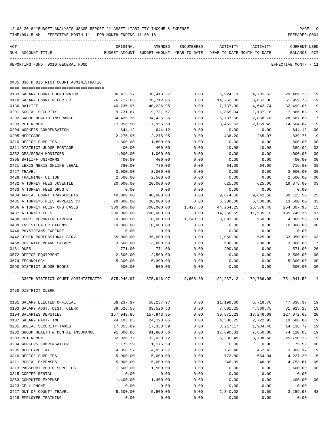|     | TIME: 09:15 AM - EFFECTIVE MONTH: 11 - FOR MONTH ENDING 11-30-18 |            |                                                                                |            |            |           | PREPARER: 0004                     |                |
|-----|------------------------------------------------------------------|------------|--------------------------------------------------------------------------------|------------|------------|-----------|------------------------------------|----------------|
| ACT | NUM ACCOUNT-TITLE                                                | ORIGINAL   | AMENDED<br>BUDGET-AMOUNT BUDGET-AMOUNT YEAR-TO-DATE YEAR-TO-DATE MONTH-TO-DATE | ENCUMBERED | ACTIVITY   | ACTIVITY  | <b>CURRENT USED</b><br>BALANCE PCT |                |
|     | REPORTING FUND: 0010 GENERAL FUND                                |            |                                                                                |            |            |           | EFFECTIVE MONTH - 11               |                |
|     | 0435 336TH DISTRICT COURT ADMINISTRATIO                          |            |                                                                                |            |            |           |                                    |                |
|     | 0103 SALARY COURT COORDINATOR                                    | 36,413.37  | 36, 413.37                                                                     | 0.00       | 6,924.11   | 4,201.53  | 29,489.26                          | 19             |
|     | 0110 SALARY COURT REPORTER                                       | 76,712.05  | 76,712.05                                                                      | 0.00       | 14,752.30  | 8,851.38  | 61,959.75                          | 19             |
|     | 0130 BAILIFF                                                     | 40,236.95  | 40,236.95                                                                      | 0.00       | 7,737.90   | 4,642.74  | 32,499.05                          | 19             |
|     | 0201 SOCIAL SECURITY                                             | 9,731.67   | 9,731.67                                                                       | 0.00       | 1,865.04   | 1,137.18  | 7,866.63                           | 19             |
|     | 0202 GROUP HEALTH INSURANCE                                      | 34,425.36  | 34,425.36                                                                      | 0.00       | 5,737.56   | 2,868.78  | 28,687.80                          | 17             |
|     | 0203 RETIREMENT                                                  | 17,956.50  | 17,956.50                                                                      | 0.00       | 3,451.63   | 2,069.49  | 14,504.87                          | 19             |
|     | 0204 WORKERS COMPENSATION                                        | 644.12     | 644.12                                                                         | 0.00       | 0.00       | 0.00      | 644.12                             | 0 <sub>0</sub> |
|     | 0205 MEDICARE                                                    | 2,275.95   | 2,275.95                                                                       | 0.00       | 436.20     | 265.97    | 1,839.75                           | 19             |
|     | 0310 OFFICE SUPPLIES                                             | 1,800.00   | 1,800.00                                                                       | 0.00       | 0.00       | 0.00      | 1,800.00                           | 0 <sub>0</sub> |
|     | 0311 DISTRICT JUDGE POSTAGE                                      | 400.00     | 400.00                                                                         | 0.00       | 10.98      | 10.98     | 389.02                             | 03             |
|     | 0352 GPS/SCRAM MONITORS                                          | 1,000.00   | 1,000.00                                                                       | 0.00       | 0.00       | 0.00      | 1,000.00                           | 0 <sub>0</sub> |
|     | 0395 BAILIFF UNIFORMS                                            | 400.00     | 400.00                                                                         | 0.00       | 0.00       | 0.00      | 400.00                             | 0 <sub>0</sub> |
|     | 0421 LEXIS NEXIS ONLINE LEGAL                                    | 780.00     | 780.00                                                                         | 0.00       | 64.00      | 64.00     | 716.00                             | 08             |
|     | 0427 TRAVEL                                                      | 3,000.00   | 3,000.00                                                                       | 0.00       | 0.00       | 0.00      | 3,000.00                           | 0 <sub>0</sub> |
|     | 0428 TRAINING/TUITION                                            | 2,500.00   | 2,500.00                                                                       | 0.00       | 0.00       | 0.00      | 2,500.00                           | 00             |
|     | 0432 ATTORNEY FEES JUVENILE                                      | 20,000.00  | 20,000.00                                                                      | 0.00       | 625.00     | 625.00    | 19,375.00                          | 03             |
|     | 0433 ATTORNEY FEES DRUG CT                                       | 0.00       | 0.00                                                                           | 0.00       | 0.00       | 0.00      | 0.00                               |                |
|     | 0434 APPEAL COURT TRANSCRIPTS                                    | 40,000.00  | 40,000.00                                                                      | 0.00       | 9,874.50   | 9,642.50  | 30,125.50                          | 25             |
|     | 0435 ATTORNEYS FEES APPEALS CT                                   | 20,000.00  | 20,000.00                                                                      | 0.00       | 6,500.00   | 6,500.00  | 13,500.00                          | 33             |
|     | 0436 ATTORNEY FEES- CPS CASES                                    | 300,000.00 | 300,000.00                                                                     | 1,427.80   | 44,264.25  | 25,576.40 | 254,307.95                         | 15             |
|     | 0437 ATTORNEY FEES                                               | 200,000.00 | 200,000.00                                                                     | 0.00       | 14,250.65  | 11,535.10 | 185,749.35                         | 07             |
|     | 0438 COURT REPORTER EXPENSE                                      | 10,000.00  | 10,000.00                                                                      | 1,240.50   | 3,893.00   | 950.00    | 4,866.50                           | 51             |
|     | 0439 INVESTIGATOR EXPENSE                                        | 10,000.00  | 10,000.00                                                                      | 0.00       | 0.00       | 0.00      | 10,000.00                          | 0 <sub>0</sub> |
|     | 0440 PHYSICIANS EXPENSE                                          | 0.00       | 0.00                                                                           | 0.00       | 0.00       | 0.00      | 0.00                               |                |
|     | 0442 OTHER PROFESSIONAL SERV.                                    | 35,000.00  | 35,000.00                                                                      | 0.00       | 1,050.00   | 525.00    | 33,950.00                          | 03             |
|     | 0468 JUVENILE BOARD SALARY                                       | 3,600.00   | 3,600.00                                                                       | 0.00       | 600.00     | 300.00    | 3,000.00                           | 17             |
|     | 0481 DUES                                                        | 771.00     | 771.00                                                                         | 0.00       | 200.00     | 0.00      | 571.00                             | 26             |
|     | 0572 OFFICE EQUIPMENT                                            | 2,500.00   | 2,500.00                                                                       | 0.00       | 0.00       | 0.00      | 2,500.00                           | 0 <sub>0</sub> |
|     | 0574 TECHNOLOGY                                                  | 5,300.00   | 5,300.00                                                                       | 0.00       | 0.00       | 0.00      | 5,300.00                           | 0 <sub>0</sub> |
|     | 0590 DISTRICT JUDGE BOOKS                                        | 500.00     | 500.00                                                                         | 0.00       | 0.00       | 0.00      | 500.00                             | 0 <sub>0</sub> |
|     | 336TH DISTRICT COURT ADMINISTRATIO                               | 875,946.97 | 875,946.97                                                                     | 2,668.30   | 122,237.12 | 79,766.05 | 751,041.55                         | 14             |
|     | 0450 DISTRICT CLERK                                              |            |                                                                                |            |            |           |                                    |                |
|     | 0101 SALARY ELECTED OFFICIAL                                     | 58,237.97  | 58,237.97                                                                      | 0.00       | 11,199.60  | 6,719.76  | 47,038.37                          | 19             |
|     | 0103 SALARY ASST. DIST. CLERK                                    | 39,526.53  | 39,526.53                                                                      | 0.00       | 7,601.25   | 4,560.75  | 31,925.28                          | 19             |
|     | 0104 SALARIES DEPUTIES                                           | 157,943.85 | 157,943.85                                                                     | 0.00       | 30,871.23  | 18,246.09 | 127,072.62                         | 20             |
|     | 0107 SALARY PART-TIME                                            | 24,193.05  | 24,193.05                                                                      | 0.00       | 4,506.25   | 2,722.93  | 19,686.80                          | 19             |
|     | 0201 SOCIAL SECURITY TAXES                                       | 17,353.89  | 17,353.89                                                                      | 0.00       | 3, 217.17  | 1,934.48  | 14, 136. 72                        | 19             |
|     | 0202 GROUP HEALTH & DENTAL INSURANCE                             | 91,800.86  | 91,800.86                                                                      | 0.00       | 17,690.81  | 7,650.08  | 74,110.05                          | 19             |
|     | 0203 RETIREMENT                                                  | 32,020.72  | 32,020.72                                                                      | 0.00       | 6,230.49   | 3,708.68  | 25,790.23                          | 19             |
|     | 0204 WORKERS COMPENSATION                                        | 1,175.59   | 1,175.59                                                                       | 0.00       | 0.00       | 0.00      | 1,175.59                           | 0 <sub>0</sub> |
|     | 0205 MEDICARE TAX                                                | 4,058.57   | 4,058.57                                                                       | 0.00       | 752.40     | 452.42    | 3,306.17                           | 19             |
|     | 0310 OFFICE SUPPLIES                                             | 5,000.00   | 5,000.00                                                                       | 0.00       | 772.80     | 664.94    | 4,227.20                           | 15             |
|     | 0311 POSTAL EXPENSES                                             | 5,000.00   | 5,000.00                                                                       | 0.00       | 246.39     | 246.39    | 4,753.61                           | 05             |
|     | 0313 PASSPORT PHOTO SUPPLIES                                     | 1,500.00   | 1,500.00                                                                       | 0.00       | 0.00       | 0.00      | 1,500.00                           | 0 <sub>0</sub> |
|     | 0315 COPIER RENTAL                                               | 0.00       | 0.00                                                                           | 0.00       | 0.00       | 0.00      | 0.00                               |                |
|     | 0353 COMPUTER EXPENSE                                            | 1,400.00   | 1,400.00                                                                       | 0.00       | 0.00       | 0.00      | 1,400.00                           | 0 <sub>0</sub> |
|     | 0423 CELL PHONE                                                  | 0.00       | 0.00                                                                           | 0.00       | 0.00       | 0.00      | 0.00                               |                |
|     | 0427 OUT OF COUNTY TRAVEL                                        | 5,500.00   | 5,500.00                                                                       | 0.00       | 2,340.02   | 0.00      | 3,159.98                           | 43             |
|     | 0428 EMPLOYEE TRAINING                                           | 0.00       | 0.00                                                                           | 0.00       | 0.00       | 0.00      | 0.00                               |                |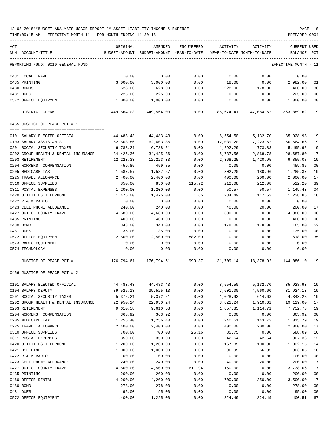| ACT<br>NUM ACCOUNT-TITLE                                                                  | ORIGINAL<br>BUDGET-AMOUNT BUDGET-AMOUNT YEAR-TO-DATE YEAR-TO-DATE MONTH-TO-DATE BALANCE PCT | AMENDED            | ENCUMBERED     |                                                                        | ACTIVITY ACTIVITY | <b>CURRENT USED</b>  |                      |
|-------------------------------------------------------------------------------------------|---------------------------------------------------------------------------------------------|--------------------|----------------|------------------------------------------------------------------------|-------------------|----------------------|----------------------|
| REPORTING FUND: 0010 GENERAL FUND                                                         |                                                                                             |                    |                |                                                                        |                   | EFFECTIVE MONTH - 11 |                      |
|                                                                                           |                                                                                             |                    |                |                                                                        |                   |                      |                      |
| 0431 LOCAL TRAVEL                                                                         | 0.00                                                                                        | 0.00               | 0.00           | 0.00                                                                   | 0.00              | 0.00                 |                      |
| 0435 PRINTING                                                                             | 3,000.00                                                                                    | 3,000.00           | 0.00           | 18.00                                                                  | 0.00              | 2,982.00             | 01                   |
| 0480 BONDS                                                                                | 628.00                                                                                      | 628.00             | 0.00           | 228.00                                                                 | 178.00            | 400.00               | 36                   |
| 0481 DUES                                                                                 | 225.00                                                                                      | 225.00             | 0.00           | 0.00                                                                   | 0.00              | 225.00               | 0 <sub>0</sub>       |
| 0572 OFFICE EQUIPMENT                                                                     | 1,000.00                                                                                    | 1,000.00           | 0.00           | 0.00                                                                   | 0.00              | 1,000.00             | 0 <sub>0</sub>       |
| DISTRICT CLERK                                                                            |                                                                                             |                    |                | 449,564.03   449,564.03      0.00   85,674.41   47,084.52   363,889.62 |                   |                      | 19                   |
| 0455 JUSTICE OF PEACE PCT # 1                                                             |                                                                                             |                    |                |                                                                        |                   |                      |                      |
|                                                                                           |                                                                                             |                    |                |                                                                        |                   |                      |                      |
| 0101 SALARY ELECTED OFFICIAL                                                              | 44,483.43                                                                                   | 44,483.43          | 0.00           | 8,554.50                                                               | 5,132.70          | 35,928.93            | 19                   |
| 0103 SALARY ASSISTANTS                                                                    | 62,603.86                                                                                   | 62,603.86          | 0.00           | 12,039.20                                                              | 7,223.52          | 50,564.66            | 19                   |
| 0201 SOCIAL SECURITY TAXES                                                                | 6,788.21                                                                                    | 6,788.21           | 0.00           | 1,292.29                                                               | 773.83            | 5,495.92             | 19                   |
| 0202 GROUP HEALTH & DENTAL INSURANCE                                                      | 34,425.36                                                                                   | 34,425.36          | 0.00           | 5,737.56                                                               | 2,868.78          | 28,687.80            | 17                   |
| 0203 RETIREMENT                                                                           | 12,223.33                                                                                   | 12,223.33          | 0.00           | 2,368.25                                                               | 1,420.95          | 9,855.08             | 19                   |
| 0204 WORKERS' COMPENSATION                                                                | 459.85                                                                                      | 459.85             | 0.00           | 0.00                                                                   | 0.00              | 459.85               | 0 <sub>0</sub><br>19 |
| 0205 MEDICARE TAX<br>0225 TRAVEL ALLOWANCE                                                | 1,587.57                                                                                    | 1,587.57           | 0.00           | 302.20                                                                 | 180.96            | 1,285.37<br>2,000.00 | 17                   |
| 0310 OFFICE SUPPLIES                                                                      | 2,400.00<br>850.00                                                                          | 2,400.00<br>850.00 | 0.00           | 400.00                                                                 | 200.00            | 522.20               | 39                   |
| 0311 POSTAL EXPENSES                                                                      | 1,200.00                                                                                    | 1,200.00           | 115.72<br>0.00 | 212.08<br>50.57                                                        | 212.08<br>50.57   | 1,149.43             | 0 <sub>4</sub>       |
|                                                                                           |                                                                                             | 1,475.00           | 1.65           | 234.49                                                                 |                   |                      | 16                   |
| 0420 UTILITIES TELEPHONE<br>0422 R & M RADIO                                              | 1,475.00<br>0.00                                                                            | 0.00               | 0.00           | 0.00                                                                   | 117.53<br>0.00    | 1,238.86<br>0.00     |                      |
| 0423 CELL PHONE ALLOWANCE                                                                 | 240.00                                                                                      | 240.00             | 0.00           | 40.00                                                                  | 20.00             | 200.00               | 17                   |
| 0427 OUT OF COUNTY TRAVEL                                                                 | 4,680.00                                                                                    | 4,680.00           | 0.00           | 300.00                                                                 | 0.00              | 4,380.00             | 06                   |
| 0435 PRINTING                                                                             | 400.00                                                                                      | 400.00             | 0.00           | 0.00                                                                   | 0.00              | 400.00               | 0 <sub>0</sub>       |
| 0480 BOND                                                                                 | 343.00                                                                                      | 343.00             | 0.00           | 178.00                                                                 | 178.00            | 165.00               | 52                   |
| 0481 DUES                                                                                 | 135.00                                                                                      | 135.00             | 0.00           | 0.00                                                                   | 0.00              | 135.00               | 0 <sub>0</sub>       |
| 0572 OFFICE EQUIPMENT                                                                     | 2,500.00                                                                                    | 2,500.00           | 882.00         | 0.00                                                                   | 0.00              | 1,618.00             | 35                   |
| 0573 RADIO EQUIPMENT                                                                      | 0.00                                                                                        | 0.00               | 0.00           | 0.00                                                                   | 0.00              | 0.00                 |                      |
| 0574 TECHNOLOGY                                                                           | 0.00                                                                                        | 0.00               | 0.00           | 0.00                                                                   | 0.00              | 0.00                 |                      |
| JUSTICE OF PEACE PCT # 1 $176,794.61$ 176,794.61 999.37 31,709.14 18,378.92 144,086.10 19 |                                                                                             |                    |                |                                                                        |                   |                      |                      |
| 0456 JUSTICE OF PEACE PCT # 2                                                             |                                                                                             |                    |                |                                                                        |                   |                      |                      |
|                                                                                           |                                                                                             |                    |                |                                                                        |                   |                      |                      |
| 0101 SALARY ELECTED OFFICIAL                                                              | 44,483.43                                                                                   | 44, 483. 43        | 0.00           | 8,554.50                                                               | 5,132.70          | 35,928.93            | 19                   |
| 0104 SALARY DEPUTY                                                                        | 39,525.13                                                                                   | 39,525.13          | 0.00           | 7,601.00                                                               | 4,560.60          | 31,924.13            | 19                   |
| 0201 SOCIAL SECURITY TAXES                                                                | 5,372.21                                                                                    | 5,372.21           | 0.00           | 1,028.93                                                               | 614.63            | 4,343.28             | 19                   |
| 0202 GROUP HEALTH & DENTAL INSURANCE                                                      | 22,950.24                                                                                   | 22,950.24          | 0.00           | 3,821.24                                                               | 1,910.62          | 19,129.00            | 17                   |
| 0203 RETIREMENT                                                                           | 9,610.58                                                                                    | 9,610.58           | 0.00           | 1,857.85                                                               | 1,114.71          | 7,752.73             | 19                   |
| 0204 WORKERS' COMPENSATION                                                                | 363.92                                                                                      | 363.92             | 0.00           | 0.00                                                                   | 0.00              | 363.92               | 0 <sub>0</sub>       |
| 0205 MEDICARE TAX                                                                         | 1,256.40                                                                                    | 1,256.40           | 0.00           | 240.61                                                                 | 143.73            | 1,015.79             | 19                   |
| 0225 TRAVEL ALLOWANCE                                                                     | 2,400.00                                                                                    | 2,400.00           | 0.00           | 400.00                                                                 | 200.00            | 2,000.00             | 17                   |
| 0310 OFFICE SUPPLIES                                                                      | 700.00                                                                                      | 700.00             | 26.16          | 85.75                                                                  | 0.00              | 588.09               | 16                   |
| 0311 POSTAL EXPENSES                                                                      | 350.00                                                                                      | 350.00             | 0.00           | 42.64                                                                  | 42.64             | 307.36               | 12                   |
| 0420 UTILITIES TELEPHONE                                                                  | 1,200.00                                                                                    | 1,200.00           | 0.00           | 167.85                                                                 | 100.90            | 1,032.15             | 14                   |
| 0421 DSL LINE                                                                             | 1,000.00                                                                                    | 1,000.00           | 0.00           | 96.95                                                                  | 66.95             | 903.05               | 10                   |
| 0422 R & M RADIO                                                                          | 100.00                                                                                      | 100.00             | 0.00           | 0.00                                                                   | 0.00              | 100.00               | 0 <sub>0</sub>       |
| 0423 CELL PHONE ALLOWANCE                                                                 | 240.00                                                                                      | 240.00             | 0.00           | 40.00                                                                  | 20.00             | 200.00               | 17                   |
| 0427 OUT OF COUNTY TRAVEL                                                                 | 4,500.00                                                                                    | 4,500.00           | 611.94         | 150.00                                                                 | 0.00              | 3,738.06             | 17                   |
| 0435 PRINTING                                                                             | 200.00                                                                                      | 200.00             | 0.00           | 0.00                                                                   | 0.00              | 200.00               | 0 <sub>0</sub>       |
| 0460 OFFICE RENTAL                                                                        | 4,200.00                                                                                    | 4,200.00           | 0.00           | 700.00                                                                 | 350.00            | 3,500.00             | 17                   |
| 0480 BOND                                                                                 | 278.00                                                                                      | 278.00             | 0.00           | 0.00                                                                   | 0.00              | 278.00               | 0 <sub>0</sub>       |
| 0481 DUES                                                                                 | 95.00                                                                                       | 95.00              | 0.00           | 0.00                                                                   | 0.00              | 95.00                | 0 <sub>0</sub>       |
| 0572 OFFICE EQUIPMENT                                                                     | 1,400.00                                                                                    | 1,225.00           | 0.00           | 824.49                                                                 | 824.49            | 400.51               | 67                   |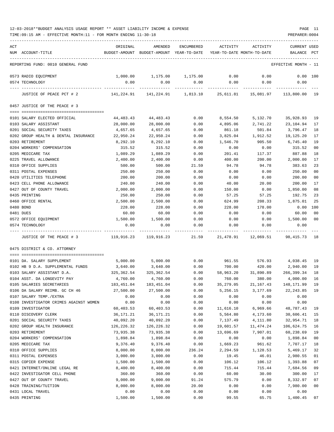TIME:09:15 AM - EFFECTIVE MONTH:11 - FOR MONTH ENDING 11-30-18 PREPARER:0004

| ACT                                                   | ORIGINAL         | AMENDED                                                             | ENCUMBERED   | ACTIVITY   | ACTIVITY            | <b>CURRENT USED</b>    |                       |
|-------------------------------------------------------|------------------|---------------------------------------------------------------------|--------------|------------|---------------------|------------------------|-----------------------|
| NUM ACCOUNT-TITLE                                     |                  | BUDGET-AMOUNT BUDGET-AMOUNT YEAR-TO-DATE YEAR-TO-DATE MONTH-TO-DATE |              |            |                     | BALANCE PCT            |                       |
|                                                       |                  |                                                                     |              |            |                     |                        |                       |
| REPORTING FUND: 0010 GENERAL FUND                     |                  |                                                                     |              |            |                     | EFFECTIVE MONTH - 11   |                       |
| 0573 RADIO EQUIPMENT                                  | 1,000.00         | 1,175.00 1,175.00                                                   |              | 0.00       | 0.00                | 0.00 100               |                       |
| 0574 TECHNOLOGY                                       | 0.00             | 0.00                                                                | 0.00         | 0.00       | 0.00                | 0.00                   |                       |
|                                                       |                  |                                                                     |              |            |                     |                        |                       |
| JUSTICE OF PEACE PCT # 2                              | 141,224.91       | 141,224.91                                                          | 1,813.10     | 25,611.81  | 15,081.97           | 113,800.00             | 19                    |
| 0457 JUSTICE OF THE PEACE # 3                         |                  |                                                                     |              |            |                     |                        |                       |
|                                                       |                  |                                                                     |              |            |                     |                        |                       |
| 0101 SALARY ELECTED OFFICIAL                          | 44,483.43        | 44,483.43                                                           | 0.00         | 8,554.50   | 5,132.70            | 35,928.93              | 19                    |
| 0103 SALARY ASSISTANT                                 | 28,000.00        | 28,000.00                                                           | 0.00         | 4,895.06   | 2,741.22            | 23,104.94              | 17                    |
| 0201 SOCIAL SECURITY TAXES                            | 4,657.65         | 4,657.65                                                            | 0.00         | 861.18     | 501.84              | 3,796.47               | 18                    |
| 0202 GROUP HEALTH & DENTAL INSURANCE                  | 22,950.24        | 22,950.24                                                           | 0.00         | 3,825.04   | 1,912.52            | 19,125.20              | 17                    |
| 0203 RETIREMENT                                       | 8,292.10         | 8,292.10                                                            | 0.00         | 1,546.70   | 905.50              | 6,745.40               | 19                    |
| 0204 WORKERS' COMPENSATION                            | 315.52           | 315.52                                                              | 0.00         | 0.00       | 0.00                | 315.52                 | 0 <sub>0</sub>        |
| 0205 MEDICARE TAX                                     | 1,089.29         | 1,089.29                                                            | 0.00         | 201.41     | 117.37              | 887.88                 | 18                    |
| 0225 TRAVEL ALLOWANCE                                 | 2,400.00         | 2,400.00                                                            | 0.00         | 400.00     | 200.00              | 2,000.00               | 17                    |
| 0310 OFFICE SUPPLIES<br>0311 POSTAL EXPENSES          | 500.00           | 500.00                                                              | 21.59        | 94.78      | 94.78               | 383.63                 | 23<br>0 <sub>0</sub>  |
|                                                       | 250.00           | 250.00                                                              | 0.00         | 0.00       | 0.00                | 250.00                 | 0 <sub>0</sub>        |
| 0420 UTILITIES TELEPHONE<br>0423 CELL PHONE ALLOWANCE | 200.00<br>240.00 | 200.00                                                              | 0.00         | 0.00       | 0.00<br>20.00       | 200.00                 | 17                    |
| 0427 OUT OF COUNTY TRAVEL                             |                  | 240.00                                                              | 0.00<br>0.00 | 40.00      |                     | 200.00                 | 08                    |
|                                                       | 2,000.00         | 2,000.00                                                            |              | 150.00     | 0.00                | 1,850.00               |                       |
| 0435 PRINTING                                         | 250.00           | 250.00                                                              | 0.00         | 57.25      | 57.25               | 192.75                 | 23                    |
| 0460 OFFICE RENTAL                                    | 2,500.00         | 2,500.00                                                            | 0.00         | 624.99     | 208.33              | 1,875.01               | 25                    |
| 0480 BOND                                             | 228.00           | 228.00                                                              | 0.00         | 228.00     | 178.00              | 0.00                   | 100<br>0 <sub>0</sub> |
| 0481 DUES                                             | 60.00            | 60.00                                                               | 0.00         | 0.00       | 0.00                | 60.00                  |                       |
| 0572 OFFICE EQUIPMENT                                 | 1,500.00         | 1,500.00                                                            | 0.00         | 0.00       | 0.00                | 1,500.00               | 00                    |
| 0574 TECHNOLOGY                                       | 0.00             | 0.00                                                                | 0.00         | 0.00       | 0.00                | 0.00                   |                       |
| JUSTICE OF THE PEACE # 3                              |                  | 119,916.23 119,916.23                                               | 21.59        |            | 21,478.91 12,069.51 | 98,415.73 18           |                       |
| 0475 DISTRICT & CO. ATTORNEY                          |                  |                                                                     |              |            |                     |                        |                       |
|                                                       |                  |                                                                     |              |            |                     |                        |                       |
| 0101 DA. SALARY SUPPLEMENT                            | 5,000.00         | 5,000.00                                                            | 0.00         |            |                     | 961.55 576.93 4,038.45 | 19                    |
| 0102 HB 9 D.A. SUPPLEMENTAL FUNDS                     | 3,640.00         | 3,640.00                                                            | 0.00         | 700.00     | 420.00              | 2,940.00               | 19                    |
| 0103 SALARY ASSISTANT D.A.                            | 325,362.54       | 325,362.54                                                          | 0.00         | 58,963.20  | 31,890.89           | 266,399.34             | 18                    |
| 0104 ASST. DA LONGEVITY PAY                           | 4,760.00         | 4,760.00                                                            | 0.00         | 760.00     | 380.00              | 4,000.00               | 16                    |
| 0105 SALARIES SECRETARIES                             | 183,451.04       | 183,451.04                                                          | 0.00         | 35, 279.05 | 21, 167. 43         | 148,171.99             | 19                    |
| 0106 DA SALARY REIMB. GC CH 46                        | 27,500.00        | 27,500.00                                                           | 0.00         | 5,256.15   | 3,177.69            | 22, 243.85             | 19                    |
| 0107 SALARY TEMP./EXTRA                               | 0.00             | 0.00                                                                | 0.00         | 0.00       | 0.00                | 0.00                   |                       |
| 0108 INVESTIGATOR CRIMES AGAINST WOMEN                | 0.00             | 0.00                                                                | 0.00         | 0.00       | 0.00                | 0.00                   |                       |
| 0109 INVESTIGATOR                                     | 60,403.53        | 60,403.53                                                           | 0.00         | 11,616.10  | 6,969.66            | 48,787.43              | 19                    |
| 0110 DISCOVERY CLERK                                  | 36, 171. 21      | 36,171.21                                                           | 0.00         | 5,564.80   | 4,173.60            | 30,606.41              | 15                    |
| 0201 SOCIAL SECURITY TAXES                            | 40,092.20        | 40,092.20                                                           | 0.00         | 7,137.49   | 4,111.80            | 32,954.71              | 18                    |
| 0202 GROUP HEALTH INSURANCE                           | 126,226.32       | 126,226.32                                                          | 0.00         | 19,601.57  | 11,474.24           | 106,624.75             | 16                    |
| 0203 RETIREMENT                                       | 73,935.38        | 73,935.38                                                           | 0.00         | 13,696.69  | 7,907.01            | 60,238.69              | 19                    |
| 0204 WORKERS' COMPENSATION                            | 1,898.84         | 1,898.84                                                            | 0.00         | 0.00       | 0.00                | 1,898.84               | 0 <sub>0</sub>        |
| 0205 MEDICARE TAX                                     | 9,376.40         | 9,376.40                                                            | 0.00         | 1,669.23   | 961.62              | 7,707.17               | 18                    |
| 0310 OFFICE SUPPLIES                                  | 8,000.00         | 8,000.00                                                            | 236.24       | 2,294.59   | 1,128.53            | 5,469.17               | 32                    |
| 0311 POSTAL EXPENSES                                  | 3,000.00         | 3,000.00                                                            | 0.00         | 19.45      | 46.01               | 2,980.55               | 01                    |
| 0315 COPIER EXPENSE                                   | 1,500.00         | 1,500.00                                                            | 0.00         | 106.12     | 106.12              | 1,393.88               | 07                    |
| 0421 INTERNET/ONLINE LEGAL RE                         | 8,400.00         | 8,400.00                                                            | 0.00         | 715.44     | 715.44              | 7,684.56               | 09                    |
| 0422 INVESTIGATOR CELL PHONE                          | 360.00           | 360.00                                                              | 0.00         | 60.00      | 30.00               | 300.00                 | 17                    |
| 0427 OUT OF COUNTY TRAVEL                             | 9,000.00         | 9,000.00                                                            | 91.24        | 575.79     | 0.00                | 8,332.97               | 07                    |
| 0428 TRAINING/TUITION                                 | 8,000.00         | 8,000.00                                                            | 20.00        | 0.00       | 0.00                | 7,980.00               | 0 <sub>0</sub>        |
| 0431 LOCAL TRAVEL                                     | 0.00             | 0.00                                                                | 0.00         | 0.00       | 0.00                | 0.00                   |                       |

0435 PRINTING 1,500.00 1,500.00 0.00 99.55 65.75 1,400.45 07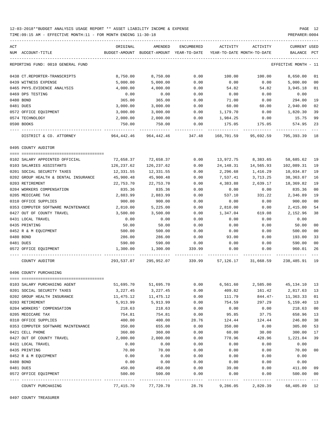TIME:09:15 AM - EFFECTIVE MONTH:11 - FOR MONTH ENDING 11-30-18 PREPARER:0004

| ACT |                                      | ORIGINAL                 | AMENDED                                                     | ENCUMBERED   | ACTIVITY                   | ACTIVITY     | CURRENT USED         |                |
|-----|--------------------------------------|--------------------------|-------------------------------------------------------------|--------------|----------------------------|--------------|----------------------|----------------|
|     | NUM ACCOUNT-TITLE                    |                          | BUDGET-AMOUNT BUDGET-AMOUNT YEAR-TO-DATE                    |              | YEAR-TO-DATE MONTH-TO-DATE |              | BALANCE              | PCT            |
|     | REPORTING FUND: 0010 GENERAL FUND    |                          |                                                             |              |                            |              | EFFECTIVE MONTH - 11 |                |
|     | 0438 CT.REPORTER-TRANSCRIPTS         | 8,750.00                 | 8,750.00                                                    | 0.00         | 100.00                     | 100.00       | 8,650.00             | 01             |
|     | 0439 WITNESS EXPENSE                 | 5,000.00                 | 5,000.00                                                    | 0.00         | 0.00                       | 0.00         | 5,000.00             | 00             |
|     | 0465 PHYS. EVIDENCE ANALYSIS         | 4,000.00                 | 4,000.00                                                    | 0.00         | 54.82                      | 54.82        | 3,945.18             | 01             |
|     | 0469 DPS TESTING                     | 0.00                     | 0.00                                                        | 0.00         | 0.00                       | 0.00         | 0.00                 |                |
|     | 0480 BOND                            | 365.00                   | 365.00                                                      | 0.00         | 71.00                      | 0.00         | 294.00               | 19             |
|     | 0481 DUES                            | 3,000.00                 | 3,000.00                                                    | 0.00         | 60.00                      | 60.00        | 2,940.00             | 02             |
|     | 0572 OFFICE EQUIPMENT                | 3,000.00                 | 3,000.00                                                    | 0.00         | 1,179.70                   | 0.00         | 1,820.30             | 39             |
|     | 0574 TECHNOLOGY                      | 2,000.00                 | 2,000.00                                                    | 0.00         | 1,984.25                   | 0.00         | 15.75                | 99             |
|     | 0590 BOOKS                           | 750.00                   | 750.00                                                      | 0.00         | 175.05                     | 175.05       | 574.95               | 23             |
|     | DISTRICT & CO. ATTORNEY              | 964,442.46               | 964,442.46                                                  | 347.48       | 168,701.59                 | 95,692.59    | 795,393.39           | 18             |
|     | 0495 COUNTY AUDITOR                  |                          |                                                             |              |                            |              |                      |                |
|     |                                      |                          |                                                             |              |                            |              |                      |                |
|     | 0102 SALARY APPOINTED OFFICIAL       | 72,658.37                | 72,658.37                                                   | 0.00         | 13,972.75                  | 8,383.65     | 58,685.62            | 19             |
|     | 0103 SALARIES ASSISTANTS             | 126,237.62               | 126,237.62                                                  | 0.00         | 24,148.31                  | 14,565.93    | 102,089.31           | 19             |
|     | 0201 SOCIAL SECURITY TAXES           | 12,331.55                | 12,331.55                                                   | 0.00         | 2,296.68                   | 1,416.29     | 10,034.87            | 19             |
|     | 0202 GROUP HEALTH & DENTAL INSURANCE | 45,900.48                | 45,900.48                                                   | 0.00         | 7,537.41                   | 3,713.25     | 38,363.07            | 16             |
|     | 0203 RETIREMENT                      | 22,753.70                | 22,753.70                                                   | 0.00         | 4,383.88                   | 2,639.17     | 18,369.82            | 19             |
|     | 0204 WORKERS COMPENSATION            | 835.36                   | 835.36                                                      | 0.00         | 0.00                       | 0.00         | 835.36               | 0 <sub>0</sub> |
|     | 0205 MEDICARE TAX                    | 2,883.99                 | 2,883.99                                                    | 0.00         | 537.10                     | 331.22       | 2,346.89             | 19             |
|     | 0310 OFFICE SUPPLIES                 | 900.00                   | 900.00                                                      | 0.00         | 0.00                       | 0.00         | 900.00               | 0 <sub>0</sub> |
|     | 0353 COMPUTER SOFTWARE MAINTENANCE   | 2,810.00                 | 5,225.00                                                    | 0.00         | 2,810.00                   | 0.00         | 2,415.00             | 54<br>38       |
|     | 0427 OUT OF COUNTY TRAVEL            | 3,500.00                 | 3,500.00                                                    | 0.00         | 1,347.04                   | 619.08       | 2,152.96             |                |
|     | 0431 LOCAL TRAVEL                    | 0.00                     | 0.00                                                        | 0.00         | 0.00                       | 0.00         | 0.00                 | 0 <sub>0</sub> |
|     | 0435 PRINTING                        | 50.00                    | 50.00                                                       | 0.00         | 0.00                       | 0.00         | 50.00<br>500.00      |                |
|     | 0452 R & M EQUIPMENT<br>0480 BOND    | 500.00<br>286.00         | 500.00<br>286.00                                            | 0.00<br>0.00 | 0.00<br>93.00              | 0.00<br>0.00 | 193.00               | 00<br>33       |
|     | 0481 DUES                            | 590.00                   | 590.00                                                      | 0.00         | 0.00                       | 0.00         | 590.00               | 0 <sub>0</sub> |
|     | 0572 OFFICE EQUIPMENT                | 1,300.00                 | 1,300.00                                                    | 339.99       | 0.00                       | 0.00         | 960.01               | 26             |
|     | COUNTY AUDITOR                       |                          | 293,537.07 295,952.07 339.99 57,126.17 31,668.59 238,485.91 |              |                            |              |                      | 19             |
|     | 0496 COUNTY PURCHASING               |                          |                                                             |              |                            |              |                      |                |
|     |                                      |                          |                                                             |              |                            |              |                      |                |
|     | 0103 SALARY PURCHASING AGENT         | 51,695.70                | 51,695.70                                                   | 0.00         | 6,561.60                   | 2,585.00     | 45,134.10            | 5 ل            |
|     | 0201 SOCIAL SECURITY TAXES           | 3,227.45                 | 3,227.45                                                    | 0.00         | 409.82                     | 161.42       | 2,817.63             | 13             |
|     | 0202 GROUP HEALTH INSURANCE          | 11,475.12                | 11,475.12                                                   | 0.00         | 111.79                     | $844.47-$    | 11,363.33            | 01             |
|     | 0203 RETIREMENT                      | 5,913.99                 | 5,913.99                                                    | 0.00         | 754.59                     | 297.29       | 5,159.40             | 13             |
|     | 0204 WORKERS' COMPENSATION           | 218.63                   | 218.63                                                      | 0.00         | 0.00                       | 0.00         | 218.63               | 0 <sub>0</sub> |
|     | 0205 MEDICARE TAX                    | 754.81                   | 754.81                                                      | 0.00         | 95.85                      | 37.75        | 658.96               | 13             |
|     | 0310 OFFICE SUPPLIES                 | 400.00                   | 400.00                                                      | 28.76        | 124.44                     | 124.44       | 246.80               | 38             |
|     | 0353 COMPUTER SOFTWARE MAINTENANCE   | 350.00                   | 655.00                                                      | 0.00         | 350.00                     | 0.00         | 305.00               | 53             |
|     | 0421 CELL PHONE                      | 360.00                   | 360.00                                                      | 0.00         | 60.00                      | 30.00        | 300.00               | 17             |
|     | 0427 OUT OF COUNTY TRAVEL            | 2,000.00                 | 2,000.00                                                    | 0.00         | 778.96                     | 428.96       | 1,221.04             | 39             |
|     | 0431 LOCAL TRAVEL                    | 0.00                     | 0.00                                                        | 0.00         | 0.00                       | 0.00         | 0.00                 |                |
|     | 0435 PRINTING                        | 70.00                    | 70.00                                                       | 0.00         | 0.00                       | 0.00         | 70.00                | 0 <sub>0</sub> |
|     | 0452 R & M EQUIPMENT                 | 0.00                     | 0.00                                                        | 0.00         | 0.00                       | 0.00         | 0.00                 |                |
|     | 0480 BOND                            | 0.00                     | 0.00                                                        | 0.00         | 0.00                       | 0.00         | 0.00                 |                |
|     | 0481 DUES                            | 450.00                   | 450.00                                                      | 0.00         | 39.00                      | 0.00         | 411.00               | 09             |
|     | 0572 OFFICE EQUIPMENT                | 500.00<br>-------------- | 500.00                                                      | 0.00         | 0.00                       | 0.00         | 500.00<br>---------- | 0 <sub>0</sub> |
|     | COUNTY PURCHASING                    | 77,415.70                | 77,720.70                                                   | 28.76        | 9,286.05                   | 2,820.39     | 68,405.89            | 12             |

0497 COUNTY TREASURER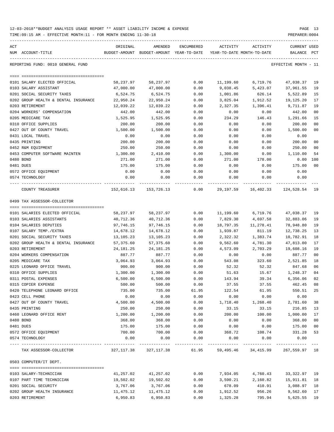| 12-03-2018**BUDGET ANALYSIS USAGE REPORT ** ASSET LIABILITY INCOME & EXPENSE |  |  |  |  | PAGE |  |
|------------------------------------------------------------------------------|--|--|--|--|------|--|
|                                                                              |  |  |  |  |      |  |

TIME:09:15 AM - EFFECTIVE MONTH:11 - FOR MONTH ENDING 11-30-18 PREPARER:0004

| ACT<br>NUM ACCOUNT-TITLE             | ORIGINAL              | AMENDED<br>BUDGET-AMOUNT BUDGET-AMOUNT YEAR-TO-DATE                         | ENCUMBERED | ACTIVITY<br>YEAR-TO-DATE MONTH-TO-DATE | ACTIVITY                  | CURRENT USED<br>BALANCE | PCT            |
|--------------------------------------|-----------------------|-----------------------------------------------------------------------------|------------|----------------------------------------|---------------------------|-------------------------|----------------|
| REPORTING FUND: 0010 GENERAL FUND    |                       |                                                                             |            |                                        |                           | EFFECTIVE MONTH - 11    |                |
|                                      |                       |                                                                             |            |                                        |                           |                         |                |
| 0101 SALARY ELECTED OFFICIAL         | 58,237.97             | 58,237.97                                                                   | 0.00       | 11,199.60                              | 6,719.76                  | 47,038.37               | 19             |
| 0103 SALARY ASSISTANT                | 47,000.00             | 47,000.00                                                                   | 0.00       | 9,038.45                               | 5,423.07                  | 37,961.55               | 19             |
| 0201 SOCIAL SECURITY TAXES           | 6,524.75              | 6,524.75                                                                    | 0.00       | 1,001.86                               | 626.14                    | 5,522.89                | 15             |
| 0202 GROUP HEALTH & DENTAL INSURANCE | 22,950.24             | 22,950.24                                                                   | 0.00       | 3,825.04                               | 1,912.52                  | 19,125.20               | 17             |
| 0203 RETIREMENT                      | 12,039.22             | 12,039.22                                                                   | 0.00       | 2,327.35                               | 1,396.41                  | 9,711.87                | 19             |
| 0204 WORKERS' COMPENSATION           | 442.00                | 442.00                                                                      | 0.00       | 0.00                                   | 0.00                      | 442.00                  | 0 <sub>0</sub> |
| 0205 MEDICARE TAX                    | 1,525.95              | 1,525.95                                                                    | 0.00       | 234.29                                 | 146.43                    | 1,291.66                | 15             |
| 0310 OFFICE SUPPLIES                 | 200.00                | 200.00                                                                      | 0.00       | 0.00                                   | 0.00                      | 200.00                  | 0 <sub>0</sub> |
| 0427 OUT OF COUNTY TRAVEL            | 1,500.00              | 1,500.00                                                                    | 0.00       | 0.00                                   | 0.00                      | 1,500.00                | 0 <sub>0</sub> |
| 0431 LOCAL TRAVEL                    | 0.00                  | 0.00                                                                        | 0.00       | 0.00                                   | 0.00                      | 0.00                    |                |
| 0435 PRINTING                        | 200.00                | 200.00                                                                      | 0.00       | 0.00                                   | 0.00                      | 200.00                  | 0 <sub>0</sub> |
| 0452 R&M EQUIPMENT                   | 250.00                | 250.00                                                                      | 0.00       | 0.00                                   | 0.00                      | 250.00                  | 0 <sub>0</sub> |
| 0453 COMPUTER SOFTWARE MAINTEN       | 1,300.00              | 2,410.00                                                                    | 0.00       | 1,300.00                               | 0.00                      | 1,110.00                | 54             |
| 0480 BOND                            | 271.00                | 271.00                                                                      | 0.00       | 271.00                                 | 178.00                    | 0.00                    | 100            |
| 0481 DUES                            | 175.00                | 175.00                                                                      | 0.00       | 0.00                                   | 0.00                      | 175.00                  | 00             |
| 0572 OFFICE EQUIPMENT                | 0.00                  | 0.00                                                                        | 0.00       | 0.00                                   | 0.00                      | 0.00                    |                |
| 0574 TECHNOLOGY                      | 0.00                  | 0.00                                                                        | 0.00       | 0.00                                   | 0.00                      | 0.00                    |                |
| COUNTY TREASURER                     | . _ _ _ _ _ _ _ _ _ _ | -------------<br>152,616.13 153,726.13 0.00                                 |            | 29,197.59                              | ------------<br>16,402.33 | 124,528.54 19           |                |
| 0499 TAX ASSESSOR-COLLECTOR          |                       |                                                                             |            |                                        |                           |                         |                |
| 0101 SALARIES ELECTED OFFICIAL       | 58,237.97             | 58,237.97                                                                   | 0.00       | 11,199.60                              | 6,719.76                  | 47,038.37               | 19             |
| 0103 SALARIES ASSISTANTS             | 40,712.36             | 40,712.36                                                                   | 0.00       | 7,829.30                               | 4,697.58                  | 32,883.06               | 19             |
| 0104 SALARIES DEPUTIES               | 97,746.15             | 97,746.15                                                                   | 0.00       | 18,797.35                              | 11,278.41                 | 78,948.80               | 19             |
| 0107 SALARY TEMP./EXTRA              | 14,678.12             | 14,678.12                                                                   | 0.00       | 1,939.87                               | 811.19                    | 12,738.25               | 13             |
| 0201 SOCIAL SECURITY TAXES           | 13,105.23             | 13,105.23                                                                   | 0.00       | 2,322.32                               | 1,383.74                  | 10,782.91               | 18             |
| 0202 GROUP HEALTH & DENTAL INSURANCE | 57,375.60             | 57,375.60                                                                   | 0.00       | 9,562.60                               | 4,781.30                  | 47,813.00               | 17             |
| 0203 RETIREMENT                      | 24,181.25             | 24,181.25                                                                   | 0.00       | 4,573.09                               | 2,703.29                  | 19,608.16               | 19             |
| 0204 WORKERS COMPENSATION            | 887.77                | 887.77                                                                      | 0.00       | 0.00                                   | 0.00                      | 887.77                  | 0 <sub>0</sub> |
| 0205 MEDICARE TAX                    | 3,064.93              | 3,064.93                                                                    | 0.00       | 543.08                                 | 323.60                    | 2,521.85                | 18             |
| 0225 LEONARD OFFICE TRAVEL           | 900.00                | 900.00                                                                      | 0.00       | 52.32                                  | 52.32                     | 847.68                  | 06             |
| 0310 OFFICE SUPPLIES                 | 1,300.00              | 1,300.00                                                                    | 0.00       | 51.63                                  | 15.67                     | 1,248.37                | 04             |
| 0311 POSTAL EXPENSES                 | 6,500.00              | 6,500.00                                                                    | 0.00       | 143.94                                 | 39.34                     | 6,356.06                | 02             |
| 0315 COPIER EXPENSE                  | 500.00                | 500.00                                                                      | 0.00       | 37.55                                  | 37.55                     | 462.45 08               |                |
| 0420 TELEPHONE LEONARD OFFICE        | 735.00                | 735.00                                                                      | 61.95      | 122.54                                 | 61.95                     | 550.51                  | 25             |
| 0423 CELL PHONE                      | 0.00                  | 0.00                                                                        | 0.00       | 0.00                                   | 0.00                      | 0.00                    |                |
| 0427 OUT OF COUNTY TRAVEL            | 4,500.00              | 4,500.00                                                                    | 0.00       | 1,718.40                               | 1,268.40                  | 2,781.60                | 38             |
| 0435 PRINTING                        | 250.00                | 250.00                                                                      | 0.00       | 33.15                                  | 33.15                     | 216.85                  | 13             |
| 0460 LEONARD OFFICE RENT             | 1,200.00              | 1,200.00                                                                    | 0.00       | 200.00                                 | 100.00                    | 1,000.00                | 17             |
| 0480 BOND                            | 368.00                | 368.00                                                                      | 0.00       | 0.00                                   | 0.00                      | 368.00                  | 0 <sub>0</sub> |
| 0481 DUES                            | 175.00                | 175.00                                                                      | 0.00       | 0.00                                   | 0.00                      | 175.00                  | 0 <sub>0</sub> |
| 0572 OFFICE EQUIPMENT                | 700.00                | 700.00                                                                      | 0.00       | 368.72                                 | 108.74                    | 331.28                  | 53             |
| 0574 TECHNOLOGY                      | 0.00                  | 0.00                                                                        | 0.00       | 0.00                                   | 0.00                      | 0.00                    |                |
|                                      |                       |                                                                             |            |                                        | ------------              |                         |                |
| TAX ASSESSOR-COLLECTOR               |                       | 327,117.38   327,117.38     61.95    59,495.46   34,415.99   267,559.97  18 |            |                                        |                           |                         |                |
| 0503 COMPUTER/IT DEPT.               |                       |                                                                             |            |                                        |                           |                         |                |
|                                      |                       |                                                                             |            |                                        |                           |                         |                |
| 0103 SALARY-TECHNICIAN               | 41,257.02             | 41,257.02                                                                   | 0.00       | 7,934.05                               | 4,760.43                  | 33,322.97 19            |                |
| 0107 PART TIME TECHNICIAN            | 19,502.02             | 19,502.02                                                                   | 0.00       | 3,590.21                               | 2,160.82                  | 15,911.81 18            |                |
| 0201 SOCIAL SECURITY                 | 3,767.06              | 3,767.06                                                                    | 0.00       | 678.09                                 | 410.91                    | 3,088.97                | 18             |
| 0202 GROUP HEALTH INSURANCE          | 11,475.12             | 11,475.12                                                                   | 0.00       | 1,912.52                               | 956.26                    | 9,562.60                | 17             |

0203 RETIREMENT 6,950.83 6,950.83 0.00 1,325.28 795.94 5,625.55 19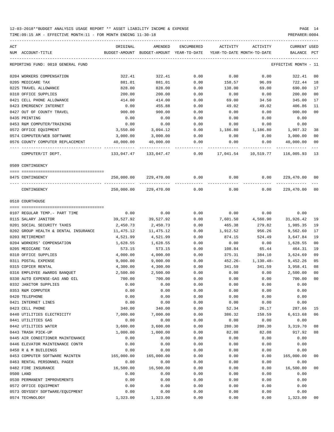| ACT | NUM ACCOUNT-TITLE                                             | ORIGINAL           | AMENDED<br>BUDGET-AMOUNT BUDGET-AMOUNT YEAR-TO-DATE | ENCUMBERED   | ACTIVITY     | ACTIVITY<br>YEAR-TO-DATE MONTH-TO-DATE | CURRENT USED<br>BALANCE PCT |                |
|-----|---------------------------------------------------------------|--------------------|-----------------------------------------------------|--------------|--------------|----------------------------------------|-----------------------------|----------------|
|     | REPORTING FUND: 0010 GENERAL FUND                             |                    |                                                     |              |              |                                        | EFFECTIVE MONTH - 11        |                |
|     | 0204 WORKERS COMPENSATION                                     | 322.41             | 322.41                                              | 0.00         | 0.00         | 0.00                                   | 322.41                      | 00             |
|     | 0205 MEDICARE TAX                                             | 881.01             | 881.01                                              | 0.00         | 158.57       | 96.09                                  | 722.44                      | 18             |
|     | 0225 TRAVEL ALLOWANCE                                         | 828.00             | 828.00                                              | 0.00         | 138.00       | 69.00                                  | 690.00                      | 17             |
|     | 0310 OFFICE SUPPLIES                                          | 200.00             | 200.00                                              | 0.00         | 0.00         | 0.00                                   | 200.00                      | 0 <sub>0</sub> |
|     | 0421 CELL PHONE ALLOWANCE                                     | 414.00             | 414.00                                              | 0.00         | 69.00        | 34.50                                  | 345.00                      | 17             |
|     | 0423 EMERGENCY INTERNET                                       | 0.00               | 455.88                                              | 0.00         | 49.02        | 49.02                                  | 406.86                      | 11             |
|     | 0427 OUT OF COUNTY TRAVEL                                     | 900.00             | 900.00                                              | 0.00         | 0.00         | 0.00                                   | 900.00                      | 0 <sub>0</sub> |
|     | 0435 PRINTING                                                 | 0.00               | 0.00                                                | 0.00         | 0.00         | 0.00                                   | 0.00                        |                |
|     | 0453 R&M COMPUTER/TRAINING                                    | 0.00               | 0.00                                                | 0.00         | 0.00         | 0.00                                   | 0.00                        |                |
|     | 0572 OFFICE EQUIPMENT                                         | 3,550.00           | 3,094.12                                            | 0.00         | 1,186.80     | 1,186.80                               | 1,907.32                    | 38             |
|     | 0574 COMPUTER/WEB SOFTWARE                                    | 3,000.00           | 3,000.00                                            | 0.00         | 0.00         | 0.00                                   | 3,000.00                    | 0 <sub>0</sub> |
|     | 0576 COUNTY COMPUTER REPLACEMENT                              | 40,000.00          | 40,000.00                                           | 0.00         | 0.00         | 0.00                                   | 40,000.00                   | 0 <sub>0</sub> |
|     | COMPUTER/IT DEPT.                                             | 133,047.47         | 133,047.47                                          | 0.00         | 17,041.54    | 10,519.77                              | 116,005.93 13               |                |
|     | 0509 CONTINGENCY                                              |                    |                                                     |              |              |                                        |                             |                |
|     | 0475 CONTINGENCY                                              |                    | 250,000.00 229,470.00                               | 0.00         | 0.00         | 0.00                                   | 229,470.00                  | 00             |
|     |                                                               |                    |                                                     |              |              |                                        |                             |                |
|     | CONTINGENCY                                                   |                    | 250,000.00 229,470.00                               | 0.00         | 0.00         | 0.00                                   | 229,470.00                  | 0 <sub>0</sub> |
|     | 0510 COURTHOUSE                                               |                    |                                                     |              |              |                                        |                             |                |
|     | 0107 REGULAR TEMP.- PART TIME                                 | 0.00               | 0.00                                                | 0.00         | 0.00         | 0.00                                   | 0.00                        |                |
|     | 0115 SALARY JANITOR                                           | 39,527.92          | 39,527.92                                           | 0.00         | 7,601.50     | 4,560.90                               | 31,926.42                   | 19             |
|     | 0201 SOCIAL SECURITY TAXES                                    | 2,450.73           | 2,450.73                                            | 0.00         | 465.38       | 279.82                                 | 1,985.35                    | 19             |
|     | 0202 GROUP HEALTH & DENTAL INSURANCE                          | 11,475.12          | 11,475.12                                           | 0.00         | 1,912.52     | 956.26                                 | 9,562.60                    | 17             |
|     | 0203 RETIREMENT                                               | 4,521.99           | 4,521.99                                            | 0.00         | 874.15       | 524.49                                 | 3,647.84                    | 19             |
|     | 0204 WORKERS' COMPENSATION                                    | 1,628.55           | 1,628.55                                            | 0.00         | 0.00         | 0.00                                   | 1,628.55                    | 0 <sub>0</sub> |
|     | 0205 MEDICARE TAX                                             | 573.15             | 573.15                                              | 0.00         | 108.84       | 65.44                                  | 464.31                      | 19             |
|     | 0310 OFFICE SUPPLIES                                          | 4,000.00           | 4,000.00                                            | 0.00         | 375.31       | 384.10                                 | 3,624.69                    | 09             |
|     | 0311 POSTAL EXPENSE                                           | 9,000.00           | 9,000.00                                            | 0.00         | $452.26 -$   | 1,130.48-                              | 9,452.26                    | 05             |
|     | 0315 COPIER RENTAL                                            | 4,300.00           | 4,300.00                                            | 0.00         | 341.59       | 341.59                                 | 3,958.41                    | 08             |
|     | 0316 EMPLOYEE AWARDS BANQUET                                  | 2,500.00           | 2,500.00                                            | 0.00         | 0.00         | 0.00                                   | 2,500.00                    | 0 <sub>0</sub> |
|     | 0330 AUTO EXPENSE-GAS AND OIL                                 | 700.00             | 700.00                                              | 0.00         | 0.00         | 0.00                                   | 700.00                      | 0 <sub>0</sub> |
|     | 0332 JANITOR SUPPLIES                                         | 0.00               | 0.00                                                | 0.00         | 0.00         | 0.00                                   | 0.00                        |                |
|     | 0353 R&M COMPUTER                                             | 0.00               | 0.00                                                | 0.00         | 0.00         | 0.00                                   | 0.00                        |                |
|     | 0420 TELEPHONE                                                | 0.00               | 0.00                                                | 0.00         | 0.00         | 0.00                                   | 0.00                        |                |
|     | 0421 INTERNET LINES                                           | 0.00               | 0.00                                                | 0.00         | 0.00         | 0.00                                   | 0.00                        |                |
|     | 0423 CELL PHONE                                               | 340.00             | 340.00                                              | 0.00         | 52.34        | 26.17                                  | 287.66                      | 15             |
|     | 0440 UTILITIES ELECTRICITY                                    | 7,000.00           | 7,000.00                                            | 0.00         | 386.32       | 158.59                                 | 6,613.68                    | 06             |
|     | 0441 UTILITIES GAS                                            | 0.00               | 0.00                                                | 0.00         | 0.00         | 0.00                                   | 0.00                        |                |
|     | 0442 UTILITIES WATER                                          | 3,600.00           | 3,600.00                                            | 0.00         | 280.30       | 280.30                                 | 3,319.70                    | 08             |
|     | 0443 TRASH PICK-UP                                            | 1,000.00           | 1,000.00                                            | 0.00         | 82.08        | 82.08                                  | 917.92                      | 08             |
|     | 0445 AIR CONDITIONER MAINTENANCE                              | 0.00               | 0.00                                                | 0.00         | 0.00         | 0.00                                   | 0.00                        |                |
|     | 0446 ELEVATOR MAINTENANCE CONTR                               | 0.00               | 0.00                                                | 0.00         | 0.00         | 0.00                                   | 0.00                        |                |
|     |                                                               |                    |                                                     |              |              |                                        |                             |                |
|     | 0450 R & M BUILDINGS                                          | 0.00               | 0.00                                                | 0.00         | 0.00         | 0.00                                   | 0.00                        | 0 <sub>0</sub> |
|     | 0453 COMPUTER SOFTWARE MAINTEN<br>0463 RENTAL PERSONNEL PAGER | 165,000.00<br>0.00 | 165,000.00<br>0.00                                  | 0.00<br>0.00 | 0.00<br>0.00 | 0.00<br>0.00                           | 165,000.00<br>0.00          |                |
|     | 0482 FIRE INSURANCE                                           | 16,500.00          |                                                     | 0.00         | 0.00         | 0.00                                   | 16,500.00                   | 0 <sub>0</sub> |
|     |                                                               |                    | 16,500.00                                           |              |              |                                        |                             |                |
|     | 0500 LAND                                                     | 0.00               | 0.00                                                | 0.00         | 0.00         | 0.00                                   | 0.00                        |                |
|     | 0530 PERMANENT IMPROVEMENTS                                   | 0.00               | 0.00                                                | 0.00         | 0.00         | 0.00                                   | 0.00                        |                |
|     | 0572 OFFICE EQUIPMENT                                         | 0.00               | 0.00                                                | 0.00         | 0.00         | 0.00                                   | 0.00                        |                |
|     | 0573 ODYSSEY SOFTWARE/EQUIPMENT                               | 0.00               | 0.00                                                | 0.00         | 0.00         | 0.00                                   | 0.00                        |                |
|     | 0574 TECHNOLOGY                                               | 1,323.00           | 1,323.00                                            | 0.00         | 0.00         | 0.00                                   | 1,323.00                    | 0 <sub>0</sub> |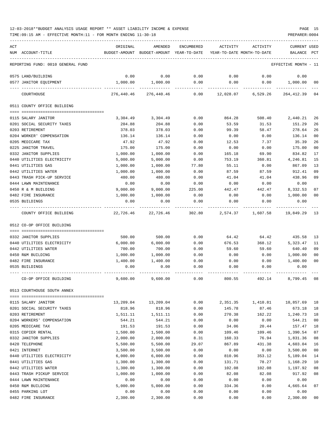TIME:09:15 AM - EFFECTIVE MONTH:11 - FOR MONTH ENDING 11-30-18 PREPARER:0004

| ACT |                                   | ORIGINAL      | AMENDED                    | ENCUMBERED | ACTIVITY                   | ACTIVITY | <b>CURRENT USED</b>  |                |
|-----|-----------------------------------|---------------|----------------------------|------------|----------------------------|----------|----------------------|----------------|
|     | NUM ACCOUNT-TITLE                 | BUDGET-AMOUNT | BUDGET-AMOUNT YEAR-TO-DATE |            | YEAR-TO-DATE MONTH-TO-DATE |          | BALANCE              | PCT            |
|     | REPORTING FUND: 0010 GENERAL FUND |               |                            |            |                            |          | EFFECTIVE MONTH - 11 |                |
|     | 0575 LAND/BUILDING                | 0.00          | 0.00                       | 0.00       | 0.00                       | 0.00     | 0.00                 |                |
|     | 0577 JANITOR EQUIPMENT            | 1,000.00      | 1,000.00                   | 0.00       | 0.00                       | 0.00     | 1,000.00             | 00             |
|     | COURTHOUSE                        | 276,440.46    | 276,440.46                 | 0.00       | 12,028.07                  | 6,529.26 | 264,412.39           | 04             |
|     | 0511 COUNTY OFFICE BUILDING       |               |                            |            |                            |          |                      |                |
|     | 0115 SALARY JANITOR               | 3,304.49      | 3,304.49                   | 0.00       | 864.28                     | 508.40   | 2,440.21             | 26             |
|     | 0201 SOCIAL SECURITY TAXES        | 204.88        | 204.88                     | 0.00       | 53.59                      | 31.53    | 151.29               | 26             |
|     | 0203 RETIREMENT                   | 378.03        | 378.03                     | 0.00       | 99.39                      | 58.47    | 278.64               | 26             |
|     | 0204 WORKER' COMPENSATION         | 136.14        | 136.14                     | 0.00       | 0.00                       | 0.00     | 136.14               | 00             |
|     | 0205 MEDICARE TAX                 | 47.92         | 47.92                      | 0.00       | 12.53                      | 7.37     | 35.39                | 26             |
|     | 0225 JANITOR TRAVEL               | 175.00        | 175.00                     | 0.00       | 0.00                       | 0.00     | 175.00               | 0 <sub>0</sub> |
|     | 0332 JANITOR SUPPLIES             | 1,000.00      | 1,000.00                   | 0.00       | 165.18                     | 69.90    | 834.82               | 17             |
|     | 0440 UTILITIES ELECTRICITY        | 5,000.00      | 5,000.00                   | 0.00       | 753.19                     | 360.81   | 4,246.81             | 15             |
|     | 0441 UTILITIES GAS                | 1,000.00      | 1,000.00                   | 77.80      | 55.11                      | 0.00     | 867.09               | 13             |
|     | 0442 UTILITIES WATER              | 1,000.00      | 1,000.00                   | 0.00       | 87.59                      | 87.59    | 912.41               | 09             |
|     | 0443 TRASH PICK-UP SERVICE        | 480.00        | 480.00                     | 0.00       | 41.04                      | 41.04    | 438.96               | 09             |
|     | 0444 LAWN MAINTENANCE             | 0.00          | 0.00                       | 0.00       | 0.00                       | 0.00     | 0.00                 |                |
|     | 0450 R & M BUILDING               | 9,000,00      | 9,000.00                   | 225.00     | 442.47                     | 442.47   | 8,332.53             | 07             |
|     | 0482 FIRE INSURANCE               | 1,000.00      | 1,000.00                   | 0.00       | 0.00                       | 0.00     | 1,000.00             | 0 <sub>0</sub> |
|     | 0535 BUILDINGS                    | 0.00          | 0.00                       | 0.00       | 0.00                       | 0.00     | 0.00                 |                |
|     | COUNTY OFFICE BUILDING            | 22,726.46     | 22,726.46                  | 302.80     | 2,574.37                   | 1,607.58 | 19,849.29            | 13             |
|     | 0512 CO-OP OFFICE BUILDING        |               |                            |            |                            |          |                      |                |
|     | 0332 JANITOR SUPPLIES             | 500.00        | 500.00                     | 0.00       | 64.42                      | 64.42    | 435.58               | 13             |
|     | 0440 UTILITIES ELECTRICITY        | 6,000.00      | 6,000.00                   | 0.00       | 676.53                     | 368.12   | 5,323.47             | 11             |
|     | 0442 UTILITIES WATER              | 700.00        | 700.00                     | 0.00       | 59.60                      | 59.60    | 640.40               | 09             |
|     | 0450 R&M BUILDING                 | 1,000.00      | 1,000.00                   | 0.00       | 0.00                       | 0.00     | 1,000.00             | 00             |
|     | 0482 FIRE INSURANCE               | 1,400.00      | 1,400.00                   | 0.00       | 0.00                       | 0.00     | 1,400.00             | 0 <sub>0</sub> |
|     | 0535 BUILDINGS                    | 0.00          | 0.00                       | 0.00       | 0.00                       | 0.00     | 0.00                 |                |
|     |                                   |               |                            |            |                            |          |                      |                |
|     | CO-OP OFFICE BUILDING             | 9,600.00      | 9,600.00                   | 0.00       | 800.55                     | 492.14   | 8,799.45             | 08             |
|     | 0513 COURTHOUSE SOUTH ANNEX       |               |                            |            |                            |          |                      |                |
|     | 0115 SALARY JANITOR               | 13,209.04     | 13,209.04                  | 0.00       | 2,351.35                   | 1,410.81 | 10,857.69            | 18             |
|     | 0201 SOCIAL SECURITY TAXES        | 818.96        | 818.96                     | 0.00       | 145.78                     | 87.46    | 673.18               | 18             |
|     | 0203 RETIREMENT                   | 1,511.11      | 1,511.11                   | 0.00       | 270.38                     | 162.22   | 1,240.73             | 18             |
|     | 0204 WORKERS' COMPENSATION        | 544.21        | 544.21                     | 0.00       | 0.00                       | 0.00     | 544.21               | 00             |
|     | 0205 MEDICARE TAX                 | 191.53        | 191.53                     | 0.00       | 34.06                      | 20.44    | 157.47               | 18             |
|     | 0315 COPIER RENTAL                | 1,500.00      | 1,500.00                   | 0.00       | 109.46                     | 109.46   | 1,390.54             | 07             |
|     | 0332 JANITOR SUPPLIES             | 2,000.00      | 2,000.00                   | 8.31       | 160.33                     | 76.94    | 1,831.36             | 08             |
|     | 0420 TELEPHONE                    | 5,500.00      | 5,500.00                   | 29.07      | 867.89                     | 431.38   | 4,603.04             | 16             |
|     | 0421 INTERNET                     | 3,500.00      | 3,500.00                   | 0.00       | 0.00                       | 0.00     | 3,500.00             | 0 <sub>0</sub> |
|     | 0440 UTILITIES ELECTRICITY        | 6,000.00      | 6,000.00                   | 0.00       | 810.96                     | 353.12   | 5,189.04             | 14             |
|     | 0441 UTILITIES GAS                | 1,300.00      | 1,300.00                   | 0.00       | 131.71                     | 78.27    | 1,168.29             | 10             |
|     | 0442 UTILITIES WATER              | 1,300.00      | 1,300.00                   | 0.00       | 102.08                     | 102.08   | 1,197.92             | 08             |
|     | 0443 TRASH PICKUP SERVICE         | 1,000.00      | 1,000.00                   | 0.00       | 82.08                      | 82.08    | 917.92               | 08             |
|     | 0444 LAWN MAINTENANCE             | 0.00          | 0.00                       | 0.00       | 0.00                       | 0.00     | 0.00                 |                |
|     | 0450 R&M BUILDING                 | 5,000.00      | 5,000.00                   | 0.00       | 334.36                     | 0.00     | 4,665.64             | 07             |
|     | 0455 PARKING LOT                  | 0.00          | 0.00                       | 0.00       | 0.00                       | 0.00     | 0.00                 |                |

0482 FIRE INSURANCE 2,300.00 2,300.00 0.00 0.00 0.00 2,300.00 00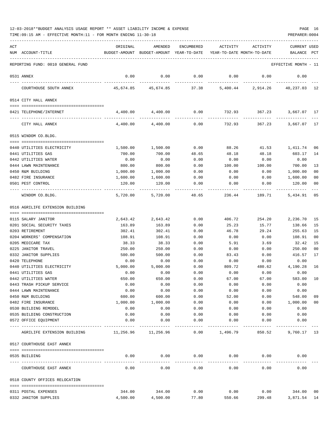| ACT |                                   | ORIGINAL  | AMENDED                                  | ENCUMBERED    | ACTIVITY                               | ACTIVITY | <b>CURRENT USED</b>  |                |
|-----|-----------------------------------|-----------|------------------------------------------|---------------|----------------------------------------|----------|----------------------|----------------|
|     | NUM ACCOUNT-TITLE                 |           | BUDGET-AMOUNT BUDGET-AMOUNT YEAR-TO-DATE |               | YEAR-TO-DATE MONTH-TO-DATE             |          | BALANCE              | $_{\rm PCT}$   |
|     |                                   |           |                                          |               |                                        |          |                      |                |
|     | REPORTING FUND: 0010 GENERAL FUND |           |                                          |               |                                        |          | EFFECTIVE MONTH - 11 |                |
|     | 0531 ANNEX                        | 0.00      | 0.00                                     | 0.00          | 0.00                                   | 0.00     | 0.00                 |                |
|     |                                   |           |                                          |               |                                        |          |                      |                |
|     | COURTHOUSE SOUTH ANNEX            | 45,674.85 | 45,674.85                                | 37.38         | 5,400.44                               | 2,914.26 | 40,237.03            | 12             |
|     | 0514 CITY HALL ANNEX              |           |                                          |               |                                        |          |                      |                |
|     |                                   |           |                                          |               |                                        |          |                      |                |
|     | 0421 TELEPHONE/INTERNET           | 4,400.00  | 4,400.00                                 |               | $0.00$ $732.93$ $367.23$ $3,667.07$ 17 |          |                      |                |
|     | CITY HALL ANNEX                   | 4,400.00  | 4,400.00                                 | 0.00          | 732.93                                 | 367.23   | 3,667.07 17          |                |
|     | 0515 WINDOM CO.BLDG.              |           |                                          |               |                                        |          |                      |                |
|     |                                   |           |                                          |               |                                        |          |                      |                |
|     | 0440 UTILITIES ELECTRICITY        | 1,500.00  | 1,500.00                                 | 0.00          | 88.26                                  | 41.53    | 1,411.74             | 06             |
|     | 0441 UTILITIES GAS                | 700.00    | 700.00                                   | 48.65         | 48.18                                  | 48.18    | 603.17               | 14             |
|     | 0442 UTILITIES WATER              | 0.00      | 0.00                                     | 0.00          | 0.00                                   | 0.00     | 0.00                 |                |
|     | 0444 LAWN MAINTENANCE             | 800.00    | 800.00                                   | 0.00          | 100.00                                 | 100.00   | 700.00               | 13             |
|     | 0450 R&M BUILDING                 | 1,000.00  | 1,000.00                                 | 0.00          | 0.00                                   | 0.00     | 1,000.00             | 00             |
|     | 0482 FIRE INSURANCE               | 1,600.00  | 1,600.00                                 | 0.00          | 0.00                                   | 0.00     | 1,600.00             | 00             |
|     | 0501 PEST CONTROL                 | 120.00    | 120.00                                   | 0.00          | 0.00                                   | 0.00     | 120.00               | 00             |
|     |                                   |           |                                          |               |                                        |          |                      |                |
|     | WINDOM CO.BLDG.                   | 5,720.00  | 5,720.00                                 | 48.65         | 236.44                                 | 189.71   | 5,434.91             | 05             |
|     | 0516 AGRILIFE EXTENSION BUILDING  |           |                                          |               |                                        |          |                      |                |
|     | 0115 SALARY JANITOR               | 2,643.42  | 2,643.42                                 | 0.00          | 406.72                                 | 254.20   | 2,236.70             | 15             |
|     | 0201 SOCIAL SECURITY TAXES        | 163.89    | 163.89                                   | 0.00          | 25.23                                  | 15.77    | 138.66               | 15             |
|     | 0203 RETIREMENT                   | 302.41    | 302.41                                   | 0.00          | 46.78                                  | 29.24    | 255.63               | 15             |
|     | 0204 WORKERS' COMPENSATION        | 108.91    | 108.91                                   | 0.00          | 0.00                                   | 0.00     | 108.91               | 00             |
|     | 0205 MEDICARE TAX                 |           |                                          |               |                                        |          | 32.42                | 15             |
|     |                                   | 38.33     | 38.33                                    | 0.00          | 5.91                                   | 3.69     |                      |                |
|     | 0225 JANITOR TRAVEL               | 250.00    | 250.00                                   | 0.00          | 0.00                                   | 0.00     | 250.00               | 0 <sub>0</sub> |
|     | 0332 JANITOR SUPPLIES             | 500.00    | 500.00                                   | 0.00          | 83.43                                  | 0.00     | 416.57               | 17             |
|     | 0420 TELEPHONE                    | 0.00      | 0.00                                     | 0.00          | 0.00                                   | 0.00     | 0.00                 |                |
|     | 0440 UTILITIES ELECTRICITY        | 5,000.00  | 5,000.00                                 | 0.00          | 809.72                                 | 480.62   | 4,190.28             | 16             |
|     | 0441 UTILITIES GAS                | 0.00      | 0.00                                     | 0.00          | 0.00                                   | 0.00     | 0.00                 |                |
|     | 0442 UTILITIES WATER              | 650.00    | 650.00                                   | 0.00          | 67.00                                  | 67.00    | 583.00               | 10             |
|     | 0443 TRASH PICKUP SERVICE         | 0.00      | 0.00                                     | 0.00          | 0.00                                   | 0.00     | 0.00                 |                |
|     | 0444 LAWN MAINTENANCE             | 0.00      | 0.00                                     | 0.00          | 0.00                                   | 0.00     | 0.00                 |                |
|     | 0450 R&M BUILDING                 | 600.00    | 600.00                                   | 0.00          | 52.00                                  | 0.00     | 548.00               | 09             |
|     | 0482 FIRE INSURANCE               | 1,000.00  | 1,000.00                                 | 0.00          | 0.00                                   | 0.00     | 1,000.00             | 00             |
|     | 0530 BUILDING REMODEL             | 0.00      | 0.00                                     | 0.00          | 0.00                                   | 0.00     | 0.00                 |                |
|     | 0535 BUILDING CONSTRUCTION        | 0.00      | 0.00                                     | 0.00          | 0.00                                   | 0.00     | 0.00                 |                |
|     | 0572 OFFICE EQUIPMENT             | 0.00      | 0.00                                     | 0.00          | 0.00                                   | 0.00     | 0.00                 |                |
|     | AGRILIFE EXTENSION BUILDING       | 11,256.96 | -----------<br>11,256.96                 | -----<br>0.00 | 1,496.79                               | 850.52   | 9,760.17 13          |                |
|     | 0517 COURTHOUSE EAST ANNEX        |           |                                          |               |                                        |          |                      |                |
|     |                                   |           |                                          |               |                                        |          |                      |                |
|     | 0535 BUILDING                     | 0.00      | 0.00                                     | 0.00          | 0.00                                   | 0.00     | 0.00                 |                |
|     | COURTHOUSE EAST ANNEX             | 0.00      | 0.00                                     | 0.00          | 0.00                                   | 0.00     | 0.00                 |                |
|     | 0518 COUNTY OFFICES RELOCATION    |           |                                          |               |                                        |          |                      |                |
|     |                                   |           |                                          |               |                                        |          |                      |                |
|     | 0311 POSTAL EXPENSES              | 344.00    | 344.00                                   | 0.00          | 0.00                                   | 0.00     | 344.00               | 00             |
|     | 0332 JANITOR SUPPLIES             | 4,500.00  | 4,500.00                                 | 77.80         | 550.66                                 | 299.48   | 3,871.54 14          |                |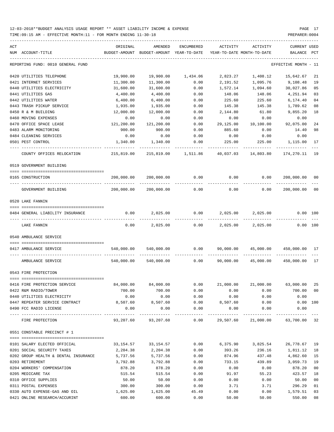TIME:09:15 AM - EFFECTIVE MONTH:11 - FOR MONTH ENDING 11-30-18 PREPARER:0004

| ACT | NUM ACCOUNT-TITLE                                    | ORIGINAL   | AMENDED<br>BUDGET-AMOUNT BUDGET-AMOUNT YEAR-TO-DATE             | ENCUMBERED                  |           | ACTIVITY ACTIVITY<br>YEAR-TO-DATE MONTH-TO-DATE | CURRENT USED<br>BALANCE PCT                 |                |
|-----|------------------------------------------------------|------------|-----------------------------------------------------------------|-----------------------------|-----------|-------------------------------------------------|---------------------------------------------|----------------|
|     |                                                      |            |                                                                 |                             |           |                                                 |                                             |                |
|     | REPORTING FUND: 0010 GENERAL FUND                    |            |                                                                 |                             |           |                                                 | EFFECTIVE MONTH - 11                        |                |
|     | 0420 UTILITIES TELEPHONE                             | 19,900.00  |                                                                 | 19,900.00 1,434.06          | 2,823.27  | 1,408.12                                        | 15,642.67                                   | 21             |
|     | 0421 INTERNET SERVICES                               | 11,300.00  | 11,300.00                                                       | 0.00                        | 2,191.52  | 1,095.76                                        | 9,108.48                                    | 19             |
|     | 0440 UTILITIES ELECTRICITY                           | 31,600.00  | 31,600.00                                                       | 0.00                        | 1,572.14  | 1,094.60                                        | 30,027.86                                   | 05             |
|     | 0441 UTILITIES GAS                                   | 4,400.00   | 4,400.00                                                        | 0.00                        | 148.06    | 148.06                                          | 4,251.94                                    | 03             |
|     | 0442 UTILITIES WATER                                 | 6,400.00   | 6,400.00                                                        | 0.00                        | 225.60    | 225.60                                          | 6,174.40                                    | 0 <sub>4</sub> |
|     | 0443 TRASH PICKUP SERVICE                            | 1,935.00   | 1,935.00                                                        | 0.00                        | 145.38    | 145.38                                          | 1,789.62                                    | 08             |
|     | 0450 R & M BUILDING                                  | 12,000.00  | 12,000.00                                                       | 0.00                        | 2,144.80  | 61.80                                           | 9,855.20                                    | 18             |
|     | 0460 MOVING EXPENSES                                 | 0.00       | 0.00                                                            | 0.00                        | 0.00      | 0.00                                            | 0.00                                        |                |
|     | 0470 OFFICE SPACE LEASE                              | 121,200.00 | 121,200.00                                                      | 0.00                        | 29,125.00 | 10,100.00                                       | 92,075.00                                   | 24             |
|     | 0483 ALARM MONITORING                                | 900.00     | 900.00                                                          | 0.00                        | 885.60    | 0.00                                            | 14.40                                       | 98             |
|     | 0484 CLEANING SERVICES                               | 0.00       | 0.00                                                            | 0.00                        | 0.00      | 0.00                                            | 0.00                                        |                |
|     | 0501 PEST CONTROL                                    | 1,340.00   | 1,340.00                                                        | 0.00                        | 225.00    | 225.00                                          | 1,115.00                                    | 17             |
|     | COUNTY OFFICES RELOCATION                            | 215,819.00 |                                                                 | 215,819.00 1,511.86         |           |                                                 | 174,270.11 19                               |                |
|     | 0519 GOVERNMENT BUILDING                             |            |                                                                 |                             |           |                                                 |                                             |                |
|     | 0165 CONSTRUCTION                                    | 200,000.00 | 200,000.00                                                      | 0.00                        |           |                                                 | $0.00$ $0.00$ $200,000.00$                  | 00             |
|     | GOVERNMENT BUILDING                                  | 200,000.00 | 200,000.00                                                      | 0.00                        | 0.00      | 0.00                                            | 200,000.00                                  | 0 <sub>0</sub> |
|     | 0520 LAKE FANNIN                                     |            |                                                                 |                             |           |                                                 |                                             |                |
|     |                                                      |            |                                                                 |                             |           |                                                 |                                             |                |
|     | 0484 GENERAL LIABILITY INSURANCE                     |            | $0.00$ 2,025.00                                                 |                             |           | $0.00$ $2,025.00$ $2,025.00$                    | 0.00 100                                    |                |
|     | LAKE FANNIN                                          | 0.00       | 2,025.00                                                        | 0.00                        | 2,025.00  | 2,025.00                                        | 0.00 100                                    |                |
|     | 0540 AMBULANCE SERVICE                               |            |                                                                 |                             |           |                                                 |                                             |                |
|     | 0417 AMBULANCE SERVICE                               | 540,000.00 | 540,000.00                                                      | 0.00                        |           |                                                 | 90,000.00 45,000.00 450,000.00 17           |                |
|     | AMBULANCE SERVICE                                    |            | 540,000.00 540,000.00                                           |                             |           |                                                 | $0.00$ $90,000.00$ $45,000.00$ $450,000.00$ | 17             |
|     | 0543 FIRE PROTECTION                                 |            |                                                                 |                             |           |                                                 |                                             |                |
|     |                                                      | 84,000.00  | 84,000.00                                                       |                             |           | 21,000.00 21,000.00                             | 63,000.00 25                                |                |
|     | 04T0 FIKE PROTECTION SERVICE<br>0422 R&M RADIO/TOWER | 700.00     | 700.00                                                          | 0.00<br>0.00                | 0.00      | 0.00                                            | 700.00 00                                   |                |
|     | 0440 UTILITIES ELECTRICITY                           | 0.00       | 0.00                                                            | 0.00                        | 0.00      | 0.00                                            | 0.00                                        |                |
|     | 0447 REPEATER SERVICE CONTRACT 8,507.60              |            |                                                                 | 8,507.60 0.00 8,507.60      |           | 0.00                                            | $0.00$ 100                                  |                |
|     | 0490 FCC RADIO LICENSE                               | 0.00       | 0.00                                                            | 0.00                        | 0.00      | 0.00                                            | 0.00                                        |                |
|     | FIRE PROTECTION                                      |            | 93,207.60  93,207.60  0.00  29,507.60  21,000.00  63,700.00  32 | -------------- ------------ |           |                                                 |                                             |                |
|     | 0551 CONSTABLE PRECINCT # 1                          |            |                                                                 |                             |           |                                                 |                                             |                |
|     |                                                      |            |                                                                 |                             |           |                                                 |                                             |                |
|     | 0101 SALARY ELECTED OFFICIAL                         |            | 33, 154.57 33, 154.57                                           | 0.00                        |           |                                                 | 6,375.90 3,825.54 26,778.67                 | 19             |
|     | 0201 SOCIAL SECURITY TAXES                           | 2,204.38   | 2,204.38                                                        | 0.00                        | 393.26    | 236.16                                          | 1,811.12                                    | 18             |
|     | 0202 GROUP HEALTH & DENTAL INSURANCE                 | 5,737.56   | 5,737.56                                                        | 0.00                        | 874.96    | 437.48                                          | 4,862.60                                    | 15             |
|     | 0203 RETIREMENT                                      | 3,792.88   | 3,792.88                                                        | 0.00                        | 733.15    | 439.89                                          | 3,059.73                                    | 19             |
|     | 0204 WORKERS' COMPENSATION                           | 878.20     | 878.20                                                          | 0.00                        | 0.00      | 0.00                                            | 878.20                                      | 0 <sub>0</sub> |
|     | 0205 MEDICARE TAX                                    | 515.54     | 515.54                                                          | 0.00                        | 91.97     | 55.23                                           | 423.57                                      | 18             |
|     | 0310 OFFICE SUPPLIES                                 | 50.00      | 50.00                                                           | 0.00                        | 0.00      | 0.00                                            | 50.00                                       | 0 <sub>0</sub> |
|     | 0311 POSTAL EXPENSES                                 | 300.00     | 300.00                                                          | 0.00                        | 3.71      | 3.71                                            | 296.29                                      | 01             |
|     | 0330 AUTO EXPENSE-GAS AND OIL                        | 1,625.00   | 1,625.00                                                        | 45.49                       | 0.00      | 0.00                                            | 1,579.51                                    | 03             |

0421 ONLINE RESEARCH/ACCURINT 600.00 600.00 0.00 50.00 50.00 550.00 08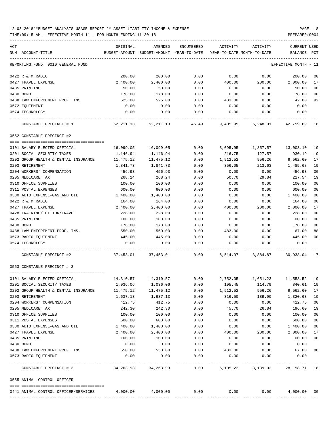TIME:09:15 AM - EFFECTIVE MONTH:11 - FOR MONTH ENDING 11-30-18 PREPARER:0004

| ACT                                  | ORIGINAL                | AMENDED                    | ENCUMBERED           | ACTIVITY                   | ACTIVITY     | <b>CURRENT USED</b>                  |                |
|--------------------------------------|-------------------------|----------------------------|----------------------|----------------------------|--------------|--------------------------------------|----------------|
| NUM ACCOUNT-TITLE                    | BUDGET-AMOUNT           | BUDGET-AMOUNT YEAR-TO-DATE |                      | YEAR-TO-DATE MONTH-TO-DATE |              | BALANCE                              | $_{\rm PCT}$   |
| REPORTING FUND: 0010 GENERAL FUND    |                         |                            |                      |                            |              | EFFECTIVE MONTH - 11                 |                |
| 0422 R & M RADIO                     | 200.00                  | 200.00                     | 0.00                 | 0.00                       | 0.00         | 200.00                               | 0 <sub>0</sub> |
| 0427 TRAVEL EXPENSE                  | 2,400.00                | 2,400.00                   | 0.00                 | 400.00                     | 200.00       | 2,000.00                             | 17             |
| 0435 PRINTING                        | 50.00                   | 50.00                      | 0.00                 | 0.00                       | 0.00         | 50.00                                | 0 <sub>0</sub> |
| 0480 BOND                            | 178.00                  | 178.00                     | 0.00                 | 0.00                       | 0.00         | 178.00                               | 0 <sub>0</sub> |
| 0488 LAW ENFORCEMENT PROF. INS       | 525.00                  | 525.00                     | 0.00                 | 483.00                     | 0.00         | 42.00                                | 92             |
| 0572 EQUIPMENT                       | 0.00                    | 0.00                       | 0.00                 | 0.00                       | 0.00         | 0.00                                 |                |
| 0574 TECHNOLOGY                      | 0.00                    | 0.00                       | 0.00                 | 0.00                       | 0.00         | 0.00                                 |                |
| CONSTABLE PRECINCT # 1               | 52,211.13               | 52,211.13                  | 45.49                | 9,405.95                   | 5,248.01     | 42,759.69 18                         |                |
| 0552 CONSTABLE PRECINCT #2           |                         |                            |                      |                            |              |                                      |                |
|                                      |                         |                            |                      |                            |              |                                      |                |
| 0101 SALARY ELECTED OFFICIAL         | 16,099.05               | 16,099.05                  | 0.00                 | 3,095.95                   | 1,857.57     | 13,003.10                            | 19             |
| 0201 SOCIAL SECURITY TAXES           | 1,146.94                | 1,146.94                   | 0.00                 | 216.75                     | 127.57       | 930.19                               | 19             |
| 0202 GROUP HEALTH & DENTAL INSURANCE | 11,475.12               | 11,475.12                  | 0.00                 | 1,912.52                   | 956.26       | 9,562.60                             | 17             |
| 0203 RETIREMENT                      | 1,841.73                | 1,841.73                   | 0.00                 | 356.05                     | 213.63       | 1,485.68                             | 19             |
| 0204 WORKERS' COMPENSATION           | 456.93                  | 456.93                     | 0.00                 | 0.00                       | 0.00         | 456.93                               | 0 <sup>0</sup> |
| 0205 MEDICARE TAX                    | 268.24                  | 268.24                     | 0.00                 | 50.70                      | 29.84        | 217.54                               | 19             |
| 0310 OFFICE SUPPLIES                 | 100.00                  | 100.00                     | 0.00                 | 0.00                       | 0.00         | 100.00                               | 0 <sub>0</sub> |
| 0311 POSTAL EXPENSES                 | 600.00                  | 600.00                     | 0.00                 | 0.00                       | 0.00         | 600.00                               | 0 <sub>0</sub> |
| 0330 AUTO EXPENSE-GAS AND OIL        | 1,400.00                | 1,400.00                   | 0.00                 | 0.00                       | 0.00         | 1,400.00                             | 0 <sub>0</sub> |
| 0422 R & M RADIO                     | 164.00                  | 164.00                     | 0.00                 | 0.00                       | 0.00         | 164.00                               | 00             |
| 0427 TRAVEL EXPENSE                  | 2,400.00                | 2,400.00                   | 0.00                 | 400.00                     | 200.00       | 2,000.00                             | 17             |
| 0428 TRAINING/TUITION/TRAVEL         | 228.00                  | 228.00                     | 0.00                 | 0.00                       | 0.00         | 228.00                               | 0 <sup>0</sup> |
| 0435 PRINTING                        | 100.00                  | 100.00                     | 0.00                 | 0.00                       | 0.00         | 100.00                               | 0 <sub>0</sub> |
| 0480 BOND                            | 178.00                  | 178.00                     | 0.00                 | 0.00                       | 0.00         | 178.00                               | 0 <sub>0</sub> |
| 0488 LAW ENFOREMENT PROF. INS.       | 550.00                  | 550.00                     | 0.00                 | 483.00                     | 0.00         | 67.00                                | 88             |
| 0573 RADIO EQUIPMENT                 | 445.00                  | 445.00                     | 0.00                 | 0.00                       | 0.00         | 445.00                               | 0 <sub>0</sub> |
| 0574 TECHNOLOGY                      | 0.00                    | 0.00                       | 0.00                 | 0.00                       | 0.00         | 0.00                                 |                |
| CONSTABLE PRECINCT #2                | 37,453.01               | 37,453.01                  | 0.00                 | 6,514.97                   | 3,384.87     | 30,938.04                            | 17             |
| 0553 CONSTABLE PRECINCT # 3          |                         |                            |                      |                            |              |                                      |                |
| 0101 SALARY ELECTED OFFICIAL         | 14,310.57               | 14,310.57                  | 0.00                 | 2,752.05                   | 1,651.23     | 11,558.52                            | 19             |
| 0201 SOCIAL SECURITY TAXES           | 1,036.06                | 1,036.06                   | 0.00                 | 195.45                     | 114.79       | 840.61                               | 19             |
| 0202 GROUP HEALTH & DENTAL INSURANCE | 11,475.12               | 11,475.12                  | 0.00                 | 1,912.52                   | 956.26       | 9,562.60                             | 17             |
| 0203 RETIREMENT                      | 1,637.13                | 1,637.13                   | 0.00                 | 316.50                     | 189.90       | 1,320.63                             | 19             |
| 0204 WORKERS' COMPENSATION           | 412.75                  | 412.75                     | 0.00                 | 0.00                       | 0.00         | 412.75                               | 0 <sub>0</sub> |
| 0205 MEDICARE TAX                    | 242.30                  | 242.30                     | 0.00                 | 45.70                      | 26.84        | 196.60                               | 19             |
| 0310 OFFICE SUPPLIES                 | 100.00                  | 100.00                     | 0.00                 | 0.00                       | 0.00         | 100.00                               | 0 <sub>0</sub> |
| 0311 POSTAL EXPENSES                 | 600.00                  | 600.00                     | 0.00                 | 0.00                       | 0.00         | 600.00                               | 0 <sub>0</sub> |
| 0330 AUTO EXPENSE-GAS AND OIL        | 1,400.00                | 1,400.00                   | 0.00                 | 0.00                       | 0.00         | 1,400.00                             | 00             |
| 0427 TRAVEL EXPENSE                  | 2,400.00                | 2,400.00                   | 0.00                 | 400.00                     | 200.00       | 2,000.00                             | 17             |
| 0435 PRINTING                        | 100.00                  | 100.00                     | 0.00                 | 0.00                       | 0.00         | 100.00                               | 0 <sub>0</sub> |
| 0480 BOND                            | 0.00                    | 0.00                       | 0.00                 | 0.00                       | 0.00         | 0.00                                 |                |
| 0488 LAW ENFORCEMENT PROF. INS       | 550.00                  | 550.00                     | 0.00                 | 483.00                     | 0.00         | 67.00                                | 88             |
| 0573 RADIO EOUIPMENT                 | 0.00                    | 0.00                       | 0.00                 | 0.00                       | 0.00         | 0.00                                 |                |
| CONSTABLE PRECINCT # 3               | 34, 263. 93 34, 263. 93 |                            | ------------<br>0.00 | .                          | ------------ | 6, 105. 22 3, 139. 02 28, 158. 71 18 |                |
| 0555 ANIMAL CONTROL OFFICER          |                         |                            |                      |                            |              |                                      |                |
| 0441 ANIMAL CONTROL OFFICER/SERVICES | $4,000.00$ $4,000.00$   |                            | 0.00                 | 0.00                       |              | 0.00<br>4,000.00 00                  |                |
|                                      |                         |                            |                      |                            |              |                                      |                |

-----------------------------------------------------------------------------------------------------------------------------------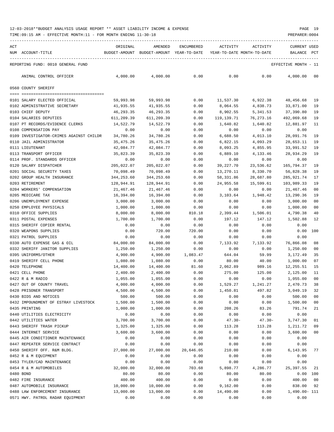| ACT | NUM ACCOUNT-TITLE                                | ORIGINAL                | AMENDED<br>BUDGET-AMOUNT BUDGET-AMOUNT YEAR-TO-DATE | ENCUMBERED   | ACTIVITY<br>YEAR-TO-DATE MONTH-TO-DATE | ACTIVITY              | CURRENT USED<br>BALANCE | PCT      |
|-----|--------------------------------------------------|-------------------------|-----------------------------------------------------|--------------|----------------------------------------|-----------------------|-------------------------|----------|
|     |                                                  |                         |                                                     |              |                                        |                       |                         |          |
|     | REPORTING FUND: 0010 GENERAL FUND                |                         |                                                     |              |                                        |                       | EFFECTIVE MONTH - 11    |          |
|     | ANIMAL CONTROL OFFICER                           | 4,000.00                | 4,000.00                                            | 0.00         | 0.00                                   | 0.00                  | 4,000.00 00             |          |
|     | 0560 COUNTY SHERIFF                              |                         |                                                     |              |                                        |                       |                         |          |
|     |                                                  |                         |                                                     |              |                                        |                       |                         |          |
|     | 0101 SALARY ELECTED OFFICIAL                     | 59,993.98               | 59,993.98                                           | 0.00         | 11,537.30                              | 6,922.38              | 48,456.68 19            |          |
|     | 0102 ADMINISTRATIVE SECRETARY                    | 41,935.55               | 41,935.55                                           | 0.00         | 8,064.55                               | 4,838.73              | 33,871.00               | 19       |
|     | 0103 CHIEF DEPUTY<br>0104 SALARIES DEPUTIES      | 46,293.35<br>611,209.39 | 46,293.35<br>611,209.39                             | 0.00<br>0.00 | 8,902.55<br>119,139.71                 | 5,341.53<br>76,273.16 | 37,390.80<br>492,069.68 | 19<br>19 |
|     | 0107 PT RECORDS/EVIDENCE CLERKS                  | 14,522.79               | 14,522.79                                           | 0.00         | 1,640.82                               | 1,640.82              | 12,881.97               | 11       |
|     | 0108 COMPENSATION PAY                            | 0.00                    | 0.00                                                | 0.00         | 0.00                                   | 0.00                  | 0.00                    |          |
|     | 0109 INVESTIGATOR-CRIMES AGAINST CHILDR          | 34,780.26               | 34,780.26                                           | 0.00         | 6,688.50                               | 4,013.10              | 28,091.76               | 19       |
|     | 0110 JAIL ADMINISTRATOR                          | 35,475.26               | 35,475.26                                           | 0.00         | 6,822.15                               | 4,093.29              | 28,653.11               | 19       |
|     | 0111 LIEUTENANT                                  | 42,084.77               | 42,084.77                                           | 0.00         | 8,093.25                               | 4,855.95              | 33,991.52               | 19       |
|     | 0113 TRANSPORT OFFICER                           | 35,823.39               | 35,823.39                                           | 0.00         | 6,889.10                               | 4,133.46              | 28,934.29               | 19       |
|     | 0114 PROF. STANDARDS OFFICER                     | 0.00                    | 0.00                                                | 0.00         | 0.00                                   | 0.00                  | 0.00                    |          |
|     | 0120 SALARY DISPATCHER                           | 205,022.07              | 205,022.07                                          | 0.00         | 39,227.70                              | 23,536.62             | 165,794.37              | 19       |
|     | 0201 SOCIAL SECURITY TAXES                       | 70,098.49               | 70,098.49                                           | 0.00         | 13,270.11                              | 8,330.70              | 56,828.38               | 19       |
|     | 0202 GROUP HEALTH INSURANCE                      | 344,253.60              | 344,253.60                                          | 0.00         | 58,331.86                              | 28,687.80             | 285,921.74              | 17       |
|     | 0203 RETIREMENT                                  | 128,944.91              | 128,944.91                                          | 0.00         | 24,955.58                              | 15,599.61             | 103,989.33              | 19       |
|     | 0204 WORKERS' COMPENSATION                       | 21,467.46               | 21,467.46                                           | 0.00         | 0.00                                   | 0.00                  | 21,467.46               | 00       |
|     | 0205 MEDICARE TAX                                | 16,394.00               | 16,394.00                                           | 0.00         | 3,103.64                               | 1,948.42              | 13,290.36               | 19       |
|     | 0206 UNEMPLOYMENT EXPENSE                        | 3,000.00                | 3,000.00                                            | 0.00         | 0.00                                   | 0.00                  | 3,000.00                | 00       |
|     | 0250 EMPLOYEE PHYSICALS                          | 1,000.00                | 1,000.00                                            | 0.00         | 0.00                                   | 0.00                  | 1,000.00                | 00       |
|     | 0310 OFFICE SUPPLIES                             | 8,000.00                | 8,000.00                                            | 810.18       | 2,399.44                               | 1,506.01              | 4,790.38                | 40       |
|     | 0311 POSTAL EXPENSES                             | 1,700.00                | 1,700.00                                            | 0.00         | 197.12                                 | 147.12                | 1,502.88                | 12       |
|     | 0315 SHERIFF COPIER RENTAL                       | 0.00                    | 0.00                                                | 0.00         | 0.00                                   | 0.00                  | 0.00                    |          |
|     | 0320 WEAPONS SUPPLIES                            | 0.00                    | 720.00                                              | 720.00       | 0.00                                   | 0.00                  | 0.00                    | 100      |
|     | 0321 PATROL SUPPLIES                             | 0.00                    | 0.00                                                | 0.00         | 0.00                                   | 0.00                  | 0.00                    |          |
|     | 0330 AUTO EXPENSE GAS & OIL                      | 84,000.00               | 84,000.00                                           | 0.00         | 7,133.92                               | 7,133.92              | 76,866.08               | 08       |
|     | 0332 SHERIFF JANITOR SUPPLIES                    | 1,250.00                | 1,250.00                                            | 0.00         | 0.00                                   | 0.00                  | 1,250.00                | 00       |
|     | 0395 UNIFORMS/OTHER                              | 4,900.00                | 4,900.00                                            | 1,083.47     | 644.04                                 | 59.99                 | 3,172.49                | 35       |
|     | 0419 SHERIFF CELL PHONE                          | 1,080.00                | 1,080.00                                            | 0.00         | 80.00                                  | 40.00                 | 1,000.00                | 07       |
|     | 0420 TELEPHONE                                   | 14,400.00               | 14,400.00                                           | 81.60        | 2,062.89                               | 989.16                | 12,255.51               | - 15     |
|     | 0421 CELL PHONE                                  | 2,400.00                | 2,400.00                                            | 0.00         | 275.00                                 | 125.00                | 2,125.00                | 11       |
|     | 0422 R & M RADIO                                 | 1,055.00                | 1,055.00                                            | 0.00         | 0.00                                   | 0.00                  | 1,055.00                | 00       |
|     | 0427 OUT OF COUNTY TRAVEL                        | 4,000.00                | 4,000.00                                            | 0.00         | 1,529.27                               | 1,241.27              | 2,470.73 38             |          |
|     | 0428 PRISONER TRANSPORT<br>0430 BIDS AND NOTICES | 4,500.00<br>500.00      | 4,500.00<br>500.00                                  | 0.00<br>0.00 | 1,450.81                               | 497.82                | 3,049.19<br>500.00      | 32       |
|     | 0432 IMPOUNDMENT OF ESTRAY LIVESTOCK             | 1,500.00                | 1,500.00                                            | 0.00         | 0.00<br>0.00                           | 0.00<br>0.00          | 1,500.00                | 00<br>00 |
|     | 0435 PRINTING                                    | 1,000.00                | 1,000.00                                            | 0.00         | 208.26                                 | 83.26                 | 791.74                  | 21       |
|     | 0440 UTILITIES ELECTRICITY                       | 0.00                    | 0.00                                                | 0.00         | 0.00                                   | 0.00                  | 0.00                    |          |
|     | 0442 UTILITIES WATER                             | 3,700.00                | 3,700.00                                            | 0.00         | $47.30 -$                              | $47.30 -$             | 3,747.30                | 01       |
|     | 0443 SHERIFF TRASH PICKUP                        | 1,325.00                | 1,325.00                                            | 0.00         | 113.28                                 | 113.28                | 1,211.72                | 09       |
|     | 0444 INTERNET SERVICE                            | 3,600.00                | 3,600.00                                            | 0.00         | 0.00                                   | 0.00                  | 3,600.00                | 00       |
|     | 0445 AIR CONDITIONER MAINTENANCE                 | 0.00                    | 0.00                                                | 0.00         | 0.00                                   | 0.00                  | 0.00                    |          |
|     | 0447 REPEATER SERVICE CONTRACT                   | 0.00                    | 0.00                                                | 0.00         | 0.00                                   | 0.00                  | 0.00                    |          |
|     | 0450 SHERIFF OFF. R&M BLDG.                      | 27,000.00               | 27,000.00                                           | 20,646.05    | 210.00                                 | 0.00                  | 6,143.95                | 77       |
|     | 0452 R & M EQUIPMENT                             | 0.00                    | 0.00                                                | 0.00         | 0.00                                   | 0.00                  | 0.00                    |          |
|     | 0453 TYLER/CAD MAINTENANCE                       | 0.00                    | 0.00                                                | 0.00         | 0.00                                   | 0.00                  | 0.00                    |          |
|     | 0454 R & M AUTOMOBILES                           | 32,000.00               | 32,000.00                                           | 703.68       | 5,898.77                               | 4,286.77              | 25, 397.55              | 21       |
|     | 0480 BOND                                        | 80.00                   | 80.00                                               | 0.00         | 80.00                                  | 80.00                 |                         | 0.00 100 |
|     | 0482 FIRE INSURANCE                              | 400.00                  | 400.00                                              | 0.00         | 0.00                                   | 0.00                  | 400.00                  | 00       |
|     | 0487 AUTOMOBILE INSURANCE                        | 10,000.00               | 10,000.00                                           | 0.00         | 9,162.00                               | 0.00                  | 838.00                  | 92       |
|     | 0488 LAW ENFORCEMENT INSURANCE                   | 13,000.00               | 13,000.00                                           | 0.00         | 14,490.00                              | 0.00                  | 1,490.00- 111           |          |
|     | 0571 HWY. PATROL RADAR EQUIPMENT                 | 0.00                    | 0.00                                                | 0.00         | 0.00                                   | 0.00                  | 0.00                    |          |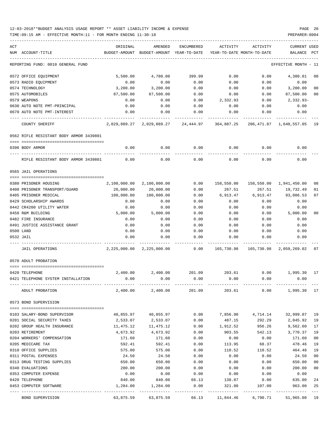TIME:09:15 AM - EFFECTIVE MONTH:11 - FOR MONTH ENDING 11-30-18 PREPARER:0004

| ACT |                                         | ORIGINAL      | AMENDED                                                           | ENCUMBERED | ACTIVITY                   | ACTIVITY | <b>CURRENT USED</b>                  |                |
|-----|-----------------------------------------|---------------|-------------------------------------------------------------------|------------|----------------------------|----------|--------------------------------------|----------------|
|     | NUM ACCOUNT-TITLE                       | BUDGET-AMOUNT | BUDGET-AMOUNT YEAR-TO-DATE                                        |            | YEAR-TO-DATE MONTH-TO-DATE |          | BALANCE                              | PCT            |
|     | REPORTING FUND: 0010 GENERAL FUND       |               |                                                                   |            |                            |          | EFFECTIVE MONTH - 11                 |                |
|     | 0572 OFFICE EQUIPMENT                   | 5,500.00      | 4,780.00                                                          | 399.99     | 0.00                       | 0.00     | 4,380.01                             | 08             |
|     | 0573 RADIO EQUIPMENT                    | 0.00          | 0.00                                                              | 0.00       | 0.00                       | 0.00     | 0.00                                 |                |
|     | 0574 TECHNOLOGY                         | 3,200.00      | 3,200.00                                                          | 0.00       | 0.00                       | 0.00     | 3,200.00                             | 00             |
|     | 0575 AUTOMOBILES                        | 87,500.00     | 87,500.00                                                         | 0.00       | 0.00                       | 0.00     | 87,500.00                            | 00             |
|     | 0579 WEAPONS                            | 0.00          | 0.00                                                              | 0.00       | 2,332.93                   | 0.00     | 2,332.93-                            |                |
|     | 0630 AUTO NOTE PMT-PRINCIPAL            | 0.00          | 0.00                                                              | 0.00       | 0.00                       | 0.00     | 0.00                                 |                |
|     | 0670 AUTO NOTE PMT-INTEREST             | 0.00          | 0.00                                                              | 0.00       | 0.00                       | 0.00     | 0.00                                 |                |
|     | COUNTY SHERIFF                          |               | 2,029,889.27 2,029,889.27 24,444.97 364,887.25                    |            |                            |          | 206,471.87 1,640,557.05              | -19            |
|     | 0562 RIFLE RESISTANT BODY ARMOR 3439801 |               |                                                                   |            |                            |          |                                      |                |
|     | 0396 BODY ARMOR                         | 0.00          | 0.00                                                              | 0.00       | 0.00                       | 0.00     | 0.00                                 |                |
|     |                                         |               |                                                                   |            |                            |          |                                      |                |
|     | RIFLE RESISTANT BODY ARMOR 3439801      | 0.00          | 0.00                                                              | 0.00       | 0.00                       | 0.00     | 0.00                                 |                |
|     | 0565 JAIL OPERATIONS                    |               |                                                                   |            |                            |          |                                      |                |
|     |                                         |               |                                                                   |            |                            |          |                                      |                |
|     | 0380 PRISONER HOUSING                   | 2,100,000.00  | 2,100,000.00                                                      | 0.00       |                            |          | 158,550.00  158,550.00  1,941,450.00 | 08             |
|     | 0400 PRISONER TRANSPORT/GUARD           | 20,000.00     | 20,000.00                                                         | 0.00       | 267.51                     | 267.51   | 19,732.49                            | 01             |
|     | 0405 PRISONER MEDICAL                   | 100,000.00    | 100,000.00                                                        | 0.00       | 6,913.47                   | 6,913.47 | 93,086.53                            | 07             |
|     | 0429 SCHOLARSHIP AWARDS                 | 0.00          | 0.00                                                              | 0.00       | 0.00                       | 0.00     | 0.00                                 |                |
|     | 0442 CR4200 UTILITY WATER               | 0.00          | 0.00                                                              | 0.00       | 0.00                       | 0.00     | 0.00                                 |                |
|     | 0450 R&M BUILDING                       | 5,000.00      | 5,000.00                                                          | 0.00       | 0.00                       | 0.00     | 5,000.00                             | 0 <sub>0</sub> |
|     | 0482 FIRE INSURANCE                     | 0.00          | 0.00                                                              | 0.00       | 0.00                       | 0.00     | 0.00                                 |                |
|     | 0491 JUSTICE ASSISTANCE GRANT           | 0.00          | 0.00                                                              | 0.00       | 0.00                       | 0.00     | 0.00                                 |                |
|     | 0500 LAND                               | 0.00          | 0.00                                                              | 0.00       | 0.00                       | 0.00     | 0.00                                 |                |
|     | 0532 JAIL                               | 0.00          | 0.00                                                              | 0.00       | 0.00                       | 0.00     | 0.00                                 |                |
|     | JAIL OPERATIONS                         |               | 2,225,000.00 2,225,000.00 0.00 165,730.98 165,730.98 2,059,269.02 |            |                            |          |                                      | 07             |
|     | 0570 ADULT PROBATION                    |               |                                                                   |            |                            |          |                                      |                |
|     |                                         |               |                                                                   |            |                            |          |                                      |                |
|     | 0420 TELEPHONE                          | 2,400.00      | 2,400.00                                                          | 201.09     | 203.61                     |          | $0.00$ 1,995.30                      | 17             |
|     | 0421 TELEPHONE SYSTEM INSTALLATION      | 0.00          | 0.00                                                              | 0.00       | 0.00                       | 0.00     | 0.00                                 |                |
|     | ADULT PROBATION                         |               | 2,400.00 2,400.00                                                 |            | 201.09 203.61 0.00         |          | 1,995.30 17                          |                |
|     | 0573 BOND SUPERVISION                   |               |                                                                   |            |                            |          |                                      |                |
|     | 0103 SALARY-BOND SUPERVISOR             |               | 40,855.97 40,855.97                                               | 0.00       |                            |          | 7,856.90 4,714.14 32,999.07          | 19             |
|     | 0201 SOCIAL SECURITY TAXES              | 2,533.07      | 2,533.07                                                          | 0.00       | 487.15                     | 292.29   | 2,045.92                             | 19             |
|     | 0202 GROUP HEALTH INSURANCE             | 11,475.12     | 11,475.12                                                         | 0.00       | 1,912.52                   | 956.26   | 9,562.60                             | 17             |
|     | 0203 RETIREMENT                         | 4,673.92      | 4,673.92                                                          | 0.00       | 903.55                     | 542.13   | 3,770.37                             | 19             |
|     | 0204 WORKERS' COMPENSATION              | 171.60        | 171.60                                                            | 0.00       | 0.00                       | 0.00     | 171.60                               | 0 <sub>0</sub> |
|     | 0205 MEDICARE TAX                       | 592.41        | 592.41                                                            | 0.00       | 113.95                     | 68.37    | 478.46                               | 19             |
|     | 0310 OFFICE SUPPLIES                    | 575.00        | 575.00                                                            | 0.00       | 110.52                     | 110.52   | 464.48                               | 19             |
|     | 0311 POSTAL EXPENSES                    | 24.50         | 24.50                                                             | 0.00       | 0.00                       | 0.00     | 24.50                                | 0 <sub>0</sub> |
|     | 0313 DRUG TESTING SUPPLIES              | 650.00        | 650.00                                                            | 0.00       | 0.00                       | 0.00     | 650.00                               | 0 <sub>0</sub> |
|     | 0340 EVALUATIONS                        | 200.00        | 200.00                                                            | 0.00       | 0.00                       | 0.00     | 200.00                               | 0 <sub>0</sub> |
|     | 0353 COMPUTER EXPENSE                   | 0.00          | 0.00                                                              | 0.00       | 0.00                       | 0.00     | 0.00                                 |                |
|     | 0420 TELEPHONE                          | 840.00        | 840.00                                                            | 66.13      | 138.87                     | 0.00     | 635.00                               | 24             |
|     | 0453 COMPUTER SOFTWARE                  | 1,284.00      | 1,284.00                                                          | 0.00       | 321.00                     | 107.00   | 963.00                               | 25             |
|     |                                         |               |                                                                   |            |                            |          |                                      |                |

BOND SUPERVISION 63,875.59 63,875.59 66.13 11,844.46 6,790.71 51,965.00 19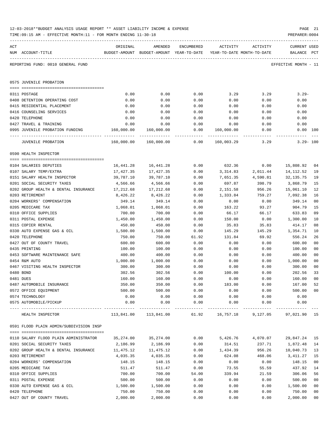| ACT | NUM ACCOUNT-TITLE                                     | ORIGINAL   | AMENDED<br>BUDGET-AMOUNT BUDGET-AMOUNT YEAR-TO-DATE YEAR-TO-DATE MONTH-TO-DATE | ENCUMBERED | ACTIVITY        | ACTIVITY | CURRENT USED<br>BALANCE PCT |                |
|-----|-------------------------------------------------------|------------|--------------------------------------------------------------------------------|------------|-----------------|----------|-----------------------------|----------------|
|     | REPORTING FUND: 0010 GENERAL FUND                     |            |                                                                                |            |                 |          | EFFECTIVE MONTH - 11        |                |
|     | 0575 JUVENILE PROBATION                               |            |                                                                                |            |                 |          |                             |                |
|     | 0311 POSTAGE                                          | 0.00       | 0.00                                                                           | 0.00       | 3.29            | 3.29     | $3.29 -$                    |                |
|     | 0408 DETENTION OPERATING COST                         | 0.00       | 0.00                                                                           | 0.00       | 0.00            | 0.00     | 0.00                        |                |
|     | 0415 RESIDENTIAL PLACEMENT                            | 0.00       | 0.00                                                                           | 0.00       | 0.00            | 0.00     | 0.00                        |                |
|     | 0416 COUNSELING SERVICES                              | 0.00       | 0.00                                                                           | 0.00       | 0.00            | 0.00     | 0.00                        |                |
|     | 0420 TELEPHONE                                        | 0.00       | 0.00                                                                           | 0.00       | 0.00            | 0.00     | 0.00                        |                |
|     | 0427 TRAVEL & TRAINING                                | 0.00       | 0.00                                                                           | 0.00       | 0.00            | 0.00     | 0.00                        |                |
|     | 0995 JUVENILE PROBATION FUNDING 160,000.00 160,000.00 |            |                                                                                |            | 0.00 160,000.00 | 0.00     | $0.00$ 100                  |                |
|     | <b>JUVENILE PROBATION</b>                             |            |                                                                                |            | 160,003.29      | 3.29     | $3.29 - 100$                |                |
|     | 0590 HEALTH INSPECTOR                                 |            |                                                                                |            |                 |          |                             |                |
|     | 0104 SALARIES DEPUTIES                                | 16,441.28  | 16, 441.28                                                                     | 0.00       | 632.36          | 0.00     | 15,808.92                   | 04             |
|     | 0107 SALARY TEMP/EXTRA                                | 17,427.35  | 17, 427.35                                                                     | 0.00       | 3,314.83        | 2,011.44 | 14,112.52                   | 19             |
|     | 0151 SALARY HEALTH INSPECTOR                          | 39,787.10  | 39,787.10                                                                      | 0.00       | 7,651.35        | 4,590.81 | 32,135.75                   | 19             |
|     | 0201 SOCIAL SECURITY TAXES                            | 4,566.66   | 4,566.66                                                                       | 0.00       | 697.87          | 398.79   | 3,868.79                    | 15             |
|     | 0202 GROUP HEALTH & DENTAL INSURANCE                  | 17,212.68  | 17,212.68                                                                      | 0.00       | 2,151.58        | 956.26   | 15,061.10                   | 12             |
|     | 0203 RETIREMENT                                       | 8,426.22   | 8,426.22                                                                       | 0.00       | 1,333.84        | 759.27   | 7,092.38                    | 16             |
|     | 0204 WORKERS' COMPENSATION                            | 349.14     | 349.14                                                                         | 0.00       | 0.00            | 0.00     | 349.14                      | 00             |
|     | 0205 MEDICARE TAX                                     | 1,068.01   | 1,068.01                                                                       | 0.00       | 163.22          | 93.27    | 904.79                      | 15             |
|     | 0310 OFFICE SUPPLIES                                  | 700.00     | 700.00                                                                         | 0.00       | 66.17           | 66.17    | 633.83                      | 09             |
|     | 0311 POSTAL EXPENSE                                   | 1,450.00   | 1,450.00                                                                       | 0.00       | 150.00          | 0.00     | 1,300.00                    | 10             |
|     | 0315 COPIER RENTAL                                    | 450.00     | 450.00                                                                         | 0.00       | 35.83           | 35.83    | 414.17                      | 08             |
|     | 0330 AUTO EXPENSE GAS & OIL                           | 1,500.00   | 1,500.00                                                                       | 0.00       | 145.29          | 145.29   | 1,354.71                    | 10             |
|     | 0420 TELEPHONE                                        | 750.00     | 750.00                                                                         | 61.92      | 131.84          | 69.92    | 556.24                      | 26             |
|     | 0427 OUT OF COUNTY TRAVEL                             | 600.00     | 600.00                                                                         | 0.00       | 0.00            | 0.00     | 600.00                      | 0 <sub>0</sub> |
|     | 0435 PRINTING                                         | 100.00     | 100.00                                                                         | 0.00       | 0.00            | 0.00     | 100.00                      | 00             |
|     | 0453 SOFTWARE MAINTENANCE SAFE                        | 400.00     | 400.00                                                                         | 0.00       | 0.00            | 0.00     | 400.00                      | 0 <sub>0</sub> |
|     | 0454 R&M AUTO                                         | 1,000.00   | 1,000.00                                                                       | 0.00       | 0.00            | 0.00     | 1,000.00                    | 0 <sub>0</sub> |
|     | 0467 VISITING HEALTH INSPECTOR                        | 300.00     | 300.00                                                                         | 0.00       | 0.00            | 0.00     | 300.00                      | 0 <sub>0</sub> |
|     | 0480 BOND                                             | 302.56     | 302.56                                                                         | 0.00       | 100.00          | 0.00     | 202.56                      | 33             |
|     | 0481 DUES                                             | 160.00     | 160.00                                                                         | 0.00       | 0.00            | 0.00     | 160.00                      | 0 <sub>0</sub> |
|     | 0487 AUTOMOBILE INSURANCE                             | 350.00     | 350.00                                                                         | 0.00       | 183.00          | 0.00     | 167.00                      | 52             |
|     | 0572 OFFICE EQUIPMENT                                 | 500.00     | 500.00                                                                         | 0.00       | 0.00            | 0.00     | 500.00                      | 00             |
|     | 0574 TECHNOLOGY                                       | 0.00       | 0.00                                                                           | 0.00       | 0.00            | 0.00     | 0.00                        |                |
|     | 0575 AUTOMOBILE/PICKUP                                | 0.00       | 0.00                                                                           | 0.00       | 0.00            | 0.00     | 0.00                        |                |
|     | HEALTH INSPECTOR                                      | 113,841.00 | ----------<br>113,841.00                                                       | 61.92      | 16,757.18       | 9,127.05 | 97,021.90 15                |                |
|     | 0591 FLOOD PLAIN ADMIN/SUBDIVISION INSP               |            |                                                                                |            |                 |          |                             |                |
|     | 0110 SALARY FLOOD PLAIN ADMINISTRATOR                 | 35,274.00  | 35,274.00                                                                      | 0.00       | 5,426.76        | 4,070.07 | 29,847.24                   | 15             |
|     | 0201 SOCIAL SECURITY TAXES                            | 2,186.99   | 2,186.99                                                                       | 0.00       | 314.51          | 237.71   | 1,872.48                    | 14             |
|     | 0202 GROUP HEALTH & DENTAL INSURANCE                  | 11,475.12  | 11,475.12                                                                      | 0.00       | 1,434.39        | 956.26   | 10,040.73                   | 13             |
|     | 0203 RETIREMENT                                       | 4,035.35   | 4,035.35                                                                       | 0.00       | 624.08          | 468.06   | 3,411.27                    | 15             |
|     | 0204 WORKERS' COMPENSATION                            | 148.15     | 148.15                                                                         | 0.00       | 0.00            | 0.00     | 148.15                      | 0 <sub>0</sub> |
|     | 0205 MEDICARE TAX                                     | 511.47     | 511.47                                                                         | 0.00       | 73.55           | 55.59    | 437.92                      | 14             |

0310 OFFICE SUPPLIES 606.06 56 (21.59 306.06 56 (21.59 306.06 56 ) 0311 POSTAL EXPENSE 500.00 500.00 0.00 0.00 0.00 500.00 00 0330 AUTO EXPENSE GAS & OIL  $1,500.00$   $1,500.00$   $0.00$  0.00 0.00  $1,500.00$  00 0420 TELEPHONE 750.00 750.00 0.00 0.00 0.00 750.00 00 0427 OUT OF COUNTY TRAVEL  $2,000.00$   $2,000.00$   $0.00$  0.00 0.00 0.00  $2,000.00$  00

-----------------------------------------------------------------------------------------------------------------------------------

# 12-03-2018\*\*BUDGET ANALYSIS USAGE REPORT \*\* ASSET LIABILITY INCOME & EXPENSE PAGE 21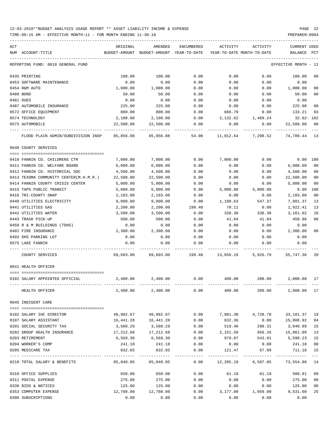TIME:09:15 AM - EFFECTIVE MONTH:11 - FOR MONTH ENDING 11-30-18 PREPARER:0004

| ACT                                    | ORIGINAL                                                  | AMENDED                                                             | ENCUMBERED          |           | ACTIVITY ACTIVITY   | CURRENT USED                                                   |
|----------------------------------------|-----------------------------------------------------------|---------------------------------------------------------------------|---------------------|-----------|---------------------|----------------------------------------------------------------|
| NUM ACCOUNT-TITLE                      |                                                           | BUDGET-AMOUNT BUDGET-AMOUNT YEAR-TO-DATE YEAR-TO-DATE MONTH-TO-DATE |                     |           |                     | BALANCE PCT                                                    |
| REPORTING FUND: 0010 GENERAL FUND      |                                                           |                                                                     |                     |           |                     | EFFECTIVE MONTH - 11                                           |
| 0435 PRINTING                          | 100.00                                                    | 100.00                                                              | 0.00                | 0.00      | 0.00                | 100.00<br>00                                                   |
| 0453 SOFTWARE MAINTENANCE              | 0.00                                                      | 0.00                                                                | 0.00                | 0.00      | 0.00                | 0.00                                                           |
| 0454 R&M AUTO                          | 1,000.00                                                  | 1,000.00                                                            | 0.00                | 0.00      | 0.00                | 1,000.00<br>0 <sub>0</sub>                                     |
| 0480 BOND                              | 50.00                                                     | 50.00                                                               | 0.00                | 0.00      | 0.00                | 0 <sub>0</sub><br>50.00                                        |
| 0481 DUES                              | 0.00                                                      | 0.00                                                                | 0.00                | 0.00      | 0.00                | 0.00                                                           |
| 0487 AUTOMOBILE INSURANCE              | 225.00                                                    | 225.00                                                              | 0.00                | 0.00      | 0.00                | 225.00<br>0 <sub>0</sub>                                       |
| 0572 OFFICE EOUIPMENT                  | 800.00                                                    | 800.00                                                              | 0.00                | 666.79    | 0.00                | 133.21<br>83                                                   |
| 0574 TECHNOLOGY                        | 2,100.00                                                  | 2,100.00                                                            | 0.00                |           | 2, 132.62 1, 489.24 | $32.62 - 102$                                                  |
| 0575 AUTOMOBILE                        | 22,500.00                                                 | 22,500.00                                                           | 0.00                | 0.00      | 0.00                | 0 <sub>0</sub><br>22,500.00                                    |
| FLOOD PLAIN ADMIN/SUBDIVISION INSP     | 85,856.08                                                 | 85,856.08                                                           | 54.00               |           | 11,012.64 7,298.52  | 74,789.44 13                                                   |
| 0640 COUNTY SERVICES                   |                                                           |                                                                     |                     |           |                     |                                                                |
|                                        |                                                           |                                                                     |                     |           |                     |                                                                |
| 0410 FANNIN CO. CHILDRENS CTR          | 7,000.00                                                  | 7,000.00                                                            | 0.00                | 7,000.00  | 0.00                | 0.00 100                                                       |
| 0411 FANNIN CO. WELFARE BOARD          | 6,000.00                                                  | 6,000.00                                                            | 0.00                | 0.00      | 0.00                | 0 <sub>0</sub><br>6,000.00                                     |
| 0412 FANNIN CO. HISTORICAL SOC         | 4,500.00                                                  | 4,500.00                                                            | 0.00                | 0.00      | 0.00                | 0 <sub>0</sub><br>4,500.00                                     |
| 0413 TEXOMA COMMUNITY CENTER(M.H.M.R.) | 22,500.00                                                 | 22,500.00                                                           | 0.00                | 0.00      | 0.00                | 0 <sub>0</sub><br>22,500.00                                    |
| 0414 FANNIN COUNTY CRISIS CENTER       | 5,000.00                                                  | 5,000.00                                                            | 0.00                | 0.00      | 0.00                | 0 <sub>0</sub><br>5,000.00                                     |
| 0415 TAPS PUBLIC TRANSIT               | 5,000.00                                                  | 5,000.00                                                            | 0.00                | 5,000.00  | 5,000.00            | 100<br>0.00                                                    |
| 0416 TRI-COUNTY SNAP                   | 2,103.00                                                  | 2,103.00                                                            | 0.00                | 0.00      | 0.00                | 2,103.00<br>0 <sub>0</sub>                                     |
| 0440 UTILITIES ELECTRICITY             | 9,000.00                                                  | 9,000.00                                                            | 0.00                | 1,198.63  | 547.37              | 13<br>7,801.37                                                 |
| 0441 UTILITIES GAS                     | 2,200.00                                                  | 2,200.00                                                            | 199.48              | 78.11     | 0.00                | 13<br>1,922.41                                                 |
| 0442 UTILITIES WATER                   | 3,500.00                                                  | 3,500.00                                                            | 0.00                | 338.38    | 338.38              | 10<br>3,161.62                                                 |
| 0443 TRASH PICK-UP                     | 500.00                                                    | 500.00                                                              | 0.00                | 41.04     | 41.04               | 458.96<br>08                                                   |
| 0450 R & M BUILDINGS (TDHS)            | 0.00                                                      | 0.00                                                                | 0.00                | 0.00      | 0.00                | 0.00                                                           |
| 0482 FIRE INSURANCE                    | 2,300.00                                                  | 2,300.00                                                            | 0.00                | 0.00      | 0.00                | 2,300.00<br>0 <sub>0</sub>                                     |
| 0493 DHS PARKING LOT                   | 0.00                                                      | 0.00                                                                | 0.00                | 0.00      | 0.00                | 0.00                                                           |
| 0575 LAKE FANNIN                       | 0.00                                                      | 0.00                                                                | 0.00                | 0.00      | 0.00                | 0.00                                                           |
| COUNTY SERVICES                        |                                                           |                                                                     |                     |           |                     | 69,603.00 69,603.00 199.48 13,656.16 5,926.79 55,747.36<br>-20 |
| 0641 HEALTH OFFICER                    |                                                           |                                                                     |                     |           |                     |                                                                |
|                                        |                                                           |                                                                     |                     |           |                     |                                                                |
| 0102 SALARY APPOINTED OFFICIAL         | $2,400.00$ $2,400.00$ $0.00$ $400.00$ $200.00$ $2,000.00$ |                                                                     |                     |           |                     | -17                                                            |
| HEALTH OFFICER                         | 2,400.00                                                  | 2,400.00                                                            | 0.00                | 400.00    | 200.00              | 2,000.00 17                                                    |
| 0645 INDIGENT CARE                     |                                                           |                                                                     |                     |           |                     |                                                                |
| 0102 SALARY IHC DIRECTOR               | 40,982.67                                                 | 40,982.67                                                           | 0.00                | 7,881.30  | 4,728.78            | 19<br>33,101.37                                                |
| 0107 SALARY ASSISTANT                  | 16,441.28                                                 | 16,441.28                                                           | 0.00                | 632.36    | 0.00                | 0 <sub>4</sub><br>15,808.92                                    |
| 0201 SOCIAL SECURITY TAX               | 3,560.29                                                  | 3,560.29                                                            | 0.00                | 519.40    | 290.31              | 3,040.89<br>15                                                 |
| 0202 GROUP HEALTH INSURANCE            | 17,212.68                                                 | 17,212.68                                                           | 0.00                | 2,151.59  | 956.26              | 15,061.09<br>13                                                |
| 0203 RETIREMENT                        | 6,569.30                                                  | 6,569.30                                                            | 0.00                | 979.07    | 543.81              | 15<br>5,590.23                                                 |
| 0204 WORKER'S COMP                     | 241.18                                                    | 241.18                                                              | 0.00                | 0.00      | 0.00                | 0 <sub>0</sub><br>241.18                                       |
| 0205 MEDICARE TAX                      | 832.65                                                    | 832.65                                                              | 0.00                | 121.47    | 67.89               | 711.18<br>15                                                   |
| 0210 TOTAL SALARY & BENEFITS           | 85,840.05                                                 | 85,840.05                                                           | $- - - - -$<br>0.00 | 12,285.19 | 6,587.05            | 14<br>73,554.86                                                |
| 0310 OFFICE SUPPLIES                   | 650.00                                                    | 650.00                                                              | 0.00                | 61.19     | 61.19               | 09<br>588.81                                                   |
| 0311 POSTAL EXPENSE                    | 275.00                                                    | 275.00                                                              | 0.00                | 0.00      | 0.00                | 275.00<br>0 <sub>0</sub>                                       |
| 0330 BIDS & NOTICES                    | 125.00                                                    | 125.00                                                              | 0.00                | 0.00      | 0.00                | 0 <sub>0</sub><br>125.00                                       |
|                                        |                                                           |                                                                     | 0.00                |           |                     | 25                                                             |
| 0353 COMPUTER EXPENSE                  | 12,708.00                                                 | 12,708.00                                                           |                     | 3,177.00  | 1,059.00            | 9,531.00                                                       |

0390 SUBSCRIPTIONS 0.00 0.00 0.00 0.00 0.00 0.00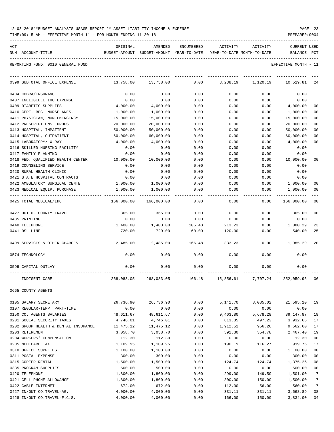|  | 12-03-2018**BUDGET ANALYSIS USAGE REPORT ** ASSET LIABILITY INCOME & EXPENSE |  |  |  |  |  |  |  |  | PAGE |  |
|--|------------------------------------------------------------------------------|--|--|--|--|--|--|--|--|------|--|
|--|------------------------------------------------------------------------------|--|--|--|--|--|--|--|--|------|--|

TIME:09:15 AM - EFFECTIVE MONTH:11 - FOR MONTH ENDING 11-30-18 PREPARER:0004

| ACT | NUM ACCOUNT-TITLE                         | ORIGINAL           | AMENDED<br>BUDGET-AMOUNT BUDGET-AMOUNT YEAR-TO-DATE YEAR-TO-DATE MONTH-TO-DATE | ENCUMBERED   | ACTIVITY       | ACTIVITY       | <b>CURRENT USED</b><br>BALANCE PCT |                      |
|-----|-------------------------------------------|--------------------|--------------------------------------------------------------------------------|--------------|----------------|----------------|------------------------------------|----------------------|
|     | REPORTING FUND: 0010 GENERAL FUND         |                    |                                                                                |              |                |                | EFFECTIVE MONTH - 11               |                      |
|     | 0399 SUBTOTAL OFFICE EXPENSE              | 13,758.00          | 13,758.00                                                                      | 0.00         | 3,238.19       | 1,120.19       | 10,519.81                          | 24                   |
|     | 0404 COBRA/INSURANCE                      | 0.00               | 0.00                                                                           | 0.00         | 0.00           | 0.00           | 0.00                               |                      |
|     | 0407 INELIGIBLE IHC EXPENSE               | 0.00               | 0.00                                                                           | 0.00         | 0.00           | 0.00           | 0.00                               |                      |
|     | 0409 DIABETIC SUPPLIES                    | 4,000.00           | 4,000.00                                                                       | 0.00         | 0.00           | 0.00           | 4,000.00                           | 00                   |
|     | 0410 CERT. REG. NURSE ANES.               | 1,000.00           | 1,000.00                                                                       | 0.00         | 0.00           | 0.00           | 1,000.00                           | 00                   |
|     | 0411 PHYSICIAN, NON-EMERGENCY             | 15,000.00          | 15,000.00                                                                      | 0.00         | 0.00           | 0.00           | 15,000.00                          | 00                   |
|     | 0412 PRESCRIPTIONS, DRUGS                 | 20,000.00          | 20,000.00                                                                      | 0.00         | 0.00           | 0.00           | 20,000.00                          | 00                   |
|     | 0413 HOSPITAL, INPATIENT                  | 50,000.00          | 50,000.00                                                                      | 0.00         | 0.00           | 0.00           | 50,000.00                          | 00                   |
|     | 0414 HOSPITAL, OUTPATIENT                 | 60,000.00          | 60,000.00                                                                      | 0.00         | 0.00           | 0.00           | 60,000.00                          | 00                   |
|     | 0415 LABORATORY/ X-RAY                    | 4,000.00           | 4,000.00                                                                       | 0.00         | 0.00           | 0.00           | 4,000.00                           | 0 <sub>0</sub>       |
|     | 0416 SKILLED NURSING FACILITY             | 0.00               | 0.00                                                                           | 0.00         | 0.00           | 0.00           | 0.00                               |                      |
|     | 0417 FAMILY PLANNING                      | 0.00               | 0.00                                                                           | 0.00         | 0.00           | 0.00           | 0.00                               |                      |
|     | 0418 FED. QUALIFIED HEALTH CENTER         | 10,000.00          | 10,000.00                                                                      | 0.00         | 0.00           | 0.00           | 10,000.00                          | 0 <sub>0</sub>       |
|     | 0419 COUNSELING SERVICE                   | 0.00               | 0.00                                                                           | 0.00         | 0.00           | 0.00           | 0.00                               |                      |
|     | 0420 RURAL HEALTH CLINIC                  | 0.00               | 0.00                                                                           | 0.00         | 0.00           | 0.00           | 0.00                               |                      |
|     | 0421 STATE HOSPITAL CONTRACTS             | 0.00               | 0.00                                                                           | 0.00         | 0.00           | 0.00           | 0.00                               |                      |
|     | 0422 AMBULATORY SURGICAL CENTE            | 1,000.00           | 1,000.00                                                                       | 0.00         | 0.00           | 0.00           | 1,000.00                           | 00                   |
|     | 0423 MEDICAL EQUIP. PURCHASE              | 1,000.00           | 1,000.00                                                                       | 0.00         | 0.00           | 0.00           | 1,000.00                           | 00                   |
|     | 0425 TOTAL MEDICAL/IHC                    | 166,000.00         | 166,000.00                                                                     | 0.00         | 0.00           | 0.00           | 166,000.00                         | 0 <sub>0</sub>       |
|     | 0427 OUT OF COUNTY TRAVEL                 | 365.00             | 365.00                                                                         | 0.00         | 0.00           | 0.00           | 365.00                             | 0 <sub>0</sub>       |
|     | 0435 PRINTING                             | 0.00               | 0.00                                                                           | 0.00         | 0.00           | 0.00           | 0.00                               |                      |
|     | 0440 TELEPHONE                            | 1,400.00           | 1,400.00                                                                       | 106.48       | 213.23         | 0.00           | 1,080.29                           | 23                   |
|     | 0441 DSL LINE                             | 720.00             | 720.00                                                                         | 60.00        | 120.00         | 0.00           | 540.00                             | 25                   |
|     | 0499 SERVICES & OTHER CHARGES             | 2,485.00           | 2,485.00                                                                       | 166.48       | 333.23         | 0.00           | 1,985.29                           | 20                   |
|     | 0574 TECHNOLOGY                           | 0.00               | 0.00                                                                           | 0.00         | 0.00           | 0.00           | 0.00                               |                      |
|     | 0599 CAPITAL OUTLAY                       | 0.00               | 0.00                                                                           | 0.00         | 0.00           | 0.00           | 0.00                               |                      |
|     | INDIGENT CARE                             | 268,083.05         | 268,083.05                                                                     | 166.48       | 15,856.61      | 7,707.24       | 252,059.96                         | 06                   |
|     | 0665 COUNTY AGENTS                        |                    |                                                                                |              |                |                |                                    |                      |
|     |                                           |                    |                                                                                |              |                |                |                                    |                      |
|     | 0105 SALARY SECRETARY                     | 26,736.90          | 26,736.90                                                                      | 0.00         | 5,141.70       | 3,085.02       | 21,595.20                          | 19                   |
|     | 0107 REGULAR-TEMP. PART-TIME              | 0.00               | 0.00                                                                           | 0.00         | 0.00           | 0.00           | 0.00                               |                      |
|     | 0150 CO. AGENTS SALARIES                  | 48,611.67          | 48,611.67                                                                      | 0.00         | 9,463.80       | 5,678.28       | 39,147.87                          | 19                   |
|     | 0201 SOCIAL SECURITY TAXES                | 4,746.01           | 4,746.01                                                                       | 0.00         | 813.35         | 497.23         | 3,932.66                           | 17                   |
|     | 0202 GROUP HEALTH & DENTAL INSURANCE      | 11,475.12          | 11,475.12                                                                      | 0.00         | 1,912.52       | 956.26         | 9,562.60                           | 17                   |
|     | 0203 RETIREMENT                           | 3,058.70           | 3,058.70                                                                       | 0.00         | 591.30         | 354.78         | 2,467.40                           | 19                   |
|     | 0204 WORKERS' COMPENSATION                | 112.30             | 112.30                                                                         | 0.00         | 0.00           | 0.00           | 112.30                             | 0 <sub>0</sub>       |
|     | 0205 MEDICARE TAX<br>0310 OFFICE SUPPLIES | 1,109.95           | 1,109.95                                                                       | 0.00         | 190.19         | 116.27         | 919.76                             | 17                   |
|     |                                           | 1,100.00           | 1,100.00                                                                       | 0.00         | 0.00           | 0.00           | 1,100.00                           | 0 <sub>0</sub>       |
|     | 0311 POSTAL EXPENSE                       | 300.00             | 300.00                                                                         | 0.00         | 0.00           | 0.00           | 300.00                             | 0 <sub>0</sub>       |
|     | 0315 COPIER RENTAL                        | 1,500.00           | 1,500.00                                                                       | 0.00         | 124.74         | 124.74         | 1,375.26                           | 08<br>0 <sub>0</sub> |
|     | 0335 PROGRAM SUPPLIES<br>0420 TELEPHONE   | 500.00<br>1,800.00 | 500.00<br>1,800.00                                                             | 0.00<br>0.00 | 0.00<br>299.00 | 0.00<br>149.50 | 500.00<br>1,501.00                 | 17                   |
|     | 0421 CELL PHONE ALLOWANCE                 | 1,800.00           | 1,800.00                                                                       | 0.00         | 300.00         | 150.00         | 1,500.00                           | 17                   |
|     | 0422 CABLE INTERNET                       | 672.00             | 672.00                                                                         | 0.00         | 112.00         | 56.00          | 560.00                             | 17                   |
|     |                                           |                    |                                                                                |              |                |                |                                    |                      |

0427 IN/OUT CO.TRAVEL-AG. 4,000.00 4,000.00 0.00 331.11 331.11 3,668.89 08 0428 IN/OUT CO.TRAVEL-F.C.S. 4,000.00 4,000.00 0.00 166.00 150.00 3,834.00 04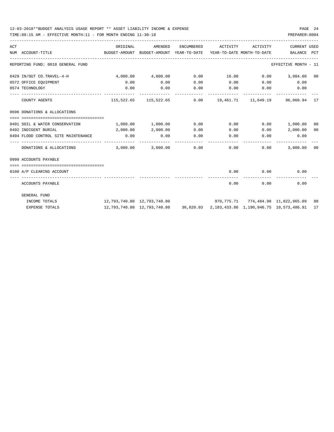| ACT | NUM ACCOUNT-TITLE                        | ORIGINAL<br>BUDGET-AMOUNT BUDGET-AMOUNT YEAR-TO-DATE YEAR-TO-DATE MONTH-TO-DATE BALANCE PCT | AMENDED                                                                                     | ENCUMBERED | ACTIVITY ACTIVITY |                                | <b>CURRENT USED</b>                    |  |
|-----|------------------------------------------|---------------------------------------------------------------------------------------------|---------------------------------------------------------------------------------------------|------------|-------------------|--------------------------------|----------------------------------------|--|
|     | REPORTING FUND: 0010 GENERAL FUND        |                                                                                             |                                                                                             |            |                   |                                | EFFECTIVE MONTH - 11                   |  |
|     | 0429 IN/OUT CO.TRAVEL-4-H                | $4,000.00$ $4,000.00$                                                                       |                                                                                             |            |                   |                                | $0.00$ $16.00$ $0.00$ $3,984.00$ $00$  |  |
|     | 0572 OFFICE EQUIPMENT                    | 0.00                                                                                        | 0.00                                                                                        | 0.00       |                   |                                | $0.00$ $0.00$ $0.00$ $0.00$            |  |
|     | 0574 TECHNOLOGY                          | 0.00                                                                                        | 0.00                                                                                        |            |                   |                                | $0.00$ $0.00$ $0.00$ $0.00$ $0.00$     |  |
|     | COUNTY AGENTS                            |                                                                                             | 115,522.65 115,522.65 0.00 19,461.71 11,649.19 96,060.94 17                                 |            |                   |                                |                                        |  |
|     | 0696 DONATIONS & ALLOCATIONS             |                                                                                             |                                                                                             |            |                   |                                |                                        |  |
|     | 0491 SOIL & WATER CONSERVATION           | $1,000.00$ $1,000.00$                                                                       |                                                                                             | 0.00       |                   |                                | $0.00$ $0.00$ $1,000.00$ $00$          |  |
|     | 0492 INDIGENT BURIAL                     |                                                                                             | 2,000.00 2,000.00                                                                           | 0.00       |                   | 0.00                           | $0.00$ 2,000.00 00                     |  |
|     | 0494 FLOOD CONTROL SITE MAINTENANCE 0.00 |                                                                                             | 0.00                                                                                        | 0.00       |                   |                                | $0.00$ $0.00$ $0.00$ $0.00$            |  |
|     |                                          |                                                                                             |                                                                                             |            |                   | $0.00$ $0.00$                  | --------------<br>3,000.00 00          |  |
|     | 0999 ACCOUNTS PAYABLE                    |                                                                                             |                                                                                             |            |                   |                                |                                        |  |
|     | 0100 A/P CLEARING ACCOUNT                |                                                                                             |                                                                                             |            |                   | $0.00$ 0.00                    | 0.00                                   |  |
|     | ACCOUNTS PAYABLE                         |                                                                                             |                                                                                             |            |                   | -------------<br>$0.00$ $0.00$ | 0.00                                   |  |
|     | GENERAL FUND                             |                                                                                             |                                                                                             |            |                   |                                |                                        |  |
|     | INCOME TOTALS                            |                                                                                             |                                                                                             |            |                   |                                | 970,775.71 774,484.98 11,822,965.09 08 |  |
|     | <b>EXPENSE TOTALS</b>                    |                                                                                             | 12, 793, 740.80 12, 793, 740.80 36, 820.03 2, 183, 433.86 1, 190, 946.75 10, 573, 486.91 17 |            |                   |                                |                                        |  |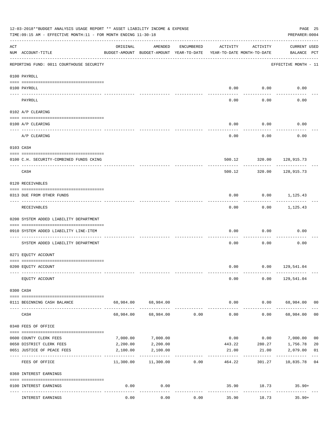|     | 12-03-2018**BUDGET ANALYSIS USAGE REPORT ** ASSET LIABILITY INCOME & EXPENSE<br>TIME: 09:15 AM - EFFECTIVE MONTH: 11 - FOR MONTH ENDING 11-30-18 |                                          |                                                     |            |                                        |                            | PAGE 25<br>PREPARER: 0004           |                |
|-----|--------------------------------------------------------------------------------------------------------------------------------------------------|------------------------------------------|-----------------------------------------------------|------------|----------------------------------------|----------------------------|-------------------------------------|----------------|
| ACT | NUM ACCOUNT-TITLE                                                                                                                                | ORIGINAL                                 | AMENDED<br>BUDGET-AMOUNT BUDGET-AMOUNT YEAR-TO-DATE | ENCUMBERED | ACTIVITY<br>YEAR-TO-DATE MONTH-TO-DATE | ACTIVITY                   | <b>CURRENT USED</b><br>BALANCE PCT  |                |
|     | ____________________________________<br>REPORTING FUND: 0011 COURTHOUSE SECURITY                                                                 |                                          |                                                     |            |                                        |                            | EFFECTIVE MONTH - 11                |                |
|     | 0100 PAYROLL                                                                                                                                     |                                          |                                                     |            |                                        |                            |                                     |                |
|     | 0100 PAYROLL                                                                                                                                     |                                          |                                                     |            | 0.00                                   | 0.00                       | 0.00                                |                |
|     | ---- ----<br>PAYROLL                                                                                                                             |                                          |                                                     |            | 0.00                                   | -------<br>0.00            | 0.00                                |                |
|     | 0102 A/P CLEARING                                                                                                                                |                                          |                                                     |            |                                        |                            |                                     |                |
|     |                                                                                                                                                  |                                          |                                                     |            |                                        |                            |                                     |                |
|     | 0100 A/P CLEARING                                                                                                                                |                                          |                                                     |            | 0.00                                   | 0.00                       | 0.00                                |                |
|     | A/P CLEARING                                                                                                                                     |                                          |                                                     |            | 0.00                                   | 0.00                       | 0.00                                |                |
|     | 0103 CASH                                                                                                                                        |                                          |                                                     |            |                                        |                            |                                     |                |
|     | 0100 C.H. SECURITY-COMBINED FUNDS CKING                                                                                                          |                                          |                                                     |            | 500.12                                 |                            | 320.00 128,915.73                   |                |
|     | CASH                                                                                                                                             |                                          |                                                     |            | 500.12                                 | 320.00                     | .<br>128,915.73                     |                |
|     | 0120 RECEIVABLES                                                                                                                                 |                                          |                                                     |            |                                        |                            |                                     |                |
|     | 0313 DUE FROM OTHER FUNDS                                                                                                                        |                                          |                                                     |            | 0.00                                   |                            | $0.00$ 1,125.43                     |                |
|     | RECEIVABLES                                                                                                                                      |                                          |                                                     |            | 0.00                                   | ---------                  | .<br>$0.00$ 1,125.43                |                |
|     | 0200 SYSTEM ADDED LIABILITY DEPARTMENT                                                                                                           |                                          |                                                     |            |                                        |                            |                                     |                |
|     | 0910 SYSTEM ADDED LIABILITY LINE-ITEM                                                                                                            |                                          |                                                     |            | 0.00                                   | 0.00                       | 0.00                                |                |
|     | SYSTEM ADDED LIABILITY DEPARTMENT                                                                                                                |                                          |                                                     |            | 0.00                                   | 0.00                       | 0.00                                |                |
|     | 0271 EQUITY ACCOUNT                                                                                                                              |                                          |                                                     |            |                                        |                            |                                     |                |
|     | 0200 EQUITY ACCOUNT                                                                                                                              |                                          |                                                     |            |                                        | $0.00$ $0.00$ $129,541.04$ |                                     |                |
|     | EQUITY ACCOUNT                                                                                                                                   |                                          |                                                     |            | 0.00                                   |                            | $0.00$ 129,541.04                   |                |
|     | 0300 CASH                                                                                                                                        |                                          |                                                     |            |                                        |                            |                                     |                |
|     |                                                                                                                                                  |                                          |                                                     |            |                                        |                            |                                     |                |
|     | 0111 BEGINNING CASH BALANCE                                                                                                                      |                                          | 68,984.00 68,984.00<br>-------------                |            | 0.00<br>-------------                  | ----------                 | $0.00$ 68,984.00 00<br>------------ |                |
|     | CASH                                                                                                                                             | 68,984.00                                | 68,984.00                                           | 0.00       | 0.00                                   | 0.00                       | 68,984.00                           | 0 <sub>0</sub> |
|     | 0340 FEES OF OFFICE                                                                                                                              |                                          |                                                     |            |                                        |                            |                                     |                |
|     | 0600 COUNTY CLERK FEES                                                                                                                           | 7,000.00                                 | 7,000.00                                            |            | 0.00                                   | 0.00                       | 7,000.00                            | 0 <sub>0</sub> |
|     | 0650 DISTRICT CLERK FEES                                                                                                                         | 2,200.00                                 | 2,200.00                                            |            | 443.22                                 | 280.27                     | 1,756.78                            | 20             |
|     | 0651 JUSTICE OF PEACE FEES                                                                                                                       | 2,100.00<br>------------- -------------- | 2,100.00                                            |            | 21.00                                  | 21.00                      | 2,079.00<br>------------            | 01             |
|     | FEES OF OFFICE                                                                                                                                   | 11,300.00                                | 11,300.00                                           | 0.00       | 464.22                                 | 301.27                     | 10,835.78 04                        |                |
|     | 0360 INTEREST EARNINGS                                                                                                                           |                                          |                                                     |            |                                        |                            |                                     |                |
|     | 0100 INTEREST EARNINGS                                                                                                                           | 0.00                                     | 0.00<br>$- - - - -$                                 |            |                                        | -----------                | 35.90 18.73 35.90+                  |                |
|     | INTEREST EARNINGS                                                                                                                                | 0.00                                     | 0.00                                                | 0.00       | 35.90                                  | 18.73                      | $35.90+$                            |                |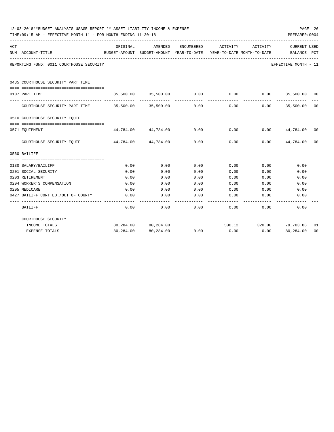|     | 12-03-2018**BUDGET ANALYSIS USAGE REPORT ** ASSET LIABILITY INCOME & EXPENSE<br>TIME: 09:15 AM - EFFECTIVE MONTH: 11 - FOR MONTH ENDING 11-30-18 |          |                          |      |                                                                                                     |                         | PAGE 26<br>PREPARER: 0004      |    |
|-----|--------------------------------------------------------------------------------------------------------------------------------------------------|----------|--------------------------|------|-----------------------------------------------------------------------------------------------------|-------------------------|--------------------------------|----|
| ACT | NUM ACCOUNT-TITLE                                                                                                                                | ORIGINAL | AMENDED                  |      | ENCUMBERED ACTIVITY ACTIVITY<br>BUDGET-AMOUNT BUDGET-AMOUNT YEAR-TO-DATE YEAR-TO-DATE MONTH-TO-DATE |                         | CURRENT USED<br>BALANCE PCT    |    |
|     | REPORTING FUND: 0011 COURTHOUSE SECURITY                                                                                                         |          |                          |      |                                                                                                     |                         | EFFECTIVE MONTH - 11           |    |
|     | 0435 COURTHOUSE SECURITY PART TIME                                                                                                               |          |                          |      |                                                                                                     |                         |                                |    |
|     | 0107 PART TIME                                                                                                                                   |          | 35,500.00 35,500.00 0.00 |      | 0.00                                                                                                | $0.00$ 35,500.00 00     |                                |    |
|     | COURTHOUSE SECURITY PART TIME 35,500.00 35,500.00                                                                                                |          |                          | 0.00 | _____________<br>0.00                                                                               | ------------<br>0.00    | --------------<br>35,500.00 00 |    |
|     | 0510 COURTHOUSE SECURITY EOUIP                                                                                                                   |          |                          |      |                                                                                                     |                         |                                |    |
|     | 0571 EOUIPMENT                                                                                                                                   |          |                          |      | $44,784.00$ $44,784.00$ $0.00$ $0.00$ $0.00$ $44,784.00$ $00$                                       |                         |                                |    |
|     | COURTHOUSE SECURITY EQUIP                                                                                                                        |          | 44,784.00 44,784.00      | 0.00 | 0.00                                                                                                |                         | $0.00$ $44,784.00$ 00          |    |
|     | 0560 BAILIFF                                                                                                                                     |          |                          |      |                                                                                                     |                         |                                |    |
|     | 0130 SALARY/BAILIFF                                                                                                                              | 0.00     | 0.00                     | 0.00 | 0.00                                                                                                | 0.00                    | 0.00                           |    |
|     | 0201 SOCIAL SECURITY                                                                                                                             | 0.00     | 0.00                     | 0.00 | 0.00                                                                                                | 0.00                    | 0.00                           |    |
|     | 0203 RETIREMENT                                                                                                                                  | 0.00     | 0.00                     | 0.00 | 0.00                                                                                                | 0.00                    | 0.00                           |    |
|     | 0204 WORKER'S COMPENSATION                                                                                                                       | 0.00     | 0.00                     | 0.00 | 0.00                                                                                                | 0.00                    | 0.00                           |    |
|     | 0205 MEDICARE                                                                                                                                    | 0.00     | 0.00                     | 0.00 | 0.00                                                                                                | 0.00                    | 0.00                           |    |
|     | 0427 BAILIFF CONT.ED./OUT OF COUNTY                                                                                                              | 0.00     | 0.00                     | 0.00 | 0.00                                                                                                | 0.00                    | 0.00                           |    |
|     | BAILIFF                                                                                                                                          | 0.00     | 0.00                     | 0.00 | 0.00                                                                                                | 0.00                    | -----------<br>0.00            |    |
|     | COURTHOUSE SECURITY                                                                                                                              |          |                          |      |                                                                                                     |                         |                                |    |
|     | INCOME TOTALS                                                                                                                                    |          | 80,284.00 80,284.00      |      |                                                                                                     | 500.12 320.00 79,783.88 |                                | 01 |
|     | EXPENSE TOTALS                                                                                                                                   |          | 80,284.00 80,284.00      | 0.00 | 0.00                                                                                                |                         | $0.00$ 80,284.00               | 00 |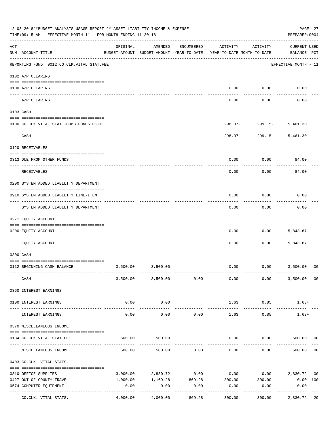|     | 12-03-2018**BUDGET ANALYSIS USAGE REPORT ** ASSET LIABILITY INCOME & EXPENSE<br>TIME: 09:15 AM - EFFECTIVE MONTH: 11 - FOR MONTH ENDING 11-30-18<br>PREPARER: 0004 |                                                      |                        |                    |                                        |                     |                                    |                |  |  |  |
|-----|--------------------------------------------------------------------------------------------------------------------------------------------------------------------|------------------------------------------------------|------------------------|--------------------|----------------------------------------|---------------------|------------------------------------|----------------|--|--|--|
| ACT | NUM ACCOUNT-TITLE                                                                                                                                                  | ORIGINAL<br>BUDGET-AMOUNT BUDGET-AMOUNT YEAR-TO-DATE | AMENDED                | ENCUMBERED         | ACTIVITY<br>YEAR-TO-DATE MONTH-TO-DATE | ACTIVITY            | <b>CURRENT USED</b><br>BALANCE PCT |                |  |  |  |
|     | REPORTING FUND: 0012 CO.CLK.VITAL STAT.FEE                                                                                                                         |                                                      |                        |                    |                                        |                     | EFFECTIVE MONTH - 11               |                |  |  |  |
|     | 0102 A/P CLEARING                                                                                                                                                  |                                                      |                        |                    |                                        |                     |                                    |                |  |  |  |
|     | 0100 A/P CLEARING                                                                                                                                                  |                                                      |                        |                    | 0.00                                   | 0.00                | 0.00                               |                |  |  |  |
|     | ---- ----------<br>A/P CLEARING                                                                                                                                    |                                                      |                        |                    | 0.00                                   | 0.00                | 0.00                               |                |  |  |  |
|     | 0103 CASH                                                                                                                                                          |                                                      |                        |                    |                                        |                     |                                    |                |  |  |  |
|     | 0100 CO.CLK.VITAL STAT.-COMB.FUNDS CKIN                                                                                                                            |                                                      |                        |                    |                                        |                     | 298.37- 299.15- 5,461.30           |                |  |  |  |
|     | CASH                                                                                                                                                               |                                                      |                        |                    | 298.37-                                | .<br>299.15-        | -------------<br>5,461.30          |                |  |  |  |
|     | 0120 RECEIVABLES                                                                                                                                                   |                                                      |                        |                    |                                        |                     |                                    |                |  |  |  |
|     | 0313 DUE FROM OTHER FUNDS                                                                                                                                          |                                                      |                        |                    | 0.00                                   | 0.00                | 84.00                              |                |  |  |  |
|     | RECEIVABLES                                                                                                                                                        |                                                      |                        |                    | 0.00                                   | 0.00                | 84.00                              |                |  |  |  |
|     | 0200 SYSTEM ADDED LIABILITY DEPARTMENT                                                                                                                             |                                                      |                        |                    |                                        |                     |                                    |                |  |  |  |
|     | 0910 SYSTEM ADDED LIABILITY LINE-ITEM                                                                                                                              |                                                      |                        |                    | 0.00                                   | 0.00                | 0.00                               |                |  |  |  |
|     | SYSTEM ADDED LIABILITY DEPARTMENT                                                                                                                                  |                                                      |                        |                    | 0.00                                   | 0.00                | 0.00                               |                |  |  |  |
|     | 0271 EQUITY ACCOUNT                                                                                                                                                |                                                      |                        |                    |                                        |                     |                                    |                |  |  |  |
|     | 0200 EQUITY ACCOUNT                                                                                                                                                |                                                      |                        |                    | 0.00                                   | 0.00                | 5,843.67                           |                |  |  |  |
|     | EQUITY ACCOUNT                                                                                                                                                     |                                                      |                        |                    | 0.00                                   | 0.00                | 5,843.67                           |                |  |  |  |
|     | 0300 CASH                                                                                                                                                          |                                                      |                        |                    |                                        |                     |                                    |                |  |  |  |
|     | 0112 BEGINNING CASH BALANCE                                                                                                                                        |                                                      | 3,500.00 3,500.00      |                    | 0.00                                   |                     | $0.00$ 3,500.00                    | 0 <sup>0</sup> |  |  |  |
|     | CASH                                                                                                                                                               |                                                      | 3,500.00 3,500.00      | 0.00               | 0.00                                   | 0.00                | 3,500.00                           | 0 <sub>0</sub> |  |  |  |
|     | 0360 INTEREST EARNINGS                                                                                                                                             |                                                      |                        |                    |                                        |                     |                                    |                |  |  |  |
|     | 0100 INTEREST EARNINGS                                                                                                                                             | 0.00                                                 | 0.00                   |                    | 1.63                                   | 0.85                | $1.63+$                            |                |  |  |  |
|     | INTEREST EARNINGS                                                                                                                                                  | 0.00                                                 | -----------<br>0.00    | 0.00               | -------------<br>1.63                  | -----------<br>0.85 | $1.63+$                            |                |  |  |  |
|     | 0370 MISCELLANEOUS INCOME                                                                                                                                          |                                                      |                        |                    |                                        |                     |                                    |                |  |  |  |
|     | 0134 CO.CLK.VITAL STAT.FEE                                                                                                                                         | 500.00                                               | 500.00                 |                    | 0.00                                   |                     | $0.00$ 500.00                      | 00             |  |  |  |
|     | MISCELLANEOUS INCOME                                                                                                                                               | 500.00                                               | 500.00                 | 0.00               | 0.00                                   | 0.00                | 500.00                             | 0 <sub>0</sub> |  |  |  |
|     | 0403 CO.CLK. VITAL STATS.                                                                                                                                          |                                                      |                        |                    |                                        |                     |                                    |                |  |  |  |
|     | 0310 OFFICE SUPPLIES                                                                                                                                               |                                                      | 3,000.00 2,830.72 0.00 |                    |                                        |                     | $0.00$ $0.00$ $2,830.72$           | 0 <sub>0</sub> |  |  |  |
|     | 0427 OUT OF COUNTY TRAVEL                                                                                                                                          | 1,000.00                                             |                        | 1,169.28 869.28    | 300.00                                 | 300.00              | 0.00 100                           |                |  |  |  |
|     | 0574 COMPUTER EQUIPMENT                                                                                                                                            | 0.00                                                 | 0.00<br>----------     | 0.00<br>---------- | 0.00                                   | 0.00                | 0.00<br>. <u>.</u>                 |                |  |  |  |
|     | CO.CLK. VITAL STATS.                                                                                                                                               | 4,000.00                                             | 4,000.00               | 869.28             | 300.00                                 | 300.00              | 2,830.72 29                        |                |  |  |  |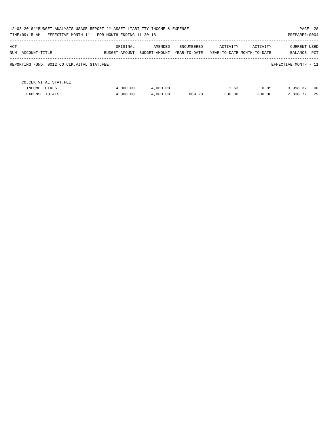| PAGE 28<br>12-03-2018**BUDGET ANALYSIS USAGE REPORT ** ASSET LIABILITY INCOME & EXPENSE<br>TIME:09:15 AM - EFFECTIVE MONTH:11 - FOR MONTH ENDING 11-30-18<br>PREPARER: 0004 |                           |                          |                            |                |                                        |                         |            |  |  |
|-----------------------------------------------------------------------------------------------------------------------------------------------------------------------------|---------------------------|--------------------------|----------------------------|----------------|----------------------------------------|-------------------------|------------|--|--|
| ACT<br>NUM<br>ACCOUNT-TITLE                                                                                                                                                 | ORIGINAL<br>BUDGET-AMOUNT | AMENDED<br>BUDGET-AMOUNT | ENCUMBERED<br>YEAR-TO-DATE | ACTIVITY       | ACTIVITY<br>YEAR-TO-DATE MONTH-TO-DATE | CURRENT USED<br>BALANCE | <b>PCT</b> |  |  |
| REPORTING FUND: 0012 CO.CLK.VITAL STAT.FEE                                                                                                                                  |                           |                          |                            |                |                                        | EFFECTIVE MONTH - 11    |            |  |  |
| CO. CLK. VITAL STAT. FEE<br>INCOME TOTALS<br><b>EXPENSE TOTALS</b>                                                                                                          | 4,000.00<br>4,000.00      | 4,000.00<br>4,000.00     | 869.28                     | 1.63<br>300.00 | 0.85<br>300.00                         | 3,998.37<br>2,830.72    | 00<br>29   |  |  |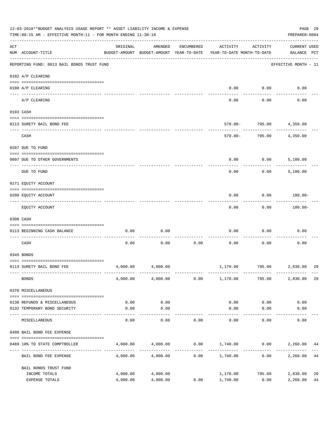|     | 12-03-2018**BUDGET ANALYSIS USAGE REPORT ** ASSET LIABILITY INCOME & EXPENSE<br>TIME: 09:15 AM - EFFECTIVE MONTH: 11 - FOR MONTH ENDING 11-30-18 |                                                      |                      |                    |                                                           |                          | PAGE 29<br>PREPARER: 0004          |          |
|-----|--------------------------------------------------------------------------------------------------------------------------------------------------|------------------------------------------------------|----------------------|--------------------|-----------------------------------------------------------|--------------------------|------------------------------------|----------|
| ACT | NUM ACCOUNT-TITLE                                                                                                                                | ORIGINAL<br>BUDGET-AMOUNT BUDGET-AMOUNT YEAR-TO-DATE | AMENDED              | ENCUMBERED         | ACTIVITY<br>YEAR-TO-DATE MONTH-TO-DATE                    | ACTIVITY                 | <b>CURRENT USED</b><br>BALANCE PCT |          |
|     | REPORTING FUND: 0013 BAIL BONDS TRUST FUND                                                                                                       |                                                      |                      |                    |                                                           |                          | EFFECTIVE MONTH - 11               |          |
|     | 0102 A/P CLEARING                                                                                                                                |                                                      |                      |                    |                                                           |                          |                                    |          |
|     | 0100 A/P CLEARING<br>---- ---------                                                                                                              |                                                      |                      |                    | 0.00                                                      | 0.00                     | 0.00                               |          |
|     | A/P CLEARING                                                                                                                                     |                                                      |                      |                    | 0.00                                                      | 0.00                     | 0.00                               |          |
|     | 0103 CASH                                                                                                                                        |                                                      |                      |                    |                                                           |                          |                                    |          |
|     | 0113 SURETY BAIL BOND FEE                                                                                                                        |                                                      |                      |                    | $570.00 -$                                                | 795.00                   | 4,350.00                           |          |
|     | CASH                                                                                                                                             |                                                      |                      |                    | 570.00-                                                   | ---------<br>795.00      | 4,350.00                           |          |
|     | 0207 DUE TO FUND                                                                                                                                 |                                                      |                      |                    |                                                           |                          |                                    |          |
|     |                                                                                                                                                  |                                                      |                      |                    |                                                           |                          |                                    |          |
|     | 0097 DUE TO OTHER GOVERNMENTS                                                                                                                    |                                                      |                      |                    | 0.00                                                      | 0.00                     | 5,100.00                           |          |
|     | DUE TO FUND                                                                                                                                      |                                                      |                      |                    | 0.00                                                      | 0.00                     | 5,100.00                           |          |
|     | 0271 EQUITY ACCOUNT                                                                                                                              |                                                      |                      |                    |                                                           |                          |                                    |          |
|     | 0200 EQUITY ACCOUNT                                                                                                                              |                                                      |                      |                    | 0.00                                                      | 0.00                     | 180.00-                            |          |
|     | EQUITY ACCOUNT                                                                                                                                   |                                                      |                      |                    | 0.00                                                      | 0.00                     | 180.00-                            |          |
|     | 0300 CASH                                                                                                                                        |                                                      |                      |                    |                                                           |                          |                                    |          |
|     | 0113 BEGINNING CASH BALANCE                                                                                                                      | 0.00                                                 | 0.00                 |                    | 0.00                                                      | 0.00                     | 0.00                               |          |
|     | ----------------------------<br>CASH                                                                                                             | 0.00                                                 | 0.00                 | 0.00               | 0.00                                                      | 0.00                     | 0.00                               |          |
|     | 0345 BONDS                                                                                                                                       |                                                      |                      |                    |                                                           |                          |                                    |          |
|     | 0113 SURETY BAIL BOND FEE                                                                                                                        | 4,000.00                                             | 4,000.00             |                    |                                                           | 1,170.00 795.00 2,830.00 |                                    | 29       |
|     | <b>BONDS</b>                                                                                                                                     |                                                      | 4,000.00 4,000.00    | 0.00               | 1,170.00                                                  | 795.00                   | 2,830.00                           | 29       |
|     | 0370 MISCELLANEOUS                                                                                                                               |                                                      |                      |                    |                                                           |                          |                                    |          |
|     | 0130 REFUNDS & MISCELLANEOUS                                                                                                                     | 0.00                                                 | 0.00                 |                    | 0.00                                                      | 0.00                     | 0.00                               |          |
|     | 0132 TEMPORARY BOND SECURITY                                                                                                                     | 0.00                                                 | 0.00                 |                    | 0.00                                                      | 0.00                     | 0.00                               |          |
|     | ----------------------<br>MISCELLANEOUS                                                                                                          | -------------<br>0.00                                | ---------<br>0.00    | 0.00               | 0.00                                                      | 0.00                     | 0.00                               |          |
|     | 0498 BAIL BOND FEE EXPENSE                                                                                                                       |                                                      |                      |                    |                                                           |                          |                                    |          |
|     | 0489 10% TO STATE COMPTROLLER                                                                                                                    |                                                      |                      |                    | $4,000.00$ $4,000.00$ $0.00$ $1,740.00$ $0.00$ $2,260.00$ |                          |                                    | 44       |
|     | BAIL BOND FEE EXPENSE                                                                                                                            | 4,000.00                                             | 4,000.00             | . <u>.</u><br>0.00 | 1,740.00                                                  | -----------<br>0.00      | 2,260.00                           | 44       |
|     | BAIL BONDS TRUST FUND                                                                                                                            |                                                      |                      |                    |                                                           |                          |                                    |          |
|     | INCOME TOTALS<br>EXPENSE TOTALS                                                                                                                  | 4,000.00<br>4,000.00                                 | 4,000.00<br>4,000.00 | 0.00               | 1,170.00<br>1,740.00                                      | 795.00<br>0.00           | 2,830.00<br>2,260.00               | 29<br>44 |
|     |                                                                                                                                                  |                                                      |                      |                    |                                                           |                          |                                    |          |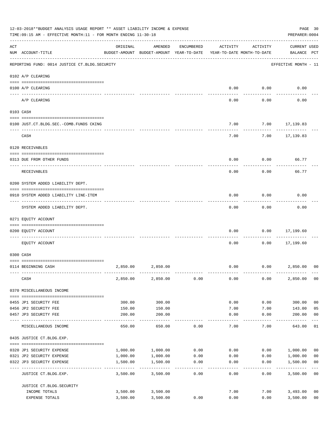|     | 12-03-2018**BUDGET ANALYSIS USAGE REPORT ** ASSET LIABILITY INCOME & EXPENSE<br>TIME:09:15 AM - EFFECTIVE MONTH:11 - FOR MONTH ENDING 11-30-18 |                  |                                                     |            |                                        |                     | PREPARER: 0004                     | PAGE 30                 |
|-----|------------------------------------------------------------------------------------------------------------------------------------------------|------------------|-----------------------------------------------------|------------|----------------------------------------|---------------------|------------------------------------|-------------------------|
| ACT | NUM ACCOUNT-TITLE                                                                                                                              | ORIGINAL         | AMENDED<br>BUDGET-AMOUNT BUDGET-AMOUNT YEAR-TO-DATE | ENCUMBERED | ACTIVITY<br>YEAR-TO-DATE MONTH-TO-DATE | ACTIVITY            | <b>CURRENT USED</b><br>BALANCE PCT |                         |
|     | REPORTING FUND: 0014 JUSTICE CT. BLDG. SECURITY                                                                                                |                  |                                                     |            |                                        |                     | EFFECTIVE MONTH - 11               |                         |
|     | 0102 A/P CLEARING                                                                                                                              |                  |                                                     |            |                                        |                     |                                    |                         |
|     | 0100 A/P CLEARING                                                                                                                              |                  |                                                     |            | 0.00                                   | 0.00                | 0.00                               |                         |
|     | ---- ---------<br>A/P CLEARING                                                                                                                 |                  |                                                     |            | 0.00                                   | 0.00                | 0.00                               |                         |
|     | 0103 CASH                                                                                                                                      |                  |                                                     |            |                                        |                     |                                    |                         |
|     | 0100 JUST.CT.BLDG.SEC.-COMB.FUNDS CKING                                                                                                        |                  |                                                     |            | 7.00                                   |                     | 7.00 17,139.83                     |                         |
|     | CASH                                                                                                                                           |                  |                                                     |            | 7.00                                   | 7.00                | 17,139.83                          |                         |
|     | 0120 RECEIVABLES                                                                                                                               |                  |                                                     |            |                                        |                     |                                    |                         |
|     | 0313 DUE FROM OTHER FUNDS                                                                                                                      |                  |                                                     |            | 0.00                                   | 0.00                | 66.77                              |                         |
|     | RECEIVABLES                                                                                                                                    |                  |                                                     |            | 0.00                                   | 0.00                | 66.77                              |                         |
|     | 0200 SYSTEM ADDED LIABILITY DEPT.                                                                                                              |                  |                                                     |            |                                        |                     |                                    |                         |
|     | 0910 SYSTEM ADDED LIABILITY LINE-ITEM                                                                                                          |                  |                                                     |            | 0.00                                   | 0.00                | 0.00                               |                         |
|     | SYSTEM ADDED LIABILITY DEPT.                                                                                                                   |                  |                                                     |            | 0.00                                   | 0.00                | 0.00                               |                         |
|     | 0271 EQUITY ACCOUNT                                                                                                                            |                  |                                                     |            |                                        |                     |                                    |                         |
|     | 0200 EQUITY ACCOUNT                                                                                                                            |                  |                                                     |            | 0.00                                   | 0.00                | 17,199.60                          |                         |
|     | EQUITY ACCOUNT                                                                                                                                 |                  |                                                     |            | 0.00                                   | 0.00                | .<br>17,199.60                     |                         |
|     | 0300 CASH                                                                                                                                      |                  |                                                     |            |                                        |                     |                                    |                         |
|     | 0114 BEGINNING CASH                                                                                                                            | 2,850.00         | 2,850.00                                            |            | 0.00                                   |                     | 0.00<br>2,850.00                   | 0 <sup>0</sup>          |
|     | CASH                                                                                                                                           | 2,850.00         | 2,850.00                                            | 0.00       | 0.00                                   | 0.00                | 2,850.00                           | 0 <sub>0</sub>          |
|     | 0370 MISCELLANEOUS INCOME                                                                                                                      |                  |                                                     |            |                                        |                     |                                    |                         |
|     |                                                                                                                                                |                  |                                                     |            |                                        |                     |                                    |                         |
|     | 0455 JP1 SECURITY FEE<br>0456 JP2 SECURITY FEE                                                                                                 | 300.00<br>150.00 | 300.00<br>150.00                                    |            | 0.00<br>7.00                           | 0.00<br>7.00        | 300.00<br>143.00                   | 0 <sub>0</sub><br>05    |
|     | 0457 JP3 SECURITY FEE                                                                                                                          | 200.00           | 200.00                                              |            | 0.00                                   | 0.00                | 200.00                             | 0 <sub>0</sub>          |
|     | MISCELLANEOUS INCOME                                                                                                                           | 650.00           | -----------<br>650.00                               | 0.00       | -----<br>7.00                          | $- - - - -$<br>7.00 | --------<br>643.00                 | 01                      |
|     | 0435 JUSTICE CT.BLDG.EXP.                                                                                                                      |                  |                                                     |            |                                        |                     |                                    |                         |
|     | 0320 JP1 SECURITY EXPENSE                                                                                                                      | 1,000.00         | 1,000.00                                            | 0.00       | 0.00                                   |                     | 0.00 1,000.00                      | 0 <sub>0</sub>          |
|     | 0321 JP2 SECURITY EXPENSE                                                                                                                      | 1,000.00         | 1,000.00                                            | 0.00       | 0.00                                   | 0.00                | 1,000.00                           | 0 <sub>0</sub>          |
|     | 0322 JP3 SECURITY EXPENSE                                                                                                                      | 1,500.00         | 1,500.00<br>----------                              | 0.00       | 0.00                                   | 0.00                | 1,500.00                           | 0 <sub>0</sub><br>$---$ |
|     | JUSTICE CT.BLDG.EXP.                                                                                                                           | 3,500.00         | 3,500.00                                            | 0.00       | 0.00                                   | 0.00                | 3,500.00                           | 0 <sub>0</sub>          |
|     | JUSTICE CT. BLDG. SECURITY                                                                                                                     |                  |                                                     |            |                                        |                     |                                    |                         |
|     | INCOME TOTALS                                                                                                                                  | 3,500.00         | 3,500.00                                            |            | 7.00                                   |                     | 7.00<br>3,493.00                   | 0 <sub>0</sub>          |
|     | EXPENSE TOTALS                                                                                                                                 | 3,500.00         | 3,500.00                                            | 0.00       | 0.00                                   | 0.00                | 3,500.00                           | 0 <sub>0</sub>          |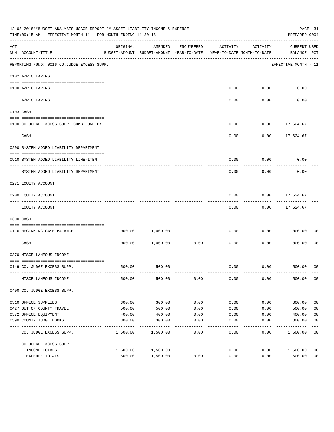|     | 12-03-2018**BUDGET ANALYSIS USAGE REPORT ** ASSET LIABILITY INCOME & EXPENSE<br>TIME:09:15 AM - EFFECTIVE MONTH:11 - FOR MONTH ENDING 11-30-18 |          |                                                     |            |                                        |          | PREPARER: 0004                     | PAGE 31        |
|-----|------------------------------------------------------------------------------------------------------------------------------------------------|----------|-----------------------------------------------------|------------|----------------------------------------|----------|------------------------------------|----------------|
| ACT | NUM ACCOUNT-TITLE                                                                                                                              | ORIGINAL | AMENDED<br>BUDGET-AMOUNT BUDGET-AMOUNT YEAR-TO-DATE | ENCUMBERED | ACTIVITY<br>YEAR-TO-DATE MONTH-TO-DATE | ACTIVITY | <b>CURRENT USED</b><br>BALANCE PCT |                |
|     | --------------------------------------<br>REPORTING FUND: 0016 CO.JUDGE EXCESS SUPP.                                                           |          |                                                     |            |                                        |          | EFFECTIVE MONTH - 11               |                |
|     | 0102 A/P CLEARING                                                                                                                              |          |                                                     |            |                                        |          |                                    |                |
|     | 0100 A/P CLEARING                                                                                                                              |          |                                                     |            | 0.00                                   | 0.00     | 0.00                               |                |
|     | ---- -------------<br>A/P CLEARING                                                                                                             |          |                                                     |            | 0.00                                   | 0.00     | 0.00                               |                |
|     | 0103 CASH                                                                                                                                      |          |                                                     |            |                                        |          |                                    |                |
|     | 0100 CO.JUDGE EXCESS SUPP.-COMB.FUND CK                                                                                                        |          |                                                     |            | 0.00                                   |          | $0.00$ 17,624.67                   |                |
|     | CASH                                                                                                                                           |          |                                                     |            | 0.00                                   |          | $0.00$ 17,624.67                   |                |
|     | 0200 SYSTEM ADDED LIABILITY DEPARTMENT                                                                                                         |          |                                                     |            |                                        |          |                                    |                |
|     | 0910 SYSTEM ADDED LIABILITY LINE-ITEM                                                                                                          |          |                                                     |            | 0.00                                   | 0.00     | 0.00                               |                |
|     | SYSTEM ADDED LIABILITY DEPARTMENT                                                                                                              |          |                                                     |            | 0.00                                   | 0.00     | 0.00                               |                |
|     | 0271 EQUITY ACCOUNT                                                                                                                            |          |                                                     |            |                                        |          |                                    |                |
|     | 0200 EQUITY ACCOUNT                                                                                                                            |          |                                                     |            | 0.00                                   |          | $0.00$ 17,624.67<br>-----------    |                |
|     | EQUITY ACCOUNT                                                                                                                                 |          |                                                     |            | 0.00                                   | 0.00     | 17,624.67                          |                |
|     | 0300 CASH                                                                                                                                      |          |                                                     |            |                                        |          |                                    |                |
|     | 0116 BEGINNING CASH BALANCE<br>----------------------------                                                                                    | 1,000.00 | 1,000.00                                            |            | 0.00                                   |          | $0.00$ 1,000.00                    | 00             |
|     | CASH                                                                                                                                           |          | 1,000.00 1,000.00                                   | 0.00       | 0.00                                   | 0.00     | 1,000.00                           | 0 <sub>0</sub> |
|     | 0370 MISCELLANEOUS INCOME                                                                                                                      |          |                                                     |            |                                        |          |                                    |                |
|     | 0149 CO. JUDGE EXCESS SUPP.                                                                                                                    | 500.00   | 500.00                                              |            |                                        |          | $0.00$ $0.00$ $500.00$ 00          |                |
|     | MISCELLANEOUS INCOME                                                                                                                           | 500.00   | 500.00                                              | 0.00       | 0.00                                   | 0.00     | 500.00                             | 00             |
|     | 0400 CO. JUDGE EXCESS SUPP.                                                                                                                    |          |                                                     |            |                                        |          |                                    |                |
|     | 0310 OFFICE SUPPLIES                                                                                                                           | 300.00   | 300.00                                              | 0.00       | 0.00                                   | 0.00     | 300.00                             | 0 <sub>0</sub> |
|     | 0427 OUT OF COUNTY TRAVEL                                                                                                                      | 500.00   | 500.00                                              | 0.00       | 0.00                                   | 0.00     | 500.00                             | 0 <sub>0</sub> |
|     | 0572 OFFICE EQUIPMENT                                                                                                                          | 400.00   | 400.00                                              | 0.00       | 0.00                                   | 0.00     | 400.00                             | 0 <sub>0</sub> |
|     | 0590 COUNTY JUDGE BOOKS                                                                                                                        | 300.00   | 300.00                                              | 0.00       | 0.00                                   | 0.00     | 300.00                             | 0 <sub>0</sub> |
|     | CO. JUDGE EXCESS SUPP.                                                                                                                         | 1,500.00 | 1,500.00                                            | 0.00       | 0.00                                   | 0.00     | 1,500.00                           | 0 <sub>0</sub> |
|     | CO.JUDGE EXCESS SUPP.                                                                                                                          |          |                                                     |            |                                        |          |                                    |                |
|     | INCOME TOTALS                                                                                                                                  | 1,500.00 | 1,500.00                                            |            | 0.00                                   | 0.00     | 1,500.00                           | 0 <sub>0</sub> |
|     | EXPENSE TOTALS                                                                                                                                 | 1,500.00 | 1,500.00                                            | 0.00       | 0.00                                   | 0.00     | 1,500.00                           | 0 <sub>0</sub> |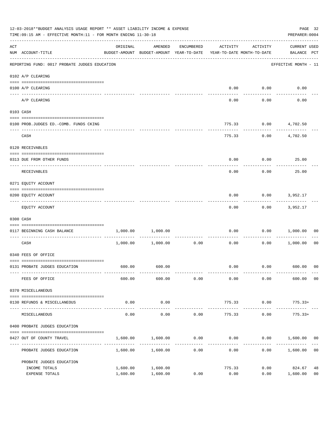|     | 12-03-2018**BUDGET ANALYSIS USAGE REPORT ** ASSET LIABILITY INCOME & EXPENSE<br>TIME: 09:15 AM - EFFECTIVE MONTH: 11 - FOR MONTH ENDING 11-30-18 |          |                                                                                |            |                           |                    | PREPARER: 0004                     | PAGE 32        |
|-----|--------------------------------------------------------------------------------------------------------------------------------------------------|----------|--------------------------------------------------------------------------------|------------|---------------------------|--------------------|------------------------------------|----------------|
| ACT | NUM ACCOUNT-TITLE                                                                                                                                | ORIGINAL | AMENDED<br>BUDGET-AMOUNT BUDGET-AMOUNT YEAR-TO-DATE YEAR-TO-DATE MONTH-TO-DATE | ENCUMBERED | ACTIVITY                  | ACTIVITY           | <b>CURRENT USED</b><br>BALANCE PCT |                |
|     | REPORTING FUND: 0017 PROBATE JUDGES EDUCATION                                                                                                    |          |                                                                                |            |                           |                    | EFFECTIVE MONTH - 11               |                |
|     | 0102 A/P CLEARING                                                                                                                                |          |                                                                                |            |                           |                    |                                    |                |
|     | 0100 A/P CLEARING<br>_____ _____________                                                                                                         |          |                                                                                |            | 0.00                      | 0.00               | 0.00                               |                |
|     | A/P CLEARING                                                                                                                                     |          |                                                                                |            | 0.00                      | 0.00               | 0.00                               |                |
|     | 0103 CASH                                                                                                                                        |          |                                                                                |            |                           |                    |                                    |                |
|     | 0100 PROB.JUDGES ED.-COMB. FUNDS CKING                                                                                                           |          |                                                                                |            | 775.33                    |                    | $0.00$ $4,702.50$                  |                |
|     | CASH                                                                                                                                             |          |                                                                                |            | 775.33                    | 0.00               | 4,702.50                           |                |
|     | 0120 RECEIVABLES                                                                                                                                 |          |                                                                                |            |                           |                    |                                    |                |
|     | 0313 DUE FROM OTHER FUNDS                                                                                                                        |          |                                                                                |            | 0.00                      | 0.00               | 25.00                              |                |
|     | RECEIVABLES                                                                                                                                      |          |                                                                                |            | 0.00                      | 0.00               | 25.00                              |                |
|     | 0271 EQUITY ACCOUNT                                                                                                                              |          |                                                                                |            |                           |                    |                                    |                |
|     | 0200 EQUITY ACCOUNT                                                                                                                              |          |                                                                                |            | 0.00                      | 0.00               | 3,952.17                           |                |
|     | EQUITY ACCOUNT                                                                                                                                   |          |                                                                                |            | 0.00                      |                    | 0.00<br>3,952.17                   |                |
|     | 0300 CASH                                                                                                                                        |          |                                                                                |            |                           |                    |                                    |                |
|     | 0117 BEGINNING CASH BALANCE                                                                                                                      | 1,000.00 | 1,000.00                                                                       |            | 0.00                      | 0.00               | 1,000.00                           | 00             |
|     | ----------------------------- --<br>CASH                                                                                                         |          | 1,000.00 1,000.00                                                              | 0.00       | 0.00                      | 0.00               | 1,000.00                           | 0 <sub>0</sub> |
|     | 0340 FEES OF OFFICE                                                                                                                              |          |                                                                                |            |                           |                    |                                    |                |
|     | 0131 PROBATE JUDGES EDUCATION                                                                                                                    | 600.00   | 600.00                                                                         |            | 0.00                      |                    | $0.00$ 600.00 00                   |                |
|     | FEES OF OFFICE                                                                                                                                   | 600.00   | 600.00                                                                         | 0.00       | 0.00                      | 0.00               | 600.00 00                          |                |
|     | 0370 MISCELLANEOUS                                                                                                                               |          |                                                                                |            |                           |                    |                                    |                |
|     | 0130 REFUNDS & MISCELLANEOUS                                                                                                                     | 0.00     | 0.00                                                                           |            | 775.33                    | 0.00               | $775.33+$                          |                |
|     | MISCELLANEOUS                                                                                                                                    | 0.00     | ------------<br>0.00                                                           | 0.00       | ---------------<br>775.33 | ----------<br>0.00 | $775.33+$                          |                |
|     | 0400 PROBATE JUDGES EDUCATION                                                                                                                    |          |                                                                                |            |                           |                    |                                    |                |
|     | 0427 OUT OF COUNTY TRAVEL                                                                                                                        | 1,600.00 | 1,600.00                                                                       | 0.00       | 0.00                      |                    | $0.00$ 1,600.00 00                 |                |
|     | PROBATE JUDGES EDUCATION                                                                                                                         |          | 1,600.00 1,600.00                                                              | 0.00       | 0.00                      |                    | 0.00 1,600.00                      | 0 <sub>0</sub> |
|     | PROBATE JUDGES EDUCATION                                                                                                                         |          |                                                                                |            |                           |                    |                                    |                |
|     | INCOME TOTALS                                                                                                                                    | 1,600.00 | 1,600.00                                                                       |            | 775.33                    | 0.00               | 824.67                             | 48             |
|     | EXPENSE TOTALS                                                                                                                                   | 1,600.00 | 1,600.00                                                                       | 0.00       | 0.00                      | 0.00               | 1,600.00                           | 0 <sub>0</sub> |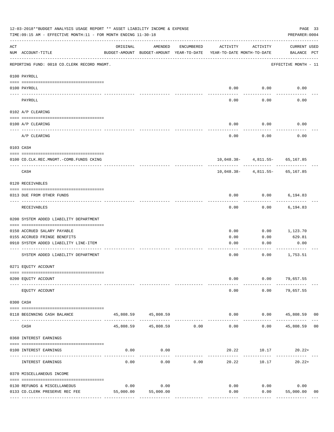|     | 12-03-2018**BUDGET ANALYSIS USAGE REPORT ** ASSET LIABILITY INCOME & EXPENSE<br>TIME: 09:15 AM - EFFECTIVE MONTH: 11 - FOR MONTH ENDING 11-30-18 |           |                                       |              |                                                                                 |                                | PAGE 33<br>PREPARER: 0004                   |
|-----|--------------------------------------------------------------------------------------------------------------------------------------------------|-----------|---------------------------------------|--------------|---------------------------------------------------------------------------------|--------------------------------|---------------------------------------------|
| ACT | NUM ACCOUNT-TITLE                                                                                                                                | ORIGINAL  | AMENDED                               | ENCUMBERED   | ACTIVITY<br>BUDGET-AMOUNT BUDGET-AMOUNT YEAR-TO-DATE YEAR-TO-DATE MONTH-TO-DATE | ACTIVITY                       | CURRENT USED<br>BALANCE PCT                 |
|     | REPORTING FUND: 0018 CO.CLERK RECORD MNGMT.                                                                                                      |           |                                       |              |                                                                                 |                                | EFFECTIVE MONTH - 11                        |
|     | 0100 PAYROLL                                                                                                                                     |           |                                       |              |                                                                                 |                                |                                             |
|     | 0100 PAYROLL                                                                                                                                     |           |                                       |              |                                                                                 | $0.00$ $0.00$                  | 0.00                                        |
|     | PAYROLL                                                                                                                                          |           |                                       |              | 0.00                                                                            | 0.00                           | 0.00                                        |
|     | 0102 A/P CLEARING                                                                                                                                |           |                                       |              |                                                                                 |                                |                                             |
|     | 0100 A/P CLEARING                                                                                                                                |           |                                       |              | 0.00                                                                            | 0.00                           | 0.00                                        |
|     | A/P CLEARING                                                                                                                                     |           |                                       |              | 0.00                                                                            | 0.00                           | 0.00                                        |
|     | 0103 CASH                                                                                                                                        |           |                                       |              |                                                                                 |                                |                                             |
|     | 0100 CO.CLK.REC.MNGMT.-COMB.FUNDS CKING                                                                                                          |           |                                       |              |                                                                                 | 10,048.38- 4,811.55- 65,167.85 |                                             |
|     | -----------------------------<br>CASH                                                                                                            |           |                                       |              |                                                                                 | 10,048.38- 4,811.55- 65,167.85 |                                             |
|     | 0120 RECEIVABLES                                                                                                                                 |           |                                       |              |                                                                                 |                                |                                             |
|     | 0313 DUE FROM OTHER FUNDS                                                                                                                        |           |                                       |              | 0.00                                                                            | $0.00$ 6,194.83                |                                             |
|     | RECEIVABLES                                                                                                                                      |           |                                       |              | 0.00                                                                            | 0.00                           | 6,194.83                                    |
|     | 0200 SYSTEM ADDED LIABILITY DEPARTMENT                                                                                                           |           |                                       |              |                                                                                 |                                |                                             |
|     | 0150 ACCRUED SALARY PAYABLE                                                                                                                      |           |                                       |              | 0.00                                                                            | 0.00                           | 1,123.70                                    |
|     | 0155 ACCRUED FRINGE BENEFITS<br>0910 SYSTEM ADDED LIABILITY LINE-ITEM                                                                            |           |                                       |              | 0.00                                                                            | 0.00                           | 629.81                                      |
|     |                                                                                                                                                  |           |                                       |              | 0.00                                                                            | 0.00                           | 0.00                                        |
|     | SYSTEM ADDED LIABILITY DEPARTMENT                                                                                                                |           |                                       |              | 0.00                                                                            | 0.00                           | 1,753.51                                    |
|     | 0271 EQUITY ACCOUNT                                                                                                                              |           |                                       |              |                                                                                 |                                |                                             |
|     | 0200 EQUITY ACCOUNT                                                                                                                              |           |                                       |              | 0.00                                                                            |                                | $0.00$ 79,657.55                            |
|     | EQUITY ACCOUNT                                                                                                                                   |           |                                       |              | 0.00                                                                            | 0.00                           | 79,657.55                                   |
|     | 0300 CASH                                                                                                                                        |           |                                       |              |                                                                                 |                                |                                             |
|     | 0118 BEGINNING CASH BALANCE                                                                                                                      |           | 45,808.59 45,808.59<br>______________ |              |                                                                                 |                                | $0.00$ $0.00$ $45,808.59$<br>0 <sub>0</sub> |
|     | CASH                                                                                                                                             |           | 45,808.59 45,808.59 0.00              | ------------ | 0.00                                                                            | ----------                     | $0.00$ 45,808.59 00                         |
|     | 0360 INTEREST EARNINGS                                                                                                                           |           |                                       |              |                                                                                 |                                |                                             |
|     | 0100 INTEREST EARNINGS                                                                                                                           | 0.00      | 0.00                                  |              |                                                                                 | $20.22$ $10.17$ $20.22+$       |                                             |
|     | INTEREST EARNINGS                                                                                                                                | 0.00      | 0.00                                  | 0.00         | 20.22                                                                           | 10.17                          | $20.22+$                                    |
|     | 0370 MISCELLANEOUS INCOME                                                                                                                        |           |                                       |              |                                                                                 |                                |                                             |
|     | 0130 REFUNDS & MISCELLANEOUS                                                                                                                     | 0.00      | 0.00                                  |              | 0.00                                                                            | 0.00                           | 0.00                                        |
|     | 0133 CO.CLERK PRESERVE REC FEE                                                                                                                   | 55,000.00 | 55,000.00                             |              | 0.00                                                                            | 0.00                           | 55,000.00<br>00                             |
|     |                                                                                                                                                  |           |                                       |              |                                                                                 |                                |                                             |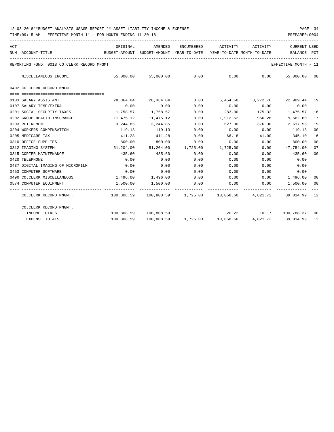| ACT | NUM ACCOUNT-TITLE                                                                        | ORIGINAL<br>BUDGET-AMOUNT BUDGET-AMOUNT YEAR-TO-DATE YEAR-TO-DATE MONTH-TO-DATE | AMENDED                                             |      | ENCUMBERED ACTIVITY | ACTIVITY | <b>CURRENT USED</b><br><b>BALANCE</b>                                      | PCT |
|-----|------------------------------------------------------------------------------------------|---------------------------------------------------------------------------------|-----------------------------------------------------|------|---------------------|----------|----------------------------------------------------------------------------|-----|
|     | REPORTING FUND: 0018 CO.CLERK RECORD MNGMT.                                              | ---------------------------------                                               |                                                     |      |                     |          | EFFECTIVE MONTH - 11                                                       |     |
|     | MISCELLANEOUS INCOME                                                                     |                                                                                 | $55,000.00$ $55,000.00$ $0.00$ $0.00$ $0.00$ $0.00$ |      |                     |          | 55,000.00 00                                                               |     |
|     | 0402 CO.CLERK RECORD MNGMT.                                                              |                                                                                 |                                                     |      |                     |          |                                                                            |     |
|     |                                                                                          |                                                                                 |                                                     |      |                     |          |                                                                            |     |
|     | 0103 SALARY ASSISTANT                                                                    | 28,364.04                                                                       | 28,364.04                                           | 0.00 |                     |          | 5,454.60 3,272.76 22,909.44 19                                             |     |
|     | 0107 SALARY TEMP/EXTRA                                                                   | 0.00                                                                            | 0.00                                                | 0.00 | 0.00                | 0.00     | 0.00                                                                       |     |
|     | 0201 SOCIAL SECURITY TAXES                                                               |                                                                                 | 1,758.57 1,758.57                                   | 0.00 | 283.00              |          | 175.32 1,475.57                                                            | 16  |
|     | 0202 GROUP HEALTH INSURANCE                                                              |                                                                                 | 11,475.12 11,475.12                                 | 0.00 | 1,912.52            | 956.26   | 9,562.60                                                                   | 17  |
|     | 0203 RETIREMENT                                                                          |                                                                                 | 3, 244, 85 3, 244, 85                               | 0.00 | 627.30              | 376.38   | 2,617.55                                                                   | 19  |
|     | 0204 WORKERS COMPENSATION                                                                | 119.13                                                                          | 119.13                                              | 0.00 | 0.00                | 0.00     | 119.13                                                                     | 00  |
|     | 0205 MEDICARE TAX                                                                        | 411.28                                                                          | 411.28                                              | 0.00 | 66.18               | 41.00    | 345.10                                                                     | 16  |
|     | 0310 OFFICE SUPPLIES                                                                     | 800.00                                                                          | 800.00                                              | 0.00 | 0.00                | 0.00     | 800.00                                                                     | 00  |
|     | 0312 IMAGING SYSTEM                                                                      |                                                                                 |                                                     |      |                     |          | $51,204.00$ $51,204.00$ $1,725.00$ $1,725.00$ $0.00$ $47,754.00$           | 07  |
|     | 0315 COPIER MAINTENANCE                                                                  | 435.60                                                                          | 435.60                                              | 0.00 | 0.00                | 0.00     | 435.60                                                                     | 00  |
|     | 0420 TELEPHONE                                                                           | 0.00                                                                            | 0.00                                                | 0.00 | 0.00                | 0.00     | 0.00                                                                       |     |
|     | 0437 DIGITAL IMAGING OF MICROFILM                                                        | 0.00                                                                            | 0.00                                                | 0.00 | 0.00                | 0.00     | 0.00                                                                       |     |
|     | 0453 COMPUTER SOFTWARE                                                                   | 0.00                                                                            | 0.00                                                | 0.00 | 0.00                | 0.00     | 0.00                                                                       |     |
|     | 0490 CO. CLERK MISCELLANEOUS                                                             | $1,496.00$ $1,496.00$ 0.00                                                      |                                                     |      |                     |          | $0.00$ $0.00$ $1,496.00$                                                   | 00  |
|     | 0574 COMPUTER EOUIPMENT                                                                  |                                                                                 | 1,500.00 1,500.00 0.00                              |      |                     |          | $0.00$ $0.00$ $1,500.00$                                                   | 00  |
|     | CO.CLERK RECORD MNGMT. 49 100,808.59 100,808.59 1,725.00 10,068.60 4,821.72 89,014.99 12 |                                                                                 |                                                     |      |                     |          |                                                                            |     |
|     | CO.CLERK RECORD MNGMT.                                                                   |                                                                                 |                                                     |      |                     |          |                                                                            |     |
|     | INCOME TOTALS                                                                            |                                                                                 | 100,808.59 100,808.59                               |      |                     |          | 20.22 10.17 100,788.37 00                                                  |     |
|     | <b>EXPENSE TOTALS</b>                                                                    |                                                                                 |                                                     |      |                     |          | $100,808.59$ $100,808.59$ $1,725.00$ $10,068.60$ $4,821.72$ $89,014.99$ 12 |     |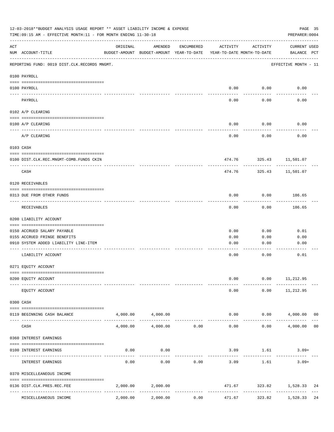| 12-03-2018**BUDGET ANALYSIS USAGE REPORT ** ASSET LIABILITY INCOME & EXPENSE<br>PAGE 35<br>TIME: 09:15 AM - EFFECTIVE MONTH: 11 - FOR MONTH ENDING 11-30-18<br>PREPARER: 0004 |                                                |                                                      |                   |             |                                        |                         |                             |  |  |  |
|-------------------------------------------------------------------------------------------------------------------------------------------------------------------------------|------------------------------------------------|------------------------------------------------------|-------------------|-------------|----------------------------------------|-------------------------|-----------------------------|--|--|--|
| ACT                                                                                                                                                                           | NUM ACCOUNT-TITLE                              | ORIGINAL<br>BUDGET-AMOUNT BUDGET-AMOUNT YEAR-TO-DATE | AMENDED           | ENCUMBERED  | ACTIVITY<br>YEAR-TO-DATE MONTH-TO-DATE | ACTIVITY                | CURRENT USED<br>BALANCE PCT |  |  |  |
|                                                                                                                                                                               | REPORTING FUND: 0019 DIST.CLK.RECORDS MNGMT.   |                                                      |                   |             |                                        |                         | EFFECTIVE MONTH - 11        |  |  |  |
|                                                                                                                                                                               | 0100 PAYROLL                                   |                                                      |                   |             |                                        |                         |                             |  |  |  |
|                                                                                                                                                                               | 0100 PAYROLL                                   |                                                      |                   |             | 0.00                                   | 0.00                    | 0.00                        |  |  |  |
|                                                                                                                                                                               | ---- -------<br>PAYROLL                        |                                                      |                   |             | 0.00                                   | -------<br>0.00         | 0.00                        |  |  |  |
|                                                                                                                                                                               | 0102 A/P CLEARING                              |                                                      |                   |             |                                        |                         |                             |  |  |  |
|                                                                                                                                                                               | 0100 A/P CLEARING                              |                                                      |                   |             | 0.00                                   | 0.00                    | 0.00                        |  |  |  |
|                                                                                                                                                                               | A/P CLEARING                                   |                                                      |                   |             | 0.00                                   | 0.00                    | 0.00                        |  |  |  |
|                                                                                                                                                                               | 0103 CASH                                      |                                                      |                   |             |                                        |                         |                             |  |  |  |
|                                                                                                                                                                               | 0100 DIST.CLK.REC.MNGMT-COMB.FUNDS CKIN        |                                                      |                   |             |                                        | 474.76 325.43 11,501.07 |                             |  |  |  |
|                                                                                                                                                                               | CASH                                           |                                                      |                   |             | 474.76                                 | .<br>325.43             | 11,501.07                   |  |  |  |
|                                                                                                                                                                               | 0120 RECEIVABLES                               |                                                      |                   |             |                                        |                         |                             |  |  |  |
|                                                                                                                                                                               | 0313 DUE FROM OTHER FUNDS                      |                                                      |                   |             | 0.00                                   | 0.00                    | 186.65                      |  |  |  |
|                                                                                                                                                                               | RECEIVABLES                                    |                                                      |                   |             | 0.00                                   | 0.00                    | ---------<br>186.65         |  |  |  |
|                                                                                                                                                                               | 0200 LIABILITY ACCOUNT                         |                                                      |                   |             |                                        |                         |                             |  |  |  |
|                                                                                                                                                                               | 0150 ACCRUED SALARY PAYABLE                    |                                                      |                   |             | 0.00                                   | 0.00                    | 0.01                        |  |  |  |
|                                                                                                                                                                               | 0155 ACCRUED FRINGE BENEFITS                   |                                                      |                   |             | 0.00                                   | 0.00                    | 0.00                        |  |  |  |
|                                                                                                                                                                               | 0910 SYSTEM ADDED LIABILITY LINE-ITEM          |                                                      |                   |             | 0.00                                   | 0.00                    | 0.00                        |  |  |  |
|                                                                                                                                                                               | LIABILITY ACCOUNT                              |                                                      |                   |             | 0.00                                   | 0.00                    | 0.01                        |  |  |  |
|                                                                                                                                                                               | 0271 EQUITY ACCOUNT                            |                                                      |                   |             |                                        |                         |                             |  |  |  |
|                                                                                                                                                                               | 0200 EQUITY ACCOUNT                            |                                                      |                   |             | 0.00                                   | 0.00                    | 11,212.95                   |  |  |  |
|                                                                                                                                                                               | EQUITY ACCOUNT                                 |                                                      |                   |             | 0.00                                   | 0.00                    | 11,212.95                   |  |  |  |
|                                                                                                                                                                               | 0300 CASH                                      |                                                      |                   |             |                                        |                         |                             |  |  |  |
|                                                                                                                                                                               | 0119 BEGINNING CASH BALANCE                    |                                                      | 4,000.00 4,000.00 |             |                                        | 0.00                    | $0.00$ $4,000.00$ 00        |  |  |  |
|                                                                                                                                                                               | CASH                                           | 4,000.00                                             | 4,000.00          | 0.00        | 0.00                                   | 0.00                    | 4,000.00<br>0 <sub>0</sub>  |  |  |  |
|                                                                                                                                                                               | 0360 INTEREST EARNINGS                         |                                                      |                   |             |                                        |                         |                             |  |  |  |
|                                                                                                                                                                               | 0100 INTEREST EARNINGS                         | 0.00                                                 | 0.00              |             |                                        | 3.09 1.61               | $3.09+$                     |  |  |  |
|                                                                                                                                                                               | INTEREST EARNINGS                              | 0.00                                                 | 0.00              | 0.00        | 3.09                                   | 1.61                    | $3.09+$                     |  |  |  |
|                                                                                                                                                                               | 0370 MISCELLEANEOUS INCOME                     |                                                      |                   |             |                                        |                         |                             |  |  |  |
|                                                                                                                                                                               | 0136 DIST.CLK.PRES.REC.FEE<br>---------------- | 2,000.00                                             | 2,000.00          | ----------- | 471.67<br>-------------                | ------------            | 323.82 1,528.33<br>24       |  |  |  |
|                                                                                                                                                                               | MISCELLEANEOUS INCOME                          | 2,000.00                                             | 2,000.00          | 0.00        | 471.67                                 | 323.82                  | 1,528.33<br>24              |  |  |  |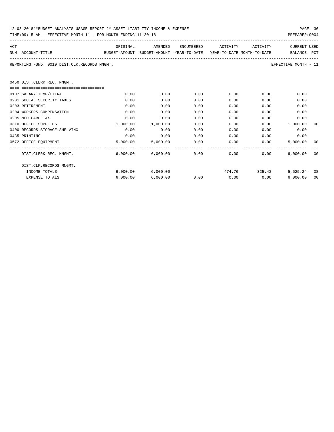| 12-03-2018**BUDGET ANALYSIS USAGE REPORT ** ASSET LIABILITY INCOME & EXPENSE | PAGE 36        |
|------------------------------------------------------------------------------|----------------|
| TIME:09:15 AM - EFFECTIVE MONTH:11 - FOR MONTH ENDING 11-30-18               | PREPARER: 0004 |

| ACT |                                              | ORIGINAL                                                            |                                                   |      | AMENDED ENCUMBERED ACTIVITY ACTIVITY |              | CURRENT USED         |    |
|-----|----------------------------------------------|---------------------------------------------------------------------|---------------------------------------------------|------|--------------------------------------|--------------|----------------------|----|
|     | NUM ACCOUNT-TITLE                            | BUDGET-AMOUNT BUDGET-AMOUNT YEAR-TO-DATE YEAR-TO-DATE_MONTH-TO-DATE |                                                   |      |                                      |              | BALANCE PCT          |    |
|     | REPORTING FUND: 0019 DIST.CLK.RECORDS MNGMT. |                                                                     |                                                   |      |                                      |              | EFFECTIVE MONTH - 11 |    |
|     | 0450 DIST.CLERK REC. MNGMT.                  |                                                                     |                                                   |      |                                      |              |                      |    |
|     |                                              |                                                                     |                                                   |      |                                      |              |                      |    |
|     | 0107 SALARY TEMP/EXTRA                       | 0.00                                                                | 0.00                                              | 0.00 |                                      | 0.00<br>0.00 | 0.00                 |    |
|     | 0201 SOCIAL SECURITY TAXES                   | 0.00                                                                | 0.00                                              | 0.00 | 0.00                                 | 0.00         | 0.00                 |    |
|     | 0203 RETIREMENT                              | 0.00                                                                | 0.00                                              | 0.00 | 0.00                                 | 0.00         | 0.00                 |    |
|     | 0204 WORKERS COMPENSATION                    | 0.00                                                                | 0.00                                              | 0.00 | 0.00                                 | 0.00         | 0.00                 |    |
|     | 0205 MEDICARE TAX                            | 0.00                                                                | 0.00                                              | 0.00 | 0.00                                 | 0.00         | 0.00                 |    |
|     | 0310 OFFICE SUPPLIES                         | 1,000.00                                                            | 1,000.00                                          | 0.00 | 0.00                                 |              | $0.00$ 1,000.00      | 00 |
|     | 0400 RECORDS STORAGE SHELVING                | 0.00                                                                | 0.00                                              | 0.00 | 0.00                                 | 0.00         | 0.00                 |    |
|     | 0435 PRINTING                                | 0.00                                                                | 0.00                                              | 0.00 | 0.00                                 | 0.00         | 0.00                 |    |
|     | 0572 OFFICE EQUIPMENT                        |                                                                     | 5,000.00 5,000.00 0.00                            |      | $0.00$ 0.00                          |              | 5,000.00 00          |    |
|     | DIST.CLERK REC. MNGMT.                       |                                                                     | $6,000.00$ $6,000.00$ $0.00$ $0.00$ $0.00$ $0.00$ |      |                                      |              | 6.000.00000          |    |
|     | DIST.CLK.RECORDS MNGMT.                      |                                                                     |                                                   |      |                                      |              |                      |    |
|     | INCOME TOTALS                                |                                                                     | 6,000.00 6,000.00                                 |      | 474.76 325.43                        |              | $5.525.24$ 08        |    |
|     | <b>EXPENSE TOTALS</b>                        | 6,000.00                                                            | 6,000.00                                          | 0.00 | $0.00$ 0.00                          |              | 6,000.00             | 00 |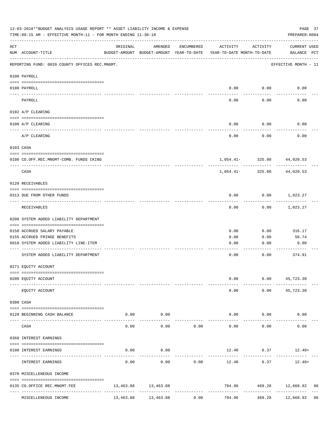|                    | 12-03-2018**BUDGET ANALYSIS USAGE REPORT ** ASSET LIABILITY INCOME & EXPENSE<br>TIME: 09:15 AM - EFFECTIVE MONTH: 11 - FOR MONTH ENDING 11-30-18 |           |                                                     |               |                                        |                            | PAGE 37<br>PREPARER: 0004                |    |
|--------------------|--------------------------------------------------------------------------------------------------------------------------------------------------|-----------|-----------------------------------------------------|---------------|----------------------------------------|----------------------------|------------------------------------------|----|
| $\mathop{\rm ACT}$ | NUM ACCOUNT-TITLE                                                                                                                                | ORIGINAL  | AMENDED<br>BUDGET-AMOUNT BUDGET-AMOUNT YEAR-TO-DATE | ENCUMBERED    | ACTIVITY<br>YEAR-TO-DATE MONTH-TO-DATE | ACTIVITY                   | CURRENT USED<br>BALANCE PCT              |    |
|                    | REPORTING FUND: 0020 COUNTY OFFICES REC.MNGMT.                                                                                                   |           |                                                     |               |                                        |                            | EFFECTIVE MONTH - 11                     |    |
|                    | 0100 PAYROLL                                                                                                                                     |           |                                                     |               |                                        |                            |                                          |    |
|                    | 0100 PAYROLL                                                                                                                                     |           |                                                     |               |                                        | $0.00$ $0.00$              | 0.00                                     |    |
|                    | PAYROLL                                                                                                                                          |           |                                                     |               | 0.00                                   | 0.00                       | 0.00                                     |    |
|                    | 0102 A/P CLEARING                                                                                                                                |           |                                                     |               |                                        |                            |                                          |    |
|                    | 0100 A/P CLEARING                                                                                                                                |           |                                                     |               | 0.00                                   | 0.00                       | 0.00                                     |    |
|                    | A/P CLEARING                                                                                                                                     |           |                                                     |               | 0.00                                   | 0.00                       | 0.00                                     |    |
|                    | 0103 CASH                                                                                                                                        |           |                                                     |               |                                        |                            |                                          |    |
|                    | 0100 CO.OFF.REC.MNGMT-COMB. FUNDS CKING                                                                                                          |           |                                                     |               |                                        | 1,054.41- 325.80 44,020.53 |                                          |    |
|                    | -------------------------------<br>CASH                                                                                                          |           |                                                     |               | 1,054.41-                              | ------------<br>325.80     | 44,020.53                                |    |
|                    | 0120 RECEIVABLES                                                                                                                                 |           |                                                     |               |                                        |                            |                                          |    |
|                    | 0313 DUE FROM OTHER FUNDS                                                                                                                        |           |                                                     |               | 0.00                                   |                            | $0.00$ 1,023.27                          |    |
|                    | RECEIVABLES                                                                                                                                      |           |                                                     |               | 0.00                                   | 0.00                       | 1,023.27                                 |    |
|                    | 0200 SYSTEM ADDED LIABILITY DEPARTMENT                                                                                                           |           |                                                     |               |                                        |                            |                                          |    |
|                    | 0150 ACCRUED SALARY PAYABLE                                                                                                                      |           |                                                     |               | 0.00                                   | 0.00                       | 316.17                                   |    |
|                    | 0155 ACCRUED FRINGE BENEFITS                                                                                                                     |           |                                                     |               | 0.00                                   | 0.00                       | 58.74                                    |    |
|                    | 0910 SYSTEM ADDED LIABILITY LINE-ITEM                                                                                                            |           |                                                     |               | 0.00                                   | 0.00                       | 0.00                                     |    |
|                    | SYSTEM ADDED LIABILITY DEPARTMENT                                                                                                                |           |                                                     |               | 0.00                                   | 0.00                       | 374.91                                   |    |
|                    | 0271 EQUITY ACCOUNT                                                                                                                              |           |                                                     |               |                                        |                            |                                          |    |
|                    | 0200 EQUITY ACCOUNT                                                                                                                              |           |                                                     |               | 0.00                                   |                            | $0.00$ 45,723.30                         |    |
|                    | EQUITY ACCOUNT                                                                                                                                   |           |                                                     |               | 0.00                                   |                            | $0.00$ 45,723.30                         |    |
|                    | 0300 CASH                                                                                                                                        |           |                                                     |               |                                        |                            |                                          |    |
|                    | 0120 BEGINNING CASH BALANCE                                                                                                                      |           | $0.00$ 0.00<br>----------                           |               |                                        | $0.00$ $0.00$              | 0.00                                     |    |
|                    | CASH                                                                                                                                             | 0.00      | 0.00                                                | 0.00          | $- - - - - -$<br>0.00                  | ----------<br>0.00         | 0.00                                     |    |
|                    | 0360 INTEREST EARNINGS                                                                                                                           |           |                                                     |               |                                        |                            |                                          |    |
|                    | 0100 INTEREST EARNINGS                                                                                                                           | 0.00      | 0.00                                                |               |                                        |                            | $12.40$ 6.37 $12.40+$                    |    |
|                    | INTEREST EARNINGS                                                                                                                                | 0.00      | 0.00                                                | 0.00          | 12.40                                  | 6.37                       | 12.40+                                   |    |
|                    | 0370 MISCELLENEOUS INCOME                                                                                                                        |           |                                                     |               |                                        |                            |                                          |    |
|                    | 0135 CO.OFFICE REC.MNGMT.FEE<br>---- --------------------                                                                                        |           | 13,463.88 13,463.88                                 | ------------- | --------------                         |                            | 794.96 469.28 12,668.92<br>------------- | 06 |
|                    | MISCELLENEOUS INCOME                                                                                                                             | 13,463.88 | 13,463.88                                           | 0.00          | 794.96                                 | 469.28                     | 12,668.92 06                             |    |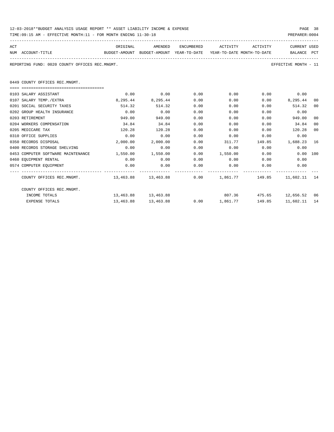| 12-03-2018**BUDGET ANALYSIS USAGE REPORT ** ASSET LIABILITY INCOME & EXPENSE | PAGE 38        |  |
|------------------------------------------------------------------------------|----------------|--|
| TIME:09:15 AM - EFFECTIVE MONTH:11 - FOR MONTH ENDING 11-30-18               | PREPARER: 0004 |  |

| ACT                                            | ORIGINAL | AMENDED                                                             | ENCUMBERED | ACTIVITY | ACTIVITY | <b>CURRENT USED</b>  |  |
|------------------------------------------------|----------|---------------------------------------------------------------------|------------|----------|----------|----------------------|--|
| NUM ACCOUNT-TITLE                              |          | BUDGET-AMOUNT BUDGET-AMOUNT YEAR-TO-DATE YEAR-TO-DATE MONTH-TO-DATE |            |          |          | BALANCE PCT          |  |
| REPORTING FUND: 0020 COUNTY OFFICES REC.MNGMT. |          |                                                                     |            |          |          | EFFECTIVE MONTH - 11 |  |
|                                                |          |                                                                     |            |          |          |                      |  |

0449 COUNTY OFFICES REC.MNGMT.

| 0103 SALARY ASSISTANT                                              | 0.00      | 0.00                | 0.00 | 0.00            | 0.00   | 0.00      |      |
|--------------------------------------------------------------------|-----------|---------------------|------|-----------------|--------|-----------|------|
| 0107 SALARY TEMP./EXTRA                                            | 8,295.44  | 8,295.44            | 0.00 | 0.00            | 0.00   | 8,295.44  | 00   |
| 0201 SOCIAL SECURITY TAXES                                         | 514.32    | 514.32              | 0.00 | 0.00            | 0.00   | 514.32    | 00   |
| 0202 GROUP HEALTH INSURANCE                                        | 0.00      | 0.00                | 0.00 | 0.00            | 0.00   | 0.00      |      |
| 0203 RETIREMENT                                                    | 949.00    | 949.00              | 0.00 | 0.00            | 0.00   | 949.00    | 00   |
| 0204 WORKERS COMPENSATION                                          | 34.84     | 34.84               | 0.00 | 0.00            | 0.00   | 34.84     | 00   |
| 0205 MEDICARE TAX                                                  | 120.28    | 120.28              | 0.00 | 0.00            | 0.00   | 120.28    | 00   |
| 0310 OFFICE SUPPLIES                                               | 0.00      | 0.00                | 0.00 | 0.00            | 0.00   | 0.00      |      |
| 0350 RECORDS DISPOSAL                                              | 2,000.00  | 2,000.00            | 0.00 | 311.77          | 149.85 | 1,688.23  | 16   |
| 0400 RECORDS STORAGE SHELVING                                      | 0.00      | 0.00                | 0.00 | 0.00            | 0.00   | 0.00      |      |
| 0453 COMPUTER SOFTWARE MAINTENANCE                                 | 1,550.00  | 1,550.00            | 0.00 | 1,550.00        | 0.00   | 0.00      | 100  |
| 0460 EQUIPMENT RENTAL                                              | 0.00      | 0.00                | 0.00 | 0.00            | 0.00   | 0.00      |      |
| 0574 COMPUTER EQUIPMENT                                            | 0.00      | 0.00                | 0.00 | 0.00            | 0.00   | 0.00      |      |
|                                                                    |           |                     |      |                 |        |           |      |
| COUNTY OFFICES REC.MNGMT. 453.88 13.463.88 13.463.88 0.00 1,861.77 |           |                     |      |                 | 149.85 | 11,602.11 | 14   |
| COUNTY OFFICES REC.MNGMT.                                          |           |                     |      |                 |        |           |      |
| INCOME TOTALS                                                      |           | 13,463.88 13,463.88 |      | 807.36          | 475.65 | 12,656.52 | - 06 |
| <b>EXPENSE TOTALS</b>                                              | 13,463.88 | 13,463.88           |      | $0.00$ 1,861.77 | 149.85 | 11,602.11 | 14   |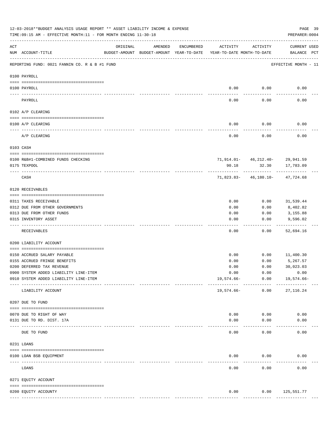|     | 12-03-2018**BUDGET ANALYSIS USAGE REPORT ** ASSET LIABILITY INCOME & EXPENSE<br>TIME:09:15 AM - EFFECTIVE MONTH:11 - FOR MONTH ENDING 11-30-18 |               |                                                     |            |                                        |                                                    | PAGE 39<br>PREPARER: 0004          |
|-----|------------------------------------------------------------------------------------------------------------------------------------------------|---------------|-----------------------------------------------------|------------|----------------------------------------|----------------------------------------------------|------------------------------------|
| ACT | NUM ACCOUNT-TITLE                                                                                                                              | ORIGINAL      | AMENDED<br>BUDGET-AMOUNT BUDGET-AMOUNT YEAR-TO-DATE | ENCUMBERED | ACTIVITY<br>YEAR-TO-DATE MONTH-TO-DATE | ACTIVITY                                           | <b>CURRENT USED</b><br>BALANCE PCT |
|     | REPORTING FUND: 0021 FANNIN CO. R & B #1 FUND                                                                                                  |               |                                                     |            |                                        |                                                    | EFFECTIVE MONTH - 11               |
|     | 0100 PAYROLL                                                                                                                                   |               |                                                     |            |                                        |                                                    |                                    |
|     | 0100 PAYROLL                                                                                                                                   |               |                                                     |            | 0.00                                   | 0.00                                               | 0.00                               |
|     | PAYROLL                                                                                                                                        |               |                                                     |            | 0.00                                   | 0.00                                               | 0.00                               |
|     | 0102 A/P CLEARING                                                                                                                              |               |                                                     |            |                                        |                                                    |                                    |
|     | 0100 A/P CLEARING                                                                                                                              |               |                                                     |            | 0.00                                   | 0.00                                               | 0.00                               |
|     | A/P CLEARING                                                                                                                                   |               |                                                     |            | 0.00                                   | 0.00                                               | 0.00                               |
|     | 0103 CASH                                                                                                                                      |               |                                                     |            |                                        |                                                    |                                    |
|     | 0100 R&B#1-COMBINED FUNDS CHECKING                                                                                                             |               |                                                     |            |                                        | $71,914.01 - 46,212.40 - 29,941.59$                |                                    |
|     | 0175 TEXPOOL                                                                                                                                   |               |                                                     |            | 90.18                                  | 32.30                                              | 17,783.09                          |
|     | CASH                                                                                                                                           |               |                                                     |            |                                        | -----------<br>$71,823.83 - 46,180.10 - 47,724.68$ |                                    |
|     | 0120 RECEIVABLES                                                                                                                               |               |                                                     |            |                                        |                                                    |                                    |
|     | 0311 TAXES RECEIVABLE                                                                                                                          |               |                                                     |            | 0.00                                   | 0.00                                               | 31,539.44                          |
|     | 0312 DUE FROM OTHER GOVERNMENTS                                                                                                                |               |                                                     |            | 0.00                                   | 0.00                                               | 8,402.82                           |
|     | 0313 DUE FROM OTHER FUNDS                                                                                                                      |               |                                                     |            | 0.00                                   | 0.00                                               | 3,155.88                           |
|     | 0315 INVENTORY ASSET                                                                                                                           |               |                                                     |            | 0.00                                   | 0.00                                               | 9,596.02                           |
|     | RECEIVABLES                                                                                                                                    |               |                                                     |            | 0.00                                   | 0.00                                               | 52,694.16                          |
|     | 0200 LIABILITY ACCOUNT                                                                                                                         |               |                                                     |            |                                        |                                                    |                                    |
|     | 0150 ACCRUED SALARY PAYABLE                                                                                                                    |               |                                                     |            | 0.00                                   | 0.00                                               | 11,400.30                          |
|     | 0155 ACCRUED FRINGE BENEFITS                                                                                                                   |               |                                                     |            | 0.00                                   | 0.00                                               | 5,267.57                           |
|     | 0200 DEFERRED TAX REVENUE                                                                                                                      |               |                                                     |            | 0.00                                   | 0.00                                               | 30,023.03                          |
|     | 0900 SYSTEM ADDED LIABILITY LINE-ITEM                                                                                                          |               |                                                     |            | 0.00                                   | 0.00                                               | 0.00                               |
|     | 0910 SYSTEM ADDED LIABILITY LINE-ITEM                                                                                                          | ------------- |                                                     |            | 19,574.66-                             | 0.00<br>------------                               | 19,574.66-                         |
|     | LIABILITY ACCOUNT                                                                                                                              |               |                                                     |            | 19,574.66-                             | 0.00                                               | 27, 116.24                         |
|     | 0207 DUE TO FUND                                                                                                                               |               |                                                     |            |                                        |                                                    |                                    |
|     | 0070 DUE TO RIGHT OF WAY                                                                                                                       |               |                                                     |            | 0.00                                   | 0.00                                               | 0.00                               |
|     | 0131 DUE TO RD. DIST. 17A                                                                                                                      |               |                                                     |            | 0.00                                   | 0.00                                               | 0.00                               |
|     | ---------------------- -----------<br>DUE TO FUND                                                                                              |               |                                                     |            | 0.00                                   | 0.00                                               | 0.00                               |
|     | 0231 LOANS                                                                                                                                     |               |                                                     |            |                                        |                                                    |                                    |
|     | 0100 LOAN BSB EQUIPMENT                                                                                                                        |               |                                                     |            | 0.00                                   | 0.00                                               | 0.00                               |
|     | LOANS                                                                                                                                          |               |                                                     |            | 0.00                                   | 0.00                                               | 0.00                               |
|     | 0271 EQUITY ACCOUNT                                                                                                                            |               |                                                     |            |                                        |                                                    |                                    |
|     |                                                                                                                                                |               |                                                     |            |                                        |                                                    |                                    |
|     | 0200 EQUITY ACCOUNTY                                                                                                                           |               |                                                     |            | 0.00<br>--------------                 | 0.00<br>------------                               | 125,551.77<br>--------------       |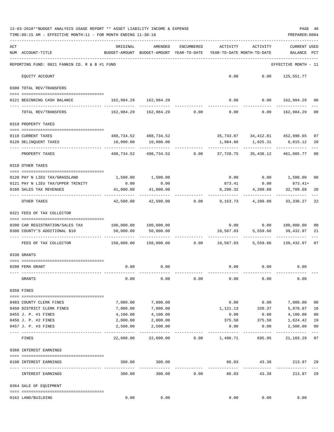|     | 12-03-2018**BUDGET ANALYSIS USAGE REPORT ** ASSET LIABILITY INCOME & EXPENSE<br>TIME:09:15 AM - EFFECTIVE MONTH:11 - FOR MONTH ENDING 11-30-18 |                                                         |                                                                          |                |                                        |                                | PREPARER: 0004                     | PAGE 40        |
|-----|------------------------------------------------------------------------------------------------------------------------------------------------|---------------------------------------------------------|--------------------------------------------------------------------------|----------------|----------------------------------------|--------------------------------|------------------------------------|----------------|
| ACT | NUM ACCOUNT-TITLE                                                                                                                              | ORIGINAL<br>BUDGET-AMOUNT BUDGET-AMOUNT YEAR-TO-DATE    | AMENDED                                                                  | ENCUMBERED     | ACTIVITY<br>YEAR-TO-DATE MONTH-TO-DATE | ACTIVITY                       | <b>CURRENT USED</b><br>BALANCE PCT |                |
|     | REPORTING FUND: 0021 FANNIN CO. R & B #1 FUND                                                                                                  |                                                         |                                                                          |                |                                        |                                | EFFECTIVE MONTH - 11               |                |
|     | EQUITY ACCOUNT                                                                                                                                 |                                                         |                                                                          |                |                                        | $0.00$ $0.00$ $125,551.77$     |                                    |                |
|     | 0300 TOTAL REV/TRANSFERS                                                                                                                       |                                                         |                                                                          |                |                                        |                                |                                    |                |
|     | 0121 BEGINNING CASH BALANCE                                                                                                                    | 162,984.29 162,984.29                                   |                                                                          |                |                                        | $0.00$ $0.00$ $162,984.29$ 00  |                                    |                |
|     | TOTAL REV/TRANSFERS                                                                                                                            |                                                         | $162,984.29$ $162,984.29$ $0.00$ $0.00$ $0.00$ $162,984.29$              |                |                                        |                                |                                    | 00             |
|     | 0310 PROPERTY TAXES                                                                                                                            |                                                         |                                                                          |                |                                        |                                |                                    |                |
|     | 0110 CURRENT TAXES                                                                                                                             |                                                         | 488,734.52 488,734.52                                                    |                |                                        | 35,743.87 34,412.81 452,990.65 |                                    | 07             |
|     | 0120 DELINQUENT TAXES                                                                                                                          | 10,000.00                                               | 10,000.00                                                                |                |                                        | 1,984.88 1,025.31 8,015.12     |                                    | 20             |
|     | PROPERTY TAXES                                                                                                                                 |                                                         | -----------<br>498,734.52 498,734.52 0.00 37,728.75 35,438.12 461,005.77 |                |                                        | -------------                  |                                    | 08             |
|     | 0318 OTHER TAXES                                                                                                                               |                                                         |                                                                          |                |                                        |                                |                                    |                |
|     | 0120 PAY N LIEU TAX/GRASSLAND                                                                                                                  |                                                         | 1,500.00 1,500.00                                                        |                |                                        | $0.00$ $0.00$ $1,500.00$       |                                    | 00             |
|     | 0121 PAY N LIEU TAX/UPPER TRINITY                                                                                                              | 0.00                                                    | 0.00                                                                     |                |                                        | 873.41 0.00 873.41+            |                                    |                |
|     | 0160 SALES TAX REVENUES                                                                                                                        | 41,000.00<br>-----------                                | 41,000.00                                                                |                | 8,290.32                               | 4,209.88                       | 32,709.68                          | 20             |
|     | OTHER TAXES                                                                                                                                    | 42,500.00                                               |                                                                          | 42,500.00 0.00 |                                        | 9,163.73 4,209.88 33,336.27    |                                    | 22             |
|     | 0321 FEES OF TAX COLLECTOR                                                                                                                     |                                                         |                                                                          |                |                                        |                                |                                    |                |
|     | 0200 CAR REGISTRATION/SALES TAX                                                                                                                | 100,000.00 100,000.00                                   |                                                                          |                |                                        | $0.00$ $0.00$ $100,000.00$     |                                    | 00             |
|     | 0300 COUNTY'S ADDITIONAL \$10                                                                                                                  | 50,000.00                                               | 50,000.00                                                                |                |                                        | 10,567.03 5,559.66             | 39,432.97                          | 21             |
|     |                                                                                                                                                |                                                         |                                                                          |                |                                        | .                              |                                    |                |
|     | FEES OF TAX COLLECTOR                                                                                                                          | $150,000.00$ $150,000.00$ $0.00$ $10,567.03$ $5,559.66$ |                                                                          |                |                                        |                                | 139,432.97                         | 07             |
|     | 0330 GRANTS                                                                                                                                    |                                                         |                                                                          |                |                                        |                                |                                    |                |
|     | 0200 FEMA GRANT                                                                                                                                |                                                         | $0.00$ 0.00                                                              |                |                                        | $0.00$ $0.00$ $0.00$           |                                    |                |
|     | GRANTS                                                                                                                                         | 0.00                                                    | 0.00                                                                     | 0.00           | 0.00                                   | 0.00                           | 0.00                               |                |
|     |                                                                                                                                                |                                                         |                                                                          |                |                                        |                                |                                    |                |
|     | 0350 FINES                                                                                                                                     |                                                         |                                                                          |                |                                        |                                |                                    |                |
|     | 0403 COUNTY CLERK FINES                                                                                                                        | 7,000.00                                                | 7,000.00                                                                 |                | 0.00                                   | 0.00                           | 7,000.00                           | 00             |
|     | 0450 DISTRICT CLERK FINES                                                                                                                      | 7,000.00                                                | 7,000.00                                                                 |                | 1,121.13                               | 320.37                         | 5,878.87                           | 16             |
|     | 0455 J. P. #1 FINES                                                                                                                            | 4,100.00                                                | 4,100.00                                                                 |                | 0.00                                   | 0.00                           | 4,100.00                           | 0 <sub>0</sub> |
|     | 0456 J. P. #2 FINES                                                                                                                            | 2,000.00                                                | 2,000.00                                                                 |                | 375.58                                 | 375.58                         | 1,624.42                           | 19             |
|     | 0457 J. P. #3 FINES                                                                                                                            | 2,500.00                                                | 2,500.00                                                                 |                | 0.00                                   | 0.00                           | 2,500.00                           | 00<br>$---$    |
|     | FINES                                                                                                                                          | 22,600.00                                               | 22,600.00                                                                |                | $0.00$ 1,496.71                        | 695.95                         | 21,103.29                          | 07             |
|     | 0360 INTEREST EARNINGS                                                                                                                         |                                                         |                                                                          |                |                                        |                                |                                    |                |
|     | 0100 INTEREST EARNINGS                                                                                                                         | 300.00                                                  | 300.00                                                                   |                | 86.03                                  | 43.38                          | 213.97 29                          |                |
|     | INTEREST EARNINGS                                                                                                                              | -----------------------------<br>300.00                 | -------------<br>300.00                                                  | 0.00           | -------------<br>86.03                 | ------------<br>43.38          | 213.97                             | 29             |
|     | 0364 SALE OF EQUIPMENT                                                                                                                         |                                                         |                                                                          |                |                                        |                                |                                    |                |
|     | 0162 LAND/BUILDING                                                                                                                             | 0.00                                                    | 0.00                                                                     |                | 0.00                                   | 0.00                           | 0.00                               |                |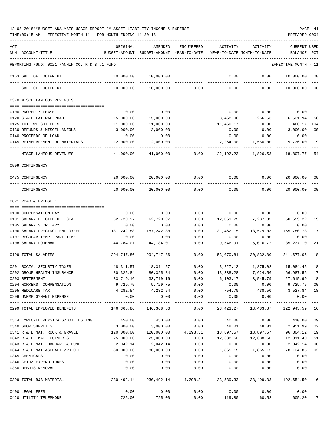| ACT |                                                                     | ORIGINAL                                                            | AMENDED                                                          | ENCUMBERED    | ACTIVITY                    | ACTIVITY         | <b>CURRENT USED</b>                                            |         |
|-----|---------------------------------------------------------------------|---------------------------------------------------------------------|------------------------------------------------------------------|---------------|-----------------------------|------------------|----------------------------------------------------------------|---------|
|     | NUM ACCOUNT-TITLE                                                   |                                                                     | BUDGET-AMOUNT BUDGET-AMOUNT YEAR-TO-DATE                         |               | YEAR-TO-DATE MONTH-TO-DATE  |                  | BALANCE                                                        | PCT     |
|     | REPORTING FUND: 0021 FANNIN CO. R & B #1 FUND                       |                                                                     |                                                                  |               |                             |                  | EFFECTIVE MONTH - 11                                           |         |
|     | 0163 SALE OF EQUIPMENT                                              | 10,000.00                                                           | 10,000.00                                                        |               | 0.00                        | 0.00             | 10,000.00                                                      | 00      |
|     | SALE OF EQUIPMENT                                                   | 10,000.00                                                           | 10,000.00                                                        | 0.00          | 0.00                        | 0.00             | 10,000.00                                                      | $_{00}$ |
|     | 0370 MISCELLANEOUS REVENUES                                         |                                                                     |                                                                  |               |                             |                  |                                                                |         |
|     | 0100 PROPERTY LEASE                                                 | 0.00                                                                | 0.00                                                             |               | 0.00                        | 0.00             | 0.00                                                           |         |
|     | 0120 STATE LATERAL ROAD                                             | 15,000.00                                                           | 15,000.00                                                        |               | 8,468.06                    | 266.53           | 6,531.94                                                       | 56      |
|     | 0125 TDT. WEIGHT FEES                                               | 11,000.00                                                           | 11,000.00                                                        |               | 11,460.17                   | 0.00             | 460.17+ 104                                                    |         |
|     | 0130 REFUNDS & MISCELLANEOUS                                        | 3,000.00                                                            | 3,000.00                                                         |               | 0.00                        | 0.00             | 3,000.00                                                       | 00      |
|     | 0140 PROCEEDS OF LOAN                                               | 0.00                                                                | 0.00                                                             |               | 0.00                        | 0.00             | 0.00                                                           |         |
|     | 0145 REIMBURSEMENT OF MATERIALS                                     | 12,000.00                                                           | 12,000.00                                                        |               | 2,264.00                    | 1,560.00         | 9,736.00                                                       | 19      |
|     | MISCELLANEOUS REVENUES                                              | ----------<br>41,000.00                                             | 41,000.00                                                        | 0.00          | 22,192.23                   | 1,826.53         | 18,807.77                                                      | 54      |
|     | 0509 CONTINGENCY                                                    |                                                                     |                                                                  |               |                             |                  |                                                                |         |
|     | 0475 CONTINGENCY                                                    | 20,000.00                                                           | 20,000.00                                                        | 0.00          | 0.00                        | 0.00             | 20,000.00                                                      | 00      |
|     | CONTINGENCY                                                         | 20,000.00                                                           | 20,000.00                                                        | 0.00          | 0.00                        | 0.00             | 20,000.00                                                      | $_{00}$ |
|     | 0621 ROAD & BRIDGE 1                                                |                                                                     |                                                                  |               |                             |                  |                                                                |         |
|     |                                                                     |                                                                     |                                                                  |               |                             |                  |                                                                |         |
|     | 0100 COMPENSATION PAY                                               | 0.00                                                                | 0.00                                                             | 0.00          | 0.00                        | 0.00             | 0.00                                                           |         |
|     | 0101 SALARY ELECTED OFFICIAL<br>0105 SALARY SECRETARY               | 62,720.97<br>0.00                                                   | 62,720.97<br>0.00                                                | 0.00<br>0.00  | 12,061.75<br>0.00           | 7,237.05<br>0.00 | 50,659.22<br>0.00                                              | 19      |
|     | 0106 SALARY PRECINCT EMPLOYEES                                      | 187,242.88                                                          | 187,242.88                                                       | 0.00          | 31,462.15                   | 18,579.03        | 155,780.73                                                     | 17      |
|     | 0107 REGULAR-TEMP. PART-TIME                                        | 0.00                                                                | 0.00                                                             | 0.00          | 0.00                        | 0.00             | 0.00                                                           |         |
|     | 0108 SALARY-FOREMAN                                                 | 44,784.01                                                           | 44,784.01                                                        | 0.00          | 9,546.91                    | 5,016.72         | 35,237.10                                                      | 21      |
|     | 0199 TOTAL SALARIES                                                 | 294,747.86                                                          | 294,747.86                                                       | 0.00          | 53,070.81                   | 30,832.80        | 241,677.05                                                     | 18      |
|     | 0201 SOCIAL SECURITY TAXES                                          | 18,311.57                                                           | 18,311.57                                                        | 0.00          |                             |                  | 3, 227.12 1, 875.02 15, 084.45                                 | 18      |
|     | 0202 GROUP HEALTH INSURANCE                                         | 80,325.84                                                           | 80,325.84                                                        | 0.00          | 13,338.28                   | 7,624.56         | 66,987.56                                                      | 17      |
|     | 0203 RETIREMENT                                                     | 33,719.16                                                           | 33,719.16                                                        | 0.00          | 6,103.17                    | 3,545.79         | 27,615.99                                                      | 18      |
|     | 0204 WORKERS' COMPENSATION                                          |                                                                     | 9,729.75 9,729.75                                                | 0.00          | 0.00                        |                  | $0.00$ 9,729.75 00                                             |         |
|     | 0205 MEDICARE TAX                                                   | 4,282.54                                                            | 4, 282.54                                                        | 0.00          |                             | 754.70 438.50    | 3,527.84 18                                                    |         |
|     | 0206 UNEMPLOYMENT EXPENSE                                           | 0.00<br>-------------                                               | -------------                                                    | $0.00$ $0.00$ | 0.00                        | 0.00             | 0.00                                                           |         |
|     | -----------------------------------<br>0299 TOTAL EMPLOYEE BENEFITS | 146,368.86  146,368.86   0.00  23,423.27  13,483.87  122,945.59  16 |                                                                  | ------------  |                             |                  |                                                                |         |
|     | 0314 EMPLOYEE PHYSICALS/DOT TESTING                                 | 450.00                                                              | 450.00                                                           | 0.00          | 40.00                       | 0.00             | 410.00 09                                                      |         |
|     | 0340 SHOP SUPPLIES                                                  | 3,000.00                                                            | 3,000.00                                                         | 0.00          | 48.01                       |                  | 48.01 2,951.99 02                                              |         |
|     | 0341 R & B MAT. ROCK & GRAVEL 120,000.00                            |                                                                     |                                                                  |               |                             |                  | $120,000.00$ $4,298.31$ $18,897.57$ $18,897.57$ $96,804.12$ 19 |         |
|     | 0342 R & B MAT. CULVERTS                                            | 25,000.00                                                           | 25,000.00                                                        | 0.00          | 12,688.60                   |                  | 12,688.60 12,311.40                                            | 51      |
|     | 0343 R & B MAT. HARDWRE & LUMB                                      | 2,042.14                                                            | 2,042.14                                                         | 0.00          | 0.00                        | 0.00             | 2,042.14                                                       | $00\,$  |
|     | 0344 R & B MAT ASPHALT /RD OIL                                      | 80,000.00                                                           | 80,000.00                                                        |               | $0.00$ 1,865.15 1,865.15    |                  | 78,134.85 02                                                   |         |
|     | 0345 CHEMICALS                                                      | 0.00                                                                | 0.00                                                             | 0.00          | 0.00                        | 0.00             | 0.00                                                           |         |
|     | 0346 CETRZ EXPENDITURES                                             | 0.00                                                                |                                                                  | $0.00$ $0.00$ | 0.00                        | 0.00             | 0.00                                                           |         |
|     | 0350 DEBRIS REMOVAL                                                 | 0.00                                                                | 0.00                                                             | 0.00          | 0.00                        | 0.00             | 0.00                                                           |         |
|     | 0399 TOTAL R&B MATERIAL                                             |                                                                     | 230,492.14 230,492.14 4,298.31 33,539.33 33,499.33 192,654.50 16 |               |                             |                  |                                                                |         |
|     | 0400 LEGAL FEES                                                     | 0.00                                                                | 0.00                                                             |               | $0.00$ $0.00$ $0.00$ $0.00$ |                  | 0.00                                                           |         |
|     | 0420 UTILITY TELEPHONE                                              | 725.00                                                              | 725.00                                                           | 0.00          | 119.80                      |                  | 60.52 605.20 17                                                |         |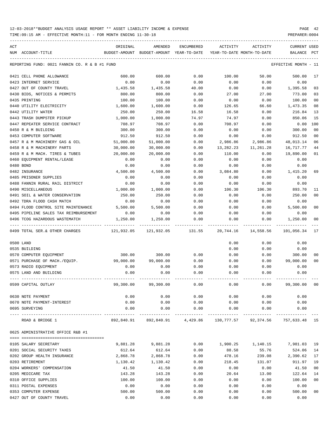TIME:09:15 AM - EFFECTIVE MONTH:11 - FOR MONTH ENDING 11-30-18 PREPARER:0004

| ACT<br>NUM ACCOUNT-TITLE                      | ORIGINAL   | <b>AMENDED</b><br>BUDGET-AMOUNT BUDGET-AMOUNT YEAR-TO-DATE | ENCUMBERED           | ACTIVITY  | ACTIVITY<br>YEAR-TO-DATE MONTH-TO-DATE | CURRENT USED<br>BALANCE | PCT            |
|-----------------------------------------------|------------|------------------------------------------------------------|----------------------|-----------|----------------------------------------|-------------------------|----------------|
| REPORTING FUND: 0021 FANNIN CO. R & B #1 FUND |            |                                                            |                      |           |                                        | EFFECTIVE MONTH - 11    |                |
|                                               |            |                                                            |                      |           |                                        |                         |                |
| 0421 CELL PHONE ALLOWANCE                     | 600.00     | 600.00                                                     | 0.00                 | 100.00    | 50.00                                  | 500.00                  | 17             |
| 0423 INTERNET SERVICE                         | 0.00       | 0.00                                                       | 0.00                 | 0.00      | 0.00                                   | 0.00                    |                |
| 0427 OUT OF COUNTY TRAVEL                     | 1,435.58   | 1,435.58                                                   | 40.00                | 0.00      | 0.00                                   | 1,395.58                | 03             |
| 0430 BIDS, NOTICES & PERMITS                  | 800.00     | 800.00                                                     | 0.00                 | 27.00     | 27.00                                  | 773.00                  | 03             |
| 0435 PRINTING                                 | 100.00     | 100.00                                                     | 0.00                 | 0.00      | 0.00                                   | 100.00                  | 0 <sub>0</sub> |
| 0440 UTILITY ELECTRICITY                      | 1,600.00   | 1,600.00                                                   | 0.00                 | 126.65    | 66.60                                  | 1,473.35                | 08             |
| 0442 UTILITY WATER                            | 250.00     | 250.00                                                     | 16.58                | 16.58     | 0.00                                   | 216.84                  | 13             |
| 0443 TRASH DUMPSTER PICKUP                    | 1,000.00   | 1,000.00                                                   | 74.97                | 74.97     | 0.00                                   | 850.06                  | 15             |
| 0447 REPEATER SERVICE CONTRACT                | 708.97     | 708.97                                                     | 0.00                 | 708.97    | 0.00                                   | 0.00                    | 100            |
| 0450 R & M BUILDING                           | 300.00     | 300.00                                                     | 0.00                 | 0.00      | 0.00                                   | 300.00                  | 0 <sub>0</sub> |
| 0453 COMPUTER SOFTWARE                        | 912.50     | 912.50                                                     | 0.00                 | 0.00      | 0.00                                   | 912.50                  | 0 <sub>0</sub> |
| 0457 R & M MACHINERY GAS & OIL                | 51,000.00  | 51,000.00                                                  | 0.00                 | 2,986.86  | 2,986.86                               | 48,013.14               | 06             |
| 0458 R & M MACHINERY PARTS                    | 30,000.00  | 30,000.00                                                  | 0.00                 | 13,282.23 | 11,261.28                              | 16,717.77               | 44             |
| 0459 R & M MACH. TIRES & TUBES                | 20,000.00  | 20,000.00                                                  | 0.00                 | 110.00    | 0.00                                   | 19,890.00               | 01             |
| 0460 EQUIPMENT RENTAL/LEASE                   | 0.00       | 0.00                                                       | 0.00                 | 0.00      | 0.00                                   | 0.00                    |                |
| 0480 BOND                                     | 0.00       | 0.00                                                       | 0.00                 | 0.00      | 0.00                                   | 0.00                    |                |
| 0482 INSURANCE                                | 4,500.00   | 4,500.00                                                   | 0.00                 | 3,084.80  | 0.00                                   | 1,415.20                | 69             |
| 0485 PRISONER SUPPLIES                        | 0.00       | 0.00                                                       | 0.00                 | 0.00      | 0.00                                   | 0.00                    |                |
| 0488 FANNIN RURAL RAIL DISTRICT               | 0.00       | 0.00                                                       | 0.00                 | 0.00      | 0.00                                   | 0.00                    |                |
| 0490 MISCELLANEOUS                            | 1,000.00   | 1,000.00                                                   | 0.00                 | 106.30    | 106.30                                 | 893.70                  | 11             |
| 0491 SOIL & WATER CONSERVATION                | 250.00     | 250.00                                                     | 0.00                 | 0.00      | 0.00                                   | 250.00                  | 0 <sub>0</sub> |
| 0492 TDRA FLOOD CASH MATCH                    | 0.00       | 0.00                                                       | 0.00                 | 0.00      | 0.00                                   | 0.00                    |                |
| 0494 FLOOD CONTROL SITE MAINTENANCE           | 5,500.00   | 5,500.00                                                   | 0.00                 | 0.00      | 0.00                                   | 5,500.00                | 0 <sub>0</sub> |
| 0495 PIPELINE SALES TAX REIMBURSEMENT         | 0.00       | 0.00                                                       | 0.00                 | 0.00      | 0.00                                   | 0.00                    |                |
| 0496 TCOG HAZARDOUS WASTEMATCH                | 1,250.00   | 1,250.00                                                   | 0.00                 | 0.00      | 0.00                                   | 1,250.00                | 00             |
| 0499 TOTAL SER. & OTHER CHARGES               | 121,932.05 | 121,932.05                                                 | 131.55               | 20,744.16 | 14,558.56                              | 101,056.34              | 17             |
| 0500 LAND                                     |            |                                                            |                      | 0.00      | 0.00                                   | 0.00                    |                |
| 0535 BUILDING                                 |            |                                                            |                      | 0.00      | 0.00                                   | 0.00                    |                |
| 0570 COMPUTER EQUIPMENT                       | 300.00     | 300.00                                                     | 0.00                 | 0.00      | 0.00                                   | 300.00                  | 00             |
| 0571 PURCHASE OF MACH./EOUIP.                 | 99,000.00  | 99,000.00                                                  | 0.00                 | 0.00      | 0.00                                   | 99,000.00               | 0 <sub>0</sub> |
| 0573 RADIO EQUIPMENT                          | 0.00       | 0.00                                                       | 0.00                 | 0.00      | 0.00                                   | 0.00                    |                |
| 0575 LAND AND BUILDING                        | 0.00       | 0.00                                                       | 0.00                 | 0.00      | 0.00                                   | 0.00                    |                |
| 0599 CAPITAL OUTLAY                           | 99,300.00  | 99,300.00                                                  | 0.00                 | 0.00      | 0.00                                   | 99,300.00               | 0 <sub>0</sub> |
| 0630 NOTE PAYMENT                             | 0.00       | 0.00                                                       | 0.00                 | 0.00      | 0.00                                   | 0.00                    |                |
| 0670 NOTE PAYMENT-INTEREST                    | 0.00       | 0.00                                                       | 0.00                 | 0.00      | 0.00                                   | 0.00                    |                |
| 0695 SURVEYING                                | 0.00       | 0.00                                                       | 0.00<br>------------ | 0.00      | 0.00                                   | 0.00                    |                |
| ROAD & BRIDGE 1                               |            | 892,840.91 892,840.91 4,429.86                             |                      |           | 130, 777.57 92, 374.56 757, 633.48 15  |                         |                |
| 0625 ADMINISTRATIVE OFFICE R&B #1             |            |                                                            |                      |           |                                        |                         |                |
|                                               |            |                                                            |                      |           |                                        |                         |                |
| 0105 SALARY SECRETARY                         | 9,881.28   | 9,881.28                                                   | 0.00                 |           | 1,900.25 1,140.15                      | 7,981.03                | 19             |
| 0201 SOCIAL SECURITY TAXES                    | 612.64     | 612.64                                                     | 0.00                 | 88.58     | 55.76                                  | 524.06                  | 14             |
| 0202 GROUP HEALTH INSURANCE                   | 2,868.78   | 2,868.78                                                   | 0.00                 | 478.16    | 239.08                                 | 2,390.62                | 17             |
| 0203 RETIREMENT                               | 1,130.42   | 1,130.42                                                   | 0.00                 | 218.45    | 131.07                                 | 911.97                  | 19             |
| 0204 WORKERS' COMPENSATION                    | 41.50      | 41.50                                                      | 0.00                 | 0.00      | 0.00                                   | 41.50                   | 0 <sub>0</sub> |
| 0205 MEDICARE TAX                             | 143.28     | 143.28                                                     | 0.00                 | 20.64     | 13.00                                  | 122.64                  | 14             |
| 0310 OFFICE SUPPLIES                          | 100.00     | 100.00                                                     | 0.00                 | 0.00      | 0.00                                   | 100.00                  | 0 <sub>0</sub> |
| 0311 POSTAL EXPENSES                          | 0.00       | 0.00                                                       | 0.00                 | 0.00      | 0.00                                   | 0.00                    |                |
| 0353 COMPUTER EXPENSE                         | 500.00     | 500.00                                                     | 0.00                 | 0.00      | 0.00                                   | 500.00                  | 0 <sub>0</sub> |

0427 OUT OF COUNTY TRAVEL 0.00 0.00 0.00 0.00 0.00 0.00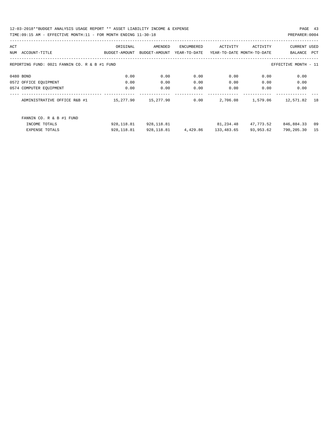| ACT                                                                   |                              | ORIGINAL      | AMENDED       | ENCUMBERED   | ACTIVITY   | ACTIVITY                   | <b>CURRENT USED</b> |     |
|-----------------------------------------------------------------------|------------------------------|---------------|---------------|--------------|------------|----------------------------|---------------------|-----|
| NUM                                                                   | ACCOUNT-TITLE                | BUDGET-AMOUNT | BUDGET-AMOUNT | YEAR-TO-DATE |            | YEAR-TO-DATE MONTH-TO-DATE | BALANCE             | PCT |
|                                                                       |                              |               |               |              |            |                            |                     |     |
| REPORTING FUND: 0021 FANNIN CO. R & B #1 FUND<br>EFFECTIVE MONTH - 11 |                              |               |               |              |            |                            |                     |     |
|                                                                       |                              |               |               |              |            |                            |                     |     |
|                                                                       | 0480 BOND                    | 0.00          | 0.00          | 0.00         | 0.00       | 0.00                       | 0.00                |     |
|                                                                       | 0572 OFFICE EQUIPMENT        | 0.00          | 0.00          | 0.00         | 0.00       | 0.00                       | 0.00                |     |
|                                                                       | 0574 COMPUTER EOUIPMENT      | 0.00          | 0.00          | 0.00         | 0.00       | 0.00                       | 0.00                |     |
|                                                                       | ADMINISTRATIVE OFFICE R&B #1 | 15,277.90     | 15,277.90     | 0.00         | 2,706.08   | 1,579.06                   | 12,571.82           | 18  |
|                                                                       |                              |               |               |              |            |                            |                     |     |
|                                                                       |                              |               |               |              |            |                            |                     |     |
|                                                                       | FANNIN CO. R & B #1 FUND     |               |               |              |            |                            |                     |     |
|                                                                       | INCOME TOTALS                | 928, 118.81   | 928,118.81    |              | 81,234.48  | 47,773.52                  | 846,884.33          | 09  |
|                                                                       | <b>EXPENSE TOTALS</b>        | 928, 118.81   | 928, 118.81   | 4,429.86     | 133,483.65 | 93,953.62                  | 790,205.30          | 15  |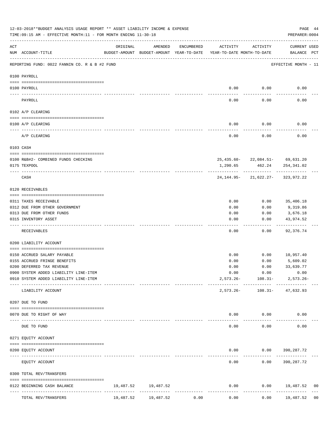|     | 12-03-2018**BUDGET ANALYSIS USAGE REPORT ** ASSET LIABILITY INCOME & EXPENSE<br>TIME:09:15 AM - EFFECTIVE MONTH:11 - FOR MONTH ENDING 11-30-18 |           |                     |            |                                                                                 |                                                                       | PAGE 44<br>PREPARER: 0004    |    |
|-----|------------------------------------------------------------------------------------------------------------------------------------------------|-----------|---------------------|------------|---------------------------------------------------------------------------------|-----------------------------------------------------------------------|------------------------------|----|
| ACT | NUM ACCOUNT-TITLE                                                                                                                              | ORIGINAL  | AMENDED             | ENCUMBERED | ACTIVITY<br>BUDGET-AMOUNT BUDGET-AMOUNT YEAR-TO-DATE YEAR-TO-DATE MONTH-TO-DATE | ACTIVITY                                                              | CURRENT USED<br>BALANCE PCT  |    |
|     | REPORTING FUND: 0022 FANNIN CO. R & B #2 FUND                                                                                                  |           |                     |            |                                                                                 |                                                                       | EFFECTIVE MONTH - 11         |    |
|     | 0100 PAYROLL                                                                                                                                   |           |                     |            |                                                                                 |                                                                       |                              |    |
|     |                                                                                                                                                |           |                     |            |                                                                                 |                                                                       |                              |    |
|     | 0100 PAYROLL                                                                                                                                   |           |                     |            | 0.00                                                                            | 0.00                                                                  | 0.00                         |    |
|     | PAYROLL                                                                                                                                        |           |                     |            | 0.00                                                                            | 0.00                                                                  | 0.00                         |    |
|     | 0102 A/P CLEARING                                                                                                                              |           |                     |            |                                                                                 |                                                                       |                              |    |
|     | 0100 A/P CLEARING                                                                                                                              |           |                     |            | 0.00                                                                            | 0.00                                                                  | 0.00                         |    |
|     | A/P CLEARING                                                                                                                                   |           |                     |            | 0.00                                                                            | 0.00                                                                  | 0.00                         |    |
|     | 0103 CASH                                                                                                                                      |           |                     |            |                                                                                 |                                                                       |                              |    |
|     | 0100 R&B#2- COMBINED FUNDS CHECKING                                                                                                            |           |                     |            |                                                                                 | 25, 435.60-22, 084.51-69, 631.20                                      |                              |    |
|     | 0175 TEXPOOL                                                                                                                                   |           |                     |            | 1,290.65                                                                        |                                                                       | 462.24 254,341.02            |    |
|     | CASH                                                                                                                                           |           |                     |            |                                                                                 | ------------- -------------<br>$24, 144.95 - 21, 622.27 - 323.972.22$ |                              |    |
|     | 0120 RECEIVABLES                                                                                                                               |           |                     |            |                                                                                 |                                                                       |                              |    |
|     | 0311 TAXES RECEIVABLE                                                                                                                          |           |                     |            | 0.00                                                                            | 0.00                                                                  | 35,406.18                    |    |
|     | 0312 DUE FROM OTHER GOVERNMENT                                                                                                                 |           |                     |            | 0.00                                                                            | 0.00                                                                  | 9,319.86                     |    |
|     | 0313 DUE FROM OTHER FUNDS                                                                                                                      |           |                     |            | 0.00                                                                            | 0.00                                                                  | 3,676.18                     |    |
|     | 0315 INVENTORY ASSET                                                                                                                           |           |                     |            | 0.00                                                                            | 0.00                                                                  | 43,974.52                    |    |
|     | RECEIVABLES                                                                                                                                    |           |                     |            | 0.00                                                                            | -----<br>0.00                                                         | ----------<br>92,376.74      |    |
|     | 0200 LIABILITY ACCOUNT                                                                                                                         |           |                     |            |                                                                                 |                                                                       |                              |    |
|     |                                                                                                                                                |           |                     |            |                                                                                 |                                                                       |                              |    |
|     | 0150 ACCRUED SALARY PAYABLE<br>0155 ACCRUED FRINGE BENEFITS                                                                                    |           |                     |            | 0.00<br>0.00                                                                    | 0.00                                                                  | $0.00$ 10,957.40<br>5,609.02 |    |
|     | 0200 DEFERRED TAX REVENUE                                                                                                                      |           |                     |            | 0.00                                                                            | 0.00                                                                  | 33,639.77                    |    |
|     | 0900 SYSTEM ADDED LIABILITY LINE-ITEM                                                                                                          |           |                     |            | 0.00                                                                            | 0.00                                                                  | 0.00                         |    |
|     | 0910 SYSTEM ADDED LIABILITY LINE-ITEM                                                                                                          |           |                     |            |                                                                                 | $2,573.26 - 108.31 -$                                                 | $2,573.26 -$                 |    |
|     | LIABILITY ACCOUNT                                                                                                                              |           |                     |            | $2,573.26-$                                                                     | ------------- -------------                                           | 108.31- 47,632.93            |    |
|     | 0207 DUE TO FUND                                                                                                                               |           |                     |            |                                                                                 |                                                                       |                              |    |
|     | 0070 DUE TO RIGHT OF WAY                                                                                                                       |           |                     |            |                                                                                 | $0.00$ $0.00$                                                         | 0.00                         |    |
|     |                                                                                                                                                |           |                     |            | $- - - - -$                                                                     | .                                                                     |                              |    |
|     | DUE TO FUND                                                                                                                                    |           |                     |            | 0.00                                                                            | 0.00                                                                  | 0.00                         |    |
|     | 0271 EQUITY ACCOUNT                                                                                                                            |           |                     |            |                                                                                 |                                                                       |                              |    |
|     | 0200 EQUITY ACCOUNT                                                                                                                            |           |                     |            | -----                                                                           | $0.00$ $0.00$ $390,287.72$<br>----------                              |                              |    |
|     | EQUITY ACCOUNT                                                                                                                                 |           |                     |            | 0.00                                                                            |                                                                       | $0.00$ 390, 287.72           |    |
|     | 0300 TOTAL REV/TRANSFERS                                                                                                                       |           |                     |            |                                                                                 |                                                                       |                              |    |
|     | 0122 BEGINNING CASH BALANCE                                                                                                                    |           | 19,487.52 19,487.52 |            | 0.00                                                                            |                                                                       | $0.00$ 19,487.52             | 00 |
|     | TOTAL REV/TRANSFERS                                                                                                                            | 19,487.52 | 19,487.52           | 0.00       | 0.00                                                                            | 0.00                                                                  | 19,487.52                    | 00 |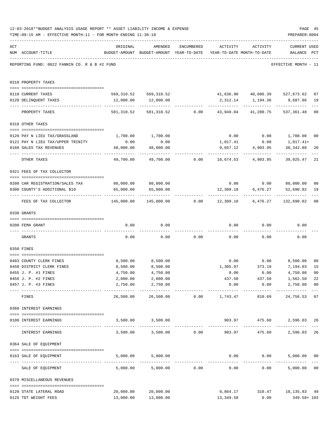|     | 12-03-2018**BUDGET ANALYSIS USAGE REPORT ** ASSET LIABILITY INCOME & EXPENSE<br>TIME: 09:15 AM - EFFECTIVE MONTH: 11 - FOR MONTH ENDING 11-30-18 |                                              |                                                                                |                         |                     |                           | PAGE 45<br>PREPARER: 0004                                               |                |
|-----|--------------------------------------------------------------------------------------------------------------------------------------------------|----------------------------------------------|--------------------------------------------------------------------------------|-------------------------|---------------------|---------------------------|-------------------------------------------------------------------------|----------------|
| ACT | NUM ACCOUNT-TITLE                                                                                                                                | ORIGINAL                                     | AMENDED<br>BUDGET-AMOUNT BUDGET-AMOUNT YEAR-TO-DATE YEAR-TO-DATE MONTH-TO-DATE | ENCUMBERED              | ACTIVITY            | ACTIVITY                  | <b>CURRENT USED</b><br>BALANCE PCT                                      |                |
|     | REPORTING FUND: 0022 FANNIN CO. R & B #2 FUND                                                                                                    |                                              |                                                                                |                         |                     |                           | EFFECTIVE MONTH - 11                                                    |                |
|     | 0310 PROPERTY TAXES                                                                                                                              |                                              |                                                                                |                         |                     |                           |                                                                         |                |
|     | 0110 CURRENT TAXES                                                                                                                               |                                              |                                                                                |                         |                     |                           | 569,310.52 569,310.52 41,636.90 40,086.39 527,673.62                    | 07             |
|     | 0120 DELINQUENT TAXES                                                                                                                            | 12,000.00                                    | 12,000.00                                                                      |                         |                     |                           | 2,312.14 1,194.36 9,687.86                                              | 19             |
|     | PROPERTY TAXES                                                                                                                                   |                                              |                                                                                |                         |                     |                           | 581,310.52 581,310.52 0.00 43,949.04 41,280.75 537,361.48               | $- - -$<br>08  |
|     | 0318 OTHER TAXES                                                                                                                                 |                                              |                                                                                |                         |                     |                           |                                                                         |                |
|     |                                                                                                                                                  |                                              |                                                                                |                         |                     |                           |                                                                         |                |
|     | 0120 PAY N LIEU TAX/GRASSLAND<br>0121 PAY N LIEU TAX/UPPER TRINITY                                                                               |                                              | 1,700.00 1,700.00                                                              |                         |                     |                           | $0.00$ $0.00$ $1,700.00$ $00$                                           |                |
|     | 0160 SALES TAX REVENUES                                                                                                                          | 0.00<br>48,000.00                            | 0.00<br>48,000.00                                                              |                         | 1,017.41            | 0.00<br>9,657.12 4,903.95 | 1,017.41+<br>38,342.88                                                  | 20             |
|     |                                                                                                                                                  |                                              |                                                                                |                         |                     | ------------              | -----------                                                             |                |
|     | OTHER TAXES                                                                                                                                      | 49,700.00                                    |                                                                                |                         |                     |                           | 39,025.47                                                               | 21             |
|     | 0321 FEES OF TAX COLLECTOR                                                                                                                       |                                              |                                                                                |                         |                     |                           |                                                                         |                |
|     | 0200 CAR REGISTRATION/SALES TAX                                                                                                                  |                                              | 80,000.00 80,000.00                                                            |                         |                     |                           | $0.00$ $0.00$ $80,000.00$                                               | 0 <sub>0</sub> |
|     | 0300 COUNTY'S ADDITIONAL \$10                                                                                                                    | 65,000.00                                    | 65,000.00                                                                      |                         | 12,309.18           | 6,476.27                  | 52,690.82                                                               | 19             |
|     | FEES OF TAX COLLECTOR                                                                                                                            | --------------- --------------<br>145,000.00 | ------------                                                                   |                         | -------------       | -------------             | ------------<br>$145,000.00$ $0.00$ $12,309.18$ $6,476.27$ $132,690.82$ | 08             |
|     | 0330 GRANTS                                                                                                                                      |                                              |                                                                                |                         |                     |                           |                                                                         |                |
|     |                                                                                                                                                  |                                              |                                                                                |                         |                     |                           |                                                                         |                |
|     | 0200 FEMA GRANT                                                                                                                                  | 0.00                                         | 0.00                                                                           |                         |                     | $0.00$ $0.00$             | 0.00                                                                    |                |
|     | GRANTS                                                                                                                                           | 0.00                                         |                                                                                | $0.00$ $0.00$ $0.00$    |                     |                           | 0.00<br>0.00                                                            |                |
|     | 0350 FINES                                                                                                                                       |                                              |                                                                                |                         |                     |                           |                                                                         |                |
|     | 0403 COUNTY CLERK FINES                                                                                                                          | 8,500.00                                     | 8,500.00                                                                       |                         |                     |                           | $0.00$ $0.00$ $8,500.00$                                                | 0 <sub>0</sub> |
|     | 0450 DISTRICT CLERK FINES                                                                                                                        | 8,500.00                                     | 8,500.00                                                                       |                         | 1,305.97            | 373.19                    | 7,194.03                                                                | 15             |
|     | 0455 J. P. #1 FINES                                                                                                                              | 4,750.00                                     | 4,750.00                                                                       |                         | 0.00                | 0.00                      | 4,750.00 00                                                             |                |
|     | 0456 J. P. #2 FINES                                                                                                                              | 2,000.00                                     | 2,000.00                                                                       |                         | 437.50              | 437.50                    | 1,562.50                                                                | 22             |
|     | 0457 J. P. #3 FINES                                                                                                                              | 2,750.00                                     | 2,750.00<br>___________                                                        |                         | 0.00<br>----------- | 0.00                      | 2,750.00<br>-------------                                               | 0 <sub>0</sub> |
|     | FINES                                                                                                                                            | 26,500.00                                    |                                                                                | 26,500.00 0.00 1,743.47 |                     | 810.69                    | 24,756.53                                                               | 07             |
|     | 0360 INTEREST EARNINGS                                                                                                                           |                                              |                                                                                |                         |                     |                           |                                                                         |                |
|     | 0100 INTEREST EARNINGS<br>---------------------------------                                                                                      |                                              | 3,500.00 3,500.00                                                              |                         |                     | 903.97 475.60             | 2,596.03                                                                | 26             |
|     | INTEREST EARNINGS                                                                                                                                |                                              | $3,500.00$ $3,500.00$ 0.00                                                     |                         | 903.97              | -----------<br>475.60     | 2,596.03                                                                | 26             |
|     | 0364 SALE OF EQUIPMENT                                                                                                                           |                                              |                                                                                |                         |                     |                           |                                                                         |                |
|     | 0163 SALE OF EQUIPMENT                                                                                                                           | 5,000.00                                     | 5,000.00                                                                       |                         |                     | $0.00$ $0.00$             | 5,000.00                                                                | 0 <sub>0</sub> |
|     | SALE OF EQUIPMENT                                                                                                                                | 5,000.00                                     | 5,000.00                                                                       | 0.00                    | 0.00                |                           | 0.00<br>5,000.00                                                        | 0 <sub>0</sub> |
|     | 0370 MISCELLANEOUS REVENUES                                                                                                                      |                                              |                                                                                |                         |                     |                           |                                                                         |                |
|     | 0120 STATE LATERAL ROAD                                                                                                                          | 20,000.00                                    | 20,000.00                                                                      |                         | 9,864.17            |                           | 310.47   10,135.83   49                                                 |                |
|     | 0125 TDT WEIGHT FEES                                                                                                                             | 13,000.00                                    | 13,000.00                                                                      |                         | 13,349.58           | 0.00                      | 349.58+ 103                                                             |                |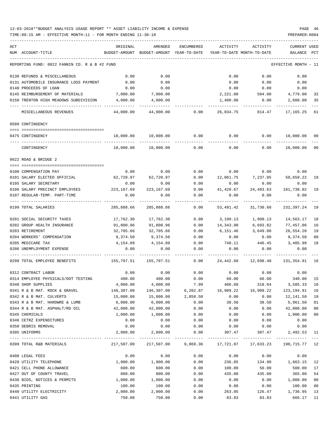| ACT |                                               | ORIGINAL              | AMENDED                                                          | ENCUMBERED     | ACTIVITY                   | ACTIVITY                     | <b>CURRENT USED</b>  |                |
|-----|-----------------------------------------------|-----------------------|------------------------------------------------------------------|----------------|----------------------------|------------------------------|----------------------|----------------|
|     | NUM ACCOUNT-TITLE                             | BUDGET-AMOUNT         | BUDGET-AMOUNT YEAR-TO-DATE                                       |                | YEAR-TO-DATE MONTH-TO-DATE |                              | BALANCE              | PCT            |
|     | REPORTING FUND: 0022 FANNIN CO. R & B #2 FUND |                       |                                                                  |                |                            |                              | EFFECTIVE MONTH - 11 |                |
|     | 0130 REFUNDS & MISCELLANEOUS                  | 0.00                  | 0.00                                                             |                | 0.00                       | 0.00                         | 0.00                 |                |
|     | 0131 AUTOMOBILE INSURANCE LOSS PAYMENT        | 0.00                  | 0.00                                                             |                | 0.00                       | 0.00                         | 0.00                 |                |
|     | 0140 PROCEEDS OF LOAN                         | 0.00                  | 0.00                                                             |                | 0.00                       | 0.00                         | 0.00                 |                |
|     | 0145 REIMBURSEMENT OF MATERIALS               | 7,000.00              | 7,000.00                                                         |                | 2,221.00                   | 504.00                       | 4,779.00             | 32             |
|     | 0150 TRENTON HIGH MEADOWS SUBDIVISION         | 4,000.00              | 4,000.00                                                         |                | 1,400.00                   | 0.00                         | 2,600.00             | 35             |
|     | MISCELLANEOUS REVENUES                        | 44,000.00             |                                                                  | 44,000.00 0.00 |                            | 26,834.75 814.47             | 17,165.25            | 61             |
|     | 0509 CONTINGENCY                              |                       |                                                                  |                |                            |                              |                      |                |
|     | 0475 CONTINGENCY                              | 10,000.00             | 10,000.00                                                        | 0.00           | 0.00                       | 0.00                         | 10,000.00            | 00             |
|     |                                               |                       |                                                                  |                |                            |                              |                      |                |
|     | CONTINGENCY                                   | 10,000.00             | 10,000.00                                                        | 0.00           | 0.00                       | 0.00                         | 10,000.00            | 0 <sub>0</sub> |
|     | 0622 ROAD & BRIDGE 2                          |                       |                                                                  |                |                            |                              |                      |                |
|     | 0100 COMPENSATION PAY                         | 0.00                  | 0.00                                                             | 0.00           |                            | $0.00$ 0.00                  | 0.00                 |                |
|     | 0101 SALARY ELECTED OFFICIAL                  | 62,720.97             | 62,720.97                                                        | 0.00           |                            | 12,061.75 7,237.05 50,659.22 |                      | 19             |
|     | 0105 SALARY SECRETARY                         | 0.00                  | 0.00                                                             | 0.00           | 0.00                       | 0.00                         | 0.00                 |                |
|     | 0106 SALARY PRECINCT EMPLOYEES                | 223,167.69            | 223, 167.69                                                      | 0.00           | 41,429.67                  | 24,493.63                    | 181,738.02           | 19             |
|     | 0107 REGULAR-TEMP. PART-TIME                  | 0.00                  | 0.00                                                             | 0.00           | 0.00                       | 0.00                         | 0.00                 |                |
|     | 0199 TOTAL SALARIES                           | 285,888.66            | 285,888.66                                                       | 0.00           | 53,491.42                  | 31,730.68                    | 232,397.24           | 19             |
|     | 0201 SOCIAL SECURITY TAXES                    | 17,762.30             | 17,762.30                                                        | 0.00           | 3,199.13                   | 1,909.13                     | 14,563.17            | 18             |
|     | 0202 GROUP HEALTH INSURANCE                   | 91,800.96             | 91,800.96                                                        | 0.00           | 14,343.90                  | 6,693.82                     | 77,457.06            | 16             |
|     | 0203 RETIREMENT                               | 32,705.66             | 32,705.66                                                        | 0.00           | 6,151.46                   | 3,649.00                     | 26,554.20            | 19             |
|     | 0204 WORKERS' COMPENSATION                    | 9,374.50              | 9,374.50                                                         | 0.00           | 0.00                       | 0.00                         | 9,374.50             | 0 <sub>0</sub> |
|     | 0205 MEDICARE TAX                             | 4,154.09              | 4,154.09                                                         | 0.00           | 748.11                     | 446.45                       | 3,405.98             | 18             |
|     | 0206 UNEMPLOYMENT EXPENSE                     | 0.00                  | 0.00                                                             | 0.00           | 0.00                       | 0.00                         | 0.00                 |                |
|     | 0299 TOTAL EMPLOYEE BENEFITS                  | 155,797.51 155,797.51 |                                                                  | 0.00           | 24,442.60                  | 12,698.40                    | 131,354.91           | 16             |
|     | 0312 CONTRACT LABOR                           | 0.00                  | 0.00                                                             | 0.00           | 0.00                       | 0.00                         | 0.00                 |                |
|     | 0314 EMPLOYEE PHYSICALS/DOT TESTING           | 400.00                | 400.00                                                           | 0.00           | 60.00                      | 60.00                        | 340.00               | 15             |
|     | 0340 SHOP SUPPLIES                            | 4,000.00              | 4,000.00                                                         | 7.99           | 406.68                     | 318.04                       | 3,585.33             | 10             |
|     | 0341 R & B MAT. ROCK & GRAVEL                 | 146,307.00            | 146,307.00                                                       | 6,202.87       | 16,909.22                  | 16,909.22                    | 123,194.91           | 16             |
|     | 0342 R & B MAT. CULVERTS                      | 15,000.00             | 15,000.00                                                        | 2,858.50       | 0.00                       | 0.00                         | 12,141.50            | 19             |
|     | 0343 R & B MAT. HARDWRE & LUMB                | 6,000.00              | 6,000.00                                                         | 0.00           | 38.50                      | 38.50                        | 5,961.50             | 01             |
|     | 0344 R & B MAT. ASPHALT/RD OIL                | 42,000.00             | 42,000.00                                                        | 0.00           | 0.00                       | 0.00                         | 42,000.00            | 0 <sub>0</sub> |
|     | 0345 CHEMICALS                                | 1,000.00              | 1,000.00                                                         | 0.00           | 0.00                       | 0.00                         | 1,000.00             | 0 <sub>0</sub> |
|     | 0346 CETRZ EXPENDITURES                       | 0.00                  | 0.00                                                             | 0.00           | 0.00                       | 0.00                         | 0.00                 |                |
|     | 0350 DEBRIS REMOVAL                           | 0.00                  | 0.00                                                             | 0.00           | 0.00                       | 0.00                         | 0.00                 |                |
|     | 0395 UNIFORMS                                 | 2,800.00              | 2,800.00<br>-------------                                        | 0.00           | 307.47                     | 307.47                       | 2,492.53 11          |                |
|     | 0399 TOTAL R&B MATERIALS                      |                       | 217,507.00 217,507.00 9,069.36 17,721.87 17,633.23 190,715.77 12 |                |                            |                              |                      |                |
|     | 0400 LEGAL FEES                               | 0.00                  | 0.00                                                             | 0.00           | 0.00                       | 0.00                         | 0.00                 |                |
|     | 0420 UTILITY TELEPHONE                        | 1,900.00              | 1,900.00                                                         | 0.00           | 236.85                     | 134.90                       | 1,663.15             | 12             |
|     | 0421 CELL PHONE ALLOWANCE                     | 600.00                | 600.00                                                           | 0.00           | 100.00                     | 50.00                        | 500.00               | 17             |
|     | 0427 OUT OF COUNTY TRAVEL                     | 800.00                | 800.00                                                           | 0.00           | 435.00                     | 435.00                       | 365.00               | 54             |
|     | 0430 BIDS, NOTICES & PERMITS                  | 1,000.00              | 1,000.00                                                         | 0.00           | 0.00                       | 0.00                         | 1,000.00             | 0 <sub>0</sub> |
|     | 0435 PRINTING                                 | 100.00                | 100.00                                                           | 0.00           | 0.00                       | 0.00                         | 100.00               | 0 <sub>0</sub> |
|     | 0440 UTILITY ELECTRICITY                      | 2,000.00              | 2,000.00                                                         | 0.00           | 263.05                     | 126.47                       | 1,736.95             | 13             |
|     | 0441 UTILITY GAS                              | 750.00                | 750.00                                                           | 0.00           | 83.83                      | 83.83                        | 666.17               | 11             |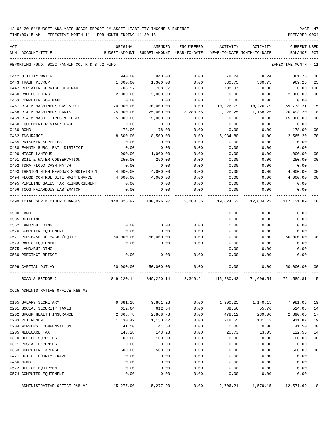TIME:09:15 AM - EFFECTIVE MONTH:11 - FOR MONTH ENDING 11-30-18 PREPARER:0004

| 0480 BOND<br>0482 INSURANCE | NUM ACCOUNT-TITLE<br>REPORTING FUND: 0022 FANNIN CO. R & B #2 FUND<br>0442 UTILITY WATER<br>0443 TRASH PICKUP<br>0447 REPEATER SERVICE CONTRACT<br>0450 R&M BUILDING<br>0453 COMPUTER SOFTWARE<br>0457 R & M MACHINERY GAS & OIL<br>0458 R & M MACHINERY PARTS<br>0459 R & M MACH. TIRES & TUBES<br>0460 EQUIPMENT RENTAL/LEASE<br>0485 PRISONER SUPPLIES<br>0488 FANNIN RURAL RAIL DISTRICT<br>0490 MISCELLANEOUS<br>0491 SOIL & WATER CONSERVATION<br>0492 TDRA FLOOD CASH MATCH<br>0493 TRENTON HIGH MEADOWS SUBDIVISION | 940.00<br>1,300.00<br>708.97<br>2,000.00<br>0.00<br>70,000.00<br>25,000.00<br>15,000.00<br>0.00<br>178.00<br>8,500.00<br>0.00<br>0.00<br>1,000.00<br>250.00<br>0.00 | BUDGET-AMOUNT BUDGET-AMOUNT YEAR-TO-DATE<br>940.00<br>1,300.00<br>708.97<br>2,000.00<br>0.00<br>70,000.00<br>25,000.00<br>15,000.00<br>0.00<br>178.00<br>8,500.00<br>0.00<br>0.00<br>1,000.00 | 0.00<br>0.00<br>0.00<br>0.00<br>0.00<br>0.00<br>3,280.55<br>0.00<br>0.00<br>0.00<br>0.00<br>0.00<br>0.00 | YEAR-TO-DATE MONTH-TO-DATE<br>78.24<br>330.75<br>708.97<br>0.00<br>0.00<br>10,226.79<br>1,226.25<br>0.00<br>0.00<br>0.00<br>5,934.80<br>0.00 | 78.24<br>330.75<br>0.00<br>0.00<br>0.00<br>10,226.79<br>1,168.25<br>0.00<br>0.00<br>0.00<br>0.00<br>0.00 | BALANCE PCT<br>EFFECTIVE MONTH - 11<br>861.76<br>969.25<br>0.00<br>2,000.00<br>0.00<br>59,773.21<br>20,493.20<br>15,000.00<br>0.00<br>178.00<br>2,565.20 | 08<br>25<br>100<br>0 <sub>0</sub><br>15<br>18<br>0 <sub>0</sub><br>0 <sub>0</sub><br>70 |
|-----------------------------|-----------------------------------------------------------------------------------------------------------------------------------------------------------------------------------------------------------------------------------------------------------------------------------------------------------------------------------------------------------------------------------------------------------------------------------------------------------------------------------------------------------------------------|---------------------------------------------------------------------------------------------------------------------------------------------------------------------|-----------------------------------------------------------------------------------------------------------------------------------------------------------------------------------------------|----------------------------------------------------------------------------------------------------------|----------------------------------------------------------------------------------------------------------------------------------------------|----------------------------------------------------------------------------------------------------------|----------------------------------------------------------------------------------------------------------------------------------------------------------|-----------------------------------------------------------------------------------------|
|                             |                                                                                                                                                                                                                                                                                                                                                                                                                                                                                                                             |                                                                                                                                                                     |                                                                                                                                                                                               |                                                                                                          |                                                                                                                                              |                                                                                                          |                                                                                                                                                          |                                                                                         |
|                             |                                                                                                                                                                                                                                                                                                                                                                                                                                                                                                                             |                                                                                                                                                                     |                                                                                                                                                                                               |                                                                                                          |                                                                                                                                              |                                                                                                          |                                                                                                                                                          |                                                                                         |
|                             |                                                                                                                                                                                                                                                                                                                                                                                                                                                                                                                             |                                                                                                                                                                     |                                                                                                                                                                                               |                                                                                                          |                                                                                                                                              |                                                                                                          |                                                                                                                                                          |                                                                                         |
|                             |                                                                                                                                                                                                                                                                                                                                                                                                                                                                                                                             |                                                                                                                                                                     |                                                                                                                                                                                               |                                                                                                          |                                                                                                                                              |                                                                                                          |                                                                                                                                                          |                                                                                         |
|                             |                                                                                                                                                                                                                                                                                                                                                                                                                                                                                                                             |                                                                                                                                                                     |                                                                                                                                                                                               |                                                                                                          |                                                                                                                                              |                                                                                                          |                                                                                                                                                          |                                                                                         |
|                             |                                                                                                                                                                                                                                                                                                                                                                                                                                                                                                                             |                                                                                                                                                                     |                                                                                                                                                                                               |                                                                                                          |                                                                                                                                              |                                                                                                          |                                                                                                                                                          |                                                                                         |
|                             |                                                                                                                                                                                                                                                                                                                                                                                                                                                                                                                             |                                                                                                                                                                     |                                                                                                                                                                                               |                                                                                                          |                                                                                                                                              |                                                                                                          |                                                                                                                                                          |                                                                                         |
|                             |                                                                                                                                                                                                                                                                                                                                                                                                                                                                                                                             |                                                                                                                                                                     |                                                                                                                                                                                               |                                                                                                          |                                                                                                                                              |                                                                                                          |                                                                                                                                                          |                                                                                         |
|                             |                                                                                                                                                                                                                                                                                                                                                                                                                                                                                                                             |                                                                                                                                                                     |                                                                                                                                                                                               |                                                                                                          |                                                                                                                                              |                                                                                                          |                                                                                                                                                          |                                                                                         |
|                             |                                                                                                                                                                                                                                                                                                                                                                                                                                                                                                                             |                                                                                                                                                                     |                                                                                                                                                                                               |                                                                                                          |                                                                                                                                              |                                                                                                          |                                                                                                                                                          |                                                                                         |
|                             |                                                                                                                                                                                                                                                                                                                                                                                                                                                                                                                             |                                                                                                                                                                     |                                                                                                                                                                                               |                                                                                                          |                                                                                                                                              |                                                                                                          |                                                                                                                                                          |                                                                                         |
|                             |                                                                                                                                                                                                                                                                                                                                                                                                                                                                                                                             |                                                                                                                                                                     |                                                                                                                                                                                               |                                                                                                          |                                                                                                                                              |                                                                                                          |                                                                                                                                                          |                                                                                         |
|                             |                                                                                                                                                                                                                                                                                                                                                                                                                                                                                                                             |                                                                                                                                                                     |                                                                                                                                                                                               |                                                                                                          |                                                                                                                                              |                                                                                                          |                                                                                                                                                          |                                                                                         |
|                             |                                                                                                                                                                                                                                                                                                                                                                                                                                                                                                                             |                                                                                                                                                                     |                                                                                                                                                                                               |                                                                                                          |                                                                                                                                              |                                                                                                          | 0.00                                                                                                                                                     |                                                                                         |
|                             |                                                                                                                                                                                                                                                                                                                                                                                                                                                                                                                             |                                                                                                                                                                     |                                                                                                                                                                                               |                                                                                                          | 0.00                                                                                                                                         | 0.00                                                                                                     | 0.00                                                                                                                                                     |                                                                                         |
|                             |                                                                                                                                                                                                                                                                                                                                                                                                                                                                                                                             |                                                                                                                                                                     |                                                                                                                                                                                               | 0.00                                                                                                     | 0.00                                                                                                                                         | 0.00                                                                                                     | 1,000.00                                                                                                                                                 | 00                                                                                      |
|                             |                                                                                                                                                                                                                                                                                                                                                                                                                                                                                                                             |                                                                                                                                                                     | 250.00                                                                                                                                                                                        | 0.00                                                                                                     | 0.00                                                                                                                                         | 0.00                                                                                                     | 250.00                                                                                                                                                   | 0 <sub>0</sub>                                                                          |
|                             |                                                                                                                                                                                                                                                                                                                                                                                                                                                                                                                             |                                                                                                                                                                     | 0.00                                                                                                                                                                                          | 0.00                                                                                                     | 0.00                                                                                                                                         | 0.00                                                                                                     | 0.00                                                                                                                                                     |                                                                                         |
|                             |                                                                                                                                                                                                                                                                                                                                                                                                                                                                                                                             | 4,000.00                                                                                                                                                            | 4,000.00                                                                                                                                                                                      | 0.00                                                                                                     | 0.00                                                                                                                                         | 0.00                                                                                                     | 4,000.00                                                                                                                                                 | 0 <sub>0</sub>                                                                          |
|                             | 0494 FLOOD CONTROL SITE MAINTENANCE                                                                                                                                                                                                                                                                                                                                                                                                                                                                                         | 4,000.00                                                                                                                                                            | 4,000.00                                                                                                                                                                                      | 0.00                                                                                                     | 0.00                                                                                                                                         | 0.00                                                                                                     | 4,000.00                                                                                                                                                 | 0 <sub>0</sub>                                                                          |
|                             | 0495 PIPELINE SALES TAX REIMBURSEMENT                                                                                                                                                                                                                                                                                                                                                                                                                                                                                       | 0.00                                                                                                                                                                | 0.00                                                                                                                                                                                          | 0.00                                                                                                     | 0.00                                                                                                                                         | 0.00                                                                                                     | 0.00                                                                                                                                                     |                                                                                         |
|                             | 0496 TCOG HAZARDOUS WASTEMATCH                                                                                                                                                                                                                                                                                                                                                                                                                                                                                              | 0.00                                                                                                                                                                | 0.00                                                                                                                                                                                          | 0.00                                                                                                     | 0.00                                                                                                                                         | 0.00                                                                                                     | 0.00                                                                                                                                                     |                                                                                         |
|                             | 0499 TOTAL SER.& OTHER CHARGES                                                                                                                                                                                                                                                                                                                                                                                                                                                                                              | 140,026.97                                                                                                                                                          |                                                                                                                                                                                               | 140,026.97 3,280.55 19,624.53                                                                            |                                                                                                                                              | 12,634.23                                                                                                | 117,121.89                                                                                                                                               | 16                                                                                      |
| 0500 LAND                   |                                                                                                                                                                                                                                                                                                                                                                                                                                                                                                                             |                                                                                                                                                                     |                                                                                                                                                                                               |                                                                                                          | 0.00                                                                                                                                         | 0.00                                                                                                     | 0.00                                                                                                                                                     |                                                                                         |
| 0535 BUILDING               |                                                                                                                                                                                                                                                                                                                                                                                                                                                                                                                             |                                                                                                                                                                     |                                                                                                                                                                                               |                                                                                                          | 0.00                                                                                                                                         | 0.00                                                                                                     | 0.00                                                                                                                                                     |                                                                                         |
|                             | 0562 LAND/BUILDING                                                                                                                                                                                                                                                                                                                                                                                                                                                                                                          | 0.00                                                                                                                                                                | 0.00                                                                                                                                                                                          | 0.00                                                                                                     | 0.00                                                                                                                                         | 0.00                                                                                                     | 0.00                                                                                                                                                     |                                                                                         |
|                             | 0570 COMPUTER EQUIPMENT                                                                                                                                                                                                                                                                                                                                                                                                                                                                                                     | 0.00                                                                                                                                                                | 0.00                                                                                                                                                                                          | 0.00                                                                                                     | 0.00                                                                                                                                         | 0.00                                                                                                     | 0.00                                                                                                                                                     |                                                                                         |
|                             | 0571 PURCHASE OF MACH./EQUIP.                                                                                                                                                                                                                                                                                                                                                                                                                                                                                               | 50,000.00                                                                                                                                                           | 50,000.00                                                                                                                                                                                     | 0.00                                                                                                     | 0.00                                                                                                                                         | 0.00                                                                                                     | 50,000.00                                                                                                                                                | 00                                                                                      |
|                             | 0573 RADIO EQUIPMENT                                                                                                                                                                                                                                                                                                                                                                                                                                                                                                        | 0.00                                                                                                                                                                | 0.00                                                                                                                                                                                          | 0.00                                                                                                     | 0.00                                                                                                                                         | 0.00                                                                                                     | 0.00                                                                                                                                                     |                                                                                         |
|                             | 0575 LAND/BUILDING                                                                                                                                                                                                                                                                                                                                                                                                                                                                                                          |                                                                                                                                                                     |                                                                                                                                                                                               |                                                                                                          | 0.00                                                                                                                                         | 0.00                                                                                                     | 0.00                                                                                                                                                     |                                                                                         |
|                             | 0580 PRECINCT BRIDGE                                                                                                                                                                                                                                                                                                                                                                                                                                                                                                        | 0.00                                                                                                                                                                | 0.00                                                                                                                                                                                          | 0.00                                                                                                     | 0.00                                                                                                                                         | 0.00                                                                                                     | 0.00                                                                                                                                                     |                                                                                         |
|                             | 0599 CAPITAL OUTLAY                                                                                                                                                                                                                                                                                                                                                                                                                                                                                                         | 50,000.00                                                                                                                                                           | 50,000.00                                                                                                                                                                                     | 0.00                                                                                                     | 0.00                                                                                                                                         | 0.00                                                                                                     | 50,000.00                                                                                                                                                | 00                                                                                      |
|                             | ROAD & BRIDGE 2                                                                                                                                                                                                                                                                                                                                                                                                                                                                                                             | 849,220.14                                                                                                                                                          | 849,220.14                                                                                                                                                                                    | 12,349.91                                                                                                | 115,280.42                                                                                                                                   | 74,696.54                                                                                                | 721,589.81                                                                                                                                               | 15                                                                                      |
|                             | 0625 ADMINISTRATIVE OFFICE R&B #2                                                                                                                                                                                                                                                                                                                                                                                                                                                                                           |                                                                                                                                                                     |                                                                                                                                                                                               |                                                                                                          |                                                                                                                                              |                                                                                                          |                                                                                                                                                          |                                                                                         |
|                             | 0105 SALARY SECRETARY                                                                                                                                                                                                                                                                                                                                                                                                                                                                                                       | 9,881.28                                                                                                                                                            | 9,881.28                                                                                                                                                                                      | 0.00                                                                                                     | 1,900.25                                                                                                                                     | 1,140.15                                                                                                 | 7,981.03                                                                                                                                                 | 19                                                                                      |
|                             | 0201 SOCIAL SECURITY TAXES                                                                                                                                                                                                                                                                                                                                                                                                                                                                                                  | 612.64                                                                                                                                                              | 612.64                                                                                                                                                                                        | 0.00                                                                                                     | 88.56                                                                                                                                        | 55.76                                                                                                    | 524.08                                                                                                                                                   | 14                                                                                      |
|                             | 0202 GROUP HEALTH INSURANCE                                                                                                                                                                                                                                                                                                                                                                                                                                                                                                 | 2,868.78                                                                                                                                                            | 2,868.78                                                                                                                                                                                      | 0.00                                                                                                     | 478.12                                                                                                                                       | 239.06                                                                                                   | 2,390.66                                                                                                                                                 | 17                                                                                      |
| 0203 RETIREMENT             |                                                                                                                                                                                                                                                                                                                                                                                                                                                                                                                             | 1,130.42                                                                                                                                                            | 1,130.42                                                                                                                                                                                      | 0.00                                                                                                     | 218.55                                                                                                                                       | 131.13                                                                                                   | 911.87                                                                                                                                                   | 19                                                                                      |
|                             | 0204 WORKERS' COMPENSATION                                                                                                                                                                                                                                                                                                                                                                                                                                                                                                  | 41.50                                                                                                                                                               | 41.50                                                                                                                                                                                         | 0.00                                                                                                     | 0.00                                                                                                                                         | 0.00                                                                                                     | 41.50                                                                                                                                                    | 0 <sub>0</sub>                                                                          |
|                             | 0205 MEDICARE TAX                                                                                                                                                                                                                                                                                                                                                                                                                                                                                                           | 143.28                                                                                                                                                              | 143.28                                                                                                                                                                                        | 0.00                                                                                                     | 20.73                                                                                                                                        | 13.05                                                                                                    | 122.55                                                                                                                                                   | 14                                                                                      |
|                             | 0310 OFFICE SUPPLIES                                                                                                                                                                                                                                                                                                                                                                                                                                                                                                        | 100.00                                                                                                                                                              | 100.00                                                                                                                                                                                        | 0.00                                                                                                     | 0.00                                                                                                                                         | 0.00                                                                                                     | 100.00                                                                                                                                                   | 0 <sub>0</sub>                                                                          |
|                             | 0311 POSTAL EXPENSES                                                                                                                                                                                                                                                                                                                                                                                                                                                                                                        | 0.00                                                                                                                                                                | 0.00                                                                                                                                                                                          | 0.00                                                                                                     | 0.00                                                                                                                                         | 0.00                                                                                                     | 0.00                                                                                                                                                     |                                                                                         |
|                             | 0353 COMPUTER EXPENSE                                                                                                                                                                                                                                                                                                                                                                                                                                                                                                       | 500.00                                                                                                                                                              | 500.00                                                                                                                                                                                        | 0.00                                                                                                     | 0.00                                                                                                                                         | 0.00                                                                                                     | 500.00                                                                                                                                                   | 00                                                                                      |
|                             | 0427 OUT OF COUNTY TRAVEL                                                                                                                                                                                                                                                                                                                                                                                                                                                                                                   | 0.00                                                                                                                                                                | 0.00                                                                                                                                                                                          | 0.00                                                                                                     | 0.00                                                                                                                                         | 0.00                                                                                                     | 0.00                                                                                                                                                     |                                                                                         |
| 0480 BOND                   |                                                                                                                                                                                                                                                                                                                                                                                                                                                                                                                             | 0.00                                                                                                                                                                | 0.00                                                                                                                                                                                          | 0.00                                                                                                     | 0.00                                                                                                                                         | 0.00                                                                                                     | 0.00                                                                                                                                                     |                                                                                         |
|                             | 0572 OFFICE EQUIPMENT                                                                                                                                                                                                                                                                                                                                                                                                                                                                                                       | 0.00                                                                                                                                                                | 0.00                                                                                                                                                                                          | 0.00                                                                                                     | 0.00                                                                                                                                         | 0.00                                                                                                     | 0.00                                                                                                                                                     |                                                                                         |
|                             | 0574 COMPUTER EQUIPMENT                                                                                                                                                                                                                                                                                                                                                                                                                                                                                                     | 0.00                                                                                                                                                                | 0.00                                                                                                                                                                                          | 0.00                                                                                                     | 0.00                                                                                                                                         | 0.00                                                                                                     | 0.00                                                                                                                                                     |                                                                                         |

ADMINISTRATIVE OFFICE R&B #2 15,277.90 15,277.90 0.00 2,706.21 1,579.15 12,571.69 18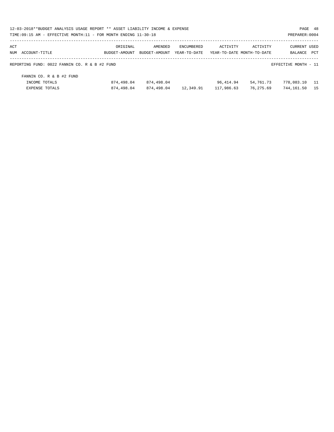| 12-03-2018**BUDGET ANALYSIS USAGE REPORT ** ASSET LIABILITY INCOME & EXPENSE<br>TIME:09:15 AM - EFFECTIVE MONTH:11 - FOR MONTH ENDING 11-30-18 |                           |                          |                            |            |                                        | PREPARER: 0004                 | PAGE 48      |
|------------------------------------------------------------------------------------------------------------------------------------------------|---------------------------|--------------------------|----------------------------|------------|----------------------------------------|--------------------------------|--------------|
| ACT<br>NUM ACCOUNT-TITLE                                                                                                                       | ORIGINAL<br>BUDGET-AMOUNT | AMENDED<br>BUDGET-AMOUNT | ENCUMBERED<br>YEAR-TO-DATE | ACTIVITY   | ACTIVITY<br>YEAR-TO-DATE MONTH-TO-DATE | <b>CURRENT USED</b><br>BALANCE | $_{\rm PCT}$ |
| REPORTING FUND: 0022 FANNIN CO. R & B #2 FUND                                                                                                  |                           |                          |                            |            |                                        | EFFECTIVE MONTH - 11           |              |
| FANNIN CO. R & B #2 FUND                                                                                                                       |                           |                          |                            |            |                                        |                                |              |
| INCOME TOTALS                                                                                                                                  | 874,498.04                | 874,498.04               |                            | 96,414.94  | 54,761.73                              | 778,083.10                     | - 11         |
| EXPENSE TOTALS                                                                                                                                 | 874,498.04                | 874,498.04               | 12,349.91                  | 117,986.63 | 76,275.69                              | 744,161.50                     | 15           |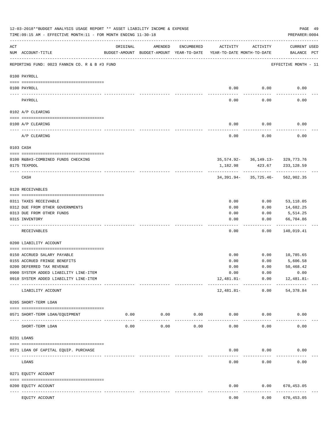|           | 12-03-2018**BUDGET ANALYSIS USAGE REPORT ** ASSET LIABILITY INCOME & EXPENSE<br>TIME: 09:15 AM - EFFECTIVE MONTH: 11 - FOR MONTH ENDING 11-30-18 |                                                      |                     |                     |                                        |                                                    | PAGE 49<br>PREPARER: 0004   |  |
|-----------|--------------------------------------------------------------------------------------------------------------------------------------------------|------------------------------------------------------|---------------------|---------------------|----------------------------------------|----------------------------------------------------|-----------------------------|--|
| ACT       | NUM ACCOUNT-TITLE                                                                                                                                | ORIGINAL<br>BUDGET-AMOUNT BUDGET-AMOUNT YEAR-TO-DATE | AMENDED             | ENCUMBERED          | ACTIVITY<br>YEAR-TO-DATE MONTH-TO-DATE | ACTIVITY                                           | CURRENT USED<br>BALANCE PCT |  |
|           | REPORTING FUND: 0023 FANNIN CO. R & B #3 FUND                                                                                                    |                                                      |                     |                     |                                        |                                                    | EFFECTIVE MONTH - 11        |  |
|           | 0100 PAYROLL                                                                                                                                     |                                                      |                     |                     |                                        |                                                    |                             |  |
|           | 0100 PAYROLL                                                                                                                                     |                                                      |                     |                     | 0.00                                   | 0.00                                               | 0.00                        |  |
| ---- ---- | PAYROLL                                                                                                                                          |                                                      |                     |                     | 0.00                                   | 0.00                                               | 0.00                        |  |
|           | 0102 A/P CLEARING                                                                                                                                |                                                      |                     |                     |                                        |                                                    |                             |  |
|           | 0100 A/P CLEARING                                                                                                                                |                                                      |                     |                     | 0.00                                   | 0.00                                               | 0.00                        |  |
|           | -------------------------------<br>A/P CLEARING                                                                                                  |                                                      |                     |                     | 0.00                                   | --------<br>0.00                                   | 0.00                        |  |
|           | 0103 CASH                                                                                                                                        |                                                      |                     |                     |                                        |                                                    |                             |  |
|           |                                                                                                                                                  |                                                      |                     |                     |                                        |                                                    |                             |  |
|           | 0100 R&B#3-COMBINED FUNDS CHECKING<br>0175 TEXPOOL                                                                                               |                                                      |                     |                     | 1,182.98                               | 35, 574. 92 - 36, 149. 13 - 329, 773. 76<br>423.67 | 233,128.59                  |  |
|           |                                                                                                                                                  |                                                      |                     |                     |                                        | ------------                                       |                             |  |
|           | CASH                                                                                                                                             |                                                      |                     |                     |                                        | 34, 391.94 - 35, 725.46 - 562, 902.35              |                             |  |
|           | 0120 RECEIVABLES                                                                                                                                 |                                                      |                     |                     |                                        |                                                    |                             |  |
|           | 0311 TAXES RECEIVABLE                                                                                                                            |                                                      |                     |                     | 0.00                                   | 0.00                                               | 53,118.05                   |  |
|           | 0312 DUE FROM OTHER GOVERNMENTS                                                                                                                  |                                                      |                     |                     | 0.00                                   | 0.00                                               | 14,682.25                   |  |
|           | 0313 DUE FROM OTHER FUNDS                                                                                                                        |                                                      |                     |                     | 0.00                                   | 0.00                                               | 5,514.25                    |  |
|           | 0315 INVENTORY                                                                                                                                   |                                                      |                     |                     | 0.00                                   | 0.00                                               | 66,704.86<br>.              |  |
|           | RECEIVABLES                                                                                                                                      |                                                      |                     |                     | 0.00                                   | 0.00                                               | 140,019.41                  |  |
|           | 0200 LIABILITY ACCOUNT                                                                                                                           |                                                      |                     |                     |                                        |                                                    |                             |  |
|           |                                                                                                                                                  |                                                      |                     |                     |                                        |                                                    |                             |  |
|           | 0150 ACCRUED SALARY PAYABLE                                                                                                                      |                                                      |                     |                     | 0.00                                   | 0.00<br>0.00                                       | 10,785.65<br>5,606.58       |  |
|           | 0155 ACCRUED FRINGE BENEFITS<br>0200 DEFERRED TAX REVENUE                                                                                        |                                                      |                     |                     | 0.00<br>0.00                           | 0.00                                               | 50,468.42                   |  |
|           | 0900 SYSTEM ADDED LIABILITY LINE-ITEM                                                                                                            |                                                      |                     |                     | 0.00                                   | 0.00                                               | 0.00                        |  |
|           | 0910 SYSTEM ADDED LIABILITY LINE-ITEM                                                                                                            |                                                      |                     |                     | 12,481.81-                             | 0.00                                               | 12,481.81-                  |  |
|           | LIABILITY ACCOUNT                                                                                                                                |                                                      |                     |                     | 12,481.81-                             | -------- ------------<br>0.00                      | -----------<br>54,378.84    |  |
|           | 0205 SHORT-TERM LOAN                                                                                                                             |                                                      |                     |                     |                                        |                                                    |                             |  |
|           | 0571 SHORT-TERM LOAN/EQUIPMENT                                                                                                                   | 0.00                                                 | 0.00<br>----------- | 0.00<br>$- - - - -$ | 0.00                                   | 0.00                                               | 0.00                        |  |
|           | SHORT-TERM LOAN                                                                                                                                  | 0.00                                                 | 0.00                | 0.00                | 0.00                                   | 0.00                                               | 0.00                        |  |
|           | 0231 LOANS                                                                                                                                       |                                                      |                     |                     |                                        |                                                    |                             |  |
|           | 0571 LOAN OF CAPITAL EQUIP. PURCHASE                                                                                                             |                                                      |                     |                     | 0.00                                   | 0.00                                               | 0.00                        |  |
|           | LOANS                                                                                                                                            |                                                      |                     |                     | 0.00                                   | 0.00                                               | 0.00                        |  |
|           | 0271 EQUITY ACCOUNT                                                                                                                              |                                                      |                     |                     |                                        |                                                    |                             |  |
|           | 0200 EQUITY ACCOUNT                                                                                                                              |                                                      |                     |                     | 0.00                                   | 0.00                                               | 670,453.05                  |  |
|           | -- -----------<br>------------------- -------------<br>EQUITY ACCOUNT                                                                            |                                                      |                     |                     | 0.00                                   | 0.00                                               | .<br>670, 453.05            |  |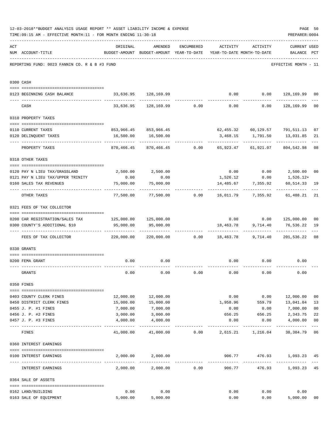|     | 12-03-2018**BUDGET ANALYSIS USAGE REPORT ** ASSET LIABILITY INCOME & EXPENSE<br>TIME: 09:15 AM - EFFECTIVE MONTH: 11 - FOR MONTH ENDING 11-30-18 |                                                                        |                                                                                |      |                              |                    | PREPARER: 0004                                            | PAGE 50        |
|-----|--------------------------------------------------------------------------------------------------------------------------------------------------|------------------------------------------------------------------------|--------------------------------------------------------------------------------|------|------------------------------|--------------------|-----------------------------------------------------------|----------------|
| ACT | NUM ACCOUNT-TITLE                                                                                                                                | ORIGINAL                                                               | AMENDED<br>BUDGET-AMOUNT BUDGET-AMOUNT YEAR-TO-DATE YEAR-TO-DATE MONTH-TO-DATE |      | ENCUMBERED ACTIVITY ACTIVITY |                    | <b>CURRENT USED</b><br>BALANCE PCT                        |                |
|     | REPORTING FUND: 0023 FANNIN CO. R & B #3 FUND                                                                                                    |                                                                        |                                                                                |      |                              |                    | EFFECTIVE MONTH - 11                                      |                |
|     | 0300 CASH                                                                                                                                        |                                                                        |                                                                                |      |                              |                    |                                                           |                |
|     | 0123 BEGINNING CASH BALANCE                                                                                                                      | 33,636.95 128,169.99                                                   |                                                                                |      |                              |                    | $0.00$ $0.00$ $128,169.99$                                | 0 <sub>0</sub> |
|     | CASH                                                                                                                                             |                                                                        |                                                                                |      |                              |                    | $33,636.95$ $128,169.99$ 0.00 0.00 0.00 128,169.99        | 0 <sub>0</sub> |
|     | 0310 PROPERTY TAXES                                                                                                                              |                                                                        |                                                                                |      |                              |                    |                                                           |                |
|     |                                                                                                                                                  |                                                                        |                                                                                |      |                              |                    |                                                           |                |
|     | 0110 CURRENT TAXES                                                                                                                               |                                                                        | 853,966.45 853,966.45                                                          |      |                              |                    | 62,455.32    60,129.57    791,511.13                      | 07             |
|     | 0120 DELINQUENT TAXES                                                                                                                            |                                                                        | 16,500.00   16,500.00<br><b>Consecuente de la calciona de la calcion</b>       |      | .                            | ------------       | 3,468.15 1,791.50 13,031.85<br>--------------             | 21             |
|     | PROPERTY TAXES                                                                                                                                   |                                                                        |                                                                                |      |                              |                    | 870,466.45 870,466.45 0.00 65,923.47 61,921.07 804,542.98 | 08             |
|     | 0318 OTHER TAXES                                                                                                                                 |                                                                        |                                                                                |      |                              |                    |                                                           |                |
|     | 0120 PAY N LIEU TAX/GRASSLAND                                                                                                                    |                                                                        | 2,500.00 2,500.00                                                              |      |                              |                    | $0.00$ $0.00$ $2,500.00$ $00$                             |                |
|     | 0121 PAY N LIEU TAX/UPPER TRINITY                                                                                                                | 0.00                                                                   | 0.00                                                                           |      |                              |                    | $1,526.12$ 0.00 1,526.12+                                 |                |
|     | 0160 SALES TAX REVENUES                                                                                                                          | 75,000.00                                                              | 75,000.00                                                                      |      |                              | 14,485.67 7,355.92 | 60,514.33                                                 | 19             |
|     | OTHER TAXES                                                                                                                                      | ---------                                                              |                                                                                |      |                              |                    | 77,500.00 77,500.00 0.00 16,011.79 7,355.92 61,488.21     | 21             |
|     | 0321 FEES OF TAX COLLECTOR                                                                                                                       |                                                                        |                                                                                |      |                              |                    |                                                           |                |
|     |                                                                                                                                                  |                                                                        |                                                                                |      |                              |                    |                                                           |                |
|     | 0200 CAR REGISTRATION/SALES TAX                                                                                                                  |                                                                        |                                                                                |      |                              |                    | $0.00$ $0.00$ $125,000.00$                                | 0 <sub>0</sub> |
|     | 0300 COUNTY'S ADDITIONAL \$10                                                                                                                    | 95,000.00                                                              | 95,000.00                                                                      |      |                              | 18,463.78 9,714.40 | 76,536.22                                                 | 19             |
|     | FEES OF TAX COLLECTOR                                                                                                                            | 220,000.00   220,000.00      0.00    18,463.78   9,714.40   201,536.22 |                                                                                |      |                              |                    |                                                           | 08             |
|     | 0330 GRANTS                                                                                                                                      |                                                                        |                                                                                |      |                              |                    |                                                           |                |
|     | 0200 FEMA GRANT                                                                                                                                  | 0.00                                                                   | 0.00                                                                           |      | 0.00                         | 0.00               | 0.00                                                      |                |
|     | GRANTS                                                                                                                                           | 0.00                                                                   | 0.00                                                                           | 0.00 | 0.00                         | 0.00               | 0.00                                                      |                |
|     | 0350 FINES                                                                                                                                       |                                                                        |                                                                                |      |                              |                    |                                                           |                |
|     | 0403 COUNTY CLERK FINES                                                                                                                          | 12,000.00                                                              | 12,000.00                                                                      |      | 0.00                         |                    | 0.00 12,000.00                                            | 0 <sub>0</sub> |
|     | 0450 DISTRICT CLERK FINES                                                                                                                        | 15,000.00                                                              | 15,000.00                                                                      |      | 1,958.96                     |                    | 559.79 13,041.04                                          | 13             |
|     | 0455 J. P. #1 FINES                                                                                                                              | 7,000.00                                                               | 7,000.00                                                                       |      | 0.00                         | 0.00               | 7,000.00                                                  | 0 <sub>0</sub> |
|     | 0456 J. P. #2 FINES                                                                                                                              | 3,000.00                                                               | 3,000.00                                                                       |      | 656.25                       | 656.25             | 2,343.75                                                  | 22             |
|     | 0457 J. P. #3 FINES                                                                                                                              | 4,000.00                                                               | 4,000.00                                                                       |      | 0.00                         | 0.00               | 4,000.00                                                  | 0 <sub>0</sub> |
|     | FINES                                                                                                                                            |                                                                        | 41,000.00 41,000.00                                                            |      | $0.00$ 2,615.21 1,216.04     |                    | 38,384.79                                                 | $---$<br>06    |
|     | 0360 INTEREST EARNINGS                                                                                                                           |                                                                        |                                                                                |      |                              |                    |                                                           |                |
|     |                                                                                                                                                  |                                                                        |                                                                                |      |                              |                    |                                                           |                |
|     | 0100 INTEREST EARNINGS                                                                                                                           |                                                                        | 2,000.00 2,000.00                                                              |      | 906.77                       | ------------       | 476.93 1,093.23 45<br>-------------                       |                |
|     | INTEREST EARNINGS                                                                                                                                |                                                                        | 2,000.00 2,000.00 0.00                                                         |      | 906.77                       |                    | 476.93 1,093.23                                           | 45             |
|     | 0364 SALE OF ASSETS                                                                                                                              |                                                                        |                                                                                |      |                              |                    |                                                           |                |
|     | 0162 LAND/BUILDING                                                                                                                               | 0.00                                                                   | 0.00                                                                           |      | 0.00                         | 0.00               | 0.00                                                      |                |
|     | 0163 SALE OF EQUIPMENT                                                                                                                           |                                                                        | 5,000.00 5,000.00                                                              |      | 0.00                         |                    | 0.00<br>5,000.00                                          | 00             |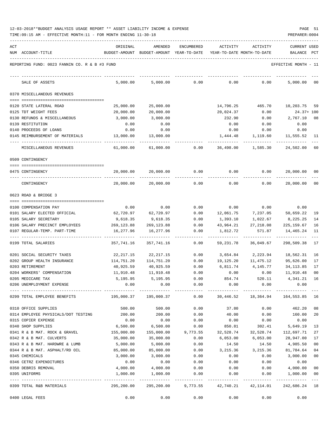| 12-03-2018**BUDGET ANALYSIS USAGE REPORT ** ASSET LIABILITY INCOME & EXPENSE | PAGE |  |
|------------------------------------------------------------------------------|------|--|
|------------------------------------------------------------------------------|------|--|

| ACT |                                               | ORIGINAL                                                                    | AMENDED                                                             | ENCUMBERED | ACTIVITY            | ACTIVITY            | CURRENT USED         |                |
|-----|-----------------------------------------------|-----------------------------------------------------------------------------|---------------------------------------------------------------------|------------|---------------------|---------------------|----------------------|----------------|
|     | NUM ACCOUNT-TITLE                             |                                                                             | BUDGET-AMOUNT BUDGET-AMOUNT YEAR-TO-DATE YEAR-TO-DATE MONTH-TO-DATE |            |                     |                     | BALANCE              | PCT            |
|     | REPORTING FUND: 0023 FANNIN CO. R & B #3 FUND |                                                                             |                                                                     |            |                     |                     | EFFECTIVE MONTH - 11 |                |
|     | SALE OF ASSETS                                | 5,000.00                                                                    | 5,000.00                                                            | 0.00       | 0.00                | 0.00                | 5,000.00             | 00             |
|     | 0370 MISCELLANEOUS REVENUES                   |                                                                             |                                                                     |            |                     |                     |                      |                |
|     | 0120 STATE LATERAL ROAD                       | 25,000.00                                                                   | 25,000.00                                                           |            | 14,796.25           | 465.70              | 10,203.75            | 59             |
|     | 0125 TDT WEIGHT FEES                          | 20,000.00                                                                   | 20,000.00                                                           |            | 20,024.37           | 0.00                | $24.37 + 100$        |                |
|     | 0130 REFUNDS & MISCELLANEOUS                  | 3,000.00                                                                    | 3,000.00                                                            |            | 232.90              | 0.00                | 2,767.10             | 08             |
|     | 0139 RESTITUTION                              | 0.00                                                                        | 0.00                                                                |            | 0.00                | 0.00                | 0.00                 |                |
|     | 0140 PROCEEDS OF LOANS                        | 0.00                                                                        | 0.00                                                                |            | 0.00                | 0.00                | 0.00                 |                |
|     | 0145 REIMBURSEMENT OF MATERIALS               | 13,000.00                                                                   | 13,000.00                                                           |            | 1,444.48            | 1,119.60            | 11,555.52            | 11             |
|     | MISCELLANEOUS REVENUES                        | 61,000.00                                                                   | 61,000.00                                                           | 0.00       | 36,498.00           | 1,585.30            | 24,502.00            | 60             |
|     | 0509 CONTINGENCY                              |                                                                             |                                                                     |            |                     |                     |                      |                |
|     | 0475 CONTINGENCY                              | 20,000.00                                                                   | 20,000.00                                                           | 0.00       | 0.00                | 0.00                | 20,000.00            | 00             |
|     | CONTINGENCY                                   | 20,000.00                                                                   | 20,000.00                                                           | 0.00       | 0.00                | 0.00                | 20,000.00            | 00             |
|     | 0623 ROAD & BRIDGE 3                          |                                                                             |                                                                     |            |                     |                     |                      |                |
|     |                                               |                                                                             |                                                                     |            |                     |                     |                      |                |
|     | 0100 COMPENSATION PAY                         | 0.00                                                                        | 0.00                                                                | 0.00       |                     | $0.00$ 0.00         | 0.00                 |                |
|     | 0101 SALARY ELECTED OFFICIAL                  | 62,720.97                                                                   | 62,720.97                                                           | 0.00       | 12,061.75           | 7,237.05            | 50,659.22            | 19             |
|     | 0105 SALARY SECRETARY                         | 9,618.35                                                                    | 9,618.35                                                            | 0.00       | 1,393.10            | 1,022.67            | 8,225.25             | 14             |
|     | 0106 SALARY PRECINCT EMPLOYEES                | 269,123.88                                                                  | 269,123.88                                                          | 0.00       | 43,964.21           | 27,218.08           | 225,159.67           | 16             |
|     | 0107 REGULAR-TEMP. PART-TIME                  | 16,277.96                                                                   | 16,277.96                                                           | 0.00       | 1,812.72            | 571.87              | 14,465.24            | 11             |
|     | 0199 TOTAL SALARIES                           | 357,741.16                                                                  | 357,741.16                                                          | 0.00       | 59,231.78           | 36,049.67           | 298,509.38           | 17             |
|     | 0201 SOCIAL SECURITY TAXES                    | 22,217.15                                                                   | 22,217.15                                                           | 0.00       | 3,654.84            | 2,223.94            | 18,562.31            | 16             |
|     | 0202 GROUP HEALTH INSURANCE                   | 114,751.20                                                                  | 114,751.20                                                          | 0.00       | 19,125.20           | 11,475.12           | 95,626.00            | 17             |
|     | 0203 RETIREMENT                               | 40,925.59                                                                   | 40,925.59                                                           | 0.00       | 6,811.74            | 4,145.77            | 34, 113.85           | 17             |
|     | 0204 WORKERS' COMPENSATION                    | 11,910.48                                                                   | 11,910.48                                                           | 0.00       | 0.00                | 0.00                | 11,910.48            | 0 <sub>0</sub> |
|     | 0205 MEDICARE TAX                             | 5,195.95                                                                    | 5,195.95                                                            | 0.00       | 854.74              | 520.11              | 4,341.21             | 16             |
|     | 0206 UNEMPLOYMENT EXPENSE                     | 0.00                                                                        | 0.00                                                                | 0.00       | 0.00                | 0.00                | 0.00                 |                |
|     | 0299 TOTAL EMPLOYEE BENEFITS                  | 195,000.37   195,000.37      0.00    30,446.52   18,364.94   164,553.85  16 |                                                                     |            |                     |                     |                      |                |
|     | 0310 OFFICE SUPPLIES                          | 500.00                                                                      | 500.00                                                              | 0.00       | 37.80               | 0.00                | 462.20               | 08             |
|     | 0314 EMPLOYEE PHYSICALS/DOT TESTING           | 200.00                                                                      | 200.00                                                              | 0.00       | 40.00               | 0.00                | 160.00               | 20             |
|     | 0315 COPIER EXPENSE                           | 0.00                                                                        | 0.00                                                                | 0.00       | 0.00                | 0.00                | 0.00                 |                |
|     | 0340 SHOP SUPPLIES                            | 6,500.00                                                                    | 6,500.00                                                            | 0.00       | 850.81              | 302.41              | 5,649.19             | 13             |
|     | 0341 R & B MAT. ROCK & GRAVEL                 | 155,000.00                                                                  | 155,000.00                                                          | 9,773.55   | 32,528.74           | 32,528.74           | 112,697.71           | 27             |
|     | 0342 R & B MAT. CULVERTS                      | 35,000.00                                                                   | 35,000.00                                                           | 0.00       | 6,053.00            | 6,053.00            | 28,947.00            | 17             |
|     | 0343 R & B MAT. HARDWRE & LUMB                | 5,000.00                                                                    | 5,000.00                                                            | 0.00       | 14.50               | 14.50               | 4,985.50             | 00             |
|     | 0344 R & B MAT. ASPHALT/RD OIL                | 85,000.00                                                                   | 85,000.00                                                           | 0.00       | 3,215.36            | 3,215.36            | 81,784.64            | 04             |
|     | 0345 CHEMICALS                                | 3,000.00                                                                    | 3,000.00                                                            | 0.00       | 0.00                | 0.00                | 3,000.00             | 00             |
|     | 0346 CETRZ EXPENDITURES                       | 0.00                                                                        | 0.00                                                                | 0.00       | 0.00                | 0.00                | 0.00                 |                |
|     | 0350 DEBRIS REMOVAL                           | 4,000.00                                                                    | 4,000.00                                                            | 0.00       | 0.00                | 0.00                | 4,000.00             | 00             |
|     | 0395 UNIFORMS                                 | 1,000.00                                                                    | 1,000.00<br>.                                                       | 0.00       | 0.00<br>___________ | 0.00<br>----------- | 1,000.00             | 00<br>$- - -$  |
|     | 0399 TOTAL R&B MATERIALS                      | 295,200.00                                                                  | 295,200.00                                                          |            | 9,773.55 42,740.21  | 42,114.01           | 242,686.24 18        |                |
|     | 0400 LEGAL FEES                               | 0.00                                                                        | 0.00                                                                | 0.00       | 0.00                | 0.00                | 0.00                 |                |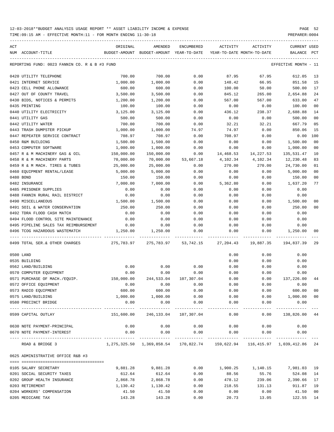TIME:09:15 AM - EFFECTIVE MONTH:11 - FOR MONTH ENDING 11-30-18 PREPARER:0004

| ACT |                                               | ORIGINAL            | AMENDED                                                                    | <b>ENCUMBERED</b>    | <b>ACTIVITY</b>   | ACTIVITY                   | <b>CURRENT USED</b>  |                |
|-----|-----------------------------------------------|---------------------|----------------------------------------------------------------------------|----------------------|-------------------|----------------------------|----------------------|----------------|
|     | NUM ACCOUNT-TITLE                             |                     | BUDGET-AMOUNT BUDGET-AMOUNT YEAR-TO-DATE                                   |                      |                   | YEAR-TO-DATE MONTH-TO-DATE | BALANCE              | $_{\rm PCT}$   |
|     | REPORTING FUND: 0023 FANNIN CO. R & B #3 FUND |                     |                                                                            |                      |                   |                            | EFFECTIVE MONTH - 11 |                |
|     | 0420 UTILITY TELEPHONE                        | 700.00              | 700.00                                                                     | 0.00                 | 87.95             | 67.95                      | 612.05               | 13             |
|     | 0421 INTERNET SERVICE                         | 1,000.00            | 1,000.00                                                                   | 0.00                 | 148.42            | 66.95                      | 851.58               | 15             |
|     | 0423 CELL PHONE ALLOWANCE                     | 600.00              | 600.00                                                                     | 0.00                 | 100.00            | 50.00                      | 500.00               | 17             |
|     | 0427 OUT OF COUNTY TRAVEL                     | 3,500.00            | 3,500.00                                                                   | 0.00                 | 845.12            | 265.00                     | 2,654.88             | 24             |
|     | 0430 BIDS, NOTICES & PERMITS                  | 1,200.00            | 1,200.00                                                                   | 0.00                 | 567.00            | 567.00                     | 633.00               | 47             |
|     | 0435 PRINTING                                 | 100.00              | 100.00                                                                     | 0.00                 | 0.00              | 0.00                       | 100.00               | 0 <sub>0</sub> |
|     | 0440 UTILITY ELECTRICITY                      | 3,125.00            | 3,125.00                                                                   | 0.00                 | 436.12            | 238.37                     | 2,688.88             | 14             |
|     | 0441 UTILITY GAS                              | 500.00              | 500.00                                                                     | 0.00                 | 0.00              | 0.00                       | 500.00               | 0 <sub>0</sub> |
|     | 0442 UTILITY WATER                            | 700.00              | 700.00                                                                     | 0.00                 | 32.21             | 32.21                      | 667.79               | 05             |
|     | 0443 TRASH DUMPSTER PICKUP                    | 1,000.00            | 1,000.00                                                                   | 74.97                | 74.97             | 0.00                       | 850.06               | 15             |
|     | 0447 REPEATER SERVICE CONTRACT                | 708.97              | 708.97                                                                     | 0.00                 | 708.97            | 0.00                       | 0.00                 | 100            |
|     | 0450 R&M BUILDING                             | 1,500.00            | 1,500.00                                                                   | 0.00                 | 0.00              | 0.00                       | 1,500.00             | 0 <sub>0</sub> |
|     | 0453 COMPUTER SOFTWARE                        | 1,000.00            | 1,000.00                                                                   | 0.00                 | 0.00              | 0.00                       | 1,000.00             | 0 <sub>0</sub> |
|     | 0457 R & M MACHINERY GAS & OIL                | 150,000.00          | 150,000.00                                                                 | 0.00                 | 14,468.53         | 14,227.53                  | 135,531.47           | 10             |
|     | 0458 R & M MACHINERY PARTS                    | 70,000.00           | 70,000.00                                                                  | 53,667.18            | 4,102.34          | 4,102.34                   | 12,230.48            | 83             |
|     | 0459 R & M MACH. TIRES & TUBES                | 25,000.00           | 25,000.00                                                                  | 0.00                 | 270.00            | 270.00                     | 24,730.00            | 01             |
|     | 0460 EQUIPMENT RENTAL/LEASE                   | 5,000.00            | 5,000.00                                                                   | 0.00                 | 0.00              | 0.00                       | 5,000.00             | 0 <sub>0</sub> |
|     | 0480 BOND                                     | 150.00              | 150.00                                                                     | 0.00                 | 0.00              | 0.00                       | 150.00               | 0 <sub>0</sub> |
|     | 0482 INSURANCE                                | 7,000.00            | 7,000.00                                                                   | 0.00                 | 5,362.80          | 0.00                       | 1,637.20             | 77             |
|     | 0485 PRISONER SUPPLIES                        | 0.00                | 0.00                                                                       | 0.00                 | 0.00              | 0.00                       | 0.00                 |                |
|     |                                               | 0.00                |                                                                            | 0.00                 |                   |                            | 0.00                 |                |
|     | 0488 FANNIN RURAL RAIL DISTRICT               | 1,500.00            | 0.00                                                                       |                      | 0.00              | 0.00                       |                      | 0 <sub>0</sub> |
|     | 0490 MISCELLANEOUS                            |                     | 1,500.00                                                                   | 0.00                 | 0.00              | 0.00                       | 1,500.00             |                |
|     | 0491 SOIL & WATER CONSERVATION                | 250.00              | 250.00                                                                     | 0.00                 | 0.00              | 0.00                       | 250.00               | 0 <sub>0</sub> |
|     | 0492 TDRA FLOOD CASH MATCH                    | 0.00                | 0.00                                                                       | 0.00                 | 0.00              | 0.00                       | 0.00                 |                |
|     | 0494 FLOOD CONTROL SITE MAINTENANCE           | 0.00                | 0.00                                                                       | 0.00                 | 0.00              | 0.00                       | 0.00                 |                |
|     | 0495 PIPELINE SALES TAX REIMBURSEMENT         | 0.00                | 0.00                                                                       | 0.00                 | 0.00              | 0.00                       | 0.00                 |                |
|     | 0496 TCOG HAZARDOUS WASTEMATCH                | 1,250.00            | 1,250.00                                                                   | 0.00                 | 0.00              | 0.00                       | 1,250.00             | 00             |
|     | 0499 TOTAL SER.& OTHER CHARGES                | 275,783.97          | 275,783.97                                                                 | 53,742.15            | 27,204.43         | 19,887.35                  | 194,837.39           | 29             |
|     | 0500 LAND                                     |                     |                                                                            |                      | 0.00              | 0.00                       | 0.00                 |                |
|     | 0535 BUILDING                                 |                     |                                                                            |                      | 0.00              | 0.00                       | 0.00                 |                |
|     | 0562 LAND/BUILDING                            | 0.00                | 0.00                                                                       | 0.00                 | 0.00              | 0.00                       | 0.00                 |                |
|     | 0570 COMPUTER EQUIPMENT                       | 0.00                | 0.00                                                                       | 0.00                 | 0.00              | 0.00                       | 0.00                 |                |
|     | 0571 PURCHASE OF MACH./EQUIP.                 | 150,000.00          | 244,533.04                                                                 | 107,307.04           | 0.00              | 0.00                       | 137,226.00           | 44             |
|     | 0572 OFFICE EQUIPMENT                         | 0.00                | 0.00                                                                       | 0.00                 | 0.00              | 0.00                       | 0.00                 |                |
|     | 0573 RADIO EQUIPMENT                          | 600.00              | 600.00                                                                     | 0.00                 | 0.00              | 0.00                       | 600.00               | 0 <sub>0</sub> |
|     | 0575 LAND/BUILDING                            | 1,000.00            | 1,000.00                                                                   | 0.00                 | 0.00              | 0.00                       | 1,000.00             | 0 <sub>0</sub> |
|     | 0580 PRECINCT BRIDGE<br>-------------------   | 0.00<br>----------- | 0.00<br>-----------                                                        | 0.00<br>-----------  | 0.00<br>--------- | 0.00<br>---------          | 0.00<br>----------   |                |
|     | 0599 CAPITAL OUTLAY                           | 151,600.00          | 246,133.04 107,307.04                                                      |                      | 0.00              | 0.00                       | 138,826.00 44        |                |
|     | 0630 NOTE PAYMENT-PRINCIPAL                   | 0.00                | 0.00                                                                       | 0.00                 | 0.00              | 0.00                       | 0.00                 |                |
|     | 0670 NOTE PAYMENT-INTEREST                    | 0.00                | 0.00<br>-----------                                                        | 0.00<br>------------ | 0.00              | 0.00                       | 0.00                 |                |
|     | ROAD & BRIDGE 3                               |                     | 1,275,325.50 1,369,858.54 170,822.74 159,622.94 116,415.97 1,039,412.86 24 |                      |                   |                            |                      |                |
|     | 0625 ADMINISTRATIVE OFFICE R&B #3             |                     |                                                                            |                      |                   |                            |                      |                |
|     |                                               |                     |                                                                            |                      |                   |                            |                      |                |
|     | 0105 SALARY SECRETARY                         | 9,881.28            | 9,881.28                                                                   | 0.00                 | 1,900.25          | 1,140.15                   | 7,981.03             | 19             |
|     | 0201 SOCIAL SECURITY TAXES                    | 612.64              | 612.64                                                                     | 0.00                 | 88.56             | 55.76                      | 524.08               | 14             |
|     | 0202 GROUP HEALTH INSURANCE                   | 2,868.78            | 2,868.78                                                                   | 0.00                 | 478.12            | 239.06                     | 2,390.66             | 17             |
|     | 0203 RETIREMENT                               | 1,130.42            | 1,130.42                                                                   | 0.00                 | 218.55            | 131.13                     | 911.87               | 19             |
|     | 0204 WORKERS' COMPENSATION                    | 41.50               | 41.50                                                                      | 0.00                 | 0.00              | 0.00                       | 41.50                | 0 <sub>0</sub> |

0205 MEDICARE TAX 6 143.28 143.28 143.28 143.28 143.28 143.28 120.73 13.05 122.55 14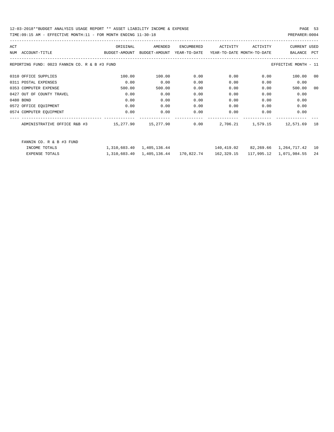TIME:09:15 AM - EFFECTIVE MONTH:11 - FOR MONTH ENDING 11-30-18 PREPARER:0004

| ACT |                                               | ORIGINAL      | AMENDED      | ENCUMBERED | ACTIVITY                                              | ACTIVITY | <b>CURRENT USED</b>       |     |
|-----|-----------------------------------------------|---------------|--------------|------------|-------------------------------------------------------|----------|---------------------------|-----|
|     | NUM ACCOUNT-TITLE                             | BUDGET-AMOUNT |              |            | BUDGET-AMOUNT YEAR-TO-DATE YEAR-TO-DATE MONTH-TO-DATE |          | BALANCE                   | PCT |
|     | REPORTING FUND: 0023 FANNIN CO. R & B #3 FUND |               |              |            |                                                       |          | EFFECTIVE MONTH - 11      |     |
|     | 0310 OFFICE SUPPLIES                          | 100.00        | 100.00       | 0.00       | 0.00                                                  | 0.00     | 100.00                    | 00  |
|     | 0311 POSTAL EXPENSES                          | 0.00          | 0.00         | 0.00       | 0.00                                                  | 0.00     | 0.00                      |     |
|     | 0353 COMPUTER EXPENSE                         | 500.00        | 500.00       | 0.00       | 0.00                                                  | 0.00     | 500.00                    | 00  |
|     | 0427 OUT OF COUNTY TRAVEL                     | 0.00          | 0.00         | 0.00       | 0.00                                                  | 0.00     | 0.00                      |     |
|     | 0480 BOND                                     | 0.00          | 0.00         | 0.00       | 0.00                                                  | 0.00     | 0.00                      |     |
|     | 0572 OFFICE EQUIPMENT                         | 0.00          | 0.00         | 0.00       | 0.00                                                  | 0.00     | 0.00                      |     |
|     | 0574 COMPUTER EQUIPMENT                       | 0.00          | 0.00         | 0.00       | 0.00                                                  | 0.00     | 0.00                      |     |
|     | ADMINISTRATIVE OFFICE R&B #3                  | 15,277.90     | 15,277.90    | 0.00       | 2,706.21                                              | 1,579.15 | 12,571.69                 | 18  |
|     | FANNIN CO. R & B #3 FUND<br>INCOME TOTALS     | 1,310,603.40  | 1,405,136.44 |            | 140,419.02                                            |          | 82, 269.66 1, 264, 717.42 | 10  |

EXPENSE TOTALS 1,310,603.40 1,405,136.44 170,822.74 162,329.15 117,995.12 1,071,984.55 24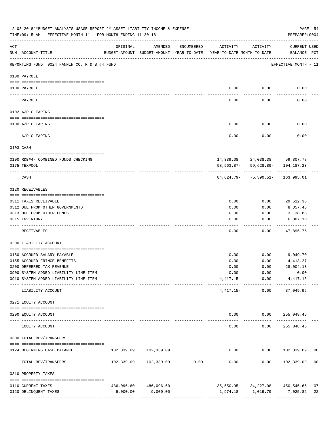|                 | 12-03-2018**BUDGET ANALYSIS USAGE REPORT ** ASSET LIABILITY INCOME & EXPENSE<br>TIME: 09:15 AM - EFFECTIVE MONTH: 11 - FOR MONTH ENDING 11-30-18 |          |                                                     |                                |                                        |                                                         | PAGE 54<br>PREPARER: 0004               |    |
|-----------------|--------------------------------------------------------------------------------------------------------------------------------------------------|----------|-----------------------------------------------------|--------------------------------|----------------------------------------|---------------------------------------------------------|-----------------------------------------|----|
| ACT             | NUM ACCOUNT-TITLE                                                                                                                                | ORIGINAL | AMENDED<br>BUDGET-AMOUNT BUDGET-AMOUNT YEAR-TO-DATE | ENCUMBERED                     | ACTIVITY<br>YEAR-TO-DATE MONTH-TO-DATE | ACTIVITY                                                | CURRENT USED<br>BALANCE PCT             |    |
|                 | REPORTING FUND: 0024 FANNIN CO. R & B #4 FUND                                                                                                    |          |                                                     |                                |                                        |                                                         | EFFECTIVE MONTH - 11                    |    |
|                 | 0100 PAYROLL                                                                                                                                     |          |                                                     |                                |                                        |                                                         |                                         |    |
|                 |                                                                                                                                                  |          |                                                     |                                |                                        |                                                         |                                         |    |
| $- - - - - - -$ | 0100 PAYROLL                                                                                                                                     |          |                                                     |                                | 0.00                                   | 0.00                                                    | 0.00                                    |    |
|                 | PAYROLL                                                                                                                                          |          |                                                     |                                | 0.00                                   | 0.00                                                    | 0.00                                    |    |
|                 | 0102 A/P CLEARING                                                                                                                                |          |                                                     |                                |                                        |                                                         |                                         |    |
|                 | 0100 A/P CLEARING                                                                                                                                |          |                                                     |                                | 0.00                                   | 0.00                                                    | 0.00                                    |    |
|                 | A/P CLEARING                                                                                                                                     |          |                                                     |                                | 0.00                                   | 0.00                                                    | 0.00                                    |    |
|                 | 0103 CASH                                                                                                                                        |          |                                                     |                                |                                        |                                                         |                                         |    |
|                 | 0100 R&B#4- COMBINED FUNDS CHECKING                                                                                                              |          |                                                     |                                |                                        | 14,339.08 24,038.38 59,807.78                           |                                         |    |
|                 | 0175 TEXPOOL                                                                                                                                     |          |                                                     |                                |                                        | 98, 963.87- 99, 628.89- 104, 187.23                     |                                         |    |
|                 | CASH                                                                                                                                             |          |                                                     |                                |                                        | 84,624.79- 75,590.51- 163,995.01                        |                                         |    |
|                 | 0120 RECEIVABLES                                                                                                                                 |          |                                                     |                                |                                        |                                                         |                                         |    |
|                 | 0311 TAXES RECEIVABLE                                                                                                                            |          |                                                     |                                | 0.00                                   | 0.00                                                    | 29,512.36                               |    |
|                 | 0312 DUE FROM OTHER GOVERNMENTS                                                                                                                  |          |                                                     |                                | 0.00                                   | 0.00                                                    | 8,357.46                                |    |
|                 | 0313 DUE FROM OTHER FUNDS                                                                                                                        |          |                                                     |                                | 0.00                                   | 0.00                                                    | 3,138.83                                |    |
|                 | 0315 INVENTORY                                                                                                                                   |          |                                                     |                                | 0.00                                   | 0.00                                                    | 6,887.10                                |    |
|                 | RECEIVABLES                                                                                                                                      |          |                                                     |                                | 0.00                                   | 0.00                                                    | 47,895.75                               |    |
|                 | 0200 LIABILITY ACCOUNT                                                                                                                           |          |                                                     |                                |                                        |                                                         |                                         |    |
|                 | 0150 ACCRUED SALARY PAYABLE                                                                                                                      |          |                                                     |                                | 0.00                                   | 0.00                                                    | 9,049.70                                |    |
|                 | 0155 ACCRUED FRINGE BENEFITS                                                                                                                     |          |                                                     |                                | 0.00                                   | 0.00                                                    | 4,413.27                                |    |
|                 | 0200 DEFERRED TAX REVENUE                                                                                                                        |          |                                                     |                                | 0.00                                   | 0.00                                                    | 28,004.13                               |    |
|                 | 0900 SYSTEM ADDED LIABILITY LINE-ITEM                                                                                                            |          |                                                     |                                |                                        | $0.00$ $0.00$                                           | 0.00                                    |    |
|                 | 0910 SYSTEM ADDED LIABILITY LINE-ITEM                                                                                                            |          |                                                     |                                |                                        | $4,417.15-$ 0.00 $4,417.15-$                            |                                         |    |
|                 | LIABILITY ACCOUNT                                                                                                                                |          |                                                     |                                |                                        | --------- ------------ ------------<br>$4,417.15-$ 0.00 | 37,049.95                               |    |
|                 | 0271 EQUITY ACCOUNT                                                                                                                              |          |                                                     |                                |                                        |                                                         |                                         |    |
|                 | 0200 EQUITY ACCOUNT                                                                                                                              |          |                                                     |                                |                                        | $0.00$ $0.00$ $255,048.45$                              |                                         |    |
|                 | ____________________<br>--------------------- ---------------<br>EQUITY ACCOUNT                                                                  |          |                                                     |                                | -----<br>0.00                          | -----------<br>0.00                                     | ______________<br>255,048.45            |    |
|                 | 0300 TOTAL REV/TRANSFERS                                                                                                                         |          |                                                     |                                |                                        |                                                         |                                         |    |
|                 | 0124 BEGINNING CASH BALANCE                                                                                                                      |          | 102,339.09 102,339.09                               |                                |                                        |                                                         | $0.00$ $0.00$ $102,339.09$ 00           |    |
|                 | TOTAL REV/TRANSFERS                                                                                                                              |          |                                                     | ------------------------------ | 0.00                                   | -----------                                             | -------------<br>$0.00$ $102,339.09$ 00 |    |
|                 | 0310 PROPERTY TAXES                                                                                                                              |          |                                                     |                                |                                        |                                                         |                                         |    |
|                 | 0110 CURRENT TAXES                                                                                                                               |          | 486,096.60 486,096.60                               |                                |                                        |                                                         | 35,550.95 34,227.08 450,545.65          | 07 |
|                 | 0120 DELINQUENT TAXES                                                                                                                            | 9,000.00 | 9,000.00                                            |                                |                                        |                                                         |                                         | 22 |
|                 |                                                                                                                                                  |          |                                                     |                                |                                        |                                                         |                                         |    |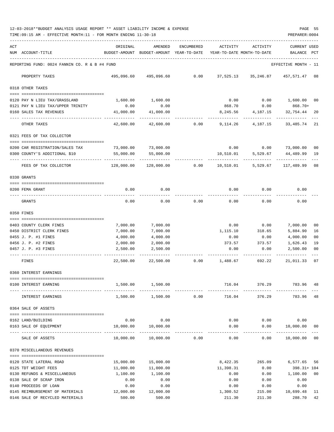12-03-2018\*\*BUDGET ANALYSIS USAGE REPORT \*\* ASSET LIABILITY INCOME & EXPENSE PAGE 55 TIME:09:15 AM - EFFECTIVE MONTH:11 - FOR MONTH ENDING 11-30-18 PREPARER:0004

| ACT |                                                                  | ORIGINAL                      | AMENDED                                                             | ENCUMBERED | ACTIVITY        | ACTIVITY                              | <b>CURRENT USED</b>  |                      |
|-----|------------------------------------------------------------------|-------------------------------|---------------------------------------------------------------------|------------|-----------------|---------------------------------------|----------------------|----------------------|
|     | NUM ACCOUNT-TITLE                                                |                               | BUDGET-AMOUNT BUDGET-AMOUNT YEAR-TO-DATE YEAR-TO-DATE MONTH-TO-DATE |            |                 |                                       | BALANCE PCT          |                      |
|     | REPORTING FUND: 0024 FANNIN CO. R & B #4 FUND                    |                               |                                                                     |            |                 |                                       | EFFECTIVE MONTH - 11 |                      |
|     | PROPERTY TAXES                                                   |                               | 495,096.60 495,096.60 0.00 37,525.13 35,246.87 457,571.47 08        |            |                 |                                       |                      |                      |
|     | 0318 OTHER TAXES                                                 |                               |                                                                     |            |                 |                                       |                      |                      |
|     | 0120 PAY N LIEU TAX/GRASSLAND                                    | 1,600.00                      | 1,600.00                                                            |            | 0.00            |                                       | $0.00$ 1,600.00      | 0 <sub>0</sub>       |
|     | 0121 PAY N LIEU TAX/UPPER TRINITY                                | 0.00                          | 0.00                                                                |            | 868.70          | 0.00                                  | 868.70+              |                      |
|     | 0160 SALES TAX REVENUES                                          | 41,000.00                     | 41,000.00                                                           |            | 8,245.56        | 4,187.15                              | 32,754.44            | 20                   |
|     | OTHER TAXES                                                      | 42,600.00                     | 42,600.00                                                           | 0.00       | 9,114.26        | 4,187.15                              | 33,485.74 21         |                      |
|     | 0321 FEES OF TAX COLLECTOR                                       |                               |                                                                     |            |                 |                                       |                      |                      |
|     |                                                                  |                               |                                                                     |            |                 |                                       |                      |                      |
|     | 0200 CAR REGISTRATION/SALES TAX<br>0300 COUNTY'S ADDITIONAL \$10 | 73,000.00<br>55,000.00        | 73,000.00<br>55,000.00                                              |            | 10,510.01       | $0.00$ $0.00$ $73,000.00$<br>5,529.67 | 44,489.99            | 0 <sub>0</sub><br>19 |
|     |                                                                  |                               |                                                                     |            |                 |                                       |                      |                      |
|     | FEES OF TAX COLLECTOR                                            | 128,000.00                    |                                                                     |            |                 | 5,529.67                              | 117,489.99           | 08                   |
|     | 0330 GRANTS                                                      |                               |                                                                     |            |                 |                                       |                      |                      |
|     | 0200 FEMA GRANT                                                  | 0.00                          | 0.00                                                                |            | 0.00            | 0.00                                  | 0.00                 |                      |
|     | GRANTS                                                           | 0.00                          | 0.00                                                                | 0.00       | 0.00            | 0.00                                  | 0.00                 |                      |
|     | 0350 FINES                                                       |                               |                                                                     |            |                 |                                       |                      |                      |
|     | 0403 COUNTY CLERK FINES                                          | 7,000.00                      | 7,000.00                                                            |            | 0.00            | 0.00                                  | 7,000.00             | 00                   |
|     | 0450 DISTRICT CLERK FINES                                        | 7,000.00                      | 7,000.00                                                            |            | 1,115.10        | 318.65                                | 5,884.90             | 16                   |
|     | 0455 J. P. #1 FINES                                              | 4,000.00                      | 4,000.00                                                            |            | 0.00            | 0.00                                  | 4,000.00             | 0 <sub>0</sub>       |
|     | 0456 J. P. #2 FINES                                              | 2,000.00                      | 2,000.00                                                            |            | 373.57          | 373.57                                | 1,626.43             | 19                   |
|     | 0457 J. P. #3 FINES                                              | 2,500.00                      | 2,500.00                                                            |            | 0.00            | 0.00                                  | 2,500.00             | 0 <sub>0</sub>       |
|     | FINES                                                            | 22,500.00                     | 22,500.00                                                           |            | $0.00$ 1,488.67 | 692.22                                | 21,011.33            | 07                   |
|     | 0360 INTEREST EARNINGS                                           |                               |                                                                     |            |                 |                                       |                      |                      |
|     | 0100 INTEREST EARNING                                            | 1,500.00                      | 1,500.00                                                            |            | 716.04          | 376.29                                | 783.96               | 48                   |
|     | INTEREST EARNINGS                                                | 1,500.00                      | 1,500.00                                                            | 0.00       | 716.04          | 376.29                                | 783.96               | 48                   |
|     | 0364 SALE OF ASSETS                                              |                               |                                                                     |            |                 |                                       |                      |                      |
|     |                                                                  |                               |                                                                     |            |                 |                                       |                      |                      |
|     | 0162 LAND/BUILDING<br>0163 SALE OF EQUIPMENT                     | 0.00<br>10,000.00             | 0.00<br>10,000.00                                                   |            | 0.00<br>0.00    | 0.00<br>0.00                          | 0.00<br>10,000.00    | 00                   |
|     |                                                                  | ---------------- ------------ | -------------                                                       |            |                 |                                       | ----------           |                      |
|     | SALE OF ASSETS                                                   | 10,000.00                     | 10,000.00                                                           | 0.00       | 0.00            | 0.00                                  | 10,000.00            | 0 <sub>0</sub>       |
|     | 0370 MISCELLANEOUS REVENUES                                      |                               |                                                                     |            |                 |                                       |                      |                      |
|     | 0120 STATE LATERAL ROAD                                          | 15,000.00                     | 15,000.00                                                           |            | 8,422.35        | 265.09                                | 6,577.65             | 56                   |
|     | 0125 TDT WEIGHT FEES                                             | 11,000.00                     | 11,000.00                                                           |            | 11,398.31       | 0.00                                  | 398.31+ 104          |                      |
|     | 0130 REFUNDS & MISCELLANEOUS                                     | 1,100.00                      | 1,100.00                                                            |            | 0.00            | 0.00                                  | 1,100.00             | 0 <sub>0</sub>       |
|     | 0138 SALE OF SCRAP IRON                                          | 0.00                          | 0.00                                                                |            | 0.00            | 0.00                                  | 0.00                 |                      |
|     | 0140 PROCEEDS OF LOAN                                            | 0.00                          | 0.00                                                                |            | 0.00            | 0.00                                  | 0.00                 |                      |
|     | 0145 REIMBURSEMENT OF MATERIALS                                  | 12,000.00                     | 12,000.00                                                           |            | 1,300.52        | 215.00                                | 10,699.48            | - 11                 |

0146 SALE OF RECYCLED MATERIALS  $\begin{array}{cccc} 500.00 & 500.00 & 211.30 & 288.70 \end{array}$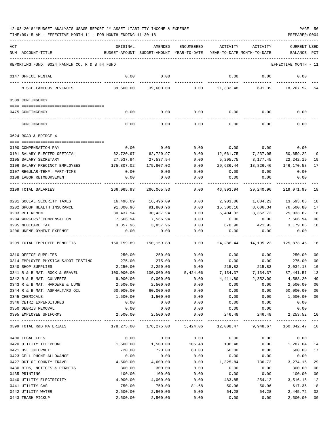| ACT                                           | ORIGINAL   | AMENDED                                  | ENCUMBERED | ACTIVITY                   | ACTIVITY    | <b>CURRENT USED</b>       |              |
|-----------------------------------------------|------------|------------------------------------------|------------|----------------------------|-------------|---------------------------|--------------|
| NUM ACCOUNT-TITLE                             |            | BUDGET-AMOUNT BUDGET-AMOUNT YEAR-TO-DATE |            | YEAR-TO-DATE MONTH-TO-DATE |             | BALANCE                   | $_{\rm PCT}$ |
|                                               |            |                                          |            |                            |             |                           |              |
| REPORTING FUND: 0024 FANNIN CO. R & B #4 FUND |            |                                          |            |                            |             | EFFECTIVE MONTH - 11      |              |
| 0147 OFFICE RENTAL                            | 0.00       | 0.00                                     |            | 0.00                       | 0.00        | 0.00                      |              |
| MISCELLANEOUS REVENUES                        | 39,600.00  | 39,600.00                                | 0.00       | 21,332.48                  | 691.39      | 18,267.52                 | -54          |
| 0509 CONTINGENCY                              |            |                                          |            |                            |             |                           |              |
|                                               |            |                                          |            |                            |             |                           |              |
| 0475 CONTINGENCY                              | 0.00       | 0.00                                     | 0.00       |                            | $0.00$ 0.00 | 0.00                      |              |
| CONTINGENCY                                   | 0.00       | 0.00                                     | 0.00       | 0.00                       | 0.00        | 0.00                      |              |
| 0624 ROAD & BRIDGE 4                          |            |                                          |            |                            |             |                           |              |
|                                               |            |                                          |            |                            |             |                           |              |
| 0100 COMPENSATION PAY                         | 0.00       | 0.00                                     | 0.00       | 0.00                       | 0.00        | 0.00                      |              |
| 0101 SALARY ELECTED OFFICIAL                  | 62,720.97  | 62,720.97                                | 0.00       | 12,061.75                  | 7,237.05    | 50,659.22                 | 19           |
| 0105 SALARY SECRETARY                         | 27,537.94  | 27,537.94                                | 0.00       | 5,295.75                   | 3,177.45    | 22,242.19                 | 19           |
| 0106 SALARY PRECINCT EMPLOYEES                | 175,807.02 | 175,807.02                               | 0.00       | 29,636.44                  | 18,826.46   | 146,170.58                | 17           |
| 0107 REGULAR-TEMP. PART-TIME                  | 0.00       | 0.00                                     | 0.00       | 0.00                       | 0.00        | 0.00                      |              |
| 0108 LABOR REIMBURSEMENT                      | 0.00       | 0.00                                     | 0.00       | 0.00                       | 0.00        | 0.00                      |              |
| 0199 TOTAL SALARIES                           | 266,065.93 | 266,065.93                               | 0.00       | 46,993.94                  | 29,240.96   | 219,071.99                | 18           |
| 0201 SOCIAL SECURITY TAXES                    | 16,496.09  | 16,496.09                                | 0.00       | 2,903.06                   | 1,804.23    | 13,593.03                 | 18           |
| 0202 GROUP HEALTH INSURANCE                   | 91,800.96  | 91,800.96                                | 0.00       | 15,300.16                  | 8,606.34    | 76,500.80                 | 17           |
| 0203 RETIREMENT                               | 30,437.94  | 30,437.94                                | 0.00       | 5,404.32                   | 3,362.72    | 25,033.62                 | 18           |
| 0204 WORKERS' COMPENSATION                    | 7,566.94   | 7,566.94                                 | 0.00       | 0.00                       | 0.00        | 7,566.94                  | 00           |
| 0205 MEDICARE TAX                             | 3,857.96   | 3,857.96                                 | 0.00       | 678.90                     | 421.93      | 3,179.06                  | 18           |
| 0206 UNEMPLOYMENT EXPENSE                     | 0.00       | 0.00                                     | 0.00       | 0.00                       | 0.00        | 0.00                      |              |
| 0299 TOTAL EMPLOYEE BENEFITS                  | 150,159.89 | 150,159.89                               | 0.00       | 24,286.44                  | 14,195.22   | 125,873.45                | 16           |
| 0310 OFFICE SUPPLIES                          | 250.00     | 250.00                                   | 0.00       | 0.00                       | 0.00        | 250.00                    | 00           |
| 0314 EMPLOYEE PHYSICALS/DOT TESTING           | 275.00     | 275.00                                   | 0.00       | 0.00                       | 0.00        | 275.00                    | 00           |
| 0340 SHOP SUPPLIES                            | 2,250.00   | 2,250.00                                 | 0.00       | 215.82                     | 215.82      | 2,034.18                  | 10           |
| 0341 R & B MAT. ROCK & GRAVEL                 | 100,000.00 | 100,000.00                               | 5,424.06   | 7,134.37                   | 7,134.37    | 87,441.57                 | 13           |
| 0342 R & B MAT. CULVERTS                      | 9,000.00   | 9,000.00                                 | 0.00       | 4,411.80                   | 2,352.00    | 4,588.20                  | 49           |
| 0343 R & B MAT. HARDWRE & LUMB                | 2,500.00   | 2,500.00                                 | 0.00       | 0.00                       | 0.00        | 2,500.00                  | 00           |
| 0344 R & B MAT. ASPHALT/RD OIL                | 60,000.00  | 60,000.00                                | 0.00       | 0.00                       | 0.00        | 60,000.00                 | 00           |
| 0345 CHEMICALS                                | 1,500.00   | 1,500.00                                 | 0.00       | 0.00                       | 0.00        | 1,500.00                  | $00\,$       |
| 0346 CETRZ EXPENDITURES                       | 0.00       | 0.00                                     | 0.00       | 0.00                       | 0.00        | 0.00                      |              |
| 0350 DEBRIS REMOVAL                           | 0.00       | 0.00                                     | 0.00       | 0.00                       | 0.00        | 0.00                      |              |
| 0395 EMPLOYEE UNIFORMS                        | 2,500.00   | 2,500.00<br>-------------                | 0.00       | 246.48                     | 246.48      | 2,253.52<br>------------- | 10           |
| 0399 TOTAL R&B MATERIALS                      | 178,275.00 | 178,275.00                               | 5,424.06   | 12,008.47                  | 9,948.67    | 160,842.47 10             |              |
| 0400 LEGAL FEES                               | 0.00       | 0.00                                     | 0.00       | 0.00                       | 0.00        | 0.00                      |              |
| 0420 UTILITY TELEPHONE                        | 1,500.00   | 1,500.00                                 | 106.48     | 106.48                     | 0.00        | 1,287.04                  | 14           |
| 0421 DSL INTERNET                             | 720.00     | 720.00                                   | 60.00      | 60.00                      | 0.00        | 600.00                    | 17           |
| 0423 CELL PHONE ALLOWANCE                     | 0.00       | 0.00                                     | 0.00       | 0.00                       | 0.00        | 0.00                      |              |
| 0427 OUT OF COUNTY TRAVEL                     | 4,600.00   | 4,600.00                                 | 0.00       | 1,325.84                   | 736.72      | 3,274.16                  | 29           |
| 0430 BIDS, NOTICES & PERMITS                  | 300.00     | 300.00                                   | 0.00       | 0.00                       | 0.00        | 300.00                    | 00           |
| 0435 PRINTING                                 | 100.00     | 100.00                                   | 0.00       | 0.00                       | 0.00        | 100.00                    | 00           |
| 0440 UTILITY ELECTRICITY                      | 4,000.00   | 4,000.00                                 | 0.00       | 483.85                     | 254.12      | 3,516.15                  | 12           |
| 0441 UTILITY GAS                              | 750.00     | 750.00                                   | 81.68      | 50.96                      | 50.96       | 617.36                    | 18           |
| 0442 UTILITY WATER                            | 2,500.00   | 2,500.00                                 | 0.00       | 54.28                      | 54.28       | 2,445.72                  | 02           |
| 0443 TRASH PICKUP                             | 2,500.00   | 2,500.00                                 | 0.00       | 0.00                       | 0.00        | 2,500.00                  | $00\,$       |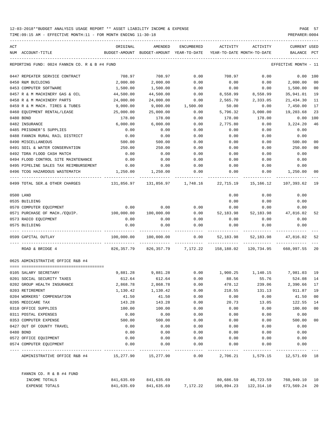| ACT                                              | ORIGINAL   | AMENDED                                  | <b>ENCUMBERED</b>              | ACTIVITY   | ACTIVITY                       | <b>CURRENT USED</b>  |        |
|--------------------------------------------------|------------|------------------------------------------|--------------------------------|------------|--------------------------------|----------------------|--------|
| NUM ACCOUNT-TITLE                                |            | BUDGET-AMOUNT BUDGET-AMOUNT YEAR-TO-DATE |                                |            | YEAR-TO-DATE MONTH-TO-DATE     | BALANCE              | PCT    |
| REPORTING FUND: 0024 FANNIN CO. R & B #4 FUND    |            |                                          |                                |            |                                | EFFECTIVE MONTH - 11 |        |
| 0447 REPEATER SERVICE CONTRACT                   | 708.97     | 708.97                                   | 0.00                           | 708.97     | 0.00                           | 0.00                 | 100    |
| 0450 R&M BUILDING                                | 2,000.00   | 2,000.00                                 | 0.00                           | 0.00       | 0.00                           | 2,000.00             | 00     |
| 0453 COMPUTER SOFTWARE                           | 1,500.00   | 1,500.00                                 | 0.00                           | 0.00       | 0.00                           | 1,500.00             | 00     |
| 0457 R & M MACHINERY GAS & OIL                   | 44,500.00  | 44,500.00                                | 0.00                           | 8,558.99   | 8,558.99                       | 35,941.01            | 19     |
| 0458 R & M MACHINERY PARTS                       | 24,000.00  | 24,000.00                                | 0.00                           | 2,565.70   | 2,333.05                       | 21,434.30            | 11     |
| 0459 R & M MACH. TIRES & TUBES                   | 9,000.00   | 9.000.00                                 | 1,500.00                       | 50.00      | 0.00                           | 7,450.00             | 17     |
| 0460 EQUIPMENT RENTAL/LEASE                      | 25,000.00  | 25,000.00                                | 0.00                           | 5,796.32   | 3,000.00                       | 19,203.68            | 23     |
| 0480 BOND                                        | 178.00     | 178.00                                   | 0.00                           | 178.00     | 178.00                         | 0.00                 | 100    |
| 0482 INSURANCE                                   | 6,000.00   | 6,000.00                                 | 0.00                           | 2,775.80   | 0.00                           | 3,224.20             | 46     |
| 0485 PRISONER'S SUPPLIES                         | 0.00       | 0.00                                     | 0.00                           | 0.00       | 0.00                           | 0.00                 |        |
| 0488 FANNIN RURAL RAIL DISTRICT                  | 0.00       | 0.00                                     | 0.00                           | 0.00       | 0.00                           | 0.00                 |        |
| 0490 MISCELLANEOUS                               | 500.00     | 500.00                                   | 0.00                           | 0.00       | 0.00                           | 500.00               | 00     |
| 0491 SOIL & WATER CONSERVATION                   | 250.00     | 250.00                                   | 0.00                           | 0.00       | 0.00                           | 250.00               | 00     |
| 0492 TDRA FLOOD CASH MATCH                       | 0.00       | 0.00                                     | 0.00                           | 0.00       | 0.00                           | 0.00                 |        |
| 0494 FLOOD CONTROL SITE MAINTENANCE              | 0.00       | 0.00                                     | 0.00                           | 0.00       | 0.00                           | 0.00                 |        |
| 0495 PIPELINE SALES TAX REIMBURSEMENT            | 0.00       | 0.00                                     | 0.00                           | 0.00       | 0.00                           | 0.00                 |        |
| 0496 TCOG HAZARDOUS WASTEMATCH                   | 1,250.00   | 1,250.00                                 | 0.00                           | 0.00       | 0.00                           | 1,250.00             | 00     |
| 0499 TOTAL SER.& OTHER CHARGES                   | 131,856.97 | 131,856.97                               | 1,748.16                       | 22,715.19  | 15,166.12                      | 107,393.62           | 19     |
| 0500 LAND                                        |            |                                          |                                | 0.00       | 0.00                           | 0.00                 |        |
| 0535 BUILDING                                    |            |                                          |                                | 0.00       | 0.00                           | 0.00                 |        |
| 0570 COMPUTER EQUIPMENT                          | 0.00       | 0.00                                     | 0.00                           | 0.00       | 0.00                           | 0.00                 |        |
| 0571 PURCHASE OF MACH./EQUIP.                    | 100,000.00 | 100,000.00                               | 0.00                           | 52,183.98  | 52,183.98                      | 47,816.02            | 52     |
| 0573 RADIO EQUIPMENT                             | 0.00       | 0.00                                     | 0.00                           | 0.00       | 0.00                           | 0.00                 |        |
| 0575 BUILDING                                    | 0.00       | 0.00                                     | 0.00                           | 0.00       | 0.00                           | 0.00                 |        |
| 0599 CAPITAL OUTLAY                              | 100,000.00 | 100,000.00                               | 0.00                           | 52,183.98  | 52,183.98                      | 47,816.02            | 52     |
| ROAD & BRIDGE 4                                  | 826,357.79 | 826,357.79                               | 7,172.22                       | 158,188.02 | 120,734.95                     | 660,997.55           | 20     |
| 0625 ADMINISTRATIVE OFFICE R&B #4                |            |                                          |                                |            |                                |                      |        |
|                                                  |            |                                          |                                |            |                                |                      |        |
| 0105 SALARY SECRETARY                            | 9,881.28   | 9,881.28                                 | 0.00                           | 1,900.25   | 1,140.15                       | 7,981.03             | 19     |
| 0201 SOCIAL SECURITY TAXES                       | 612.64     | 612.64                                   | 0.00                           | 88.56      | 55.76                          | 524.08               | 14     |
| 0202 GROUP HEALTH INSURANCE                      | 2,868.78   | 2,868.78                                 | 0.00                           | 478.12     | 239.06                         | 2,390.66             | 17     |
| 0203 RETIREMENT                                  | 1,130.42   | 1,130.42                                 | 0.00                           | 218.55     | 131.13                         | 911.87               | 19     |
| 0204 WORKERS' COMPENSATION                       | 41.50      | 41.50                                    | 0.00                           | 0.00       | 0.00                           | 41.50                | $00\,$ |
| 0205 MEDICARE TAX                                | 143.28     | 143.28                                   | 0.00                           | 20.73      | 13.05                          | 122.55               | 14     |
| 0310 OFFICE SUPPLIES                             | 100.00     | 100.00                                   | 0.00                           | 0.00       | 0.00                           | 100.00               | $00\,$ |
| 0311 POSTAL EXPENSES                             | 0.00       | 0.00                                     | 0.00                           | 0.00       | 0.00                           | 0.00                 |        |
| 0353 COMPUTER EXPENSE                            | 500.00     | 500.00                                   | 0.00                           | 0.00       | 0.00                           | 500.00               | $00\,$ |
| 0427 OUT OF COUNTY TRAVEL                        | 0.00       | 0.00                                     | 0.00                           | 0.00       | 0.00                           | 0.00                 |        |
| 0480 BOND                                        | 0.00       | 0.00                                     | 0.00                           | 0.00       | 0.00                           | 0.00                 |        |
| 0572 OFFICE EQUIPMENT                            | 0.00       | 0.00                                     | 0.00                           | 0.00       | 0.00                           | 0.00                 |        |
| 0574 COMPUTER EQUIPMENT                          | 0.00       | 0.00                                     | 0.00                           | 0.00       | 0.00                           | 0.00                 |        |
| ADMINISTRATIVE OFFICE R&B #4 15,277.90 15,277.90 |            |                                          | 0.00                           |            | 2,706.21 1,579.15 12,571.69 18 |                      |        |
| FANNIN CO. R & B #4 FUND                         |            |                                          |                                |            |                                |                      |        |
| INCOME TOTALS                                    |            | 841,635.69 841,635.69                    |                                |            | 80,686.59 46,723.59            | 760,949.10 10        |        |
| EXPENSE TOTALS                                   | 841,635.69 |                                          | 841,635.69 7,172.22 160,894.23 |            | 122,314.10                     | 673,569.24           | 20     |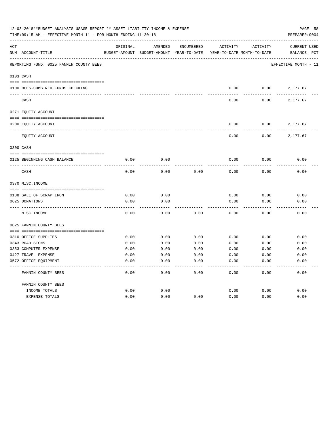|     | 12-03-2018**BUDGET ANALYSIS USAGE REPORT ** ASSET LIABILITY INCOME & EXPENSE<br>TIME:09:15 AM - EFFECTIVE MONTH:11 - FOR MONTH ENDING 11-30-18 |          |                                                     |            |                                        |          | PAGE 58<br>PREPARER: 0004          |
|-----|------------------------------------------------------------------------------------------------------------------------------------------------|----------|-----------------------------------------------------|------------|----------------------------------------|----------|------------------------------------|
| ACT | NUM ACCOUNT-TITLE                                                                                                                              | ORIGINAL | AMENDED<br>BUDGET-AMOUNT BUDGET-AMOUNT YEAR-TO-DATE | ENCUMBERED | ACTIVITY<br>YEAR-TO-DATE MONTH-TO-DATE | ACTIVITY | <b>CURRENT USED</b><br>BALANCE PCT |
|     |                                                                                                                                                |          |                                                     |            |                                        |          |                                    |
|     | REPORTING FUND: 0025 FANNIN COUNTY BEES                                                                                                        |          |                                                     |            |                                        |          | EFFECTIVE MONTH - 11               |
|     | 0103 CASH                                                                                                                                      |          |                                                     |            |                                        |          |                                    |
|     |                                                                                                                                                |          |                                                     |            |                                        |          |                                    |
|     | 0100 BEES-COMBINED FUNDS CHECKING                                                                                                              |          |                                                     |            | 0.00                                   |          | $0.00$ 2,177.67                    |
|     | CASH                                                                                                                                           |          |                                                     |            | 0.00                                   | 0.00     | 2,177.67                           |
|     | 0271 EQUITY ACCOUNT                                                                                                                            |          |                                                     |            |                                        |          |                                    |
|     |                                                                                                                                                |          |                                                     |            |                                        |          |                                    |
|     | 0200 EQUITY ACCOUNT                                                                                                                            |          |                                                     |            | 0.00                                   | 0.00     | 2,177.67                           |
|     | EQUITY ACCOUNT                                                                                                                                 |          |                                                     |            | 0.00                                   | 0.00     | 2,177.67                           |
|     | 0300 CASH                                                                                                                                      |          |                                                     |            |                                        |          |                                    |
|     | 0125 BEGINNING CASH BALANCE                                                                                                                    | 0.00     | 0.00                                                |            | 0.00                                   | 0.00     | 0.00                               |
|     |                                                                                                                                                |          |                                                     |            |                                        |          |                                    |
|     | CASH                                                                                                                                           | 0.00     | 0.00                                                | 0.00       | 0.00                                   | 0.00     | 0.00                               |
|     | 0370 MISC. INCOME                                                                                                                              |          |                                                     |            |                                        |          |                                    |
|     |                                                                                                                                                |          |                                                     |            |                                        |          |                                    |
|     | 0138 SALE OF SCRAP IRON                                                                                                                        | 0.00     | 0.00                                                |            | 0.00                                   | 0.00     | 0.00                               |
|     | 0625 DONATIONS                                                                                                                                 | 0.00     | 0.00                                                |            | 0.00                                   | 0.00     | 0.00                               |
|     | MISC.INCOME                                                                                                                                    | 0.00     | 0.00                                                | 0.00       | 0.00                                   | 0.00     | 0.00                               |
|     | 0625 FANNIN COUNTY BEES                                                                                                                        |          |                                                     |            |                                        |          |                                    |
|     | 0310 OFFICE SUPPLIES                                                                                                                           | 0.00     | 0.00                                                | 0.00       | 0.00                                   | 0.00     | 0.00                               |
|     | 0343 ROAD SIGNS                                                                                                                                | 0.00     | 0.00                                                | 0.00       | 0.00                                   | 0.00     | 0.00                               |
|     | 0353 COMPUTER EXPENSE                                                                                                                          | 0.00     | 0.00                                                | 0.00       | 0.00                                   | 0.00     | 0.00                               |
|     | 0427 TRAVEL EXPENSE                                                                                                                            | 0.00     | 0.00                                                | 0.00       | 0.00                                   | 0.00     | 0.00                               |
|     | 0572 OFFICE EQUIPMENT                                                                                                                          | 0.00     | 0.00                                                | 0.00       | 0.00                                   | 0.00     | 0.00                               |
|     | FANNIN COUNTY BEES                                                                                                                             | 0.00     | 0.00                                                | 0.00       | 0.00                                   | 0.00     | 0.00                               |
|     | FANNIN COUNTY BEES                                                                                                                             |          |                                                     |            |                                        |          |                                    |
|     | INCOME TOTALS                                                                                                                                  | 0.00     | 0.00                                                |            | 0.00                                   | 0.00     | 0.00                               |
|     | <b>EXPENSE TOTALS</b>                                                                                                                          | 0.00     | 0.00                                                | 0.00       | 0.00                                   | 0.00     | 0.00                               |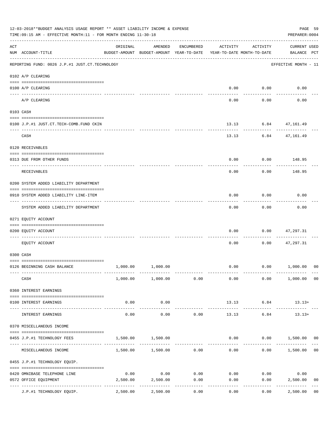|     | 12-03-2018**BUDGET ANALYSIS USAGE REPORT ** ASSET LIABILITY INCOME & EXPENSE<br>TIME: 09:15 AM - EFFECTIVE MONTH: 11 - FOR MONTH ENDING 11-30-18 |                                        |                                                                                |            |          |                          | PAGE 59<br>PREPARER: 0004          |                |
|-----|--------------------------------------------------------------------------------------------------------------------------------------------------|----------------------------------------|--------------------------------------------------------------------------------|------------|----------|--------------------------|------------------------------------|----------------|
| ACT | NUM ACCOUNT-TITLE                                                                                                                                | ORIGINAL                               | AMENDED<br>BUDGET-AMOUNT BUDGET-AMOUNT YEAR-TO-DATE YEAR-TO-DATE MONTH-TO-DATE | ENCUMBERED | ACTIVITY | ACTIVITY                 | <b>CURRENT USED</b><br>BALANCE PCT |                |
|     | REPORTING FUND: 0026 J.P.#1 JUST.CT.TECHNOLOGY                                                                                                   |                                        |                                                                                |            |          |                          | EFFECTIVE MONTH - 11               |                |
|     | 0102 A/P CLEARING                                                                                                                                |                                        |                                                                                |            |          |                          |                                    |                |
|     | 0100 A/P CLEARING                                                                                                                                |                                        |                                                                                |            |          | $0.00$ $0.00$            | 0.00                               |                |
|     | A/P CLEARING                                                                                                                                     |                                        |                                                                                |            | 0.00     | 0.00                     | 0.00                               |                |
|     | 0103 CASH                                                                                                                                        |                                        |                                                                                |            |          |                          |                                    |                |
|     | 0100 J.P.#1 JUST.CT.TECH-COMB.FUND CKIN                                                                                                          |                                        |                                                                                |            |          | 13.13 6.84 47,161.49     |                                    |                |
|     | CASH                                                                                                                                             |                                        |                                                                                |            | 13.13    | ----------               | 6.84 47,161.49                     |                |
|     | 0120 RECEIVABLES                                                                                                                                 |                                        |                                                                                |            |          |                          |                                    |                |
|     | 0313 DUE FROM OTHER FUNDS                                                                                                                        |                                        |                                                                                |            | 0.00     |                          | $0.00$ 148.95                      |                |
|     | RECEIVABLES                                                                                                                                      |                                        |                                                                                |            | 0.00     | 0.00                     | 148.95                             |                |
|     | 0200 SYSTEM ADDED LIABILITY DEPARTMENT                                                                                                           |                                        |                                                                                |            |          |                          |                                    |                |
|     | 0910 SYSTEM ADDED LIABILITY LINE-ITEM                                                                                                            |                                        |                                                                                |            | 0.00     | 0.00                     | 0.00                               |                |
|     | SYSTEM ADDED LIABILITY DEPARTMENT                                                                                                                |                                        |                                                                                |            | 0.00     | ---------<br>0.00        | 0.00                               |                |
|     | 0271 EQUITY ACCOUNT                                                                                                                              |                                        |                                                                                |            |          |                          |                                    |                |
|     | 0200 EQUITY ACCOUNT                                                                                                                              |                                        |                                                                                |            | 0.00     | 0.00                     | 47,297.31                          |                |
|     | EQUITY ACCOUNT                                                                                                                                   |                                        |                                                                                |            | 0.00     | 0.00                     | 47,297.31                          |                |
|     | 0300 CASH                                                                                                                                        |                                        |                                                                                |            |          |                          |                                    |                |
|     | 0126 BEGINNING CASH BALANCE                                                                                                                      | 1,000.00                               | 1,000.00                                                                       |            |          |                          | $0.00$ $0.00$ $1,000.00$           | 00             |
|     | CASH                                                                                                                                             |                                        | 1,000.00 1,000.00 0.00                                                         |            | 0.00     | 0.00                     | 1,000.00 00                        |                |
|     | 0360 INTEREST EARNINGS                                                                                                                           |                                        |                                                                                |            |          |                          |                                    |                |
|     | 0100 INTEREST EARNINGS                                                                                                                           | 0.00                                   | 0.00                                                                           |            |          | 13.13 6.84<br>---------- | $13.13+$                           |                |
|     | INTEREST EARNINGS                                                                                                                                | $- - - - - -$<br>0.00                  | . <u>.</u> .<br>0.00                                                           | 0.00       | 13.13    | 6.84                     | $13.13+$                           |                |
|     | 0370 MISCELLANEOUS INCOME                                                                                                                        |                                        |                                                                                |            |          |                          |                                    |                |
|     | 0455 J.P.#1 TECHNOLOGY FEES                                                                                                                      | 1,500.00                               | 1,500.00                                                                       |            | 0.00     |                          | $0.00$ 1,500.00 00                 |                |
|     | MISCELLANEOUS INCOME                                                                                                                             |                                        | 1,500.00    1,500.00    0.00                                                   |            | 0.00     | 0.00                     | 1,500.00                           | 0 <sub>0</sub> |
|     | 0455 J.P.#1 TECHNOLOGY EQUIP.                                                                                                                    |                                        |                                                                                |            |          |                          |                                    |                |
|     | 0420 OMNIBASE TELEPHONE LINE                                                                                                                     | 0.00                                   | 0.00                                                                           | 0.00       | 0.00     | 0.00                     | 0.00                               |                |
|     | 0572 OFFICE EQUIPMENT                                                                                                                            | 2,500.00<br>------------ ------------- | 2,500.00                                                                       | 0.00       | 0.00     | 0.00                     | 2,500.00                           | 0 <sub>0</sub> |
|     | J.P.#1 TECHNOLOGY EQUIP.                                                                                                                         | 2,500.00                               | 2,500.00                                                                       | 0.00       | 0.00     | 0.00                     | 2,500.00                           | 0 <sub>0</sub> |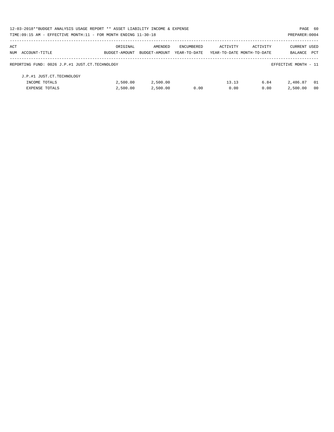| 12-03-2018**BUDGET ANALYSIS USAGE REPORT ** ASSET LIABILITY INCOME & EXPENSE |               |               |                   |                            |          | PAGE 60              |                |
|------------------------------------------------------------------------------|---------------|---------------|-------------------|----------------------------|----------|----------------------|----------------|
| TIME: 09:15 AM - EFFECTIVE MONTH: 11 - FOR MONTH ENDING 11-30-18             |               |               |                   |                            |          | PREPARER: 0004       |                |
| ACT                                                                          | ORIGINAL      | AMENDED       | <b>ENCUMBERED</b> | ACTIVITY                   | ACTIVITY | CURRENT USED         |                |
| NUM ACCOUNT-TITLE                                                            | BUDGET-AMOUNT | BUDGET-AMOUNT | YEAR-TO-DATE      | YEAR-TO-DATE MONTH-TO-DATE |          | BALANCE              | PCT            |
| REPORTING FUND: 0026 J.P.#1 JUST.CT.TECHNOLOGY                               |               |               |                   |                            |          | EFFECTIVE MONTH - 11 |                |
| J.P.#1 JUST.CT.TECHNOLOGY                                                    |               |               |                   |                            |          |                      |                |
| INCOME TOTALS                                                                | 2,500.00      | 2,500.00      |                   | 13.13                      | 6.84     | 2,486.87             | - 01           |
| <b>EXPENSE TOTALS</b>                                                        | 2,500.00      | 2,500.00      | 0.00              | 0.00                       | 0.00     | 2,500.00             | 0 <sub>0</sub> |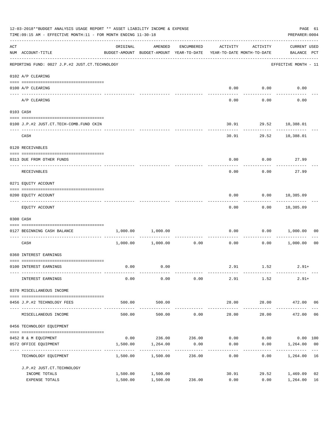|     | 12-03-2018**BUDGET ANALYSIS USAGE REPORT ** ASSET LIABILITY INCOME & EXPENSE<br>TIME: 09:15 AM - EFFECTIVE MONTH: 11 - FOR MONTH ENDING 11-30-18                                                                                                                                                                                                                                                                                                                                               |          |                                                                                |               |          |                                      |                                    |                |  |  |
|-----|------------------------------------------------------------------------------------------------------------------------------------------------------------------------------------------------------------------------------------------------------------------------------------------------------------------------------------------------------------------------------------------------------------------------------------------------------------------------------------------------|----------|--------------------------------------------------------------------------------|---------------|----------|--------------------------------------|------------------------------------|----------------|--|--|
| ACT | NUM ACCOUNT-TITLE                                                                                                                                                                                                                                                                                                                                                                                                                                                                              | ORIGINAL | AMENDED<br>BUDGET-AMOUNT BUDGET-AMOUNT YEAR-TO-DATE YEAR-TO-DATE MONTH-TO-DATE | ENCUMBERED    | ACTIVITY | ACTIVITY                             | <b>CURRENT USED</b><br>BALANCE PCT |                |  |  |
|     | REPORTING FUND: 0027 J.P.#2 JUST.CT.TECHNOLOGY                                                                                                                                                                                                                                                                                                                                                                                                                                                 |          |                                                                                |               |          |                                      | EFFECTIVE MONTH - 11               |                |  |  |
|     | 0102 A/P CLEARING                                                                                                                                                                                                                                                                                                                                                                                                                                                                              |          |                                                                                |               |          |                                      |                                    |                |  |  |
|     | 0100 A/P CLEARING                                                                                                                                                                                                                                                                                                                                                                                                                                                                              |          |                                                                                |               |          | $0.00$ $0.00$                        | 0.00                               |                |  |  |
|     | A/P CLEARING                                                                                                                                                                                                                                                                                                                                                                                                                                                                                   |          |                                                                                |               | 0.00     | 0.00                                 | 0.00                               |                |  |  |
|     | 0103 CASH                                                                                                                                                                                                                                                                                                                                                                                                                                                                                      |          |                                                                                |               |          |                                      |                                    |                |  |  |
|     | 0100 J.P.#2 JUST.CT.TECH-COMB.FUND CKIN                                                                                                                                                                                                                                                                                                                                                                                                                                                        |          |                                                                                |               |          | 30.91 29.52 10,388.01                |                                    |                |  |  |
|     | CASH                                                                                                                                                                                                                                                                                                                                                                                                                                                                                           |          |                                                                                |               |          | -----------<br>30.91 29.52 10,388.01 |                                    |                |  |  |
|     | 0120 RECEIVABLES                                                                                                                                                                                                                                                                                                                                                                                                                                                                               |          |                                                                                |               |          |                                      |                                    |                |  |  |
|     | 0313 DUE FROM OTHER FUNDS                                                                                                                                                                                                                                                                                                                                                                                                                                                                      |          |                                                                                |               | 0.00     | 0.00                                 | 27.99                              |                |  |  |
|     | RECEIVABLES                                                                                                                                                                                                                                                                                                                                                                                                                                                                                    |          |                                                                                |               | 0.00     | 0.00                                 | 27.99                              |                |  |  |
|     | 0271 EQUITY ACCOUNT                                                                                                                                                                                                                                                                                                                                                                                                                                                                            |          |                                                                                |               |          |                                      |                                    |                |  |  |
|     | 0200 EQUITY ACCOUNT                                                                                                                                                                                                                                                                                                                                                                                                                                                                            |          |                                                                                |               | 0.00     |                                      | $0.00$ 10,385.09                   |                |  |  |
|     | EQUITY ACCOUNT                                                                                                                                                                                                                                                                                                                                                                                                                                                                                 |          |                                                                                |               | 0.00     | ---------                            | . <u>.</u><br>$0.00$ 10,385.09     |                |  |  |
|     | 0300 CASH                                                                                                                                                                                                                                                                                                                                                                                                                                                                                      |          |                                                                                |               |          |                                      |                                    |                |  |  |
|     | $\begin{minipage}{0.03\textwidth} \begin{tabular}{l} \textbf{0.04\textwidth} \textbf{0.04\textwidth} \textbf{0.04\textwidth} \textbf{0.04\textwidth} \textbf{0.04\textwidth} \textbf{0.04\textwidth} \textbf{0.04\textwidth} \textbf{0.04\textwidth} \textbf{0.04\textwidth} \textbf{0.04\textwidth} \textbf{0.04\textwidth} \textbf{0.04\textwidth} \textbf{0.04\textwidth} \textbf{0.04\textwidth} \textbf{0.04\textwidth} \textbf{0.04\textwidth} \textbf{0$<br>0127 BEGINNING CASH BALANCE |          | 1,000.00 1,000.00                                                              |               | 0.00     |                                      | 0.00 1,000.00                      | 00             |  |  |
|     | ----------------------------- ----<br>CASH                                                                                                                                                                                                                                                                                                                                                                                                                                                     |          | $1,000.00$ $1,000.00$                                                          | 0.00          | 0.00     |                                      | $0.00$ 1,000.00                    | 0 <sub>0</sub> |  |  |
|     | 0360 INTEREST EARNINGS                                                                                                                                                                                                                                                                                                                                                                                                                                                                         |          |                                                                                |               |          |                                      |                                    |                |  |  |
|     | 0100 INTEREST EARNINGS                                                                                                                                                                                                                                                                                                                                                                                                                                                                         | 0.00     | 0.00                                                                           |               |          | 2.91 1.52                            | $2.91+$                            |                |  |  |
|     | INTEREST EARNINGS                                                                                                                                                                                                                                                                                                                                                                                                                                                                              | 0.00     | 0.00                                                                           | 0.00          | 2.91     | 1.52                                 | $2.91+$                            |                |  |  |
|     | 0370 MISCELLANEOUS INCOME                                                                                                                                                                                                                                                                                                                                                                                                                                                                      |          |                                                                                |               |          |                                      |                                    |                |  |  |
|     | 0456 J.P.#2 TECHNOLOGY FEES                                                                                                                                                                                                                                                                                                                                                                                                                                                                    | 500.00   | 500.00                                                                         |               | 28.00    | 28.00                                | 472.00 06                          |                |  |  |
|     | MISCELLANEOUS INCOME                                                                                                                                                                                                                                                                                                                                                                                                                                                                           | 500.00   | -----------<br>500.00                                                          | 0.00          | 28.00    | ----------<br>28.00                  | 472.00                             | 06             |  |  |
|     | 0456 TECHNOLOGY EOUIPMENT                                                                                                                                                                                                                                                                                                                                                                                                                                                                      |          |                                                                                |               |          |                                      |                                    |                |  |  |
|     | 0452 R & M EQUIPMENT                                                                                                                                                                                                                                                                                                                                                                                                                                                                           | 0.00     |                                                                                | 236.00 236.00 | 0.00     | 0.00                                 | $0.00$ 100                         |                |  |  |
|     | 0572 OFFICE EQUIPMENT                                                                                                                                                                                                                                                                                                                                                                                                                                                                          | 1,500.00 | 1,264.00                                                                       | 0.00          | 0.00     | 0.00                                 | 1,264.00 00                        |                |  |  |
|     | ------------------<br>TECHNOLOGY EQUIPMENT                                                                                                                                                                                                                                                                                                                                                                                                                                                     | 1,500.00 | 1,500.00                                                                       | 236.00        | 0.00     | 0.00                                 | 1,264.00                           | 16             |  |  |
|     | J.P.#2 JUST.CT.TECHNOLOGY                                                                                                                                                                                                                                                                                                                                                                                                                                                                      |          |                                                                                |               |          |                                      |                                    |                |  |  |
|     | INCOME TOTALS                                                                                                                                                                                                                                                                                                                                                                                                                                                                                  | 1,500.00 | 1,500.00                                                                       |               | 30.91    | 29.52                                | 1,469.09                           | 02             |  |  |
|     | EXPENSE TOTALS                                                                                                                                                                                                                                                                                                                                                                                                                                                                                 | 1,500.00 | 1,500.00                                                                       | 236.00        | 0.00     | 0.00                                 | 1,264.00                           | 16             |  |  |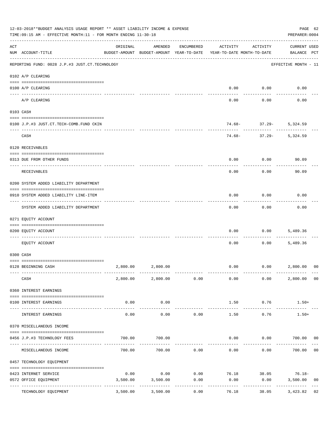|     | 12-03-2018**BUDGET ANALYSIS USAGE REPORT ** ASSET LIABILITY INCOME & EXPENSE<br>TIME: 09:15 AM - EFFECTIVE MONTH: 11 - FOR MONTH ENDING 11-30-18 |          |                                                     |                     |                                               |                        | PAGE 62<br>PREPARER: 0004          |                |
|-----|--------------------------------------------------------------------------------------------------------------------------------------------------|----------|-----------------------------------------------------|---------------------|-----------------------------------------------|------------------------|------------------------------------|----------------|
| ACT | NUM ACCOUNT-TITLE                                                                                                                                | ORIGINAL | AMENDED<br>BUDGET-AMOUNT BUDGET-AMOUNT YEAR-TO-DATE | ENCUMBERED          | ACTIVITY<br>YEAR-TO-DATE MONTH-TO-DATE        | ACTIVITY               | <b>CURRENT USED</b><br>BALANCE PCT |                |
|     | REPORTING FUND: 0028 J.P.#3 JUST.CT.TECHNOLOGY                                                                                                   |          |                                                     |                     |                                               |                        | EFFECTIVE MONTH - 11               |                |
|     | 0102 A/P CLEARING                                                                                                                                |          |                                                     |                     |                                               |                        |                                    |                |
|     | 0100 A/P CLEARING<br>---- ---------                                                                                                              |          |                                                     |                     | 0.00                                          | 0.00                   | 0.00                               |                |
|     | A/P CLEARING                                                                                                                                     |          |                                                     |                     | 0.00                                          | 0.00                   | 0.00                               |                |
|     | 0103 CASH                                                                                                                                        |          |                                                     |                     |                                               |                        |                                    |                |
|     | 0100 J.P.#3 JUST.CT.TECH-COMB.FUND CKIN                                                                                                          |          |                                                     |                     |                                               | $74.68 - 37.29 -$<br>. | 5,324.59                           |                |
|     | CASH                                                                                                                                             |          |                                                     |                     | 74.68-                                        | $37.29 -$              | 5,324.59                           |                |
|     | 0120 RECEIVABLES                                                                                                                                 |          |                                                     |                     |                                               |                        |                                    |                |
|     | 0313 DUE FROM OTHER FUNDS                                                                                                                        |          |                                                     |                     | 0.00                                          | 0.00                   | 90.09                              |                |
|     | RECEIVABLES                                                                                                                                      |          |                                                     |                     | 0.00                                          | 0.00                   | 90.09                              |                |
|     | 0200 SYSTEM ADDED LIABILITY DEPARTMENT                                                                                                           |          |                                                     |                     |                                               |                        |                                    |                |
|     | 0910 SYSTEM ADDED LIABILITY LINE-ITEM                                                                                                            |          |                                                     |                     | 0.00                                          | 0.00                   | 0.00                               |                |
|     | SYSTEM ADDED LIABILITY DEPARTMENT                                                                                                                |          |                                                     |                     | 0.00                                          | 0.00                   | 0.00                               |                |
|     | 0271 EQUITY ACCOUNT                                                                                                                              |          |                                                     |                     |                                               |                        |                                    |                |
|     | 0200 EQUITY ACCOUNT                                                                                                                              |          |                                                     |                     | 0.00                                          | 0.00                   | 5,489.36                           |                |
|     | EQUITY ACCOUNT                                                                                                                                   |          |                                                     |                     | 0.00                                          | 0.00                   | 5,489.36                           |                |
|     | 0300 CASH                                                                                                                                        |          |                                                     |                     |                                               |                        |                                    |                |
|     | 0128 BEGINNING CASH                                                                                                                              |          | 2,800.00 2,800.00                                   |                     | 0.00                                          | 0.00                   | 2,800.00                           | 00             |
|     | CASH                                                                                                                                             |          | 2,800.00 2,800.00 0.00                              |                     | 0.00                                          | 0.00                   | 2,800.00 00                        |                |
|     | 0360 INTEREST EARNINGS                                                                                                                           |          |                                                     |                     |                                               |                        |                                    |                |
|     | 0100 INTEREST EARNINGS                                                                                                                           | 0.00     | 0.00                                                |                     | 1.50                                          | 0.76                   | $1.50+$                            |                |
|     | INTEREST EARNINGS                                                                                                                                | 0.00     | -------------<br>0.00                               | 0.00                | --------------<br>1.50                        | -------------<br>0.76  | -----------<br>$1.50+$             |                |
|     | 0370 MISCELLANEOUS INCOME                                                                                                                        |          |                                                     |                     |                                               |                        |                                    |                |
|     | 0456 J.P.#3 TECHNOLOGY FEES                                                                                                                      | 700.00   | 700.00                                              |                     | 0.00                                          |                        | $0.00$ 700.00 00                   |                |
|     | MISCELLANEOUS INCOME                                                                                                                             | 700.00   | 700.00                                              | 0.00                | ----------- -------------<br>0.00             | 0.00                   | 700.00                             | 0 <sub>0</sub> |
|     | 0457 TECHNOLOGY EQUIPMENT                                                                                                                        |          |                                                     |                     |                                               |                        |                                    |                |
|     |                                                                                                                                                  | 0.00     |                                                     |                     | $0.00$ $0.00$ $76.18$ $38.05$ $76.18$ $76.18$ |                        |                                    |                |
|     | 0423 INTERNET SERVICE<br>0572 OFFICE EQUIPMENT                                                                                                   | 3,500.00 | 3,500.00                                            | 0.00                | 0.00                                          | 0.00                   | 3,500.00                           | 00             |
|     | ----------------- ------------<br>TECHNOLOGY EQUIPMENT                                                                                           | 3,500.00 | 3,500.00                                            | -----------<br>0.00 | 76.18                                         | -----------<br>38.05   | 3,423.82                           | 02             |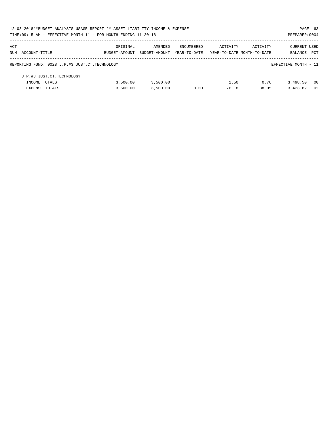| 12-03-2018**BUDGET ANALYSIS USAGE REPORT ** ASSET LIABILITY INCOME & EXPENSE |               |               |              |                            |          |                      | PAGE 63 |
|------------------------------------------------------------------------------|---------------|---------------|--------------|----------------------------|----------|----------------------|---------|
| TIME: 09:15 AM - EFFECTIVE MONTH: 11 - FOR MONTH ENDING 11-30-18             |               |               |              |                            |          | PREPARER: 0004       |         |
| ACT                                                                          | ORIGINAL      | AMENDED       | ENCUMBERED   | ACTIVITY                   | ACTIVITY | <b>CURRENT USED</b>  |         |
| NUM ACCOUNT-TITLE                                                            | BUDGET-AMOUNT | BUDGET-AMOUNT | YEAR-TO-DATE | YEAR-TO-DATE MONTH-TO-DATE |          | BALANCE              | PCT     |
| REPORTING FUND: 0028 J.P.#3 JUST.CT.TECHNOLOGY                               |               |               |              |                            |          | EFFECTIVE MONTH - 11 |         |
| J.P.#3 JUST.CT.TECHNOLOGY                                                    |               |               |              |                            |          |                      |         |
| INCOME TOTALS                                                                | 3,500.00      | 3,500.00      |              | 1.50                       | 0.76     | 3,498.50             | - 00    |
| <b>EXPENSE TOTALS</b>                                                        | 3.500.00      | 3.500.00      | 0.00         | 76.18                      | 38.05    | 3,423.82             | 02      |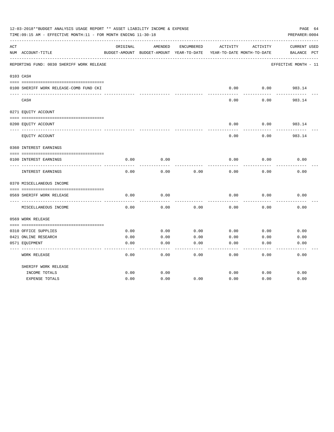|     | 12-03-2018**BUDGET ANALYSIS USAGE REPORT ** ASSET LIABILITY INCOME & EXPENSE<br>TIME: 09:15 AM - EFFECTIVE MONTH: 11 - FOR MONTH ENDING 11-30-18 |          |                                          |            |          |                            | PAGE 64<br>PREPARER: 0004 |
|-----|--------------------------------------------------------------------------------------------------------------------------------------------------|----------|------------------------------------------|------------|----------|----------------------------|---------------------------|
| ACT |                                                                                                                                                  | ORIGINAL | AMENDED                                  | ENCUMBERED | ACTIVITY | ACTIVITY                   | CURRENT USED              |
|     | NUM ACCOUNT-TITLE                                                                                                                                |          | BUDGET-AMOUNT BUDGET-AMOUNT YEAR-TO-DATE |            |          | YEAR-TO-DATE MONTH-TO-DATE | BALANCE<br>$_{\rm PCT}$   |
|     | REPORTING FUND: 0030 SHERIFF WORK RELEASE                                                                                                        |          |                                          |            |          |                            | EFFECTIVE MONTH - 11      |
|     | 0103 CASH                                                                                                                                        |          |                                          |            |          |                            |                           |
|     | 0100 SHERIFF WORK RELEASE-COMB FUND CKI                                                                                                          |          |                                          |            | 0.00     | 0.00                       | 983.14                    |
|     | CASH                                                                                                                                             |          |                                          |            | 0.00     | 0.00                       | 983.14                    |
|     | 0271 EQUITY ACCOUNT                                                                                                                              |          |                                          |            |          |                            |                           |
|     | 0200 EQUITY ACCOUNT                                                                                                                              |          |                                          |            | 0.00     | 0.00                       | 983.14                    |
|     | EQUITY ACCOUNT                                                                                                                                   |          |                                          |            | 0.00     | 0.00                       | 983.14                    |
|     | 0360 INTEREST EARNINGS                                                                                                                           |          |                                          |            |          |                            |                           |
|     | 0100 INTEREST EARNINGS                                                                                                                           | 0.00     | 0.00                                     |            | 0.00     | 0.00                       | 0.00                      |
|     | INTEREST EARNINGS                                                                                                                                | 0.00     | 0.00                                     | 0.00       | 0.00     | 0.00                       | 0.00                      |
|     | 0370 MISCELLANEOUS INCOME                                                                                                                        |          |                                          |            |          |                            |                           |
|     |                                                                                                                                                  |          |                                          |            |          |                            |                           |
|     | 0569 SHERIFF WORK RELEASE<br>-----------                                                                                                         | 0.00     | 0.00                                     |            | 0.00     | 0.00                       | 0.00                      |
|     | MISCELLANEOUS INCOME                                                                                                                             | 0.00     | 0.00                                     | 0.00       | 0.00     | 0.00                       | 0.00                      |
|     | 0569 WORK RELEASE                                                                                                                                |          |                                          |            |          |                            |                           |
|     |                                                                                                                                                  |          |                                          |            |          |                            |                           |
|     | 0310 OFFICE SUPPLIES                                                                                                                             | 0.00     | 0.00                                     | 0.00       | 0.00     | 0.00                       | 0.00                      |
|     | 0421 ONLINE RESEARCH                                                                                                                             | 0.00     | 0.00                                     | 0.00       | 0.00     | 0.00                       | 0.00                      |
|     | 0571 EQUIPMENT                                                                                                                                   | 0.00     | 0.00                                     | 0.00       | 0.00     | 0.00                       | 0.00                      |
|     | <b>WORK RELEASE</b>                                                                                                                              | 0.00     | 0.00                                     | 0.00       | 0.00     | 0.00                       | 0.00                      |
|     | SHERIFF WORK RELEASE                                                                                                                             |          |                                          |            |          |                            |                           |
|     | INCOME TOTALS                                                                                                                                    | 0.00     | 0.00                                     |            | 0.00     | 0.00                       | 0.00                      |
|     | <b>EXPENSE TOTALS</b>                                                                                                                            | 0.00     | 0.00                                     | 0.00       | 0.00     | 0.00                       | 0.00                      |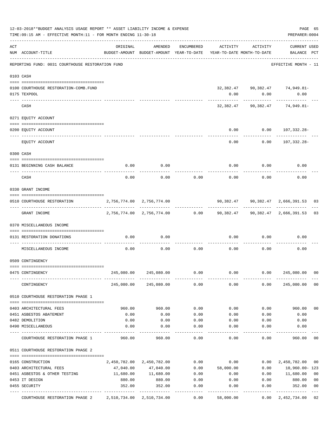|     | 12-03-2018**BUDGET ANALYSIS USAGE REPORT ** ASSET LIABILITY INCOME & EXPENSE<br>TIME: 09:15 AM - EFFECTIVE MONTH: 11 - FOR MONTH ENDING 11-30-18 |                                                                                 |                           |                    |                                                                                                    |          | PAGE 65<br>PREPARER: 0004                    |                |
|-----|--------------------------------------------------------------------------------------------------------------------------------------------------|---------------------------------------------------------------------------------|---------------------------|--------------------|----------------------------------------------------------------------------------------------------|----------|----------------------------------------------|----------------|
| ACT | NUM ACCOUNT-TITLE                                                                                                                                | ORIGINAL<br>BUDGET-AMOUNT BUDGET-AMOUNT YEAR-TO-DATE YEAR-TO-DATE MONTH-TO-DATE | AMENDED                   | ENCUMBERED         | ACTIVITY                                                                                           | ACTIVITY | CURRENT USED<br>BALANCE PCT                  |                |
|     | REPORTING FUND: 0031 COURTHOUSE RESTORATION FUND                                                                                                 |                                                                                 |                           |                    |                                                                                                    |          | EFFECTIVE MONTH - 11                         |                |
|     | 0103 CASH                                                                                                                                        |                                                                                 |                           |                    |                                                                                                    |          |                                              |                |
|     | 0100 COURTHOUSE RESTORATION-COMB.FUND<br>0175 TEXPOOL                                                                                            |                                                                                 |                           |                    | 0.00                                                                                               | 0.00     | 32,382.47 90,382.47 74,949.81-<br>0.00       |                |
|     | CASH                                                                                                                                             |                                                                                 |                           |                    |                                                                                                    |          | 32,382.47 90,382.47 74,949.81-               |                |
|     | 0271 EQUITY ACCOUNT                                                                                                                              |                                                                                 |                           |                    |                                                                                                    |          |                                              |                |
|     | 0200 EQUITY ACCOUNT                                                                                                                              |                                                                                 |                           |                    | 0.00                                                                                               |          | $0.00 107,332.28-$                           |                |
|     | EQUITY ACCOUNT                                                                                                                                   |                                                                                 |                           |                    | 0.00                                                                                               |          | $0.00 107,332.28-$                           |                |
|     | 0300 CASH                                                                                                                                        |                                                                                 |                           |                    |                                                                                                    |          |                                              |                |
|     | 0131 BEGINNING CASH BALANCE                                                                                                                      | 0.00                                                                            | 0.00                      |                    | 0.00                                                                                               | 0.00     | 0.00                                         |                |
|     | CASH                                                                                                                                             | 0.00                                                                            | 0.00                      | 0.00               | 0.00                                                                                               | 0.00     | 0.00                                         |                |
|     | 0330 GRANT INCOME                                                                                                                                |                                                                                 |                           |                    |                                                                                                    |          |                                              |                |
|     | 0510 COURTHOUSE RESTORATION                                                                                                                      | 2,756,774.00 2,756,774.00                                                       |                           |                    |                                                                                                    |          | 90,382.47    90,382.47    2,666,391.53    03 |                |
|     | GRANT INCOME                                                                                                                                     |                                                                                 |                           |                    | 2,756,774.00 2,756,774.00            0.00          90,382.47         90,382.47        2,666,391.53 |          |                                              | 03             |
|     | 0370 MISCELLANEOUS INCOME                                                                                                                        |                                                                                 |                           |                    |                                                                                                    |          |                                              |                |
|     | 0131 RESTORATION DONATIONS                                                                                                                       | 0.00                                                                            | 0.00                      |                    | 0.00                                                                                               | 0.00     | 0.00                                         |                |
|     | MISCELLANEOUS INCOME                                                                                                                             | 0.00                                                                            | 0.00                      | 0.00               | 0.00                                                                                               | 0.00     | 0.00                                         |                |
|     | 0509 CONTINGENCY                                                                                                                                 |                                                                                 |                           |                    |                                                                                                    |          |                                              |                |
|     | 0475 CONTINGENCY                                                                                                                                 |                                                                                 | 245,080.00 245,080.00     | 0.00               | 0.00                                                                                               | 0.00     | 245,080.00                                   | 00             |
|     | CONTINGENCY                                                                                                                                      |                                                                                 | 245,080.00 245,080.00     | 0.00               | 0.00                                                                                               | 0.00     | 245,080.00                                   | 0 <sub>0</sub> |
|     | 0510 COURTHOUSE RESTORATION PHASE 1                                                                                                              |                                                                                 |                           |                    |                                                                                                    |          |                                              |                |
|     | 0403 ARCHITECTURAL FEES                                                                                                                          | 960.00                                                                          | 960.00                    | 0.00               | 0.00                                                                                               | 0.00     | 960.00                                       | 0 <sub>0</sub> |
|     | 0451 ASBESTOS ABATEMENT                                                                                                                          | 0.00                                                                            | 0.00                      | 0.00               | 0.00                                                                                               | 0.00     | 0.00                                         |                |
|     | 0482 DEMOLITION                                                                                                                                  | 0.00                                                                            | 0.00                      | 0.00               | 0.00                                                                                               | 0.00     | 0.00                                         |                |
|     | 0490 MISCELLANEOUS                                                                                                                               | 0.00                                                                            | 0.00                      | 0.00               | 0.00                                                                                               | 0.00     | 0.00                                         |                |
|     | COURTHOUSE RESTORATION PHASE 1                                                                                                                   | 960.00                                                                          | 960.00                    | 0.00               | 0.00                                                                                               | 0.00     | 960.00                                       | 00             |
|     | 0511 COURTHOUSE RESTORATION PHASE 2                                                                                                              |                                                                                 |                           |                    |                                                                                                    |          |                                              |                |
|     | 0165 CONSTRUCTION                                                                                                                                |                                                                                 | 2,450,782.00 2,450,782.00 | 0.00               | 0.00                                                                                               | 0.00     | 2,450,782.00                                 | 00             |
|     | 0403 ARCHITECTURAL FEES                                                                                                                          | 47,040.00                                                                       | 47,040.00                 | 0.00               | 58,000.00                                                                                          | 0.00     | 10,960.00-123                                |                |
|     | 0451 ASBESTOS & OTHER TESTING                                                                                                                    | 11,680.00                                                                       | 11,680.00                 | 0.00               | 0.00                                                                                               | 0.00     | 11,680.00                                    | 0 <sub>0</sub> |
|     | 0453 IT DESIGN                                                                                                                                   | 880.00                                                                          | 880.00                    | 0.00               | 0.00                                                                                               | 0.00     | 880.00                                       | 00             |
|     | 0455 SECURITY                                                                                                                                    | 352.00                                                                          | 352.00                    | 0.00               | 0.00                                                                                               | 0.00     | 352.00                                       | 0 <sub>0</sub> |
|     | COURTHOUSE RESTORATION PHASE 2                                                                                                                   | ----- --------------<br>2,510,734.00 2,510,734.00                               | -----------               | ----------<br>0.00 | 58,000.00                                                                                          | 0.00     | -----------<br>2,452,734.00                  | 02             |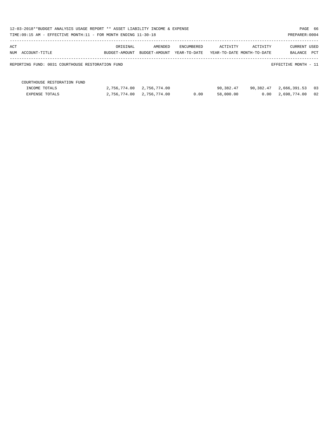| 12-03-2018**BUDGET ANALYSIS USAGE REPORT ** ASSET LIABILITY INCOME & EXPENSE<br>TIME:09:15 AM - EFFECTIVE MONTH:11 - FOR MONTH ENDING 11-30-18 |               |               |              |           |                            | PAGE 66<br>PREPARER: 0004 |      |
|------------------------------------------------------------------------------------------------------------------------------------------------|---------------|---------------|--------------|-----------|----------------------------|---------------------------|------|
| ACT                                                                                                                                            | ORIGINAL      | AMENDED       | ENCUMBERED   | ACTIVITY  | ACTIVITY                   | <b>CURRENT USED</b>       |      |
| NUM ACCOUNT-TITLE                                                                                                                              | BUDGET-AMOUNT | BUDGET-AMOUNT | YEAR-TO-DATE |           | YEAR-TO-DATE MONTH-TO-DATE | BALANCE PCT               |      |
| REPORTING FUND: 0031 COURTHOUSE RESTORATION FUND                                                                                               |               |               |              |           |                            | EFFECTIVE MONTH - 11      |      |
| COURTHOUSE RESTORATION FUND                                                                                                                    |               |               |              |           |                            |                           |      |
| INCOME TOTALS                                                                                                                                  | 2,756,774.00  | 2,756,774.00  |              | 90,382.47 | 90,382.47                  | 2,666,391.53              | - 03 |
| EXPENSE TOTALS                                                                                                                                 | 2,756,774.00  | 2,756,774.00  | 0.00         | 58,000.00 | 0.00                       | 2,698,774.00              | 02   |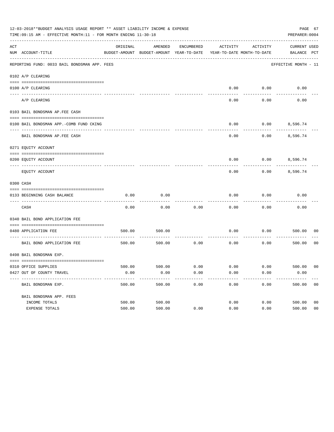|     | 12-03-2018**BUDGET ANALYSIS USAGE REPORT ** ASSET LIABILITY INCOME & EXPENSE<br>TIME: 09:15 AM - EFFECTIVE MONTH: 11 - FOR MONTH ENDING 11-30-18 |          |                                                     |            |                                        |          | PAGE 67<br>PREPARER: 0004          |                |
|-----|--------------------------------------------------------------------------------------------------------------------------------------------------|----------|-----------------------------------------------------|------------|----------------------------------------|----------|------------------------------------|----------------|
| ACT | NUM ACCOUNT-TITLE                                                                                                                                | ORIGINAL | AMENDED<br>BUDGET-AMOUNT BUDGET-AMOUNT YEAR-TO-DATE | ENCUMBERED | ACTIVITY<br>YEAR-TO-DATE MONTH-TO-DATE | ACTIVITY | <b>CURRENT USED</b><br>BALANCE PCT |                |
|     | REPORTING FUND: 0033 BAIL BONDSMAN APP. FEES                                                                                                     |          |                                                     |            |                                        |          | EFFECTIVE MONTH - 11               |                |
|     | 0102 A/P CLEARING                                                                                                                                |          |                                                     |            |                                        |          |                                    |                |
|     | 0100 A/P CLEARING                                                                                                                                |          |                                                     |            | 0.00                                   | 0.00     | 0.00                               |                |
|     | ---- --------<br>A/P CLEARING                                                                                                                    |          |                                                     |            | 0.00                                   | 0.00     | 0.00                               |                |
|     | 0103 BAIL BONDSMAN AP.FEE CASH                                                                                                                   |          |                                                     |            |                                        |          |                                    |                |
|     | 0100 BAIL BONDSMAN APP.-COMB FUND CKING                                                                                                          |          |                                                     |            | 0.00                                   | 0.00     | 8,596.74                           |                |
|     | BAIL BONDSMAN AP.FEE CASH                                                                                                                        |          |                                                     |            | 0.00                                   | 0.00     | 8,596.74                           |                |
|     | 0271 EQUITY ACCOUNT                                                                                                                              |          |                                                     |            |                                        |          |                                    |                |
|     | 0200 EQUITY ACCOUNT                                                                                                                              |          |                                                     |            | 0.00                                   |          | $0.00$ 8,596.74                    |                |
|     | EQUITY ACCOUNT                                                                                                                                   |          |                                                     |            | 0.00                                   | 0.00     | 8,596.74                           |                |
|     | 0300 CASH                                                                                                                                        |          |                                                     |            |                                        |          |                                    |                |
|     | 0133 BEGINNING CASH BALANCE                                                                                                                      | 0.00     | 0.00                                                |            | 0.00                                   | 0.00     | 0.00                               |                |
|     | CASH                                                                                                                                             | 0.00     | 0.00                                                | 0.00       | 0.00                                   | 0.00     | 0.00                               |                |
|     | 0340 BAIL BOND APPLICATION FEE                                                                                                                   |          |                                                     |            |                                        |          |                                    |                |
|     | 0480 APPLICATION FEE                                                                                                                             | 500.00   | 500.00                                              |            | 0.00                                   | 0.00     | 500.00                             | 00             |
|     | BAIL BOND APPLICATION FEE                                                                                                                        | 500.00   | 500.00                                              | 0.00       | 0.00                                   | 0.00     | 500.00                             | 0 <sub>0</sub> |
|     | 0498 BAIL BONDSMAN EXP.                                                                                                                          |          |                                                     |            |                                        |          |                                    |                |
|     | 0310 OFFICE SUPPLIES                                                                                                                             | 500.00   | 500.00 0.00                                         |            | $0.00$ $0.00$ $500.00$                 |          |                                    | 00             |
|     | 0427 OUT OF COUNTY TRAVEL                                                                                                                        | 0.00     | 0.00                                                | 0.00       | 0.00                                   | 0.00     | 0.00                               |                |
|     | BAIL BONDSMAN EXP.                                                                                                                               | 500.00   | 500.00                                              | 0.00       | 0.00                                   | 0.00     | 500.00                             | 0 <sub>0</sub> |
|     | BAIL BONDSMAN APP. FEES                                                                                                                          |          |                                                     |            |                                        |          |                                    |                |
|     | INCOME TOTALS                                                                                                                                    | 500.00   | 500.00                                              |            | 0.00                                   | 0.00     | 500.00                             | 0 <sub>0</sub> |
|     | EXPENSE TOTALS                                                                                                                                   | 500.00   | 500.00                                              | 0.00       | 0.00                                   | 0.00     | 500.00                             | 0 <sub>0</sub> |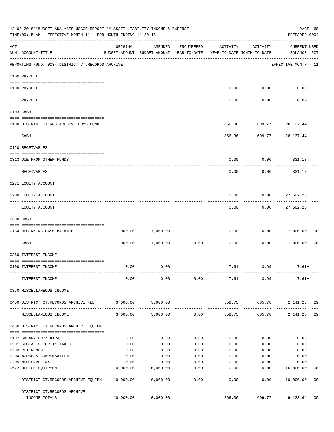| 12-03-2018**BUDGET ANALYSIS USAGE REPORT ** ASSET LIABILITY INCOME & EXPENSE<br>PAGE 68<br>TIME: 09:15 AM - EFFECTIVE MONTH: 11 - FOR MONTH ENDING 11-30-18<br>PREPARER: 0004 |                                                             |           |                                                                                |                    |                         |                         |                                           |                |
|-------------------------------------------------------------------------------------------------------------------------------------------------------------------------------|-------------------------------------------------------------|-----------|--------------------------------------------------------------------------------|--------------------|-------------------------|-------------------------|-------------------------------------------|----------------|
| ACT                                                                                                                                                                           | NUM ACCOUNT-TITLE                                           | ORIGINAL  | AMENDED<br>BUDGET-AMOUNT BUDGET-AMOUNT YEAR-TO-DATE YEAR-TO-DATE MONTH-TO-DATE | ENCUMBERED         | ACTIVITY                | ACTIVITY                | CURRENT USED<br>BALANCE PCT               |                |
|                                                                                                                                                                               | REPORTING FUND: 0034 DISTRICT CT.RECORDS ARCHIVE            |           |                                                                                |                    |                         |                         | EFFECTIVE MONTH - 11                      |                |
|                                                                                                                                                                               | 0100 PAYROLL                                                |           |                                                                                |                    |                         |                         |                                           |                |
|                                                                                                                                                                               | 0100 PAYROLL                                                |           |                                                                                |                    |                         | $0.00$ $0.00$           | 0.00                                      |                |
|                                                                                                                                                                               | ---------------------------<br>---- -------<br>PAYROLL      |           |                                                                                |                    | 0.00                    | 0.00                    | 0.00                                      |                |
|                                                                                                                                                                               | 0103 CASH                                                   |           |                                                                                |                    |                         |                         |                                           |                |
|                                                                                                                                                                               | 0100 DISTRICT CT.REC.ARCHIVE COMB.FUND                      |           |                                                                                |                    |                         | 866.36 609.77 28,137.44 |                                           |                |
|                                                                                                                                                                               | CASH                                                        |           |                                                                                |                    |                         | 866.36 609.77 28,137.44 |                                           |                |
|                                                                                                                                                                               | 0120 RECEIVABLES                                            |           |                                                                                |                    |                         |                         |                                           |                |
|                                                                                                                                                                               | 0313 DUE FROM OTHER FUNDS                                   |           |                                                                                |                    | 0.00                    |                         | $0.00$ 331.18                             |                |
|                                                                                                                                                                               | RECEIVABLES                                                 |           |                                                                                |                    | 0.00                    | 0.00                    | 331.18                                    |                |
|                                                                                                                                                                               | 0271 EQUITY ACCOUNT                                         |           |                                                                                |                    |                         |                         |                                           |                |
|                                                                                                                                                                               | 0200 EQUITY ACCOUNT                                         |           |                                                                                |                    | 0.00                    | $0.00$ 27,602.26        |                                           |                |
|                                                                                                                                                                               | EQUITY ACCOUNT                                              |           |                                                                                |                    | 0.00                    | ---------<br>0.00       | ------------<br>27,602.26                 |                |
|                                                                                                                                                                               | 0300 CASH                                                   |           |                                                                                |                    |                         |                         |                                           |                |
|                                                                                                                                                                               | 0134 BEGINNING CASH BALANCE                                 | 7,000.00  | 7,000.00                                                                       |                    | 0.00                    | 0.00                    | 7,000.00                                  | 00             |
|                                                                                                                                                                               | ----------------------------<br>CASH                        |           | 7,000.00 7,000.00                                                              | 0.00               | 0.00                    | 0.00                    | 7,000.00                                  | 0 <sub>0</sub> |
|                                                                                                                                                                               | 0360 INTEREST INCOME                                        |           |                                                                                |                    |                         |                         |                                           |                |
|                                                                                                                                                                               | 0100 INTEREST INCOME                                        | 0.00      | 0.00                                                                           |                    |                         | 7.61 3.99               | $7.61+$                                   |                |
|                                                                                                                                                                               |                                                             |           |                                                                                |                    |                         |                         |                                           |                |
|                                                                                                                                                                               | INTEREST INCOME                                             | 0.00      | 0.00                                                                           | 0.00               |                         | 7.61 3.99               | 7.61+                                     |                |
|                                                                                                                                                                               | 0370 MISCELLANEOUS INCOME                                   |           |                                                                                |                    |                         |                         |                                           |                |
|                                                                                                                                                                               | 0450 DISTRICT CT.RECORDS ARCHIVE FEE                        |           | 3,000.00 3,000.00                                                              |                    |                         | 858.75 605.78           | 2, 141. 25 29                             |                |
|                                                                                                                                                                               | MISCELLANEOUS INCOME                                        |           | 3,000.00 3,000.00                                                              | 0.00               | -------------<br>858.75 | 605.78                  | -----------------------------<br>2,141.25 | 29             |
|                                                                                                                                                                               | 0450 DISTRICT CT.RECORDS ARCHIVE EQUIPM                     |           |                                                                                |                    |                         |                         |                                           |                |
|                                                                                                                                                                               | 0107 SALARYTEMP/EXTRA                                       | 0.00      | 0.00                                                                           | 0.00               | 0.00                    | 0.00                    | 0.00                                      |                |
|                                                                                                                                                                               | 0201 SOCIAL SECURITY TAXES                                  | 0.00      | 0.00                                                                           | 0.00               | 0.00                    | 0.00                    | 0.00                                      |                |
|                                                                                                                                                                               | 0203 RETIREMENT                                             | 0.00      | 0.00                                                                           | 0.00               | 0.00                    | 0.00                    | 0.00                                      |                |
|                                                                                                                                                                               | 0204 WORKERS COMPENSATION                                   | 0.00      | 0.00                                                                           | 0.00               | 0.00                    | 0.00                    | 0.00                                      |                |
|                                                                                                                                                                               | 0205 MEDICARE TAX                                           | 0.00      | 0.00                                                                           | 0.00               | 0.00                    | 0.00                    | 0.00                                      |                |
|                                                                                                                                                                               | 0572 OFFICE EQUIPMENT<br>-------------------- ------------- | 10,000.00 | 10,000.00<br>.                                                                 | 0.00<br>. <u>.</u> | 0.00<br>-------         | 0.00<br>---------       | 10,000.00<br>------------                 | 00             |
|                                                                                                                                                                               | DISTRICT CT.RECORDS ARCHIVE EQUIPM 10,000.00 10,000.00      |           |                                                                                | 0.00               | 0.00                    | 0.00                    | 10,000.00                                 | 0 <sub>0</sub> |
|                                                                                                                                                                               | DISTRICT CT.RECORDS ARCHIVE<br>INCOME TOTALS                |           | 10,000.00 10,000.00                                                            |                    | 866.36                  |                         | 609.77 9,133.64                           | 09             |
|                                                                                                                                                                               |                                                             |           |                                                                                |                    |                         |                         |                                           |                |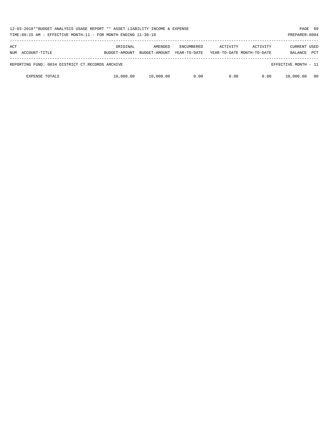| 12-03-2018**BUDGET ANALYSIS USAGE REPORT ** ASSET LIABILITY INCOME & EXPENSE<br>TIME:09:15 AM - EFFECTIVE MONTH:11 - FOR MONTH ENDING 11-30-18<br>PREPARER: 0004 |                           |                          |                                   |          |                                        |                                |            |
|------------------------------------------------------------------------------------------------------------------------------------------------------------------|---------------------------|--------------------------|-----------------------------------|----------|----------------------------------------|--------------------------------|------------|
| ACT<br>ACCOUNT-TITLE<br>NUM                                                                                                                                      | ORIGINAL<br>BUDGET-AMOUNT | AMENDED<br>BUDGET-AMOUNT | <b>ENCUMBERED</b><br>YEAR-TO-DATE | ACTIVITY | ACTIVITY<br>YEAR-TO-DATE MONTH-TO-DATE | <b>CURRENT USED</b><br>BALANCE | <b>PCT</b> |
| REPORTING FUND: 0034 DISTRICT CT.RECORDS ARCHIVE                                                                                                                 |                           |                          |                                   |          |                                        | EFFECTIVE MONTH - 11           |            |
| <b>EXPENSE TOTALS</b>                                                                                                                                            | 10,000.00                 | 10,000.00                | 0.00                              | 0.00     | 0.00                                   | 10,000.00                      | - 00       |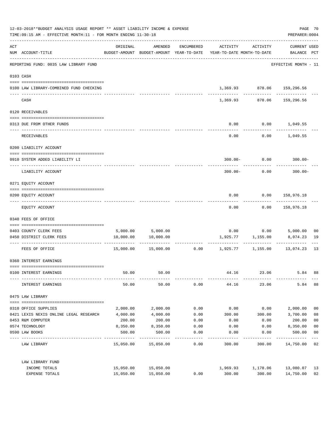| 12-03-2018**BUDGET ANALYSIS USAGE REPORT ** ASSET LIABILITY INCOME & EXPENSE<br>TIME: 09:15 AM - EFFECTIVE MONTH: 11 - FOR MONTH ENDING 11-30-18 |                                         |           |                                |            |                                                                                 |                                  | PAGE 70<br>PREPARER: 0004                  |                |
|--------------------------------------------------------------------------------------------------------------------------------------------------|-----------------------------------------|-----------|--------------------------------|------------|---------------------------------------------------------------------------------|----------------------------------|--------------------------------------------|----------------|
| $\mathop{\rm ACT}$                                                                                                                               | NUM ACCOUNT-TITLE                       | ORIGINAL  | AMENDED                        | ENCUMBERED | ACTIVITY<br>BUDGET-AMOUNT BUDGET-AMOUNT YEAR-TO-DATE YEAR-TO-DATE MONTH-TO-DATE | ACTIVITY                         | CURRENT USED<br>BALANCE PCT                |                |
|                                                                                                                                                  | REPORTING FUND: 0035 LAW LIBRARY FUND   |           |                                |            |                                                                                 |                                  | EFFECTIVE MONTH - 11                       |                |
|                                                                                                                                                  | 0103 CASH                               |           |                                |            |                                                                                 |                                  |                                            |                |
|                                                                                                                                                  | 0100 LAW LIBRARY-COMBINED FUND CHECKING |           |                                |            |                                                                                 |                                  | 1,369.93 878.06 159,296.56<br>------------ |                |
|                                                                                                                                                  | CASH                                    |           |                                |            |                                                                                 | -------------<br>1,369.93 878.06 | 159,296.56                                 |                |
|                                                                                                                                                  | 0120 RECEIVABLES                        |           |                                |            |                                                                                 |                                  |                                            |                |
|                                                                                                                                                  | 0313 DUE FROM OTHER FUNDS               |           |                                |            | 0.00                                                                            |                                  | $0.00$ 1,049.55                            |                |
|                                                                                                                                                  | <b>RECEIVABLES</b>                      |           |                                |            | 0.00                                                                            |                                  | $0.00$ 1,049.55                            |                |
|                                                                                                                                                  | 0200 LIABILITY ACCOUNT                  |           |                                |            |                                                                                 |                                  |                                            |                |
|                                                                                                                                                  | 0910 SYSTEM ADDED LIABILITY LI          |           |                                |            | $300.00 -$                                                                      | 0.00                             | $300.00 -$                                 |                |
|                                                                                                                                                  | LIABILITY ACCOUNT                       |           |                                |            | $300.00 -$                                                                      | 0.00                             | $300.00 -$                                 |                |
|                                                                                                                                                  | 0271 EQUITY ACCOUNT                     |           |                                |            |                                                                                 |                                  |                                            |                |
|                                                                                                                                                  | 0200 EQUITY ACCOUNT                     |           |                                |            | 0.00                                                                            |                                  | 0.00 158,976.18                            |                |
|                                                                                                                                                  | EQUITY ACCOUNT                          |           |                                |            | 0.00                                                                            | 0.00                             | 158,976.18                                 |                |
|                                                                                                                                                  | 0340 FEES OF OFFICE                     |           |                                |            |                                                                                 |                                  |                                            |                |
|                                                                                                                                                  | 0403 COUNTY CLERK FEES                  |           |                                |            |                                                                                 |                                  |                                            | 00             |
|                                                                                                                                                  | 0450 DISTRICT CLERK FEES                | 10,000.00 | 5,000.00 5,000.00<br>10,000.00 |            |                                                                                 | 1,925.77 1,155.00                | $0.00$ $0.00$ $5,000.00$<br>8,074.23       | 19             |
|                                                                                                                                                  | FEES OF OFFICE                          | 15,000.00 | 15,000.00                      |            | $0.00$ 1,925.77                                                                 | 1,155.00                         | 13,074.23                                  | 13             |
|                                                                                                                                                  | 0360 INTEREST EARNINGS                  |           |                                |            |                                                                                 |                                  |                                            |                |
|                                                                                                                                                  | 0100 INTEREST EARNINGS                  | 50.00     | 50.00                          |            | 44.16                                                                           | 23.06                            | 5.84                                       | 88             |
|                                                                                                                                                  | INTEREST EARNINGS                       | 50.00     | 50.00                          | 0.00       | 44.16                                                                           | 23.06                            | 5.84                                       | 88             |
|                                                                                                                                                  | 0475 LAW LIBRARY                        |           |                                |            |                                                                                 |                                  |                                            |                |
|                                                                                                                                                  | 0310 OFFICE SUPPLIES                    | 2,000.00  | 2,000.00                       | 0.00       | 0.00                                                                            | 0.00                             | 2,000.00                                   | 0 <sub>0</sub> |
|                                                                                                                                                  | 0421 LEXIS NEXIS ONLINE LEGAL RESEARCH  | 4,000.00  | 4,000.00                       | 0.00       | 300.00                                                                          | 300.00                           | 3,700.00                                   | 08             |
|                                                                                                                                                  | 0453 R&M COMPUTER                       | 200.00    | 200.00                         | 0.00       | 0.00                                                                            | 0.00                             | 200.00                                     | 0 <sub>0</sub> |
|                                                                                                                                                  | 0574 TECHNOLOGY                         | 8,350.00  | 8,350.00                       | 0.00       | 0.00                                                                            | 0.00                             | 8,350.00                                   | 0 <sub>0</sub> |
|                                                                                                                                                  | 0590 LAW BOOKS                          | 500.00    | 500.00                         | 0.00       | 0.00                                                                            | 0.00                             | 500.00                                     | 0 <sub>0</sub> |
|                                                                                                                                                  | LAW LIBRARY                             |           | 15,050.00 15,050.00            | 0.00       | 300.00                                                                          | 300.00                           | 14,750.00                                  | 02             |
|                                                                                                                                                  | LAW LIBRARY FUND                        |           |                                |            |                                                                                 |                                  |                                            |                |
|                                                                                                                                                  | INCOME TOTALS                           | 15,050.00 | 15,050.00                      |            | 1,969.93                                                                        | 1,178.06                         | 13,080.07                                  | 13             |
|                                                                                                                                                  | EXPENSE TOTALS                          | 15,050.00 | 15,050.00                      | 0.00       | 300.00                                                                          | 300.00                           | 14,750.00                                  | 02             |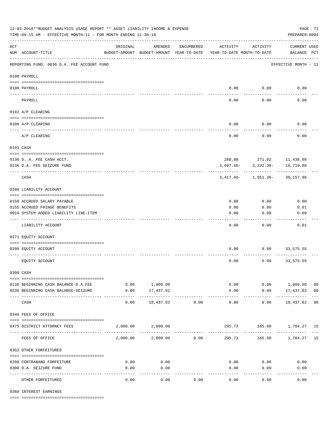| 12-03-2018**BUDGET ANALYSIS USAGE REPORT ** ASSET LIABILITY INCOME & EXPENSE<br>TIME: 09:15 AM - EFFECTIVE MONTH: 11 - FOR MONTH ENDING 11-30-18 |                                                             |                                                      |                          |              |                                        |                                      | PREPARER: 0004                     | PAGE 71        |
|--------------------------------------------------------------------------------------------------------------------------------------------------|-------------------------------------------------------------|------------------------------------------------------|--------------------------|--------------|----------------------------------------|--------------------------------------|------------------------------------|----------------|
| $\mathop{\rm ACT}$                                                                                                                               | NUM ACCOUNT-TITLE                                           | ORIGINAL<br>BUDGET-AMOUNT BUDGET-AMOUNT YEAR-TO-DATE | AMENDED                  | ENCUMBERED   | ACTIVITY<br>YEAR-TO-DATE MONTH-TO-DATE | ACTIVITY                             | <b>CURRENT USED</b><br>BALANCE PCT |                |
|                                                                                                                                                  | REPORTING FUND: 0036 D.A. FEE ACCOUNT FUND                  |                                                      |                          |              |                                        |                                      | EFFECTIVE MONTH - 11               |                |
|                                                                                                                                                  | 0100 PAYROLL                                                |                                                      |                          |              |                                        |                                      |                                    |                |
|                                                                                                                                                  | 0100 PAYROLL                                                |                                                      |                          |              |                                        | $0.00$ 0.00                          | 0.00                               |                |
| ---- ---                                                                                                                                         | PAYROLL                                                     |                                                      |                          |              | 0.00                                   | 0.00                                 | 0.00                               |                |
|                                                                                                                                                  | 0102 A/P CLEARING                                           |                                                      |                          |              |                                        |                                      |                                    |                |
|                                                                                                                                                  |                                                             |                                                      |                          |              |                                        |                                      |                                    |                |
|                                                                                                                                                  | 0100 A/P CLEARING                                           |                                                      |                          |              | 0.00                                   | 0.00                                 | 0.00                               |                |
|                                                                                                                                                  | A/P CLEARING                                                |                                                      |                          |              | 0.00                                   | 0.00                                 | 0.00                               |                |
|                                                                                                                                                  | 0103 CASH                                                   |                                                      |                          |              |                                        |                                      |                                    |                |
|                                                                                                                                                  |                                                             |                                                      |                          |              |                                        |                                      |                                    |                |
|                                                                                                                                                  | 0136 D. A. FEE CASH ACCT.<br>0236 D.A. FEE SEIZURE FUND     |                                                      |                          |              | 3,697.60-                              | 280.00 271.02 11,438.08<br>2,222.38- | 18,719.88                          |                |
|                                                                                                                                                  |                                                             |                                                      |                          |              |                                        |                                      |                                    |                |
|                                                                                                                                                  | CASH                                                        |                                                      |                          |              |                                        | $3,417.60 - 1,951.36 - 30,157.96$    |                                    |                |
|                                                                                                                                                  | 0200 LIABILITY ACCOUNT                                      |                                                      |                          |              |                                        |                                      |                                    |                |
|                                                                                                                                                  |                                                             |                                                      |                          |              |                                        |                                      |                                    |                |
|                                                                                                                                                  | 0150 ACCRUED SALARY PAYABLE<br>0155 ACCRUED FRINGE BENEFITS |                                                      |                          |              | 0.00<br>0.00                           | 0.00<br>0.00                         | 0.00<br>0.01                       |                |
|                                                                                                                                                  | 0910 SYSTEM ADDED LIABILITY LINE-ITEM                       |                                                      |                          |              | 0.00                                   | 0.00                                 | 0.00                               |                |
|                                                                                                                                                  |                                                             |                                                      |                          |              |                                        |                                      |                                    |                |
|                                                                                                                                                  | LIABILITY ACCOUNT                                           |                                                      |                          |              | 0.00                                   | 0.00                                 | 0.01                               |                |
|                                                                                                                                                  | 0271 EQUITY ACCOUNT                                         |                                                      |                          |              |                                        |                                      |                                    |                |
|                                                                                                                                                  | 0200 EQUITY ACCOUNT                                         |                                                      |                          |              | 0.00                                   | 0.00                                 | 33,575.55                          |                |
|                                                                                                                                                  | EQUITY ACCOUNT                                              |                                                      |                          |              | 0.00                                   | 0.00                                 | 33,575.55                          |                |
|                                                                                                                                                  | 0300 CASH                                                   |                                                      |                          |              |                                        |                                      |                                    |                |
|                                                                                                                                                  | 0136 BEGINNING CASH BALANCE-D.A.FEE                         |                                                      | 0.00 1,000.00            |              |                                        | 0.00                                 | 0.00 1,000.00                      | 0 <sub>0</sub> |
|                                                                                                                                                  | 0236 BEGINNING CASH BALANCE-SEIZURE                         | 0.00                                                 | 17,437.62                |              | 0.00                                   |                                      | $0.00$ 17,437.62 00                |                |
|                                                                                                                                                  | CASH                                                        | 0.00                                                 | -----------<br>18,437.62 | 0.00         | -------------<br>0.00                  | ----------<br>0.00                   | . <u>.</u><br>18,437.62 00         |                |
|                                                                                                                                                  | 0340 FEES OF OFFICE                                         |                                                      |                          |              |                                        |                                      |                                    |                |
|                                                                                                                                                  |                                                             |                                                      |                          |              |                                        |                                      |                                    |                |
|                                                                                                                                                  | 0475 DISTRICT ATTORNEY FEES                                 |                                                      | 2,000.00 2,000.00        | . <u>.</u> . |                                        | 295.73 165.00 1,704.27 15            |                                    |                |
|                                                                                                                                                  | FEES OF OFFICE                                              |                                                      | 2,000.00 2,000.00        | 0.00         |                                        | 295.73 165.00 1,704.27 15            |                                    |                |
|                                                                                                                                                  | 0352 OTHER FORFEITURES                                      |                                                      |                          |              |                                        |                                      |                                    |                |
|                                                                                                                                                  | 0200 CONTRABAND FORFEITURE                                  | 0.00                                                 | 0.00                     |              | 0.00                                   | 0.00                                 | 0.00                               |                |
|                                                                                                                                                  | 0300 D.A. SEIZURE FUND                                      | 0.00                                                 | 0.00                     |              | 0.00                                   | 0.00                                 | 0.00                               |                |
|                                                                                                                                                  | OTHER FORFEITURES                                           | 0.00                                                 | -----<br>0.00            | 0.00         | 0.00                                   | 0.00                                 | 0.00                               |                |

0360 INTEREST EARNINGS

==== ===================================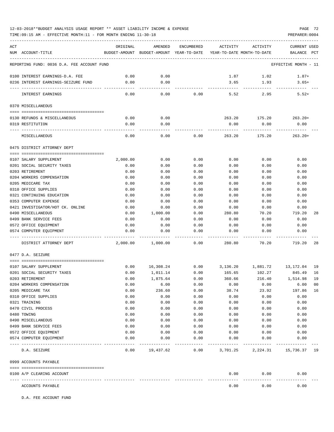# 12-03-2018\*\*BUDGET ANALYSIS USAGE REPORT \*\* ASSET LIABILITY INCOME & EXPENSE PAGE 72

TIME:09:15 AM - EFFECTIVE MONTH:11 - FOR MONTH ENDING 11-30-18 PREPARER:0004

| ACT |                                                   | ORIGINAL     | AMENDED                                  | ENCUMBERED     | ACTIVITY                   | ACTIVITY                       | <b>CURRENT USED</b>  |    |
|-----|---------------------------------------------------|--------------|------------------------------------------|----------------|----------------------------|--------------------------------|----------------------|----|
|     | NUM ACCOUNT-TITLE                                 |              | BUDGET-AMOUNT BUDGET-AMOUNT YEAR-TO-DATE |                | YEAR-TO-DATE MONTH-TO-DATE |                                | BALANCE PCT          |    |
|     | REPORTING FUND: 0036 D.A. FEE ACCOUNT FUND        |              |                                          |                |                            |                                | EFFECTIVE MONTH - 11 |    |
|     | 0100 INTEREST EARNINGS-D.A. FEE                   | 0.00         | 0.00                                     |                | 1.87                       | 1.02                           | $1.87+$              |    |
|     | 0236 INTEREST EARNINGS-SEIZURE FUND               | 0.00         | 0.00                                     |                | 3.65                       | 1.93                           | $3.65+$              |    |
|     | INTEREST EARNINGS                                 | 0.00         | 0.00                                     | 0.00           | 5.52                       | 2.95                           | $5.52+$              |    |
|     | 0370 MISCELLANEOUS                                |              |                                          |                |                            |                                |                      |    |
|     |                                                   |              |                                          |                |                            |                                |                      |    |
|     | 0130 REFUNDS & MISCELLANEOUS                      | 0.00         | 0.00                                     |                |                            | 263.20 175.20 263.20+          |                      |    |
|     | 0319 RESTITUTION                                  | 0.00         | 0.00                                     |                | 0.00                       | 0.00                           | 0.00                 |    |
|     | MISCELLANEOUS                                     | 0.00         | 0.00                                     | 0.00           | 263.20                     | 175.20                         | $263.20+$            |    |
|     | 0475 DISTRICT ATTORNEY DEPT                       |              |                                          |                |                            |                                |                      |    |
|     |                                                   |              |                                          |                |                            |                                |                      |    |
|     | 0107 SALARY SUPPLEMENT                            | 2,000.00     | 0.00                                     | 0.00           | 0.00                       | 0.00                           | 0.00                 |    |
|     | 0201 SOCIAL SECURITY TAXES<br>0203 RETIREMENT     | 0.00         | 0.00<br>0.00                             | 0.00<br>0.00   | 0.00                       | 0.00<br>0.00                   | 0.00<br>0.00         |    |
|     | 0204 WORKERS COMPENSATION                         | 0.00<br>0.00 | 0.00                                     | 0.00           | 0.00<br>0.00               | 0.00                           | 0.00                 |    |
|     | 0205 MEDICARE TAX                                 | 0.00         | 0.00                                     | 0.00           | 0.00                       | 0.00                           | 0.00                 |    |
|     | 0310 OFFICE SUPPLIES                              | 0.00         | 0.00                                     | 0.00           | 0.00                       | 0.00                           | 0.00                 |    |
|     | 0321 CONTINUING EDUCATION                         | 0.00         | 0.00                                     | 0.00           | 0.00                       | 0.00                           | 0.00                 |    |
|     | 0353 COMPUTER EXPENSE                             | 0.00         | 0.00                                     | 0.00           | 0.00                       | 0.00                           | 0.00                 |    |
|     | 0421 INVESTIGATOR/HOT CK. ONLINE                  | 0.00         | 0.00                                     | 0.00           | 0.00                       | 0.00                           | 0.00                 |    |
|     | 0490 MISCELLANEOUS                                | 0.00         | 1,000.00                                 | 0.00           | 280.80                     | 70.20                          | 719.20               | 28 |
|     | 0499 BANK SERVICE FEES                            | 0.00         | 0.00                                     | 0.00           | 0.00                       | 0.00                           | 0.00                 |    |
|     | 0572 OFFICE EQUIPMENT                             | 0.00         | 0.00                                     | 0.00           | 0.00                       | 0.00                           | 0.00                 |    |
|     | 0574 COMPUTER EQUIPMENT                           | 0.00         | 0.00                                     | 0.00           | 0.00                       | 0.00                           | 0.00                 |    |
|     | DISTRICT ATTORNEY DEPT                            | 2,000.00     | 1,000.00                                 | 0.00           | 280.80                     | 70.20                          | 719.20               | 28 |
|     | 0477 D.A. SEIZURE                                 |              |                                          |                |                            |                                |                      |    |
|     | 0107 SALARY SUPPLEMENT                            | 0.00         | 16,308.24                                | 0.00           | 3,136.20                   |                                |                      | 19 |
|     | 0201 SOCIAL SECURITY TAXES                        | 0.00         | 1,011.14                                 | 0.00           | 165.65                     | 102.27                         | 845.49               | 16 |
|     | 0203 RETIREMENT                                   | 0.00         | 1,875.64                                 | 0.00           | 360.66                     | 216.40                         | 1,514.98             | 19 |
|     | 0204 WORKERS COMPENSATION                         | 0.00         | 6.00                                     | 0.00           | 0.00                       | 0.00                           | 6.00                 | 00 |
|     | 0205 MEDICARE TAX                                 | 0.00         | 236.60                                   | 0.00           | 38.74                      | 23.92                          | 197.86               | 16 |
|     | 0310 OFFICE SUPPLIES                              | 0.00         | 0.00                                     | 0.00           | 0.00                       | 0.00                           | 0.00                 |    |
|     | 0321 TRAINING                                     | 0.00         | 0.00                                     | 0.00           | 0.00                       | 0.00                           | 0.00                 |    |
|     | 0470 CIVIL PROCESS                                | 0.00         | 0.00                                     | 0.00           | 0.00                       | 0.00                           | 0.00                 |    |
|     | 0480 TOWING                                       | 0.00         | 0.00                                     | 0.00           | 0.00                       | 0.00                           | 0.00                 |    |
|     | 0490 MISCELLANEOUS                                | 0.00         | 0.00                                     | 0.00           | 0.00                       | 0.00                           | 0.00                 |    |
|     | 0499 BANK SERVICE FEES                            | 0.00         | 0.00                                     | 0.00           | 0.00                       | 0.00                           | 0.00                 |    |
|     | 0572 OFFICE EQUIPMENT                             | 0.00         | 0.00                                     | 0.00           | 0.00                       | 0.00                           | 0.00                 |    |
|     | 0574 COMPUTER EQUIPMENT                           | 0.00         | 0.00                                     | 0.00           | 0.00                       | 0.00                           | 0.00                 |    |
|     | D.A. SEIZURE                                      | 0.00         |                                          | 19,437.62 0.00 |                            | 3,701.25 2,224.31 15,736.37 19 |                      |    |
|     | 0999 ACCOUNTS PAYABLE                             |              |                                          |                |                            |                                |                      |    |
|     |                                                   |              |                                          |                |                            |                                |                      |    |
|     | 0100 A/P CLEARING ACCOUNT<br>---- --------------- |              |                                          |                | 0.00                       | 0.00<br>.                      | 0.00                 |    |
|     | ACCOUNTS PAYABLE                                  |              |                                          |                | 0.00                       | 0.00                           | 0.00                 |    |

D.A. FEE ACCOUNT FUND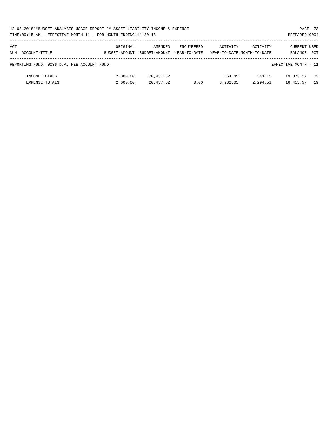| PAGE 73<br>12-03-2018**BUDGET ANALYSIS USAGE REPORT ** ASSET LIABILITY INCOME & EXPENSE |                                                                                                                                                                                                                                     |               |                   |          |          |           |            |  |  |  |
|-----------------------------------------------------------------------------------------|-------------------------------------------------------------------------------------------------------------------------------------------------------------------------------------------------------------------------------------|---------------|-------------------|----------|----------|-----------|------------|--|--|--|
|                                                                                         |                                                                                                                                                                                                                                     |               |                   |          |          |           |            |  |  |  |
| ACT                                                                                     | ORIGINAL                                                                                                                                                                                                                            | AMENDED       | <b>ENCUMBERED</b> | ACTIVITY | ACTIVITY |           |            |  |  |  |
| NUM ACCOUNT-TITLE                                                                       | BUDGET-AMOUNT                                                                                                                                                                                                                       | BUDGET-AMOUNT | YEAR-TO-DATE      |          |          | BALANCE   | <b>PCT</b> |  |  |  |
| REPORTING FUND: 0036 D.A. FEE ACCOUNT FUND                                              |                                                                                                                                                                                                                                     |               |                   |          |          |           |            |  |  |  |
| INCOME TOTALS                                                                           | 2,000.00                                                                                                                                                                                                                            | 20,437.62     |                   | 564.45   | 343.15   | 19,873.17 | 03         |  |  |  |
| <b>EXPENSE TOTALS</b>                                                                   | TIME:09:15 AM - EFFECTIVE MONTH:11 - FOR MONTH ENDING 11-30-18<br>PREPARER: 0004<br>CURRENT USED<br>YEAR-TO-DATE MONTH-TO-DATE<br>EFFECTIVE MONTH - 11<br>3,982.05<br>2,000.00<br>20,437.62<br>2,294.51<br>19<br>0.00<br>16, 455.57 |               |                   |          |          |           |            |  |  |  |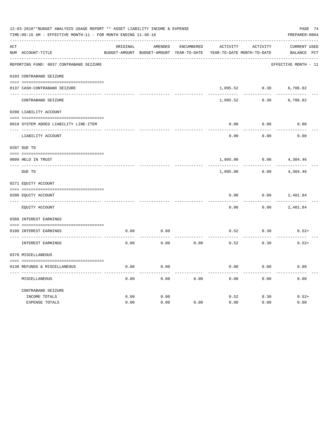|          | 12-03-2018**BUDGET ANALYSIS USAGE REPORT ** ASSET LIABILITY INCOME & EXPENSE<br>PAGE 74<br>TIME: 09:15 AM - EFFECTIVE MONTH: 11 - FOR MONTH ENDING 11-30-18<br>PREPARER: 0004 |          |                                          |                   |                 |                            |                      |  |  |  |
|----------|-------------------------------------------------------------------------------------------------------------------------------------------------------------------------------|----------|------------------------------------------|-------------------|-----------------|----------------------------|----------------------|--|--|--|
| ACT      |                                                                                                                                                                               | ORIGINAL | AMENDED                                  | <b>ENCUMBERED</b> | <b>ACTIVITY</b> | ACTIVITY                   | CURRENT USED         |  |  |  |
|          | NUM ACCOUNT-TITLE                                                                                                                                                             |          | BUDGET-AMOUNT BUDGET-AMOUNT YEAR-TO-DATE |                   |                 | YEAR-TO-DATE MONTH-TO-DATE | BALANCE PCT          |  |  |  |
|          | REPORTING FUND: 0037 CONTRABAND SEIZURE                                                                                                                                       |          |                                          |                   |                 |                            | EFFECTIVE MONTH - 11 |  |  |  |
|          | 0103 CONTRABAND SEIZURE                                                                                                                                                       |          |                                          |                   |                 |                            |                      |  |  |  |
|          | 0137 CASH-CONTRABAND SEIZURE                                                                                                                                                  |          |                                          |                   | 1,095.52        | 0.30                       | 6,706.82             |  |  |  |
|          | CONTRABAND SEIZURE                                                                                                                                                            |          |                                          |                   | 1,095.52        | 0.30                       | 6,706.82             |  |  |  |
|          | 0200 LIABILITY ACCOUNT                                                                                                                                                        |          |                                          |                   |                 |                            |                      |  |  |  |
|          | 0910 SYSTEM ADDED LIABILITY LINE-ITEM                                                                                                                                         |          |                                          |                   | 0.00            | 0.00                       | 0.00                 |  |  |  |
|          | LIABILITY ACCOUNT                                                                                                                                                             |          |                                          |                   | 0.00            | 0.00                       | 0.00                 |  |  |  |
|          | 0207 DUE TO                                                                                                                                                                   |          |                                          |                   |                 |                            |                      |  |  |  |
| ---- --- | 0099 HELD IN TRUST                                                                                                                                                            |          |                                          |                   | 1,095.00        | 0.00                       | 4,304.46             |  |  |  |
|          | DUE TO                                                                                                                                                                        |          |                                          |                   | 1,095.00        | 0.00                       | 4,304.46             |  |  |  |
|          | 0271 EQUITY ACCOUNT                                                                                                                                                           |          |                                          |                   |                 |                            |                      |  |  |  |
|          | 0200 EQUITY ACCOUNT                                                                                                                                                           |          |                                          |                   | 0.00            | 0.00                       | 2,401.84             |  |  |  |
|          | EQUITY ACCOUNT                                                                                                                                                                |          |                                          |                   | 0.00            | 0.00                       | 2,401.84             |  |  |  |
|          | 0360 INTEREST EARNINGS                                                                                                                                                        |          |                                          |                   |                 |                            |                      |  |  |  |
|          | 0100 INTEREST EARNINGS                                                                                                                                                        | 0.00     | 0.00                                     |                   | 0.52            | 0.30                       | $0.52+$              |  |  |  |
|          | INTEREST EARNINGS                                                                                                                                                             | 0.00     | 0.00                                     | 0.00              | 0.52            | 0.30                       | $0.52+$              |  |  |  |
|          | 0370 MISCELLANEOUS                                                                                                                                                            |          |                                          |                   |                 |                            |                      |  |  |  |
|          | 0130 REFUNDS & MISCELLANEOUS                                                                                                                                                  | 0.00     | 0.00                                     |                   | 0.00            | 0.00                       | 0.00                 |  |  |  |
|          | MISCELLANEOUS                                                                                                                                                                 | 0.00     | 0.00                                     | 0.00              | 0.00            | 0.00                       | 0.00                 |  |  |  |
|          | CONTRABAND SEIZURE<br>INCOME TOTALS                                                                                                                                           | 0.00     | 0.00                                     |                   | 0.52            | 0.30                       | $0.52+$              |  |  |  |
|          | EXPENSE TOTALS                                                                                                                                                                | 0.00     | 0.00                                     | 0.00              | 0.00            | 0.00                       | 0.00                 |  |  |  |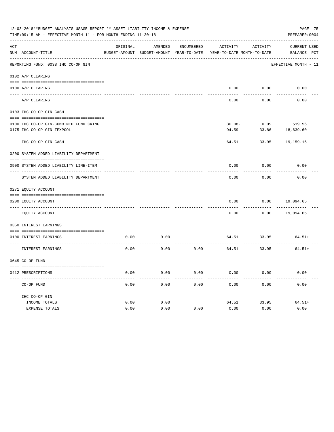|     | 12-03-2018**BUDGET ANALYSIS USAGE REPORT ** ASSET LIABILITY INCOME & EXPENSE<br>TIME: 09:15 AM - EFFECTIVE MONTH: 11 - FOR MONTH ENDING 11-30-18 |          |                                                     |            |                                        |                       | PAGE 75<br>PREPARER: 0004   |
|-----|--------------------------------------------------------------------------------------------------------------------------------------------------|----------|-----------------------------------------------------|------------|----------------------------------------|-----------------------|-----------------------------|
| ACT | NUM ACCOUNT-TITLE                                                                                                                                | ORIGINAL | AMENDED<br>BUDGET-AMOUNT BUDGET-AMOUNT YEAR-TO-DATE | ENCUMBERED | ACTIVITY<br>YEAR-TO-DATE MONTH-TO-DATE | ACTIVITY              | CURRENT USED<br>BALANCE PCT |
|     | REPORTING FUND: 0038 IHC CO-OP GIN                                                                                                               |          |                                                     |            |                                        |                       | EFFECTIVE MONTH - 11        |
|     | 0102 A/P CLEARING                                                                                                                                |          |                                                     |            |                                        |                       |                             |
|     |                                                                                                                                                  |          |                                                     |            |                                        |                       |                             |
|     | 0100 A/P CLEARING                                                                                                                                |          |                                                     |            |                                        | $0.00$ $0.00$         | 0.00                        |
|     | A/P CLEARING                                                                                                                                     |          |                                                     |            | 0.00                                   | 0.00                  | 0.00                        |
|     | 0103 IHC CO-OP GIN CASH                                                                                                                          |          |                                                     |            |                                        |                       |                             |
|     | 0100 IHC CO-OP GIN-COMBINED FUND CKING                                                                                                           |          |                                                     |            |                                        | $30.08 - 0.09$ 519.56 |                             |
|     | 0175 IHC CO-OP GIN TEXPOOL                                                                                                                       |          |                                                     |            | 94.59                                  | 33.86                 | 18,639.60                   |
|     | IHC CO-OP GIN CASH                                                                                                                               |          |                                                     |            | 64.51                                  |                       | 33.95 19,159.16             |
|     | 0200 SYSTEM ADDED LIABILITY DEPARTMENT                                                                                                           |          |                                                     |            |                                        |                       |                             |
|     | 0900 SYSTEM ADDED LIABILITY LINE-ITEM                                                                                                            |          |                                                     |            | 0.00                                   | 0.00                  | 0.00                        |
|     | SYSTEM ADDED LIABILITY DEPARTMENT                                                                                                                |          |                                                     |            | 0.00                                   | 0.00                  | 0.00                        |
|     | 0271 EQUITY ACCOUNT                                                                                                                              |          |                                                     |            |                                        |                       |                             |
|     | 0200 EQUITY ACCOUNT                                                                                                                              |          |                                                     |            | 0.00                                   |                       | $0.00$ 19,094.65            |
|     | ---- -------------------------------<br>EQUITY ACCOUNT                                                                                           |          |                                                     |            | -----<br>0.00                          | ---------             | $0.00$ 19,094.65            |
|     | 0360 INTEREST EARNINGS                                                                                                                           |          |                                                     |            |                                        |                       |                             |
|     | 0100 INTEREST EARNINGS                                                                                                                           | 0.00     | 0.00                                                |            |                                        |                       | $64.51$ $33.95$ $64.51+$    |
|     | INTEREST EARNINGS                                                                                                                                | 0.00     | 0.00                                                |            | $0.00$ 64.51 33.95                     | .                     | $64.51+$                    |
|     | 0645 CO-OP FUND                                                                                                                                  |          |                                                     |            |                                        |                       |                             |
|     | 0412 PRESCRIPTIONS                                                                                                                               | 0.00     | 0.00                                                | 0.00       | 0.00                                   | 0.00                  | 0.00                        |
|     | CO-OP FUND                                                                                                                                       | 0.00     | 0.00                                                | 0.00       | 0.00                                   | 0.00                  | 0.00                        |
|     | IHC CO-OP GIN                                                                                                                                    |          |                                                     |            |                                        |                       |                             |
|     | INCOME TOTALS                                                                                                                                    | 0.00     | 0.00                                                |            | 64.51                                  | 33.95                 | $64.51+$                    |
|     | EXPENSE TOTALS                                                                                                                                   | 0.00     | 0.00                                                | 0.00       | 0.00                                   | 0.00                  | 0.00                        |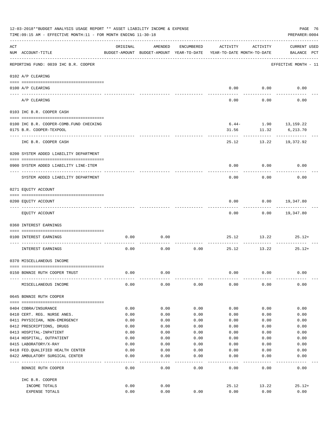|     | 12-03-2018**BUDGET ANALYSIS USAGE REPORT ** ASSET LIABILITY INCOME & EXPENSE<br>PAGE 76<br>TIME: 09:15 AM - EFFECTIVE MONTH: 11 - FOR MONTH ENDING 11-30-18<br>PREPARER: 0004 |                                                      |              |              |              |                                        |                                    |  |  |  |
|-----|-------------------------------------------------------------------------------------------------------------------------------------------------------------------------------|------------------------------------------------------|--------------|--------------|--------------|----------------------------------------|------------------------------------|--|--|--|
| ACT | NUM ACCOUNT-TITLE<br>--------------------------------------                                                                                                                   | ORIGINAL<br>BUDGET-AMOUNT BUDGET-AMOUNT YEAR-TO-DATE | AMENDED      | ENCUMBERED   | ACTIVITY     | ACTIVITY<br>YEAR-TO-DATE MONTH-TO-DATE | <b>CURRENT USED</b><br>BALANCE PCT |  |  |  |
|     | REPORTING FUND: 0039 IHC B.R. COOPER                                                                                                                                          |                                                      |              |              |              |                                        | EFFECTIVE MONTH - 11               |  |  |  |
|     | 0102 A/P CLEARING                                                                                                                                                             |                                                      |              |              |              |                                        |                                    |  |  |  |
|     | 0100 A/P CLEARING                                                                                                                                                             |                                                      |              |              |              | $0.00$ $0.00$                          | 0.00                               |  |  |  |
|     | ---- ---------<br>A/P CLEARING                                                                                                                                                |                                                      |              |              | 0.00         | 0.00                                   | 0.00                               |  |  |  |
|     | 0103 IHC B.R. COOPER CASH                                                                                                                                                     |                                                      |              |              |              |                                        |                                    |  |  |  |
|     |                                                                                                                                                                               |                                                      |              |              |              |                                        |                                    |  |  |  |
|     | 0100 IHC B.R. COOPER-COMB.FUND CHECKING                                                                                                                                       |                                                      |              |              |              | $6.44-1.90$ 13, 159.22                 |                                    |  |  |  |
|     | 0175 B.R. COOPER-TEXPOOL                                                                                                                                                      |                                                      |              |              |              | 31.56 11.32<br>---------               | 6,213.70<br>-----------            |  |  |  |
|     | IHC B.R. COOPER CASH                                                                                                                                                          |                                                      |              |              | 25.12        |                                        | 13.22 19,372.92                    |  |  |  |
|     | 0200 SYSTEM ADDED LIABILITY DEPARTMENT                                                                                                                                        |                                                      |              |              |              |                                        |                                    |  |  |  |
|     |                                                                                                                                                                               |                                                      |              |              |              |                                        |                                    |  |  |  |
|     | 0900 SYSTEM ADDED LIABILITY LINE-ITEM                                                                                                                                         |                                                      |              |              | 0.00         | 0.00                                   | 0.00                               |  |  |  |
|     | SYSTEM ADDED LIABILITY DEPARTMENT                                                                                                                                             |                                                      |              |              | 0.00         | 0.00                                   | 0.00                               |  |  |  |
|     | 0271 EQUITY ACCOUNT                                                                                                                                                           |                                                      |              |              |              |                                        |                                    |  |  |  |
|     |                                                                                                                                                                               |                                                      |              |              |              |                                        |                                    |  |  |  |
|     | 0200 EQUITY ACCOUNT                                                                                                                                                           |                                                      |              |              | 0.00         |                                        | $0.00$ 19,347.80                   |  |  |  |
|     | EQUITY ACCOUNT                                                                                                                                                                |                                                      |              |              | 0.00         |                                        | $0.00$ 19,347.80                   |  |  |  |
|     | 0360 INTEREST EARNINGS                                                                                                                                                        |                                                      |              |              |              |                                        |                                    |  |  |  |
|     | 0100 INTEREST EARNINGS                                                                                                                                                        | 0.00                                                 | 0.00         |              | 25.12        | 13.22                                  | $25.12+$                           |  |  |  |
|     | INTEREST EARNINGS                                                                                                                                                             | 0.00                                                 | 0.00         | 0.00         | 25.12        | 13.22                                  | $25.12+$                           |  |  |  |
|     | 0370 MISCELLANEOUS INCOME                                                                                                                                                     |                                                      |              |              |              |                                        |                                    |  |  |  |
|     |                                                                                                                                                                               |                                                      |              |              |              |                                        |                                    |  |  |  |
|     | 0150 BONNIE RUTH COOPER TRUST                                                                                                                                                 | 0.00                                                 | 0.00         |              | 0.00         | 0.00                                   | 0.00                               |  |  |  |
|     | MISCELLANEOUS INCOME                                                                                                                                                          | 0.00                                                 | 0.00         | 0.00         | 0.00         | 0.00                                   | 0.00                               |  |  |  |
|     | 0645 BONNIE RUTH COOPER                                                                                                                                                       |                                                      |              |              |              |                                        |                                    |  |  |  |
|     |                                                                                                                                                                               |                                                      |              |              |              |                                        |                                    |  |  |  |
|     | 0404 COBRA/INSURANCE<br>0410 CERT. REG. NURSE ANES.                                                                                                                           | 0.00<br>0.00                                         | 0.00<br>0.00 | 0.00<br>0.00 | 0.00         | 0.00                                   | 0.00<br>0.00                       |  |  |  |
|     | 0411 PHYSICIAN, NON-EMERGENCY                                                                                                                                                 | 0.00                                                 | 0.00         | 0.00         | 0.00<br>0.00 | 0.00<br>0.00                           | 0.00                               |  |  |  |
|     | 0412 PRESCRIPTIONS, DRUGS                                                                                                                                                     | 0.00                                                 | 0.00         | 0.00         | 0.00         | 0.00                                   | 0.00                               |  |  |  |
|     | 0413 HOSPITAL-INPATIENT                                                                                                                                                       | 0.00                                                 | 0.00         | 0.00         | 0.00         | 0.00                                   | 0.00                               |  |  |  |
|     | 0414 HOSPITAL, OUTPATIENT                                                                                                                                                     | 0.00                                                 | 0.00         | 0.00         | 0.00         | 0.00                                   | 0.00                               |  |  |  |
|     | 0415 LABORATORY/X-RAY                                                                                                                                                         | 0.00                                                 | 0.00         | 0.00         | 0.00         | 0.00                                   | 0.00                               |  |  |  |
|     | 0418 FED. QUALIFIED HEALTH CENTER                                                                                                                                             | 0.00                                                 | 0.00         | 0.00         | 0.00         | 0.00                                   | 0.00                               |  |  |  |
|     | 0422 AMBULATORY SURGICAL CENTER                                                                                                                                               | 0.00                                                 | 0.00         | 0.00         | 0.00         | 0.00                                   | 0.00                               |  |  |  |
|     | BONNIE RUTH COOPER                                                                                                                                                            | 0.00                                                 | 0.00         | 0.00         | 0.00         | 0.00                                   | 0.00                               |  |  |  |
|     | IHC B.R. COOPER                                                                                                                                                               |                                                      |              |              |              |                                        |                                    |  |  |  |
|     | INCOME TOTALS                                                                                                                                                                 | 0.00                                                 | 0.00         |              | 25.12        | 13.22                                  | $25.12+$                           |  |  |  |
|     | EXPENSE TOTALS                                                                                                                                                                | 0.00                                                 | 0.00         | 0.00         | 0.00         | 0.00                                   | 0.00                               |  |  |  |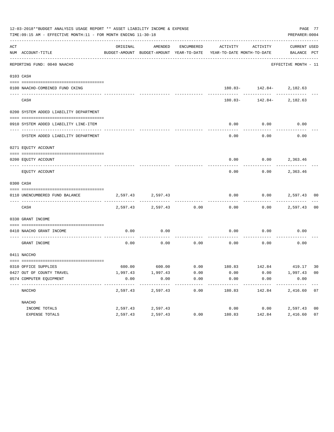|     | 12-03-2018**BUDGET ANALYSIS USAGE REPORT ** ASSET LIABILITY INCOME & EXPENSE<br>TIME:09:15 AM - EFFECTIVE MONTH:11 - FOR MONTH ENDING 11-30-18 |          |                   |            |                                                                     |                              | PREPARER: 0004              | PAGE 77        |
|-----|------------------------------------------------------------------------------------------------------------------------------------------------|----------|-------------------|------------|---------------------------------------------------------------------|------------------------------|-----------------------------|----------------|
| ACT | NUM ACCOUNT-TITLE                                                                                                                              | ORIGINAL | AMENDED           | ENCUMBERED | BUDGET-AMOUNT BUDGET-AMOUNT YEAR-TO-DATE YEAR-TO-DATE MONTH-TO-DATE | ACTIVITY ACTIVITY            | CURRENT USED<br>BALANCE PCT |                |
|     | REPORTING FUND: 0040 NAACHO                                                                                                                    |          |                   |            |                                                                     |                              | EFFECTIVE MONTH - 11        |                |
|     | 0103 CASH                                                                                                                                      |          |                   |            |                                                                     |                              |                             |                |
|     | 0100 NAACHO-COMBINED FUND CKING                                                                                                                |          |                   |            |                                                                     | $180.83 - 142.84 - 2,182.63$ |                             |                |
|     | CASH                                                                                                                                           |          |                   |            |                                                                     | $180.83 - 142.84 - 2,182.63$ | -----------                 |                |
|     | 0200 SYSTEM ADDED LIABILITY DEPARTMENT                                                                                                         |          |                   |            |                                                                     |                              |                             |                |
|     | 0910 SYSTEM ADDED LIABILITY LINE-ITEM                                                                                                          |          |                   |            | 0.00                                                                | 0.00                         | 0.00                        |                |
|     | SYSTEM ADDED LIABILITY DEPARTMENT                                                                                                              |          |                   |            | 0.00                                                                | 0.00                         | 0.00                        |                |
|     | 0271 EQUITY ACCOUNT                                                                                                                            |          |                   |            |                                                                     |                              |                             |                |
|     | 0200 EQUITY ACCOUNT                                                                                                                            |          |                   |            |                                                                     | $0.00$ $0.00$ $2,363.46$     |                             |                |
|     | EQUITY ACCOUNT                                                                                                                                 |          |                   |            | 0.00                                                                | 0.00                         | 2,363.46                    |                |
|     | 0300 CASH                                                                                                                                      |          |                   |            |                                                                     |                              |                             |                |
|     | 0110 UNENCUMBERED FUND BALANCE                                                                                                                 |          | 2,597.43 2,597.43 |            | 0.00                                                                | 0.00                         | 2,597.43 00                 |                |
|     | CASH                                                                                                                                           |          | 2,597.43 2,597.43 | 0.00       | 0.00                                                                |                              | $0.00$ 2,597.43             | 0 <sub>0</sub> |
|     | 0330 GRANT INCOME                                                                                                                              |          |                   |            |                                                                     |                              |                             |                |
|     | 0410 NAACHO GRANT INCOME                                                                                                                       | 0.00     | 0.00              |            | 0.00                                                                | 0.00                         | 0.00                        |                |
|     | GRANT INCOME                                                                                                                                   | 0.00     | 0.00              | 0.00       | 0.00                                                                | 0.00                         | 0.00                        |                |
|     | 0411 NACCHO                                                                                                                                    |          |                   |            |                                                                     |                              |                             |                |
|     | 0310 OFFICE SUPPLIES                                                                                                                           |          |                   |            | $600.00$ $600.00$ $0.00$ $180.83$ $142.84$ $419.17$                 |                              |                             | 30             |
|     | 0427 OUT OF COUNTY TRAVEL                                                                                                                      | 1,997.43 | 1,997.43          | 0.00       | 0.00                                                                | 0.00                         | 1,997.43 00                 |                |
|     | 0574 COMPUTER EQUIPMENT                                                                                                                        | 0.00     | 0.00              | 0.00       | 0.00                                                                | 0.00                         | 0.00                        |                |
|     | NACCHO                                                                                                                                         | 2,597.43 | 2,597.43          | 0.00       | 180.83                                                              | 142.84                       | 2,416.60 07                 |                |
|     | NAACHO                                                                                                                                         |          |                   |            |                                                                     |                              |                             |                |
|     | INCOME TOTALS                                                                                                                                  | 2,597.43 | 2,597.43          |            | 0.00                                                                | 0.00                         | 2,597.43                    | 0 <sub>0</sub> |
|     | EXPENSE TOTALS                                                                                                                                 | 2,597.43 | 2,597.43          | 0.00       | 180.83                                                              | 142.84                       | 2,416.60                    | 07             |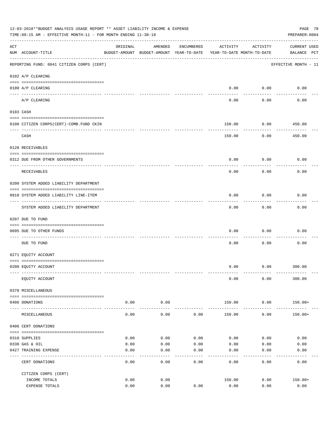| 12-03-2018**BUDGET ANALYSIS USAGE REPORT ** ASSET LIABILITY INCOME & EXPENSE<br>PAGE 78<br>TIME: 09:15 AM - EFFECTIVE MONTH: 11 - FOR MONTH ENDING 11-30-18<br>PREPARER: 0004 |                                           |               |                                                                                |              |              |                   |                                    |  |  |  |
|-------------------------------------------------------------------------------------------------------------------------------------------------------------------------------|-------------------------------------------|---------------|--------------------------------------------------------------------------------|--------------|--------------|-------------------|------------------------------------|--|--|--|
| ACT                                                                                                                                                                           | NUM ACCOUNT-TITLE                         | ORIGINAL      | AMENDED<br>BUDGET-AMOUNT BUDGET-AMOUNT YEAR-TO-DATE YEAR-TO-DATE MONTH-TO-DATE | ENCUMBERED   | ACTIVITY     | ACTIVITY          | <b>CURRENT USED</b><br>BALANCE PCT |  |  |  |
|                                                                                                                                                                               | REPORTING FUND: 0041 CITIZEN CORPS (CERT) |               |                                                                                |              |              |                   | EFFECTIVE MONTH - 11               |  |  |  |
|                                                                                                                                                                               | 0102 A/P CLEARING                         |               |                                                                                |              |              |                   |                                    |  |  |  |
|                                                                                                                                                                               | 0100 A/P CLEARING                         |               |                                                                                |              | 0.00         | 0.00              | 0.00                               |  |  |  |
|                                                                                                                                                                               | A/P CLEARING                              |               |                                                                                |              | 0.00         | 0.00              | 0.00                               |  |  |  |
|                                                                                                                                                                               | 0103 CASH                                 |               |                                                                                |              |              |                   |                                    |  |  |  |
|                                                                                                                                                                               | 0100 CITIZEN CORPS (CERT)-COMB. FUND CKIN |               |                                                                                |              | 150.00       | 0.00              | 450.00                             |  |  |  |
|                                                                                                                                                                               | CASH                                      |               |                                                                                |              | 150.00       | 0.00              | $- - - - - - -$<br>450.00          |  |  |  |
|                                                                                                                                                                               | 0120 RECEIVABLES                          |               |                                                                                |              |              |                   |                                    |  |  |  |
|                                                                                                                                                                               | 0312 DUE FROM OTHER GOVERNMENTS           |               |                                                                                |              | 0.00         | 0.00              | 0.00                               |  |  |  |
|                                                                                                                                                                               | RECEIVABLES                               |               |                                                                                |              | 0.00         | 0.00              | 0.00                               |  |  |  |
|                                                                                                                                                                               | 0200 SYSTEM ADDED LIABILITY DEPARTMENT    |               |                                                                                |              |              |                   |                                    |  |  |  |
|                                                                                                                                                                               | 0910 SYSTEM ADDED LIABILITY LINE-ITEM     |               |                                                                                |              | 0.00         | 0.00              | 0.00                               |  |  |  |
|                                                                                                                                                                               | SYSTEM ADDED LIABILITY DEPARTMENT         |               |                                                                                |              | 0.00         | 0.00              | 0.00                               |  |  |  |
|                                                                                                                                                                               | 0207 DUE TO FUND                          |               |                                                                                |              |              |                   |                                    |  |  |  |
|                                                                                                                                                                               | 0095 DUE TO OTHER FUNDS                   |               |                                                                                |              | 0.00         | 0.00              | 0.00                               |  |  |  |
|                                                                                                                                                                               | DUE TO FUND                               |               |                                                                                |              | 0.00         | 0.00              | 0.00                               |  |  |  |
|                                                                                                                                                                               | 0271 EQUITY ACCOUNT                       |               |                                                                                |              |              |                   |                                    |  |  |  |
|                                                                                                                                                                               | 0200 EQUITY ACCOUNT                       |               |                                                                                |              | 0.00         | $0.00$ 300.00     |                                    |  |  |  |
|                                                                                                                                                                               | EQUITY ACCOUNT                            |               |                                                                                |              | 0.00         | 0.00              | 300.00                             |  |  |  |
|                                                                                                                                                                               | 0370 MISCELLANEOUS                        |               |                                                                                |              |              |                   |                                    |  |  |  |
|                                                                                                                                                                               | 0406 DONATIONS                            | 0.00<br>----- | 0.00<br>---------                                                              |              | 150.00       | 0.00<br>--------- | $150.00+$                          |  |  |  |
|                                                                                                                                                                               | MISCELLANEOUS                             | 0.00          | 0.00                                                                           | 0.00         | 150.00       | 0.00              | $150.00+$                          |  |  |  |
|                                                                                                                                                                               | 0406 CERT DONATIONS                       |               |                                                                                |              |              |                   |                                    |  |  |  |
|                                                                                                                                                                               |                                           |               |                                                                                |              |              |                   |                                    |  |  |  |
|                                                                                                                                                                               | 0310 SUPPLIES<br>0330 GAS & OIL           | 0.00<br>0.00  | 0.00<br>0.00                                                                   | 0.00<br>0.00 | 0.00<br>0.00 | 0.00<br>0.00      | 0.00<br>0.00                       |  |  |  |
|                                                                                                                                                                               | 0427 TRAINING EXPENSE                     | 0.00          | 0.00                                                                           | 0.00         | 0.00         | 0.00              | 0.00                               |  |  |  |
|                                                                                                                                                                               | CERT DONATIONS                            | 0.00          | 0.00                                                                           | 0.00         | 0.00         | 0.00              | 0.00                               |  |  |  |
|                                                                                                                                                                               | CITIZEN CORPS (CERT)                      |               |                                                                                |              |              |                   |                                    |  |  |  |
|                                                                                                                                                                               | INCOME TOTALS                             | 0.00          | 0.00                                                                           |              | 150.00       | 0.00              | $150.00+$                          |  |  |  |
|                                                                                                                                                                               | EXPENSE TOTALS                            | 0.00          | 0.00                                                                           | 0.00         | 0.00         | 0.00              | 0.00                               |  |  |  |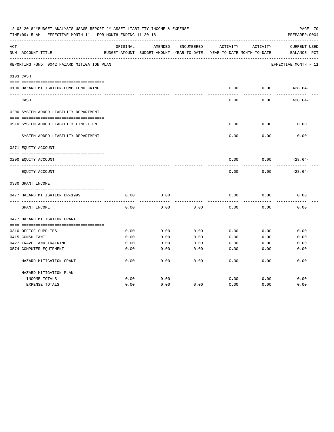| 12-03-2018**BUDGET ANALYSIS USAGE REPORT ** ASSET LIABILITY INCOME & EXPENSE<br>PAGE 79<br>TIME:09:15 AM - EFFECTIVE MONTH:11 - FOR MONTH ENDING 11-30-18<br>PREPARER: 0004 |                                             |          |                                                     |            |          |                                        |                                                |  |  |
|-----------------------------------------------------------------------------------------------------------------------------------------------------------------------------|---------------------------------------------|----------|-----------------------------------------------------|------------|----------|----------------------------------------|------------------------------------------------|--|--|
| ACT                                                                                                                                                                         | NUM ACCOUNT-TITLE                           | ORIGINAL | AMENDED<br>BUDGET-AMOUNT BUDGET-AMOUNT YEAR-TO-DATE | ENCUMBERED | ACTIVITY | ACTIVITY<br>YEAR-TO-DATE MONTH-TO-DATE | <b>CURRENT USED</b><br>$_{\rm PCT}$<br>BALANCE |  |  |
|                                                                                                                                                                             | REPORTING FUND: 0042 HAZARD MITIGATION PLAN |          |                                                     |            |          |                                        | EFFECTIVE MONTH - 11                           |  |  |
|                                                                                                                                                                             | 0103 CASH                                   |          |                                                     |            |          |                                        |                                                |  |  |
|                                                                                                                                                                             | 0100 HAZARD MITIGATION-COMB.FUND CKING.     |          |                                                     |            | 0.00     | 0.00                                   | $428.64-$                                      |  |  |
|                                                                                                                                                                             | CASH                                        |          |                                                     |            | 0.00     | 0.00                                   | $428.64-$                                      |  |  |
|                                                                                                                                                                             | 0200 SYSTEM ADDED LIABILITY DEPARTMENT      |          |                                                     |            |          |                                        |                                                |  |  |
|                                                                                                                                                                             | 0910 SYSTEM ADDED LIABILITY LINE-ITEM       |          |                                                     |            | 0.00     | 0.00                                   | 0.00                                           |  |  |
|                                                                                                                                                                             | SYSTEM ADDED LIABILITY DEPARTMENT           |          |                                                     |            | 0.00     | 0.00                                   | 0.00                                           |  |  |
|                                                                                                                                                                             | 0271 EQUITY ACCOUNT                         |          |                                                     |            |          |                                        |                                                |  |  |
|                                                                                                                                                                             | 0200 EQUITY ACCOUNT                         |          |                                                     |            | 0.00     | 0.00                                   | $428.64-$                                      |  |  |
|                                                                                                                                                                             | EQUITY ACCOUNT                              |          |                                                     |            | 0.00     | 0.00                                   | $428.64-$                                      |  |  |
|                                                                                                                                                                             | 0330 GRANT INCOME                           |          |                                                     |            |          |                                        |                                                |  |  |
|                                                                                                                                                                             | 0477 HAZARD MITIGATION DR-1999              | 0.00     | 0.00                                                |            | 0.00     | 0.00                                   | 0.00                                           |  |  |
|                                                                                                                                                                             | GRANT INCOME                                | 0.00     | 0.00                                                | 0.00       | 0.00     | 0.00                                   | 0.00                                           |  |  |
|                                                                                                                                                                             | 0477 HAZARD MITIGATION GRANT                |          |                                                     |            |          |                                        |                                                |  |  |
|                                                                                                                                                                             | 0310 OFFICE SUPPLIES                        | 0.00     | 0.00                                                | 0.00       | 0.00     | 0.00                                   | 0.00                                           |  |  |
|                                                                                                                                                                             | 0415 CONSULTANT                             | 0.00     | 0.00                                                | 0.00       | 0.00     | 0.00                                   | 0.00                                           |  |  |
|                                                                                                                                                                             | 0427 TRAVEL AND TRAINING                    | 0.00     | 0.00                                                | 0.00       | 0.00     | 0.00                                   | 0.00                                           |  |  |
|                                                                                                                                                                             | 0574 COMPUTER EQUIPMENT                     | 0.00     | 0.00                                                | 0.00       | 0.00     | 0.00                                   | 0.00                                           |  |  |
|                                                                                                                                                                             |                                             |          |                                                     |            |          |                                        |                                                |  |  |
|                                                                                                                                                                             | HAZARD MITIGATION GRANT                     | 0.00     | 0.00                                                | 0.00       | 0.00     | 0.00                                   | 0.00                                           |  |  |
|                                                                                                                                                                             | HAZARD MITIGATION PLAN                      |          |                                                     |            |          |                                        |                                                |  |  |
|                                                                                                                                                                             | INCOME TOTALS                               | 0.00     | 0.00                                                |            | 0.00     | 0.00                                   | 0.00                                           |  |  |
|                                                                                                                                                                             | <b>EXPENSE TOTALS</b>                       | 0.00     | 0.00                                                | 0.00       | 0.00     | 0.00                                   | 0.00                                           |  |  |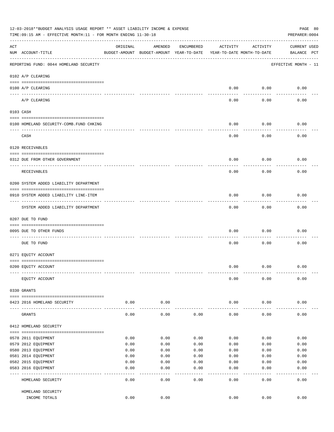|     | 12-03-2018**BUDGET ANALYSIS USAGE REPORT ** ASSET LIABILITY INCOME & EXPENSE<br>PAGE 80<br>TIME: 09:15 AM - EFFECTIVE MONTH: 11 - FOR MONTH ENDING 11-30-18<br>PREPARER: 0004 |                      |                                                     |            |                                        |                         |                             |  |  |  |  |
|-----|-------------------------------------------------------------------------------------------------------------------------------------------------------------------------------|----------------------|-----------------------------------------------------|------------|----------------------------------------|-------------------------|-----------------------------|--|--|--|--|
| ACT | NUM ACCOUNT-TITLE                                                                                                                                                             | ORIGINAL             | AMENDED<br>BUDGET-AMOUNT BUDGET-AMOUNT YEAR-TO-DATE | ENCUMBERED | ACTIVITY<br>YEAR-TO-DATE MONTH-TO-DATE | ACTIVITY                | CURRENT USED<br>BALANCE PCT |  |  |  |  |
|     | REPORTING FUND: 0044 HOMELAND SECURITY                                                                                                                                        |                      |                                                     |            |                                        |                         | EFFECTIVE MONTH - 11        |  |  |  |  |
|     | 0102 A/P CLEARING                                                                                                                                                             |                      |                                                     |            |                                        |                         |                             |  |  |  |  |
|     | 0100 A/P CLEARING<br>---- ----------                                                                                                                                          |                      |                                                     |            | 0.00                                   | 0.00                    | 0.00                        |  |  |  |  |
|     | A/P CLEARING                                                                                                                                                                  |                      |                                                     |            | 0.00                                   | 0.00                    | 0.00                        |  |  |  |  |
|     | 0103 CASH                                                                                                                                                                     |                      |                                                     |            |                                        |                         |                             |  |  |  |  |
|     | 0100 HOMELAND SECURITY-COMB.FUND CHKING                                                                                                                                       |                      |                                                     |            | 0.00                                   | 0.00                    | 0.00                        |  |  |  |  |
|     | --------------------<br>CASH                                                                                                                                                  |                      |                                                     |            | 0.00                                   | 0.00                    | 0.00                        |  |  |  |  |
|     | 0120 RECEIVABLES                                                                                                                                                              |                      |                                                     |            |                                        |                         |                             |  |  |  |  |
|     |                                                                                                                                                                               |                      |                                                     |            |                                        |                         |                             |  |  |  |  |
|     | 0312 DUE FROM OTHER GOVERNMENT                                                                                                                                                |                      |                                                     |            | 0.00                                   | 0.00                    | 0.00                        |  |  |  |  |
|     | RECEIVABLES                                                                                                                                                                   |                      |                                                     |            | 0.00                                   | 0.00                    | 0.00                        |  |  |  |  |
|     | 0200 SYSTEM ADDED LIABILITY DEPARTMENT                                                                                                                                        |                      |                                                     |            |                                        |                         |                             |  |  |  |  |
|     | 0910 SYSTEM ADDED LIABILITY LINE-ITEM                                                                                                                                         |                      |                                                     |            | 0.00                                   | 0.00                    | 0.00                        |  |  |  |  |
|     | SYSTEM ADDED LIABILITY DEPARTMENT                                                                                                                                             |                      |                                                     |            | 0.00                                   | 0.00                    | 0.00                        |  |  |  |  |
|     | 0207 DUE TO FUND                                                                                                                                                              |                      |                                                     |            |                                        |                         |                             |  |  |  |  |
|     | 0095 DUE TO OTHER FUNDS                                                                                                                                                       |                      |                                                     |            | 0.00                                   | 0.00                    | 0.00                        |  |  |  |  |
|     | DUE TO FUND                                                                                                                                                                   |                      |                                                     |            | 0.00                                   | 0.00                    | 0.00                        |  |  |  |  |
|     | 0271 EQUITY ACCOUNT                                                                                                                                                           |                      |                                                     |            |                                        |                         |                             |  |  |  |  |
|     | 0200 EQUITY ACCOUNT                                                                                                                                                           |                      |                                                     |            | 0.00                                   | 0.00                    | 0.00                        |  |  |  |  |
|     | EQUITY ACCOUNT                                                                                                                                                                |                      |                                                     |            | 0.00                                   | 0.00                    | 0.00                        |  |  |  |  |
|     | 0330 GRANTS                                                                                                                                                                   |                      |                                                     |            |                                        |                         |                             |  |  |  |  |
|     | 0423 2016 HOMELAND SECURITY                                                                                                                                                   | 0.00                 | 0.00                                                |            | 0.00                                   | 0.00                    | 0.00                        |  |  |  |  |
|     | GRANTS                                                                                                                                                                        | . <u>.</u> .<br>0.00 | -------<br>0.00                                     | 0.00       | 0.00                                   | $- - - - - - -$<br>0.00 | 0.00                        |  |  |  |  |
|     | 0412 HOMELAND SECURITY                                                                                                                                                        |                      |                                                     |            |                                        |                         |                             |  |  |  |  |
|     |                                                                                                                                                                               | 0.00                 | 0.00                                                | 0.00       | 0.00                                   | 0.00                    | 0.00                        |  |  |  |  |
|     | 0578 2011 EQUIPMENT<br>0579 2012 EQUIPMENT                                                                                                                                    | 0.00                 | 0.00                                                | 0.00       | 0.00                                   | 0.00                    | 0.00                        |  |  |  |  |
|     | 0580 2013 EQUIPMENT                                                                                                                                                           | 0.00                 | 0.00                                                | 0.00       | 0.00                                   | 0.00                    | 0.00                        |  |  |  |  |
|     | 0581 2014 EQUIPMENT                                                                                                                                                           | 0.00                 | 0.00                                                | 0.00       | 0.00                                   | 0.00                    | 0.00                        |  |  |  |  |
|     | 0582 2015 EQUIPMENT                                                                                                                                                           | 0.00                 | 0.00                                                | 0.00       | 0.00                                   | 0.00                    | 0.00                        |  |  |  |  |
|     | 0583 2016 EQUIPMENT                                                                                                                                                           | 0.00                 | 0.00                                                | 0.00       | 0.00                                   | 0.00                    | 0.00                        |  |  |  |  |
|     | HOMELAND SECURITY                                                                                                                                                             | 0.00                 | 0.00                                                | 0.00       | 0.00                                   | 0.00                    | $- - - - -$<br>0.00         |  |  |  |  |
|     | HOMELAND SECURITY                                                                                                                                                             |                      |                                                     |            |                                        |                         |                             |  |  |  |  |
|     | INCOME TOTALS                                                                                                                                                                 | 0.00                 | 0.00                                                |            | 0.00                                   | 0.00                    | 0.00                        |  |  |  |  |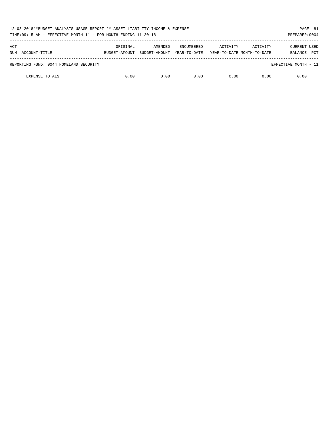| 12-03-2018**BUDGET ANALYSIS USAGE REPORT ** ASSET LIABILITY INCOME & EXPENSE<br>PAGE 81<br>TIME:09:15 AM - EFFECTIVE MONTH:11 - FOR MONTH ENDING 11-30-18<br>PREPARER: 0004 |                           |                          |                            |          |                                        |                                              |  |  |
|-----------------------------------------------------------------------------------------------------------------------------------------------------------------------------|---------------------------|--------------------------|----------------------------|----------|----------------------------------------|----------------------------------------------|--|--|
| ACT<br>NUM ACCOUNT-TITLE                                                                                                                                                    | ORIGINAL<br>BUDGET-AMOUNT | AMENDED<br>BUDGET-AMOUNT | ENCUMBERED<br>YEAR-TO-DATE | ACTIVITY | ACTIVITY<br>YEAR-TO-DATE MONTH-TO-DATE | <b>CURRENT USED</b><br><b>PCT</b><br>BALANCE |  |  |
| REPORTING FUND: 0044 HOMELAND SECURITY                                                                                                                                      |                           |                          |                            |          |                                        | EFFECTIVE MONTH - 11                         |  |  |
| <b>EXPENSE TOTALS</b>                                                                                                                                                       | 0.00                      | 0.00                     | 0.00                       | 0.00     | 0.00                                   | 0.00                                         |  |  |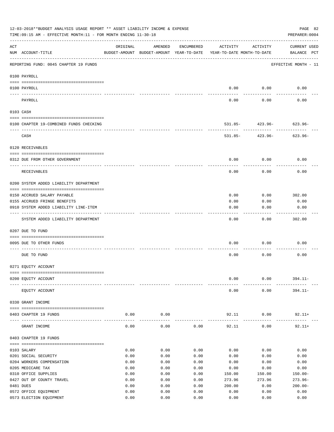|     | 12-03-2018**BUDGET ANALYSIS USAGE REPORT ** ASSET LIABILITY INCOME & EXPENSE<br>PAGE 82<br>TIME: 09:15 AM - EFFECTIVE MONTH: 11 - FOR MONTH ENDING 11-30-18<br>PREPARER: 0004 |              |                                                     |              |                                        |                              |                                    |  |  |  |  |
|-----|-------------------------------------------------------------------------------------------------------------------------------------------------------------------------------|--------------|-----------------------------------------------------|--------------|----------------------------------------|------------------------------|------------------------------------|--|--|--|--|
| ACT | NUM ACCOUNT-TITLE                                                                                                                                                             | ORIGINAL     | AMENDED<br>BUDGET-AMOUNT BUDGET-AMOUNT YEAR-TO-DATE | ENCUMBERED   | ACTIVITY<br>YEAR-TO-DATE MONTH-TO-DATE | ACTIVITY                     | <b>CURRENT USED</b><br>BALANCE PCT |  |  |  |  |
|     | REPORTING FUND: 0045 CHAPTER 19 FUNDS                                                                                                                                         |              |                                                     |              |                                        |                              | EFFECTIVE MONTH - 11               |  |  |  |  |
|     | 0100 PAYROLL                                                                                                                                                                  |              |                                                     |              |                                        |                              |                                    |  |  |  |  |
|     | 0100 PAYROLL                                                                                                                                                                  |              |                                                     |              | 0.00                                   | 0.00                         | 0.00                               |  |  |  |  |
|     | ---- ----<br>PAYROLL                                                                                                                                                          |              |                                                     |              | 0.00                                   | 0.00                         | 0.00                               |  |  |  |  |
|     | 0103 CASH                                                                                                                                                                     |              |                                                     |              |                                        |                              |                                    |  |  |  |  |
|     | 0100 CHAPTER 19-COMBINED FUNDS CHECKING                                                                                                                                       |              |                                                     |              |                                        | $531.85 - 423.96 - 623.96 -$ |                                    |  |  |  |  |
|     | CASH                                                                                                                                                                          |              |                                                     |              |                                        | $531.85 - 423.96 -$          | $623.96-$                          |  |  |  |  |
|     | 0120 RECEIVABLES                                                                                                                                                              |              |                                                     |              |                                        |                              |                                    |  |  |  |  |
|     | 0312 DUE FROM OTHER GOVERNMENT                                                                                                                                                |              |                                                     |              | 0.00                                   | 0.00                         | 0.00                               |  |  |  |  |
|     | RECEIVABLES                                                                                                                                                                   |              |                                                     |              | 0.00                                   | 0.00                         | 0.00                               |  |  |  |  |
|     | 0200 SYSTEM ADDED LIABILITY DEPARTMENT                                                                                                                                        |              |                                                     |              |                                        |                              |                                    |  |  |  |  |
|     | 0150 ACCRUED SALARY PAYABLE                                                                                                                                                   |              |                                                     |              | 0.00                                   | 0.00                         | 302.00                             |  |  |  |  |
|     | 0155 ACCRUED FRINGE BENEFITS                                                                                                                                                  |              |                                                     |              | 0.00                                   | 0.00                         | 0.00                               |  |  |  |  |
|     | 0910 SYSTEM ADDED LIABILITY LINE-ITEM                                                                                                                                         |              |                                                     |              | 0.00                                   | 0.00                         | 0.00                               |  |  |  |  |
|     | SYSTEM ADDED LIABILITY DEPARTMENT                                                                                                                                             |              |                                                     |              | 0.00                                   | 0.00                         | 302.00                             |  |  |  |  |
|     | 0207 DUE TO FUND                                                                                                                                                              |              |                                                     |              |                                        |                              |                                    |  |  |  |  |
|     | 0095 DUE TO OTHER FUNDS                                                                                                                                                       |              |                                                     |              | 0.00                                   | 0.00                         | 0.00                               |  |  |  |  |
|     | DUE TO FUND                                                                                                                                                                   |              |                                                     |              | 0.00                                   | 0.00                         | 0.00                               |  |  |  |  |
|     | 0271 EQUITY ACCOUNT                                                                                                                                                           |              |                                                     |              |                                        |                              |                                    |  |  |  |  |
|     |                                                                                                                                                                               |              |                                                     |              |                                        |                              |                                    |  |  |  |  |
|     | 0200 EQUITY ACCOUNT                                                                                                                                                           |              |                                                     |              | 0.00                                   | 0.00                         | $394.11 -$                         |  |  |  |  |
|     | EQUITY ACCOUNT                                                                                                                                                                |              |                                                     |              | 0.00                                   | 0.00                         | $394.11 -$                         |  |  |  |  |
|     | 0330 GRANT INCOME                                                                                                                                                             |              |                                                     |              |                                        |                              |                                    |  |  |  |  |
|     | 0403 CHAPTER 19 FUNDS                                                                                                                                                         | 0.00         | 0.00<br>-------                                     |              | 92.11                                  | 0.00<br>-----------          | $92.11+$                           |  |  |  |  |
|     | GRANT INCOME                                                                                                                                                                  | 0.00         | 0.00                                                | 0.00         | 92.11                                  | 0.00                         | $92.11+$                           |  |  |  |  |
|     | 0403 CHAPTER 19 FUNDS                                                                                                                                                         |              |                                                     |              |                                        |                              |                                    |  |  |  |  |
|     | 0103 SALARY                                                                                                                                                                   | 0.00         | 0.00                                                | 0.00         | 0.00                                   | 0.00                         | 0.00                               |  |  |  |  |
|     | 0201 SOCIAL SECURITY                                                                                                                                                          | 0.00         | 0.00                                                | 0.00         | 0.00                                   | 0.00                         | 0.00                               |  |  |  |  |
|     | 0204 WORKERS COMPENSATION                                                                                                                                                     | 0.00         | 0.00                                                | 0.00         | 0.00                                   | 0.00                         | 0.00                               |  |  |  |  |
|     | 0205 MEDICARE TAX                                                                                                                                                             | 0.00         | 0.00                                                | 0.00         | 0.00                                   | 0.00                         | 0.00                               |  |  |  |  |
|     | 0310 OFFICE SUPPLIES                                                                                                                                                          | 0.00         | 0.00                                                | 0.00         | 150.00                                 | 150.00                       | $150.00 -$                         |  |  |  |  |
|     | 0427 OUT OF COUNTY TRAVEL<br>0481 DUES                                                                                                                                        | 0.00         | 0.00                                                | 0.00         | 273.96                                 | 273.96                       | $273.96 -$                         |  |  |  |  |
|     | 0572 OFFICE EQUIPMENT                                                                                                                                                         | 0.00<br>0.00 | 0.00<br>0.00                                        | 0.00<br>0.00 | 200.00<br>0.00                         | 0.00<br>0.00                 | $200.00 -$<br>0.00                 |  |  |  |  |
|     | 0573 ELECTION EQUIPMENT                                                                                                                                                       | 0.00         | 0.00                                                | 0.00         | 0.00                                   | 0.00                         | 0.00                               |  |  |  |  |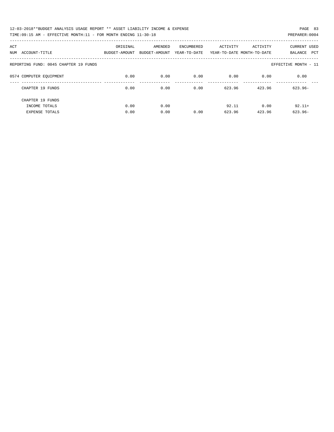| 12-03-2018**BUDGET ANALYSIS USAGE REPORT ** ASSET LIABILITY INCOME & EXPENSE | PAGE 83        |
|------------------------------------------------------------------------------|----------------|
| TIME:09:15 AM - EFFECTIVE MONTH:11 - FOR MONTH ENDING 11-30-18               | PREPARER: 0004 |

| ACT<br>ACCOUNT-TITLE<br>NUM           | ORIGINAL<br>BUDGET-AMOUNT | AMENDED<br>BUDGET-AMOUNT | ENCUMBERED<br>YEAR-TO-DATE | ACTIVITY | ACTIVITY<br>YEAR-TO-DATE MONTH-TO-DATE | <b>CURRENT USED</b><br>PCT<br>BALANCE |
|---------------------------------------|---------------------------|--------------------------|----------------------------|----------|----------------------------------------|---------------------------------------|
| REPORTING FUND: 0045 CHAPTER 19 FUNDS |                           |                          |                            |          |                                        | EFFECTIVE MONTH - 11                  |
| 0574 COMPUTER EOUIPMENT               | 0.00                      | 0.00                     | 0.00                       | 0.00     | 0.00                                   | 0.00                                  |
| CHAPTER 19 FUNDS                      | 0.00                      | 0.00                     | 0.00                       | 623.96   | 423.96                                 | $623.96 -$                            |
| CHAPTER 19 FUNDS                      |                           |                          |                            |          |                                        |                                       |
| INCOME TOTALS                         | 0.00                      | 0.00                     |                            | 92.11    | 0.00                                   | $92.11+$                              |
| <b>EXPENSE TOTALS</b>                 | 0.00                      | 0.00                     | 0.00                       | 623.96   | 423.96                                 | $623.96 -$                            |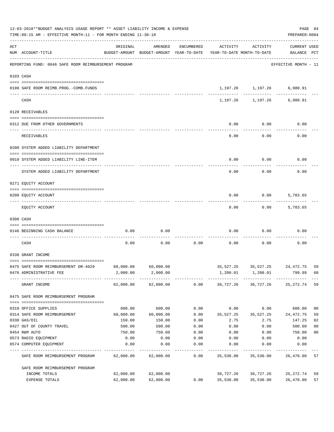|     | 12-03-2018**BUDGET ANALYSIS USAGE REPORT ** ASSET LIABILITY INCOME & EXPENSE<br>TIME: 09:15 AM - EFFECTIVE MONTH: 11 - FOR MONTH ENDING 11-30-18 |                                                                                 |                     |            |           |                                                               | PAGE 84<br>PREPARER: 0004          |                |
|-----|--------------------------------------------------------------------------------------------------------------------------------------------------|---------------------------------------------------------------------------------|---------------------|------------|-----------|---------------------------------------------------------------|------------------------------------|----------------|
| ACT | NUM ACCOUNT-TITLE                                                                                                                                | ORIGINAL<br>BUDGET-AMOUNT BUDGET-AMOUNT YEAR-TO-DATE YEAR-TO-DATE MONTH-TO-DATE | AMENDED             | ENCUMBERED | ACTIVITY  | ACTIVITY                                                      | <b>CURRENT USED</b><br>BALANCE PCT |                |
|     | REPORTING FUND: 0046 SAFE ROOM REIMBURSEMENT PROGRAM                                                                                             |                                                                                 |                     |            |           |                                                               | EFFECTIVE MONTH - 11               |                |
|     | 0103 CASH                                                                                                                                        |                                                                                 |                     |            |           |                                                               |                                    |                |
|     | 0100 SAFE ROOM REIMB.PROG.-COMB.FUNDS                                                                                                            |                                                                                 |                     |            |           | 1,197.26 1,197.26 6,980.91<br>--------- ------------ -------- |                                    |                |
|     | CASH                                                                                                                                             |                                                                                 |                     |            |           | 1,197.26 1,197.26 6,980.91                                    |                                    |                |
|     | 0120 RECEIVABLES                                                                                                                                 |                                                                                 |                     |            |           |                                                               |                                    |                |
|     | 0312 DUE FROM OTHER GOVERNMENTS                                                                                                                  |                                                                                 |                     |            | 0.00      | 0.00                                                          | 0.00                               |                |
|     | RECEIVABLES                                                                                                                                      |                                                                                 |                     |            | 0.00      | 0.00                                                          | 0.00                               |                |
|     | 0200 SYSTEM ADDED LIABILITY DEPARTMENT                                                                                                           |                                                                                 |                     |            |           |                                                               |                                    |                |
|     | 0910 SYSTEM ADDED LIABILITY LINE-ITEM                                                                                                            |                                                                                 |                     |            | 0.00      | 0.00                                                          | 0.00                               |                |
|     | SYSTEM ADDED LIABILITY DEPARTMENT                                                                                                                |                                                                                 |                     |            | 0.00      | 0.00                                                          | 0.00                               |                |
|     | 0271 EQUITY ACCOUNT                                                                                                                              |                                                                                 |                     |            |           |                                                               |                                    |                |
|     | 0200 EQUITY ACCOUNT                                                                                                                              |                                                                                 |                     |            | 0.00      | 0.00                                                          | 5,783.65                           |                |
|     | EQUITY ACCOUNT                                                                                                                                   |                                                                                 |                     |            | 0.00      | 0.00                                                          | 5,783.65                           |                |
|     | 0300 CASH                                                                                                                                        |                                                                                 |                     |            |           |                                                               |                                    |                |
|     | 0146 BEGINNING CASH BALANCE                                                                                                                      | 0.00                                                                            | 0.00                |            | 0.00      | 0.00                                                          | 0.00                               |                |
|     | CASH                                                                                                                                             | 0.00                                                                            | 0.00                | 0.00       | 0.00      | 0.00                                                          | 0.00                               |                |
|     | 0330 GRANT INCOME                                                                                                                                |                                                                                 |                     |            |           |                                                               |                                    |                |
|     | 0475 SAFE ROOM REIMBURSEMENT DR-4029                                                                                                             | 60,000.00                                                                       | 60,000.00           |            |           | 35,527.25 35,527.25 24,472.75                                 |                                    | 59             |
|     | 0476 ADMINISTRATIVE FEE                                                                                                                          |                                                                                 | 2,000.00 2,000.00   |            |           | 1,200.01 1,200.01                                             | 799.99                             | 60             |
|     | GRANT INCOME                                                                                                                                     |                                                                                 | 62,000.00 62,000.00 |            |           | $0.00$ $36,727.26$ $36,727.26$ $25,272.74$                    |                                    | 59             |
|     | 0475 SAFE ROOM REIMBURSEMENT PROGRAM                                                                                                             |                                                                                 |                     |            |           |                                                               |                                    |                |
|     | 0310 OFFICE SUPPLIES                                                                                                                             | 600.00                                                                          | 600.00              | 0.00       | 0.00      | 0.00                                                          | 600.00                             | 0 <sub>0</sub> |
|     | 0314 SAFE ROOM REIMBURSEMENT                                                                                                                     | 60,000.00                                                                       | 60,000.00           | 0.00       | 35,527.25 | 35,527.25                                                     | 24,472.75                          | 59             |
|     | 0330 GAS/OIL                                                                                                                                     | 150.00                                                                          | 150.00              | 0.00       | 2.75      | 2.75                                                          | 147.25                             | 02             |
|     | 0427 OUT OF COUNTY TRAVEL                                                                                                                        | 500.00                                                                          | 500.00              | 0.00       | 0.00      | 0.00                                                          | 500.00                             | 0 <sub>0</sub> |
|     | 0454 R&M AUTO                                                                                                                                    | 750.00                                                                          | 750.00              | 0.00       | 0.00      | 0.00                                                          | 750.00                             | 0 <sub>0</sub> |
|     | 0573 RADIO EQUIPMENT                                                                                                                             | 0.00                                                                            | 0.00                | 0.00       | 0.00      | 0.00                                                          | 0.00                               |                |
|     | 0574 COMPUTER EQUIPMENT                                                                                                                          | 0.00                                                                            | 0.00                | 0.00       | 0.00      | 0.00                                                          | 0.00                               |                |
|     | SAFE ROOM REIMBURSEMENT PROGRAM                                                                                                                  | 62,000.00                                                                       | 62,000.00           | 0.00       | 35,530.00 | 35,530.00                                                     | 26,470.00                          | 57             |
|     | SAFE ROOM REIMBURSEMENT PROGRAM                                                                                                                  |                                                                                 |                     |            |           |                                                               |                                    |                |
|     | INCOME TOTALS                                                                                                                                    | 62,000.00                                                                       | 62,000.00           |            | 36,727.26 | 36,727.26                                                     | 25,272.74                          | 59             |
|     | EXPENSE TOTALS                                                                                                                                   | 62,000.00                                                                       | 62,000.00           | 0.00       | 35,530.00 | 35,530.00                                                     | 26,470.00                          | 57             |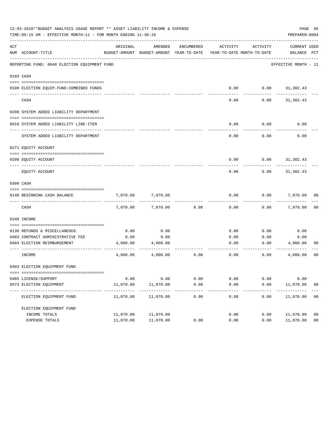|     | 12-03-2018**BUDGET ANALYSIS USAGE REPORT ** ASSET LIABILITY INCOME & EXPENSE<br>TIME: 09:15 AM - EFFECTIVE MONTH: 11 - FOR MONTH ENDING 11-30-18 |                  |                                                     |            |                                        |              | PREPARER: 0004                     | PAGE 85        |
|-----|--------------------------------------------------------------------------------------------------------------------------------------------------|------------------|-----------------------------------------------------|------------|----------------------------------------|--------------|------------------------------------|----------------|
| ACT | NUM ACCOUNT-TITLE                                                                                                                                | ORIGINAL         | AMENDED<br>BUDGET-AMOUNT BUDGET-AMOUNT YEAR-TO-DATE | ENCUMBERED | ACTIVITY<br>YEAR-TO-DATE MONTH-TO-DATE | ACTIVITY     | <b>CURRENT USED</b><br>BALANCE PCT |                |
|     | REPORTING FUND: 0048 ELECTION EQUIPMENT FUND                                                                                                     |                  |                                                     |            |                                        |              | EFFECTIVE MONTH - 11               |                |
|     | 0103 CASH                                                                                                                                        |                  |                                                     |            |                                        |              |                                    |                |
|     |                                                                                                                                                  |                  |                                                     |            |                                        |              |                                    |                |
|     | 0100 ELECTION EQUIP. FUND-COMBINED FUNDS                                                                                                         |                  |                                                     |            | 0.00                                   | 0.00         | 31,302.43                          |                |
|     | CASH                                                                                                                                             |                  |                                                     |            | 0.00                                   | 0.00         | 31,302.43                          |                |
|     | 0200 SYSTEM ADDED LIABILITY DEPARTMENT                                                                                                           |                  |                                                     |            |                                        |              |                                    |                |
|     | 0910 SYSTEM ADDED LIABILITY LINE-ITEM                                                                                                            |                  |                                                     |            | 0.00                                   | 0.00         | 0.00                               |                |
|     | SYSTEM ADDED LIABILITY DEPARTMENT                                                                                                                |                  |                                                     |            | 0.00                                   | 0.00         | 0.00                               |                |
|     | 0271 EQUITY ACCOUNT                                                                                                                              |                  |                                                     |            |                                        |              |                                    |                |
|     | 0200 EOUITY ACCOUNT                                                                                                                              |                  |                                                     |            | 0.00                                   | 0.00         | 31,302.43                          |                |
|     | EQUITY ACCOUNT                                                                                                                                   |                  |                                                     |            | 0.00                                   | 0.00         | 31,302.43                          |                |
|     | 0300 CASH                                                                                                                                        |                  |                                                     |            |                                        |              |                                    |                |
|     | 0148 BEGINNING CASH BALANCE                                                                                                                      | 7,070.00         | 7,070.00                                            |            | 0.00                                   | 0.00         | 7,070.00                           | 00             |
|     | CASH                                                                                                                                             | 7,070.00         | 7,070.00                                            | 0.00       | 0.00                                   | 0.00         | 7,070.00                           | 0 <sub>0</sub> |
|     | 0340 INCOME                                                                                                                                      |                  |                                                     |            |                                        |              |                                    |                |
|     |                                                                                                                                                  |                  |                                                     |            |                                        |              |                                    |                |
|     | 0130 REFUNDS & MISCELLANEOUS                                                                                                                     | 0.00             | 0.00                                                |            | 0.00                                   | 0.00         | 0.00                               |                |
|     | 0403 CONTRACT ADMINISTRATIVE FEE<br>0484 ELECTION REIMBURSEMENT                                                                                  | 0.00<br>4,000.00 | 0.00<br>4,000.00                                    |            | 0.00<br>0.00                           | 0.00<br>0.00 | 0.00<br>4,000.00                   | 00             |
|     | INCOME                                                                                                                                           | 4,000.00         | 4,000.00                                            | 0.00       | 0.00                                   | 0.00         | 4,000.00                           | 00             |
|     | 0403 ELECTION EOUIPMENT FUND                                                                                                                     |                  |                                                     |            |                                        |              |                                    |                |
|     |                                                                                                                                                  |                  |                                                     |            |                                        |              |                                    |                |
|     | 0485 LICENSE/SUPPORT                                                                                                                             | 0.00             | 0.00                                                | 0.00       | 0.00                                   | 0.00         | 0.00                               |                |
|     | 0573 ELECTION EQUIPMENT                                                                                                                          | 11,070.00        | 11,070.00                                           | 0.00       | 0.00                                   | 0.00         | 11,070.00                          | 0 <sub>0</sub> |
|     | ELECTION EQUIPMENT FUND                                                                                                                          | 11,070.00        | 11,070.00                                           | 0.00       | 0.00                                   | 0.00         | 11,070.00                          | 00             |
|     | ELECTION EQUIPMENT FUND                                                                                                                          |                  |                                                     |            |                                        |              |                                    |                |
|     | INCOME TOTALS                                                                                                                                    | 11,070.00        | 11,070.00                                           |            | 0.00                                   | 0.00         | 11,070.00                          | 0 <sub>0</sub> |
|     | EXPENSE TOTALS                                                                                                                                   | 11,070.00        | 11,070.00                                           | 0.00       | 0.00                                   | 0.00         | 11,070.00                          | 0 <sub>0</sub> |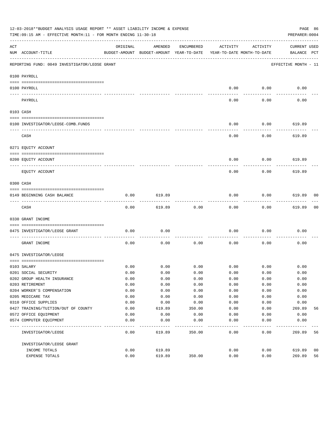|              | 12-03-2018**BUDGET ANALYSIS USAGE REPORT ** ASSET LIABILITY INCOME & EXPENSE<br>TIME:09:15 AM - EFFECTIVE MONTH:11 - FOR MONTH ENDING 11-30-18 |          |                                                     |            |                                        |                       | PREPARER: 0004                     | PAGE 86 |
|--------------|------------------------------------------------------------------------------------------------------------------------------------------------|----------|-----------------------------------------------------|------------|----------------------------------------|-----------------------|------------------------------------|---------|
| ACT          | NUM ACCOUNT-TITLE                                                                                                                              | ORIGINAL | AMENDED<br>BUDGET-AMOUNT BUDGET-AMOUNT YEAR-TO-DATE | ENCUMBERED | ACTIVITY<br>YEAR-TO-DATE MONTH-TO-DATE | ACTIVITY              | <b>CURRENT USED</b><br>BALANCE PCT |         |
|              | REPORTING FUND: 0049 INVESTIGATOR/LEOSE GRANT                                                                                                  |          |                                                     |            |                                        |                       | EFFECTIVE MONTH - 11               |         |
|              | 0100 PAYROLL                                                                                                                                   |          |                                                     |            |                                        |                       |                                    |         |
|              | 0100 PAYROLL                                                                                                                                   |          |                                                     |            | 0.00                                   | 0.00                  | 0.00                               |         |
| $----------$ | PAYROLL                                                                                                                                        |          |                                                     |            | 0.00                                   | $- - - - - -$<br>0.00 | 0.00                               |         |
|              | 0103 CASH                                                                                                                                      |          |                                                     |            |                                        |                       |                                    |         |
|              |                                                                                                                                                |          |                                                     |            |                                        |                       |                                    |         |
|              | 0100 INVESTIGATOR/LEOSE-COMB.FUNDS                                                                                                             |          |                                                     |            | 0.00                                   | 0.00                  | 619.89                             |         |
|              | CASH                                                                                                                                           |          |                                                     |            | 0.00                                   | 0.00                  | 619.89                             |         |
|              | 0271 EQUITY ACCOUNT                                                                                                                            |          |                                                     |            |                                        |                       |                                    |         |
|              | 0200 EQUITY ACCOUNT                                                                                                                            |          |                                                     |            | 0.00                                   | 0.00                  | 619.89                             |         |
|              | ---- ----------<br>--------------------- ---------                                                                                             |          |                                                     |            |                                        |                       |                                    |         |
|              | EOUITY ACCOUNT                                                                                                                                 |          |                                                     |            | 0.00                                   | 0.00                  | 619.89                             |         |
|              | 0300 CASH                                                                                                                                      |          |                                                     |            |                                        |                       |                                    |         |
|              | 0149 BEGINNING CASH BALANCE                                                                                                                    | 0.00     | 619.89                                              |            | 0.00                                   | 0.00                  | 619.89<br>---------                | 00      |
|              | CASH                                                                                                                                           | 0.00     | 619.89                                              | 0.00       | 0.00                                   | 0.00                  | 619.89                             | 00      |
|              | 0330 GRANT INCOME                                                                                                                              |          |                                                     |            |                                        |                       |                                    |         |
|              | 0475 INVESTIGATOR/LEOSE GRANT                                                                                                                  | 0.00     | 0.00                                                |            | 0.00                                   | 0.00                  | 0.00                               |         |
|              | GRANT INCOME                                                                                                                                   | 0.00     | 0.00                                                | 0.00       | 0.00                                   | 0.00                  | 0.00                               |         |
|              | 0475 INVESTIGATOR/LEOSE                                                                                                                        |          |                                                     |            |                                        |                       |                                    |         |
|              | 0103 SALARY                                                                                                                                    | 0.00     | 0.00                                                | 0.00       | 0.00                                   | 0.00                  | 0.00                               |         |
|              | 0201 SOCIAL SECURITY                                                                                                                           | 0.00     | 0.00                                                | 0.00       | 0.00                                   | 0.00                  | 0.00                               |         |
|              | 0202 GROUP HEALTH INSURANCE                                                                                                                    | 0.00     | 0.00                                                | 0.00       | 0.00                                   | 0.00                  | 0.00                               |         |
|              | 0203 RETIREMENT                                                                                                                                | 0.00     | 0.00                                                | 0.00       | 0.00                                   | 0.00                  | 0.00                               |         |
|              | 0204 WORKER'S COMPENSATION                                                                                                                     | 0.00     | 0.00                                                | 0.00       | 0.00                                   | 0.00                  | 0.00                               |         |
|              | 0205 MEDICARE TAX                                                                                                                              | 0.00     | 0.00                                                | 0.00       | 0.00                                   | 0.00                  | 0.00                               |         |
|              | 0310 OFFICE SUPPLIES                                                                                                                           | 0.00     | 0.00                                                | 0.00       | 0.00                                   | 0.00                  | 0.00                               |         |
|              | 0427 TRAINING/TUITION/OUT OF COUNTY                                                                                                            | 0.00     | 619.89                                              | 350.00     | 0.00                                   | 0.00                  | 269.89                             | 56      |
|              | 0572 OFFICE EQUIPMENT                                                                                                                          | 0.00     | 0.00                                                | 0.00       | 0.00                                   | 0.00                  | 0.00                               |         |
|              | 0574 COMPUTER EQUIPMENT                                                                                                                        | 0.00     | 0.00                                                | 0.00       | 0.00                                   | 0.00                  | 0.00                               |         |
|              | INVESTIGATOR/LEOSE                                                                                                                             | 0.00     | 619.89                                              | 350.00     | 0.00                                   | 0.00                  | 269.89                             | 56      |
|              | INVESTIGATOR/LEOSE GRANT                                                                                                                       |          |                                                     |            |                                        |                       |                                    |         |
|              | INCOME TOTALS                                                                                                                                  | 0.00     | 619.89                                              |            | 0.00                                   | 0.00                  | 619.89                             | 00      |
|              | EXPENSE TOTALS                                                                                                                                 | 0.00     | 619.89                                              | 350.00     | 0.00                                   | 0.00                  | 269.89                             | 56      |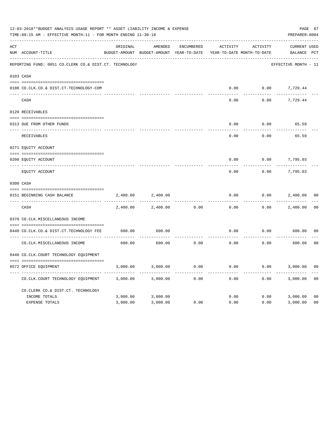|     | 12-03-2018**BUDGET ANALYSIS USAGE REPORT ** ASSET LIABILITY INCOME & EXPENSE<br>TIME: 09:15 AM - EFFECTIVE MONTH: 11 - FOR MONTH ENDING 11-30-18 |          |                                                     |                   |          |                                        | PREPARER: 0004              | PAGE 87        |
|-----|--------------------------------------------------------------------------------------------------------------------------------------------------|----------|-----------------------------------------------------|-------------------|----------|----------------------------------------|-----------------------------|----------------|
| ACT | NUM ACCOUNT-TITLE                                                                                                                                | ORIGINAL | AMENDED<br>BUDGET-AMOUNT BUDGET-AMOUNT YEAR-TO-DATE | <b>ENCUMBERED</b> | ACTIVITY | ACTIVITY<br>YEAR-TO-DATE MONTH-TO-DATE | CURRENT USED<br>BALANCE PCT |                |
|     | REPORTING FUND: 0051 CO.CLERK CO.& DIST.CT. TECHNOLOGY                                                                                           |          |                                                     |                   |          |                                        | EFFECTIVE MONTH - 11        |                |
|     | 0103 CASH                                                                                                                                        |          |                                                     |                   |          |                                        |                             |                |
|     | 0100 CO.CLK.CO.& DIST.CT.TECHNOLOGY-COM                                                                                                          |          |                                                     |                   | 0.00     | 0.00                                   | 7,729.44                    |                |
|     | CASH                                                                                                                                             |          |                                                     |                   | 0.00     | 0.00                                   | 7,729.44                    |                |
|     | 0120 RECEIVABLES                                                                                                                                 |          |                                                     |                   |          |                                        |                             |                |
|     | 0313 DUE FROM OTHER FUNDS                                                                                                                        |          |                                                     |                   | 0.00     | 0.00                                   | 65.59                       |                |
|     | RECEIVABLES                                                                                                                                      |          |                                                     |                   | 0.00     | 0.00                                   | 65.59                       |                |
|     | 0271 EQUITY ACCOUNT                                                                                                                              |          |                                                     |                   |          |                                        |                             |                |
|     | 0200 EQUITY ACCOUNT                                                                                                                              |          |                                                     |                   | 0.00     | 0.00                                   | 7,795.03                    |                |
|     | ---- -------------<br>EQUITY ACCOUNT                                                                                                             |          |                                                     |                   | 0.00     | 0.00                                   | 7,795.03                    |                |
|     | 0300 CASH                                                                                                                                        |          |                                                     |                   |          |                                        |                             |                |
|     | 0151 BEGINNING CASH BALANCE                                                                                                                      | 2,400.00 | 2,400.00                                            |                   | 0.00     | 0.00                                   | 2,400.00                    | 0 <sub>0</sub> |
|     | CASH                                                                                                                                             | 2,400.00 | 2,400.00                                            | 0.00              | 0.00     | 0.00                                   | 2,400.00                    | 0 <sub>0</sub> |
|     | 0370 CO.CLK.MISCELLANEOUS INCOME                                                                                                                 |          |                                                     |                   |          |                                        |                             |                |
|     | 0440 CO.CLK.CO.& DIST.CT.TECHNOLOGY FEE                                                                                                          | 600.00   | 600.00                                              |                   | 0.00     | 0.00                                   | 600.00                      | 0 <sub>0</sub> |
|     | CO. CLK. MISCELLANEOUS INCOME                                                                                                                    | 600.00   | 600.00                                              | 0.00              | 0.00     | 0.00                                   | 600.00                      | 0 <sup>0</sup> |
|     | 0440 CO.CLK.COURT TECHNOLOGY EQUIPMENT                                                                                                           |          |                                                     |                   |          |                                        |                             |                |
|     | 0572 OFFICE EOUIPMENT                                                                                                                            | 3,000.00 | 3,000.00                                            | 0.00              | 0.00     | 0.00                                   | 3,000.00                    | 0 <sub>0</sub> |
|     | CO.CLK.COURT TECHNOLOGY EQUIPMENT                                                                                                                | 3,000.00 | 3,000.00                                            | 0.00              | 0.00     | 0.00                                   | 3,000.00                    | 0 <sub>0</sub> |
|     | CO.CLERK CO.& DIST.CT. TECHNOLOGY                                                                                                                |          |                                                     |                   |          |                                        |                             |                |
|     | INCOME TOTALS                                                                                                                                    | 3,000.00 | 3,000.00                                            |                   | 0.00     | 0.00                                   | 3,000.00                    | 0 <sub>0</sub> |
|     | <b>EXPENSE TOTALS</b>                                                                                                                            | 3,000.00 | 3,000.00                                            | 0.00              | 0.00     | 0.00                                   | 3,000.00                    | 0 <sub>0</sub> |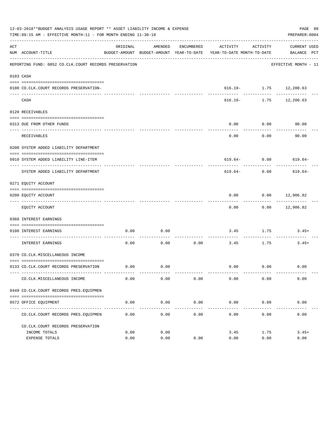|     | 12-03-2018**BUDGET ANALYSIS USAGE REPORT ** ASSET LIABILITY INCOME & EXPENSE<br>TIME:09:15 AM - EFFECTIVE MONTH:11 - FOR MONTH ENDING 11-30-18 |              |              |                      |                                                                                 |                           | PAGE 88<br>PREPARER: 0004   |
|-----|------------------------------------------------------------------------------------------------------------------------------------------------|--------------|--------------|----------------------|---------------------------------------------------------------------------------|---------------------------|-----------------------------|
| ACT | NUM ACCOUNT-TITLE                                                                                                                              | ORIGINAL     | AMENDED      | ENCUMBERED           | ACTIVITY<br>BUDGET-AMOUNT BUDGET-AMOUNT YEAR-TO-DATE YEAR-TO-DATE MONTH-TO-DATE | ACTIVITY                  | CURRENT USED<br>BALANCE PCT |
|     | REPORTING FUND: 0052 CO.CLK.COURT RECORDS PRESERVATION                                                                                         |              |              |                      |                                                                                 |                           | EFFECTIVE MONTH - 11        |
|     | 0103 CASH                                                                                                                                      |              |              |                      |                                                                                 |                           |                             |
|     | 0100 CO.CLK.COURT RECORDS PRESERVATION-                                                                                                        |              |              |                      |                                                                                 | $616.19 - 1.75$ 12,200.63 | -------                     |
|     | CASH                                                                                                                                           |              |              |                      | 616.19-                                                                         |                           | 1.75 12,200.63              |
|     | 0120 RECEIVABLES                                                                                                                               |              |              |                      |                                                                                 |                           |                             |
|     | 0313 DUE FROM OTHER FUNDS                                                                                                                      |              |              |                      | 0.00                                                                            | 0.00                      | 90.00                       |
|     | RECEIVABLES                                                                                                                                    |              |              |                      | 0.00                                                                            | ---------<br>0.00         | 90.00                       |
|     | 0200 SYSTEM ADDED LIABILITY DEPARTMENT                                                                                                         |              |              |                      |                                                                                 |                           |                             |
|     | 0910 SYSTEM ADDED LIABILITY LINE-ITEM                                                                                                          |              |              |                      |                                                                                 |                           | $619.64 - 0.00$ 619.64-     |
|     | SYSTEM ADDED LIABILITY DEPARTMENT                                                                                                              |              |              |                      | 619.64-                                                                         | 0.00                      | 619.64-                     |
|     | 0271 EQUITY ACCOUNT                                                                                                                            |              |              |                      |                                                                                 |                           |                             |
|     | 0200 EQUITY ACCOUNT                                                                                                                            |              |              |                      | 0.00                                                                            |                           | $0.00$ 12,906.82            |
|     | EQUITY ACCOUNT                                                                                                                                 |              |              |                      | 0.00                                                                            |                           | $0.00$ 12,906.82            |
|     | 0360 INTEREST EARNINGS                                                                                                                         |              |              |                      |                                                                                 |                           |                             |
|     | 0100 INTEREST EARNINGS                                                                                                                         | 0.00         | 0.00         |                      |                                                                                 | 3.45 1.75                 | $3.45+$                     |
|     | ------------------ ---<br>INTEREST EARNINGS                                                                                                    | 0.00         | 0.00         | 0.00                 | 3.45                                                                            | 1.75                      | $3.45+$                     |
|     | 0370 CO.CLK.MISCELLANEOUS INCOME                                                                                                               |              |              |                      |                                                                                 |                           |                             |
|     | 0133 CO.CLK.COURT RECORDS PRESERVATION                                                                                                         | 0.00         | 0.00         |                      |                                                                                 | $0.00$ $0.00$             | 0.00                        |
|     | CO. CLK. MISCELLANEOUS INCOME                                                                                                                  | 0.00         | 0.00         | 0.00                 | 0.00                                                                            | 0.00                      | 0.00                        |
|     | 0449 CO.CLK.COURT RECORDS PRES.EOUIPMEN                                                                                                        |              |              |                      |                                                                                 |                           |                             |
|     | 0572 OFFICE EQUIPMENT                                                                                                                          | 0.00         | 0.00         | 0.00                 | 0.00                                                                            | 0.00                      | 0.00                        |
|     | CO. CLK. COURT RECORDS PRES. EQUIPMEN                                                                                                          | 0.00         | 0.00         | ____________<br>0.00 | 0.00                                                                            | 0.00                      | 0.00                        |
|     |                                                                                                                                                |              |              |                      |                                                                                 |                           |                             |
|     | CO.CLK.COURT RECORDS PRESERVATION                                                                                                              |              |              |                      |                                                                                 |                           |                             |
|     | INCOME TOTALS<br>EXPENSE TOTALS                                                                                                                | 0.00<br>0.00 | 0.00<br>0.00 | 0.00                 | 3.45<br>0.00                                                                    | 1.75<br>0.00              | $3.45+$<br>0.00             |
|     |                                                                                                                                                |              |              |                      |                                                                                 |                           |                             |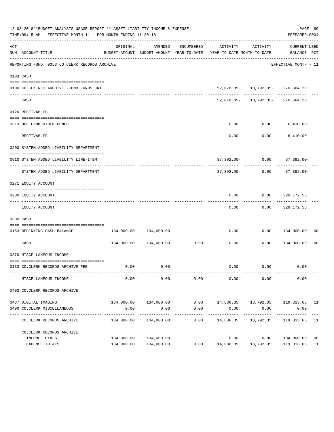|     | 12-03-2018**BUDGET ANALYSIS USAGE REPORT ** ASSET LIABILITY INCOME & EXPENSE<br>TIME:09:15 AM - EFFECTIVE MONTH:11 - FOR MONTH ENDING 11-30-18 |            |                       |                     |                                                                                          |                                                                              | PAGE 89<br>PREPARER: 0004       |      |
|-----|------------------------------------------------------------------------------------------------------------------------------------------------|------------|-----------------------|---------------------|------------------------------------------------------------------------------------------|------------------------------------------------------------------------------|---------------------------------|------|
| ACT | NUM ACCOUNT-TITLE                                                                                                                              | ORIGINAL   | AMENDED               | ENCUMBERED          | BUDGET-AMOUNT BUDGET-AMOUNT YEAR-TO-DATE YEAR-TO-DATE MONTH-TO-DATE BALANCE PCT          | ACTIVITY ACTIVITY                                                            | CURRENT USED                    |      |
|     | REPORTING FUND: 0053 CO.CLERK RECORDS ARCHIVE                                                                                                  |            |                       |                     |                                                                                          |                                                                              | EFFECTIVE MONTH - 11            |      |
|     | 0103 CASH                                                                                                                                      |            |                       |                     |                                                                                          |                                                                              |                                 |      |
|     |                                                                                                                                                |            |                       |                     |                                                                                          |                                                                              |                                 |      |
|     | 0100 CO.CLK.REC.ARCHIVE -COMB.FUNDS CKI                                                                                                        |            | ______________        |                     |                                                                                          | $52,078.35 - 13,792.35 - 270,684.20$<br>----------- ------------ ----------- |                                 |      |
|     | CASH                                                                                                                                           |            |                       |                     |                                                                                          | 52,078.35- 13,792.35- 270,684.20                                             |                                 |      |
|     | 0120 RECEIVABLES                                                                                                                               |            |                       |                     |                                                                                          |                                                                              |                                 |      |
|     |                                                                                                                                                |            |                       |                     |                                                                                          |                                                                              |                                 |      |
|     | 0313 DUE FROM OTHER FUNDS                                                                                                                      |            |                       |                     | 0.00<br>----------                                                                       | $0.00$ 6,410.00                                                              | -------------                   |      |
|     | RECEIVABLES                                                                                                                                    |            |                       |                     | 0.00                                                                                     |                                                                              | $0.00$ 6,410.00                 |      |
|     | 0200 SYSTEM ADDED LIABILITY DEPARTMENT                                                                                                         |            |                       |                     |                                                                                          |                                                                              |                                 |      |
|     |                                                                                                                                                |            |                       |                     |                                                                                          |                                                                              |                                 |      |
|     | 0910 SYSTEM ADDED LIABILITY LINE-ITEM                                                                                                          |            |                       |                     |                                                                                          | 37,392.00- 0.00 37,392.00-                                                   |                                 |      |
|     | SYSTEM ADDED LIABILITY DEPARTMENT                                                                                                              |            |                       |                     | 37,392.00-                                                                               |                                                                              | $0.00$ 37,392.00-               |      |
|     | 0271 EQUITY ACCOUNT                                                                                                                            |            |                       |                     |                                                                                          |                                                                              |                                 |      |
|     |                                                                                                                                                |            |                       |                     |                                                                                          |                                                                              |                                 |      |
|     | 0200 EQUITY ACCOUNT                                                                                                                            |            |                       |                     | 0.00                                                                                     |                                                                              | $0.00$ 329,172.55               |      |
|     | EQUITY ACCOUNT                                                                                                                                 |            |                       |                     | 0.00                                                                                     |                                                                              | $0.00$ 329,172.55               |      |
|     | 0300 CASH                                                                                                                                      |            |                       |                     |                                                                                          |                                                                              |                                 |      |
|     | 0153 BEGINNING CASH BALANCE                                                                                                                    | 134,000.00 | 134,000.00            |                     | 0.00                                                                                     |                                                                              | $0.00$ $134,000.00$ 00          |      |
|     | CASH                                                                                                                                           |            |                       |                     | ----------------------------<br>$134,000.00$ $134,000.00$ 0.00 0.00 0.00 0.00 134,000.00 |                                                                              |                                 | - 00 |
|     | 0370 MISCELLANEOUS INCOME                                                                                                                      |            |                       |                     |                                                                                          |                                                                              |                                 |      |
|     |                                                                                                                                                |            |                       |                     |                                                                                          |                                                                              |                                 |      |
|     | 0133 CO.CLERK RECORDS ARCHIVE FEE                                                                                                              |            | $0.00$ 0.00           |                     |                                                                                          | $0.00$ 0.00                                                                  | 0.00                            |      |
|     | MISCELLANEOUS INCOME                                                                                                                           | 0.00       | 0.00                  | 0.00                | 0.00                                                                                     | 0.00                                                                         | 0.00                            |      |
|     | 0403 CO.CLERK RECORDS ARCHIVE                                                                                                                  |            |                       |                     |                                                                                          |                                                                              |                                 |      |
|     |                                                                                                                                                |            |                       |                     |                                                                                          |                                                                              |                                 |      |
|     | 0437 DIGITAL IMAGING                                                                                                                           |            | 134,000.00 134,000.00 |                     | $0.00$ 14,686.35 13,792.35 119,313.65 11                                                 |                                                                              |                                 |      |
|     | 0490 CO. CLERK MISCELLANEOUS                                                                                                                   | 0.00       | 0.00                  | 0.00                | 0.00                                                                                     | 0.00                                                                         | 0.00                            |      |
|     | CO. CLERK RECORDS ARCHIVE                                                                                                                      |            | 134,000.00 134,000.00 | -----------<br>0.00 | -----------<br>14,686.35                                                                 | ------------<br>13,792.35                                                    | -------------<br>119, 313.65 11 |      |
|     | CO. CLERK RECORDS ARCHIVE                                                                                                                      |            |                       |                     |                                                                                          |                                                                              |                                 |      |
|     | INCOME TOTALS                                                                                                                                  | 134,000.00 | 134,000.00            |                     | 0.00                                                                                     | 0.00                                                                         | 134,000.00                      | 00   |
|     | EXPENSE TOTALS                                                                                                                                 |            | 134,000.00 134,000.00 | 0.00                | 14,686.35                                                                                | 13,792.35                                                                    | 119,313.65                      | 11   |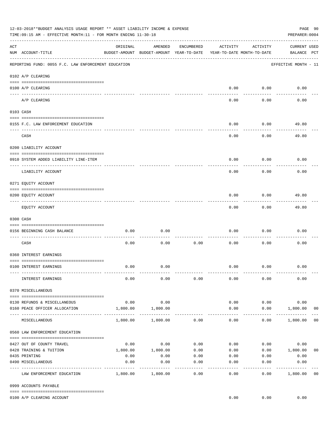|     | 12-03-2018**BUDGET ANALYSIS USAGE REPORT ** ASSET LIABILITY INCOME & EXPENSE<br>TIME:09:15 AM - EFFECTIVE MONTH:11 - FOR MONTH ENDING 11-30-18 |                     |                                                     |                 |                                        |                    | PAGE 90<br>PREPARER: 0004          |                |
|-----|------------------------------------------------------------------------------------------------------------------------------------------------|---------------------|-----------------------------------------------------|-----------------|----------------------------------------|--------------------|------------------------------------|----------------|
| ACT | NUM ACCOUNT-TITLE                                                                                                                              | ORIGINAL            | AMENDED<br>BUDGET-AMOUNT BUDGET-AMOUNT YEAR-TO-DATE | ENCUMBERED      | ACTIVITY<br>YEAR-TO-DATE MONTH-TO-DATE | ACTIVITY           | <b>CURRENT USED</b><br>BALANCE PCT |                |
|     | REPORTING FUND: 0055 F.C. LAW ENFORCEMENT EDUCATION                                                                                            |                     |                                                     |                 |                                        |                    | EFFECTIVE MONTH - 11               |                |
|     | 0102 A/P CLEARING                                                                                                                              |                     |                                                     |                 |                                        |                    |                                    |                |
|     | 0100 A/P CLEARING                                                                                                                              |                     |                                                     |                 | 0.00                                   | 0.00               | 0.00                               |                |
|     | A/P CLEARING                                                                                                                                   |                     |                                                     |                 | 0.00                                   | 0.00               | 0.00                               |                |
|     | 0103 CASH                                                                                                                                      |                     |                                                     |                 |                                        |                    |                                    |                |
|     | 0155 F.C. LAW ENFORCEMENT EDUCATION                                                                                                            |                     |                                                     |                 | 0.00                                   | 0.00               | 49.80                              |                |
|     | CASH                                                                                                                                           |                     |                                                     |                 | 0.00                                   | 0.00               | 49.80                              |                |
|     | 0200 LIABILITY ACCOUNT                                                                                                                         |                     |                                                     |                 |                                        |                    |                                    |                |
|     | 0910 SYSTEM ADDED LIABILITY LINE-ITEM                                                                                                          |                     |                                                     |                 | 0.00                                   | 0.00               | 0.00                               |                |
|     | LIABILITY ACCOUNT                                                                                                                              |                     |                                                     |                 | 0.00                                   | 0.00               | 0.00                               |                |
|     | 0271 EQUITY ACCOUNT                                                                                                                            |                     |                                                     |                 |                                        |                    |                                    |                |
|     | 0200 EQUITY ACCOUNT                                                                                                                            |                     |                                                     |                 | 0.00                                   | 0.00               | 49.80                              |                |
|     | EQUITY ACCOUNT                                                                                                                                 |                     |                                                     |                 | 0.00                                   | --------<br>0.00   | 49.80                              |                |
|     | 0300 CASH                                                                                                                                      |                     |                                                     |                 |                                        |                    |                                    |                |
|     | 0156 BEGINNING CASH BALANCE                                                                                                                    | 0.00                | 0.00                                                |                 | 0.00                                   | 0.00               | 0.00                               |                |
|     | CASH                                                                                                                                           | 0.00                | 0.00                                                | 0.00            | 0.00                                   | 0.00               | 0.00                               |                |
|     | 0360 INTEREST EARNINGS                                                                                                                         |                     |                                                     |                 |                                        |                    |                                    |                |
|     | 0100 INTEREST EARNINGS                                                                                                                         | 0.00                | 0.00                                                |                 | 0.00                                   | 0.00               | 0.00                               |                |
|     | INTEREST EARNINGS                                                                                                                              | 0.00                | 0.00                                                | 0.00            | 0.00                                   | 0.00               | 0.00                               |                |
|     | 0370 MISCELLANEOUS                                                                                                                             |                     |                                                     |                 |                                        |                    |                                    |                |
|     | 0130 REFUNDS & MISCELLANEOUS                                                                                                                   | 0.00                | 0.00                                                |                 | 0.00                                   | 0.00               | 0.00                               |                |
|     | 0160 PEACE OFFICER ALLOCATION                                                                                                                  | 1,800.00            | 1,800.00                                            |                 | 0.00<br>$\cdots$                       | 0.00<br>---------- | 1,800.00<br>_____________          | 0 <sub>0</sub> |
|     | MISCELLANEOUS                                                                                                                                  | 1,800.00            | 1,800.00                                            | 0.00            | 0.00                                   | 0.00               | 1,800.00                           | 0 <sub>0</sub> |
|     | 0560 LAW ENFORCEMENT EDUCATION                                                                                                                 |                     |                                                     |                 |                                        |                    |                                    |                |
|     | 0427 OUT OF COUNTY TRAVEL                                                                                                                      |                     | $0.00$ 0.00                                         | 0.00            | 0.00                                   |                    | 0.00<br>0.00                       |                |
|     | 0428 TRAINING & TUITION                                                                                                                        |                     | 1,800.00    1,800.00                                | 0.00            | 0.00                                   |                    | $0.00$ 1,800.00                    | 0 <sub>0</sub> |
|     | 0435 PRINTING                                                                                                                                  | 0.00                | 0.00                                                | 0.00            |                                        | $0.00$ $0.00$      | 0.00                               |                |
|     | 0490 MISCELLANEOUS                                                                                                                             | 0.00<br>----------- | 0.00                                                | 0.00<br>------- | 0.00                                   | 0.00               | 0.00                               |                |
|     | LAW ENFORCEMENT EDUCATION                                                                                                                      |                     | 1,800.00 1,800.00                                   | 0.00            | 0.00                                   | 0.00               | 1,800.00                           | 0 <sub>0</sub> |
|     | 0999 ACCOUNTS PAYABLE                                                                                                                          |                     |                                                     |                 |                                        |                    |                                    |                |
|     | 0100 A/P CLEARING ACCOUNT                                                                                                                      |                     |                                                     |                 | 0.00                                   | 0.00               | 0.00                               |                |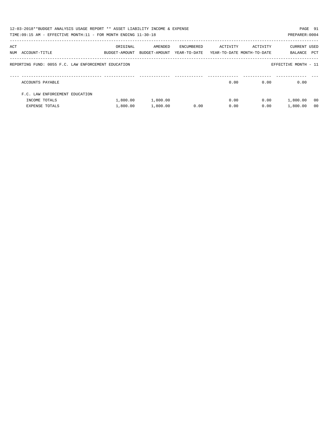|     | 12-03-2018**BUDGET ANALYSIS USAGE REPORT ** ASSET LIABILITY INCOME & EXPENSE<br>TIME:09:15 AM - EFFECTIVE MONTH:11 - FOR MONTH ENDING 11-30-18 |                           |                          |                            |          |                                        | PAGE 91<br>PREPARER: 0004 |                |
|-----|------------------------------------------------------------------------------------------------------------------------------------------------|---------------------------|--------------------------|----------------------------|----------|----------------------------------------|---------------------------|----------------|
| ACT | NUM ACCOUNT-TITLE                                                                                                                              | ORIGINAL<br>BUDGET-AMOUNT | AMENDED<br>BUDGET-AMOUNT | ENCUMBERED<br>YEAR-TO-DATE | ACTIVITY | ACTIVITY<br>YEAR-TO-DATE MONTH-TO-DATE | CURRENT USED<br>BALANCE   | PCT            |
|     | REPORTING FUND: 0055 F.C. LAW ENFORCEMENT EDUCATION                                                                                            |                           |                          |                            |          |                                        | EFFECTIVE MONTH - 11      |                |
|     | ACCOUNTS PAYABLE                                                                                                                               |                           |                          |                            | 0.00     | 0.00                                   | 0.00                      |                |
|     | F.C. LAW ENFORCEMENT EDUCATION                                                                                                                 |                           |                          |                            |          |                                        |                           |                |
|     | INCOME TOTALS                                                                                                                                  | 1,800.00                  | 1,800.00                 |                            | 0.00     | 0.00                                   | 1,800.00                  | - 00           |
|     | <b>EXPENSE TOTALS</b>                                                                                                                          | 1,800.00                  | 1,800.00                 | 0.00                       | 0.00     | 0.00                                   | 1,800.00                  | 0 <sub>0</sub> |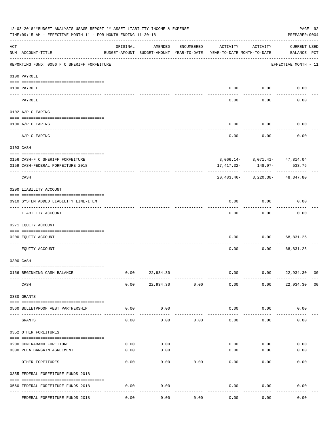|           | 12-03-2018**BUDGET ANALYSIS USAGE REPORT ** ASSET LIABILITY INCOME & EXPENSE<br>TIME: 09:15 AM - EFFECTIVE MONTH: 11 - FOR MONTH ENDING 11-30-18 |          |                                                     |            |                                        |           | PREPARER: 0004                              | PAGE 92        |
|-----------|--------------------------------------------------------------------------------------------------------------------------------------------------|----------|-----------------------------------------------------|------------|----------------------------------------|-----------|---------------------------------------------|----------------|
| ACT       | NUM ACCOUNT-TITLE                                                                                                                                | ORIGINAL | AMENDED<br>BUDGET-AMOUNT BUDGET-AMOUNT YEAR-TO-DATE | ENCUMBERED | ACTIVITY<br>YEAR-TO-DATE MONTH-TO-DATE | ACTIVITY  | <b>CURRENT USED</b><br>BALANCE PCT          |                |
|           | REPORTING FUND: 0056 F C SHERIFF FORFEITURE                                                                                                      |          |                                                     |            |                                        |           | EFFECTIVE MONTH - 11                        |                |
|           | 0100 PAYROLL                                                                                                                                     |          |                                                     |            |                                        |           |                                             |                |
|           | 0100 PAYROLL                                                                                                                                     |          |                                                     |            | 0.00                                   | 0.00      | 0.00                                        |                |
| ---- ---- | PAYROLL                                                                                                                                          |          |                                                     |            | 0.00                                   | 0.00      | 0.00                                        |                |
|           | 0102 A/P CLEARING                                                                                                                                |          |                                                     |            |                                        |           |                                             |                |
|           | 0100 A/P CLEARING                                                                                                                                |          |                                                     |            | 0.00                                   | 0.00      | 0.00                                        |                |
|           | A/P CLEARING                                                                                                                                     |          |                                                     |            | 0.00                                   | 0.00      | 0.00                                        |                |
|           | 0103 CASH                                                                                                                                        |          |                                                     |            |                                        |           |                                             |                |
|           | 0156 CASH-F C SHERIFF FORFEITURE<br>0159 CASH-FEDERAL FORFEITURE 2018                                                                            |          |                                                     |            | 17,417.32-                             | $148.97-$ | $3,066.14 - 3,071.41 - 47,814.04$<br>533.76 |                |
|           | CASH                                                                                                                                             |          |                                                     |            |                                        |           | 20,483.46- 3,220.38- 48,347.80              |                |
|           | 0200 LIABILITY ACCOUNT                                                                                                                           |          |                                                     |            |                                        |           |                                             |                |
|           | 0910 SYSTEM ADDED LIABILITY LINE-ITEM                                                                                                            |          |                                                     |            | 0.00                                   | 0.00      | 0.00                                        |                |
|           | LIABILITY ACCOUNT                                                                                                                                |          |                                                     |            | 0.00                                   | 0.00      | 0.00                                        |                |
|           | 0271 EQUITY ACCOUNT                                                                                                                              |          |                                                     |            |                                        |           |                                             |                |
|           | 0200 EQUITY ACCOUNT                                                                                                                              |          |                                                     |            | 0.00                                   | 0.00      | 68,831.26                                   |                |
|           | EQUITY ACCOUNT                                                                                                                                   |          |                                                     |            | 0.00                                   | 0.00      | 68,831.26                                   |                |
|           | 0300 CASH                                                                                                                                        |          |                                                     |            |                                        |           |                                             |                |
|           | 0156 BEGINNING CASH BALANCE                                                                                                                      | 0.00     | 22,934.30                                           |            | 0.00                                   | 0.00      | 22,934.30 00                                |                |
|           | CASH                                                                                                                                             | 0.00     | 22,934.30                                           | 0.00       | 0.00                                   | 0.00      | 22,934.30                                   | 0 <sub>0</sub> |
|           | 0330 GRANTS                                                                                                                                      |          |                                                     |            |                                        |           |                                             |                |
|           | 0560 BULLETPROOF VEST PARTNERSHIP                                                                                                                | 0.00     | 0.00                                                |            | 0.00                                   | 0.00      | 0.00                                        |                |
| $---$     | GRANTS                                                                                                                                           | 0.00     | 0.00                                                | 0.00       | 0.00                                   | 0.00      | 0.00                                        |                |
|           | 0352 OTHER FOREITURES                                                                                                                            |          |                                                     |            |                                        |           |                                             |                |
|           | 0200 CONTRABAND FOREITURE                                                                                                                        | 0.00     | 0.00                                                |            | 0.00                                   | 0.00      | 0.00                                        |                |
|           | 0300 PLEA BARGAIN AGREEMENT                                                                                                                      | 0.00     | 0.00                                                |            | 0.00                                   | 0.00      | 0.00                                        |                |
|           | OTHER FOREITURES                                                                                                                                 | 0.00     | 0.00                                                | 0.00       | 0.00                                   | 0.00      | 0.00                                        |                |
|           | 0355 FEDERAL FORFEITURE FUNDS 2018                                                                                                               |          |                                                     |            |                                        |           |                                             |                |
|           | 0560 FEDERAL FORFEITURE FUNDS 2018                                                                                                               | 0.00     | 0.00                                                |            | 0.00                                   | 0.00      | 0.00                                        |                |
|           | FEDERAL FORFEITURE FUNDS 2018                                                                                                                    | 0.00     | 0.00                                                | 0.00       | 0.00                                   | 0.00      | 0.00                                        |                |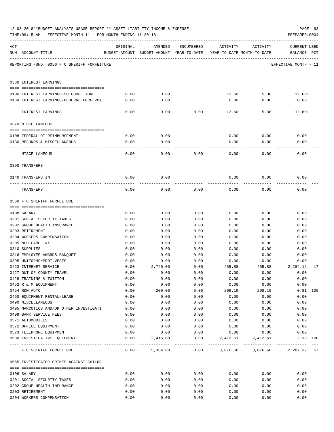|     | TIME:09:15 AM - EFFECTIVE MONTH:11 - FOR MONTH ENDING 11-30-18 |              |                                                                                |              |                              |              | PREPARER: 0004                     |    |
|-----|----------------------------------------------------------------|--------------|--------------------------------------------------------------------------------|--------------|------------------------------|--------------|------------------------------------|----|
| ACT | NUM ACCOUNT-TITLE                                              | ORIGINAL     | AMENDED<br>BUDGET-AMOUNT BUDGET-AMOUNT YEAR-TO-DATE YEAR-TO-DATE MONTH-TO-DATE | ENCUMBERED   | ACTIVITY                     | ACTIVITY     | <b>CURRENT USED</b><br>BALANCE PCT |    |
|     | REPORTING FUND: 0056 F C SHERIFF FORFEITURE                    |              |                                                                                |              |                              |              | EFFECTIVE MONTH - 11               |    |
|     | 0360 INTEREST EARNINGS                                         |              |                                                                                |              |                              |              |                                    |    |
|     | 0100 INTEREST EARNINGS-SO FORFEITURE                           | 0.00         | 0.00                                                                           |              |                              | 12.60        | $5.38$ 12.60+                      |    |
|     | 0159 INTEREST EARNINGS-FEDERAL FORF 201                        | 0.00         | 0.00                                                                           |              | 0.00                         | 0.00         | 0.00                               |    |
|     |                                                                | ----------   |                                                                                |              |                              |              |                                    |    |
|     | INTEREST EARNINGS                                              | 0.00         | 0.00                                                                           | 0.00         | 12.60                        | 5.38         | $12.60+$                           |    |
|     | 0370 MISCELLANEOUS                                             |              |                                                                                |              |                              |              |                                    |    |
|     |                                                                |              |                                                                                |              |                              |              |                                    |    |
|     | 0108 FEDERAL OT REIMBURSEMENT                                  | 0.00         | 0.00                                                                           |              | 0.00                         | 0.00         | 0.00                               |    |
|     | 0130 REFUNDS & MISCELLANEOUS                                   | 0.00         | 0.00                                                                           |              | 0.00                         | 0.00         | 0.00                               |    |
|     | MISCELLANEOUS                                                  | 0.00         | 0.00                                                                           | 0.00         | 0.00                         | 0.00         | 0.00                               |    |
|     | 0390 TRANSFERS                                                 |              |                                                                                |              |                              |              |                                    |    |
|     |                                                                |              |                                                                                |              |                              |              |                                    |    |
|     | 0140 TRANSFERS IN                                              | 0.00         | 0.00                                                                           |              | 0.00                         | 0.00         | 0.00                               |    |
|     | TRANSFERS                                                      | 0.00         | 0.00                                                                           | 0.00         | 0.00                         | 0.00         | 0.00                               |    |
|     | 0560 F C SHERIFF FORFEITURE                                    |              |                                                                                |              |                              |              |                                    |    |
|     |                                                                |              |                                                                                |              |                              |              |                                    |    |
|     | 0108 SALARY                                                    | 0.00         | 0.00                                                                           | 0.00         | 0.00                         | 0.00         | 0.00                               |    |
|     | 0201 SOCIAL SECURITY TAXES                                     | 0.00         | 0.00                                                                           | 0.00         | 0.00                         | 0.00         | 0.00                               |    |
|     | 0202 GROUP HEALTH INSURANCE<br>0203 RETIREMENT                 | 0.00         | 0.00                                                                           | 0.00         | 0.00                         | 0.00         | 0.00                               |    |
|     | 0204 WORKERS COMPENSATION                                      | 0.00<br>0.00 | 0.00<br>0.00                                                                   | 0.00<br>0.00 | 0.00<br>0.00                 | 0.00<br>0.00 | 0.00<br>0.00                       |    |
|     | 0205 MEDICARE TAX                                              | 0.00         | 0.00                                                                           | 0.00         | 0.00                         | 0.00         | 0.00                               |    |
|     | 0310 SUPPLIES                                                  | 0.00         | 0.00                                                                           | 0.00         | 0.00                         | 0.00         | 0.00                               |    |
|     | 0316 EMPLOYEE AWARDS BANQUET                                   | 0.00         | 0.00                                                                           | 0.00         | 0.00                         | 0.00         | 0.00                               |    |
|     | 0395 UNIFORMS/PROT.VESTS                                       | 0.00         | 0.00                                                                           | 0.00         | 0.00                         | 0.00         | 0.00                               |    |
|     | 0423 INTERNET SERVICE                                          | 0.00         | 2,740.00                                                                       | 0.00         | 455.88                       | 455.88       | 2,284.12                           | 17 |
|     | 0427 OUT OF COUNTY TRAVEL                                      | 0.00         | 0.00                                                                           | 0.00         | 0.00                         | 0.00         | 0.00                               |    |
|     | 0428 TRAINING & TUITION                                        | 0.00         | 0.00                                                                           | 0.00         | 0.00                         | 0.00         | 0.00                               |    |
|     | 0452 R & M EQUIPMENT                                           | 0.00         | 0.00                                                                           | 0.00         | 0.00                         | 0.00         | 0.00                               |    |
|     | 0454 R&M AUTO                                                  | 0.00         | 209.00                                                                         | 0.00         | 208.19                       | 208.19       | $0.81$ 100                         |    |
|     | 0460 EQUIPMENT RENTAL/LEASE                                    | 0.00         | 0.00                                                                           | 0.00         | 0.00                         | 0.00         | 0.00                               |    |
|     | 0490 MISCELLANEOUS                                             | 0.00         | 0.00                                                                           | 0.00         | 0.00                         | 0.00         | 0.00                               |    |
|     | 0495 NARCOTICS AND/OR OTHER INVESTIGATI                        | 0.00         | 0.00                                                                           | 0.00         | 0.00                         | 0.00         | 0.00                               |    |
|     | 0499 BANK SERVICE FEES                                         | 0.00         | 0.00                                                                           | 0.00         | 0.00                         | 0.00         | 0.00                               |    |
|     | 0571 AUTOMOBILES                                               | 0.00         | 0.00                                                                           | 0.00         | 0.00                         | 0.00         | 0.00                               |    |
|     | 0572 OFFICE EQUIPMENT                                          | 0.00         | 0.00                                                                           | 0.00         | 0.00                         | 0.00         | 0.00                               |    |
|     | 0573 TELEPHONE EQUIPMENT                                       | 0.00         | 0.00                                                                           | 0.00         | 0.00                         | 0.00         | 0.00                               |    |
|     | 0580 INVESTIGATIVE EQUIPMENT                                   | 0.00         | 2,415.00                                                                       | 0.00         | 2,412.61                     | 2,412.61     | 2.39 100                           |    |
|     | F C SHERIFF FORFEITURE                                         | 0.00         | 5,364.00                                                                       |              | $0.00$ $3,076.68$ $3,076.68$ |              | 2,287.32 57                        |    |
|     | 0565 INVESTIGATOR CRIMES AGAINST CHILDR                        |              |                                                                                |              |                              |              |                                    |    |
|     | 0108 SALARY                                                    | 0.00         | 0.00                                                                           | 0.00         | 0.00                         | 0.00         | 0.00                               |    |
|     | 0201 SOCIAL SECURITY TAXES                                     | 0.00         | 0.00                                                                           | 0.00         | 0.00                         | 0.00         | 0.00                               |    |
|     | 0202 GROUP HEALTH INSURANCE                                    | 0.00         | 0.00                                                                           | 0.00         | 0.00                         | 0.00         | 0.00                               |    |
|     | 0203 RETIREMENT                                                | 0.00         | 0.00                                                                           | 0.00         | 0.00                         | 0.00         | 0.00                               |    |
|     | 0204 WORKERS COMPENSATION                                      | 0.00         | 0.00                                                                           | 0.00         | 0.00                         | 0.00         | 0.00                               |    |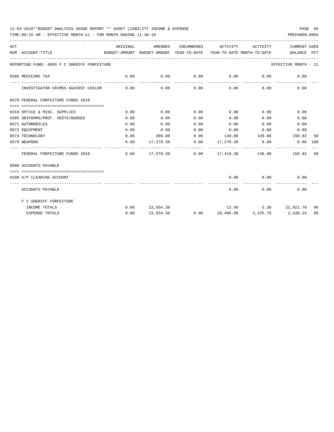### 12-03-2018\*\*BUDGET ANALYSIS USAGE REPORT \*\* ASSET LIABILITY INCOME & EXPENSE PAGE 94

TIME:09:15 AM - EFFECTIVE MONTH:11 - FOR MONTH ENDING 11-30-18 PREPARER:0004

| ACT | NUM ACCOUNT-TITLE                           | ORIGINAL | AMENDED                                               |      | ENCUMBERED ACTIVITY ACTIVITY       |             | <b>CURRENT USED</b><br>BUDGET-AMOUNT BUDGET-AMOUNT YEAR-TO-DATE YEAR-TO-DATE MONTH-TO-DATE BALANCE PCT |    |
|-----|---------------------------------------------|----------|-------------------------------------------------------|------|------------------------------------|-------------|--------------------------------------------------------------------------------------------------------|----|
|     | REPORTING FUND: 0056 F C SHERIFF FORFEITURE |          |                                                       |      |                                    |             | EFFECTIVE MONTH - 11                                                                                   |    |
|     | 0205 MEDICARE TAX                           | 0.00     | 0.00                                                  | 0.00 | $0.00$ 0.00                        |             | 0.00                                                                                                   |    |
|     | INVESTIGATOR CRIMES AGAINST CHILDR          | 0.00     |                                                       |      | $0.00$ $0.00$ $0.00$ $0.00$ $0.00$ |             | 0.00                                                                                                   |    |
|     | 0570 FEDERAL FORFEITURE FUNDS 2018          |          |                                                       |      |                                    |             |                                                                                                        |    |
|     | 0310 OFFICE & MISC. SUPPLIES                | 0.00     | 0.00                                                  | 0.00 | $0.00$ 0.00                        |             | 0.00                                                                                                   |    |
|     | 0395 UNIFORMS/PROT. VESTS/BADGES            | 0.00     | 0.00                                                  | 0.00 | 0.00                               | 0.00        | 0.00                                                                                                   |    |
|     | 0571 AUTOMOBILES                            | 0.00     | 0.00                                                  | 0.00 | 0.00                               | 0.00        | 0.00                                                                                                   |    |
|     | 0572 EQUIPMENT                              | 0.00     | 0.00                                                  | 0.00 | $0.00$ $0.00$ $0.00$ $0.00$        |             |                                                                                                        |    |
|     | 0574 TECHNOLOGY                             | 0.00     |                                                       |      |                                    |             | $300.00$ $0.00$ $149.08$ $149.08$ $150.92$                                                             | 50 |
|     | 0579 WEAPONS                                |          | $0.00$ 17,270.30                                      |      |                                    |             | $0.00$ $17,270.30$ $0.00$ $0.00$ $100$                                                                 |    |
|     | FEDERAL FORFEITURE FUNDS 2018               |          | $0.00$ 17,570.30   0.00   17,419.38   149.08   150.92 |      |                                    |             |                                                                                                        | 99 |
|     | 0999 ACCOUNTS PAYABLE                       |          |                                                       |      |                                    |             |                                                                                                        |    |
|     | 0100 A/P CLEARING ACCOUNT                   |          |                                                       |      |                                    |             | $0.00$ $0.00$ $0.00$                                                                                   |    |
|     | ACCOUNTS PAYABLE                            |          |                                                       |      |                                    | $0.00$ 0.00 | 0.00                                                                                                   |    |
|     | F C SHERIFF FORFEITURE                      |          |                                                       |      |                                    |             |                                                                                                        |    |
|     | INCOME TOTALS                               |          | $0.00$ 22,934.30                                      |      |                                    |             | 12.60 5.38 22,921.70 00                                                                                |    |
|     | <b>EXPENSE TOTALS</b>                       | 0.00     |                                                       |      |                                    |             | 22,934.30   0.00   20,496.06   3,225.76   2,438.24   89                                                |    |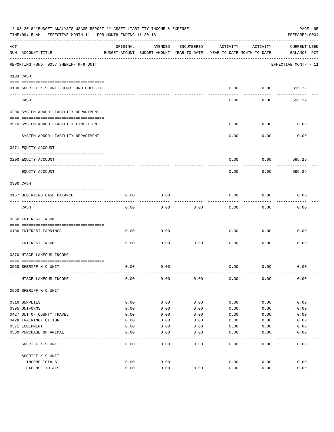|     | 12-03-2018**BUDGET ANALYSIS USAGE REPORT ** ASSET LIABILITY INCOME & EXPENSE<br>TIME: 09:15 AM - EFFECTIVE MONTH: 11 - FOR MONTH ENDING 11-30-18 |          |                                                     |            |          |                                        | PAGE 95<br>PREPARER: 0004          |
|-----|--------------------------------------------------------------------------------------------------------------------------------------------------|----------|-----------------------------------------------------|------------|----------|----------------------------------------|------------------------------------|
| ACT | NUM ACCOUNT-TITLE                                                                                                                                | ORIGINAL | AMENDED<br>BUDGET-AMOUNT BUDGET-AMOUNT YEAR-TO-DATE | ENCUMBERED | ACTIVITY | ACTIVITY<br>YEAR-TO-DATE MONTH-TO-DATE | <b>CURRENT USED</b><br>BALANCE PCT |
|     | REPORTING FUND: 0057 SHERIFF K-9 UNIT                                                                                                            |          |                                                     |            |          |                                        | EFFECTIVE MONTH - 11               |
|     | 0103 CASH                                                                                                                                        |          |                                                     |            |          |                                        |                                    |
|     | 0100 SHERIFF K-9 UNIT-COMB.FUND CHECKIN                                                                                                          |          |                                                     |            | 0.00     | 0.00                                   | 595.29                             |
|     | CASH                                                                                                                                             |          |                                                     |            | 0.00     | 0.00                                   | 595.29                             |
|     | 0200 SYSTEM ADDED LIABILITY DEPARTMENT                                                                                                           |          |                                                     |            |          |                                        |                                    |
|     | 0910 SYSTEM ADDED LIABILITY LINE-ITEM                                                                                                            |          |                                                     |            | 0.00     | 0.00                                   | 0.00                               |
|     | SYSTEM ADDED LIABILITY DEPARTMENT                                                                                                                |          |                                                     |            | 0.00     | 0.00                                   | 0.00                               |
|     | 0271 EQUITY ACCOUNT                                                                                                                              |          |                                                     |            |          |                                        |                                    |
|     | 0200 EQUITY ACCOUNT                                                                                                                              |          |                                                     |            | 0.00     | 0.00                                   | 595.29                             |
|     | EQUITY ACCOUNT                                                                                                                                   |          |                                                     |            | 0.00     | 0.00                                   | 595.29                             |
|     | 0300 CASH                                                                                                                                        |          |                                                     |            |          |                                        |                                    |
|     | 0157 BEGINNING CASH BALANCE                                                                                                                      | 0.00     | 0.00                                                |            | 0.00     | 0.00                                   | 0.00                               |
|     | CASH                                                                                                                                             | 0.00     | 0.00                                                | 0.00       | 0.00     | 0.00                                   | 0.00                               |
|     | 0360 INTEREST INCOME                                                                                                                             |          |                                                     |            |          |                                        |                                    |
|     | 0100 INTEREST EARNINGS<br>----------------- ---                                                                                                  | 0.00     | 0.00                                                |            | 0.00     | 0.00                                   | 0.00                               |
|     | INTEREST INCOME                                                                                                                                  | 0.00     | 0.00                                                | 0.00       | 0.00     | 0.00                                   | 0.00                               |
|     | 0370 MISCELLANEOUS INCOME                                                                                                                        |          |                                                     |            |          |                                        |                                    |
|     | 0560 SHERIFF K-9 UNIT                                                                                                                            | 0.00     | 0.00                                                |            | 0.00     | 0.00                                   | 0.00                               |
|     | MISCELLANEOUS INCOME                                                                                                                             | 0.00     | 0.00                                                | 0.00       | 0.00     | 0.00                                   | 0.00                               |
|     | 0560 SHERIFF K-9 UNIT                                                                                                                            |          |                                                     |            |          |                                        |                                    |
|     | 0310 SUPPLIES                                                                                                                                    | 0.00     | 0.00                                                | 0.00       | 0.00     | 0.00                                   | 0.00                               |
|     | 0395 UNIFORMS                                                                                                                                    | 0.00     | 0.00                                                | 0.00       | 0.00     | 0.00                                   | 0.00                               |
|     | 0427 OUT OF COUNTY TRAVEL                                                                                                                        | 0.00     | 0.00                                                | 0.00       | 0.00     | 0.00                                   | 0.00                               |
|     | 0428 TRAINING/TUITION                                                                                                                            | 0.00     | 0.00                                                | 0.00       | 0.00     | 0.00                                   | 0.00                               |
|     | 0571 EQUIPMENT                                                                                                                                   | 0.00     | 0.00                                                | 0.00       | 0.00     | 0.00                                   | 0.00                               |
|     | 0580 PURCHASE OF ANIMAL                                                                                                                          | 0.00     | 0.00                                                | 0.00       | 0.00     | 0.00                                   | 0.00                               |
|     | SHERIFF K-9 UNIT                                                                                                                                 | 0.00     | 0.00                                                | 0.00       | 0.00     | 0.00                                   | 0.00                               |
|     | SHERIFF K-9 UNIT                                                                                                                                 |          |                                                     |            |          |                                        |                                    |
|     | INCOME TOTALS                                                                                                                                    | 0.00     | 0.00                                                |            | 0.00     | 0.00                                   | 0.00                               |
|     | EXPENSE TOTALS                                                                                                                                   | 0.00     | 0.00                                                | 0.00       | 0.00     | 0.00                                   | 0.00                               |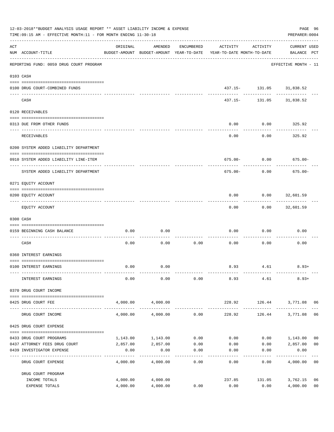|     | 12-03-2018**BUDGET ANALYSIS USAGE REPORT ** ASSET LIABILITY INCOME & EXPENSE<br>TIME: 09:15 AM - EFFECTIVE MONTH: 11 - FOR MONTH ENDING 11-30-18<br>PREPARER: 0004 |          |                         |            |                                                                                 |                          |                                    |                |  |  |
|-----|--------------------------------------------------------------------------------------------------------------------------------------------------------------------|----------|-------------------------|------------|---------------------------------------------------------------------------------|--------------------------|------------------------------------|----------------|--|--|
| ACT | NUM ACCOUNT-TITLE                                                                                                                                                  | ORIGINAL | AMENDED                 | ENCUMBERED | ACTIVITY<br>BUDGET-AMOUNT BUDGET-AMOUNT YEAR-TO-DATE YEAR-TO-DATE MONTH-TO-DATE | ACTIVITY                 | <b>CURRENT USED</b><br>BALANCE PCT |                |  |  |
|     | ------------------------------------<br>REPORTING FUND: 0059 DRUG COURT PROGRAM                                                                                    |          |                         |            |                                                                                 |                          | EFFECTIVE MONTH - 11               |                |  |  |
|     | 0103 CASH                                                                                                                                                          |          |                         |            |                                                                                 |                          |                                    |                |  |  |
|     | 0100 DRUG COURT-COMBINED FUNDS                                                                                                                                     |          |                         |            |                                                                                 | 437.15- 131.05 31,838.52 |                                    |                |  |  |
|     | CASH                                                                                                                                                               |          |                         |            |                                                                                 | 437.15- 131.05 31,838.52 |                                    |                |  |  |
|     | 0120 RECEIVABLES                                                                                                                                                   |          |                         |            |                                                                                 |                          |                                    |                |  |  |
|     | 0313 DUE FROM OTHER FUNDS                                                                                                                                          |          |                         |            | 0.00                                                                            | $0.00$ 325.92            |                                    |                |  |  |
|     | RECEIVABLES                                                                                                                                                        |          |                         |            | 0.00                                                                            | ---------<br>0.00        | 325.92                             |                |  |  |
|     | 0200 SYSTEM ADDED LIABILITY DEPARTMENT                                                                                                                             |          |                         |            |                                                                                 |                          |                                    |                |  |  |
|     | 0910 SYSTEM ADDED LIABILITY LINE-ITEM                                                                                                                              |          |                         |            |                                                                                 |                          | $675.00 - 0.00$ 675.00-            |                |  |  |
|     | SYSTEM ADDED LIABILITY DEPARTMENT                                                                                                                                  |          |                         |            | 675.00-                                                                         | 0.00                     | $675.00 -$                         |                |  |  |
|     | 0271 EQUITY ACCOUNT                                                                                                                                                |          |                         |            |                                                                                 |                          |                                    |                |  |  |
|     | 0200 EQUITY ACCOUNT                                                                                                                                                |          |                         |            | 0.00                                                                            | $0.00$ 32,601.59         |                                    |                |  |  |
|     | EQUITY ACCOUNT                                                                                                                                                     |          |                         |            | 0.00                                                                            | ---------                | . <u>.</u> .<br>$0.00$ 32,601.59   |                |  |  |
|     | 0300 CASH                                                                                                                                                          |          |                         |            |                                                                                 |                          |                                    |                |  |  |
|     | 0159 BEGINNING CASH BALANCE                                                                                                                                        | 0.00     | 0.00                    |            | 0.00                                                                            | 0.00                     | 0.00                               |                |  |  |
|     | CASH                                                                                                                                                               | 0.00     | 0.00                    | 0.00       | 0.00                                                                            | 0.00                     | 0.00                               |                |  |  |
|     | 0360 INTEREST EARNINGS                                                                                                                                             |          |                         |            |                                                                                 |                          |                                    |                |  |  |
|     | 0100 INTEREST EARNINGS                                                                                                                                             | 0.00     | 0.00                    |            |                                                                                 | 8.93 4.61                | $8.93+$                            |                |  |  |
|     | INTEREST EARNINGS                                                                                                                                                  | 0.00     | 0.00                    | 0.00       | 8.93                                                                            | 4.61                     | $8.93+$                            |                |  |  |
|     | 0370 DRUG COURT INCOME                                                                                                                                             |          |                         |            |                                                                                 |                          |                                    |                |  |  |
|     | 0425 DRUG COURT FEE                                                                                                                                                | 4,000.00 | 4,000.00                |            |                                                                                 |                          | 228.92 126.44 3,771.08 06          |                |  |  |
|     | DRUG COURT INCOME                                                                                                                                                  | 4,000.00 | -----------<br>4,000.00 | 0.00       | -------------<br>228.92                                                         | 126.44                   | 3,771.08                           | 06             |  |  |
|     | 0425 DRUG COURT EXPENSE                                                                                                                                            |          |                         |            |                                                                                 |                          |                                    |                |  |  |
|     | 0433 DRUG COURT PROGRAMS                                                                                                                                           | 1,143.00 | 1,143.00                | 0.00       | 0.00                                                                            | 0.00                     | 1,143.00                           | 00             |  |  |
|     | 0437 ATTORNEY FEES DRUG COURT                                                                                                                                      | 2,857.00 | 2,857.00                | 0.00       | 0.00                                                                            | 0.00                     | 2,857.00                           | 0 <sub>0</sub> |  |  |
|     | 0439 INVESTIGATOR EXPENSE                                                                                                                                          | 0.00     | 0.00                    | 0.00       | 0.00                                                                            | 0.00                     | 0.00                               |                |  |  |
|     | DRUG COURT EXPENSE                                                                                                                                                 | 4,000.00 | 4,000.00                | 0.00       | 0.00                                                                            | 0.00                     | 4,000.00                           | 0 <sub>0</sub> |  |  |
|     | DRUG COURT PROGRAM                                                                                                                                                 |          |                         |            |                                                                                 |                          |                                    |                |  |  |
|     | INCOME TOTALS                                                                                                                                                      | 4,000.00 | 4,000.00                |            | 237.85                                                                          | 131.05                   | 3,762.15                           | 06             |  |  |
|     | EXPENSE TOTALS                                                                                                                                                     | 4,000.00 | 4,000.00                | 0.00       | 0.00                                                                            | 0.00                     | 4,000.00                           | 0 <sub>0</sub> |  |  |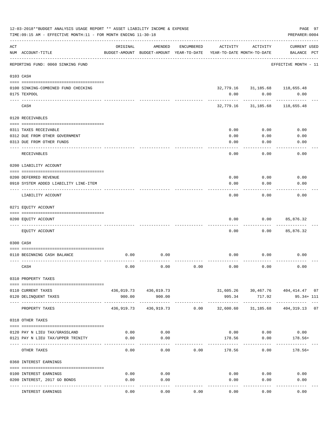|     | 12-03-2018**BUDGET ANALYSIS USAGE REPORT ** ASSET LIABILITY INCOME & EXPENSE<br>TIME: 09:15 AM - EFFECTIVE MONTH: 11 - FOR MONTH ENDING 11-30-18 |            |                                                     |            |                                        |                                | PAGE 97<br>PREPARER: 0004                             |
|-----|--------------------------------------------------------------------------------------------------------------------------------------------------|------------|-----------------------------------------------------|------------|----------------------------------------|--------------------------------|-------------------------------------------------------|
| ACT | NUM ACCOUNT-TITLE                                                                                                                                | ORIGINAL   | AMENDED<br>BUDGET-AMOUNT BUDGET-AMOUNT YEAR-TO-DATE | ENCUMBERED | ACTIVITY<br>YEAR-TO-DATE MONTH-TO-DATE | ACTIVITY                       | CURRENT USED<br>BALANCE PCT                           |
|     | REPORTING FUND: 0060 SINKING FUND                                                                                                                |            |                                                     |            |                                        |                                | EFFECTIVE MONTH - 11                                  |
|     | 0103 CASH                                                                                                                                        |            |                                                     |            |                                        |                                |                                                       |
|     | 0100 SINKING-COMBINED FUND CHECKING                                                                                                              |            |                                                     |            |                                        | 32,779.16 31,185.68 118,655.48 |                                                       |
|     | 0175 TEXPOOL                                                                                                                                     |            |                                                     |            | 0.00                                   | 0.00                           | 0.00                                                  |
|     | CASH                                                                                                                                             |            |                                                     |            | 32,779.16                              | 31,185.68                      | 118,655.48                                            |
|     | 0120 RECEIVABLES                                                                                                                                 |            |                                                     |            |                                        |                                |                                                       |
|     | 0311 TAXES RECEIVABLE                                                                                                                            |            |                                                     |            | 0.00                                   | 0.00                           | 0.00                                                  |
|     | 0312 DUE FROM OTHER GOVERNMENT                                                                                                                   |            |                                                     |            | 0.00                                   | 0.00                           | 0.00                                                  |
|     | 0313 DUE FROM OTHER FUNDS                                                                                                                        |            |                                                     |            | 0.00                                   | 0.00                           | 0.00                                                  |
|     | RECEIVABLES                                                                                                                                      |            |                                                     |            | 0.00                                   | 0.00                           | 0.00                                                  |
|     | 0200 LIABILITY ACCOUNT                                                                                                                           |            |                                                     |            |                                        |                                |                                                       |
|     | 0200 DEFERRED REVENUE                                                                                                                            |            |                                                     |            | 0.00                                   | 0.00                           | 0.00                                                  |
|     | 0910 SYSTEM ADDED LIABILITY LINE-ITEM                                                                                                            |            |                                                     |            | 0.00                                   | 0.00                           | 0.00                                                  |
|     | LIABILITY ACCOUNT                                                                                                                                |            |                                                     |            | 0.00                                   | 0.00                           | 0.00                                                  |
|     | 0271 EQUITY ACCOUNT                                                                                                                              |            |                                                     |            |                                        |                                |                                                       |
|     |                                                                                                                                                  |            |                                                     |            |                                        |                                |                                                       |
|     | 0200 EQUITY ACCOUNT                                                                                                                              |            |                                                     |            | 0.00                                   | 0.00                           | 85,876.32                                             |
|     | EQUITY ACCOUNT                                                                                                                                   |            |                                                     |            | 0.00                                   | 0.00                           | 85,876.32                                             |
|     | 0300 CASH                                                                                                                                        |            |                                                     |            |                                        |                                |                                                       |
|     |                                                                                                                                                  |            |                                                     |            |                                        |                                |                                                       |
|     | 0110 BEGINNING CASH BALANCE                                                                                                                      | 0.00       | 0.00                                                |            | 0.00                                   | 0.00                           | 0.00                                                  |
|     | CASH                                                                                                                                             | 0.00       | 0.00                                                | 0.00       | 0.00                                   | 0.00                           | 0.00                                                  |
|     | 0310 PROPERTY TAXES                                                                                                                              |            |                                                     |            |                                        |                                |                                                       |
|     |                                                                                                                                                  |            |                                                     |            |                                        |                                |                                                       |
|     | 0110 CURRENT TAXES<br>0120 DELINQUENT TAXES                                                                                                      | 900.00     | 436,019.73 436,019.73<br>900.00                     |            | 995.34                                 | 717.92                         | $31,605.26$ $30,467.76$ $404,414.47$ 07<br>95.34+ 111 |
|     | PROPERTY TAXES                                                                                                                                   | 436,919.73 | 436,919.73                                          | 0.00       | 32,600.60                              | 31,185.68                      | 404, 319. 13 07                                       |
|     | 0318 OTHER TAXES                                                                                                                                 |            |                                                     |            |                                        |                                |                                                       |
|     |                                                                                                                                                  |            |                                                     |            |                                        |                                |                                                       |
|     | 0120 PAY N LIEU TAX/GRASSLAND                                                                                                                    | 0.00       | 0.00                                                |            |                                        | $0.00$ 0.00                    | 0.00                                                  |
|     | 0121 PAY N LIEU TAX/UPPER TRINITY                                                                                                                | 0.00       | 0.00                                                |            | 178.56                                 | 0.00                           | 178.56+                                               |
|     | OTHER TAXES                                                                                                                                      | 0.00       | 0.00                                                | 0.00       | 178.56                                 | 0.00                           | $178.56+$                                             |
|     | 0360 INTEREST EARNINGS                                                                                                                           |            |                                                     |            |                                        |                                |                                                       |
|     | 0100 INTEREST EARNINGS                                                                                                                           | 0.00       | 0.00                                                |            |                                        | $0.00$ 0.00                    | 0.00                                                  |
|     | 0200 INTEREST, 2017 GO BONDS                                                                                                                     | 0.00       | 0.00                                                |            | 0.00                                   | 0.00                           | 0.00                                                  |
|     |                                                                                                                                                  |            |                                                     |            |                                        |                                |                                                       |
|     | INTEREST EARNINGS                                                                                                                                | 0.00       | 0.00                                                | 0.00       | 0.00                                   | 0.00                           | 0.00                                                  |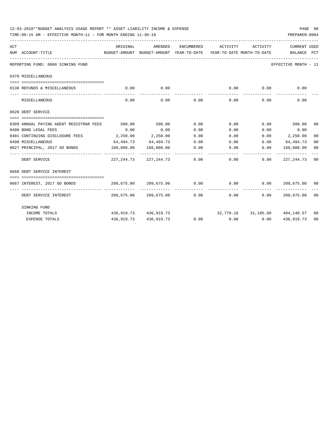| 12-03-2018**BUDGET ANALYSIS USAGE REPORT ** ASSET LIABILITY INCOME & EXPENSE<br>TIME:09:15 AM - EFFECTIVE MONTH:11 - FOR MONTH ENDING 11-30-18 |           |                                |            |                                                                |                      | PREPARER: 0004         | PAGE 98 |
|------------------------------------------------------------------------------------------------------------------------------------------------|-----------|--------------------------------|------------|----------------------------------------------------------------|----------------------|------------------------|---------|
| ACT                                                                                                                                            | ORIGINAL  | AMENDED                        | ENCUMBERED | ACTIVITY                                                       | ACTIVITY             | CURRENT USED           |         |
| NUM ACCOUNT-TITLE<br>BUDGET-AMOUNT BUDGET-AMOUNT YEAR-TO-DATE YEAR-TO-DATE MONTH-TO-DATE BALANCE PCT                                           |           |                                |            |                                                                |                      |                        |         |
| REPORTING FUND: 0060 SINKING FUND                                                                                                              |           |                                |            |                                                                |                      | EFFECTIVE MONTH - 11   |         |
| 0370 MISCELLANEOUS                                                                                                                             |           |                                |            |                                                                |                      |                        |         |
|                                                                                                                                                |           |                                |            |                                                                |                      |                        |         |
| 0130 REFUNDS & MISCELLANEOUS                                                                                                                   | 0.00      | 0.00<br>-----------            |            | 0.00<br>-------------                                          | 0.00<br>------------ | 0.00<br>-------------  |         |
| MISCELLANEOUS                                                                                                                                  | 0.00      | 0.00                           |            | $0.00$ 0.00                                                    | 0.00                 | 0.00                   |         |
| 0620 DEBT SERVICE                                                                                                                              |           |                                |            |                                                                |                      |                        |         |
|                                                                                                                                                |           |                                |            |                                                                |                      |                        |         |
| 0309 ANNUAL PAYING AGENT REGISTRAR FEES                                                                                                        | 500.00    | 500.00                         | 0.00       | 0.00                                                           |                      | $0.00$ 500.00 00       |         |
| 0400 BOND LEGAL FEES                                                                                                                           | 0.00      | 0.00                           | 0.00       | 0.00                                                           |                      | $0.00$ 0.00            |         |
| 0401 CONTINUING DISCLOSURE FEES 2,250.00                                                                                                       |           | 2,250.00                       | 0.00       | 0.00                                                           |                      | $0.00$ 2,250.00        | 00      |
| 0490 MISCELLANEOUS                                                                                                                             | 64,494.73 | 64,494.73                      | 0.00       | $0.00$ $0.00$ $64,494.73$                                      |                      |                        | 00      |
| 0627 PRINCIPAL, 2017 GO BONDS                                                                                                                  |           | $160,000.00$ $160,000.00$      | 0.00       | $0.00$ 0.00                                                    |                      | 160,000.00             | 00      |
| DEBT SERVICE                                                                                                                                   |           | 227, 244, 73 227, 244, 73 0.00 |            |                                                                | 0.00                 | $0.00$ 227, 244, 73 00 |         |
| 0660 DEBT SERVICE INTEREST                                                                                                                     |           |                                |            |                                                                |                      |                        |         |
|                                                                                                                                                |           |                                |            |                                                                |                      |                        |         |
| 0667 INTEREST, 2017 GO BONDS                                                                                                                   |           | 209,675.00 209,675.00          |            | $0.00$ $0.00$ $0.00$ $0.00$ $209,675.00$ $00$<br>------------- | ------------         |                        |         |
| DEBT SERVICE INTEREST                                                                                                                          |           |                                |            | $209,675.00$ $209,675.00$ $0.00$ $0.00$                        | 0.00                 | 209,675.00 00          |         |
| SINKING FUND                                                                                                                                   |           |                                |            |                                                                |                      |                        |         |
| INCOME TOTALS                                                                                                                                  |           |                                |            | 436,919.73 436,919.73 32,779.16 31,185.68 404,140.57 08        |                      |                        |         |
| <b>EXPENSE TOTALS</b>                                                                                                                          |           | 436,919.73 436,919.73          |            | $0.00$ $0.00$ $0.00$ $0.00$                                    |                      | 436,919.73             | 00      |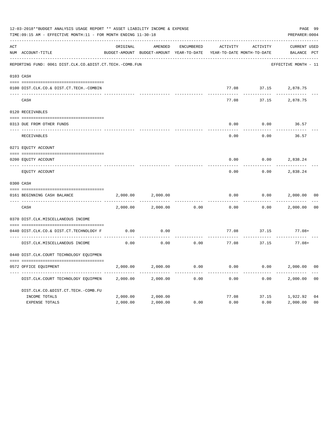|     | 12-03-2018**BUDGET ANALYSIS USAGE REPORT ** ASSET LIABILITY INCOME & EXPENSE<br>TIME: 09:15 AM - EFFECTIVE MONTH: 11 - FOR MONTH ENDING 11-30-18 |          |                                                     |            |          |                                        | PAGE 99<br>PREPARER: 0004          |                |
|-----|--------------------------------------------------------------------------------------------------------------------------------------------------|----------|-----------------------------------------------------|------------|----------|----------------------------------------|------------------------------------|----------------|
| ACT | NUM ACCOUNT-TITLE                                                                                                                                | ORIGINAL | AMENDED<br>BUDGET-AMOUNT BUDGET-AMOUNT YEAR-TO-DATE | ENCUMBERED | ACTIVITY | ACTIVITY<br>YEAR-TO-DATE MONTH-TO-DATE | <b>CURRENT USED</b><br>BALANCE PCT |                |
|     | REPORTING FUND: 0061 DIST.CLK.CO.&DIST.CT.TECH.-COMB.FUN                                                                                         |          |                                                     |            |          |                                        | EFFECTIVE MONTH - 11               |                |
|     | 0103 CASH                                                                                                                                        |          |                                                     |            |          |                                        |                                    |                |
|     | 0100 DIST.CLK.CO.& DIST.CT.TECH.-COMBIN                                                                                                          |          |                                                     |            | 77.08    |                                        | 37.15 2,878.75                     |                |
|     | CASH                                                                                                                                             |          |                                                     |            | 77.08    | 37.15                                  | 2,878.75                           |                |
|     | 0120 RECEIVABLES                                                                                                                                 |          |                                                     |            |          |                                        |                                    |                |
|     | 0313 DUE FROM OTHER FUNDS                                                                                                                        |          |                                                     |            | 0.00     | 0.00                                   | 36.57                              |                |
|     | RECEIVABLES                                                                                                                                      |          |                                                     |            | 0.00     | 0.00                                   | 36.57                              |                |
|     | 0271 EQUITY ACCOUNT                                                                                                                              |          |                                                     |            |          |                                        |                                    |                |
|     | 0200 EQUITY ACCOUNT                                                                                                                              |          |                                                     |            | 0.00     | 0.00                                   | 2,838.24                           |                |
|     | _____ _________________<br>EQUITY ACCOUNT                                                                                                        |          |                                                     |            | 0.00     | 0.00                                   | 2,838.24                           |                |
|     | 0300 CASH                                                                                                                                        |          |                                                     |            |          |                                        |                                    |                |
|     | 0161 BEGINNING CASH BALANCE                                                                                                                      | 2,000.00 | 2,000.00                                            |            | 0.00     | 0.00                                   | 2,000.00                           | 0 <sup>0</sup> |
|     | CASH                                                                                                                                             | 2,000.00 | 2,000.00                                            | 0.00       | 0.00     | 0.00                                   | 2,000.00                           | 0 <sub>0</sub> |
|     | 0370 DIST.CLK.MISCELLANEOUS INCOME                                                                                                               |          |                                                     |            |          |                                        |                                    |                |
|     | 0440 DIST.CLK.CO.& DIST.CT.TECHNOLOGY F                                                                                                          | 0.00     | 0.00                                                |            | 77.08    | 37.15                                  | 77.08+                             |                |
|     | DIST.CLK.MISCELLANEOUS INCOME                                                                                                                    | 0.00     | 0.00                                                | 0.00       | 77.08    | 37.15                                  | 77.08+                             |                |
|     | 0440 DIST.CLK.COURT TECHNOLOGY EQUIPMEN                                                                                                          |          |                                                     |            |          |                                        |                                    |                |
|     | 0572 OFFICE EQUIPMENT                                                                                                                            | 2,000.00 | 2,000.00                                            | 0.00       | 0.00     | 0.00                                   | 2,000.00                           | 0 <sub>0</sub> |
|     | DIST.CLK.COURT TECHNOLOGY EQUIPMEN                                                                                                               | 2,000.00 | 2,000.00                                            | 0.00       | 0.00     | 0.00                                   | 2,000.00                           | 0 <sub>0</sub> |
|     | DIST.CLK.CO.&DIST.CT.TECH.-COMB.FU                                                                                                               |          |                                                     |            |          |                                        |                                    |                |
|     | INCOME TOTALS                                                                                                                                    | 2,000.00 | 2,000.00                                            |            | 77.08    |                                        | 37.15 1,922.92                     | 04             |
|     | <b>EXPENSE TOTALS</b>                                                                                                                            | 2,000.00 | 2,000.00                                            | 0.00       | 0.00     | 0.00                                   | 2,000.00                           | 0 <sub>0</sub> |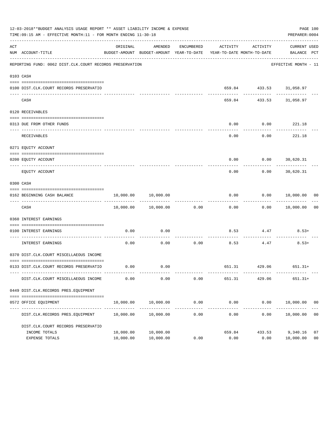|     | 12-03-2018**BUDGET ANALYSIS USAGE REPORT ** ASSET LIABILITY INCOME & EXPENSE<br>TIME:09:15 AM - EFFECTIVE MONTH:11 - FOR MONTH ENDING 11-30-18 |                        |                                |            |                            |                                                                                                      | PAGE 100<br>PREPARER: 0004 |                      |
|-----|------------------------------------------------------------------------------------------------------------------------------------------------|------------------------|--------------------------------|------------|----------------------------|------------------------------------------------------------------------------------------------------|----------------------------|----------------------|
| ACT | NUM ACCOUNT-TITLE                                                                                                                              | ORIGINAL               | AMENDED                        | ENCUMBERED |                            | ACTIVITY ACTIVITY<br>BUDGET-AMOUNT BUDGET-AMOUNT YEAR-TO-DATE YEAR-TO-DATE MONTH-TO-DATE BALANCE PCT | CURRENT USED               |                      |
|     | REPORTING FUND: 0062 DIST.CLK.COURT RECORDS PRESERVATION                                                                                       |                        |                                |            |                            |                                                                                                      | EFFECTIVE MONTH - 11       |                      |
|     | 0103 CASH                                                                                                                                      |                        |                                |            |                            |                                                                                                      |                            |                      |
|     | 0100 DIST.CLK.COURT RECORDS PRESERVATIO                                                                                                        |                        |                                |            |                            | 659.84 433.53 31,058.97                                                                              |                            |                      |
|     | CASH                                                                                                                                           |                        |                                |            |                            | 659.84 433.53 31,058.97                                                                              |                            |                      |
|     | 0120 RECEIVABLES                                                                                                                               |                        |                                |            |                            |                                                                                                      |                            |                      |
|     | 0313 DUE FROM OTHER FUNDS                                                                                                                      |                        |                                |            | 0.00                       | $0.00$ 221.18                                                                                        |                            |                      |
|     | RECEIVABLES                                                                                                                                    |                        |                                |            | 0.00                       | ----------<br>$0.00$ 221.18                                                                          | -----------                |                      |
|     | 0271 EQUITY ACCOUNT                                                                                                                            |                        |                                |            |                            |                                                                                                      |                            |                      |
|     | 0200 EQUITY ACCOUNT                                                                                                                            |                        |                                |            |                            | $0.00$ $0.00$ $30,620.31$                                                                            |                            |                      |
|     | EQUITY ACCOUNT                                                                                                                                 |                        |                                |            | 0.00                       | 0.00                                                                                                 | . <u>.</u> .<br>30,620.31  |                      |
|     | 0300 CASH                                                                                                                                      |                        |                                |            |                            |                                                                                                      |                            |                      |
|     | 0162 BEGINNING CASH BALANCE                                                                                                                    |                        | 10,000.00    10,000.00         |            |                            | $0.00$ $0.00$ $10,000.00$ $00$<br>-----------                                                        | ------------               |                      |
|     | CASH                                                                                                                                           |                        | 10,000.00    10,000.00    0.00 |            |                            | $0.00$ $0.00$ $10,000.00$                                                                            |                            | 0 <sub>0</sub>       |
|     | 0360 INTEREST EARNINGS                                                                                                                         |                        |                                |            |                            |                                                                                                      |                            |                      |
|     | 0100 INTEREST EARNINGS                                                                                                                         | 0.00                   | 0.00                           |            |                            | $8.53$ $4.47$ $8.53+$                                                                                |                            |                      |
|     | ---- --------------<br>INTEREST EARNINGS                                                                                                       | 0.00                   | 0.00                           | 0.00       | ----------- -------------- | ---------- -<br>8.53 4.47                                                                            | $8.53+$                    |                      |
|     | 0370 DIST.CLK.COURT MISCELLAEOUS INCOME                                                                                                        |                        |                                |            |                            |                                                                                                      |                            |                      |
|     | 0133 DIST.CLK.COURT RECORDS PRESERVATIO                                                                                                        |                        | $0.00$ 0.00                    |            |                            | 651.31 429.06 651.31+                                                                                |                            |                      |
|     | DIST.CLK.COURT MISCELLAEOUS INCOME                                                                                                             | 0.00                   | 0.00                           | 0.00       | 651.31                     | 429.06                                                                                               | $651.31+$                  |                      |
|     | 0449 DIST.CLK.RECORDS PRES.EQUIPMENT                                                                                                           |                        |                                |            |                            |                                                                                                      |                            |                      |
|     | 0572 OFFICE EQUIPMENT                                                                                                                          | 10,000.00              | 10,000.00                      | 0.00       | 0.00<br>------------       | 0.00                                                                                                 | 10,000.00                  | 00                   |
|     | DIST.CLK.RECORDS PRES.EQUIPMENT                                                                                                                | 10,000.00              | 10,000.00                      | 0.00       | 0.00                       | 0.00                                                                                                 | 10,000.00                  | 0 <sub>0</sub>       |
|     | DIST.CLK.COURT RECORDS PRESERVATIO                                                                                                             |                        |                                |            |                            |                                                                                                      |                            |                      |
|     | INCOME TOTALS<br>EXPENSE TOTALS                                                                                                                | 10,000.00<br>10,000.00 | 10,000.00<br>10,000.00         | 0.00       | 659.84<br>0.00             | 433.53<br>0.00                                                                                       | 9,340.16<br>10,000.00      | 07<br>0 <sub>0</sub> |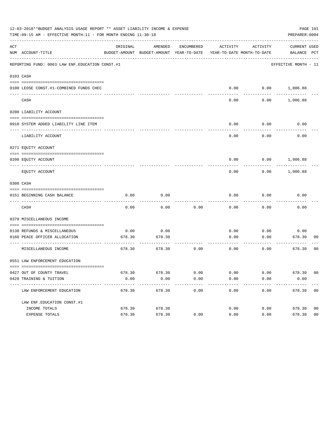|     | 12-03-2018**BUDGET ANALYSIS USAGE REPORT ** ASSET LIABILITY INCOME & EXPENSE<br>TIME:09:15 AM - EFFECTIVE MONTH:11 - FOR MONTH ENDING 11-30-18 |          |                                                     |            |          |                                        | PAGE 101<br>PREPARER: 0004         |
|-----|------------------------------------------------------------------------------------------------------------------------------------------------|----------|-----------------------------------------------------|------------|----------|----------------------------------------|------------------------------------|
| ACT | NUM ACCOUNT-TITLE                                                                                                                              | ORIGINAL | AMENDED<br>BUDGET-AMOUNT BUDGET-AMOUNT YEAR-TO-DATE | ENCUMBERED | ACTIVITY | ACTIVITY<br>YEAR-TO-DATE MONTH-TO-DATE | <b>CURRENT USED</b><br>BALANCE PCT |
|     | REPORTING FUND: 0063 LAW ENF. EDUCATION CONST.#1                                                                                               |          |                                                     |            |          |                                        | EFFECTIVE MONTH - 11               |
|     | 0103 CASH                                                                                                                                      |          |                                                     |            |          |                                        |                                    |
|     | 0100 LEOSE CONST.#1-COMBINED FUNDS CHEC                                                                                                        |          |                                                     |            |          |                                        | $0.00$ $0.00$ $1,006.88$           |
|     | CASH                                                                                                                                           |          |                                                     |            | 0.00     | 0.00                                   | 1,006.88                           |
|     | 0200 LIABILITY ACCOUNT                                                                                                                         |          |                                                     |            |          |                                        |                                    |
|     | 0910 SYSTEM ADDED LIABILITY LINE ITEM                                                                                                          |          |                                                     |            | 0.00     | 0.00                                   | 0.00                               |
|     | LIABILITY ACCOUNT                                                                                                                              |          |                                                     |            | 0.00     | 0.00                                   | 0.00                               |
|     | 0271 EQUITY ACCOUNT                                                                                                                            |          |                                                     |            |          |                                        |                                    |
|     | 0200 EQUITY ACCOUNT                                                                                                                            |          |                                                     |            | 0.00     | 0.00                                   | 1,006.88                           |
|     | EQUITY ACCOUNT                                                                                                                                 |          |                                                     |            | 0.00     | 0.00                                   | 1,006.88                           |
|     | 0300 CASH                                                                                                                                      |          |                                                     |            |          |                                        |                                    |
|     | 0151 BEGINNING CASH BALANCE                                                                                                                    | 0.00     | 0.00                                                |            | 0.00     | 0.00                                   | 0.00                               |
|     | CASH                                                                                                                                           | 0.00     | 0.00                                                | 0.00       | 0.00     | 0.00                                   | 0.00                               |
|     | 0370 MISCELLANEOUS INCOME                                                                                                                      |          |                                                     |            |          |                                        |                                    |
|     | 0130 REFUNDS & MISCELLANEOUS                                                                                                                   | 0.00     | 0.00                                                |            | 0.00     | 0.00                                   | 0.00                               |
|     | 0160 PEACE OFFICER ALLOCATION                                                                                                                  | 678.30   | 678.30                                              |            | 0.00     | 0.00                                   | 678.30<br>00                       |
|     | MISCELLANEOUS INCOME                                                                                                                           | 678.30   | 678.30                                              | 0.00       | 0.00     | 0.00                                   | 678.30<br>0 <sub>0</sub>           |
|     | 0551 LAW ENFORCEMENT EDUCATION                                                                                                                 |          |                                                     |            |          |                                        |                                    |
|     | 0427 OUT OF COUNTY TRAVEL                                                                                                                      |          | 678.30 678.30                                       | 0.00       | 0.00     | 0.00                                   | 678.30 00                          |
|     | 0428 TRAINING & TUITION<br>--------------------------------                                                                                    | 0.00     | 0.00                                                | 0.00       | 0.00     | 0.00                                   | 0.00                               |
|     | LAW ENFORCEMENT EDUCATION                                                                                                                      | 678.30   | 678.30                                              | 0.00       | 0.00     | 0.00                                   | 678.30 00                          |
|     | LAW ENF. EDUCATION CONST. #1                                                                                                                   |          |                                                     |            |          |                                        |                                    |
|     | INCOME TOTALS                                                                                                                                  | 678.30   | 678.30                                              |            | 0.00     |                                        | 0.00<br>678.30<br>0 <sub>0</sub>   |
|     | EXPENSE TOTALS                                                                                                                                 | 678.30   | 678.30                                              | 0.00       | 0.00     | 0.00                                   | 0 <sub>0</sub><br>678.30           |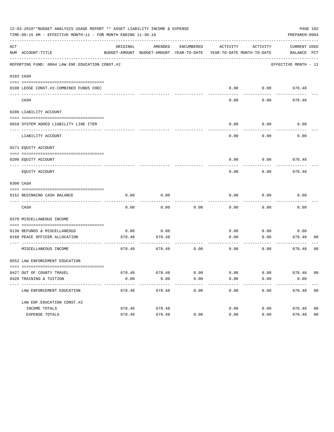|              | 12-03-2018**BUDGET ANALYSIS USAGE REPORT ** ASSET LIABILITY INCOME & EXPENSE<br>TIME:09:15 AM - EFFECTIVE MONTH:11 - FOR MONTH ENDING 11-30-18 |                |                                                                                |            |              |                   | PAGE 102<br>PREPARER: 0004         |                |
|--------------|------------------------------------------------------------------------------------------------------------------------------------------------|----------------|--------------------------------------------------------------------------------|------------|--------------|-------------------|------------------------------------|----------------|
| ACT          | NUM ACCOUNT-TITLE                                                                                                                              | ORIGINAL       | AMENDED<br>BUDGET-AMOUNT BUDGET-AMOUNT YEAR-TO-DATE YEAR-TO-DATE MONTH-TO-DATE | ENCUMBERED | ACTIVITY     | ACTIVITY          | <b>CURRENT USED</b><br>BALANCE PCT |                |
|              | REPORTING FUND: 0064 LAW ENF. EDUCATION CONST. #2                                                                                              |                |                                                                                |            |              |                   | EFFECTIVE MONTH - 11               |                |
|              | 0103 CASH                                                                                                                                      |                |                                                                                |            |              |                   |                                    |                |
|              | 0100 LEOSE CONST.#2-COMBINED FUNDS CHEC                                                                                                        |                |                                                                                |            | 0.00         |                   | $0.00$ 678.48                      |                |
| $----------$ | CASH                                                                                                                                           |                |                                                                                |            | 0.00         | 0.00              | 678.48                             |                |
|              | 0200 LIABILITY ACCOUNT                                                                                                                         |                |                                                                                |            |              |                   |                                    |                |
|              | 0910 SYSTEM ADDED LIABILITY LINE ITEM                                                                                                          |                |                                                                                |            | 0.00         | 0.00<br>--------- | 0.00                               |                |
|              | LIABILITY ACCOUNT                                                                                                                              |                |                                                                                |            | 0.00         | 0.00              | 0.00                               |                |
|              | 0271 EQUITY ACCOUNT                                                                                                                            |                |                                                                                |            |              |                   |                                    |                |
|              | 0200 EQUITY ACCOUNT<br>-------------------- --------                                                                                           |                |                                                                                |            |              |                   | $0.00$ $0.00$ $678.48$             |                |
|              | EQUITY ACCOUNT                                                                                                                                 |                |                                                                                |            | 0.00         | 0.00              | 678.48                             |                |
|              | 0300 CASH                                                                                                                                      |                |                                                                                |            |              |                   |                                    |                |
|              | 0152 BEGINNING CASH BALANCE<br>______________________________________                                                                          | 0.00           | 0.00                                                                           |            | 0.00         | 0.00              | 0.00                               |                |
|              | CASH                                                                                                                                           | 0.00           | 0.00                                                                           | 0.00       | 0.00         | 0.00              | 0.00                               |                |
|              | 0370 MISCELLANEOUS INCOME                                                                                                                      |                |                                                                                |            |              |                   |                                    |                |
|              |                                                                                                                                                |                |                                                                                |            |              |                   |                                    |                |
|              | 0130 REFUNDS & MISCELLANEOUS<br>0160 PEACE OFFICER ALLOCATION                                                                                  | 0.00<br>678.48 | 0.00<br>678.48                                                                 |            | 0.00<br>0.00 | 0.00<br>0.00      | 0.00<br>678.48                     | 00             |
|              |                                                                                                                                                |                | -----------<br>678.48                                                          |            |              | 0.00              | .                                  | 0 <sub>0</sub> |
|              | MISCELLANEOUS INCOME                                                                                                                           | 678.48         |                                                                                | 0.00       | 0.00         |                   | 678.48                             |                |
|              | 0552 LAW ENFORCEMENT EDUCATION                                                                                                                 |                |                                                                                |            |              |                   |                                    |                |
|              |                                                                                                                                                |                |                                                                                |            |              |                   |                                    |                |
|              | 0427 OUT OF COUNTY TRAVEL                                                                                                                      | 678.48         | 678.48                                                                         | 0.00       | 0.00         | 0.00              | 678.48 00                          |                |
|              | 0428 TRAINING & TUITION<br>----------------------------                                                                                        | 0.00           | 0.00<br>-------                                                                | 0.00       | 0.00         | 0.00              | 0.00                               |                |
|              | LAW ENFORCEMENT EDUCATION                                                                                                                      | 678.48         | 678.48                                                                         | 0.00       | 0.00         | 0.00              | 678.48 00                          |                |
|              | LAW ENF. EDUCATION CONST. #2                                                                                                                   |                |                                                                                |            |              |                   |                                    |                |
|              | INCOME TOTALS                                                                                                                                  | 678.48         | 678.48                                                                         |            | 0.00         | 0.00              | 678.48                             | 0 <sub>0</sub> |
|              | EXPENSE TOTALS                                                                                                                                 | 678.48         | 678.48                                                                         | 0.00       | 0.00         | 0.00              | 678.48                             | 0 <sub>0</sub> |
|              |                                                                                                                                                |                |                                                                                |            |              |                   |                                    |                |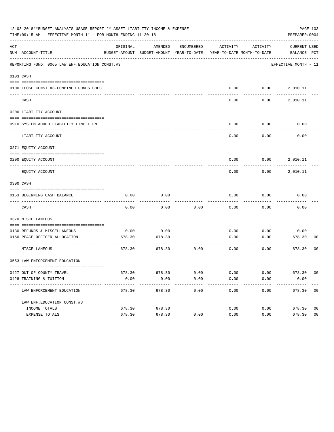|          | 12-03-2018**BUDGET ANALYSIS USAGE REPORT ** ASSET LIABILITY INCOME & EXPENSE<br>TIME:09:15 AM - EFFECTIVE MONTH:11 - FOR MONTH ENDING 11-30-18 |          |                                                                                |            |          |                          | PAGE 103<br>PREPARER: 0004            |  |
|----------|------------------------------------------------------------------------------------------------------------------------------------------------|----------|--------------------------------------------------------------------------------|------------|----------|--------------------------|---------------------------------------|--|
| ACT      | NUM ACCOUNT-TITLE                                                                                                                              | ORIGINAL | AMENDED<br>BUDGET-AMOUNT BUDGET-AMOUNT YEAR-TO-DATE YEAR-TO-DATE MONTH-TO-DATE | ENCUMBERED | ACTIVITY | ACTIVITY                 | CURRENT USED<br>BALANCE PCT           |  |
|          | REPORTING FUND: 0065 LAW ENF. EDUCATION CONST.#3                                                                                               |          |                                                                                |            |          |                          | EFFECTIVE MONTH - 11                  |  |
|          | 0103 CASH                                                                                                                                      |          |                                                                                |            |          |                          |                                       |  |
|          |                                                                                                                                                |          |                                                                                |            |          |                          |                                       |  |
|          | 0100 LEOSE CONST.#3-COMBINED FUNDS CHEC                                                                                                        |          |                                                                                |            |          | $0.00$ $0.00$ $2,010.11$ |                                       |  |
| ---- --- | CASH                                                                                                                                           |          |                                                                                |            | 0.00     | 0.00                     | 2,010.11                              |  |
|          | 0200 LIABILITY ACCOUNT                                                                                                                         |          |                                                                                |            |          |                          |                                       |  |
|          |                                                                                                                                                |          |                                                                                |            |          |                          |                                       |  |
|          | 0910 SYSTEM ADDED LIABILITY LINE ITEM                                                                                                          |          |                                                                                |            | 0.00     | 0.00                     | 0.00                                  |  |
|          | LIABILITY ACCOUNT                                                                                                                              |          |                                                                                |            | 0.00     | 0.00                     | 0.00                                  |  |
|          | 0271 EQUITY ACCOUNT                                                                                                                            |          |                                                                                |            |          |                          |                                       |  |
|          | 0200 EQUITY ACCOUNT                                                                                                                            |          |                                                                                |            |          | $0.00$ $0.00$ $2,010.11$ |                                       |  |
|          | EQUITY ACCOUNT                                                                                                                                 |          |                                                                                |            | 0.00     | 0.00                     | 2,010.11                              |  |
|          | 0300 CASH                                                                                                                                      |          |                                                                                |            |          |                          |                                       |  |
|          |                                                                                                                                                |          |                                                                                |            |          |                          |                                       |  |
|          | 0153 BEGINNING CASH BALANCE                                                                                                                    | 0.00     | 0.00                                                                           |            | 0.00     | 0.00                     | 0.00                                  |  |
|          | CASH                                                                                                                                           | 0.00     | 0.00                                                                           | 0.00       | 0.00     | 0.00                     | 0.00                                  |  |
|          | 0370 MISCELLANEOUS                                                                                                                             |          |                                                                                |            |          |                          |                                       |  |
|          | 0130 REFUNDS & MISCELLANEOUS                                                                                                                   | 0.00     | 0.00                                                                           |            | 0.00     | 0.00                     | 0.00                                  |  |
|          | 0160 PEACE OFFICER ALLOCATION                                                                                                                  | 678.30   | 678.30                                                                         |            | 0.00     | 0.00                     | 678.30<br>00                          |  |
|          | MISCELLANEOUS                                                                                                                                  | 678.30   | 678.30                                                                         | 0.00       | 0.00     | 0.00                     | ---------<br>0 <sub>0</sub><br>678.30 |  |
|          | 0553 LAW ENFORCEMENT EDUCATION                                                                                                                 |          |                                                                                |            |          |                          |                                       |  |
|          | 0427 OUT OF COUNTY TRAVEL                                                                                                                      | 678.30   | 678.30                                                                         | 0.00       | 0.00     | 0.00                     | 678.30 00                             |  |
|          | 0428 TRAINING & TUITION                                                                                                                        | 0.00     | 0.00                                                                           | 0.00       | 0.00     | 0.00                     | 0.00                                  |  |
|          | LAW ENFORCEMENT EDUCATION                                                                                                                      | 678.30   | 678.30                                                                         | 0.00       | 0.00     | 0.00                     | 678.30 00                             |  |
|          | LAW ENF. EDUCATION CONST. #3                                                                                                                   |          |                                                                                |            |          |                          |                                       |  |
|          | INCOME TOTALS                                                                                                                                  | 678.30   | 678.30                                                                         |            | 0.00     | 0.00                     | 678.30<br>0 <sub>0</sub>              |  |
|          | EXPENSE TOTALS                                                                                                                                 | 678.30   | 678.30                                                                         | 0.00       | 0.00     | 0.00                     | 0 <sub>0</sub><br>678.30              |  |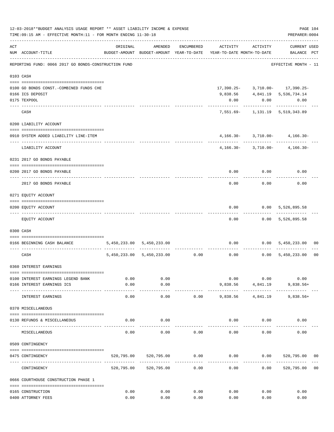|     | 12-03-2018**BUDGET ANALYSIS USAGE REPORT ** ASSET LIABILITY INCOME & EXPENSE<br>TIME: 09:15 AM - EFFECTIVE MONTH: 11 - FOR MONTH ENDING 11-30-18 |                       |                           |                     |                                                                                          |                         | PAGE 104<br>PREPARER: 0004           |                |
|-----|--------------------------------------------------------------------------------------------------------------------------------------------------|-----------------------|---------------------------|---------------------|------------------------------------------------------------------------------------------|-------------------------|--------------------------------------|----------------|
| ACT | NUM ACCOUNT-TITLE                                                                                                                                | ORIGINAL              | AMENDED                   | ENCUMBERED          | ACTIVITY ACTIVITY<br>BUDGET-AMOUNT BUDGET-AMOUNT YEAR-TO-DATE YEAR-TO-DATE MONTH-TO-DATE |                         | CURRENT USED<br>BALANCE PCT          |                |
|     | REPORTING FUND: 0066 2017 GO BONDS-CONSTRUCTION FUND                                                                                             |                       |                           |                     |                                                                                          |                         | EFFECTIVE MONTH - 11                 |                |
|     | 0103 CASH                                                                                                                                        |                       |                           |                     |                                                                                          |                         |                                      |                |
|     | 0100 GO BONDS CONST. - COMBINED FUNDS CHE                                                                                                        |                       |                           |                     |                                                                                          |                         | $17,390.25 - 3,710.00 - 17,390.25 -$ |                |
|     | 0166 ICS DEPOSIT                                                                                                                                 |                       |                           |                     |                                                                                          |                         | 9,838.56 4,841.19 5,536,734.14       |                |
|     | 0175 TEXPOOL                                                                                                                                     |                       |                           |                     | 0.00                                                                                     | 0.00                    | 0.00                                 |                |
|     | CASH                                                                                                                                             |                       |                           |                     |                                                                                          |                         | 7,551.69- 1,131.19 5,519,343.89      |                |
|     | 0200 LIABILITY ACCOUNT                                                                                                                           |                       |                           |                     |                                                                                          |                         |                                      |                |
|     | 0910 SYSTEM ADDED LIABILITY LINE-ITEM                                                                                                            |                       |                           |                     |                                                                                          |                         | $4,166.30 - 3,710.00 - 4,166.30 -$   |                |
|     | LIABILITY ACCOUNT                                                                                                                                |                       |                           |                     |                                                                                          |                         | $4,166.30 - 3,710.00 - 4,166.30 -$   |                |
|     | 0231 2017 GO BONDS PAYABLE                                                                                                                       |                       |                           |                     |                                                                                          |                         |                                      |                |
|     | 0200 2017 GO BONDS PAYABLE                                                                                                                       |                       |                           |                     |                                                                                          |                         | $0.00$ $0.00$ $0.00$                 |                |
|     | 2017 GO BONDS PAYABLE                                                                                                                            |                       |                           |                     |                                                                                          | $0.00$ 0.00             | 0.00                                 |                |
|     | 0271 EQUITY ACCOUNT                                                                                                                              |                       |                           |                     |                                                                                          |                         |                                      |                |
|     | 0200 EQUITY ACCOUNT                                                                                                                              |                       |                           |                     | 0.00                                                                                     |                         | 0.00 5,526,895.58                    |                |
|     | EQUITY ACCOUNT                                                                                                                                   |                       |                           |                     | 0.00                                                                                     |                         | ------------<br>$0.00$ 5,526,895.58  |                |
|     | 0300 CASH                                                                                                                                        |                       |                           |                     |                                                                                          |                         |                                      |                |
|     | 0166 BEGINNING CASH BALANCE                                                                                                                      |                       | 5,450,233.00 5,450,233.00 |                     |                                                                                          |                         | $0.00$ $0.00$ $5,450,233.00$         | 00             |
|     | CASH                                                                                                                                             |                       |                           |                     | 5,450,233.00 5,450,233.00 0.00 0.00 0.00 0.00 5,450,233.00                               | ----------              |                                      | 0 <sub>0</sub> |
|     | 0360 INTEREST EARNINGS                                                                                                                           |                       |                           |                     |                                                                                          |                         |                                      |                |
|     | 0100 INTEREST EARNINGS LEGEND BANK                                                                                                               | 0.00                  | 0.00                      |                     | 0.00                                                                                     | 0.00                    | 0.00                                 |                |
|     | 0166 INTEREST EARNINGS ICS                                                                                                                       | 0.00                  | 0.00                      |                     | 9,838.56                                                                                 | 4,841.19                | $9,838.56+$                          |                |
|     | INTEREST EARNINGS                                                                                                                                | $- - - - - -$<br>0.00 | ----------<br>0.00        | 0.00                | -----------<br>9,838.56                                                                  | -----------<br>4,841.19 | $9,838.56+$                          |                |
|     | 0370 MISCELLANEOUS                                                                                                                               |                       |                           |                     |                                                                                          |                         |                                      |                |
|     | 0130 REFUNDS & MISCELLANEOUS                                                                                                                     | 0.00                  | 0.00                      |                     |                                                                                          | 0.00<br>0.00            | 0.00                                 |                |
|     | MISCELLANEOUS                                                                                                                                    | 0.00                  | 0.00                      | 0.00                | 0.00                                                                                     | 0.00                    | 0.00                                 |                |
|     | 0509 CONTINGENCY                                                                                                                                 |                       |                           |                     |                                                                                          |                         |                                      |                |
|     | 0475 CONTINGENCY                                                                                                                                 |                       | 520,795.00 520,795.00     | 0.00                |                                                                                          |                         | $0.00$ $0.00$ $520,795.00$ $00$      |                |
|     | CONTINGENCY                                                                                                                                      | 520,795.00            | 520,795.00                | -----------<br>0.00 | ----------<br>0.00                                                                       | 0.00                    | 520,795.00                           | 0 <sub>0</sub> |
|     | 0666 COURTHOUSE CONSTRUCTION PHASE 1                                                                                                             |                       |                           |                     |                                                                                          |                         |                                      |                |
|     | 0165 CONSTRUCTION                                                                                                                                | 0.00                  | 0.00                      | 0.00                | 0.00                                                                                     | 0.00                    | 0.00                                 |                |
|     | 0400 ATTORNEY FEES                                                                                                                               | 0.00                  | 0.00                      | 0.00                | 0.00                                                                                     | 0.00                    | 0.00                                 |                |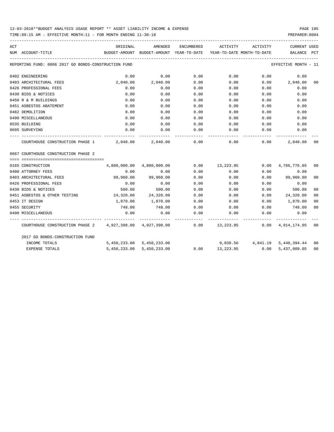## 12-03-2018\*\*BUDGET ANALYSIS USAGE REPORT \*\* ASSET LIABILITY INCOME & EXPENSE PAGE 105

TIME:09:15 AM - EFFECTIVE MONTH:11 - FOR MONTH ENDING 11-30-18 PREPARER:0004

| ACT |                                                                                               | ORIGINAL                                                                        | AMENDED                    | ENCUMBERED | ACTIVITY  | ACTIVITY                             | CURRENT USED         |                |
|-----|-----------------------------------------------------------------------------------------------|---------------------------------------------------------------------------------|----------------------------|------------|-----------|--------------------------------------|----------------------|----------------|
|     | NUM ACCOUNT-TITLE                                                                             | BUDGET-AMOUNT BUDGET-AMOUNT YEAR-TO-DATE YEAR-TO-DATE MONTH-TO-DATE BALANCE PCT |                            |            |           |                                      |                      |                |
|     | REPORTING FUND: 0066 2017 GO BONDS-CONSTRUCTION FUND                                          |                                                                                 |                            |            |           |                                      | EFFECTIVE MONTH - 11 |                |
|     | 0402 ENGINEERING                                                                              | 0.00                                                                            | 0.00                       | 0.00       | 0.00      | 0.00                                 | 0.00                 |                |
|     | 0403 ARCHITECTURAL FEES                                                                       | 2,040.00                                                                        | 2,040.00                   | 0.00       | 0.00      |                                      | $0.00$ 2,040.00      | 0 <sub>0</sub> |
|     | 0426 PROFESSIONAL FEES                                                                        | 0.00                                                                            | 0.00                       | 0.00       | 0.00      | 0.00                                 | 0.00                 |                |
|     | 0430 BIDS & NOTICES                                                                           | 0.00                                                                            | 0.00                       | 0.00       | 0.00      | 0.00                                 | 0.00                 |                |
|     | 0450 R & M BUILDINGS                                                                          | 0.00                                                                            | 0.00                       | 0.00       | 0.00      | 0.00                                 | 0.00                 |                |
|     | 0451 ASBESTOS ABATEMENT                                                                       | 0.00                                                                            | 0.00                       | 0.00       | 0.00      | 0.00                                 | 0.00                 |                |
|     | 0482 DEMOLITION                                                                               | 0.00                                                                            | 0.00                       | 0.00       | 0.00      | 0.00                                 | 0.00                 |                |
|     | 0490 MISCELLANEOUS                                                                            | 0.00                                                                            | 0.00                       | 0.00       | 0.00      | 0.00                                 | 0.00                 |                |
|     | 0535 BUILDING                                                                                 | 0.00                                                                            | 0.00                       | 0.00       | 0.00      | 0.00                                 | 0.00                 |                |
|     | 0695 SURVEYING                                                                                | 0.00                                                                            | 0.00                       | 0.00       | 0.00      | 0.00                                 | 0.00                 |                |
|     | COURTHOUSE CONSTRUCTION PHASE $1$ $2,040.00$ $2,040.00$ $0.00$ $0.00$ $0.00$ $0.00$           |                                                                                 |                            |            |           |                                      | 2,040.00             | 0 <sub>0</sub> |
|     | 0667 COURTHOUSE CONSTRUCTION PHASE 2                                                          |                                                                                 |                            |            |           |                                      |                      |                |
|     | 0165 CONSTRUCTION                                                                             |                                                                                 | 4,800,000.00  4,800,000.00 |            |           | $0.00$ 13,223.95 0.00 4,786,776.05   |                      | 00             |
|     | 0400 ATTORNEY FEES                                                                            | 0.00                                                                            | 0.00                       | 0.00       | 0.00      | 0.00                                 | 0.00                 |                |
|     | 0403 ARCHITECTURAL FEES                                                                       | 99,960.00                                                                       | 99,960.00                  | 0.00       | 0.00      |                                      | $0.00$ 99,960.00     | 0 <sub>0</sub> |
|     | 0426 PROFESSIONAL FEES                                                                        | 0.00                                                                            | 0.00                       | 0.00       | 0.00      | 0.00                                 | 0.00                 |                |
|     | 0430 BIDS & NOTICES                                                                           | 500.00                                                                          | 500.00                     | 0.00       | 0.00      | 0.00                                 | 500.00               | 0 <sub>0</sub> |
|     | 0451 ASBESTOS & OTHER TESTING                                                                 | 24,320.00 24,320.00                                                             |                            | 0.00       | 0.00      | 0.00                                 | 24,320.00            | 0 <sub>0</sub> |
|     | 0453 IT DESIGN                                                                                | 1,870.00                                                                        | 1,870.00                   | 0.00       |           | $0.00$ 0.00                          | 1,870.00             | 0 <sub>0</sub> |
|     | 0455 SECURITY                                                                                 | 748.00                                                                          | 748.00                     |            |           | $0.00$ $0.00$ $0.00$ $0.00$          | 748.00               | 0 <sub>0</sub> |
|     | 0490 MISCELLANEOUS                                                                            | 0.00                                                                            | 0.00                       | 0.00       | 0.00      | 0.00                                 | 0.00                 |                |
|     | COURTHOUSE CONSTRUCTION PHASE 2 4,927,398.00 4,927,398.00 0.00 13,223.95 0.00 4,914,174.05 00 |                                                                                 |                            |            |           |                                      |                      |                |
|     | 2017 GO BONDS-CONSTRUCTION FUND                                                               |                                                                                 |                            |            |           |                                      |                      |                |
|     | INCOME TOTALS                                                                                 |                                                                                 | 5,450,233.00 5,450,233.00  |            |           | 9,838.56  4,841.19  5,440,394.44  00 |                      |                |
|     | <b>EXPENSE TOTALS</b>                                                                         |                                                                                 | 5,450,233.00 5,450,233.00  | 0.00       | 13,223.95 |                                      | 0.00 5,437,009.05    | 0 <sub>0</sub> |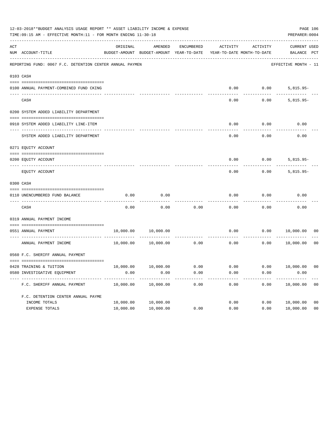|           | 12-03-2018**BUDGET ANALYSIS USAGE REPORT ** ASSET LIABILITY INCOME & EXPENSE<br>TIME: 09:15 AM - EFFECTIVE MONTH: 11 - FOR MONTH ENDING 11-30-18<br>PREPARER: 0004 |           |                                                     |            |                                        |          |                                    |                |  |
|-----------|--------------------------------------------------------------------------------------------------------------------------------------------------------------------|-----------|-----------------------------------------------------|------------|----------------------------------------|----------|------------------------------------|----------------|--|
| ACT       | NUM ACCOUNT-TITLE                                                                                                                                                  | ORIGINAL  | AMENDED<br>BUDGET-AMOUNT BUDGET-AMOUNT YEAR-TO-DATE | ENCUMBERED | ACTIVITY<br>YEAR-TO-DATE MONTH-TO-DATE | ACTIVITY | <b>CURRENT USED</b><br>BALANCE PCT |                |  |
|           | REPORTING FUND: 0067 F.C. DETENTION CENTER ANNUAL PAYMEN                                                                                                           |           |                                                     |            |                                        |          | EFFECTIVE MONTH - 11               |                |  |
| 0103 CASH |                                                                                                                                                                    |           |                                                     |            |                                        |          |                                    |                |  |
|           | 0100 ANNUAL PAYMENT-COMBINED FUND CKING                                                                                                                            |           |                                                     |            | 0.00                                   | 0.00     | $5,815.95-$                        |                |  |
|           | CASH                                                                                                                                                               |           |                                                     |            | 0.00                                   | 0.00     | $5,815.95-$                        |                |  |
|           | 0200 SYSTEM ADDED LIABILITY DEPARTMENT                                                                                                                             |           |                                                     |            |                                        |          |                                    |                |  |
|           | 0910 SYSTEM ADDED LIABILITY LINE-ITEM                                                                                                                              |           |                                                     |            | 0.00                                   | 0.00     | 0.00                               |                |  |
|           | SYSTEM ADDED LIABILITY DEPARTMENT                                                                                                                                  |           |                                                     |            | 0.00                                   | 0.00     | 0.00                               |                |  |
|           | 0271 EQUITY ACCOUNT                                                                                                                                                |           |                                                     |            |                                        |          |                                    |                |  |
|           | 0200 EQUITY ACCOUNT                                                                                                                                                |           |                                                     |            | 0.00                                   | 0.00     | $5,815.95-$                        |                |  |
|           | EQUITY ACCOUNT                                                                                                                                                     |           |                                                     |            | 0.00                                   | 0.00     | $5,815.95-$                        |                |  |
| 0300 CASH |                                                                                                                                                                    |           |                                                     |            |                                        |          |                                    |                |  |
|           | 0110 UNENCUMBERED FUND BALANCE                                                                                                                                     | 0.00      | 0.00                                                |            | 0.00                                   | 0.00     | 0.00                               |                |  |
|           | CASH                                                                                                                                                               | 0.00      | 0.00                                                | 0.00       | 0.00                                   | 0.00     | 0.00                               |                |  |
|           | 0319 ANNUAL PAYMENT INCOME                                                                                                                                         |           |                                                     |            |                                        |          |                                    |                |  |
|           | 0551 ANNUAL PAYMENT<br>------------------ -                                                                                                                        | 10,000.00 | 10,000.00                                           | .          | 0.00                                   | 0.00     | 10,000.00                          | 00             |  |
|           | ANNUAL PAYMENT INCOME                                                                                                                                              | 10,000.00 | 10,000.00                                           | 0.00       | 0.00                                   | 0.00     | 10,000.00                          | 0 <sub>0</sub> |  |
|           | 0560 F.C. SHERIFF ANNUAL PAYMENT                                                                                                                                   |           |                                                     |            |                                        |          |                                    |                |  |
|           | 0428 TRAINING & TUITION                                                                                                                                            |           | 10,000.00   10,000.00   0.00                        |            |                                        |          | $0.00$ $0.00$ $10,000.00$          | 0 <sub>0</sub> |  |
|           | 0580 INVESTIGATIVE EQUIPMENT                                                                                                                                       | 0.00      | 0.00                                                | 0.00       | 0.00                                   | 0.00     | 0.00                               |                |  |
|           | F.C. SHERIFF ANNUAL PAYMENT                                                                                                                                        | 10,000.00 | 10,000.00                                           | 0.00       | 0.00                                   | 0.00     | 10,000.00                          | 0 <sub>0</sub> |  |
|           | F.C. DETENTION CENTER ANNUAL PAYME                                                                                                                                 |           |                                                     |            |                                        |          |                                    |                |  |
|           | INCOME TOTALS                                                                                                                                                      | 10,000.00 | 10,000.00                                           |            | 0.00                                   | 0.00     | 10,000.00                          | 0 <sub>0</sub> |  |
|           | EXPENSE TOTALS                                                                                                                                                     | 10,000.00 | 10,000.00                                           | 0.00       | 0.00                                   | 0.00     | 10,000.00                          | 0 <sub>0</sub> |  |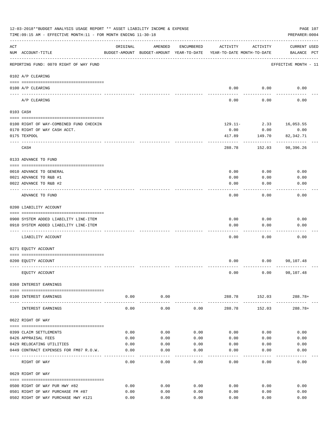| 12-03-2018**BUDGET ANALYSIS USAGE REPORT ** ASSET LIABILITY INCOME & EXPENSE<br>TIME: 09:15 AM - EFFECTIVE MONTH: 11 - FOR MONTH ENDING 11-30-18 |                                                                                 |              |              |              |                                                                                 |                        | PAGE 107<br>PREPARER: 0004         |
|--------------------------------------------------------------------------------------------------------------------------------------------------|---------------------------------------------------------------------------------|--------------|--------------|--------------|---------------------------------------------------------------------------------|------------------------|------------------------------------|
| ACT                                                                                                                                              | NUM ACCOUNT-TITLE                                                               | ORIGINAL     | AMENDED      | ENCUMBERED   | ACTIVITY<br>BUDGET-AMOUNT BUDGET-AMOUNT YEAR-TO-DATE YEAR-TO-DATE MONTH-TO-DATE | ACTIVITY               | <b>CURRENT USED</b><br>BALANCE PCT |
|                                                                                                                                                  | -------------------------------------<br>REPORTING FUND: 0070 RIGHT OF WAY FUND |              |              |              |                                                                                 |                        | EFFECTIVE MONTH - 11               |
|                                                                                                                                                  | 0102 A/P CLEARING                                                               |              |              |              |                                                                                 |                        |                                    |
|                                                                                                                                                  | 0100 A/P CLEARING<br>---- ----------                                            |              |              |              |                                                                                 | $0.00$ 0.00            | 0.00                               |
|                                                                                                                                                  | A/P CLEARING                                                                    |              |              |              | 0.00                                                                            | 0.00                   | 0.00                               |
|                                                                                                                                                  | 0103 CASH                                                                       |              |              |              |                                                                                 |                        |                                    |
|                                                                                                                                                  | 0100 RIGHT OF WAY-COMBINED FUND CHECKIN                                         |              |              |              |                                                                                 | 129.11- 2.33 16,053.55 |                                    |
|                                                                                                                                                  | 0170 RIGHT OF WAY CASH ACCT.                                                    |              |              |              | 0.00                                                                            | 0.00                   | 0.00                               |
|                                                                                                                                                  | 0175 TEXPOOL                                                                    |              |              |              | 417.89                                                                          | 149.70                 | 82, 342. 71                        |
|                                                                                                                                                  | CASH                                                                            |              |              |              | 288.78                                                                          | 152.03                 | . _ _ _ _ _ _ _ _ _ _<br>98,396.26 |
|                                                                                                                                                  | 0133 ADVANCE TO FUND                                                            |              |              |              |                                                                                 |                        |                                    |
|                                                                                                                                                  |                                                                                 |              |              |              |                                                                                 |                        |                                    |
|                                                                                                                                                  | 0010 ADVANCE TO GENERAL                                                         |              |              |              | 0.00                                                                            | 0.00                   | 0.00                               |
|                                                                                                                                                  | 0021 ADVANCE TO R&B #1                                                          |              |              |              | 0.00                                                                            | 0.00                   | 0.00                               |
|                                                                                                                                                  | 0022 ADVANCE TO R&B #2                                                          |              |              |              | 0.00                                                                            | 0.00                   | 0.00                               |
|                                                                                                                                                  | ADVANCE TO FUND                                                                 |              |              |              | 0.00                                                                            | 0.00                   | 0.00                               |
|                                                                                                                                                  | 0200 LIABILITY ACCOUNT                                                          |              |              |              |                                                                                 |                        |                                    |
|                                                                                                                                                  | 0900 SYSTEM ADDED LIABILITY LINE-ITEM                                           |              |              |              | 0.00                                                                            | 0.00                   | 0.00                               |
|                                                                                                                                                  | 0910 SYSTEM ADDED LIABILITY LINE-ITEM                                           |              |              |              | 0.00                                                                            | 0.00                   | 0.00                               |
|                                                                                                                                                  |                                                                                 |              |              |              |                                                                                 |                        |                                    |
|                                                                                                                                                  | LIABILITY ACCOUNT                                                               |              |              |              | 0.00                                                                            | 0.00                   | 0.00                               |
|                                                                                                                                                  | 0271 EQUITY ACCOUNT                                                             |              |              |              |                                                                                 |                        |                                    |
|                                                                                                                                                  | 0200 EQUITY ACCOUNT                                                             |              |              |              | 0.00                                                                            |                        | $0.00$ 98,107.48                   |
|                                                                                                                                                  | EQUITY ACCOUNT                                                                  |              |              |              | 0.00                                                                            |                        | $0.00$ 98,107.48                   |
|                                                                                                                                                  | 0360 INTEREST EARNINGS                                                          |              |              |              |                                                                                 |                        |                                    |
|                                                                                                                                                  | 0100 INTEREST EARNINGS                                                          |              | $0.00$ 0.00  |              |                                                                                 | 288.78 152.03 288.78+  |                                    |
|                                                                                                                                                  | INTEREST EARNINGS                                                               | 0.00         | 0.00         | 0.00         | 288.78                                                                          | 152.03                 | $288.78+$                          |
|                                                                                                                                                  | 0622 RIGHT OF WAY                                                               |              |              |              |                                                                                 |                        |                                    |
|                                                                                                                                                  |                                                                                 |              |              |              |                                                                                 |                        |                                    |
|                                                                                                                                                  | 0399 CLAIM SETTLEMENTS<br>0426 APPRAISAL FEES                                   | 0.00<br>0.00 | 0.00<br>0.00 | 0.00<br>0.00 | 0.00<br>0.00                                                                    | 0.00<br>0.00           | 0.00<br>0.00                       |
|                                                                                                                                                  | 0429 RELOCATING UTILITIES                                                       | 0.00         | 0.00         | 0.00         | 0.00                                                                            | 0.00                   | 0.00                               |
|                                                                                                                                                  | 0449 CONTRACT EXPENSES FOR FM87 R.O.W.                                          | 0.00         | 0.00         | 0.00         | 0.00                                                                            | 0.00                   | 0.00                               |
|                                                                                                                                                  | -----------------------------------<br>RIGHT OF WAY                             | 0.00         | 0.00         | 0.00         | 0.00                                                                            | 0.00                   | 0.00                               |
|                                                                                                                                                  | 0629 RIGHT OF WAY                                                               |              |              |              |                                                                                 |                        |                                    |
|                                                                                                                                                  |                                                                                 |              |              |              |                                                                                 |                        |                                    |
|                                                                                                                                                  | 0500 RIGHT OF WAY PUR HWY #82                                                   | 0.00         | 0.00         | 0.00         | 0.00                                                                            | 0.00                   | 0.00                               |
|                                                                                                                                                  | 0501 RIGHT OF WAY PURCHASE FM #87                                               | 0.00         | 0.00         | 0.00         | 0.00                                                                            | 0.00                   | 0.00                               |
|                                                                                                                                                  | 0502 RIGHT OF WAY PURCHASE HWY #121                                             | 0.00         | 0.00         | 0.00         | 0.00                                                                            | 0.00                   | 0.00                               |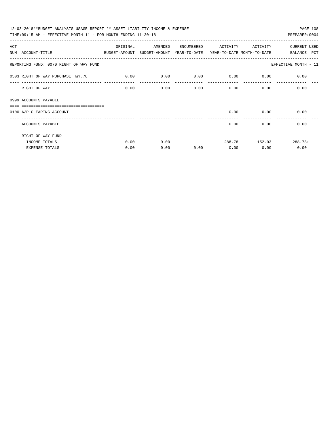| 12-03-2018**BUDGET ANALYSIS USAGE REPORT ** ASSET LIABILITY INCOME & EXPENSE<br>PAGE 108<br>TIME: 09:15 AM - EFFECTIVE MONTH: 11 - FOR MONTH ENDING 11-30-18<br>PREPARER: 0004 |          |         |            |                   |        |                      |  |  |  |  |  |
|--------------------------------------------------------------------------------------------------------------------------------------------------------------------------------|----------|---------|------------|-------------------|--------|----------------------|--|--|--|--|--|
|                                                                                                                                                                                |          |         |            |                   |        |                      |  |  |  |  |  |
| ACT                                                                                                                                                                            | ORIGINAL | AMENDED | ENCUMBERED | ACTIVITY ACTIVITY |        | <b>CURRENT USED</b>  |  |  |  |  |  |
| NUM ACCOUNT-TITLE<br>BUDGET-AMOUNT BUDGET-AMOUNT YEAR-TO-DATE YEAR-TO-DATE_MONTH-TO-DATE                                                                                       |          |         |            |                   |        | BALANCE PCT          |  |  |  |  |  |
| REPORTING FUND: 0070 RIGHT OF WAY FUND                                                                                                                                         |          |         |            |                   |        | EFFECTIVE MONTH - 11 |  |  |  |  |  |
| 0503 RIGHT OF WAY PURCHASE HWY.78 0.00                                                                                                                                         |          | 0.00    | 0.00       | 0.00              | 0.00   | 0.00                 |  |  |  |  |  |
| RIGHT OF WAY                                                                                                                                                                   | 0.00     | 0.00    | 0.00       |                   | 0.00   | 0.00<br>0.00         |  |  |  |  |  |
| 0999 ACCOUNTS PAYABLE<br>__________________________________                                                                                                                    |          |         |            |                   |        |                      |  |  |  |  |  |
| 0100 A/P CLEARING ACCOUNT                                                                                                                                                      |          |         |            | 0.00              | 0.00   | 0.00                 |  |  |  |  |  |
| ACCOUNTS PAYABLE                                                                                                                                                               |          |         |            | 0.00              | 0.00   | 0.00                 |  |  |  |  |  |
| RIGHT OF WAY FUND                                                                                                                                                              |          |         |            |                   |        |                      |  |  |  |  |  |
| INCOME TOTALS                                                                                                                                                                  | 0.00     | 0.00    |            | 288.78            | 152.03 | $288.78+$            |  |  |  |  |  |
| EXPENSE TOTALS                                                                                                                                                                 | 0.00     | 0.00    | 0.00       | 0.00              | 0.00   | 0.00                 |  |  |  |  |  |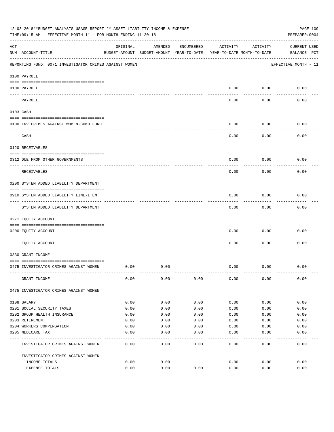|     | 12-03-2018**BUDGET ANALYSIS USAGE REPORT ** ASSET LIABILITY INCOME & EXPENSE<br>TIME: 09:15 AM - EFFECTIVE MONTH: 11 - FOR MONTH ENDING 11-30-18 |          |                                                     |            |          |                                        | PAGE 109<br>PREPARER: 0004         |
|-----|--------------------------------------------------------------------------------------------------------------------------------------------------|----------|-----------------------------------------------------|------------|----------|----------------------------------------|------------------------------------|
| ACT | NUM ACCOUNT-TITLE                                                                                                                                | ORIGINAL | AMENDED<br>BUDGET-AMOUNT BUDGET-AMOUNT YEAR-TO-DATE | ENCUMBERED | ACTIVITY | ACTIVITY<br>YEAR-TO-DATE MONTH-TO-DATE | <b>CURRENT USED</b><br>BALANCE PCT |
|     | REPORTING FUND: 0071 INVESTIGATOR CRIMES AGAINST WOMEN                                                                                           |          |                                                     |            |          |                                        | EFFECTIVE MONTH - 11               |
|     | 0100 PAYROLL                                                                                                                                     |          |                                                     |            |          |                                        |                                    |
|     | 0100 PAYROLL<br>---- ----                                                                                                                        |          |                                                     |            | 0.00     | 0.00                                   | 0.00                               |
|     | PAYROLL                                                                                                                                          |          |                                                     |            | 0.00     | 0.00                                   | 0.00                               |
|     | 0103 CASH                                                                                                                                        |          |                                                     |            |          |                                        |                                    |
|     | 0100 INV. CRIMES AGAINST WOMEN-COMB. FUND                                                                                                        |          |                                                     |            | 0.00     | 0.00                                   | 0.00                               |
|     | CASH                                                                                                                                             |          |                                                     |            | 0.00     | 0.00                                   | 0.00                               |
|     | 0120 RECEIVABLES                                                                                                                                 |          |                                                     |            |          |                                        |                                    |
|     | 0312 DUE FROM OTHER GOVERNMENTS                                                                                                                  |          |                                                     |            | 0.00     | 0.00                                   | 0.00                               |
|     | RECEIVABLES                                                                                                                                      |          |                                                     |            | 0.00     | 0.00                                   | 0.00                               |
|     | 0200 SYSTEM ADDED LIABILITY DEPARTMENT                                                                                                           |          |                                                     |            |          |                                        |                                    |
|     | 0910 SYSTEM ADDED LIABILITY LINE-ITEM                                                                                                            |          |                                                     |            | 0.00     | 0.00                                   | 0.00                               |
|     | SYSTEM ADDED LIABILITY DEPARTMENT                                                                                                                |          |                                                     |            | 0.00     | 0.00                                   | 0.00                               |
|     | 0271 EQUITY ACCOUNT                                                                                                                              |          |                                                     |            |          |                                        |                                    |
|     | 0200 EQUITY ACCOUNT                                                                                                                              |          |                                                     |            | 0.00     | 0.00                                   | 0.00                               |
|     | EQUITY ACCOUNT                                                                                                                                   |          |                                                     |            | 0.00     | 0.00                                   | 0.00                               |
|     | 0330 GRANT INCOME                                                                                                                                |          |                                                     |            |          |                                        |                                    |
|     | 0475 INVESTIGATOR CRIMES AGAINST WOMEN                                                                                                           | 0.00     | 0.00                                                |            | 0.00     | 0.00                                   | 0.00                               |
|     | GRANT INCOME                                                                                                                                     | 0.00     | 0.00                                                | 0.00       | 0.00     | 0.00                                   | 0.00                               |
|     | 0475 INVESTIGATOR CRIMES AGAINST WOMEN                                                                                                           |          |                                                     |            |          |                                        |                                    |
|     | 0108 SALARY                                                                                                                                      | 0.00     | 0.00                                                | 0.00       | 0.00     | 0.00                                   | 0.00                               |
|     | 0201 SOCIAL SECURITY TAXES                                                                                                                       | 0.00     | 0.00                                                | 0.00       | 0.00     | 0.00                                   | 0.00                               |
|     | 0202 GROUP HEALTH INSURANCE                                                                                                                      | 0.00     | 0.00                                                | 0.00       | 0.00     | 0.00                                   | 0.00                               |
|     | 0203 RETIREMENT                                                                                                                                  | 0.00     | 0.00                                                | 0.00       | 0.00     | 0.00                                   | 0.00                               |
|     | 0204 WORKERS COMPENSATION                                                                                                                        | 0.00     | 0.00                                                | 0.00       | 0.00     | 0.00                                   | 0.00                               |
|     | 0205 MEDICARE TAX                                                                                                                                | 0.00     | 0.00                                                | 0.00       | 0.00     | 0.00                                   | 0.00                               |
|     | INVESTIGATOR CRIMES AGAINST WOMEN                                                                                                                | 0.00     | 0.00                                                | 0.00       | 0.00     | 0.00                                   | 0.00                               |
|     | INVESTIGATOR CRIMES AGAINST WOMEN                                                                                                                |          |                                                     |            |          |                                        |                                    |
|     | INCOME TOTALS                                                                                                                                    | 0.00     | 0.00                                                |            | 0.00     | 0.00                                   | 0.00                               |
|     | EXPENSE TOTALS                                                                                                                                   | 0.00     | 0.00                                                | 0.00       | 0.00     | 0.00                                   | 0.00                               |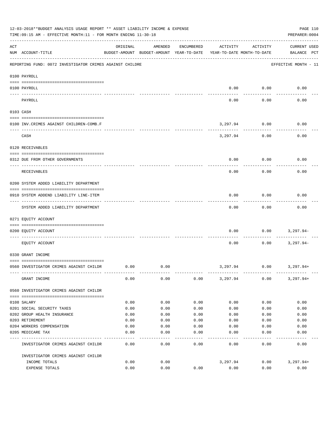|     | 12-03-2018**BUDGET ANALYSIS USAGE REPORT ** ASSET LIABILITY INCOME & EXPENSE<br>TIME:09:15 AM - EFFECTIVE MONTH:11 - FOR MONTH ENDING 11-30-18 |          |                                                     |               |                                        |               | PAGE 110<br>PREPARER: 0004         |
|-----|------------------------------------------------------------------------------------------------------------------------------------------------|----------|-----------------------------------------------------|---------------|----------------------------------------|---------------|------------------------------------|
| ACT | NUM ACCOUNT-TITLE                                                                                                                              | ORIGINAL | AMENDED<br>BUDGET-AMOUNT BUDGET-AMOUNT YEAR-TO-DATE | ENCUMBERED    | ACTIVITY<br>YEAR-TO-DATE MONTH-TO-DATE | ACTIVITY      | <b>CURRENT USED</b><br>BALANCE PCT |
|     | REPORTING FUND: 0072 INVESTIGATOR CRIMES AGAINST CHILDRE                                                                                       |          |                                                     |               |                                        |               | EFFECTIVE MONTH - 11               |
|     | 0100 PAYROLL                                                                                                                                   |          |                                                     |               |                                        |               |                                    |
|     | 0100 PAYROLL                                                                                                                                   |          |                                                     |               | 0.00                                   | 0.00          | 0.00                               |
|     | $--- - - - - -$<br>PAYROLL                                                                                                                     |          |                                                     |               | 0.00                                   | 0.00          | 0.00                               |
|     | 0103 CASH                                                                                                                                      |          |                                                     |               |                                        |               |                                    |
|     |                                                                                                                                                |          |                                                     |               |                                        |               |                                    |
|     | 0100 INV. CRIMES AGAINST CHILDREN-COMB.F                                                                                                       |          |                                                     |               | 3,297.94                               | 0.00          | 0.00                               |
|     | CASH                                                                                                                                           |          |                                                     |               | 3,297.94                               | 0.00          | 0.00                               |
|     | 0120 RECEIVABLES                                                                                                                               |          |                                                     |               |                                        |               |                                    |
|     | 0312 DUE FROM OTHER GOVERNMENTS                                                                                                                |          |                                                     |               | 0.00                                   | 0.00          | 0.00                               |
|     | RECEIVABLES                                                                                                                                    |          |                                                     |               | 0.00                                   | 0.00          | 0.00                               |
|     | 0200 SYSTEM ADDED LIABILITY DEPARTMENT                                                                                                         |          |                                                     |               |                                        |               |                                    |
|     | 0910 SYSTEM ADDEND LIABILITY LINE-ITEM                                                                                                         |          |                                                     |               | 0.00                                   | 0.00          | 0.00                               |
|     | SYSTEM ADDED LIABILITY DEPARTMENT                                                                                                              |          |                                                     |               | 0.00                                   | 0.00          | 0.00                               |
|     | 0271 EQUITY ACCOUNT                                                                                                                            |          |                                                     |               |                                        |               |                                    |
|     | 0200 EQUITY ACCOUNT                                                                                                                            |          |                                                     |               | 0.00                                   | 0.00          | $3,297.94-$                        |
|     | EQUITY ACCOUNT                                                                                                                                 |          |                                                     |               | 0.00                                   | 0.00          | $3,297.94-$                        |
|     | 0330 GRANT INCOME                                                                                                                              |          |                                                     |               |                                        |               |                                    |
|     | 0560 INVESTIGATOR CRIMES AGAINST CHILDR                                                                                                        | 0.00     | 0.00                                                |               |                                        | 3,297.94 0.00 | 3,297.94+                          |
|     | GRANT INCOME                                                                                                                                   | 0.00     | 0.00                                                | 0.00          | 3,297.94                               | 0.00          | $3,297.94+$                        |
|     | 0560 INVESTIGATOR CRIMES AGAINST CHILDR                                                                                                        |          |                                                     |               |                                        |               |                                    |
|     | 0108 SALARY                                                                                                                                    | 0.00     | 0.00                                                | 0.00          | 0.00                                   | 0.00          | 0.00                               |
|     | 0201 SOCIAL SECURITY TAXES                                                                                                                     | 0.00     | 0.00                                                | 0.00          | 0.00                                   | 0.00          | 0.00                               |
|     | 0202 GROUP HEALTH INSURANCE                                                                                                                    | 0.00     | 0.00                                                | 0.00          | 0.00                                   | 0.00          | 0.00                               |
|     | 0203 RETIREMENT                                                                                                                                | 0.00     | 0.00                                                | 0.00          | 0.00                                   | 0.00          | 0.00                               |
|     | 0204 WORKERS COMPENSATION                                                                                                                      | 0.00     | 0.00                                                | 0.00          | 0.00                                   | 0.00          | 0.00                               |
|     | 0205 MEDICARE TAX                                                                                                                              | 0.00     | 0.00<br>----                                        | 0.00<br>$---$ | 0.00                                   | 0.00          | 0.00                               |
|     | INVESTIGATOR CRIMES AGAINST CHILDR                                                                                                             | 0.00     | 0.00                                                | 0.00          | 0.00                                   | 0.00          | 0.00                               |
|     | INVESTIGATOR CRIMES AGAINST CHILDR                                                                                                             |          |                                                     |               |                                        |               |                                    |
|     | INCOME TOTALS                                                                                                                                  | 0.00     | 0.00                                                |               | 3,297.94                               | 0.00          | $3,297.94+$                        |
|     | EXPENSE TOTALS                                                                                                                                 | 0.00     | 0.00                                                | 0.00          | 0.00                                   | 0.00          | 0.00                               |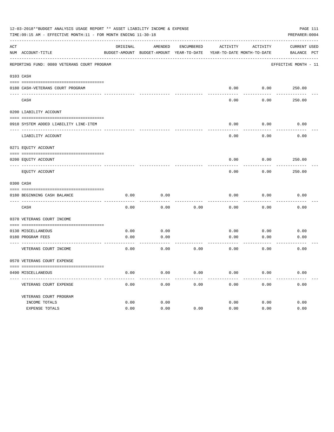|     | 12-03-2018**BUDGET ANALYSIS USAGE REPORT ** ASSET LIABILITY INCOME & EXPENSE<br>TIME:09:15 AM - EFFECTIVE MONTH:11 - FOR MONTH ENDING 11-30-18 |              |                                                                     |            |              |              | PAGE 111<br>PREPARER: 0004 |
|-----|------------------------------------------------------------------------------------------------------------------------------------------------|--------------|---------------------------------------------------------------------|------------|--------------|--------------|----------------------------|
| ACT |                                                                                                                                                | ORIGINAL     | AMENDED                                                             | ENCUMBERED | ACTIVITY     | ACTIVITY     | <b>CURRENT USED</b>        |
|     | NUM ACCOUNT-TITLE                                                                                                                              |              | BUDGET-AMOUNT BUDGET-AMOUNT YEAR-TO-DATE YEAR-TO-DATE MONTH-TO-DATE |            |              |              | BALANCE PCT                |
|     | REPORTING FUND: 0080 VETERANS COURT PROGRAM                                                                                                    |              |                                                                     |            |              |              | EFFECTIVE MONTH - 11       |
|     | 0103 CASH                                                                                                                                      |              |                                                                     |            |              |              |                            |
|     | 0180 CASH-VETERANS COURT PROGRAM                                                                                                               |              |                                                                     |            | 0.00         |              | $0.00$ 250.00              |
|     | CASH                                                                                                                                           |              |                                                                     |            | 0.00         | 0.00         | 250.00                     |
|     | 0200 LIABILITY ACCOUNT                                                                                                                         |              |                                                                     |            |              |              |                            |
|     | 0910 SYSTEM ADDED LIABILITY LINE-ITEM                                                                                                          |              |                                                                     |            | 0.00         | 0.00         | 0.00                       |
|     | LIABILITY ACCOUNT                                                                                                                              |              |                                                                     |            | 0.00         | 0.00         | 0.00                       |
|     | 0271 EQUITY ACCOUNT                                                                                                                            |              |                                                                     |            |              |              |                            |
|     | 0200 EQUITY ACCOUNT                                                                                                                            |              |                                                                     |            | 0.00         | 0.00         | 250.00                     |
|     | EQUITY ACCOUNT                                                                                                                                 |              |                                                                     |            | 0.00         | 0.00         | 250.00                     |
|     | 0300 CASH                                                                                                                                      |              |                                                                     |            |              |              |                            |
|     | 0180 BEGINNING CASH BALANCE                                                                                                                    | 0.00         | 0.00                                                                |            | 0.00         | 0.00         | 0.00                       |
|     | CASH                                                                                                                                           | 0.00         | 0.00                                                                | 0.00       | 0.00         | 0.00         | 0.00                       |
|     | 0370 VETERANS COURT INCOME                                                                                                                     |              |                                                                     |            |              |              |                            |
|     | 0130 MISCELLANEOUS                                                                                                                             | 0.00         | 0.00                                                                |            | 0.00         | 0.00         | 0.00                       |
|     | 0180 PROGRAM FEES                                                                                                                              | 0.00         | 0.00                                                                |            | 0.00         | 0.00         | 0.00                       |
|     | VETERANS COURT INCOME                                                                                                                          | 0.00         | ----------<br>0.00                                                  | 0.00       | 0.00         | 0.00         | 0.00                       |
|     | 0570 VETERANS COURT EXPENSE                                                                                                                    |              |                                                                     |            |              |              |                            |
|     | 0490 MISCELLANEOUS                                                                                                                             | 0.00         | 0.00                                                                | 0.00       | 0.00         | 0.00         | 0.00                       |
|     | VETERANS COURT EXPENSE                                                                                                                         | 0.00         | 0.00                                                                | 0.00       | 0.00         | 0.00         | 0.00                       |
|     | VETERANS COURT PROGRAM                                                                                                                         |              |                                                                     |            |              |              |                            |
|     | INCOME TOTALS<br>EXPENSE TOTALS                                                                                                                | 0.00<br>0.00 | 0.00<br>0.00                                                        | 0.00       | 0.00<br>0.00 | 0.00<br>0.00 | 0.00<br>0.00               |
|     |                                                                                                                                                |              |                                                                     |            |              |              |                            |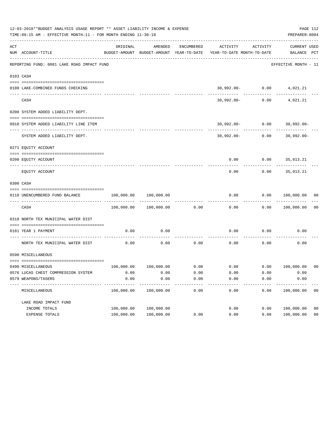|     | 12-03-2018**BUDGET ANALYSIS USAGE REPORT ** ASSET LIABILITY INCOME & EXPENSE<br>TIME: 09:15 AM - EFFECTIVE MONTH: 11 - FOR MONTH ENDING 11-30-18 |            |                       |            |                                                                     |                                           | PAGE 112<br>PREPARER: 0004       |                |
|-----|--------------------------------------------------------------------------------------------------------------------------------------------------|------------|-----------------------|------------|---------------------------------------------------------------------|-------------------------------------------|----------------------------------|----------------|
| ACT | NUM ACCOUNT-TITLE                                                                                                                                | ORIGINAL   | AMENDED               | ENCUMBERED | BUDGET-AMOUNT BUDGET-AMOUNT YEAR-TO-DATE YEAR-TO-DATE MONTH-TO-DATE | ACTIVITY ACTIVITY                         | CURRENT USED<br>BALANCE PCT      |                |
|     | REPORTING FUND: 0081 LAKE ROAD IMPACT FUND                                                                                                       |            |                       |            |                                                                     |                                           | EFFECTIVE MONTH - 11             |                |
|     | 0103 CASH                                                                                                                                        |            |                       |            |                                                                     |                                           |                                  |                |
|     |                                                                                                                                                  |            |                       |            |                                                                     |                                           |                                  |                |
|     | 0100 LAKE-COMBINED FUNDS CHECKING                                                                                                                |            |                       |            |                                                                     | 30,992.00- 0.00 4,021.21                  |                                  |                |
|     | CASH                                                                                                                                             |            |                       |            |                                                                     | -------------<br>30,992.00- 0.00 4,021.21 |                                  |                |
|     | 0200 SYSTEM ADDED LIABILITY DEPT.                                                                                                                |            |                       |            |                                                                     |                                           |                                  |                |
|     |                                                                                                                                                  |            |                       |            |                                                                     |                                           |                                  |                |
|     | 0910 SYSTEM ADDED LIABILITY LINE ITEM                                                                                                            |            |                       |            |                                                                     |                                           | $30,992.00 - 0.00$ $30,992.00 -$ |                |
|     | SYSTEM ADDED LIABILITY DEPT.                                                                                                                     |            |                       |            |                                                                     |                                           | $30,992.00 - 0.00$ $30,992.00 -$ |                |
|     | 0271 EQUITY ACCOUNT                                                                                                                              |            |                       |            |                                                                     |                                           |                                  |                |
|     | 0200 EQUITY ACCOUNT                                                                                                                              |            |                       |            |                                                                     | $0.00$ $0.00$ $35,013.21$                 |                                  |                |
|     | EQUITY ACCOUNT                                                                                                                                   |            |                       |            | 0.00                                                                | 0.00                                      | 35,013.21                        |                |
|     | 0300 CASH                                                                                                                                        |            |                       |            |                                                                     |                                           |                                  |                |
|     | 0110 UNENCUMBERED FUND BALANCE                                                                                                                   | 100,000.00 | 100,000.00            |            | 0.00                                                                |                                           | 0.00 100,000.00 00               |                |
|     | CASH                                                                                                                                             |            | 100,000.00 100,000.00 | 0.00       | 0.00                                                                |                                           | 0.00 100,000.00                  | 0 <sub>0</sub> |
|     | 0318 NORTH TEX MUNICIPAL WATER DIST                                                                                                              |            |                       |            |                                                                     |                                           |                                  |                |
|     | 0181 YEAR 1 PAYMENT                                                                                                                              | 0.00       | 0.00                  |            | 0.00                                                                | 0.00                                      | 0.00                             |                |
|     | NORTH TEX MUNICIPAL WATER DIST                                                                                                                   | 0.00       | 0.00                  | 0.00       | 0.00                                                                | 0.00                                      | 0.00                             |                |
|     | 0590 MISCELLANEOUS                                                                                                                               |            |                       |            |                                                                     |                                           |                                  |                |
|     | 0490 MISCELLANEOUS                                                                                                                               |            |                       |            | $100,000.00$ $100,000.00$ 0.00 0.00 0.00 0.00 100,000.00 00         |                                           |                                  |                |
|     | 0576 LUCAS CHEST COMPRESSION SYSTEM                                                                                                              | 0.00       | 0.00                  | 0.00       | 0.00                                                                | 0.00                                      | 0.00                             |                |
|     | 0579 WEAPONS/TASERS                                                                                                                              | 0.00       | 0.00                  | 0.00       | 0.00                                                                | 0.00                                      | 0.00                             |                |
|     | MISCELLANEOUS                                                                                                                                    | 100,000.00 | 100,000.00            | 0.00       | 0.00                                                                | 0.00                                      | 100,000.00                       | 0 <sub>0</sub> |
|     | LAKE ROAD IMPACT FUND                                                                                                                            |            |                       |            |                                                                     |                                           |                                  |                |
|     | INCOME TOTALS                                                                                                                                    | 100,000.00 | 100,000.00            |            | 0.00                                                                | 0.00                                      | 100,000.00                       | 0 <sub>0</sub> |
|     | EXPENSE TOTALS                                                                                                                                   | 100,000.00 | 100,000.00            | 0.00       | 0.00                                                                | 0.00                                      | 100,000.00                       | 0 <sub>0</sub> |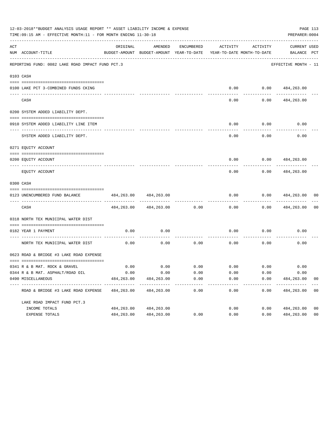|     | 12-03-2018**BUDGET ANALYSIS USAGE REPORT ** ASSET LIABILITY INCOME & EXPENSE<br>TIME: 09:15 AM - EFFECTIVE MONTH: 11 - FOR MONTH ENDING 11-30-18 |             |                                                     |                      |                                        |                             | PREPARER: 0004                     | PAGE 113       |
|-----|--------------------------------------------------------------------------------------------------------------------------------------------------|-------------|-----------------------------------------------------|----------------------|----------------------------------------|-----------------------------|------------------------------------|----------------|
| ACT | NUM ACCOUNT-TITLE                                                                                                                                | ORIGINAL    | AMENDED<br>BUDGET-AMOUNT BUDGET-AMOUNT YEAR-TO-DATE | ENCUMBERED           | ACTIVITY<br>YEAR-TO-DATE MONTH-TO-DATE | ACTIVITY                    | <b>CURRENT USED</b><br>BALANCE PCT |                |
|     | REPORTING FUND: 0082 LAKE ROAD IMPACT FUND PCT.3                                                                                                 |             |                                                     |                      |                                        |                             | EFFECTIVE MONTH - 11               |                |
|     | 0103 CASH                                                                                                                                        |             |                                                     |                      |                                        |                             |                                    |                |
|     |                                                                                                                                                  |             |                                                     |                      |                                        |                             |                                    |                |
|     | 0100 LAKE PCT 3-COMBINED FUNDS CKING                                                                                                             |             |                                                     |                      | 0.00                                   |                             | 0.0000484,263.00                   |                |
|     | CASH                                                                                                                                             |             |                                                     |                      | 0.00                                   | 0.00                        | 484,263.00                         |                |
|     | 0200 SYSTEM ADDED LIABILITY DEPT.                                                                                                                |             |                                                     |                      |                                        |                             |                                    |                |
|     |                                                                                                                                                  |             |                                                     |                      |                                        |                             |                                    |                |
|     | 0910 SYSTEM ADDED LIABILITY LINE ITEM                                                                                                            |             |                                                     |                      | 0.00                                   | 0.00                        | 0.00                               |                |
|     | SYSTEM ADDED LIABILITY DEPT.                                                                                                                     |             |                                                     |                      | 0.00                                   | 0.00                        | 0.00                               |                |
|     | 0271 EQUITY ACCOUNT                                                                                                                              |             |                                                     |                      |                                        |                             |                                    |                |
|     | 0200 EQUITY ACCOUNT                                                                                                                              |             |                                                     |                      | 0.00                                   | 0.00                        | 484,263.00                         |                |
|     | EQUITY ACCOUNT                                                                                                                                   |             |                                                     |                      | 0.00                                   | 0.00                        | 484,263.00                         |                |
|     | 0300 CASH                                                                                                                                        |             |                                                     |                      |                                        |                             |                                    |                |
|     | 0123 UNENCUMBERED FUND BALANCE                                                                                                                   | 484,263.00  | 484,263.00                                          |                      | 0.00                                   | 0.00                        | 484,263.00                         | 00             |
|     | CASH                                                                                                                                             | 484,263.00  | 484,263.00                                          | 0.00                 | 0.00                                   | 0.00                        | 484,263.00                         | 0 <sub>0</sub> |
|     | 0318 NORTH TEX MUNICIPAL WATER DIST                                                                                                              |             |                                                     |                      |                                        |                             |                                    |                |
|     | 0182 YEAR 1 PAYMENT                                                                                                                              | 0.00        | 0.00                                                |                      | 0.00                                   | 0.00                        | 0.00                               |                |
|     | NORTH TEX MUNICIPAL WATER DIST                                                                                                                   | 0.00        | 0.00                                                | 0.00                 | 0.00                                   | 0.00                        | 0.00                               |                |
|     | 0623 ROAD & BRIDGE #3 LAKE ROAD EXPENSE                                                                                                          |             |                                                     |                      |                                        |                             |                                    |                |
|     | 0341 R & B MAT. ROCK & GRAVEL                                                                                                                    | 0.00        | 0.00                                                |                      |                                        | $0.00$ $0.00$ $0.00$ $0.00$ | 0.00                               |                |
|     | 0344 R & B MAT. ASPHALT/ROAD OIL                                                                                                                 | 0.00        | 0.00                                                | 0.00                 | 0.00                                   | 0.00                        | 0.00                               |                |
|     | 0490 MISCELLANEOUS                                                                                                                               | 484, 263.00 | 484,263.00                                          | 0.00                 | 0.00                                   | 0.00                        | 484,263.00                         | 0 <sub>0</sub> |
|     | ROAD & BRIDGE #3 LAKE ROAD EXPENSE                                                                                                               | 484,263.00  | 484,263.00                                          | ------------<br>0.00 | 0.00                                   | 0.00                        | 484,263.00                         | 0 <sub>0</sub> |
|     | LAKE ROAD IMPACT FUND PCT.3                                                                                                                      |             |                                                     |                      |                                        |                             |                                    |                |
|     | INCOME TOTALS                                                                                                                                    | 484,263.00  | 484,263.00                                          |                      | 0.00                                   | 0.00                        | 484,263.00                         | 0 <sub>0</sub> |
|     | EXPENSE TOTALS                                                                                                                                   | 484,263.00  | 484, 263.00                                         | 0.00                 | 0.00                                   | 0.00                        | 484,263.00                         | 0 <sub>0</sub> |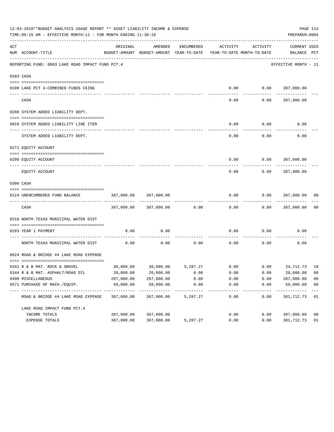|     | 12-03-2018**BUDGET ANALYSIS USAGE REPORT ** ASSET LIABILITY INCOME & EXPENSE<br>TIME: 09:15 AM - EFFECTIVE MONTH: 11 - FOR MONTH ENDING 11-30-18 |                             |                                                              |            |                    |                                        | PAGE 114<br>PREPARER: 0004         |                |
|-----|--------------------------------------------------------------------------------------------------------------------------------------------------|-----------------------------|--------------------------------------------------------------|------------|--------------------|----------------------------------------|------------------------------------|----------------|
| ACT | NUM ACCOUNT-TITLE                                                                                                                                | ORIGINAL                    | AMENDED<br>BUDGET-AMOUNT BUDGET-AMOUNT YEAR-TO-DATE          | ENCUMBERED | ACTIVITY           | ACTIVITY<br>YEAR-TO-DATE MONTH-TO-DATE | <b>CURRENT USED</b><br>BALANCE PCT |                |
|     | REPORTING FUND: 0083 LAKE ROAD IMPACT FUND PCT.4                                                                                                 |                             |                                                              |            |                    |                                        | EFFECTIVE MONTH - 11               |                |
|     | 0103 CASH                                                                                                                                        |                             |                                                              |            |                    |                                        |                                    |                |
|     |                                                                                                                                                  |                             |                                                              |            |                    |                                        |                                    |                |
|     | 0100 LAKE PCT 4-COMBINED FUNDS CKING                                                                                                             |                             |                                                              |            |                    |                                        | $0.00$ $0.00$ $387,000.00$         |                |
|     | CASH                                                                                                                                             |                             |                                                              |            | 0.00               | 0.00                                   | 387,000.00                         |                |
|     | 0200 SYSTEM ADDED LIABILITY DEPT.                                                                                                                |                             |                                                              |            |                    |                                        |                                    |                |
|     |                                                                                                                                                  |                             |                                                              |            |                    |                                        |                                    |                |
|     | 0910 SYSTEM ADDED LIABILITY LINE ITEM                                                                                                            |                             |                                                              |            | 0.00               | 0.00                                   | 0.00                               |                |
|     | SYSTEM ADDED LIABILITY DEPT.                                                                                                                     |                             |                                                              |            | 0.00               | 0.00                                   | 0.00                               |                |
|     | 0271 EQUITY ACCOUNT                                                                                                                              |                             |                                                              |            |                    |                                        |                                    |                |
|     |                                                                                                                                                  |                             |                                                              |            |                    |                                        |                                    |                |
|     | 0200 EQUITY ACCOUNT                                                                                                                              |                             |                                                              |            | 0.00               |                                        | $0.00$ 387,000.00                  |                |
|     | EQUITY ACCOUNT                                                                                                                                   |                             |                                                              |            | 0.00               | 0.00                                   | 387,000.00                         |                |
|     | 0300 CASH                                                                                                                                        |                             |                                                              |            |                    |                                        |                                    |                |
|     | 0124 UNENCUMBERED FUND BALANCE                                                                                                                   | 387,000.00                  | 387,000.00                                                   |            | 0.00               | 0.00                                   | 387,000.00                         | 00             |
|     | CASH                                                                                                                                             | 387,000.00                  | 387,000.00                                                   | 0.00       | 0.00               | 0.00                                   | 387,000.00                         | 0 <sub>0</sub> |
|     | 0318 NORTH TEXAS MUNICIPAL WATER DIST                                                                                                            |                             |                                                              |            |                    |                                        |                                    |                |
|     |                                                                                                                                                  |                             |                                                              |            |                    |                                        |                                    |                |
|     | 0183 YEAR 1 PAYMENT                                                                                                                              | 0.00                        | 0.00                                                         |            | 0.00               | 0.00                                   | 0.00                               |                |
|     | NORTH TEXAS MUNICIPAL WATER DIST                                                                                                                 | 0.00                        | 0.00                                                         | 0.00       | 0.00               | 0.00                                   | 0.00                               |                |
|     | 0624 ROAD & BRIDGE #4 LAKE ROAD EXPENSE                                                                                                          |                             |                                                              |            |                    |                                        |                                    |                |
|     | 0341 R & B MAT. ROCK & GRAVEL                                                                                                                    |                             | $30,000.00$ $30,000.00$ $5,287.27$ $0.00$ $0.00$ $24,712.73$ |            |                    |                                        |                                    | 18             |
|     | 0344 R & B MAT. ASPHALT/ROAD OIL                                                                                                                 | 20,000.00                   | 20,000.00                                                    | 0.00       | 0.00               | 0.00                                   | 20,000.00                          | 0 <sub>0</sub> |
|     | 0490 MISCELLANEOUS                                                                                                                               | 287,000.00                  | 287,000.00                                                   | 0.00       | 0.00               | 0.00                                   | 287,000.00                         | 0 <sub>0</sub> |
|     | 0571 PURCHASE OF MACH./EOUIP.                                                                                                                    | 50,000.00                   | 50,000.00                                                    | 0.00       | 0.00               | 0.00                                   | 50,000.00                          | 0 <sub>0</sub> |
|     | ------------------<br>ROAD & BRIDGE #4 LAKE ROAD EXPENSE                                                                                         | -------------<br>387,000.00 | -----------<br>387,000.00                                    | 5,287.27   | ----------<br>0.00 | ---------<br>0.00                      | -----------<br>381,712.73          | 01             |
|     | LAKE ROAD IMPACT FUND PCT. 4                                                                                                                     |                             |                                                              |            |                    |                                        |                                    |                |
|     | INCOME TOTALS                                                                                                                                    | 387,000.00                  | 387,000.00                                                   |            | 0.00               | 0.00                                   | 387,000.00                         | 0 <sub>0</sub> |
|     | EXPENSE TOTALS                                                                                                                                   | 387,000.00                  | 387,000.00                                                   | 5,287.27   | 0.00               | 0.00                                   | 381,712.73                         | 01             |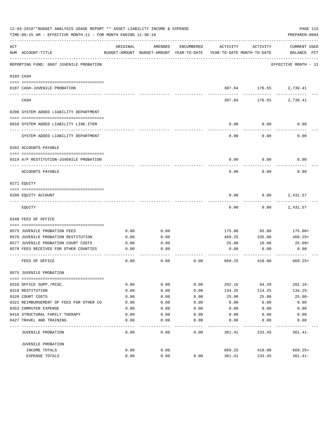|     | 12-03-2018**BUDGET ANALYSIS USAGE REPORT ** ASSET LIABILITY INCOME & EXPENSE<br>TIME: 09:15 AM - EFFECTIVE MONTH: 11 - FOR MONTH ENDING 11-30-18 |          |                                                     |                   |                                        |                      | PAGE 115<br>PREPARER: 0004         |
|-----|--------------------------------------------------------------------------------------------------------------------------------------------------|----------|-----------------------------------------------------|-------------------|----------------------------------------|----------------------|------------------------------------|
| ACT | NUM ACCOUNT-TITLE                                                                                                                                | ORIGINAL | AMENDED<br>BUDGET-AMOUNT BUDGET-AMOUNT YEAR-TO-DATE | ENCUMBERED        | ACTIVITY<br>YEAR-TO-DATE MONTH-TO-DATE | ACTIVITY             | <b>CURRENT USED</b><br>BALANCE PCT |
|     | REPORTING FUND: 0087 JUVENILE PROBATION                                                                                                          |          |                                                     |                   |                                        |                      | EFFECTIVE MONTH - 11               |
|     | 0103 CASH                                                                                                                                        |          |                                                     |                   |                                        |                      |                                    |
|     | 0187 CASH-JUVENILE PROBATION                                                                                                                     |          |                                                     |                   |                                        | 307.84 176.55        | 2,739.41                           |
|     | CASH                                                                                                                                             |          |                                                     |                   | 307.84                                 | ----------<br>176.55 | 2,739.41                           |
|     | 0200 SYSTEM ADDED LIABILITY DEPARTMENT                                                                                                           |          |                                                     |                   |                                        |                      |                                    |
|     | 0910 SYSTEM ADDED LIABILITY LINE-ITEM                                                                                                            |          |                                                     |                   | 0.00                                   | 0.00                 | 0.00                               |
|     | SYSTEM ADDED LIABILITY DEPARTMENT                                                                                                                |          |                                                     |                   | 0.00                                   | 0.00                 | 0.00                               |
|     | 0202 ACCOUNTS PAYABLE                                                                                                                            |          |                                                     |                   |                                        |                      |                                    |
|     | 0319 A/P RESTITUTION-JUVENILE PROBATION                                                                                                          |          |                                                     |                   | 0.00                                   | 0.00                 | 0.00                               |
|     | ACCOUNTS PAYABLE                                                                                                                                 |          |                                                     |                   | 0.00                                   | 0.00                 | 0.00                               |
|     | 0271 EOUITY                                                                                                                                      |          |                                                     |                   |                                        |                      |                                    |
|     | 0200 EQUITY ACCOUNT                                                                                                                              |          |                                                     |                   | 0.00                                   | 0.00                 | 2,431.57                           |
|     | EQUITY                                                                                                                                           |          |                                                     |                   | 0.00                                   | 0.00                 | 2,431.57                           |
|     | 0340 FEES OF OFFICE                                                                                                                              |          |                                                     |                   |                                        |                      |                                    |
|     | 0575 JUVENILE PROBATION FEES                                                                                                                     | 0.00     | 0.00                                                |                   | 175.00                                 | 65.00                | 175.00+                            |
|     | 0576 JUVENILE PROBATION RESTITUTION                                                                                                              | 0.00     | 0.00                                                |                   | 469.25                                 | 335.00               | 469.25+                            |
|     | 0577 JUVENILE PROBATION COURT COSTS                                                                                                              | 0.00     | 0.00                                                |                   | 25.00                                  | 10.00                | 25.00+                             |
|     | 0578 FEES RECEIVED FOR OTHER COUNTIES                                                                                                            | 0.00     | 0.00                                                |                   | 0.00                                   | 0.00                 | 0.00                               |
|     | FEES OF OFFICE                                                                                                                                   | 0.00     | 0.00                                                | 0.00              | 669.25                                 | 410.00               | $669.25+$                          |
|     | 0575 JUVENILE PROBATION                                                                                                                          |          |                                                     |                   |                                        |                      |                                    |
|     |                                                                                                                                                  |          |                                                     |                   |                                        |                      |                                    |
|     | 0310 OFFICE SUPP./MISC.                                                                                                                          | 0.00     | 0.00                                                | 0.00              | 202.16                                 | 94.20                | $202.16 -$                         |
|     | 0319 RESTITUTION                                                                                                                                 | 0.00     | 0.00                                                | 0.00              | 134.25                                 | 114.25               | $134.25-$                          |
|     | 0320 COURT COSTS                                                                                                                                 | 0.00     | 0.00                                                | 0.00              | 25.00                                  | 25.00                | $25.00 -$                          |
|     | 0321 REIMBURSEMENT OF FEES FOR OTHER CO                                                                                                          | 0.00     | 0.00                                                | 0.00              | 0.00                                   | 0.00                 | 0.00                               |
|     | 0353 COMPUTER EXPENSE                                                                                                                            | 0.00     | 0.00                                                | 0.00              | 0.00                                   | 0.00                 | 0.00                               |
|     | 0416 STRUCTURAL FAMILY THERAPY                                                                                                                   | 0.00     | 0.00                                                | 0.00              | 0.00                                   | 0.00                 | 0.00                               |
|     | 0427 TRAVEL AND TRAINING                                                                                                                         | 0.00     | 0.00                                                | 0.00<br>- - - - - | 0.00                                   | 0.00                 | 0.00                               |
|     | JUVENILE PROBATION                                                                                                                               | 0.00     | 0.00                                                | 0.00              | 361.41                                 | 233.45               | $361.41 -$                         |
|     | JUVENILE PROBATION                                                                                                                               |          |                                                     |                   |                                        |                      |                                    |
|     | INCOME TOTALS                                                                                                                                    | 0.00     | 0.00                                                |                   | 669.25                                 | 410.00               | $669.25+$                          |
|     | EXPENSE TOTALS                                                                                                                                   | 0.00     | 0.00                                                | 0.00              | 361.41                                 | 233.45               | $361.41 -$                         |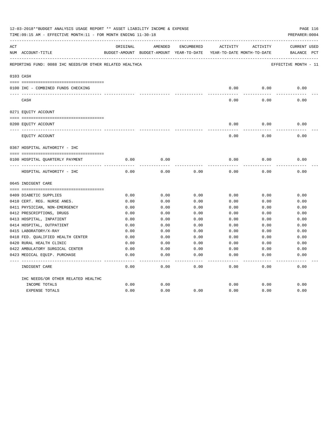|     | 12-03-2018**BUDGET ANALYSIS USAGE REPORT ** ASSET LIABILITY INCOME & EXPENSE<br>TIME:09:15 AM - EFFECTIVE MONTH:11 - FOR MONTH ENDING 11-30-18 |          |                                                     |            |          |                                        | PAGE 116<br>PREPARER: 0004         |
|-----|------------------------------------------------------------------------------------------------------------------------------------------------|----------|-----------------------------------------------------|------------|----------|----------------------------------------|------------------------------------|
| ACT | NUM ACCOUNT-TITLE                                                                                                                              | ORIGINAL | AMENDED<br>BUDGET-AMOUNT BUDGET-AMOUNT YEAR-TO-DATE | ENCUMBERED | ACTIVITY | ACTIVITY<br>YEAR-TO-DATE MONTH-TO-DATE | <b>CURRENT USED</b><br>BALANCE PCT |
|     | REPORTING FUND: 0088 IHC NEEDS/OR OTHER RELATED HEALTHCA                                                                                       |          |                                                     |            |          |                                        | EFFECTIVE MONTH - 11               |
|     | 0103 CASH                                                                                                                                      |          |                                                     |            |          |                                        |                                    |
|     | 0100 IHC - COMBINED FUNDS CHECKING                                                                                                             |          |                                                     |            | 0.00     | 0.00                                   | 0.00                               |
|     | CASH                                                                                                                                           |          |                                                     |            | 0.00     | 0.00                                   | 0.00                               |
|     | 0271 EQUITY ACCOUNT                                                                                                                            |          |                                                     |            |          |                                        |                                    |
|     |                                                                                                                                                |          |                                                     |            |          |                                        |                                    |
|     | 0200 EQUITY ACCOUNT                                                                                                                            |          |                                                     |            | 0.00     | 0.00                                   | 0.00                               |
|     | EQUITY ACCOUNT                                                                                                                                 |          |                                                     |            | 0.00     | 0.00                                   | 0.00                               |
|     | 0367 HOSPITAL AUTHORITY - IHC                                                                                                                  |          |                                                     |            |          |                                        |                                    |
|     |                                                                                                                                                |          |                                                     |            |          |                                        |                                    |
|     | 0100 HOSPITAL QUARTERLY PAYMENT                                                                                                                | 0.00     | 0.00                                                |            | 0.00     | 0.00                                   | 0.00                               |
|     | ----------------------------------<br>HOSPITAL AUTHORITY - IHC                                                                                 | 0.00     | 0.00                                                | 0.00       | 0.00     | 0.00                                   | 0.00                               |
|     | 0645 INDIGENT CARE                                                                                                                             |          |                                                     |            |          |                                        |                                    |
|     |                                                                                                                                                |          |                                                     |            |          |                                        |                                    |
|     | 0409 DIABETIC SUPPLIES                                                                                                                         | 0.00     | 0.00                                                | 0.00       | 0.00     | 0.00                                   | 0.00                               |
|     | 0410 CERT. REG. NURSE ANES.                                                                                                                    | 0.00     | 0.00                                                | 0.00       | 0.00     | 0.00                                   | 0.00                               |
|     | 0411 PHYSICIAN, NON-EMERGENCY                                                                                                                  | 0.00     | 0.00                                                | 0.00       | 0.00     | 0.00                                   | 0.00                               |
|     | 0412 PRESCRIPTIONS, DRUGS                                                                                                                      | 0.00     | 0.00                                                | 0.00       | 0.00     | 0.00                                   | 0.00                               |
|     | 0413 HOSPITAL, INPATIENT                                                                                                                       | 0.00     | 0.00                                                | 0.00       | 0.00     | 0.00                                   | 0.00                               |
|     | 0414 HOSPITAL, OUTPATIENT                                                                                                                      | 0.00     | 0.00                                                | 0.00       | 0.00     | 0.00                                   | 0.00                               |
|     | 0415 LABORATORY/X-RAY                                                                                                                          | 0.00     | 0.00                                                | 0.00       | 0.00     | 0.00                                   | 0.00                               |
|     | 0418 FED. QUALIFIED HEALTH CENTER                                                                                                              | 0.00     | 0.00                                                | 0.00       | 0.00     | 0.00                                   | 0.00                               |
|     | 0420 RURAL HEALTH CLINIC                                                                                                                       | 0.00     | 0.00                                                | 0.00       | 0.00     | 0.00                                   | 0.00                               |
|     | 0422 AMBULATORY SURGICAL CENTER                                                                                                                | 0.00     | 0.00                                                | 0.00       | 0.00     | 0.00                                   | 0.00                               |
|     | 0423 MEDICAL EQUIP. PURCHASE                                                                                                                   | 0.00     | 0.00                                                | 0.00       | 0.00     | 0.00                                   | 0.00                               |
|     | INDIGENT CARE                                                                                                                                  | 0.00     | 0.00                                                | 0.00       | 0.00     | 0.00                                   | -----<br>0.00                      |
|     | IHC NEEDS/OR OTHER RELATED HEALTHC                                                                                                             |          |                                                     |            |          |                                        |                                    |
|     | INCOME TOTALS                                                                                                                                  | 0.00     | 0.00                                                |            | 0.00     | 0.00                                   | 0.00                               |
|     | <b>EXPENSE TOTALS</b>                                                                                                                          | 0.00     | 0.00                                                | 0.00       | 0.00     | 0.00                                   | 0.00                               |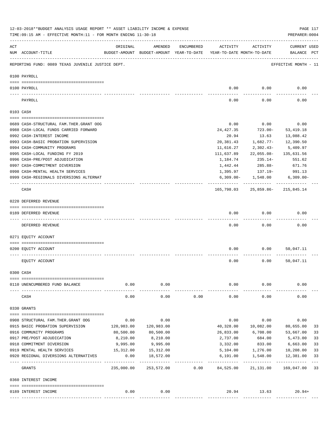|     | 12-03-2018**BUDGET ANALYSIS USAGE REPORT ** ASSET LIABILITY INCOME & EXPENSE<br>TIME: 09:15 AM - EFFECTIVE MONTH: 11 - FOR MONTH ENDING 11-30-18 |                           |                                                     |            |                                        |                         | PREPARER: 0004                     | PAGE 117      |
|-----|--------------------------------------------------------------------------------------------------------------------------------------------------|---------------------------|-----------------------------------------------------|------------|----------------------------------------|-------------------------|------------------------------------|---------------|
| ACT | NUM ACCOUNT-TITLE                                                                                                                                | ORIGINAL                  | AMENDED<br>BUDGET-AMOUNT BUDGET-AMOUNT YEAR-TO-DATE | ENCUMBERED | ACTIVITY<br>YEAR-TO-DATE MONTH-TO-DATE | ACTIVITY                | <b>CURRENT USED</b><br>BALANCE PCT |               |
|     | REPORTING FUND: 0089 TEXAS JUVENILE JUSTICE DEPT.                                                                                                |                           |                                                     |            |                                        |                         | EFFECTIVE MONTH - 11               |               |
|     | 0100 PAYROLL                                                                                                                                     |                           |                                                     |            |                                        |                         |                                    |               |
|     | 0100 PAYROLL                                                                                                                                     |                           |                                                     |            | 0.00                                   | 0.00                    | 0.00                               |               |
|     | PAYROLL                                                                                                                                          |                           |                                                     |            | 0.00                                   | 0.00                    | 0.00                               |               |
|     | 0103 CASH                                                                                                                                        |                           |                                                     |            |                                        |                         |                                    |               |
|     | 0689 CASH-STRUCTURAL FAM.THER.GRANT OOG                                                                                                          |                           |                                                     |            | 0.00                                   | 0.00                    | 0.00                               |               |
|     | 0988 CASH-LOCAL FUNDS CARRIED FORWARD                                                                                                            |                           |                                                     |            | 24, 427.35                             | 723.00-                 | 53, 419.18                         |               |
|     | 0992 CASH-INTEREST INCOME                                                                                                                        |                           |                                                     |            | 20.94                                  | 13.63                   | 13,088.42                          |               |
|     | 0993 CASH-BASIC PROBATION SUPERVISION                                                                                                            |                           |                                                     |            | 20,381.43                              | 1,682.77-               | 12,390.50                          |               |
|     | 0994 CASH-COMMUNITY PROGRAMS                                                                                                                     |                           |                                                     |            | 11,616.27                              | 2,302.43-               | 5,409.97                           |               |
|     | 0995 CASH-LOCAL FUNDING FY 2019                                                                                                                  |                           |                                                     |            | 111,637.89                             | 22,055.08-              | 135,631.56                         |               |
|     | 0996 CASH-PRE/POST ADJUDICATION                                                                                                                  |                           |                                                     |            | 1,184.74                               | 235.14-                 | 551.62                             |               |
|     | 0997 CASH-COMMITMENT DIVERSION                                                                                                                   |                           |                                                     |            | 1,442.44                               | 285.88-                 | 671.76                             |               |
|     | 0998 CASH-MENTAL HEALTH SERVICES                                                                                                                 |                           |                                                     |            | 1,395.97                               | 137.19-                 | 991.13                             |               |
|     | 0999 CASH-REGIONALS DIVERSIONS ALTERNAT                                                                                                          |                           |                                                     |            |                                        | $6,309.00 - 1,548.00$   | $6,309.00 -$                       |               |
|     | CASH                                                                                                                                             |                           |                                                     |            |                                        |                         | 165,798.03 25,859.86- 215,845.14   |               |
|     | 0220 DEFERRED REVENUE                                                                                                                            |                           |                                                     |            |                                        |                         |                                    |               |
|     |                                                                                                                                                  |                           |                                                     |            |                                        |                         |                                    |               |
|     | 0189 DEFERRED REVENUE                                                                                                                            |                           |                                                     |            | 0.00                                   | 0.00                    | 0.00                               |               |
|     | DEFERRED REVENUE                                                                                                                                 |                           |                                                     |            | 0.00                                   | 0.00                    | 0.00                               |               |
|     | 0271 EQUITY ACCOUNT                                                                                                                              |                           |                                                     |            |                                        |                         |                                    |               |
|     | 0200 EQUITY ACCOUNT                                                                                                                              |                           |                                                     |            | 0.00                                   | 0.00                    | 50,047.11                          |               |
|     | EQUITY ACCOUNT                                                                                                                                   |                           |                                                     |            | 0.00                                   | 0.00                    | 50,047.11                          |               |
|     | 0300 CASH                                                                                                                                        |                           |                                                     |            |                                        |                         |                                    |               |
|     |                                                                                                                                                  |                           |                                                     |            |                                        |                         |                                    |               |
|     | 0110 UNENCUMBERED FUND BALANCE                                                                                                                   | 0.00                      | 0.00                                                |            | 0.00                                   | 0.00                    | 0.00                               |               |
|     | CASH                                                                                                                                             | 0.00                      | 0.00                                                | 0.00       | 0.00                                   | 0.00                    | 0.00                               |               |
|     | 0330 GRANTS                                                                                                                                      |                           |                                                     |            |                                        |                         |                                    |               |
|     | 0908 STRUCTURAL FAM. THER. GRANT OOG                                                                                                             | 0.00                      | 0.00                                                |            | 0.00                                   | 0.00                    | 0.00                               |               |
|     | 0915 BASIC PROBATION SUPERVISION                                                                                                                 | 120,983.00                | 120,983.00                                          |            | 40,328.00                              | 10,082.00               | 80,655.00                          | 33            |
|     | 0916 COMMUNITY PROGRAMS                                                                                                                          | 80,500.00                 | 80,500.00                                           |            | 26,833.00                              | 6,708.00                | 53,667.00                          | 33            |
|     | 0917 PRE/POST ADJUDICATION                                                                                                                       | 8,210.00                  | 8,210.00                                            |            | 2,737.00                               | 684.00                  | 5,473.00                           | 33            |
|     | 0918 COMMITMENT DIVERSION                                                                                                                        | 9,995.00                  | 9,995.00                                            |            | 3,332.00                               | 833.00                  | 6,663.00                           | 33            |
|     | 0919 MENTAL HEALTH SERVICES                                                                                                                      | 15,312.00                 | 15,312.00                                           |            | 5,104.00                               | 1,276.00                | 10,208.00                          | 33            |
|     | 0920 REGIONAL DIVERSIONS ALTERNATIVES                                                                                                            | 0.00                      | 18,572.00                                           |            | 6,191.00                               | 1,548.00                | 12,381.00                          | 33            |
|     | GRANTS                                                                                                                                           | ___________<br>235,000.00 | -----------<br>253,572.00                           | 0.00       | 84,525.00                              | ----------<br>21,131.00 | -----------<br>169,047.00          | $- - -$<br>33 |
|     | 0360 INTEREST INCOME                                                                                                                             |                           |                                                     |            |                                        |                         |                                    |               |
|     |                                                                                                                                                  |                           |                                                     |            |                                        |                         |                                    |               |
|     | 0189 INTEREST INCOME                                                                                                                             | 0.00                      | 0.00                                                |            |                                        | 20.94 13.63             | $20.94+$                           |               |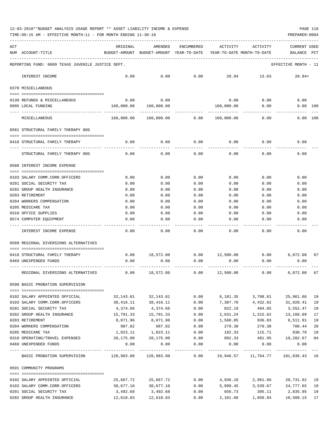TIME:09:15 AM - EFFECTIVE MONTH:11 - FOR MONTH ENDING 11-30-18 PREPARER:0004

| ACT | NUM ACCOUNT-TITLE                                                                                                                                                                                                                                                                                                                                                                                                                       | ORIGINAL              | AMENDED<br>BUDGET-AMOUNT BUDGET-AMOUNT YEAR-TO-DATE | ENCUMBERED   | ACTIVITY<br>YEAR-TO-DATE MONTH-TO-DATE | ACTIVITY              | CURRENT USED<br><b>BALANCE</b> | PCT |
|-----|-----------------------------------------------------------------------------------------------------------------------------------------------------------------------------------------------------------------------------------------------------------------------------------------------------------------------------------------------------------------------------------------------------------------------------------------|-----------------------|-----------------------------------------------------|--------------|----------------------------------------|-----------------------|--------------------------------|-----|
|     | REPORTING FUND: 0089 TEXAS JUVENILE JUSTICE DEPT.                                                                                                                                                                                                                                                                                                                                                                                       |                       |                                                     |              |                                        |                       | EFFECTIVE MONTH - 11           |     |
|     | INTEREST INCOME                                                                                                                                                                                                                                                                                                                                                                                                                         | 0.00                  | 0.00                                                | 0.00         | 20.94                                  | 13.63                 | $20.94+$                       |     |
|     | 0370 MISCELLANEOUS                                                                                                                                                                                                                                                                                                                                                                                                                      |                       |                                                     |              |                                        |                       |                                |     |
|     |                                                                                                                                                                                                                                                                                                                                                                                                                                         |                       |                                                     |              |                                        |                       |                                |     |
|     | 0130 REFUNDS & MISCELLANEOUS<br>0995 LOCAL FUNDING                                                                                                                                                                                                                                                                                                                                                                                      | 0.00<br>160,000.00    | 0.00                                                |              | 0.00                                   | 0.00<br>0.00          | 0.00                           |     |
|     |                                                                                                                                                                                                                                                                                                                                                                                                                                         |                       | 160,000.00                                          |              | 160,000.00                             |                       | 0.00 100                       |     |
|     | MISCELLANEOUS                                                                                                                                                                                                                                                                                                                                                                                                                           | 160,000.00            | 160,000.00                                          | 0.00         | 160,000.00                             | 0.00                  | 0.00 100                       |     |
|     | 0581 STRUCTURAL FAMILY THERAPY OOG                                                                                                                                                                                                                                                                                                                                                                                                      |                       |                                                     |              |                                        |                       |                                |     |
|     | 0416 STRUCTURAL FAMILY THERAPY                                                                                                                                                                                                                                                                                                                                                                                                          | 0.00                  | 0.00                                                | 0.00         | 0.00                                   | 0.00                  | 0.00                           |     |
|     | STRUCTURAL FAMILY THERAPY OOG                                                                                                                                                                                                                                                                                                                                                                                                           | 0.00                  | 0.00                                                | 0.00         | 0.00                                   | 0.00                  | 0.00                           |     |
|     | 0588 INTEREST INCOME EXPENSE                                                                                                                                                                                                                                                                                                                                                                                                            |                       |                                                     |              |                                        |                       |                                |     |
|     |                                                                                                                                                                                                                                                                                                                                                                                                                                         |                       |                                                     |              |                                        |                       |                                |     |
|     | 0103 SALARY COMM.CORR.OFFICERS                                                                                                                                                                                                                                                                                                                                                                                                          | 0.00                  | 0.00                                                | 0.00         | 0.00                                   | 0.00                  | 0.00                           |     |
|     | 0201 SOCIAL SECURITY TAX<br>0202 GROUP HEALTH INSURANCE                                                                                                                                                                                                                                                                                                                                                                                 | 0.00<br>0.00          | 0.00<br>0.00                                        | 0.00<br>0.00 | 0.00<br>0.00                           | 0.00<br>0.00          | 0.00<br>0.00                   |     |
|     | 0203 RETIREMENT                                                                                                                                                                                                                                                                                                                                                                                                                         | 0.00                  | 0.00                                                | 0.00         | 0.00                                   | 0.00                  | 0.00                           |     |
|     | 0204 WORKERS COMPENSATION                                                                                                                                                                                                                                                                                                                                                                                                               | 0.00                  | 0.00                                                | 0.00         | 0.00                                   | 0.00                  | 0.00                           |     |
|     | 0205 MEDICARE TAX                                                                                                                                                                                                                                                                                                                                                                                                                       | 0.00                  | 0.00                                                | 0.00         | 0.00                                   | 0.00                  | 0.00                           |     |
|     | 0310 OFFICE SUPPLIES                                                                                                                                                                                                                                                                                                                                                                                                                    | 0.00                  | 0.00                                                | 0.00         | 0.00                                   | 0.00                  | 0.00                           |     |
|     | 0574 COMPUTER EQUIPMENT                                                                                                                                                                                                                                                                                                                                                                                                                 | 0.00                  | 0.00                                                | 0.00         | 0.00                                   | 0.00                  | 0.00                           |     |
|     | INTEREST INCOME EXPENSE                                                                                                                                                                                                                                                                                                                                                                                                                 | 0.00                  | 0.00                                                | 0.00         | 0.00                                   | 0.00                  | 0.00                           |     |
|     | 0589 REGIONAL DIVERSIONS ALTERNATIVES                                                                                                                                                                                                                                                                                                                                                                                                   |                       |                                                     |              |                                        |                       |                                |     |
|     |                                                                                                                                                                                                                                                                                                                                                                                                                                         |                       |                                                     |              |                                        |                       |                                | 67  |
|     | 0416 STRUCTURAL FAMILY THERAPY<br>0469 UNEXPENDED FUNDS                                                                                                                                                                                                                                                                                                                                                                                 | 0.00<br>0.00          | 18,572.00<br>0.00                                   | 0.00         | $0.00$ 12,500.00<br>0.00               | 0.00<br>0.00          | 6,072.00<br>0.00               |     |
|     |                                                                                                                                                                                                                                                                                                                                                                                                                                         |                       |                                                     |              |                                        |                       |                                |     |
|     | REGIONAL DIVERSIONS ALTERNATIVES                                                                                                                                                                                                                                                                                                                                                                                                        | 0.00                  | 18,572.00                                           | 0.00         | 12,500.00                              | 0.00                  | 6,072.00                       | 67  |
|     | 0590 BASIC PROBATION SUPERVISION                                                                                                                                                                                                                                                                                                                                                                                                        |                       |                                                     |              |                                        |                       |                                |     |
|     | 0102 SALARY APPOINTED OFFICIAL                                                                                                                                                                                                                                                                                                                                                                                                          | 32,143.01             | 32,143.01                                           | 0.00         | 6,181.35                               | 3,708.81              | 25,961.66                      | 19  |
|     | 0103 SALARY COMM.CORR.OFFICERS                                                                                                                                                                                                                                                                                                                                                                                                          | 38,416.11             | 38,416.11                                           | 0.00         | 7,387.70                               | 4,432.62              | 31,028.41                      | 19  |
|     | 0201 SOCIAL SECURITY TAX                                                                                                                                                                                                                                                                                                                                                                                                                | 4,374.66              | 4,374.66                                            | 0.00         | 822.19                                 | 494.65                | 3,552.47                       | 19  |
|     | 0202 GROUP HEALTH INSURANCE                                                                                                                                                                                                                                                                                                                                                                                                             | 15,791.33             | 15,791.33                                           | 0.00         | 2,631.24                               | 1,315.62              | 13,160.09                      | 17  |
|     | 0203 RETIREMENT                                                                                                                                                                                                                                                                                                                                                                                                                         | 8,071.96              | 8,071.96                                            | 0.00         | 1,560.05                               | 936.03                | 6,511.91                       | 19  |
|     | 0204 WORKERS COMPENSATION                                                                                                                                                                                                                                                                                                                                                                                                               | 987.82                | 987.82                                              | 0.00         | 279.38                                 | 279.38                | 708.44                         | 28  |
|     | 0205 MEDICARE TAX                                                                                                                                                                                                                                                                                                                                                                                                                       | 1,023.11              | 1,023.11                                            | 0.00         | 192.33                                 | 115.71                | 830.78                         | 19  |
|     | 0310 OPERATING/TRAVEL EXPENSES                                                                                                                                                                                                                                                                                                                                                                                                          | 20,175.00             | 20,175.00                                           | 0.00         | 892.33                                 | 481.95                | 19,282.67 04                   |     |
|     | 0469 UNEXPENDED FUNDS                                                                                                                                                                                                                                                                                                                                                                                                                   | 0.00                  | 0.00                                                | 0.00         | 0.00                                   | 0.00                  | 0.00                           |     |
|     | BASIC PROBATION SUPERVISION 120,983.00 120,983.00 0.00 19,946.57 11,764.77 101,036.43 16                                                                                                                                                                                                                                                                                                                                                |                       |                                                     |              |                                        |                       |                                |     |
|     | 0591 COMMUNITY PROGRAMS                                                                                                                                                                                                                                                                                                                                                                                                                 |                       |                                                     |              |                                        |                       |                                |     |
|     | $\begin{minipage}{0.03\textwidth} \centering \begin{tabular}{ l l l } \hline \textbf{1} & \textbf{2} & \textbf{2} & \textbf{2} & \textbf{2} & \textbf{2} & \textbf{2} & \textbf{2} & \textbf{2} & \textbf{2} & \textbf{2} & \textbf{2} & \textbf{2} & \textbf{2} & \textbf{2} & \textbf{2} & \textbf{2} & \textbf{2} & \textbf{2} & \textbf{2} & \textbf{2} & \textbf{2} & \textbf{2} & \textbf{2} & \textbf{2} & \textbf{2} & \textbf$ |                       |                                                     |              |                                        |                       |                                |     |
|     | 0102 SALARY APPOINTED OFFICIAL                                                                                                                                                                                                                                                                                                                                                                                                          | 25,667.72             | 25,667.72                                           | 0.00         | 4,936.10                               | 2,961.66 20,731.62 19 |                                |     |
|     | 0103 SALARY COMM.CORR.OFFICERS                                                                                                                                                                                                                                                                                                                                                                                                          | 30,677.10             | 30,677.10                                           | 0.00         | 5,899.45                               | 3,539.67 24,777.65 19 |                                |     |
|     | 0201 SOCIAL SECURITY TAX<br>0202 GROUP HEALTH INSURANCE                                                                                                                                                                                                                                                                                                                                                                                 | 3,492.68<br>12,610.83 | 3,492.68<br>12,610.83                               | 0.00<br>0.00 | 656.73<br>2,101.68                     | 395.11<br>1,050.84    | 2,835.95 19<br>10,509.15 17    |     |
|     |                                                                                                                                                                                                                                                                                                                                                                                                                                         |                       |                                                     |              |                                        |                       |                                |     |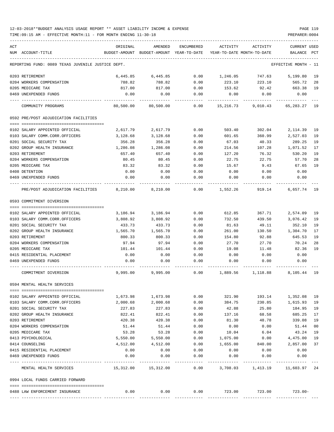TIME:09:15 AM - EFFECTIVE MONTH:11 - FOR MONTH ENDING 11-30-18 PREPARER:0004

| ACT |                                                         | ORIGINAL           | AMENDED              | <b>ENCUMBERED</b> | ACTIVITY                   | ACTIVITY                       | CURRENT USED         |          |
|-----|---------------------------------------------------------|--------------------|----------------------|-------------------|----------------------------|--------------------------------|----------------------|----------|
|     | NUM ACCOUNT-TITLE                                       | BUDGET-AMOUNT      | BUDGET-AMOUNT        | YEAR-TO-DATE      | YEAR-TO-DATE MONTH-TO-DATE |                                | BALANCE              | PCT      |
|     | REPORTING FUND: 0089 TEXAS JUVENILE JUSTICE DEPT.       |                    |                      |                   |                            |                                | EFFECTIVE MONTH - 11 |          |
|     | 0203 RETIREMENT                                         | 6,445.85           | 6,445.85             | 0.00              | 1,246.05                   | 747.63                         | 5,199.80             | 19       |
|     | 0204 WORKERS COMPENSATION                               | 788.82             | 788.82               | 0.00              | 223.10                     | 223.10                         | 565.72               | 28       |
|     | 0205 MEDICARE TAX                                       | 817.00             | 817.00               | 0.00              | 153.62                     | 92.42                          | 663.38               | 19       |
|     | 0469 UNEXPENDED FUNDS                                   | 0.00               | 0.00                 | 0.00              | 0.00                       | 0.00                           | 0.00                 |          |
|     | COMMUNITY PROGRAMS                                      | 80,500.00          | 80,500.00            | 0.00              | 15,216.73                  | 9,010.43                       | 65,283.27 19         |          |
|     | 0592 PRE/POST ADJUDICATION FACILITIES                   |                    |                      |                   |                            |                                |                      |          |
|     |                                                         |                    |                      |                   |                            |                                |                      |          |
|     | 0102 SALARY APPOINTED OFFICIAL                          | 2,617.79           | 2,617.79             | 0.00              | 503.40                     | 302.04                         | 2,114.39             | 19       |
|     | 0103 SALARY COMM.CORR.OFFICERS                          | 3,128.68           | 3,128.68             | 0.00              | 601.65                     | 360.99                         | 2,527.03             | 19<br>19 |
|     | 0201 SOCIAL SECURITY TAX<br>0202 GROUP HEALTH INSURANCE | 356.28<br>1,286.08 | 356.28<br>1,286.08   | 0.00<br>0.00      | 67.03<br>214.56            | 40.33<br>107.28                | 289.25<br>1,071.52   | 17       |
|     | 0203 RETIREMENT                                         | 657.40             | 657.40               | 0.00              | 127.20                     | 76.32                          | 530.20               | 19       |
|     | 0204 WORKERS COMPENSATION                               | 80.45              | 80.45                | 0.00              | 22.75                      | 22.75                          | 57.70                | 28       |
|     | 0205 MEDICARE TAX                                       | 83.32              | 83.32                | 0.00              | 15.67                      | 9.43                           | 67.65                | 19       |
|     | 0408 DETENTION                                          | 0.00               | 0.00                 | 0.00              | 0.00                       | 0.00                           | 0.00                 |          |
|     | 0469 UNEXPENDED FUNDS                                   | 0.00               | 0.00                 | 0.00              | 0.00                       | 0.00                           | 0.00                 |          |
|     | PRE/POST ADJUDICATION FACILITIES                        | 8,210.00           | 8,210.00             | 0.00              | 1,552.26                   | 919.14                         | 6,657.74 19          |          |
|     | 0593 COMMITMENT DIVERSION                               |                    |                      |                   |                            |                                |                      |          |
|     |                                                         |                    |                      |                   |                            |                                |                      |          |
|     | 0102 SALARY APPOINTED OFFICIAL                          | 3,186.94           | 3,186.94             | 0.00              | 612.85                     | 367.71                         | 2,574.09             | 19       |
|     | 0103 SALARY COMM.CORR.OFFICERS                          | 3,808.92           | 3,808.92             | 0.00              | 732.50                     | 439.50                         | 3,076.42             | 19       |
|     | 0201 SOCIAL SECURITY TAX                                | 433.73             | 433.73               | 0.00              | 81.63                      | 49.11                          | 352.10               | 19       |
|     | 0202 GROUP HEALTH INSURANCE                             | 1,565.70           | 1,565.70             | 0.00              | 261.00                     | 130.50                         | 1,304.70             | 17       |
|     | 0203 RETIREMENT                                         | 800.33             | 800.33               | 0.00              | 154.80                     | 92.88                          | 645.53               | 19       |
|     | 0204 WORKERS COMPENSATION                               | 97.94              | 97.94                | 0.00              | 27.70                      | 27.70                          | 70.24                | 28       |
|     | 0205 MEDICARE TAX                                       | 101.44             | 101.44               | 0.00              | 19.08                      | 11.48                          | 82.36                | 19       |
|     | 0415 RESIDENTIAL PLACEMENT                              | 0.00               | 0.00                 | 0.00              | 0.00                       | 0.00                           | 0.00                 |          |
|     | 0469 UNEXPENDED FUNDS                                   | 0.00               | 0.00                 | 0.00              | 0.00                       | 0.00                           | 0.00                 |          |
|     | COMMITMENT DIVERSION                                    | 9,995.00           | 9,995.00             | 0.00              | 1,889.56                   | 1,118.88                       | 8,105.44 19          |          |
|     | 0594 MENTAL HEALTH SERVICES                             |                    |                      |                   |                            |                                |                      |          |
|     | 0102 SALARY APPOINTED OFFICIAL                          | 1,673.98           |                      |                   |                            |                                |                      |          |
|     | 0103 SALARY COMM.CORR.OFFICERS                          | 2,000.68           | 1,673.98<br>2,000.68 | 0.00<br>0.00      | 321.90                     | 193.14<br>230.85               | 1,352.08<br>1,615.93 | 19<br>19 |
|     | 0201 SOCIAL SECURITY TAX                                | 227.83             | 227.83               | 0.00              | 384.75<br>42.88            | 25.80                          | 184.95               | 19       |
|     | 0202 GROUP HEALTH INSURANCE                             | 822.41             | 822.41               | 0.00              | 137.16                     | 68.58                          | 685.25               | 17       |
|     | 0203 RETIREMENT                                         | 420.38             | 420.38               | 0.00              | 81.30                      | 48.78                          | 339.08               | 19       |
|     | 0204 WORKERS COMPENSATION                               | 51.44              | 51.44                | 0.00              | 0.00                       | 0.00                           | 51.44                | 00       |
|     | 0205 MEDICARE TAX                                       | 53.28              | 53.28                | 0.00              | 10.04                      | 6.04                           | 43.24                | 19       |
|     | 0413 PSYCHOLOGICAL                                      | 5,550.00           | 5,550.00             | 0.00              | 1,075.00                   | 0.00                           | 4,475.00             | 19       |
|     | 0414 COUNSELING                                         | 4,512.00           | 4,512.00             | 0.00              | 1,655.00                   | 840.00                         | 2,857.00             | 37       |
|     | 0415 RESIDENTIAL PLACEMENT                              | 0.00               | 0.00                 | 0.00              | 0.00                       | 0.00                           | 0.00                 |          |
|     | 0469 UNEXPENDED FUNDS                                   | 0.00               | 0.00                 | 0.00              | 0.00                       | 0.00                           | 0.00                 |          |
|     | MENTAL HEALTH SERVICES                                  | 15,312.00          | 15,312.00            | -----<br>0.00     |                            | 3,708.03 1,413.19 11,603.97 24 |                      |          |
|     | 0994 LOCAL FUNDS CARRIED FORWARD                        |                    |                      |                   |                            |                                |                      |          |
|     |                                                         |                    |                      |                   |                            |                                |                      |          |
|     | 0488 LAW ENFORCEMENT INSURANCE                          | 0.00               | 0.00                 | 0.00              |                            | 723.00 723.00                  | $723.00 -$           |          |
|     |                                                         |                    |                      |                   |                            |                                |                      |          |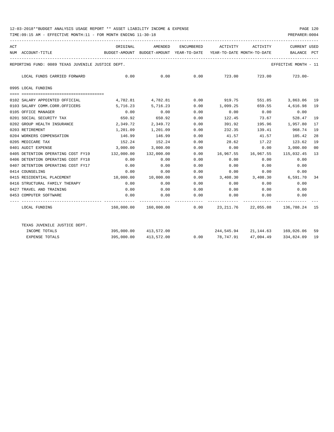TIME:09:15 AM - EFFECTIVE MONTH:11 - FOR MONTH ENDING 11-30-18 PREPARER:0004

| ACT |                                                   | ORIGINAL   | AMENDED               |      | ENCUMBERED ACTIVITY ACTIVITY                                                    |                      | <b>CURRENT USED</b>  |        |
|-----|---------------------------------------------------|------------|-----------------------|------|---------------------------------------------------------------------------------|----------------------|----------------------|--------|
|     | NUM ACCOUNT-TITLE                                 |            |                       |      | BUDGET-AMOUNT BUDGET-AMOUNT YEAR-TO-DATE YEAR-TO-DATE MONTH-TO-DATE BALANCE PCT |                      |                      |        |
|     | REPORTING FUND: 0089 TEXAS JUVENILE JUSTICE DEPT. |            |                       |      |                                                                                 |                      | EFFECTIVE MONTH - 11 |        |
|     | LOCAL FUNDS CARRIED FORWARD                       | 0.00       | 0.00                  |      | $0.00$ $723.00$ $723.00$ $723.00$ $723.00$                                      |                      |                      |        |
|     | 0995 LOCAL FUNDING                                |            |                       |      |                                                                                 |                      |                      |        |
|     | 0102 SALARY APPOINTED OFFICIAL                    |            |                       |      | 4,782.81 4,782.81 0.00 919.75                                                   |                      | 551.85 3,863.06 19   |        |
|     | 0103 SALARY COMM.CORR.OFFICERS                    | 5,716.23   | 5,716.23              | 0.00 | 1,099.25 659.55 4,616.98                                                        |                      |                      | 19     |
|     | 0105 OFFICE MANAGER                               | 0.00       | 0.00                  | 0.00 | 0.00                                                                            | 0.00                 | 0.00                 |        |
|     | 0201 SOCIAL SECURITY TAX                          | 650.92     | 650.92                | 0.00 | 122.45                                                                          | 73.67                | 528.47               | 19     |
|     | 0202 GROUP HEALTH INSURANCE                       | 2,349.72   | 2,349.72              | 0.00 | 391.92                                                                          |                      | 195.96 1,957.80      | 17     |
|     | 0203 RETIREMENT                                   | 1,201.09   | 1,201.09              | 0.00 | 232.35                                                                          | 139.41               | 968.74               | 19     |
|     | 0204 WORKERS COMPENSATION                         | 146.99     | 146.99                | 0.00 | 41.57                                                                           | 41.57                | 105.42               | 28     |
|     | 0205 MEDICARE TAX                                 | 152.24     | 152.24                | 0.00 | 28.62                                                                           | 17.22                | 123.62               | 19     |
|     | 0401 AUDIT EXPENSE                                | 3,000.00   | 3,000.00              | 0.00 | 0.00                                                                            | 0.00                 | 3,000.00             | $00\,$ |
|     | 0405 DETENTION OPERATING COST FY19                | 132,000.00 | 132,000.00            | 0.00 | 16,967.55                                                                       | 16,967.55 115,032.45 |                      | 13     |
|     | 0406 DETENTION OPERATING COST FY18                | 0.00       | 0.00                  | 0.00 | 0.00                                                                            | 0.00                 | 0.00                 |        |
|     | 0407 DETENTION OPERATING COST FY17                | 0.00       | 0.00                  | 0.00 | 0.00                                                                            | 0.00                 | 0.00                 |        |
|     | 0414 COUNSELING                                   | 0.00       | 0.00                  | 0.00 | 0.00                                                                            | 0.00                 | 0.00                 |        |
|     | 0415 RESIDENTIAL PLACEMENT                        |            | 10,000.00  10,000.00  | 0.00 | 3,408.30 3,408.30                                                               |                      | 6,591.70 34          |        |
|     | 0416 STRUCTURAL FAMILY THERAPY                    | 0.00       | 0.00                  | 0.00 | 0.00                                                                            | 0.00                 | 0.00                 |        |
|     | 0427 TRAVEL AND TRAINING                          | 0.00       | 0.00                  | 0.00 | 0.00                                                                            | $0.00$ 0.00          |                      |        |
|     | 0453 COMPUTER SOFTWARE                            | 0.00       | 0.00                  | 0.00 | $0.00$ 0.00                                                                     |                      | 0.00                 |        |
|     | LOCAL FUNDING                                     |            |                       |      | 160,000.00 160,000.00 0.00 23,211.76 22,055.08 136,788.24 15                    |                      |                      |        |
|     | TEXAS JUVENILE JUSTICE DEPT.                      |            |                       |      |                                                                                 |                      |                      |        |
|     | INCOME TOTALS                                     |            | 395,000.00 413,572.00 |      | 244,545.94 21,144.63 169,026.06 59                                              |                      |                      |        |
|     | <b>EXPENSE TOTALS</b>                             | 395,000.00 | 413,572.00            | 0.00 | 78,747.91                                                                       | 47,004.49            | 334,824,09 19        |        |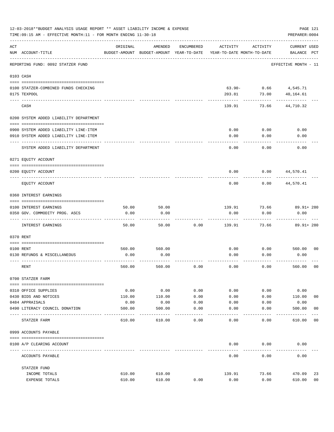|     | 12-03-2018**BUDGET ANALYSIS USAGE REPORT ** ASSET LIABILITY INCOME & EXPENSE<br>TIME: 09:15 AM - EFFECTIVE MONTH: 11 - FOR MONTH ENDING 11-30-18 |                |                                                     |                   |                                        |              | PAGE 121<br>PREPARER: 0004         |                |
|-----|--------------------------------------------------------------------------------------------------------------------------------------------------|----------------|-----------------------------------------------------|-------------------|----------------------------------------|--------------|------------------------------------|----------------|
| ACT | NUM ACCOUNT-TITLE                                                                                                                                | ORIGINAL       | AMENDED<br>BUDGET-AMOUNT BUDGET-AMOUNT YEAR-TO-DATE | ENCUMBERED        | ACTIVITY<br>YEAR-TO-DATE MONTH-TO-DATE | ACTIVITY     | <b>CURRENT USED</b><br>BALANCE PCT |                |
|     | REPORTING FUND: 0092 STATZER FUND                                                                                                                |                |                                                     |                   |                                        |              | EFFECTIVE MONTH - 11               |                |
|     | 0103 CASH                                                                                                                                        |                |                                                     |                   |                                        |              |                                    |                |
|     | 0100 STATZER-COMBINED FUNDS CHECKING                                                                                                             |                |                                                     |                   | $63.90 -$                              |              | $0.66$ 4,545.71                    |                |
|     | 0175 TEXPOOL                                                                                                                                     |                |                                                     |                   | 203.81                                 | 73.00        | 40,164.61                          |                |
|     | CASH                                                                                                                                             |                |                                                     |                   | 139.91                                 | 73.66        | 44,710.32                          |                |
|     | 0200 SYSTEM ADDED LIABILITY DEPARTMENT                                                                                                           |                |                                                     |                   |                                        |              |                                    |                |
|     |                                                                                                                                                  |                |                                                     |                   |                                        |              |                                    |                |
|     | 0900 SYSTEM ADDED LIABILITY LINE-ITEM<br>0910 SYSTEM ADDED LIABILITY LINE-ITEM                                                                   |                |                                                     |                   | 0.00<br>0.00                           | 0.00<br>0.00 | 0.00<br>0.00                       |                |
|     | SYSTEM ADDED LIABILITY DEPARTMENT                                                                                                                |                |                                                     |                   | 0.00                                   | 0.00         | 0.00                               |                |
|     | 0271 EQUITY ACCOUNT                                                                                                                              |                |                                                     |                   |                                        |              |                                    |                |
|     | 0200 EQUITY ACCOUNT                                                                                                                              |                |                                                     |                   | 0.00                                   | 0.00         | 44,570.41                          |                |
|     | EQUITY ACCOUNT                                                                                                                                   |                |                                                     |                   | 0.00                                   | 0.00         | 44,570.41                          |                |
|     |                                                                                                                                                  |                |                                                     |                   |                                        |              |                                    |                |
|     | 0360 INTEREST EARNINGS                                                                                                                           |                |                                                     |                   |                                        |              |                                    |                |
|     | 0100 INTEREST EARNINGS                                                                                                                           | 50.00          | 50.00                                               |                   | 139.91                                 | 73.66        | $89.91 + 280$                      |                |
|     | 0350 GOV. COMMODITY PROG. ASCS                                                                                                                   | 0.00           | 0.00                                                |                   | 0.00                                   | 0.00         | 0.00                               |                |
|     | INTEREST EARNINGS                                                                                                                                | 50.00          | 50.00                                               | 0.00              | 139.91                                 | 73.66        | 89.91+ 280                         |                |
|     | 0370 RENT                                                                                                                                        |                |                                                     |                   |                                        |              |                                    |                |
|     |                                                                                                                                                  |                |                                                     |                   |                                        |              |                                    |                |
|     | 0100 RENT<br>0130 REFUNDS & MISCELLANEOUS                                                                                                        | 560.00<br>0.00 | 560.00<br>0.00                                      |                   | 0.00<br>0.00                           | 0.00<br>0.00 | 560.00 00<br>0.00                  |                |
|     |                                                                                                                                                  |                |                                                     |                   |                                        |              |                                    |                |
|     | RENT                                                                                                                                             | 560.00         | 560.00                                              | 0.00              | 0.00                                   | 0.00         | 560.00                             | 0 <sub>0</sub> |
|     | 0700 STATZER FARM                                                                                                                                |                |                                                     |                   |                                        |              |                                    |                |
|     | 0310 OFFICE SUPPLIES                                                                                                                             | 0.00           | 0.00                                                | 0.00              | 0.00                                   | 0.00         | 0.00                               |                |
|     | 0430 BIDS AND NOTICES                                                                                                                            | 110.00         | 110.00                                              | 0.00              | 0.00                                   | 0.00         | 110.00                             | 00             |
|     | 0484 APPRAISALS                                                                                                                                  | 0.00           | 0.00                                                | 0.00              | 0.00                                   | 0.00         | 0.00                               |                |
|     | 0490 LITERACY COUNCIL DONATION                                                                                                                   | 500.00         | 500.00                                              | 0.00<br>$- - - -$ | 0.00                                   | 0.00         | 500.00                             | 0 <sub>0</sub> |
|     | STATZER FARM                                                                                                                                     | 610.00         | 610.00                                              | 0.00              | 0.00                                   | 0.00         | 610.00                             | 00             |
|     | 0999 ACCOUNTS PAYABLE                                                                                                                            |                |                                                     |                   |                                        |              |                                    |                |
|     | 0100 A/P CLEARING ACCOUNT                                                                                                                        |                |                                                     |                   | 0.00                                   | 0.00         | 0.00                               |                |
|     | ACCOUNTS PAYABLE                                                                                                                                 |                |                                                     |                   | 0.00                                   | 0.00         | 0.00                               |                |
|     | STATZER FUND                                                                                                                                     |                |                                                     |                   |                                        |              |                                    |                |
|     | INCOME TOTALS                                                                                                                                    | 610.00         | 610.00                                              |                   | 139.91                                 | 73.66        | 470.09                             | 23             |
|     | EXPENSE TOTALS                                                                                                                                   | 610.00         | 610.00                                              | 0.00              | 0.00                                   | 0.00         | 610.00                             | 0 <sub>0</sub> |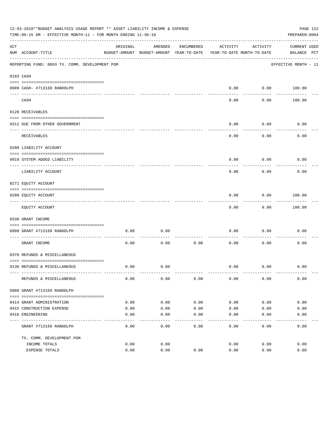| 12-03-2018**BUDGET ANALYSIS USAGE REPORT ** ASSET LIABILITY INCOME & EXPENSE<br>PAGE 122<br>TIME: 09:15 AM - EFFECTIVE MONTH: 11 - FOR MONTH ENDING 11-30-18<br>PREPARER: 0004 |                                                |                                                                                 |                   |                  |               |                 |                                    |  |
|--------------------------------------------------------------------------------------------------------------------------------------------------------------------------------|------------------------------------------------|---------------------------------------------------------------------------------|-------------------|------------------|---------------|-----------------|------------------------------------|--|
| ACT                                                                                                                                                                            | NUM ACCOUNT-TITLE                              | ORIGINAL<br>BUDGET-AMOUNT BUDGET-AMOUNT YEAR-TO-DATE YEAR-TO-DATE MONTH-TO-DATE | AMENDED           | ENCUMBERED       | ACTIVITY      | ACTIVITY        | <b>CURRENT USED</b><br>BALANCE PCT |  |
|                                                                                                                                                                                | REPORTING FUND: 0093 TX. COMM. DEVELOPMENT PGM |                                                                                 |                   |                  |               |                 | EFFECTIVE MONTH - 11               |  |
|                                                                                                                                                                                | 0103 CASH                                      |                                                                                 |                   |                  |               |                 |                                    |  |
|                                                                                                                                                                                | 0909 CASH- #713169 RANDOLPH                    |                                                                                 |                   |                  | 0.00          | 0.00            | 100.00                             |  |
|                                                                                                                                                                                | CASH                                           |                                                                                 |                   |                  | 0.00          | 0.00            | 100.00                             |  |
|                                                                                                                                                                                | 0120 RECEIVABLES                               |                                                                                 |                   |                  |               |                 |                                    |  |
|                                                                                                                                                                                | 0312 DUE FROM OTHER GOVERNMENT                 |                                                                                 |                   |                  | 0.00          | 0.00            | 0.00                               |  |
|                                                                                                                                                                                | RECEIVABLES                                    |                                                                                 |                   |                  | 0.00          | -------<br>0.00 | 0.00                               |  |
|                                                                                                                                                                                | 0200 LIABILITY ACCOUNT                         |                                                                                 |                   |                  |               |                 |                                    |  |
|                                                                                                                                                                                | 0910 SYSTEM ADDED LIABILITY                    |                                                                                 |                   |                  | 0.00          | 0.00            | 0.00                               |  |
|                                                                                                                                                                                | LIABILITY ACCOUNT                              |                                                                                 |                   |                  | 0.00          | 0.00            | 0.00                               |  |
|                                                                                                                                                                                | 0271 EQUITY ACCOUNT                            |                                                                                 |                   |                  |               |                 |                                    |  |
|                                                                                                                                                                                | 0200 EQUITY ACCOUNT                            |                                                                                 |                   |                  | 0.00          | 0.00            | 100.00                             |  |
|                                                                                                                                                                                | EQUITY ACCOUNT                                 |                                                                                 |                   |                  | 0.00          | 0.00            | 100.00                             |  |
|                                                                                                                                                                                | 0330 GRANT INCOME                              |                                                                                 |                   |                  |               |                 |                                    |  |
|                                                                                                                                                                                | 0909 GRANT #713169 RANDOLPH                    | 0.00                                                                            | 0.00              |                  | 0.00          | 0.00            | 0.00                               |  |
|                                                                                                                                                                                | GRANT INCOME                                   | 0.00                                                                            | 0.00              | 0.00             | 0.00          | 0.00            | 0.00                               |  |
|                                                                                                                                                                                | 0370 REFUNDS & MISCELLANEOUS                   |                                                                                 |                   |                  |               |                 |                                    |  |
|                                                                                                                                                                                | 0130 REFUNDS & MISCELLANEOUS                   | 0.00                                                                            | 0.00              |                  | 0.00          | 0.00            | 0.00                               |  |
|                                                                                                                                                                                | REFUNDS & MISCELLANEOUS                        | 0.00                                                                            | 0.00              | 0.00             | 0.00          | 0.00            | 0.00                               |  |
|                                                                                                                                                                                | 0909 GRANT #713169 RANDOLPH                    |                                                                                 |                   |                  |               |                 |                                    |  |
|                                                                                                                                                                                | 0414 GRANT ADMINISTRATION                      | 0.00                                                                            | 0.00              | 0.00             | 0.00          | 0.00            | 0.00                               |  |
|                                                                                                                                                                                | 0415 CONSTRUCTION EXPENSE                      | 0.00                                                                            | 0.00              | 0.00             | 0.00          | 0.00            | 0.00                               |  |
|                                                                                                                                                                                | 0416 ENGINEERING                               | 0.00                                                                            | 0.00              | 0.00             | 0.00          | 0.00            | 0.00                               |  |
|                                                                                                                                                                                | GRANT #713169 RANDOLPH                         | 0.00                                                                            | $- - - -$<br>0.00 | $-- - -$<br>0.00 | -----<br>0.00 | -----<br>0.00   | 0.00                               |  |
|                                                                                                                                                                                | TX. COMM. DEVELOPMENT PGM                      |                                                                                 |                   |                  |               |                 |                                    |  |
|                                                                                                                                                                                | INCOME TOTALS                                  | 0.00                                                                            | 0.00              |                  | 0.00          | 0.00            | 0.00                               |  |
|                                                                                                                                                                                | EXPENSE TOTALS                                 | 0.00                                                                            | 0.00              | 0.00             | 0.00          | 0.00            | 0.00                               |  |
|                                                                                                                                                                                |                                                |                                                                                 |                   |                  |               |                 |                                    |  |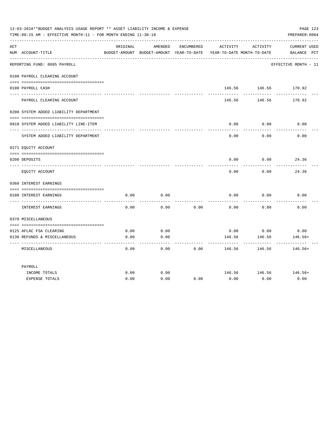| 12-03-2018**BUDGET ANALYSIS USAGE REPORT ** ASSET LIABILITY INCOME & EXPENSE<br>TIME: 09:15 AM - EFFECTIVE MONTH: 11 - FOR MONTH ENDING 11-30-18 |                                                         |              |                                                     |            |                |                                        |                                    |  |
|--------------------------------------------------------------------------------------------------------------------------------------------------|---------------------------------------------------------|--------------|-----------------------------------------------------|------------|----------------|----------------------------------------|------------------------------------|--|
| ACT                                                                                                                                              | NUM ACCOUNT-TITLE                                       | ORIGINAL     | AMENDED<br>BUDGET-AMOUNT BUDGET-AMOUNT YEAR-TO-DATE | ENCUMBERED | ACTIVITY       | ACTIVITY<br>YEAR-TO-DATE MONTH-TO-DATE | <b>CURRENT USED</b><br>BALANCE PCT |  |
|                                                                                                                                                  | REPORTING FUND: 0095 PAYROLL                            |              |                                                     |            |                |                                        | EFFECTIVE MONTH - 11               |  |
|                                                                                                                                                  | 0100 PAYROLL CLEARING ACCOUNT                           |              |                                                     |            |                |                                        |                                    |  |
|                                                                                                                                                  | 0100 PAYROLL CASH                                       |              |                                                     |            | 146.56         | 146.56                                 | 170.92                             |  |
|                                                                                                                                                  | PAYROLL CLEARING ACCOUNT                                |              |                                                     |            | 146.56         | 146.56                                 | 170.92                             |  |
|                                                                                                                                                  | 0200 SYSTEM ADDED LIABILITY DEPARTMENT                  |              |                                                     |            |                |                                        |                                    |  |
|                                                                                                                                                  | 0910 SYSTEM ADDED LIABILITY LINE-ITEM                   |              |                                                     |            | 0.00           | 0.00                                   | 0.00                               |  |
|                                                                                                                                                  | SYSTEM ADDED LIABILITY DEPARTMENT                       |              |                                                     |            | 0.00           | 0.00                                   | 0.00                               |  |
|                                                                                                                                                  | 0271 EQUITY ACCOUNT                                     |              |                                                     |            |                |                                        |                                    |  |
|                                                                                                                                                  | 0200 DEPOSITS                                           |              |                                                     |            | 0.00           | 0.00                                   | 24.36                              |  |
|                                                                                                                                                  | EQUITY ACCOUNT                                          |              |                                                     |            | 0.00           | 0.00                                   | 24.36                              |  |
|                                                                                                                                                  | 0360 INTEREST EARNINGS                                  |              |                                                     |            |                |                                        |                                    |  |
|                                                                                                                                                  | 0100 INTEREST EARNINGS                                  | 0.00         | 0.00                                                |            | 0.00           | 0.00                                   | 0.00                               |  |
|                                                                                                                                                  | INTEREST EARNINGS                                       | 0.00         | 0.00                                                | 0.00       | 0.00           | 0.00                                   | 0.00                               |  |
|                                                                                                                                                  | 0370 MISCELLANEOUS                                      |              |                                                     |            |                |                                        |                                    |  |
|                                                                                                                                                  |                                                         |              |                                                     |            |                |                                        |                                    |  |
|                                                                                                                                                  | 0125 AFLAC FSA CLEARING<br>0130 REFUNDS & MISCELLANEOUS | 0.00<br>0.00 | 0.00<br>0.00                                        |            | 0.00<br>146.56 | 0.00<br>146.56                         | 0.00<br>$146.56+$                  |  |
|                                                                                                                                                  | MISCELLANEOUS                                           | 0.00         | $- - -$<br>0.00                                     | 0.00       | 146.56         | 146.56                                 | $146.56+$                          |  |
|                                                                                                                                                  | PAYROLL                                                 |              |                                                     |            |                |                                        |                                    |  |
|                                                                                                                                                  | INCOME TOTALS                                           | 0.00         | 0.00                                                |            | 146.56         | 146.56                                 | 146.56+                            |  |
|                                                                                                                                                  | <b>EXPENSE TOTALS</b>                                   | 0.00         | 0.00                                                | 0.00       | 0.00           | 0.00                                   | 0.00                               |  |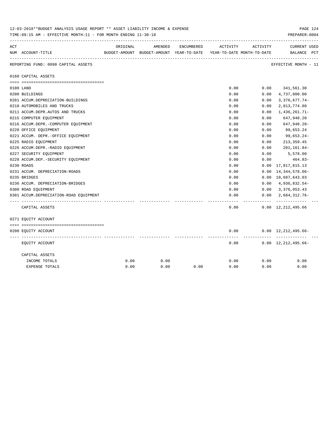|     | IS-03-SUI8' BUDGET ANALYSIS USAGE REPORT '' ASSET LIABILITY INCOME & EXPENSE<br>PAGE 124<br>TIME: 09:15 AM - EFFECTIVE MONTH: 11 - FOR MONTH ENDING 11-30-18<br>PREPARER: 0004 |          |         |            |                                                                     |          |                                             |  |  |
|-----|--------------------------------------------------------------------------------------------------------------------------------------------------------------------------------|----------|---------|------------|---------------------------------------------------------------------|----------|---------------------------------------------|--|--|
| ACT |                                                                                                                                                                                | ORIGINAL | AMENDED | ENCUMBERED | ACTIVITY                                                            | ACTIVITY | <b>CURRENT USED</b>                         |  |  |
|     | NUM ACCOUNT-TITLE                                                                                                                                                              |          |         |            | BUDGET-AMOUNT BUDGET-AMOUNT YEAR-TO-DATE YEAR-TO-DATE MONTH-TO-DATE |          | BALANCE PCT                                 |  |  |
|     | REPORTING FUND: 0098 CAPITAL ASSETS                                                                                                                                            |          |         |            |                                                                     |          | EFFECTIVE MONTH - 11                        |  |  |
|     | 0160 CAPITAL ASSETS                                                                                                                                                            |          |         |            |                                                                     |          |                                             |  |  |
|     |                                                                                                                                                                                |          |         |            |                                                                     |          |                                             |  |  |
|     | 0100 LAND                                                                                                                                                                      |          |         |            | 0.00                                                                |          | $0.00$ $341,561.30$                         |  |  |
|     | 0200 BUILDINGS                                                                                                                                                                 |          |         |            | 0.00                                                                | 0.00     | 4,737,000.00                                |  |  |
|     | 0201 ACCUM.DEPRECIATION-BUILDINGS                                                                                                                                              |          |         |            | 0.00                                                                | 0.00     | $3,376,677.74-$                             |  |  |
|     | 0210 AUTOMOBILES AND TRUCKS                                                                                                                                                    |          |         |            | 0.00                                                                | 0.00     | 2,013,774.80                                |  |  |
|     | 0211 ACCUM.DEPR.AUTOS AND TRUCKS                                                                                                                                               |          |         |            | 0.00                                                                | 0.00     | 1,436,261.71-                               |  |  |
|     | 0215 COMPUTER EQUIPMENT                                                                                                                                                        |          |         |            | 0.00                                                                | 0.00     | 647,940.20                                  |  |  |
|     | 0216 ACCUM.DEPR.-COMPUTER EQUIPMENT                                                                                                                                            |          |         |            | 0.00                                                                | 0.00     | 647,940.20-                                 |  |  |
|     | 0220 OFFICE EQUIPMENT                                                                                                                                                          |          |         |            | 0.00                                                                | 0.00     | 99,653.24                                   |  |  |
|     | 0221 ACCUM. DEPR. - OFFICE EQUIPMENT                                                                                                                                           |          |         |            | 0.00                                                                | 0.00     | 99,653.24-                                  |  |  |
|     | 0225 RADIO EQUIPMENT                                                                                                                                                           |          |         |            | 0.00                                                                | 0.00     | 213, 359.45                                 |  |  |
|     | 0226 ACCUM.DEPR.-RADIO EQUIPMENT                                                                                                                                               |          |         |            | 0.00                                                                | 0.00     | 201,161.84-                                 |  |  |
|     | 0227 SECURITY EQUIPMENT                                                                                                                                                        |          |         |            | 0.00                                                                | 0.00     | 5,578.00                                    |  |  |
|     | 0228 ACCUM.DEP. - SECURITY EQUIPMENT                                                                                                                                           |          |         |            | 0.00                                                                | 0.00     | 464.83-                                     |  |  |
|     | 0230 ROADS                                                                                                                                                                     |          |         |            | 0.00                                                                | 0.00     | 17,817,815.13                               |  |  |
|     | 0231 ACCUM. DEPRECIATION-ROADS                                                                                                                                                 |          |         |            | 0.00                                                                | 0.00     | 14, 344, 578.06-                            |  |  |
|     | 0235 BRIDGES                                                                                                                                                                   |          |         |            | 0.00                                                                |          | 0.00 10,687,643.03                          |  |  |
|     | 0236 ACCUM. DEPRECIATION-BRIDGES                                                                                                                                               |          |         |            | 0.00                                                                |          | $0.00 \quad 4,936,832.54-$                  |  |  |
|     | 0300 ROAD EQUIPMENT                                                                                                                                                            |          |         |            | 0.00                                                                |          | $0.00 \quad 3,376,053.43$                   |  |  |
|     | 0301 ACCUM.DEPRECIATION-ROAD EOUIPMENT                                                                                                                                         |          |         |            | 0.00                                                                |          | $0.00 \quad 2.684.312.76 -$                 |  |  |
|     | CAPITAL ASSETS                                                                                                                                                                 |          |         |            | 0.00                                                                | -------- | -------------<br>$0.00 \quad 12,212,495.66$ |  |  |
|     | 0271 EQUITY ACCOUNT                                                                                                                                                            |          |         |            |                                                                     |          |                                             |  |  |
|     |                                                                                                                                                                                |          |         |            |                                                                     |          |                                             |  |  |
|     | 0200 EQUITY ACCOUNT                                                                                                                                                            |          |         |            | 0.00                                                                |          | $0.00 \quad 12,212,495.66 -$                |  |  |
|     | EQUITY ACCOUNT                                                                                                                                                                 |          |         |            | 0.00                                                                |          | $0.00 \quad 12,212,495.66-$                 |  |  |
|     | CAPITAL ASSETS                                                                                                                                                                 |          |         |            |                                                                     |          |                                             |  |  |
|     | INCOME TOTALS                                                                                                                                                                  | 0.00     | 0.00    |            | 0.00                                                                | 0.00     | 0.00                                        |  |  |
|     | <b>EXPENSE TOTALS</b>                                                                                                                                                          | 0.00     | 0.00    | 0.00       | 0.00                                                                | 0.00     | 0.00                                        |  |  |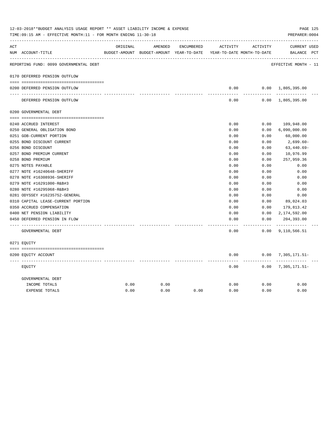| ACT |                                        | ORIGINAL | AMENDED                                  | ENCUMBERED | ACTIVITY                   | ACTIVITY | <b>CURRENT USED</b>       |  |
|-----|----------------------------------------|----------|------------------------------------------|------------|----------------------------|----------|---------------------------|--|
|     | NUM ACCOUNT-TITLE                      |          | BUDGET-AMOUNT BUDGET-AMOUNT YEAR-TO-DATE |            | YEAR-TO-DATE MONTH-TO-DATE |          | BALANCE PCT               |  |
|     | REPORTING FUND: 0099 GOVERNMENTAL DEBT |          |                                          |            |                            |          | EFFECTIVE MONTH - 11      |  |
|     | 0170 DEFERRED PENSION OUTFLOW          |          |                                          |            |                            |          |                           |  |
|     | 0200 DEFERRED PENSION OUTFLOW          |          |                                          |            | 0.00                       |          | $0.00 \quad 1,805,395.00$ |  |
|     |                                        |          |                                          |            |                            |          |                           |  |
|     | DEFERRED PENSION OUTFLOW               |          |                                          |            | 0.00                       |          | $0.00 \quad 1,805,395.00$ |  |
|     | 0200 GOVERNMENTAL DEBT                 |          |                                          |            |                            |          |                           |  |
|     |                                        |          |                                          |            |                            |          |                           |  |
|     | 0240 ACCRUED INTEREST                  |          |                                          |            | 0.00                       | 0.00     | 109,948.00                |  |
|     | 0250 GENERAL OBLIGATION BOND           |          |                                          |            | 0.00                       | 0.00     | 6,090,000.00              |  |
|     | 0251 GOB-CURRENT PORTION               |          |                                          |            | 0.00                       | 0.00     | 60,000.00                 |  |
|     | 0255 BOND DISCOUNT CURRENT             |          |                                          |            | 0.00                       | 0.00     | $2,699.60-$               |  |
|     | 0256 BOND DISCOUNT                     |          |                                          |            | 0.00                       | 0.00     | $63,440.69-$              |  |
|     | 0257 BOND PREMIUM CURRENT              |          |                                          |            | 0.00                       | 0.00     | 10,976.99                 |  |
|     | 0258 BOND PREMIUM                      |          |                                          |            | 0.00                       | 0.00     | 257,959.36                |  |
|     | 0275 NOTES PAYABLE                     |          |                                          |            | 0.00                       | 0.00     | 0.00                      |  |
|     | 0277 NOTE #16240648-SHERIFF            |          |                                          |            | 0.00                       | 0.00     | 0.00                      |  |
|     | 0278 NOTE #16308936-SHERIFF            |          |                                          |            | 0.00                       | 0.00     | 0.00                      |  |
|     | 0279 NOTE #16291000-R&B#3              |          |                                          |            | 0.00                       | 0.00     | 0.00                      |  |
|     | 0280 NOTE #16295968-R&B#3              |          |                                          |            | 0.00                       | 0.00     | 0.00                      |  |
|     | 0281 ODYSSEY #16235752-GENERAL         |          |                                          |            | 0.00                       | 0.00     | 0.00                      |  |
|     | 0310 CAPITAL LEASE-CURRENT PORTION     |          |                                          |            | 0.00                       | 0.00     | 89,024.03                 |  |
|     | 0350 ACCRUED COMPENSATION              |          |                                          |            | 0.00                       | 0.00     | 179,813.42                |  |
|     | 0400 NET PENSION LIABILITY             |          |                                          |            | 0.00                       | 0.00     | 2,174,592.00              |  |
|     | 0450 DEFERRED PENSION IN FLOW          |          |                                          |            | 0.00                       | 0.00     | 204,393.00<br>----------- |  |
|     | GOVERNMENTAL DEBT                      |          |                                          |            | 0.00                       | 0.00     | 9,110,566.51              |  |
|     | 0271 EOUITY                            |          |                                          |            |                            |          |                           |  |
|     | 0200 EQUITY ACCOUNT                    |          |                                          |            | 0.00                       |          | $0.00$ 7, 305, 171.51-    |  |
|     | EQUITY                                 |          |                                          |            | 0.00                       | 0.00     | 7,305,171.51-             |  |
|     | GOVERNMENTAL DEBT                      |          |                                          |            |                            |          |                           |  |
|     | INCOME TOTALS                          | 0.00     | 0.00                                     |            | 0.00                       | 0.00     | 0.00                      |  |
|     | <b>EXPENSE TOTALS</b>                  | 0.00     | 0.00                                     | 0.00       | 0.00                       | 0.00     | 0.00                      |  |